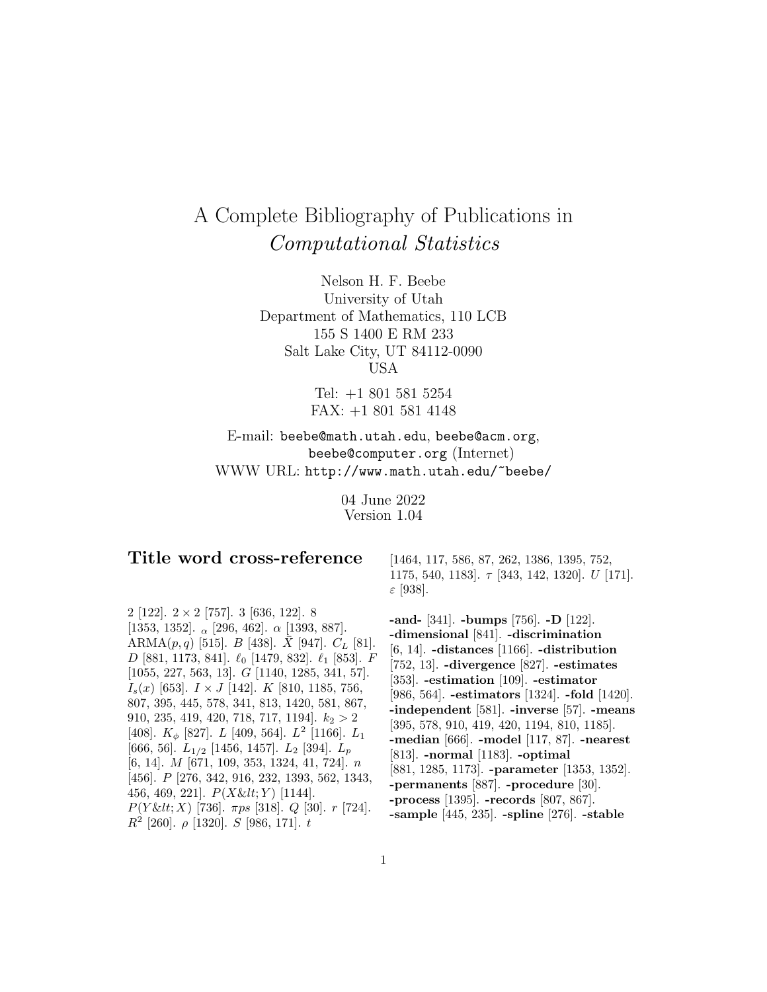# A Complete Bibliography of Publications in Computational Statistics

Nelson H. F. Beebe University of Utah Department of Mathematics, 110 LCB 155 S 1400 E RM 233 Salt Lake City, UT 84112-0090 USA

> Tel: +1 801 581 5254 FAX: +1 801 581 4148

E-mail: beebe@math.utah.edu, beebe@acm.org, beebe@computer.org (Internet) WWW URL: http://www.math.utah.edu/~beebe/

> 04 June 2022 Version 1.04

# **Title word cross-reference**

2 [122].  $2 \times 2$  [757]. 3 [636, 122]. 8 [1353, 1352].  $\alpha$  [296, 462].  $\alpha$  [1393, 887]. ARMA $(p, q)$  [515]. *B* [438]. *X* [947].  $C_L$  [81].  $D$  [881, 1173, 841].  $\ell_0$  [1479, 832].  $\ell_1$  [853].  $F$ [1055, 227, 563, 13]. G [1140, 1285, 341, 57].  $I_s(x)$  [653].  $I \times J$  [142].  $K$  [810, 1185, 756, 807, 395, 445, 578, 341, 813, 1420, 581, 867, 910, 235, 419, 420, 718, 717, 1194].  $k_2 > 2$ [408].  $K_{\phi}$  [827].  $L$  [409, 564].  $L^2$  [1166].  $L_1$ [666, 56].  $L_{1/2}$  [1456, 1457].  $L_2$  [394].  $L_p$ [6, 14]. M [671, 109, 353, 1324, 41, 724]. n [456]. P [276, 342, 916, 232, 1393, 562, 1343, 456, 469, 221].  $P(X \< \mathcal{U}; Y)$  [1144].  $P(Y \& It; X)$  [736].  $\pi ps$  [318]. Q [30]. r [724].  $R^2$  [260].  $\rho$  [1320]. S [986, 171]. t

[1464, 117, 586, 87, 262, 1386, 1395, 752, 1175, 540, 1183].  $\tau$  [343, 142, 1320]. U [171]. ε [938].

**-and-** [341]. **-bumps** [756]. **-D** [122]. **-dimensional** [841]. **-discrimination** [6, 14]. **-distances** [1166]. **-distribution** [752, 13]. **-divergence** [827]. **-estimates** [353]. **-estimation** [109]. **-estimator** [986, 564]. **-estimators** [1324]. **-fold** [1420]. **-independent** [581]. **-inverse** [57]. **-means** [395, 578, 910, 419, 420, 1194, 810, 1185]. **-median** [666]. **-model** [117, 87]. **-nearest** [813]. **-normal** [1183]. **-optimal** [881, 1285, 1173]. **-parameter** [1353, 1352]. **-permanents** [887]. **-procedure** [30]. **-process** [1395]. **-records** [807, 867]. **-sample** [445, 235]. **-spline** [276]. **-stable**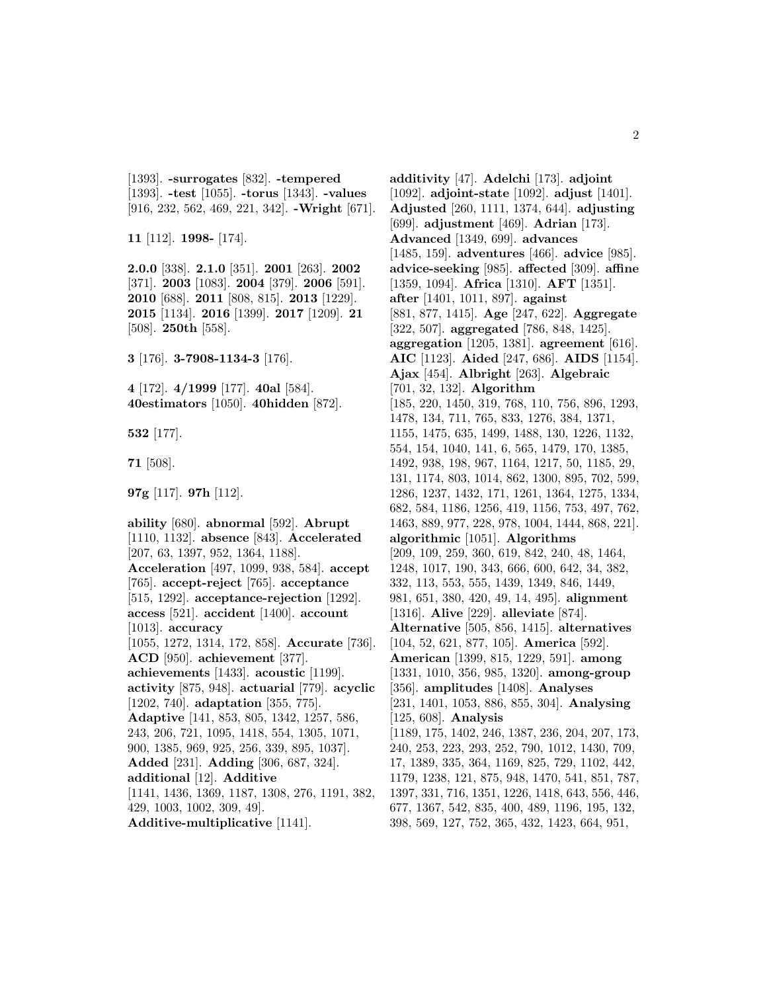[1393]. **-surrogates** [832]. **-tempered** [1393]. **-test** [1055]. **-torus** [1343]. **-values** [916, 232, 562, 469, 221, 342]. **-Wright** [671].

**11** [112]. **1998-** [174].

**2.0.0** [338]. **2.1.0** [351]. **2001** [263]. **2002** [371]. **2003** [1083]. **2004** [379]. **2006** [591]. **2010** [688]. **2011** [808, 815]. **2013** [1229]. **2015** [1134]. **2016** [1399]. **2017** [1209]. **21** [508]. **250th** [558].

**3** [176]. **3-7908-1134-3** [176].

**4** [172]. **4/1999** [177]. **40al** [584]. **40estimators** [1050]. **40hidden** [872].

**532** [177].

**71** [508].

**97g** [117]. **97h** [112].

**ability** [680]. **abnormal** [592]. **Abrupt** [1110, 1132]. **absence** [843]. **Accelerated** [207, 63, 1397, 952, 1364, 1188]. **Acceleration** [497, 1099, 938, 584]. **accept** [765]. **accept-reject** [765]. **acceptance** [515, 1292]. **acceptance-rejection** [1292]. **access** [521]. **accident** [1400]. **account** [1013]. **accuracy** [1055, 1272, 1314, 172, 858]. **Accurate** [736]. **ACD** [950]. **achievement** [377]. **achievements** [1433]. **acoustic** [1199]. **activity** [875, 948]. **actuarial** [779]. **acyclic** [1202, 740]. **adaptation** [355, 775]. **Adaptive** [141, 853, 805, 1342, 1257, 586, 243, 206, 721, 1095, 1418, 554, 1305, 1071, 900, 1385, 969, 925, 256, 339, 895, 1037]. **Added** [231]. **Adding** [306, 687, 324]. **additional** [12]. **Additive** [1141, 1436, 1369, 1187, 1308, 276, 1191, 382, 429, 1003, 1002, 309, 49]. **Additive-multiplicative** [1141].

**additivity** [47]. **Adelchi** [173]. **adjoint** [1092]. **adjoint-state** [1092]. **adjust** [1401]. **Adjusted** [260, 1111, 1374, 644]. **adjusting** [699]. **adjustment** [469]. **Adrian** [173]. **Advanced** [1349, 699]. **advances** [1485, 159]. **adventures** [466]. **advice** [985]. **advice-seeking** [985]. **affected** [309]. **affine** [1359, 1094]. **Africa** [1310]. **AFT** [1351]. **after** [1401, 1011, 897]. **against** [881, 877, 1415]. **Age** [247, 622]. **Aggregate** [322, 507]. **aggregated** [786, 848, 1425]. **aggregation** [1205, 1381]. **agreement** [616]. **AIC** [1123]. **Aided** [247, 686]. **AIDS** [1154]. **Ajax** [454]. **Albright** [263]. **Algebraic** [701, 32, 132]. **Algorithm** [185, 220, 1450, 319, 768, 110, 756, 896, 1293, 1478, 134, 711, 765, 833, 1276, 384, 1371, 1155, 1475, 635, 1499, 1488, 130, 1226, 1132, 554, 154, 1040, 141, 6, 565, 1479, 170, 1385, 1492, 938, 198, 967, 1164, 1217, 50, 1185, 29, 131, 1174, 803, 1014, 862, 1300, 895, 702, 599, 1286, 1237, 1432, 171, 1261, 1364, 1275, 1334, 682, 584, 1186, 1256, 419, 1156, 753, 497, 762, 1463, 889, 977, 228, 978, 1004, 1444, 868, 221]. **algorithmic** [1051]. **Algorithms** [209, 109, 259, 360, 619, 842, 240, 48, 1464, 1248, 1017, 190, 343, 666, 600, 642, 34, 382, 332, 113, 553, 555, 1439, 1349, 846, 1449, 981, 651, 380, 420, 49, 14, 495]. **alignment** [1316]. **Alive** [229]. **alleviate** [874]. **Alternative** [505, 856, 1415]. **alternatives** [104, 52, 621, 877, 105]. **America** [592]. **American** [1399, 815, 1229, 591]. **among** [1331, 1010, 356, 985, 1320]. **among-group** [356]. **amplitudes** [1408]. **Analyses** [231, 1401, 1053, 886, 855, 304]. **Analysing** [125, 608]. **Analysis** [1189, 175, 1402, 246, 1387, 236, 204, 207, 173, 240, 253, 223, 293, 252, 790, 1012, 1430, 709, 17, 1389, 335, 364, 1169, 825, 729, 1102, 442, 1179, 1238, 121, 875, 948, 1470, 541, 851, 787, 1397, 331, 716, 1351, 1226, 1418, 643, 556, 446, 677, 1367, 542, 835, 400, 489, 1196, 195, 132, 398, 569, 127, 752, 365, 432, 1423, 664, 951,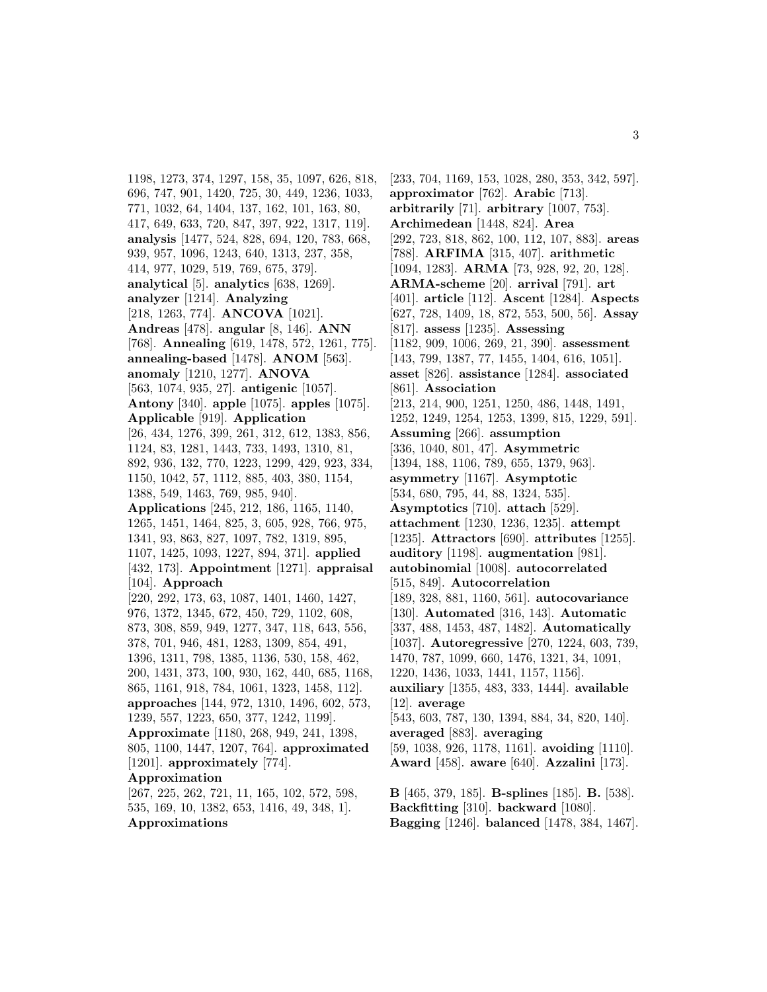1198, 1273, 374, 1297, 158, 35, 1097, 626, 818, 696, 747, 901, 1420, 725, 30, 449, 1236, 1033, 771, 1032, 64, 1404, 137, 162, 101, 163, 80, 417, 649, 633, 720, 847, 397, 922, 1317, 119]. **analysis** [1477, 524, 828, 694, 120, 783, 668, 939, 957, 1096, 1243, 640, 1313, 237, 358, 414, 977, 1029, 519, 769, 675, 379]. **analytical** [5]. **analytics** [638, 1269]. **analyzer** [1214]. **Analyzing** [218, 1263, 774]. **ANCOVA** [1021]. **Andreas** [478]. **angular** [8, 146]. **ANN** [768]. **Annealing** [619, 1478, 572, 1261, 775]. **annealing-based** [1478]. **ANOM** [563]. **anomaly** [1210, 1277]. **ANOVA** [563, 1074, 935, 27]. **antigenic** [1057]. **Antony** [340]. **apple** [1075]. **apples** [1075]. **Applicable** [919]. **Application** [26, 434, 1276, 399, 261, 312, 612, 1383, 856, 1124, 83, 1281, 1443, 733, 1493, 1310, 81, 892, 936, 132, 770, 1223, 1299, 429, 923, 334, 1150, 1042, 57, 1112, 885, 403, 380, 1154, 1388, 549, 1463, 769, 985, 940]. **Applications** [245, 212, 186, 1165, 1140, 1265, 1451, 1464, 825, 3, 605, 928, 766, 975, 1341, 93, 863, 827, 1097, 782, 1319, 895, 1107, 1425, 1093, 1227, 894, 371]. **applied** [432, 173]. **Appointment** [1271]. **appraisal** [104]. **Approach** [220, 292, 173, 63, 1087, 1401, 1460, 1427, 976, 1372, 1345, 672, 450, 729, 1102, 608, 873, 308, 859, 949, 1277, 347, 118, 643, 556, 378, 701, 946, 481, 1283, 1309, 854, 491, 1396, 1311, 798, 1385, 1136, 530, 158, 462, 200, 1431, 373, 100, 930, 162, 440, 685, 1168, 865, 1161, 918, 784, 1061, 1323, 1458, 112]. **approaches** [144, 972, 1310, 1496, 602, 573, 1239, 557, 1223, 650, 377, 1242, 1199]. **Approximate** [1180, 268, 949, 241, 1398, 805, 1100, 1447, 1207, 764]. **approximated** [1201]. **approximately** [774]. **Approximation** [267, 225, 262, 721, 11, 165, 102, 572, 598, 535, 169, 10, 1382, 653, 1416, 49, 348, 1]. **Approximations**

[233, 704, 1169, 153, 1028, 280, 353, 342, 597]. **approximator** [762]. **Arabic** [713]. **arbitrarily** [71]. **arbitrary** [1007, 753]. **Archimedean** [1448, 824]. **Area** [292, 723, 818, 862, 100, 112, 107, 883]. **areas** [788]. **ARFIMA** [315, 407]. **arithmetic** [1094, 1283]. **ARMA** [73, 928, 92, 20, 128]. **ARMA-scheme** [20]. **arrival** [791]. **art** [401]. **article** [112]. **Ascent** [1284]. **Aspects** [627, 728, 1409, 18, 872, 553, 500, 56]. **Assay** [817]. **assess** [1235]. **Assessing** [1182, 909, 1006, 269, 21, 390]. **assessment** [143, 799, 1387, 77, 1455, 1404, 616, 1051]. **asset** [826]. **assistance** [1284]. **associated** [861]. **Association** [213, 214, 900, 1251, 1250, 486, 1448, 1491, 1252, 1249, 1254, 1253, 1399, 815, 1229, 591]. **Assuming** [266]. **assumption** [336, 1040, 801, 47]. **Asymmetric** [1394, 188, 1106, 789, 655, 1379, 963]. **asymmetry** [1167]. **Asymptotic** [534, 680, 795, 44, 88, 1324, 535]. **Asymptotics** [710]. **attach** [529]. **attachment** [1230, 1236, 1235]. **attempt** [1235]. **Attractors** [690]. **attributes** [1255]. **auditory** [1198]. **augmentation** [981]. **autobinomial** [1008]. **autocorrelated** [515, 849]. **Autocorrelation** [189, 328, 881, 1160, 561]. **autocovariance** [130]. **Automated** [316, 143]. **Automatic** [337, 488, 1453, 487, 1482]. **Automatically** [1037]. **Autoregressive** [270, 1224, 603, 739, 1470, 787, 1099, 660, 1476, 1321, 34, 1091, 1220, 1436, 1033, 1441, 1157, 1156]. **auxiliary** [1355, 483, 333, 1444]. **available** [12]. **average** [543, 603, 787, 130, 1394, 884, 34, 820, 140]. **averaged** [883]. **averaging** [59, 1038, 926, 1178, 1161]. **avoiding** [1110]. **Award** [458]. **aware** [640]. **Azzalini** [173]. **B** [465, 379, 185]. **B-splines** [185]. **B.** [538]. **Backfitting** [310]. **backward** [1080]. **Bagging** [1246]. **balanced** [1478, 384, 1467].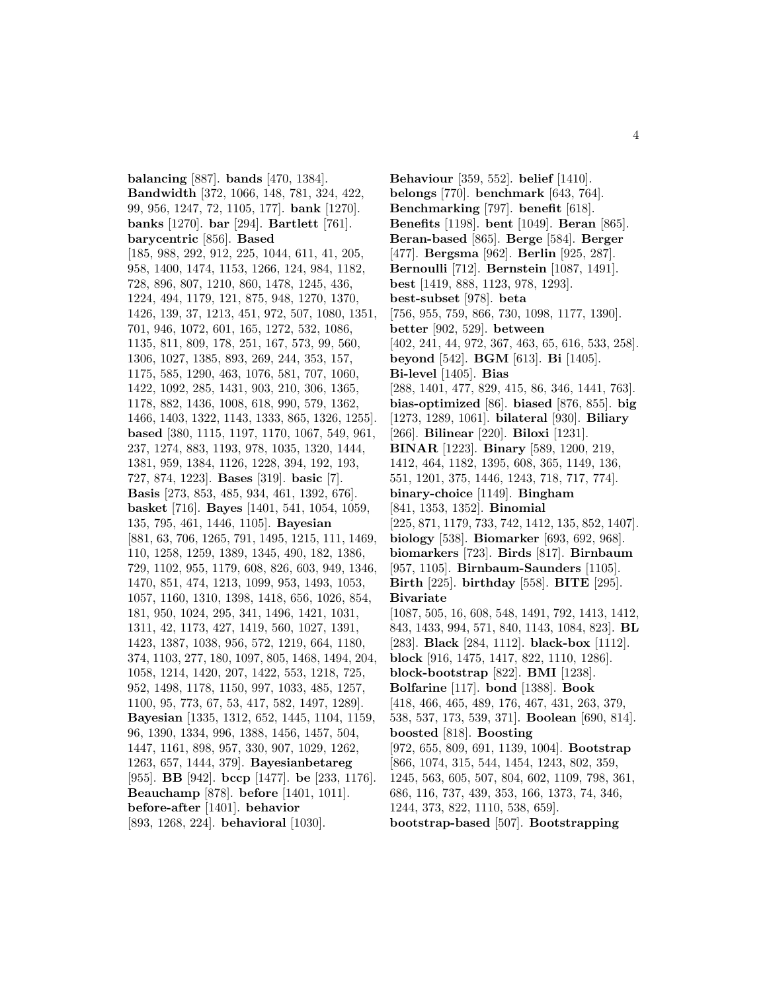**balancing** [887]. **bands** [470, 1384]. **Bandwidth** [372, 1066, 148, 781, 324, 422, 99, 956, 1247, 72, 1105, 177]. **bank** [1270]. **banks** [1270]. **bar** [294]. **Bartlett** [761]. **barycentric** [856]. **Based** [185, 988, 292, 912, 225, 1044, 611, 41, 205, 958, 1400, 1474, 1153, 1266, 124, 984, 1182, 728, 896, 807, 1210, 860, 1478, 1245, 436, 1224, 494, 1179, 121, 875, 948, 1270, 1370, 1426, 139, 37, 1213, 451, 972, 507, 1080, 1351, 701, 946, 1072, 601, 165, 1272, 532, 1086, 1135, 811, 809, 178, 251, 167, 573, 99, 560, 1306, 1027, 1385, 893, 269, 244, 353, 157, 1175, 585, 1290, 463, 1076, 581, 707, 1060, 1422, 1092, 285, 1431, 903, 210, 306, 1365, 1178, 882, 1436, 1008, 618, 990, 579, 1362, 1466, 1403, 1322, 1143, 1333, 865, 1326, 1255]. **based** [380, 1115, 1197, 1170, 1067, 549, 961, 237, 1274, 883, 1193, 978, 1035, 1320, 1444, 1381, 959, 1384, 1126, 1228, 394, 192, 193, 727, 874, 1223]. **Bases** [319]. **basic** [7]. **Basis** [273, 853, 485, 934, 461, 1392, 676]. **basket** [716]. **Bayes** [1401, 541, 1054, 1059, 135, 795, 461, 1446, 1105]. **Bayesian** [881, 63, 706, 1265, 791, 1495, 1215, 111, 1469, 110, 1258, 1259, 1389, 1345, 490, 182, 1386, 729, 1102, 955, 1179, 608, 826, 603, 949, 1346, 1470, 851, 474, 1213, 1099, 953, 1493, 1053, 1057, 1160, 1310, 1398, 1418, 656, 1026, 854, 181, 950, 1024, 295, 341, 1496, 1421, 1031, 1311, 42, 1173, 427, 1419, 560, 1027, 1391, 1423, 1387, 1038, 956, 572, 1219, 664, 1180, 374, 1103, 277, 180, 1097, 805, 1468, 1494, 204, 1058, 1214, 1420, 207, 1422, 553, 1218, 725, 952, 1498, 1178, 1150, 997, 1033, 485, 1257, 1100, 95, 773, 67, 53, 417, 582, 1497, 1289]. **Bayesian** [1335, 1312, 652, 1445, 1104, 1159, 96, 1390, 1334, 996, 1388, 1456, 1457, 504, 1447, 1161, 898, 957, 330, 907, 1029, 1262, 1263, 657, 1444, 379]. **Bayesianbetareg** [955]. **BB** [942]. **bccp** [1477]. **be** [233, 1176]. **Beauchamp** [878]. **before** [1401, 1011]. **before-after** [1401]. **behavior** [893, 1268, 224]. **behavioral** [1030].

**Behaviour** [359, 552]. **belief** [1410]. **belongs** [770]. **benchmark** [643, 764]. **Benchmarking** [797]. **benefit** [618]. **Benefits** [1198]. **bent** [1049]. **Beran** [865]. **Beran-based** [865]. **Berge** [584]. **Berger** [477]. **Bergsma** [962]. **Berlin** [925, 287]. **Bernoulli** [712]. **Bernstein** [1087, 1491]. **best** [1419, 888, 1123, 978, 1293]. **best-subset** [978]. **beta** [756, 955, 759, 866, 730, 1098, 1177, 1390]. **better** [902, 529]. **between** [402, 241, 44, 972, 367, 463, 65, 616, 533, 258]. **beyond** [542]. **BGM** [613]. **Bi** [1405]. **Bi-level** [1405]. **Bias** [288, 1401, 477, 829, 415, 86, 346, 1441, 763]. **bias-optimized** [86]. **biased** [876, 855]. **big** [1273, 1289, 1061]. **bilateral** [930]. **Biliary** [266]. **Bilinear** [220]. **Biloxi** [1231]. **BINAR** [1223]. **Binary** [589, 1200, 219, 1412, 464, 1182, 1395, 608, 365, 1149, 136, 551, 1201, 375, 1446, 1243, 718, 717, 774]. **binary-choice** [1149]. **Bingham** [841, 1353, 1352]. **Binomial** [225, 871, 1179, 733, 742, 1412, 135, 852, 1407]. **biology** [538]. **Biomarker** [693, 692, 968]. **biomarkers** [723]. **Birds** [817]. **Birnbaum** [957, 1105]. **Birnbaum-Saunders** [1105]. **Birth** [225]. **birthday** [558]. **BITE** [295]. **Bivariate** [1087, 505, 16, 608, 548, 1491, 792, 1413, 1412, 843, 1433, 994, 571, 840, 1143, 1084, 823]. **BL** [283]. **Black** [284, 1112]. **black-box** [1112]. **block** [916, 1475, 1417, 822, 1110, 1286]. **block-bootstrap** [822]. **BMI** [1238]. **Bolfarine** [117]. **bond** [1388]. **Book** [418, 466, 465, 489, 176, 467, 431, 263, 379, 538, 537, 173, 539, 371]. **Boolean** [690, 814]. **boosted** [818]. **Boosting** [972, 655, 809, 691, 1139, 1004]. **Bootstrap** [866, 1074, 315, 544, 1454, 1243, 802, 359, 1245, 563, 605, 507, 804, 602, 1109, 798, 361, 686, 116, 737, 439, 353, 166, 1373, 74, 346, 1244, 373, 822, 1110, 538, 659]. **bootstrap-based** [507]. **Bootstrapping**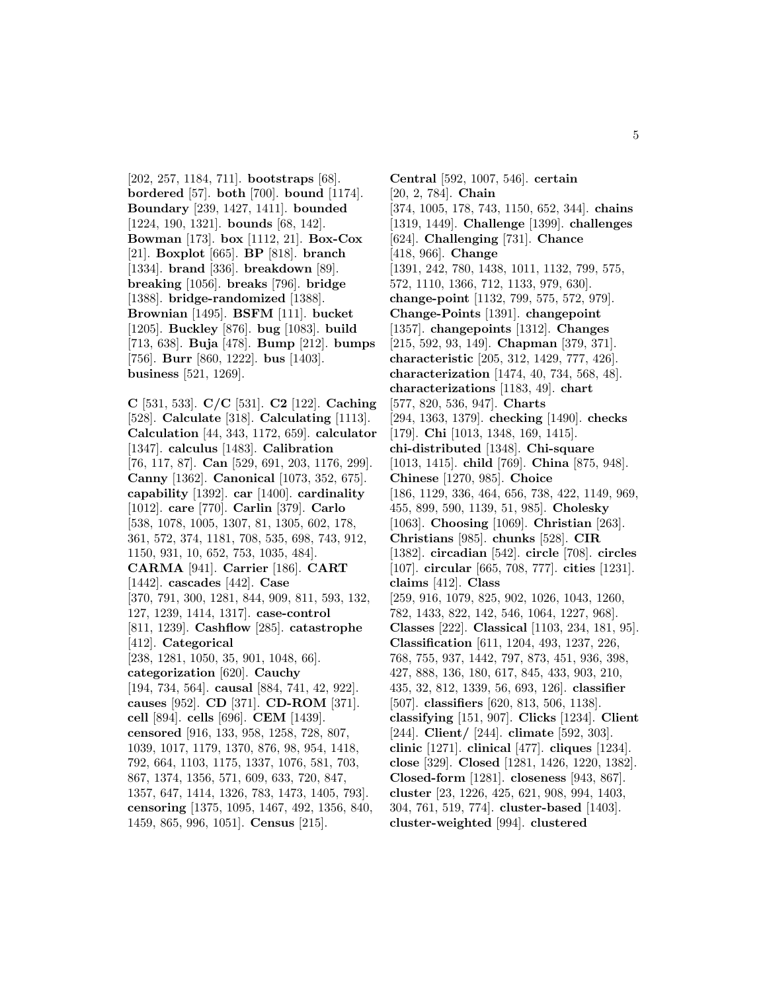[202, 257, 1184, 711]. **bootstraps** [68]. **bordered** [57]. **both** [700]. **bound** [1174]. **Boundary** [239, 1427, 1411]. **bounded** [1224, 190, 1321]. **bounds** [68, 142]. **Bowman** [173]. **box** [1112, 21]. **Box-Cox** [21]. **Boxplot** [665]. **BP** [818]. **branch** [1334]. **brand** [336]. **breakdown** [89]. **breaking** [1056]. **breaks** [796]. **bridge** [1388]. **bridge-randomized** [1388]. **Brownian** [1495]. **BSFM** [111]. **bucket** [1205]. **Buckley** [876]. **bug** [1083]. **build** [713, 638]. **Buja** [478]. **Bump** [212]. **bumps** [756]. **Burr** [860, 1222]. **bus** [1403]. **business** [521, 1269].

**C** [531, 533]. **C/C** [531]. **C2** [122]. **Caching** [528]. **Calculate** [318]. **Calculating** [1113]. **Calculation** [44, 343, 1172, 659]. **calculator** [1347]. **calculus** [1483]. **Calibration** [76, 117, 87]. **Can** [529, 691, 203, 1176, 299]. **Canny** [1362]. **Canonical** [1073, 352, 675]. **capability** [1392]. **car** [1400]. **cardinality** [1012]. **care** [770]. **Carlin** [379]. **Carlo** [538, 1078, 1005, 1307, 81, 1305, 602, 178, 361, 572, 374, 1181, 708, 535, 698, 743, 912, 1150, 931, 10, 652, 753, 1035, 484]. **CARMA** [941]. **Carrier** [186]. **CART** [1442]. **cascades** [442]. **Case** [370, 791, 300, 1281, 844, 909, 811, 593, 132, 127, 1239, 1414, 1317]. **case-control** [811, 1239]. **Cashflow** [285]. **catastrophe** [412]. **Categorical** [238, 1281, 1050, 35, 901, 1048, 66]. **categorization** [620]. **Cauchy** [194, 734, 564]. **causal** [884, 741, 42, 922]. **causes** [952]. **CD** [371]. **CD-ROM** [371]. **cell** [894]. **cells** [696]. **CEM** [1439]. **censored** [916, 133, 958, 1258, 728, 807, 1039, 1017, 1179, 1370, 876, 98, 954, 1418, 792, 664, 1103, 1175, 1337, 1076, 581, 703, 867, 1374, 1356, 571, 609, 633, 720, 847, 1357, 647, 1414, 1326, 783, 1473, 1405, 793]. **censoring** [1375, 1095, 1467, 492, 1356, 840, 1459, 865, 996, 1051]. **Census** [215].

**Central** [592, 1007, 546]. **certain** [20, 2, 784]. **Chain** [374, 1005, 178, 743, 1150, 652, 344]. **chains** [1319, 1449]. **Challenge** [1399]. **challenges** [624]. **Challenging** [731]. **Chance** [418, 966]. **Change** [1391, 242, 780, 1438, 1011, 1132, 799, 575, 572, 1110, 1366, 712, 1133, 979, 630]. **change-point** [1132, 799, 575, 572, 979]. **Change-Points** [1391]. **changepoint** [1357]. **changepoints** [1312]. **Changes** [215, 592, 93, 149]. **Chapman** [379, 371]. **characteristic** [205, 312, 1429, 777, 426]. **characterization** [1474, 40, 734, 568, 48]. **characterizations** [1183, 49]. **chart** [577, 820, 536, 947]. **Charts** [294, 1363, 1379]. **checking** [1490]. **checks** [179]. **Chi** [1013, 1348, 169, 1415]. **chi-distributed** [1348]. **Chi-square** [1013, 1415]. **child** [769]. **China** [875, 948]. **Chinese** [1270, 985]. **Choice** [186, 1129, 336, 464, 656, 738, 422, 1149, 969, 455, 899, 590, 1139, 51, 985]. **Cholesky** [1063]. **Choosing** [1069]. **Christian** [263]. **Christians** [985]. **chunks** [528]. **CIR** [1382]. **circadian** [542]. **circle** [708]. **circles** [107]. **circular** [665, 708, 777]. **cities** [1231]. **claims** [412]. **Class** [259, 916, 1079, 825, 902, 1026, 1043, 1260, 782, 1433, 822, 142, 546, 1064, 1227, 968]. **Classes** [222]. **Classical** [1103, 234, 181, 95]. **Classification** [611, 1204, 493, 1237, 226, 768, 755, 937, 1442, 797, 873, 451, 936, 398, 427, 888, 136, 180, 617, 845, 433, 903, 210, 435, 32, 812, 1339, 56, 693, 126]. **classifier** [507]. **classifiers** [620, 813, 506, 1138]. **classifying** [151, 907]. **Clicks** [1234]. **Client** [244]. **Client/** [244]. **climate** [592, 303]. **clinic** [1271]. **clinical** [477]. **cliques** [1234]. **close** [329]. **Closed** [1281, 1426, 1220, 1382]. **Closed-form** [1281]. **closeness** [943, 867]. **cluster** [23, 1226, 425, 621, 908, 994, 1403, 304, 761, 519, 774]. **cluster-based** [1403]. **cluster-weighted** [994]. **clustered**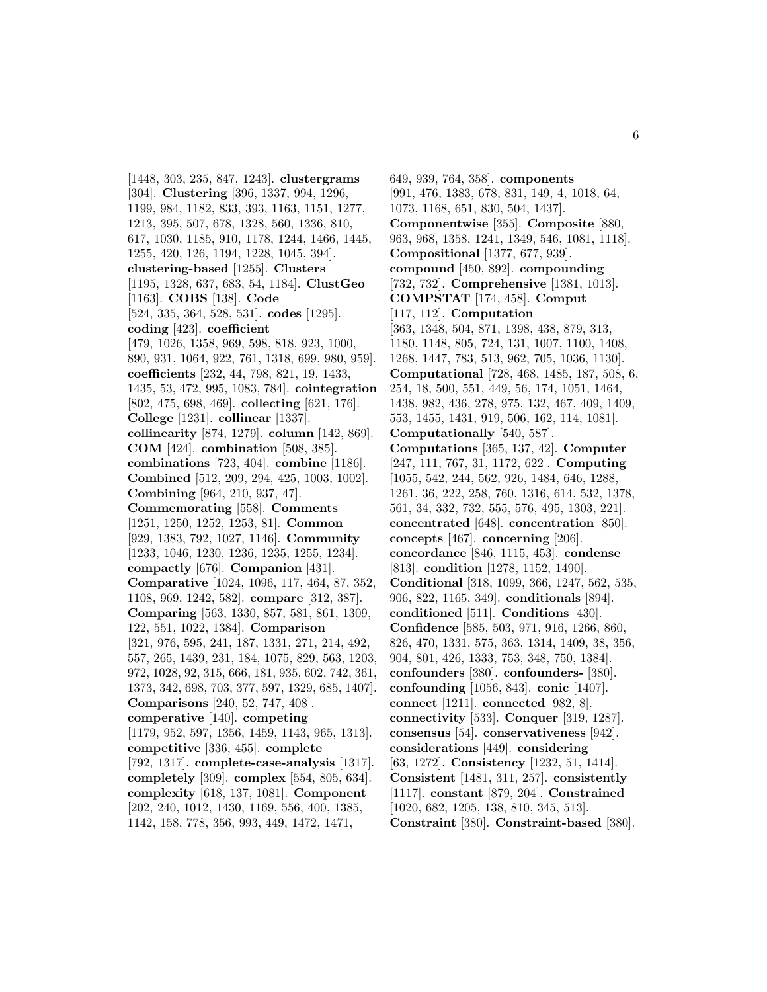[1448, 303, 235, 847, 1243]. **clustergrams** [304]. **Clustering** [396, 1337, 994, 1296, 1199, 984, 1182, 833, 393, 1163, 1151, 1277, 1213, 395, 507, 678, 1328, 560, 1336, 810, 617, 1030, 1185, 910, 1178, 1244, 1466, 1445, 1255, 420, 126, 1194, 1228, 1045, 394]. **clustering-based** [1255]. **Clusters** [1195, 1328, 637, 683, 54, 1184]. **ClustGeo** [1163]. **COBS** [138]. **Code** [524, 335, 364, 528, 531]. **codes** [1295]. **coding** [423]. **coefficient** [479, 1026, 1358, 969, 598, 818, 923, 1000, 890, 931, 1064, 922, 761, 1318, 699, 980, 959]. **coefficients** [232, 44, 798, 821, 19, 1433, 1435, 53, 472, 995, 1083, 784]. **cointegration** [802, 475, 698, 469]. **collecting** [621, 176]. **College** [1231]. **collinear** [1337]. **collinearity** [874, 1279]. **column** [142, 869]. **COM** [424]. **combination** [508, 385]. **combinations** [723, 404]. **combine** [1186]. **Combined** [512, 209, 294, 425, 1003, 1002]. **Combining** [964, 210, 937, 47]. **Commemorating** [558]. **Comments** [1251, 1250, 1252, 1253, 81]. **Common** [929, 1383, 792, 1027, 1146]. **Community** [1233, 1046, 1230, 1236, 1235, 1255, 1234]. **compactly** [676]. **Companion** [431]. **Comparative** [1024, 1096, 117, 464, 87, 352, 1108, 969, 1242, 582]. **compare** [312, 387]. **Comparing** [563, 1330, 857, 581, 861, 1309, 122, 551, 1022, 1384]. **Comparison** [321, 976, 595, 241, 187, 1331, 271, 214, 492, 557, 265, 1439, 231, 184, 1075, 829, 563, 1203, 972, 1028, 92, 315, 666, 181, 935, 602, 742, 361, 1373, 342, 698, 703, 377, 597, 1329, 685, 1407]. **Comparisons** [240, 52, 747, 408]. **comperative** [140]. **competing** [1179, 952, 597, 1356, 1459, 1143, 965, 1313]. **competitive** [336, 455]. **complete** [792, 1317]. **complete-case-analysis** [1317]. **completely** [309]. **complex** [554, 805, 634]. **complexity** [618, 137, 1081]. **Component** [202, 240, 1012, 1430, 1169, 556, 400, 1385, 1142, 158, 778, 356, 993, 449, 1472, 1471,

649, 939, 764, 358]. **components** [991, 476, 1383, 678, 831, 149, 4, 1018, 64, 1073, 1168, 651, 830, 504, 1437]. **Componentwise** [355]. **Composite** [880, 963, 968, 1358, 1241, 1349, 546, 1081, 1118]. **Compositional** [1377, 677, 939]. **compound** [450, 892]. **compounding** [732, 732]. **Comprehensive** [1381, 1013]. **COMPSTAT** [174, 458]. **Comput** [117, 112]. **Computation** [363, 1348, 504, 871, 1398, 438, 879, 313, 1180, 1148, 805, 724, 131, 1007, 1100, 1408, 1268, 1447, 783, 513, 962, 705, 1036, 1130]. **Computational** [728, 468, 1485, 187, 508, 6, 254, 18, 500, 551, 449, 56, 174, 1051, 1464, 1438, 982, 436, 278, 975, 132, 467, 409, 1409, 553, 1455, 1431, 919, 506, 162, 114, 1081]. **Computationally** [540, 587]. **Computations** [365, 137, 42]. **Computer** [247, 111, 767, 31, 1172, 622]. **Computing** [1055, 542, 244, 562, 926, 1484, 646, 1288, 1261, 36, 222, 258, 760, 1316, 614, 532, 1378, 561, 34, 332, 732, 555, 576, 495, 1303, 221]. **concentrated** [648]. **concentration** [850]. **concepts** [467]. **concerning** [206]. **concordance** [846, 1115, 453]. **condense** [813]. **condition** [1278, 1152, 1490]. **Conditional** [318, 1099, 366, 1247, 562, 535, 906, 822, 1165, 349]. **conditionals** [894]. **conditioned** [511]. **Conditions** [430]. **Confidence** [585, 503, 971, 916, 1266, 860, 826, 470, 1331, 575, 363, 1314, 1409, 38, 356, 904, 801, 426, 1333, 753, 348, 750, 1384]. **confounders** [380]. **confounders-** [380]. **confounding** [1056, 843]. **conic** [1407]. **connect** [1211]. **connected** [982, 8]. **connectivity** [533]. **Conquer** [319, 1287]. **consensus** [54]. **conservativeness** [942]. **considerations** [449]. **considering** [63, 1272]. **Consistency** [1232, 51, 1414]. **Consistent** [1481, 311, 257]. **consistently** [1117]. **constant** [879, 204]. **Constrained** [1020, 682, 1205, 138, 810, 345, 513]. **Constraint** [380]. **Constraint-based** [380].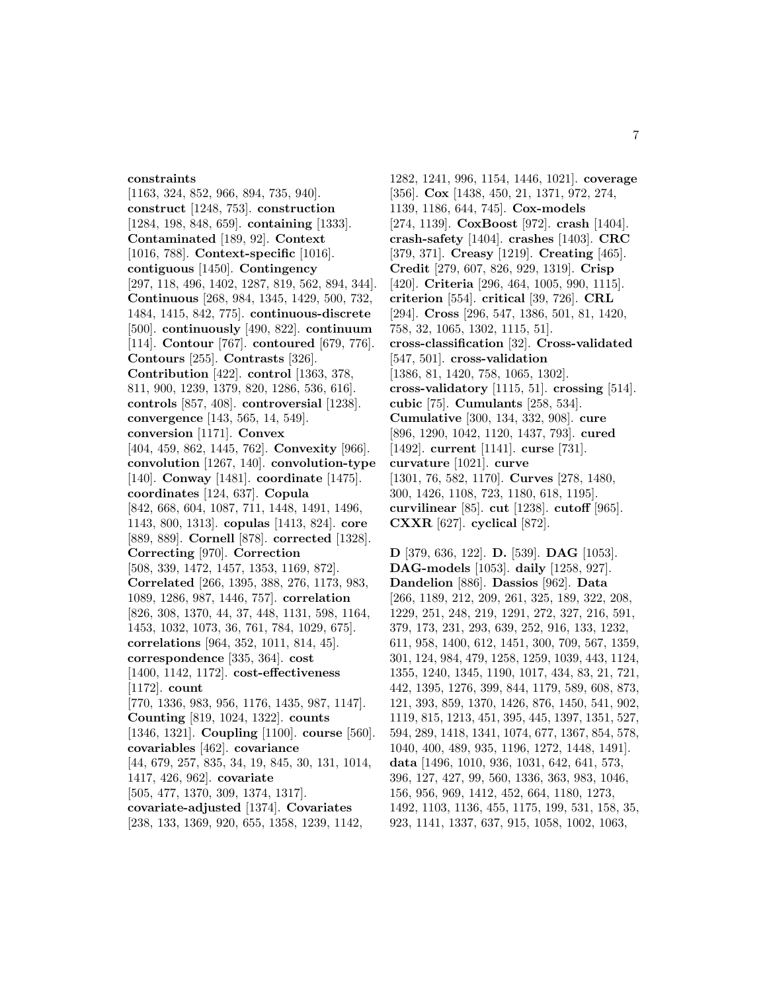# **constraints**

[1163, 324, 852, 966, 894, 735, 940]. **construct** [1248, 753]. **construction** [1284, 198, 848, 659]. **containing** [1333]. **Contaminated** [189, 92]. **Context** [1016, 788]. **Context-specific** [1016]. **contiguous** [1450]. **Contingency** [297, 118, 496, 1402, 1287, 819, 562, 894, 344]. **Continuous** [268, 984, 1345, 1429, 500, 732, 1484, 1415, 842, 775]. **continuous-discrete** [500]. **continuously** [490, 822]. **continuum** [114]. **Contour** [767]. **contoured** [679, 776]. **Contours** [255]. **Contrasts** [326]. **Contribution** [422]. **control** [1363, 378, 811, 900, 1239, 1379, 820, 1286, 536, 616]. **controls** [857, 408]. **controversial** [1238]. **convergence** [143, 565, 14, 549]. **conversion** [1171]. **Convex** [404, 459, 862, 1445, 762]. **Convexity** [966]. **convolution** [1267, 140]. **convolution-type** [140]. **Conway** [1481]. **coordinate** [1475]. **coordinates** [124, 637]. **Copula** [842, 668, 604, 1087, 711, 1448, 1491, 1496, 1143, 800, 1313]. **copulas** [1413, 824]. **core** [889, 889]. **Cornell** [878]. **corrected** [1328]. **Correcting** [970]. **Correction** [508, 339, 1472, 1457, 1353, 1169, 872]. **Correlated** [266, 1395, 388, 276, 1173, 983, 1089, 1286, 987, 1446, 757]. **correlation** [826, 308, 1370, 44, 37, 448, 1131, 598, 1164, 1453, 1032, 1073, 36, 761, 784, 1029, 675]. **correlations** [964, 352, 1011, 814, 45]. **correspondence** [335, 364]. **cost** [1400, 1142, 1172]. **cost-effectiveness** [1172]. **count** [770, 1336, 983, 956, 1176, 1435, 987, 1147]. **Counting** [819, 1024, 1322]. **counts** [1346, 1321]. **Coupling** [1100]. **course** [560]. **covariables** [462]. **covariance** [44, 679, 257, 835, 34, 19, 845, 30, 131, 1014, 1417, 426, 962]. **covariate** [505, 477, 1370, 309, 1374, 1317]. **covariate-adjusted** [1374]. **Covariates** [238, 133, 1369, 920, 655, 1358, 1239, 1142,

1282, 1241, 996, 1154, 1446, 1021]. **coverage** [356]. **Cox** [1438, 450, 21, 1371, 972, 274, 1139, 1186, 644, 745]. **Cox-models** [274, 1139]. **CoxBoost** [972]. **crash** [1404]. **crash-safety** [1404]. **crashes** [1403]. **CRC** [379, 371]. **Creasy** [1219]. **Creating** [465]. **Credit** [279, 607, 826, 929, 1319]. **Crisp** [420]. **Criteria** [296, 464, 1005, 990, 1115]. **criterion** [554]. **critical** [39, 726]. **CRL** [294]. **Cross** [296, 547, 1386, 501, 81, 1420, 758, 32, 1065, 1302, 1115, 51]. **cross-classification** [32]. **Cross-validated** [547, 501]. **cross-validation** [1386, 81, 1420, 758, 1065, 1302]. **cross-validatory** [1115, 51]. **crossing** [514]. **cubic** [75]. **Cumulants** [258, 534]. **Cumulative** [300, 134, 332, 908]. **cure** [896, 1290, 1042, 1120, 1437, 793]. **cured** [1492]. **current** [1141]. **curse** [731]. **curvature** [1021]. **curve** [1301, 76, 582, 1170]. **Curves** [278, 1480, 300, 1426, 1108, 723, 1180, 618, 1195]. **curvilinear** [85]. **cut** [1238]. **cutoff** [965]. **CXXR** [627]. **cyclical** [872].

**D** [379, 636, 122]. **D.** [539]. **DAG** [1053]. **DAG-models** [1053]. **daily** [1258, 927]. **Dandelion** [886]. **Dassios** [962]. **Data** [266, 1189, 212, 209, 261, 325, 189, 322, 208, 1229, 251, 248, 219, 1291, 272, 327, 216, 591, 379, 173, 231, 293, 639, 252, 916, 133, 1232, 611, 958, 1400, 612, 1451, 300, 709, 567, 1359, 301, 124, 984, 479, 1258, 1259, 1039, 443, 1124, 1355, 1240, 1345, 1190, 1017, 434, 83, 21, 721, 442, 1395, 1276, 399, 844, 1179, 589, 608, 873, 121, 393, 859, 1370, 1426, 876, 1450, 541, 902, 1119, 815, 1213, 451, 395, 445, 1397, 1351, 527, 594, 289, 1418, 1341, 1074, 677, 1367, 854, 578, 1040, 400, 489, 935, 1196, 1272, 1448, 1491]. **data** [1496, 1010, 936, 1031, 642, 641, 573, 396, 127, 427, 99, 560, 1336, 363, 983, 1046, 156, 956, 969, 1412, 452, 664, 1180, 1273, 1492, 1103, 1136, 455, 1175, 199, 531, 158, 35, 923, 1141, 1337, 637, 915, 1058, 1002, 1063,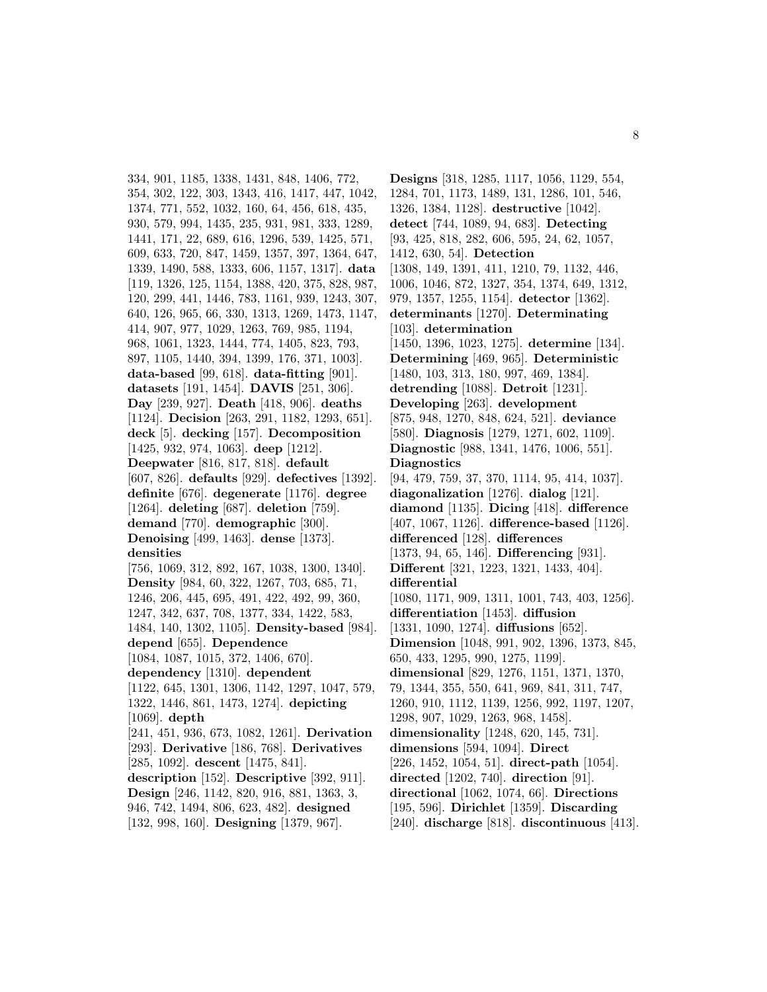334, 901, 1185, 1338, 1431, 848, 1406, 772, 354, 302, 122, 303, 1343, 416, 1417, 447, 1042, 1374, 771, 552, 1032, 160, 64, 456, 618, 435, 930, 579, 994, 1435, 235, 931, 981, 333, 1289, 1441, 171, 22, 689, 616, 1296, 539, 1425, 571, 609, 633, 720, 847, 1459, 1357, 397, 1364, 647, 1339, 1490, 588, 1333, 606, 1157, 1317]. **data** [119, 1326, 125, 1154, 1388, 420, 375, 828, 987, 120, 299, 441, 1446, 783, 1161, 939, 1243, 307, 640, 126, 965, 66, 330, 1313, 1269, 1473, 1147, 414, 907, 977, 1029, 1263, 769, 985, 1194, 968, 1061, 1323, 1444, 774, 1405, 823, 793, 897, 1105, 1440, 394, 1399, 176, 371, 1003]. **data-based** [99, 618]. **data-fitting** [901]. **datasets** [191, 1454]. **DAVIS** [251, 306]. **Day** [239, 927]. **Death** [418, 906]. **deaths** [1124]. **Decision** [263, 291, 1182, 1293, 651]. **deck** [5]. **decking** [157]. **Decomposition** [1425, 932, 974, 1063]. **deep** [1212]. **Deepwater** [816, 817, 818]. **default** [607, 826]. **defaults** [929]. **defectives** [1392]. **definite** [676]. **degenerate** [1176]. **degree** [1264]. **deleting** [687]. **deletion** [759]. **demand** [770]. **demographic** [300]. **Denoising** [499, 1463]. **dense** [1373]. **densities** [756, 1069, 312, 892, 167, 1038, 1300, 1340]. **Density** [984, 60, 322, 1267, 703, 685, 71, 1246, 206, 445, 695, 491, 422, 492, 99, 360, 1247, 342, 637, 708, 1377, 334, 1422, 583, 1484, 140, 1302, 1105]. **Density-based** [984]. **depend** [655]. **Dependence** [1084, 1087, 1015, 372, 1406, 670]. **dependency** [1310]. **dependent** [1122, 645, 1301, 1306, 1142, 1297, 1047, 579, 1322, 1446, 861, 1473, 1274]. **depicting** [1069]. **depth** [241, 451, 936, 673, 1082, 1261]. **Derivation** [293]. **Derivative** [186, 768]. **Derivatives** [285, 1092]. **descent** [1475, 841]. **description** [152]. **Descriptive** [392, 911]. **Design** [246, 1142, 820, 916, 881, 1363, 3, 946, 742, 1494, 806, 623, 482]. **designed** [132, 998, 160]. **Designing** [1379, 967].

**Designs** [318, 1285, 1117, 1056, 1129, 554, 1284, 701, 1173, 1489, 131, 1286, 101, 546, 1326, 1384, 1128]. **destructive** [1042]. **detect** [744, 1089, 94, 683]. **Detecting** [93, 425, 818, 282, 606, 595, 24, 62, 1057, 1412, 630, 54]. **Detection** [1308, 149, 1391, 411, 1210, 79, 1132, 446, 1006, 1046, 872, 1327, 354, 1374, 649, 1312, 979, 1357, 1255, 1154]. **detector** [1362]. **determinants** [1270]. **Determinating** [103]. **determination** [1450, 1396, 1023, 1275]. **determine** [134]. **Determining** [469, 965]. **Deterministic** [1480, 103, 313, 180, 997, 469, 1384]. **detrending** [1088]. **Detroit** [1231]. **Developing** [263]. **development** [875, 948, 1270, 848, 624, 521]. **deviance** [580]. **Diagnosis** [1279, 1271, 602, 1109]. **Diagnostic** [988, 1341, 1476, 1006, 551]. **Diagnostics** [94, 479, 759, 37, 370, 1114, 95, 414, 1037]. **diagonalization** [1276]. **dialog** [121]. **diamond** [1135]. **Dicing** [418]. **difference** [407, 1067, 1126]. **difference-based** [1126]. **differenced** [128]. **differences** [1373, 94, 65, 146]. **Differencing** [931]. **Different** [321, 1223, 1321, 1433, 404]. **differential** [1080, 1171, 909, 1311, 1001, 743, 403, 1256]. **differentiation** [1453]. **diffusion** [1331, 1090, 1274]. **diffusions** [652]. **Dimension** [1048, 991, 902, 1396, 1373, 845, 650, 433, 1295, 990, 1275, 1199]. **dimensional** [829, 1276, 1151, 1371, 1370, 79, 1344, 355, 550, 641, 969, 841, 311, 747, 1260, 910, 1112, 1139, 1256, 992, 1197, 1207, 1298, 907, 1029, 1263, 968, 1458]. **dimensionality** [1248, 620, 145, 731]. **dimensions** [594, 1094]. **Direct** [226, 1452, 1054, 51]. **direct-path** [1054]. **directed** [1202, 740]. **direction** [91]. **directional** [1062, 1074, 66]. **Directions** [195, 596]. **Dirichlet** [1359]. **Discarding** [240]. **discharge** [818]. **discontinuous** [413].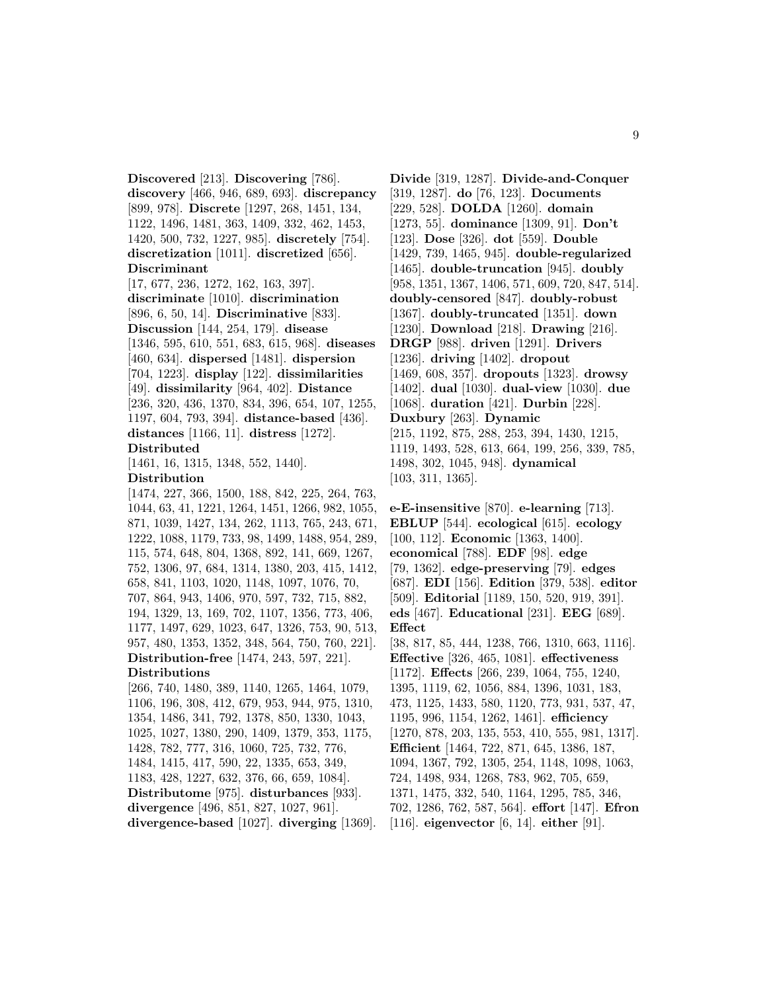**Discovered** [213]. **Discovering** [786]. **discovery** [466, 946, 689, 693]. **discrepancy** [899, 978]. **Discrete** [1297, 268, 1451, 134, 1122, 1496, 1481, 363, 1409, 332, 462, 1453, 1420, 500, 732, 1227, 985]. **discretely** [754]. **discretization** [1011]. **discretized** [656]. **Discriminant**

[17, 677, 236, 1272, 162, 163, 397]. **discriminate** [1010]. **discrimination** [896, 6, 50, 14]. **Discriminative** [833]. **Discussion** [144, 254, 179]. **disease** [1346, 595, 610, 551, 683, 615, 968]. **diseases** [460, 634]. **dispersed** [1481]. **dispersion** [704, 1223]. **display** [122]. **dissimilarities** [49]. **dissimilarity** [964, 402]. **Distance** [236, 320, 436, 1370, 834, 396, 654, 107, 1255, 1197, 604, 793, 394]. **distance-based** [436]. **distances** [1166, 11]. **distress** [1272]. **Distributed**

[1461, 16, 1315, 1348, 552, 1440].

# **Distribution**

[1474, 227, 366, 1500, 188, 842, 225, 264, 763, 1044, 63, 41, 1221, 1264, 1451, 1266, 982, 1055, 871, 1039, 1427, 134, 262, 1113, 765, 243, 671, 1222, 1088, 1179, 733, 98, 1499, 1488, 954, 289, 115, 574, 648, 804, 1368, 892, 141, 669, 1267, 752, 1306, 97, 684, 1314, 1380, 203, 415, 1412, 658, 841, 1103, 1020, 1148, 1097, 1076, 70, 707, 864, 943, 1406, 970, 597, 732, 715, 882, 194, 1329, 13, 169, 702, 1107, 1356, 773, 406, 1177, 1497, 629, 1023, 647, 1326, 753, 90, 513, 957, 480, 1353, 1352, 348, 564, 750, 760, 221]. **Distribution-free** [1474, 243, 597, 221].

#### **Distributions**

[266, 740, 1480, 389, 1140, 1265, 1464, 1079, 1106, 196, 308, 412, 679, 953, 944, 975, 1310, 1354, 1486, 341, 792, 1378, 850, 1330, 1043, 1025, 1027, 1380, 290, 1409, 1379, 353, 1175, 1428, 782, 777, 316, 1060, 725, 732, 776, 1484, 1415, 417, 590, 22, 1335, 653, 349, 1183, 428, 1227, 632, 376, 66, 659, 1084]. **Distributome** [975]. **disturbances** [933]. **divergence** [496, 851, 827, 1027, 961]. **divergence-based** [1027]. **diverging** [1369].

**Divide** [319, 1287]. **Divide-and-Conquer** [319, 1287]. **do** [76, 123]. **Documents** [229, 528]. **DOLDA** [1260]. **domain** [1273, 55]. **dominance** [1309, 91]. **Don't** [123]. **Dose** [326]. **dot** [559]. **Double** [1429, 739, 1465, 945]. **double-regularized** [1465]. **double-truncation** [945]. **doubly** [958, 1351, 1367, 1406, 571, 609, 720, 847, 514]. **doubly-censored** [847]. **doubly-robust** [1367]. **doubly-truncated** [1351]. **down** [1230]. **Download** [218]. **Drawing** [216]. **DRGP** [988]. **driven** [1291]. **Drivers** [1236]. **driving** [1402]. **dropout** [1469, 608, 357]. **dropouts** [1323]. **drowsy** [1402]. **dual** [1030]. **dual-view** [1030]. **due** [1068]. **duration** [421]. **Durbin** [228]. **Duxbury** [263]. **Dynamic** [215, 1192, 875, 288, 253, 394, 1430, 1215, 1119, 1493, 528, 613, 664, 199, 256, 339, 785, 1498, 302, 1045, 948]. **dynamical** [103, 311, 1365].

**e-E-insensitive** [870]. **e-learning** [713]. **EBLUP** [544]. **ecological** [615]. **ecology** [100, 112]. **Economic** [1363, 1400]. **economical** [788]. **EDF** [98]. **edge** [79, 1362]. **edge-preserving** [79]. **edges** [687]. **EDI** [156]. **Edition** [379, 538]. **editor** [509]. **Editorial** [1189, 150, 520, 919, 391]. **eds** [467]. **Educational** [231]. **EEG** [689]. **Effect**

[38, 817, 85, 444, 1238, 766, 1310, 663, 1116]. **Effective** [326, 465, 1081]. **effectiveness** [1172]. **Effects** [266, 239, 1064, 755, 1240, 1395, 1119, 62, 1056, 884, 1396, 1031, 183, 473, 1125, 1433, 580, 1120, 773, 931, 537, 47, 1195, 996, 1154, 1262, 1461]. **efficiency** [1270, 878, 203, 135, 553, 410, 555, 981, 1317]. **Efficient** [1464, 722, 871, 645, 1386, 187, 1094, 1367, 792, 1305, 254, 1148, 1098, 1063, 724, 1498, 934, 1268, 783, 962, 705, 659, 1371, 1475, 332, 540, 1164, 1295, 785, 346, 702, 1286, 762, 587, 564]. **effort** [147]. **Efron** [116]. **eigenvector** [6, 14]. **either** [91].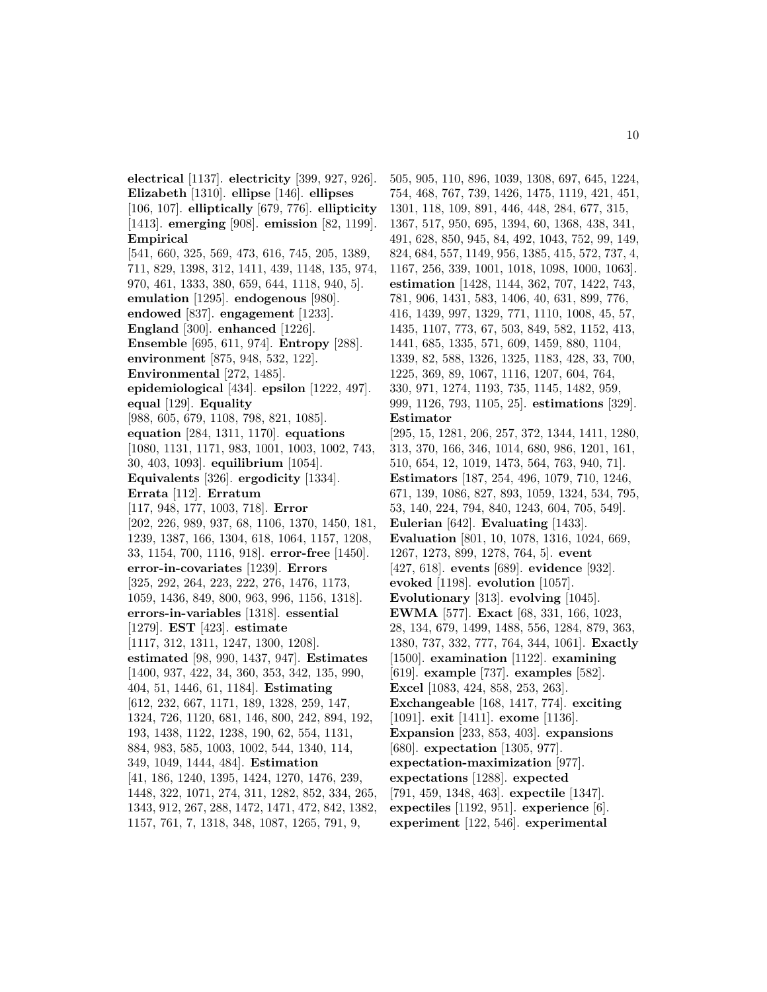**electrical** [1137]. **electricity** [399, 927, 926]. **Elizabeth** [1310]. **ellipse** [146]. **ellipses** [106, 107]. **elliptically** [679, 776]. **ellipticity** [1413]. **emerging** [908]. **emission** [82, 1199]. **Empirical** [541, 660, 325, 569, 473, 616, 745, 205, 1389, 711, 829, 1398, 312, 1411, 439, 1148, 135, 974, 970, 461, 1333, 380, 659, 644, 1118, 940, 5]. **emulation** [1295]. **endogenous** [980]. **endowed** [837]. **engagement** [1233]. **England** [300]. **enhanced** [1226]. **Ensemble** [695, 611, 974]. **Entropy** [288]. **environment** [875, 948, 532, 122]. **Environmental** [272, 1485]. **epidemiological** [434]. **epsilon** [1222, 497]. **equal** [129]. **Equality** [988, 605, 679, 1108, 798, 821, 1085]. **equation** [284, 1311, 1170]. **equations** [1080, 1131, 1171, 983, 1001, 1003, 1002, 743, 30, 403, 1093]. **equilibrium** [1054]. **Equivalents** [326]. **ergodicity** [1334]. **Errata** [112]. **Erratum** [117, 948, 177, 1003, 718]. **Error** [202, 226, 989, 937, 68, 1106, 1370, 1450, 181, 1239, 1387, 166, 1304, 618, 1064, 1157, 1208, 33, 1154, 700, 1116, 918]. **error-free** [1450]. **error-in-covariates** [1239]. **Errors** [325, 292, 264, 223, 222, 276, 1476, 1173, 1059, 1436, 849, 800, 963, 996, 1156, 1318]. **errors-in-variables** [1318]. **essential** [1279]. **EST** [423]. **estimate** [1117, 312, 1311, 1247, 1300, 1208]. **estimated** [98, 990, 1437, 947]. **Estimates** [1400, 937, 422, 34, 360, 353, 342, 135, 990, 404, 51, 1446, 61, 1184]. **Estimating** [612, 232, 667, 1171, 189, 1328, 259, 147, 1324, 726, 1120, 681, 146, 800, 242, 894, 192, 193, 1438, 1122, 1238, 190, 62, 554, 1131, 884, 983, 585, 1003, 1002, 544, 1340, 114, 349, 1049, 1444, 484]. **Estimation** [41, 186, 1240, 1395, 1424, 1270, 1476, 239, 1448, 322, 1071, 274, 311, 1282, 852, 334, 265, 1343, 912, 267, 288, 1472, 1471, 472, 842, 1382, 1157, 761, 7, 1318, 348, 1087, 1265, 791, 9,

505, 905, 110, 896, 1039, 1308, 697, 645, 1224, 754, 468, 767, 739, 1426, 1475, 1119, 421, 451, 1301, 118, 109, 891, 446, 448, 284, 677, 315, 1367, 517, 950, 695, 1394, 60, 1368, 438, 341, 491, 628, 850, 945, 84, 492, 1043, 752, 99, 149, 824, 684, 557, 1149, 956, 1385, 415, 572, 737, 4, 1167, 256, 339, 1001, 1018, 1098, 1000, 1063]. **estimation** [1428, 1144, 362, 707, 1422, 743, 781, 906, 1431, 583, 1406, 40, 631, 899, 776, 416, 1439, 997, 1329, 771, 1110, 1008, 45, 57, 1435, 1107, 773, 67, 503, 849, 582, 1152, 413, 1441, 685, 1335, 571, 609, 1459, 880, 1104, 1339, 82, 588, 1326, 1325, 1183, 428, 33, 700, 1225, 369, 89, 1067, 1116, 1207, 604, 764, 330, 971, 1274, 1193, 735, 1145, 1482, 959, 999, 1126, 793, 1105, 25]. **estimations** [329]. **Estimator** [295, 15, 1281, 206, 257, 372, 1344, 1411, 1280, 313, 370, 166, 346, 1014, 680, 986, 1201, 161, 510, 654, 12, 1019, 1473, 564, 763, 940, 71]. **Estimators** [187, 254, 496, 1079, 710, 1246, 671, 139, 1086, 827, 893, 1059, 1324, 534, 795, 53, 140, 224, 794, 840, 1243, 604, 705, 549]. **Eulerian** [642]. **Evaluating** [1433]. **Evaluation** [801, 10, 1078, 1316, 1024, 669, 1267, 1273, 899, 1278, 764, 5]. **event** [427, 618]. **events** [689]. **evidence** [932]. **evoked** [1198]. **evolution** [1057]. **Evolutionary** [313]. **evolving** [1045]. **EWMA** [577]. **Exact** [68, 331, 166, 1023, 28, 134, 679, 1499, 1488, 556, 1284, 879, 363, 1380, 737, 332, 777, 764, 344, 1061]. **Exactly** [1500]. **examination** [1122]. **examining** [619]. **example** [737]. **examples** [582]. **Excel** [1083, 424, 858, 253, 263]. **Exchangeable** [168, 1417, 774]. **exciting** [1091]. **exit** [1411]. **exome** [1136]. **Expansion** [233, 853, 403]. **expansions** [680]. **expectation** [1305, 977]. **expectation-maximization** [977]. **expectations** [1288]. **expected** [791, 459, 1348, 463]. **expectile** [1347]. **expectiles** [1192, 951]. **experience** [6]. **experiment** [122, 546]. **experimental**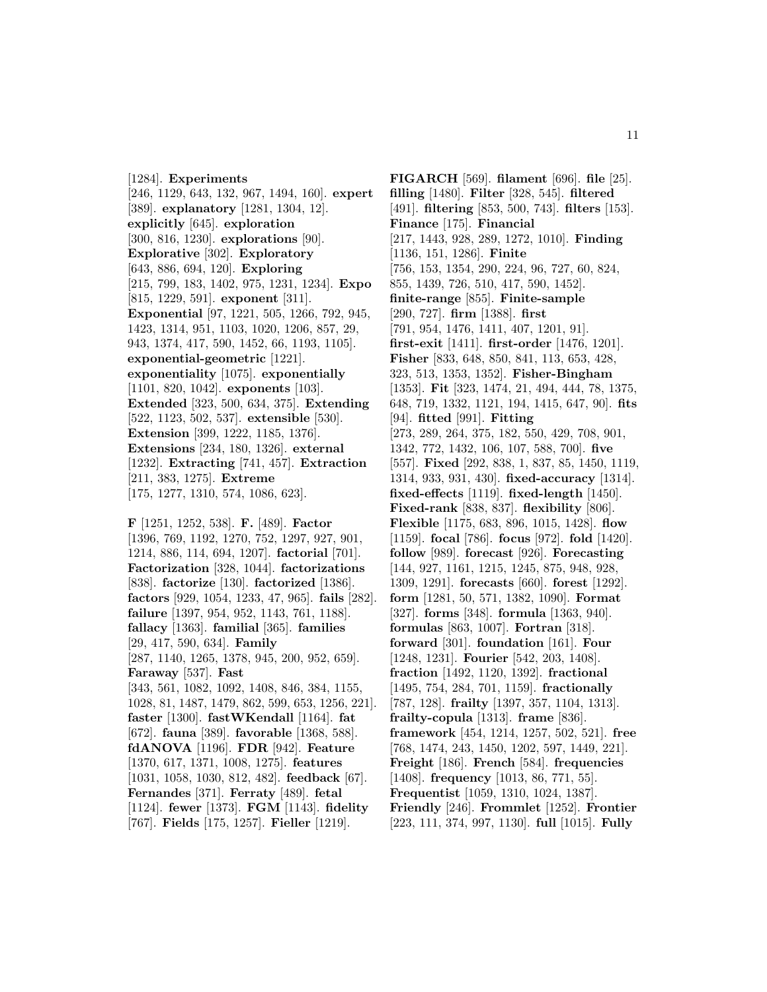[1284]. **Experiments** [246, 1129, 643, 132, 967, 1494, 160]. **expert** [389]. **explanatory** [1281, 1304, 12]. **explicitly** [645]. **exploration** [300, 816, 1230]. **explorations** [90]. **Explorative** [302]. **Exploratory** [643, 886, 694, 120]. **Exploring** [215, 799, 183, 1402, 975, 1231, 1234]. **Expo** [815, 1229, 591]. **exponent** [311]. **Exponential** [97, 1221, 505, 1266, 792, 945, 1423, 1314, 951, 1103, 1020, 1206, 857, 29, 943, 1374, 417, 590, 1452, 66, 1193, 1105]. **exponential-geometric** [1221]. **exponentiality** [1075]. **exponentially** [1101, 820, 1042]. **exponents** [103]. **Extended** [323, 500, 634, 375]. **Extending** [522, 1123, 502, 537]. **extensible** [530]. **Extension** [399, 1222, 1185, 1376]. **Extensions** [234, 180, 1326]. **external** [1232]. **Extracting** [741, 457]. **Extraction** [211, 383, 1275]. **Extreme** [175, 1277, 1310, 574, 1086, 623].

**F** [1251, 1252, 538]. **F.** [489]. **Factor** [1396, 769, 1192, 1270, 752, 1297, 927, 901, 1214, 886, 114, 694, 1207]. **factorial** [701]. **Factorization** [328, 1044]. **factorizations** [838]. **factorize** [130]. **factorized** [1386]. **factors** [929, 1054, 1233, 47, 965]. **fails** [282]. **failure** [1397, 954, 952, 1143, 761, 1188]. **fallacy** [1363]. **familial** [365]. **families** [29, 417, 590, 634]. **Family** [287, 1140, 1265, 1378, 945, 200, 952, 659]. **Faraway** [537]. **Fast** [343, 561, 1082, 1092, 1408, 846, 384, 1155, 1028, 81, 1487, 1479, 862, 599, 653, 1256, 221]. **faster** [1300]. **fastWKendall** [1164]. **fat** [672]. **fauna** [389]. **favorable** [1368, 588]. **fdANOVA** [1196]. **FDR** [942]. **Feature** [1370, 617, 1371, 1008, 1275]. **features** [1031, 1058, 1030, 812, 482]. **feedback** [67]. **Fernandes** [371]. **Ferraty** [489]. **fetal** [1124]. **fewer** [1373]. **FGM** [1143]. **fidelity** [767]. **Fields** [175, 1257]. **Fieller** [1219].

**FIGARCH** [569]. **filament** [696]. **file** [25]. **filling** [1480]. **Filter** [328, 545]. **filtered** [491]. **filtering** [853, 500, 743]. **filters** [153]. **Finance** [175]. **Financial** [217, 1443, 928, 289, 1272, 1010]. **Finding** [1136, 151, 1286]. **Finite** [756, 153, 1354, 290, 224, 96, 727, 60, 824, 855, 1439, 726, 510, 417, 590, 1452]. **finite-range** [855]. **Finite-sample** [290, 727]. **firm** [1388]. **first** [791, 954, 1476, 1411, 407, 1201, 91]. **first-exit** [1411]. **first-order** [1476, 1201]. **Fisher** [833, 648, 850, 841, 113, 653, 428, 323, 513, 1353, 1352]. **Fisher-Bingham** [1353]. **Fit** [323, 1474, 21, 494, 444, 78, 1375, 648, 719, 1332, 1121, 194, 1415, 647, 90]. **fits** [94]. **fitted** [991]. **Fitting** [273, 289, 264, 375, 182, 550, 429, 708, 901, 1342, 772, 1432, 106, 107, 588, 700]. **five** [557]. **Fixed** [292, 838, 1, 837, 85, 1450, 1119, 1314, 933, 931, 430]. **fixed-accuracy** [1314]. **fixed-effects** [1119]. **fixed-length** [1450]. **Fixed-rank** [838, 837]. **flexibility** [806]. **Flexible** [1175, 683, 896, 1015, 1428]. **flow** [1159]. **focal** [786]. **focus** [972]. **fold** [1420]. **follow** [989]. **forecast** [926]. **Forecasting** [144, 927, 1161, 1215, 1245, 875, 948, 928, 1309, 1291]. **forecasts** [660]. **forest** [1292]. **form** [1281, 50, 571, 1382, 1090]. **Format** [327]. **forms** [348]. **formula** [1363, 940]. **formulas** [863, 1007]. **Fortran** [318]. **forward** [301]. **foundation** [161]. **Four** [1248, 1231]. **Fourier** [542, 203, 1408]. **fraction** [1492, 1120, 1392]. **fractional** [1495, 754, 284, 701, 1159]. **fractionally** [787, 128]. **frailty** [1397, 357, 1104, 1313]. **frailty-copula** [1313]. **frame** [836]. **framework** [454, 1214, 1257, 502, 521]. **free** [768, 1474, 243, 1450, 1202, 597, 1449, 221]. **Freight** [186]. **French** [584]. **frequencies** [1408]. **frequency** [1013, 86, 771, 55]. **Frequentist** [1059, 1310, 1024, 1387]. **Friendly** [246]. **Frommlet** [1252]. **Frontier** [223, 111, 374, 997, 1130]. **full** [1015]. **Fully**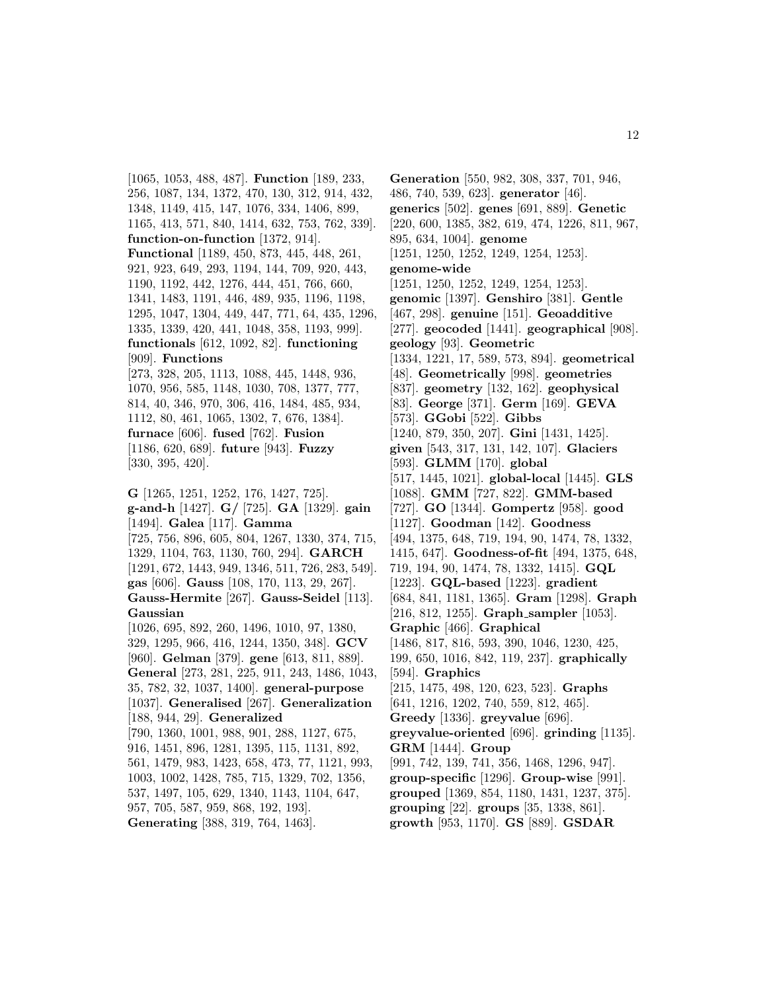[1065, 1053, 488, 487]. **Function** [189, 233, 256, 1087, 134, 1372, 470, 130, 312, 914, 432, 1348, 1149, 415, 147, 1076, 334, 1406, 899, 1165, 413, 571, 840, 1414, 632, 753, 762, 339]. **function-on-function** [1372, 914]. **Functional** [1189, 450, 873, 445, 448, 261, 921, 923, 649, 293, 1194, 144, 709, 920, 443, 1190, 1192, 442, 1276, 444, 451, 766, 660, 1341, 1483, 1191, 446, 489, 935, 1196, 1198, 1295, 1047, 1304, 449, 447, 771, 64, 435, 1296, 1335, 1339, 420, 441, 1048, 358, 1193, 999]. **functionals** [612, 1092, 82]. **functioning** [909]. **Functions** [273, 328, 205, 1113, 1088, 445, 1448, 936, 1070, 956, 585, 1148, 1030, 708, 1377, 777, 814, 40, 346, 970, 306, 416, 1484, 485, 934, 1112, 80, 461, 1065, 1302, 7, 676, 1384]. **furnace** [606]. **fused** [762]. **Fusion** [1186, 620, 689]. **future** [943]. **Fuzzy** [330, 395, 420]. **G** [1265, 1251, 1252, 176, 1427, 725].

**g-and-h** [1427]. **G/** [725]. **GA** [1329]. **gain** [1494]. **Galea** [117]. **Gamma** [725, 756, 896, 605, 804, 1267, 1330, 374, 715, 1329, 1104, 763, 1130, 760, 294]. **GARCH** [1291, 672, 1443, 949, 1346, 511, 726, 283, 549]. **gas** [606]. **Gauss** [108, 170, 113, 29, 267]. **Gauss-Hermite** [267]. **Gauss-Seidel** [113]. **Gaussian** [1026, 695, 892, 260, 1496, 1010, 97, 1380, 329, 1295, 966, 416, 1244, 1350, 348]. **GCV** [960]. **Gelman** [379]. **gene** [613, 811, 889]. **General** [273, 281, 225, 911, 243, 1486, 1043, 35, 782, 32, 1037, 1400]. **general-purpose** [1037]. **Generalised** [267]. **Generalization** [188, 944, 29]. **Generalized** [790, 1360, 1001, 988, 901, 288, 1127, 675, 916, 1451, 896, 1281, 1395, 115, 1131, 892, 561, 1479, 983, 1423, 658, 473, 77, 1121, 993, 1003, 1002, 1428, 785, 715, 1329, 702, 1356, 537, 1497, 105, 629, 1340, 1143, 1104, 647,

957, 705, 587, 959, 868, 192, 193].

**Generating** [388, 319, 764, 1463].

**Generation** [550, 982, 308, 337, 701, 946, 486, 740, 539, 623]. **generator** [46]. **generics** [502]. **genes** [691, 889]. **Genetic** [220, 600, 1385, 382, 619, 474, 1226, 811, 967, 895, 634, 1004]. **genome** [1251, 1250, 1252, 1249, 1254, 1253]. **genome-wide** [1251, 1250, 1252, 1249, 1254, 1253]. **genomic** [1397]. **Genshiro** [381]. **Gentle** [467, 298]. **genuine** [151]. **Geoadditive** [277]. **geocoded** [1441]. **geographical** [908]. **geology** [93]. **Geometric** [1334, 1221, 17, 589, 573, 894]. **geometrical** [48]. **Geometrically** [998]. **geometries** [837]. **geometry** [132, 162]. **geophysical** [83]. **George** [371]. **Germ** [169]. **GEVA** [573]. **GGobi** [522]. **Gibbs** [1240, 879, 350, 207]. **Gini** [1431, 1425]. **given** [543, 317, 131, 142, 107]. **Glaciers** [593]. **GLMM** [170]. **global** [517, 1445, 1021]. **global-local** [1445]. **GLS** [1088]. **GMM** [727, 822]. **GMM-based** [727]. **GO** [1344]. **Gompertz** [958]. **good** [1127]. **Goodman** [142]. **Goodness** [494, 1375, 648, 719, 194, 90, 1474, 78, 1332, 1415, 647]. **Goodness-of-fit** [494, 1375, 648, 719, 194, 90, 1474, 78, 1332, 1415]. **GQL** [1223]. **GQL-based** [1223]. **gradient** [684, 841, 1181, 1365]. **Gram** [1298]. **Graph** [216, 812, 1255]. **Graph sampler** [1053]. **Graphic** [466]. **Graphical** [1486, 817, 816, 593, 390, 1046, 1230, 425, 199, 650, 1016, 842, 119, 237]. **graphically** [594]. **Graphics** [215, 1475, 498, 120, 623, 523]. **Graphs** [641, 1216, 1202, 740, 559, 812, 465]. **Greedy** [1336]. **greyvalue** [696]. **greyvalue-oriented** [696]. **grinding** [1135]. **GRM** [1444]. **Group** [991, 742, 139, 741, 356, 1468, 1296, 947]. **group-specific** [1296]. **Group-wise** [991]. **grouped** [1369, 854, 1180, 1431, 1237, 375]. **grouping** [22]. **groups** [35, 1338, 861]. **growth** [953, 1170]. **GS** [889]. **GSDAR**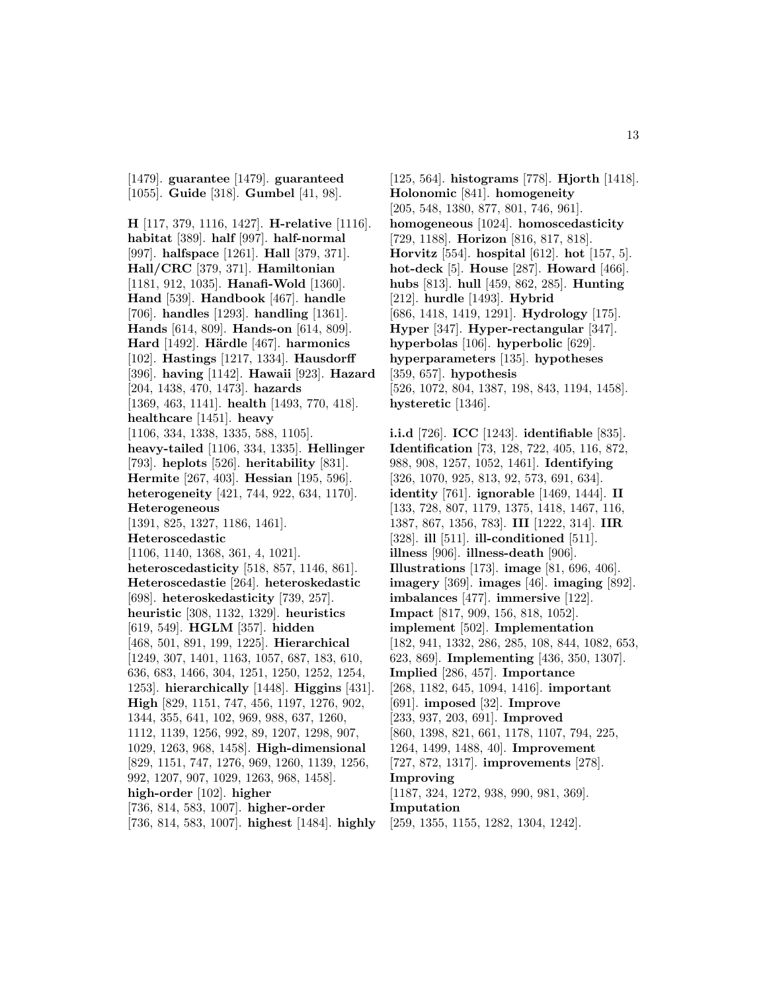[1479]. **guarantee** [1479]. **guaranteed** [1055]. **Guide** [318]. **Gumbel** [41, 98].

**H** [117, 379, 1116, 1427]. **H-relative** [1116]. **habitat** [389]. **half** [997]. **half-normal** [997]. **halfspace** [1261]. **Hall** [379, 371]. **Hall/CRC** [379, 371]. **Hamiltonian** [1181, 912, 1035]. **Hanafi-Wold** [1360]. **Hand** [539]. **Handbook** [467]. **handle** [706]. **handles** [1293]. **handling** [1361]. **Hands** [614, 809]. **Hands-on** [614, 809]. **Hard** [1492]. **H¨ardle** [467]. **harmonics** [102]. **Hastings** [1217, 1334]. **Hausdorff** [396]. **having** [1142]. **Hawaii** [923]. **Hazard** [204, 1438, 470, 1473]. **hazards** [1369, 463, 1141]. **health** [1493, 770, 418]. **healthcare** [1451]. **heavy** [1106, 334, 1338, 1335, 588, 1105]. **heavy-tailed** [1106, 334, 1335]. **Hellinger** [793]. **heplots** [526]. **heritability** [831]. **Hermite** [267, 403]. **Hessian** [195, 596]. **heterogeneity** [421, 744, 922, 634, 1170]. **Heterogeneous** [1391, 825, 1327, 1186, 1461]. **Heteroscedastic** [1106, 1140, 1368, 361, 4, 1021]. **heteroscedasticity** [518, 857, 1146, 861]. **Heteroscedastie** [264]. **heteroskedastic** [698]. **heteroskedasticity** [739, 257]. **heuristic** [308, 1132, 1329]. **heuristics** [619, 549]. **HGLM** [357]. **hidden** [468, 501, 891, 199, 1225]. **Hierarchical** [1249, 307, 1401, 1163, 1057, 687, 183, 610, 636, 683, 1466, 304, 1251, 1250, 1252, 1254, 1253]. **hierarchically** [1448]. **Higgins** [431]. **High** [829, 1151, 747, 456, 1197, 1276, 902, 1344, 355, 641, 102, 969, 988, 637, 1260, 1112, 1139, 1256, 992, 89, 1207, 1298, 907, 1029, 1263, 968, 1458]. **High-dimensional** [829, 1151, 747, 1276, 969, 1260, 1139, 1256, 992, 1207, 907, 1029, 1263, 968, 1458]. **high-order** [102]. **higher** [736, 814, 583, 1007]. **higher-order** [736, 814, 583, 1007]. **highest** [1484]. **highly**

[125, 564]. **histograms** [778]. **Hjorth** [1418]. **Holonomic** [841]. **homogeneity** [205, 548, 1380, 877, 801, 746, 961]. **homogeneous** [1024]. **homoscedasticity** [729, 1188]. **Horizon** [816, 817, 818]. **Horvitz** [554]. **hospital** [612]. **hot** [157, 5]. **hot-deck** [5]. **House** [287]. **Howard** [466]. **hubs** [813]. **hull** [459, 862, 285]. **Hunting** [212]. **hurdle** [1493]. **Hybrid** [686, 1418, 1419, 1291]. **Hydrology** [175]. **Hyper** [347]. **Hyper-rectangular** [347]. **hyperbolas** [106]. **hyperbolic** [629]. **hyperparameters** [135]. **hypotheses** [359, 657]. **hypothesis** [526, 1072, 804, 1387, 198, 843, 1194, 1458]. **hysteretic** [1346].

**i.i.d** [726]. **ICC** [1243]. **identifiable** [835]. **Identification** [73, 128, 722, 405, 116, 872, 988, 908, 1257, 1052, 1461]. **Identifying** [326, 1070, 925, 813, 92, 573, 691, 634]. **identity** [761]. **ignorable** [1469, 1444]. **II** [133, 728, 807, 1179, 1375, 1418, 1467, 116, 1387, 867, 1356, 783]. **III** [1222, 314]. **IIR** [328]. **ill** [511]. **ill-conditioned** [511]. **illness** [906]. **illness-death** [906]. **Illustrations** [173]. **image** [81, 696, 406]. **imagery** [369]. **images** [46]. **imaging** [892]. **imbalances** [477]. **immersive** [122]. **Impact** [817, 909, 156, 818, 1052]. **implement** [502]. **Implementation** [182, 941, 1332, 286, 285, 108, 844, 1082, 653, 623, 869]. **Implementing** [436, 350, 1307]. **Implied** [286, 457]. **Importance** [268, 1182, 645, 1094, 1416]. **important** [691]. **imposed** [32]. **Improve** [233, 937, 203, 691]. **Improved** [860, 1398, 821, 661, 1178, 1107, 794, 225, 1264, 1499, 1488, 40]. **Improvement** [727, 872, 1317]. **improvements** [278]. **Improving** [1187, 324, 1272, 938, 990, 981, 369]. **Imputation** [259, 1355, 1155, 1282, 1304, 1242].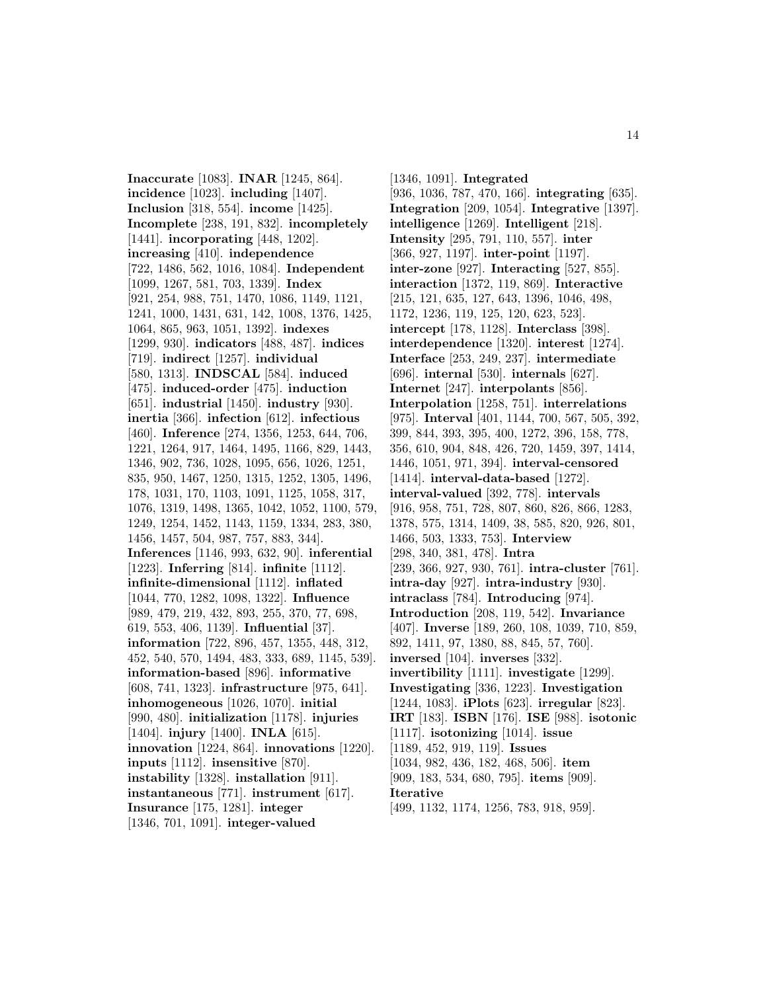**Inaccurate** [1083]. **INAR** [1245, 864]. **incidence** [1023]. **including** [1407]. **Inclusion** [318, 554]. **income** [1425]. **Incomplete** [238, 191, 832]. **incompletely** [1441]. **incorporating** [448, 1202]. **increasing** [410]. **independence** [722, 1486, 562, 1016, 1084]. **Independent** [1099, 1267, 581, 703, 1339]. **Index** [921, 254, 988, 751, 1470, 1086, 1149, 1121, 1241, 1000, 1431, 631, 142, 1008, 1376, 1425, 1064, 865, 963, 1051, 1392]. **indexes** [1299, 930]. **indicators** [488, 487]. **indices** [719]. **indirect** [1257]. **individual** [580, 1313]. **INDSCAL** [584]. **induced** [475]. **induced-order** [475]. **induction** [651]. **industrial** [1450]. **industry** [930]. **inertia** [366]. **infection** [612]. **infectious** [460]. **Inference** [274, 1356, 1253, 644, 706, 1221, 1264, 917, 1464, 1495, 1166, 829, 1443, 1346, 902, 736, 1028, 1095, 656, 1026, 1251, 835, 950, 1467, 1250, 1315, 1252, 1305, 1496, 178, 1031, 170, 1103, 1091, 1125, 1058, 317, 1076, 1319, 1498, 1365, 1042, 1052, 1100, 579, 1249, 1254, 1452, 1143, 1159, 1334, 283, 380, 1456, 1457, 504, 987, 757, 883, 344]. **Inferences** [1146, 993, 632, 90]. **inferential** [1223]. **Inferring** [814]. **infinite** [1112]. **infinite-dimensional** [1112]. **inflated** [1044, 770, 1282, 1098, 1322]. **Influence** [989, 479, 219, 432, 893, 255, 370, 77, 698, 619, 553, 406, 1139]. **Influential** [37]. **information** [722, 896, 457, 1355, 448, 312, 452, 540, 570, 1494, 483, 333, 689, 1145, 539]. **information-based** [896]. **informative** [608, 741, 1323]. **infrastructure** [975, 641]. **inhomogeneous** [1026, 1070]. **initial** [990, 480]. **initialization** [1178]. **injuries** [1404]. **injury** [1400]. **INLA** [615]. **innovation** [1224, 864]. **innovations** [1220]. **inputs** [1112]. **insensitive** [870]. **instability** [1328]. **installation** [911]. **instantaneous** [771]. **instrument** [617]. **Insurance** [175, 1281]. **integer** [1346, 701, 1091]. **integer-valued**

[1346, 1091]. **Integrated** [936, 1036, 787, 470, 166]. **integrating** [635]. **Integration** [209, 1054]. **Integrative** [1397]. **intelligence** [1269]. **Intelligent** [218]. **Intensity** [295, 791, 110, 557]. **inter** [366, 927, 1197]. **inter-point** [1197]. **inter-zone** [927]. **Interacting** [527, 855]. **interaction** [1372, 119, 869]. **Interactive** [215, 121, 635, 127, 643, 1396, 1046, 498, 1172, 1236, 119, 125, 120, 623, 523]. **intercept** [178, 1128]. **Interclass** [398]. **interdependence** [1320]. **interest** [1274]. **Interface** [253, 249, 237]. **intermediate** [696]. **internal** [530]. **internals** [627]. **Internet** [247]. **interpolants** [856]. **Interpolation** [1258, 751]. **interrelations** [975]. **Interval** [401, 1144, 700, 567, 505, 392, 399, 844, 393, 395, 400, 1272, 396, 158, 778, 356, 610, 904, 848, 426, 720, 1459, 397, 1414, 1446, 1051, 971, 394]. **interval-censored** [1414]. **interval-data-based** [1272]. **interval-valued** [392, 778]. **intervals** [916, 958, 751, 728, 807, 860, 826, 866, 1283, 1378, 575, 1314, 1409, 38, 585, 820, 926, 801, 1466, 503, 1333, 753]. **Interview** [298, 340, 381, 478]. **Intra** [239, 366, 927, 930, 761]. **intra-cluster** [761]. **intra-day** [927]. **intra-industry** [930]. **intraclass** [784]. **Introducing** [974]. **Introduction** [208, 119, 542]. **Invariance** [407]. **Inverse** [189, 260, 108, 1039, 710, 859, 892, 1411, 97, 1380, 88, 845, 57, 760]. **inversed** [104]. **inverses** [332]. **invertibility** [1111]. **investigate** [1299]. **Investigating** [336, 1223]. **Investigation** [1244, 1083]. **iPlots** [623]. **irregular** [823]. **IRT** [183]. **ISBN** [176]. **ISE** [988]. **isotonic** [1117]. **isotonizing** [1014]. **issue** [1189, 452, 919, 119]. **Issues** [1034, 982, 436, 182, 468, 506]. **item** [909, 183, 534, 680, 795]. **items** [909]. **Iterative** [499, 1132, 1174, 1256, 783, 918, 959].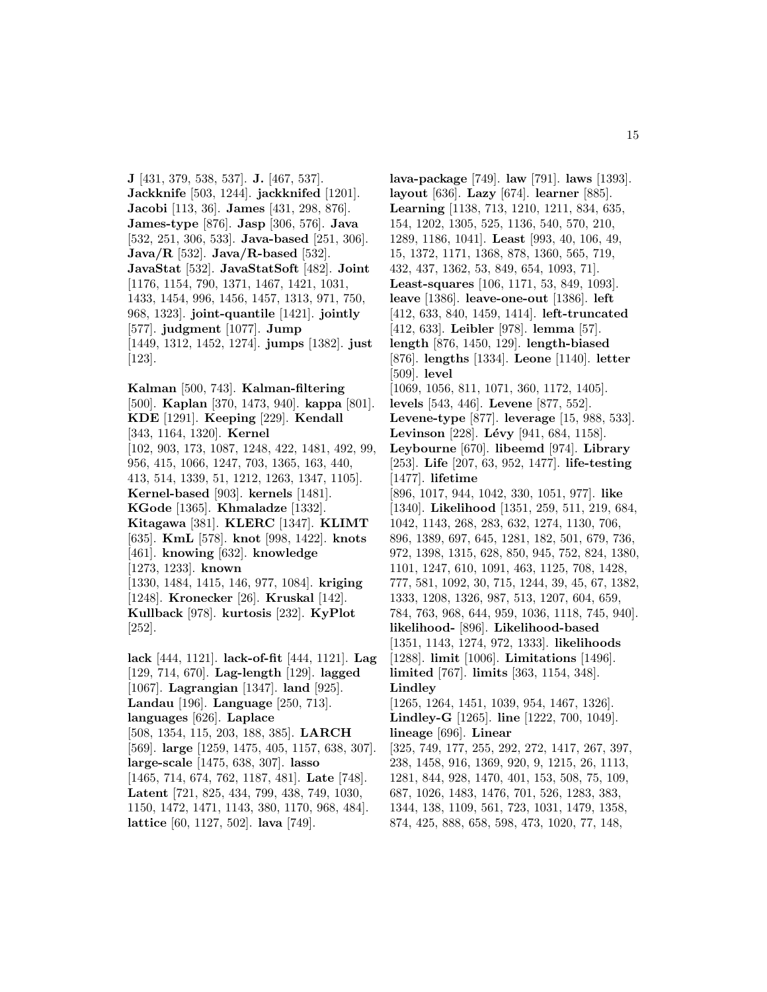**J** [431, 379, 538, 537]. **J.** [467, 537]. **Jackknife** [503, 1244]. **jackknifed** [1201]. **Jacobi** [113, 36]. **James** [431, 298, 876]. **James-type** [876]. **Jasp** [306, 576]. **Java** [532, 251, 306, 533]. **Java-based** [251, 306]. **Java/R** [532]. **Java/R-based** [532]. **JavaStat** [532]. **JavaStatSoft** [482]. **Joint** [1176, 1154, 790, 1371, 1467, 1421, 1031, 1433, 1454, 996, 1456, 1457, 1313, 971, 750, 968, 1323]. **joint-quantile** [1421]. **jointly** [577]. **judgment** [1077]. **Jump** [1449, 1312, 1452, 1274]. **jumps** [1382]. **just** [123].

**Kalman** [500, 743]. **Kalman-filtering** [500]. **Kaplan** [370, 1473, 940]. **kappa** [801]. **KDE** [1291]. **Keeping** [229]. **Kendall** [343, 1164, 1320]. **Kernel** [102, 903, 173, 1087, 1248, 422, 1481, 492, 99, 956, 415, 1066, 1247, 703, 1365, 163, 440, 413, 514, 1339, 51, 1212, 1263, 1347, 1105]. **Kernel-based** [903]. **kernels** [1481]. **KGode** [1365]. **Khmaladze** [1332]. **Kitagawa** [381]. **KLERC** [1347]. **KLIMT** [635]. **KmL** [578]. **knot** [998, 1422]. **knots** [461]. **knowing** [632]. **knowledge** [1273, 1233]. **known** [1330, 1484, 1415, 146, 977, 1084]. **kriging** [1248]. **Kronecker** [26]. **Kruskal** [142]. **Kullback** [978]. **kurtosis** [232]. **KyPlot** [252].

**lack** [444, 1121]. **lack-of-fit** [444, 1121]. **Lag** [129, 714, 670]. **Lag-length** [129]. **lagged** [1067]. **Lagrangian** [1347]. **land** [925]. **Landau** [196]. **Language** [250, 713]. **languages** [626]. **Laplace** [508, 1354, 115, 203, 188, 385]. **LARCH** [569]. **large** [1259, 1475, 405, 1157, 638, 307]. **large-scale** [1475, 638, 307]. **lasso** [1465, 714, 674, 762, 1187, 481]. **Late** [748]. **Latent** [721, 825, 434, 799, 438, 749, 1030, 1150, 1472, 1471, 1143, 380, 1170, 968, 484]. **lattice** [60, 1127, 502]. **lava** [749].

**lava-package** [749]. **law** [791]. **laws** [1393]. **layout** [636]. **Lazy** [674]. **learner** [885]. **Learning** [1138, 713, 1210, 1211, 834, 635, 154, 1202, 1305, 525, 1136, 540, 570, 210, 1289, 1186, 1041]. **Least** [993, 40, 106, 49, 15, 1372, 1171, 1368, 878, 1360, 565, 719, 432, 437, 1362, 53, 849, 654, 1093, 71]. **Least-squares** [106, 1171, 53, 849, 1093]. **leave** [1386]. **leave-one-out** [1386]. **left** [412, 633, 840, 1459, 1414]. **left-truncated** [412, 633]. **Leibler** [978]. **lemma** [57]. **length** [876, 1450, 129]. **length-biased** [876]. **lengths** [1334]. **Leone** [1140]. **letter** [509]. **level** [1069, 1056, 811, 1071, 360, 1172, 1405]. **levels** [543, 446]. **Levene** [877, 552]. **Levene-type** [877]. **leverage** [15, 988, 533]. **Levinson** [228]. **Lévy** [941, 684, 1158]. **Leybourne** [670]. **libeemd** [974]. **Library** [253]. **Life** [207, 63, 952, 1477]. **life-testing** [1477]. **lifetime** [896, 1017, 944, 1042, 330, 1051, 977]. **like** [1340]. **Likelihood** [1351, 259, 511, 219, 684, 1042, 1143, 268, 283, 632, 1274, 1130, 706, 896, 1389, 697, 645, 1281, 182, 501, 679, 736, 972, 1398, 1315, 628, 850, 945, 752, 824, 1380, 1101, 1247, 610, 1091, 463, 1125, 708, 1428, 777, 581, 1092, 30, 715, 1244, 39, 45, 67, 1382, 1333, 1208, 1326, 987, 513, 1207, 604, 659, 784, 763, 968, 644, 959, 1036, 1118, 745, 940]. **likelihood-** [896]. **Likelihood-based** [1351, 1143, 1274, 972, 1333]. **likelihoods** [1288]. **limit** [1006]. **Limitations** [1496]. **limited** [767]. **limits** [363, 1154, 348]. **Lindley** [1265, 1264, 1451, 1039, 954, 1467, 1326]. **Lindley-G** [1265]. **line** [1222, 700, 1049]. **lineage** [696]. **Linear** [325, 749, 177, 255, 292, 272, 1417, 267, 397, 238, 1458, 916, 1369, 920, 9, 1215, 26, 1113, 1281, 844, 928, 1470, 401, 153, 508, 75, 109, 687, 1026, 1483, 1476, 701, 526, 1283, 383, 1344, 138, 1109, 561, 723, 1031, 1479, 1358, 874, 425, 888, 658, 598, 473, 1020, 77, 148,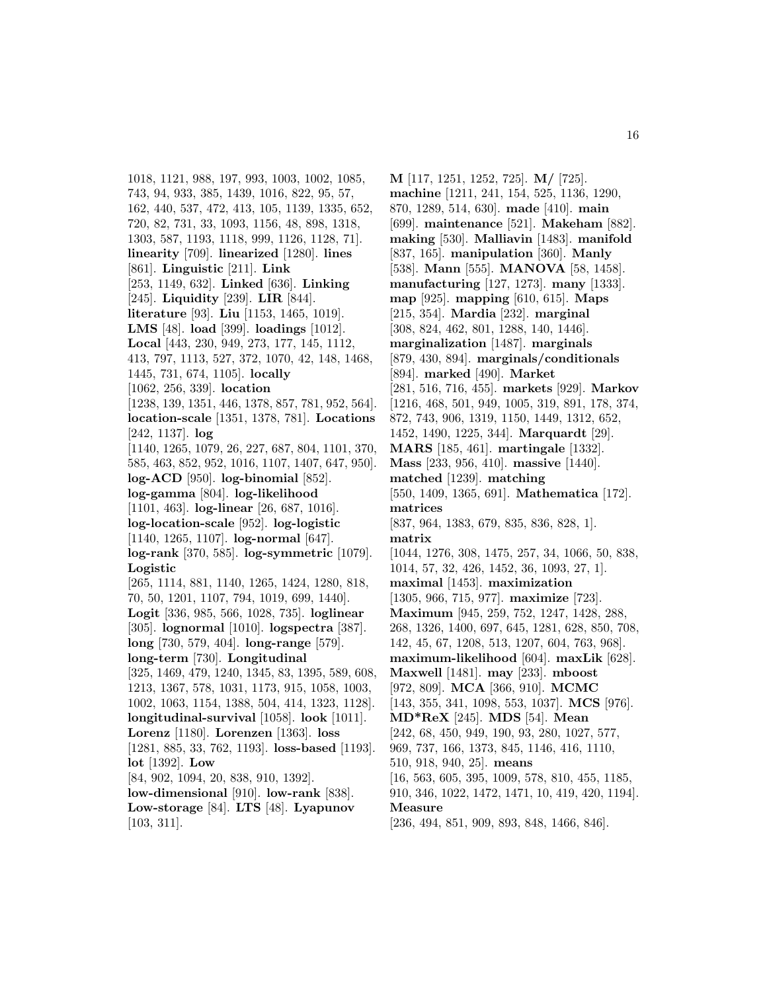1018, 1121, 988, 197, 993, 1003, 1002, 1085, 743, 94, 933, 385, 1439, 1016, 822, 95, 57, 162, 440, 537, 472, 413, 105, 1139, 1335, 652, 720, 82, 731, 33, 1093, 1156, 48, 898, 1318, 1303, 587, 1193, 1118, 999, 1126, 1128, 71]. **linearity** [709]. **linearized** [1280]. **lines** [861]. **Linguistic** [211]. **Link** [253, 1149, 632]. **Linked** [636]. **Linking** [245]. **Liquidity** [239]. **LIR** [844]. **literature** [93]. **Liu** [1153, 1465, 1019]. **LMS** [48]. **load** [399]. **loadings** [1012]. **Local** [443, 230, 949, 273, 177, 145, 1112, 413, 797, 1113, 527, 372, 1070, 42, 148, 1468, 1445, 731, 674, 1105]. **locally** [1062, 256, 339]. **location** [1238, 139, 1351, 446, 1378, 857, 781, 952, 564]. **location-scale** [1351, 1378, 781]. **Locations** [242, 1137]. **log** [1140, 1265, 1079, 26, 227, 687, 804, 1101, 370, 585, 463, 852, 952, 1016, 1107, 1407, 647, 950]. **log-ACD** [950]. **log-binomial** [852]. **log-gamma** [804]. **log-likelihood** [1101, 463]. **log-linear** [26, 687, 1016]. **log-location-scale** [952]. **log-logistic** [1140, 1265, 1107]. **log-normal** [647]. **log-rank** [370, 585]. **log-symmetric** [1079]. **Logistic** [265, 1114, 881, 1140, 1265, 1424, 1280, 818, 70, 50, 1201, 1107, 794, 1019, 699, 1440]. **Logit** [336, 985, 566, 1028, 735]. **loglinear** [305]. **lognormal** [1010]. **logspectra** [387]. **long** [730, 579, 404]. **long-range** [579]. **long-term** [730]. **Longitudinal** [325, 1469, 479, 1240, 1345, 83, 1395, 589, 608, 1213, 1367, 578, 1031, 1173, 915, 1058, 1003, 1002, 1063, 1154, 1388, 504, 414, 1323, 1128]. **longitudinal-survival** [1058]. **look** [1011]. **Lorenz** [1180]. **Lorenzen** [1363]. **loss** [1281, 885, 33, 762, 1193]. **loss-based** [1193]. **lot** [1392]. **Low** [84, 902, 1094, 20, 838, 910, 1392]. **low-dimensional** [910]. **low-rank** [838]. **Low-storage** [84]. **LTS** [48]. **Lyapunov** [103, 311].

**M** [117, 1251, 1252, 725]. **M/** [725]. **machine** [1211, 241, 154, 525, 1136, 1290, 870, 1289, 514, 630]. **made** [410]. **main** [699]. **maintenance** [521]. **Makeham** [882]. **making** [530]. **Malliavin** [1483]. **manifold** [837, 165]. **manipulation** [360]. **Manly** [538]. **Mann** [555]. **MANOVA** [58, 1458]. **manufacturing** [127, 1273]. **many** [1333]. **map** [925]. **mapping** [610, 615]. **Maps** [215, 354]. **Mardia** [232]. **marginal** [308, 824, 462, 801, 1288, 140, 1446]. **marginalization** [1487]. **marginals** [879, 430, 894]. **marginals/conditionals** [894]. **marked** [490]. **Market** [281, 516, 716, 455]. **markets** [929]. **Markov** [1216, 468, 501, 949, 1005, 319, 891, 178, 374, 872, 743, 906, 1319, 1150, 1449, 1312, 652, 1452, 1490, 1225, 344]. **Marquardt** [29]. **MARS** [185, 461]. **martingale** [1332]. **Mass** [233, 956, 410]. **massive** [1440]. **matched** [1239]. **matching** [550, 1409, 1365, 691]. **Mathematica** [172]. **matrices** [837, 964, 1383, 679, 835, 836, 828, 1]. **matrix** [1044, 1276, 308, 1475, 257, 34, 1066, 50, 838, 1014, 57, 32, 426, 1452, 36, 1093, 27, 1]. **maximal** [1453]. **maximization** [1305, 966, 715, 977]. **maximize** [723]. **Maximum** [945, 259, 752, 1247, 1428, 288, 268, 1326, 1400, 697, 645, 1281, 628, 850, 708, 142, 45, 67, 1208, 513, 1207, 604, 763, 968]. **maximum-likelihood** [604]. **maxLik** [628]. **Maxwell** [1481]. **may** [233]. **mboost** [972, 809]. **MCA** [366, 910]. **MCMC** [143, 355, 341, 1098, 553, 1037]. **MCS** [976]. **MD\*ReX** [245]. **MDS** [54]. **Mean** [242, 68, 450, 949, 190, 93, 280, 1027, 577, 969, 737, 166, 1373, 845, 1146, 416, 1110, 510, 918, 940, 25]. **means** [16, 563, 605, 395, 1009, 578, 810, 455, 1185, 910, 346, 1022, 1472, 1471, 10, 419, 420, 1194]. **Measure** [236, 494, 851, 909, 893, 848, 1466, 846].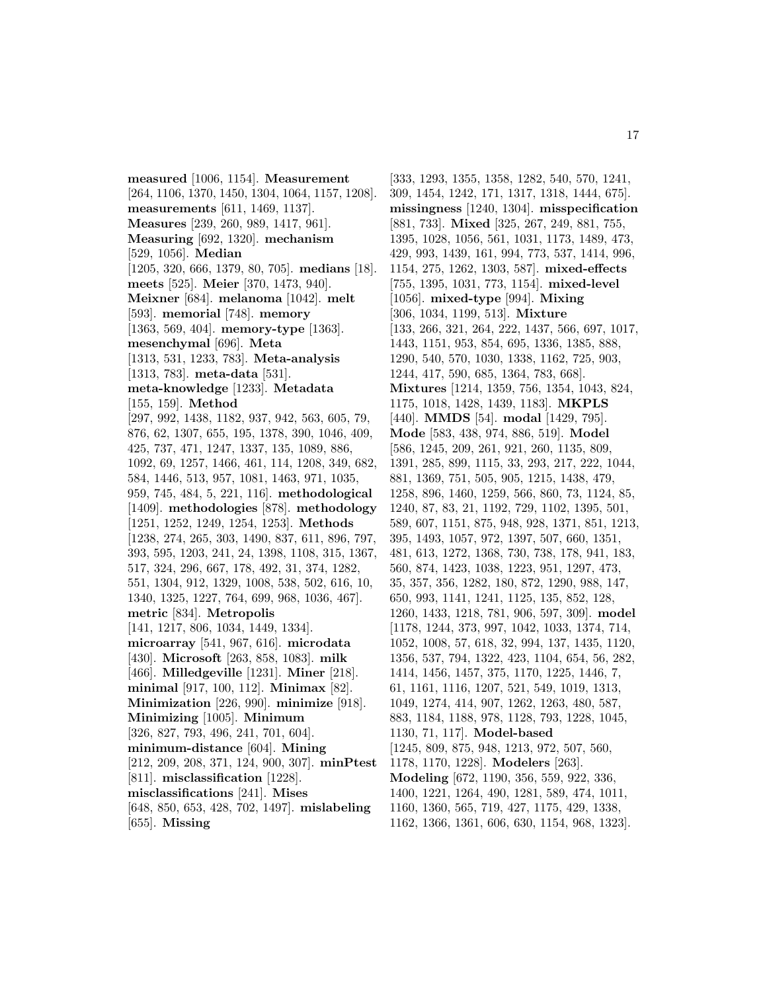**measured** [1006, 1154]. **Measurement** [264, 1106, 1370, 1450, 1304, 1064, 1157, 1208]. **measurements** [611, 1469, 1137]. **Measures** [239, 260, 989, 1417, 961]. **Measuring** [692, 1320]. **mechanism** [529, 1056]. **Median** [1205, 320, 666, 1379, 80, 705]. **medians** [18]. **meets** [525]. **Meier** [370, 1473, 940]. **Meixner** [684]. **melanoma** [1042]. **melt** [593]. **memorial** [748]. **memory** [1363, 569, 404]. **memory-type** [1363]. **mesenchymal** [696]. **Meta** [1313, 531, 1233, 783]. **Meta-analysis** [1313, 783]. **meta-data** [531]. **meta-knowledge** [1233]. **Metadata** [155, 159]. **Method** [297, 992, 1438, 1182, 937, 942, 563, 605, 79, 876, 62, 1307, 655, 195, 1378, 390, 1046, 409, 425, 737, 471, 1247, 1337, 135, 1089, 886, 1092, 69, 1257, 1466, 461, 114, 1208, 349, 682, 584, 1446, 513, 957, 1081, 1463, 971, 1035, 959, 745, 484, 5, 221, 116]. **methodological** [1409]. **methodologies** [878]. **methodology** [1251, 1252, 1249, 1254, 1253]. **Methods** [1238, 274, 265, 303, 1490, 837, 611, 896, 797, 393, 595, 1203, 241, 24, 1398, 1108, 315, 1367, 517, 324, 296, 667, 178, 492, 31, 374, 1282, 551, 1304, 912, 1329, 1008, 538, 502, 616, 10, 1340, 1325, 1227, 764, 699, 968, 1036, 467]. **metric** [834]. **Metropolis** [141, 1217, 806, 1034, 1449, 1334]. **microarray** [541, 967, 616]. **microdata** [430]. **Microsoft** [263, 858, 1083]. **milk** [466]. **Milledgeville** [1231]. **Miner** [218]. **minimal** [917, 100, 112]. **Minimax** [82]. **Minimization** [226, 990]. **minimize** [918]. **Minimizing** [1005]. **Minimum** [326, 827, 793, 496, 241, 701, 604]. **minimum-distance** [604]. **Mining** [212, 209, 208, 371, 124, 900, 307]. **minPtest** [811]. **misclassification** [1228]. **misclassifications** [241]. **Mises** [648, 850, 653, 428, 702, 1497]. **mislabeling** [655]. **Missing**

[333, 1293, 1355, 1358, 1282, 540, 570, 1241, 309, 1454, 1242, 171, 1317, 1318, 1444, 675]. **missingness** [1240, 1304]. **misspecification** [881, 733]. **Mixed** [325, 267, 249, 881, 755, 1395, 1028, 1056, 561, 1031, 1173, 1489, 473, 429, 993, 1439, 161, 994, 773, 537, 1414, 996, 1154, 275, 1262, 1303, 587]. **mixed-effects** [755, 1395, 1031, 773, 1154]. **mixed-level** [1056]. **mixed-type** [994]. **Mixing** [306, 1034, 1199, 513]. **Mixture** [133, 266, 321, 264, 222, 1437, 566, 697, 1017, 1443, 1151, 953, 854, 695, 1336, 1385, 888, 1290, 540, 570, 1030, 1338, 1162, 725, 903, 1244, 417, 590, 685, 1364, 783, 668]. **Mixtures** [1214, 1359, 756, 1354, 1043, 824, 1175, 1018, 1428, 1439, 1183]. **MKPLS** [440]. **MMDS** [54]. **modal** [1429, 795]. **Mode** [583, 438, 974, 886, 519]. **Model** [586, 1245, 209, 261, 921, 260, 1135, 809, 1391, 285, 899, 1115, 33, 293, 217, 222, 1044, 881, 1369, 751, 505, 905, 1215, 1438, 479, 1258, 896, 1460, 1259, 566, 860, 73, 1124, 85, 1240, 87, 83, 21, 1192, 729, 1102, 1395, 501, 589, 607, 1151, 875, 948, 928, 1371, 851, 1213, 395, 1493, 1057, 972, 1397, 507, 660, 1351, 481, 613, 1272, 1368, 730, 738, 178, 941, 183, 560, 874, 1423, 1038, 1223, 951, 1297, 473, 35, 357, 356, 1282, 180, 872, 1290, 988, 147, 650, 993, 1141, 1241, 1125, 135, 852, 128, 1260, 1433, 1218, 781, 906, 597, 309]. **model** [1178, 1244, 373, 997, 1042, 1033, 1374, 714, 1052, 1008, 57, 618, 32, 994, 137, 1435, 1120, 1356, 537, 794, 1322, 423, 1104, 654, 56, 282, 1414, 1456, 1457, 375, 1170, 1225, 1446, 7, 61, 1161, 1116, 1207, 521, 549, 1019, 1313, 1049, 1274, 414, 907, 1262, 1263, 480, 587, 883, 1184, 1188, 978, 1128, 793, 1228, 1045, 1130, 71, 117]. **Model-based** [1245, 809, 875, 948, 1213, 972, 507, 560, 1178, 1170, 1228]. **Modelers** [263]. **Modeling** [672, 1190, 356, 559, 922, 336, 1400, 1221, 1264, 490, 1281, 589, 474, 1011, 1160, 1360, 565, 719, 427, 1175, 429, 1338, 1162, 1366, 1361, 606, 630, 1154, 968, 1323].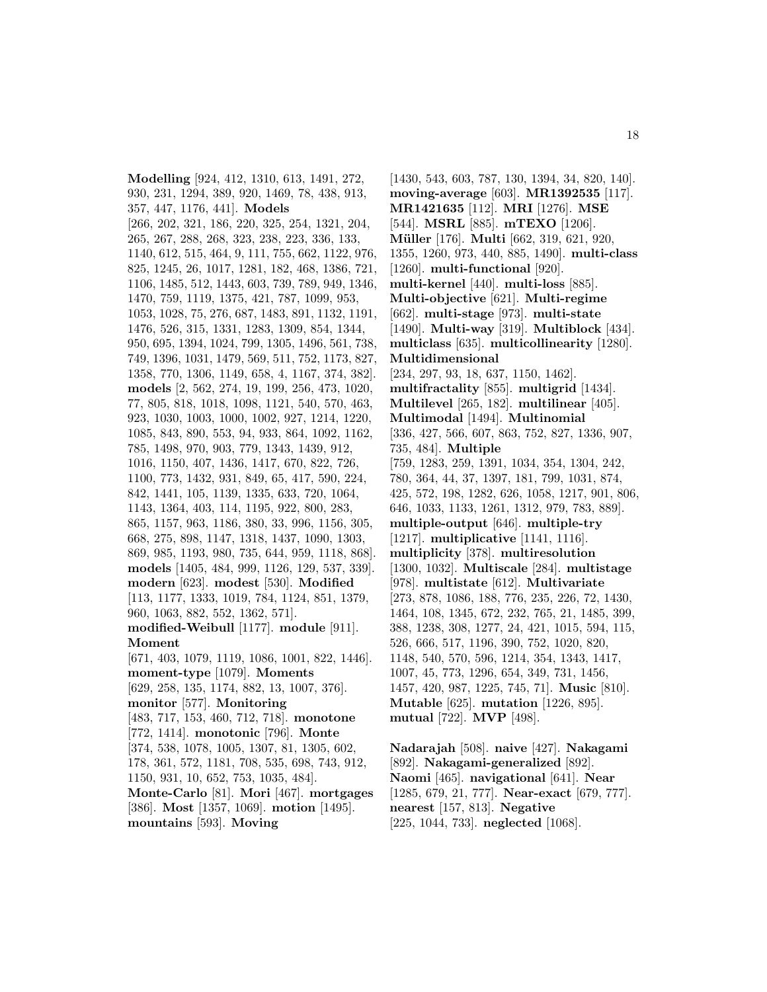**Modelling** [924, 412, 1310, 613, 1491, 272, 930, 231, 1294, 389, 920, 1469, 78, 438, 913, 357, 447, 1176, 441]. **Models** [266, 202, 321, 186, 220, 325, 254, 1321, 204, 265, 267, 288, 268, 323, 238, 223, 336, 133, 1140, 612, 515, 464, 9, 111, 755, 662, 1122, 976, 825, 1245, 26, 1017, 1281, 182, 468, 1386, 721, 1106, 1485, 512, 1443, 603, 739, 789, 949, 1346, 1470, 759, 1119, 1375, 421, 787, 1099, 953, 1053, 1028, 75, 276, 687, 1483, 891, 1132, 1191, 1476, 526, 315, 1331, 1283, 1309, 854, 1344, 950, 695, 1394, 1024, 799, 1305, 1496, 561, 738, 749, 1396, 1031, 1479, 569, 511, 752, 1173, 827, 1358, 770, 1306, 1149, 658, 4, 1167, 374, 382]. **models** [2, 562, 274, 19, 199, 256, 473, 1020, 77, 805, 818, 1018, 1098, 1121, 540, 570, 463, 923, 1030, 1003, 1000, 1002, 927, 1214, 1220, 1085, 843, 890, 553, 94, 933, 864, 1092, 1162, 785, 1498, 970, 903, 779, 1343, 1439, 912, 1016, 1150, 407, 1436, 1417, 670, 822, 726, 1100, 773, 1432, 931, 849, 65, 417, 590, 224, 842, 1441, 105, 1139, 1335, 633, 720, 1064, 1143, 1364, 403, 114, 1195, 922, 800, 283, 865, 1157, 963, 1186, 380, 33, 996, 1156, 305, 668, 275, 898, 1147, 1318, 1437, 1090, 1303, 869, 985, 1193, 980, 735, 644, 959, 1118, 868]. **models** [1405, 484, 999, 1126, 129, 537, 339]. **modern** [623]. **modest** [530]. **Modified** [113, 1177, 1333, 1019, 784, 1124, 851, 1379, 960, 1063, 882, 552, 1362, 571]. **modified-Weibull** [1177]. **module** [911]. **Moment** [671, 403, 1079, 1119, 1086, 1001, 822, 1446]. **moment-type** [1079]. **Moments** [629, 258, 135, 1174, 882, 13, 1007, 376]. **monitor** [577]. **Monitoring** [483, 717, 153, 460, 712, 718]. **monotone** [772, 1414]. **monotonic** [796]. **Monte** [374, 538, 1078, 1005, 1307, 81, 1305, 602, 178, 361, 572, 1181, 708, 535, 698, 743, 912, 1150, 931, 10, 652, 753, 1035, 484]. **Monte-Carlo** [81]. **Mori** [467]. **mortgages** [386]. **Most** [1357, 1069]. **motion** [1495]. **mountains** [593]. **Moving**

[1430, 543, 603, 787, 130, 1394, 34, 820, 140]. **moving-average** [603]. **MR1392535** [117]. **MR1421635** [112]. **MRI** [1276]. **MSE** [544]. **MSRL** [885]. **mTEXO** [1206]. **M¨uller** [176]. **Multi** [662, 319, 621, 920, 1355, 1260, 973, 440, 885, 1490]. **multi-class** [1260]. **multi-functional** [920]. **multi-kernel** [440]. **multi-loss** [885]. **Multi-objective** [621]. **Multi-regime** [662]. **multi-stage** [973]. **multi-state** [1490]. **Multi-way** [319]. **Multiblock** [434]. **multiclass** [635]. **multicollinearity** [1280]. **Multidimensional** [234, 297, 93, 18, 637, 1150, 1462]. **multifractality** [855]. **multigrid** [1434]. **Multilevel** [265, 182]. **multilinear** [405]. **Multimodal** [1494]. **Multinomial** [336, 427, 566, 607, 863, 752, 827, 1336, 907, 735, 484]. **Multiple** [759, 1283, 259, 1391, 1034, 354, 1304, 242, 780, 364, 44, 37, 1397, 181, 799, 1031, 874, 425, 572, 198, 1282, 626, 1058, 1217, 901, 806, 646, 1033, 1133, 1261, 1312, 979, 783, 889]. **multiple-output** [646]. **multiple-try** [1217]. **multiplicative** [1141, 1116]. **multiplicity** [378]. **multiresolution** [1300, 1032]. **Multiscale** [284]. **multistage** [978]. **multistate** [612]. **Multivariate** [273, 878, 1086, 188, 776, 235, 226, 72, 1430, 1464, 108, 1345, 672, 232, 765, 21, 1485, 399, 388, 1238, 308, 1277, 24, 421, 1015, 594, 115, 526, 666, 517, 1196, 390, 752, 1020, 820, 1148, 540, 570, 596, 1214, 354, 1343, 1417, 1007, 45, 773, 1296, 654, 349, 731, 1456, 1457, 420, 987, 1225, 745, 71]. **Music** [810]. **Mutable** [625]. **mutation** [1226, 895]. **mutual** [722]. **MVP** [498].

**Nadarajah** [508]. **naive** [427]. **Nakagami** [892]. **Nakagami-generalized** [892]. **Naomi** [465]. **navigational** [641]. **Near** [1285, 679, 21, 777]. **Near-exact** [679, 777]. **nearest** [157, 813]. **Negative** [225, 1044, 733]. **neglected** [1068].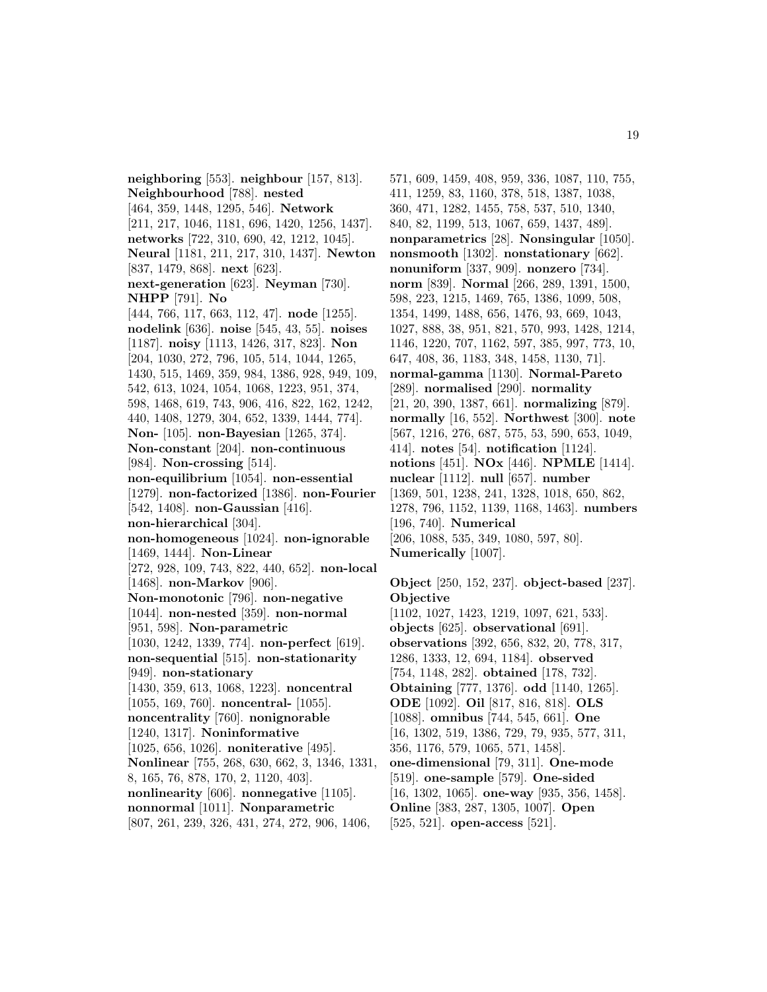**neighboring** [553]. **neighbour** [157, 813]. **Neighbourhood** [788]. **nested** [464, 359, 1448, 1295, 546]. **Network** [211, 217, 1046, 1181, 696, 1420, 1256, 1437]. **networks** [722, 310, 690, 42, 1212, 1045]. **Neural** [1181, 211, 217, 310, 1437]. **Newton** [837, 1479, 868]. **next** [623]. **next-generation** [623]. **Neyman** [730]. **NHPP** [791]. **No** [444, 766, 117, 663, 112, 47]. **node** [1255]. **nodelink** [636]. **noise** [545, 43, 55]. **noises** [1187]. **noisy** [1113, 1426, 317, 823]. **Non** [204, 1030, 272, 796, 105, 514, 1044, 1265, 1430, 515, 1469, 359, 984, 1386, 928, 949, 109, 542, 613, 1024, 1054, 1068, 1223, 951, 374, 598, 1468, 619, 743, 906, 416, 822, 162, 1242, 440, 1408, 1279, 304, 652, 1339, 1444, 774]. **Non-** [105]. **non-Bayesian** [1265, 374]. **Non-constant** [204]. **non-continuous** [984]. **Non-crossing** [514]. **non-equilibrium** [1054]. **non-essential** [1279]. **non-factorized** [1386]. **non-Fourier** [542, 1408]. **non-Gaussian** [416]. **non-hierarchical** [304]. **non-homogeneous** [1024]. **non-ignorable** [1469, 1444]. **Non-Linear** [272, 928, 109, 743, 822, 440, 652]. **non-local** [1468]. **non-Markov** [906]. **Non-monotonic** [796]. **non-negative** [1044]. **non-nested** [359]. **non-normal** [951, 598]. **Non-parametric** [1030, 1242, 1339, 774]. **non-perfect** [619]. **non-sequential** [515]. **non-stationarity** [949]. **non-stationary** [1430, 359, 613, 1068, 1223]. **noncentral** [1055, 169, 760]. **noncentral-** [1055]. **noncentrality** [760]. **nonignorable** [1240, 1317]. **Noninformative** [1025, 656, 1026]. **noniterative** [495]. **Nonlinear** [755, 268, 630, 662, 3, 1346, 1331, 8, 165, 76, 878, 170, 2, 1120, 403]. **nonlinearity** [606]. **nonnegative** [1105]. **nonnormal** [1011]. **Nonparametric** [807, 261, 239, 326, 431, 274, 272, 906, 1406,

571, 609, 1459, 408, 959, 336, 1087, 110, 755, 411, 1259, 83, 1160, 378, 518, 1387, 1038, 360, 471, 1282, 1455, 758, 537, 510, 1340, 840, 82, 1199, 513, 1067, 659, 1437, 489]. **nonparametrics** [28]. **Nonsingular** [1050]. **nonsmooth** [1302]. **nonstationary** [662]. **nonuniform** [337, 909]. **nonzero** [734]. **norm** [839]. **Normal** [266, 289, 1391, 1500, 598, 223, 1215, 1469, 765, 1386, 1099, 508, 1354, 1499, 1488, 656, 1476, 93, 669, 1043, 1027, 888, 38, 951, 821, 570, 993, 1428, 1214, 1146, 1220, 707, 1162, 597, 385, 997, 773, 10, 647, 408, 36, 1183, 348, 1458, 1130, 71]. **normal-gamma** [1130]. **Normal-Pareto** [289]. **normalised** [290]. **normality** [21, 20, 390, 1387, 661]. **normalizing** [879]. **normally** [16, 552]. **Northwest** [300]. **note** [567, 1216, 276, 687, 575, 53, 590, 653, 1049, 414]. **notes** [54]. **notification** [1124]. **notions** [451]. **NOx** [446]. **NPMLE** [1414]. **nuclear** [1112]. **null** [657]. **number** [1369, 501, 1238, 241, 1328, 1018, 650, 862, 1278, 796, 1152, 1139, 1168, 1463]. **numbers** [196, 740]. **Numerical** [206, 1088, 535, 349, 1080, 597, 80]. **Numerically** [1007].

**Object** [250, 152, 237]. **object-based** [237]. **Objective** [1102, 1027, 1423, 1219, 1097, 621, 533]. **objects** [625]. **observational** [691]. **observations** [392, 656, 832, 20, 778, 317, 1286, 1333, 12, 694, 1184]. **observed** [754, 1148, 282]. **obtained** [178, 732]. **Obtaining** [777, 1376]. **odd** [1140, 1265]. **ODE** [1092]. **Oil** [817, 816, 818]. **OLS** [1088]. **omnibus** [744, 545, 661]. **One** [16, 1302, 519, 1386, 729, 79, 935, 577, 311, 356, 1176, 579, 1065, 571, 1458]. **one-dimensional** [79, 311]. **One-mode** [519]. **one-sample** [579]. **One-sided** [16, 1302, 1065]. **one-way** [935, 356, 1458]. **Online** [383, 287, 1305, 1007]. **Open** [525, 521]. **open-access** [521].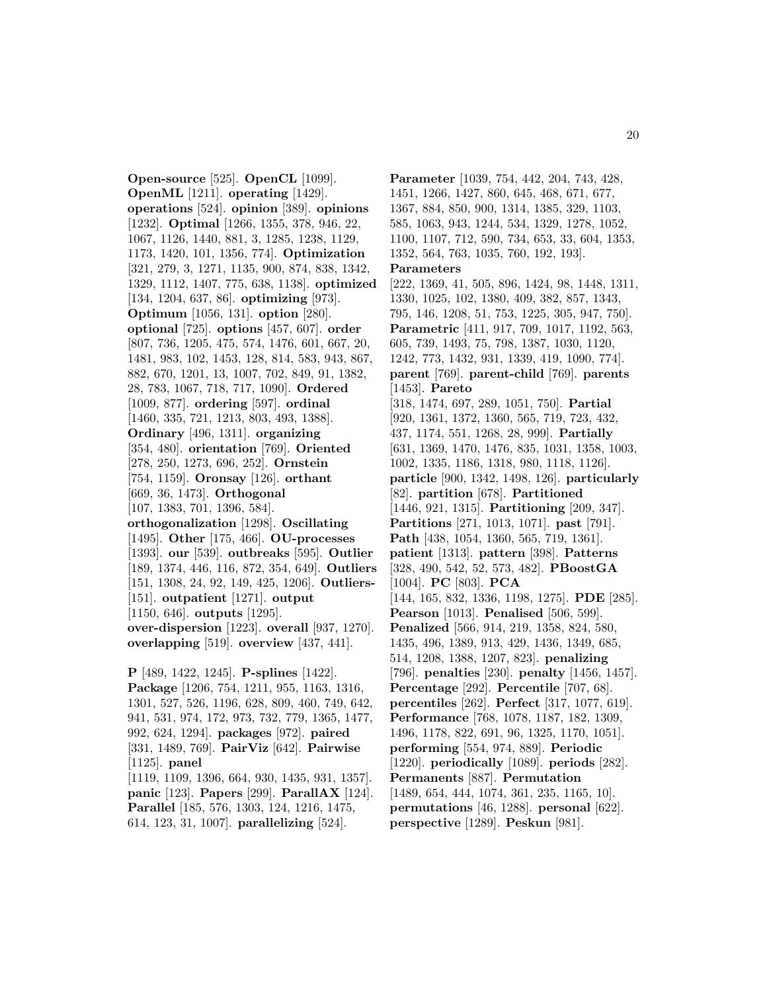**Open-source** [525]. **OpenCL** [1099]. **OpenML** [1211]. **operating** [1429]. **operations** [524]. **opinion** [389]. **opinions** [1232]. **Optimal** [1266, 1355, 378, 946, 22, 1067, 1126, 1440, 881, 3, 1285, 1238, 1129, 1173, 1420, 101, 1356, 774]. **Optimization** [321, 279, 3, 1271, 1135, 900, 874, 838, 1342, 1329, 1112, 1407, 775, 638, 1138]. **optimized** [134, 1204, 637, 86]. **optimizing** [973]. **Optimum** [1056, 131]. **option** [280]. **optional** [725]. **options** [457, 607]. **order** [807, 736, 1205, 475, 574, 1476, 601, 667, 20, 1481, 983, 102, 1453, 128, 814, 583, 943, 867, 882, 670, 1201, 13, 1007, 702, 849, 91, 1382, 28, 783, 1067, 718, 717, 1090]. **Ordered** [1009, 877]. **ordering** [597]. **ordinal** [1460, 335, 721, 1213, 803, 493, 1388]. **Ordinary** [496, 1311]. **organizing** [354, 480]. **orientation** [769]. **Oriented** [278, 250, 1273, 696, 252]. **Ornstein** [754, 1159]. **Oronsay** [126]. **orthant** [669, 36, 1473]. **Orthogonal** [107, 1383, 701, 1396, 584]. **orthogonalization** [1298]. **Oscillating** [1495]. **Other** [175, 466]. **OU-processes** [1393]. **our** [539]. **outbreaks** [595]. **Outlier** [189, 1374, 446, 116, 872, 354, 649]. **Outliers** [151, 1308, 24, 92, 149, 425, 1206]. **Outliers-** [151]. **outpatient** [1271]. **output** [1150, 646]. **outputs** [1295]. **over-dispersion** [1223]. **overall** [937, 1270]. **overlapping** [519]. **overview** [437, 441].

**P** [489, 1422, 1245]. **P-splines** [1422]. **Package** [1206, 754, 1211, 955, 1163, 1316, 1301, 527, 526, 1196, 628, 809, 460, 749, 642, 941, 531, 974, 172, 973, 732, 779, 1365, 1477, 992, 624, 1294]. **packages** [972]. **paired** [331, 1489, 769]. **PairViz** [642]. **Pairwise** [1125]. **panel** [1119, 1109, 1396, 664, 930, 1435, 931, 1357]. **panic** [123]. **Papers** [299]. **ParallAX** [124]. **Parallel** [185, 576, 1303, 124, 1216, 1475, 614, 123, 31, 1007]. **parallelizing** [524].

**Parameter** [1039, 754, 442, 204, 743, 428, 1451, 1266, 1427, 860, 645, 468, 671, 677, 1367, 884, 850, 900, 1314, 1385, 329, 1103, 585, 1063, 943, 1244, 534, 1329, 1278, 1052, 1100, 1107, 712, 590, 734, 653, 33, 604, 1353, 1352, 564, 763, 1035, 760, 192, 193]. **Parameters** [222, 1369, 41, 505, 896, 1424, 98, 1448, 1311, 1330, 1025, 102, 1380, 409, 382, 857, 1343, 795, 146, 1208, 51, 753, 1225, 305, 947, 750]. **Parametric** [411, 917, 709, 1017, 1192, 563, 605, 739, 1493, 75, 798, 1387, 1030, 1120, 1242, 773, 1432, 931, 1339, 419, 1090, 774]. **parent** [769]. **parent-child** [769]. **parents** [1453]. **Pareto** [318, 1474, 697, 289, 1051, 750]. **Partial** [920, 1361, 1372, 1360, 565, 719, 723, 432, 437, 1174, 551, 1268, 28, 999]. **Partially** [631, 1369, 1470, 1476, 835, 1031, 1358, 1003, 1002, 1335, 1186, 1318, 980, 1118, 1126]. **particle** [900, 1342, 1498, 126]. **particularly** [82]. **partition** [678]. **Partitioned** [1446, 921, 1315]. **Partitioning** [209, 347]. **Partitions** [271, 1013, 1071]. **past** [791]. **Path** [438, 1054, 1360, 565, 719, 1361]. **patient** [1313]. **pattern** [398]. **Patterns** [328, 490, 542, 52, 573, 482]. **PBoostGA** [1004]. **PC** [803]. **PCA** [144, 165, 832, 1336, 1198, 1275]. **PDE** [285]. **Pearson** [1013]. **Penalised** [506, 599]. **Penalized** [566, 914, 219, 1358, 824, 580, 1435, 496, 1389, 913, 429, 1436, 1349, 685, 514, 1208, 1388, 1207, 823]. **penalizing** [796]. **penalties** [230]. **penalty** [1456, 1457]. **Percentage** [292]. **Percentile** [707, 68]. **percentiles** [262]. **Perfect** [317, 1077, 619]. **Performance** [768, 1078, 1187, 182, 1309, 1496, 1178, 822, 691, 96, 1325, 1170, 1051]. **performing** [554, 974, 889]. **Periodic** [1220]. **periodically** [1089]. **periods** [282]. **Permanents** [887]. **Permutation** [1489, 654, 444, 1074, 361, 235, 1165, 10]. **permutations** [46, 1288]. **personal** [622]. **perspective** [1289]. **Peskun** [981].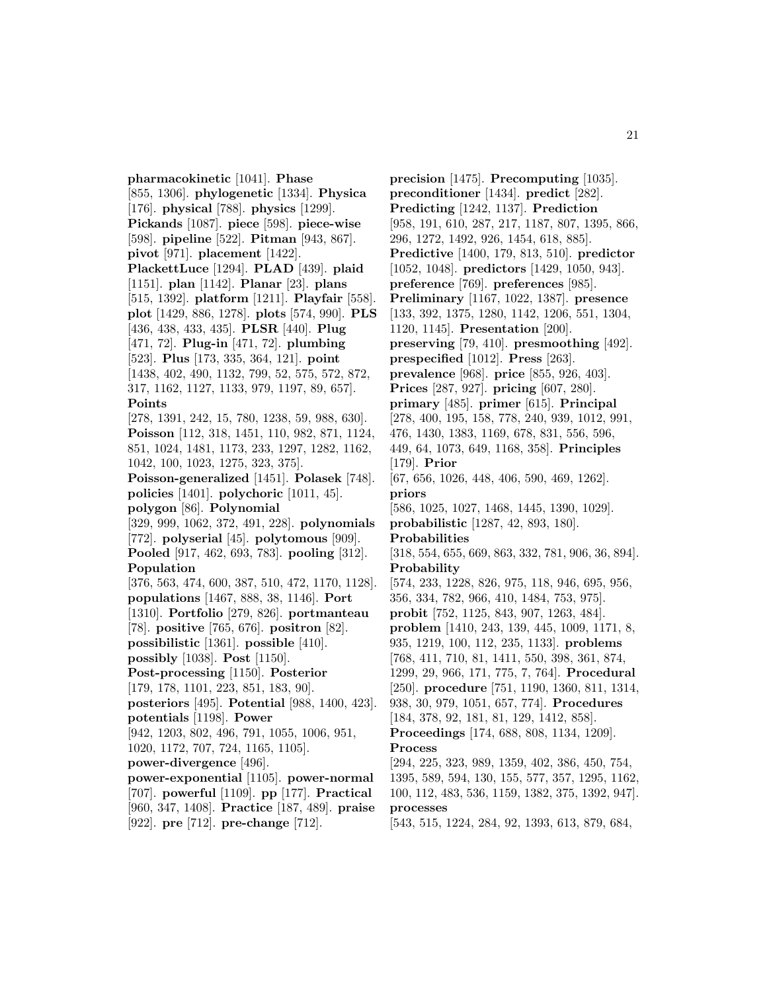**pharmacokinetic** [1041]. **Phase** [855, 1306]. **phylogenetic** [1334]. **Physica** [176]. **physical** [788]. **physics** [1299]. **Pickands** [1087]. **piece** [598]. **piece-wise** [598]. **pipeline** [522]. **Pitman** [943, 867]. **pivot** [971]. **placement** [1422]. **PlackettLuce** [1294]. **PLAD** [439]. **plaid** [1151]. **plan** [1142]. **Planar** [23]. **plans** [515, 1392]. **platform** [1211]. **Playfair** [558]. **plot** [1429, 886, 1278]. **plots** [574, 990]. **PLS** [436, 438, 433, 435]. **PLSR** [440]. **Plug** [471, 72]. **Plug-in** [471, 72]. **plumbing** [523]. **Plus** [173, 335, 364, 121]. **point** [1438, 402, 490, 1132, 799, 52, 575, 572, 872, 317, 1162, 1127, 1133, 979, 1197, 89, 657]. **Points** [278, 1391, 242, 15, 780, 1238, 59, 988, 630]. **Poisson** [112, 318, 1451, 110, 982, 871, 1124, 851, 1024, 1481, 1173, 233, 1297, 1282, 1162, 1042, 100, 1023, 1275, 323, 375]. **Poisson-generalized** [1451]. **Polasek** [748]. **policies** [1401]. **polychoric** [1011, 45]. **polygon** [86]. **Polynomial** [329, 999, 1062, 372, 491, 228]. **polynomials** [772]. **polyserial** [45]. **polytomous** [909]. **Pooled** [917, 462, 693, 783]. **pooling** [312]. **Population** [376, 563, 474, 600, 387, 510, 472, 1170, 1128]. **populations** [1467, 888, 38, 1146]. **Port** [1310]. **Portfolio** [279, 826]. **portmanteau** [78]. **positive** [765, 676]. **positron** [82]. **possibilistic** [1361]. **possible** [410]. **possibly** [1038]. **Post** [1150]. **Post-processing** [1150]. **Posterior** [179, 178, 1101, 223, 851, 183, 90]. **posteriors** [495]. **Potential** [988, 1400, 423]. **potentials** [1198]. **Power** [942, 1203, 802, 496, 791, 1055, 1006, 951, 1020, 1172, 707, 724, 1165, 1105]. **power-divergence** [496]. **power-exponential** [1105]. **power-normal** [707]. **powerful** [1109]. **pp** [177]. **Practical** [960, 347, 1408]. **Practice** [187, 489]. **praise** [922]. **pre** [712]. **pre-change** [712].

**precision** [1475]. **Precomputing** [1035]. **preconditioner** [1434]. **predict** [282]. **Predicting** [1242, 1137]. **Prediction** [958, 191, 610, 287, 217, 1187, 807, 1395, 866, 296, 1272, 1492, 926, 1454, 618, 885]. **Predictive** [1400, 179, 813, 510]. **predictor** [1052, 1048]. **predictors** [1429, 1050, 943]. **preference** [769]. **preferences** [985]. **Preliminary** [1167, 1022, 1387]. **presence** [133, 392, 1375, 1280, 1142, 1206, 551, 1304, 1120, 1145]. **Presentation** [200]. **preserving** [79, 410]. **presmoothing** [492]. **prespecified** [1012]. **Press** [263]. **prevalence** [968]. **price** [855, 926, 403]. **Prices** [287, 927]. **pricing** [607, 280]. **primary** [485]. **primer** [615]. **Principal** [278, 400, 195, 158, 778, 240, 939, 1012, 991, 476, 1430, 1383, 1169, 678, 831, 556, 596, 449, 64, 1073, 649, 1168, 358]. **Principles** [179]. **Prior** [67, 656, 1026, 448, 406, 590, 469, 1262]. **priors** [586, 1025, 1027, 1468, 1445, 1390, 1029]. **probabilistic** [1287, 42, 893, 180]. **Probabilities** [318, 554, 655, 669, 863, 332, 781, 906, 36, 894]. **Probability** [574, 233, 1228, 826, 975, 118, 946, 695, 956, 356, 334, 782, 966, 410, 1484, 753, 975]. **probit** [752, 1125, 843, 907, 1263, 484]. **problem** [1410, 243, 139, 445, 1009, 1171, 8, 935, 1219, 100, 112, 235, 1133]. **problems** [768, 411, 710, 81, 1411, 550, 398, 361, 874, 1299, 29, 966, 171, 775, 7, 764]. **Procedural** [250]. **procedure** [751, 1190, 1360, 811, 1314, 938, 30, 979, 1051, 657, 774]. **Procedures** [184, 378, 92, 181, 81, 129, 1412, 858]. **Proceedings** [174, 688, 808, 1134, 1209]. **Process** [294, 225, 323, 989, 1359, 402, 386, 450, 754, 1395, 589, 594, 130, 155, 577, 357, 1295, 1162, 100, 112, 483, 536, 1159, 1382, 375, 1392, 947]. **processes**

[543, 515, 1224, 284, 92, 1393, 613, 879, 684,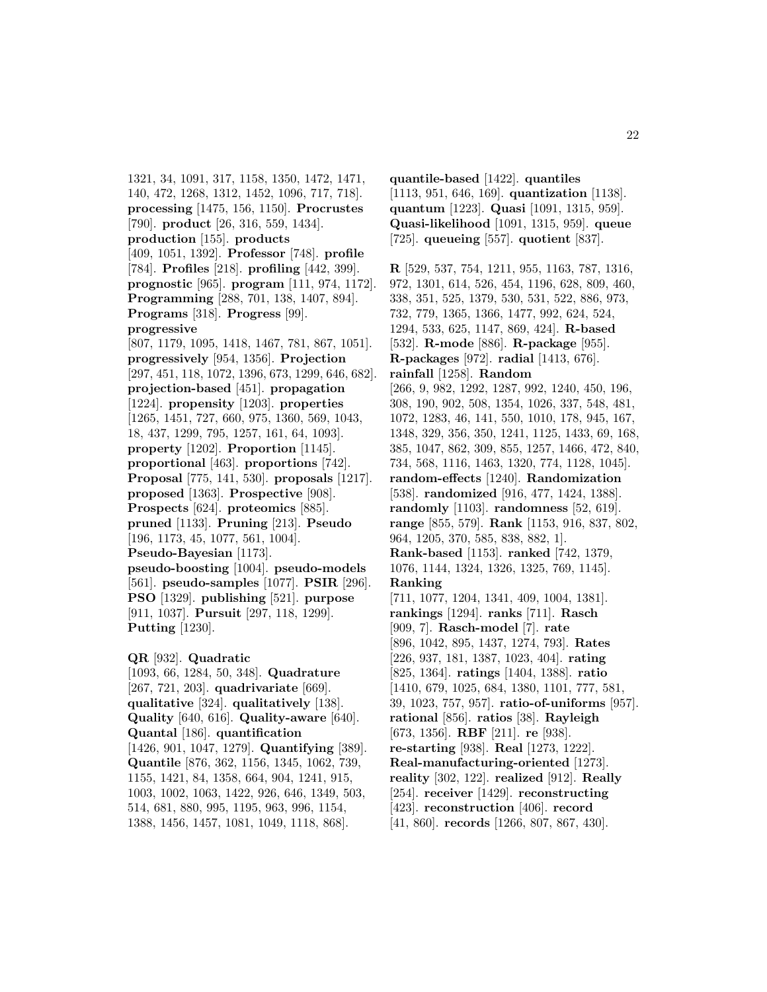1321, 34, 1091, 317, 1158, 1350, 1472, 1471, 140, 472, 1268, 1312, 1452, 1096, 717, 718]. **processing** [1475, 156, 1150]. **Procrustes** [790]. **product** [26, 316, 559, 1434]. **production** [155]. **products** [409, 1051, 1392]. **Professor** [748]. **profile** [784]. **Profiles** [218]. **profiling** [442, 399]. **prognostic** [965]. **program** [111, 974, 1172]. **Programming** [288, 701, 138, 1407, 894]. **Programs** [318]. **Progress** [99]. **progressive** [807, 1179, 1095, 1418, 1467, 781, 867, 1051]. **progressively** [954, 1356]. **Projection** [297, 451, 118, 1072, 1396, 673, 1299, 646, 682]. **projection-based** [451]. **propagation** [1224]. **propensity** [1203]. **properties** [1265, 1451, 727, 660, 975, 1360, 569, 1043, 18, 437, 1299, 795, 1257, 161, 64, 1093]. **property** [1202]. **Proportion** [1145]. **proportional** [463]. **proportions** [742]. **Proposal** [775, 141, 530]. **proposals** [1217]. **proposed** [1363]. **Prospective** [908]. **Prospects** [624]. **proteomics** [885]. **pruned** [1133]. **Pruning** [213]. **Pseudo** [196, 1173, 45, 1077, 561, 1004]. **Pseudo-Bayesian** [1173]. **pseudo-boosting** [1004]. **pseudo-models** [561]. **pseudo-samples** [1077]. **PSIR** [296]. **PSO** [1329]. **publishing** [521]. **purpose** [911, 1037]. **Pursuit** [297, 118, 1299]. **Putting** [1230].

**QR** [932]. **Quadratic** [1093, 66, 1284, 50, 348]. **Quadrature** [267, 721, 203]. **quadrivariate** [669]. **qualitative** [324]. **qualitatively** [138]. **Quality** [640, 616]. **Quality-aware** [640]. **Quantal** [186]. **quantification** [1426, 901, 1047, 1279]. **Quantifying** [389]. **Quantile** [876, 362, 1156, 1345, 1062, 739, 1155, 1421, 84, 1358, 664, 904, 1241, 915, 1003, 1002, 1063, 1422, 926, 646, 1349, 503, 514, 681, 880, 995, 1195, 963, 996, 1154, 1388, 1456, 1457, 1081, 1049, 1118, 868].

**quantile-based** [1422]. **quantiles** [1113, 951, 646, 169]. **quantization** [1138]. **quantum** [1223]. **Quasi** [1091, 1315, 959]. **Quasi-likelihood** [1091, 1315, 959]. **queue** [725]. **queueing** [557]. **quotient** [837].

**R** [529, 537, 754, 1211, 955, 1163, 787, 1316, 972, 1301, 614, 526, 454, 1196, 628, 809, 460, 338, 351, 525, 1379, 530, 531, 522, 886, 973, 732, 779, 1365, 1366, 1477, 992, 624, 524, 1294, 533, 625, 1147, 869, 424]. **R-based** [532]. **R-mode** [886]. **R-package** [955]. **R-packages** [972]. **radial** [1413, 676]. **rainfall** [1258]. **Random** [266, 9, 982, 1292, 1287, 992, 1240, 450, 196, 308, 190, 902, 508, 1354, 1026, 337, 548, 481, 1072, 1283, 46, 141, 550, 1010, 178, 945, 167, 1348, 329, 356, 350, 1241, 1125, 1433, 69, 168, 385, 1047, 862, 309, 855, 1257, 1466, 472, 840, 734, 568, 1116, 1463, 1320, 774, 1128, 1045]. **random-effects** [1240]. **Randomization** [538]. **randomized** [916, 477, 1424, 1388]. **randomly** [1103]. **randomness** [52, 619]. **range** [855, 579]. **Rank** [1153, 916, 837, 802, 964, 1205, 370, 585, 838, 882, 1]. **Rank-based** [1153]. **ranked** [742, 1379, 1076, 1144, 1324, 1326, 1325, 769, 1145]. **Ranking** [711, 1077, 1204, 1341, 409, 1004, 1381]. **rankings** [1294]. **ranks** [711]. **Rasch** [909, 7]. **Rasch-model** [7]. **rate** [896, 1042, 895, 1437, 1274, 793]. **Rates** [226, 937, 181, 1387, 1023, 404]. **rating** [825, 1364]. **ratings** [1404, 1388]. **ratio** [1410, 679, 1025, 684, 1380, 1101, 777, 581, 39, 1023, 757, 957]. **ratio-of-uniforms** [957]. **rational** [856]. **ratios** [38]. **Rayleigh** [673, 1356]. **RBF** [211]. **re** [938]. **re-starting** [938]. **Real** [1273, 1222]. **Real-manufacturing-oriented** [1273]. **reality** [302, 122]. **realized** [912]. **Really** [254]. **receiver** [1429]. **reconstructing** [423]. **reconstruction** [406]. **record** [41, 860]. **records** [1266, 807, 867, 430].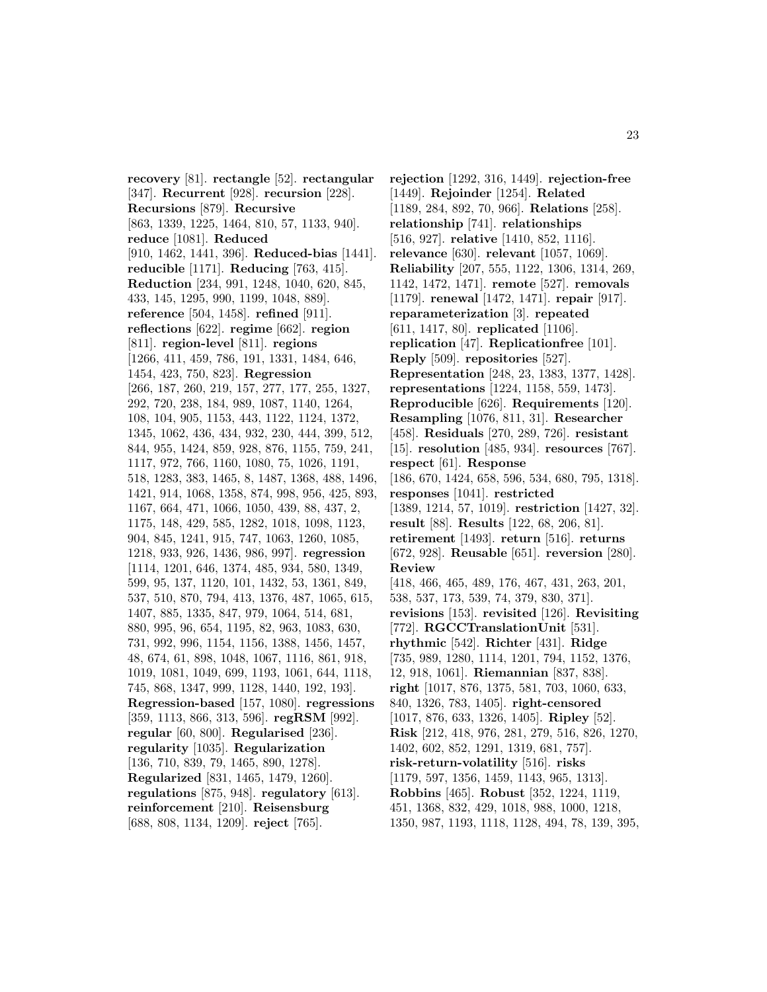**recovery** [81]. **rectangle** [52]. **rectangular** [347]. **Recurrent** [928]. **recursion** [228]. **Recursions** [879]. **Recursive** [863, 1339, 1225, 1464, 810, 57, 1133, 940]. **reduce** [1081]. **Reduced** [910, 1462, 1441, 396]. **Reduced-bias** [1441]. **reducible** [1171]. **Reducing** [763, 415]. **Reduction** [234, 991, 1248, 1040, 620, 845, 433, 145, 1295, 990, 1199, 1048, 889]. **reference** [504, 1458]. **refined** [911]. **reflections** [622]. **regime** [662]. **region** [811]. **region-level** [811]. **regions** [1266, 411, 459, 786, 191, 1331, 1484, 646, 1454, 423, 750, 823]. **Regression** [266, 187, 260, 219, 157, 277, 177, 255, 1327, 292, 720, 238, 184, 989, 1087, 1140, 1264, 108, 104, 905, 1153, 443, 1122, 1124, 1372, 1345, 1062, 436, 434, 932, 230, 444, 399, 512, 844, 955, 1424, 859, 928, 876, 1155, 759, 241, 1117, 972, 766, 1160, 1080, 75, 1026, 1191, 518, 1283, 383, 1465, 8, 1487, 1368, 488, 1496, 1421, 914, 1068, 1358, 874, 998, 956, 425, 893, 1167, 664, 471, 1066, 1050, 439, 88, 437, 2, 1175, 148, 429, 585, 1282, 1018, 1098, 1123, 904, 845, 1241, 915, 747, 1063, 1260, 1085, 1218, 933, 926, 1436, 986, 997]. **regression** [1114, 1201, 646, 1374, 485, 934, 580, 1349, 599, 95, 137, 1120, 101, 1432, 53, 1361, 849, 537, 510, 870, 794, 413, 1376, 487, 1065, 615, 1407, 885, 1335, 847, 979, 1064, 514, 681, 880, 995, 96, 654, 1195, 82, 963, 1083, 630, 731, 992, 996, 1154, 1156, 1388, 1456, 1457, 48, 674, 61, 898, 1048, 1067, 1116, 861, 918, 1019, 1081, 1049, 699, 1193, 1061, 644, 1118, 745, 868, 1347, 999, 1128, 1440, 192, 193]. **Regression-based** [157, 1080]. **regressions** [359, 1113, 866, 313, 596]. **regRSM** [992]. **regular** [60, 800]. **Regularised** [236]. **regularity** [1035]. **Regularization** [136, 710, 839, 79, 1465, 890, 1278]. **Regularized** [831, 1465, 1479, 1260]. **regulations** [875, 948]. **regulatory** [613]. **reinforcement** [210]. **Reisensburg** [688, 808, 1134, 1209]. **reject** [765].

**rejection** [1292, 316, 1449]. **rejection-free** [1449]. **Rejoinder** [1254]. **Related** [1189, 284, 892, 70, 966]. **Relations** [258]. **relationship** [741]. **relationships** [516, 927]. **relative** [1410, 852, 1116]. **relevance** [630]. **relevant** [1057, 1069]. **Reliability** [207, 555, 1122, 1306, 1314, 269, 1142, 1472, 1471]. **remote** [527]. **removals** [1179]. **renewal** [1472, 1471]. **repair** [917]. **reparameterization** [3]. **repeated** [611, 1417, 80]. **replicated** [1106]. **replication** [47]. **Replicationfree** [101]. **Reply** [509]. **repositories** [527]. **Representation** [248, 23, 1383, 1377, 1428]. **representations** [1224, 1158, 559, 1473]. **Reproducible** [626]. **Requirements** [120]. **Resampling** [1076, 811, 31]. **Researcher** [458]. **Residuals** [270, 289, 726]. **resistant** [15]. **resolution** [485, 934]. **resources** [767]. **respect** [61]. **Response** [186, 670, 1424, 658, 596, 534, 680, 795, 1318]. **responses** [1041]. **restricted** [1389, 1214, 57, 1019]. **restriction** [1427, 32]. **result** [88]. **Results** [122, 68, 206, 81]. **retirement** [1493]. **return** [516]. **returns** [672, 928]. **Reusable** [651]. **reversion** [280]. **Review** [418, 466, 465, 489, 176, 467, 431, 263, 201, 538, 537, 173, 539, 74, 379, 830, 371]. **revisions** [153]. **revisited** [126]. **Revisiting** [772]. **RGCCTranslationUnit** [531]. **rhythmic** [542]. **Richter** [431]. **Ridge** [735, 989, 1280, 1114, 1201, 794, 1152, 1376, 12, 918, 1061]. **Riemannian** [837, 838]. **right** [1017, 876, 1375, 581, 703, 1060, 633, 840, 1326, 783, 1405]. **right-censored** [1017, 876, 633, 1326, 1405]. **Ripley** [52]. **Risk** [212, 418, 976, 281, 279, 516, 826, 1270, 1402, 602, 852, 1291, 1319, 681, 757]. **risk-return-volatility** [516]. **risks** [1179, 597, 1356, 1459, 1143, 965, 1313]. **Robbins** [465]. **Robust** [352, 1224, 1119, 451, 1368, 832, 429, 1018, 988, 1000, 1218, 1350, 987, 1193, 1118, 1128, 494, 78, 139, 395,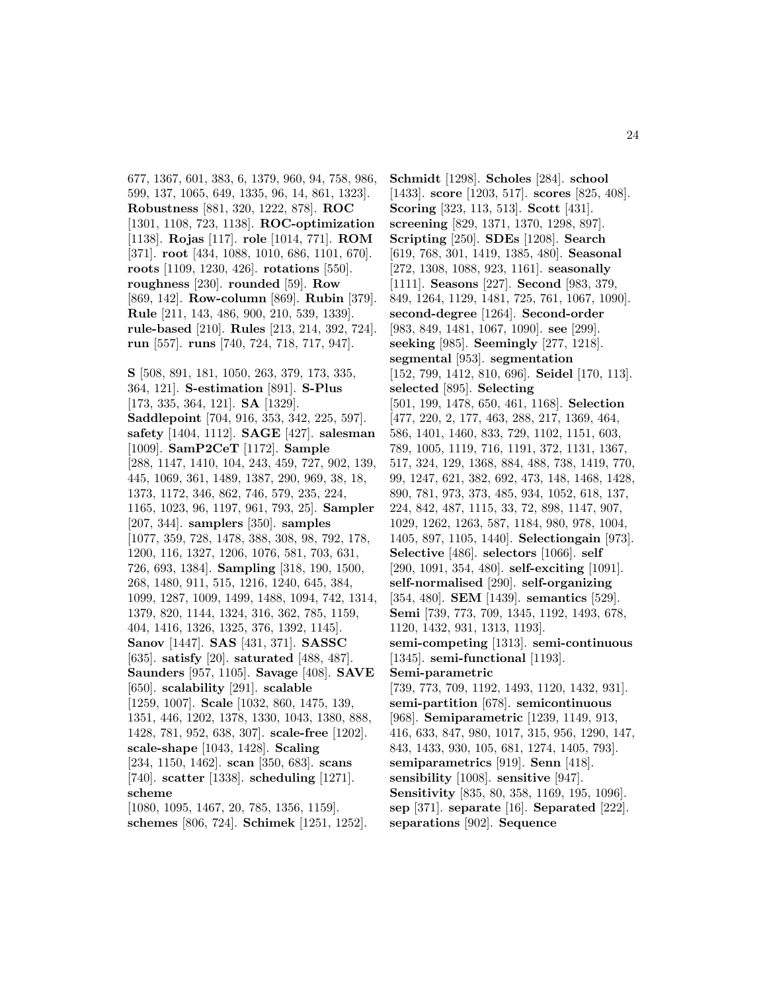677, 1367, 601, 383, 6, 1379, 960, 94, 758, 986, 599, 137, 1065, 649, 1335, 96, 14, 861, 1323]. **Robustness** [881, 320, 1222, 878]. **ROC** [1301, 1108, 723, 1138]. **ROC-optimization** [1138]. **Rojas** [117]. **role** [1014, 771]. **ROM** [371]. **root** [434, 1088, 1010, 686, 1101, 670]. **roots** [1109, 1230, 426]. **rotations** [550]. **roughness** [230]. **rounded** [59]. **Row** [869, 142]. **Row-column** [869]. **Rubin** [379]. **Rule** [211, 143, 486, 900, 210, 539, 1339]. **rule-based** [210]. **Rules** [213, 214, 392, 724]. **run** [557]. **runs** [740, 724, 718, 717, 947].

**S** [508, 891, 181, 1050, 263, 379, 173, 335, 364, 121]. **S-estimation** [891]. **S-Plus** [173, 335, 364, 121]. **SA** [1329]. **Saddlepoint** [704, 916, 353, 342, 225, 597]. **safety** [1404, 1112]. **SAGE** [427]. **salesman** [1009]. **SamP2CeT** [1172]. **Sample** [288, 1147, 1410, 104, 243, 459, 727, 902, 139, 445, 1069, 361, 1489, 1387, 290, 969, 38, 18, 1373, 1172, 346, 862, 746, 579, 235, 224, 1165, 1023, 96, 1197, 961, 793, 25]. **Sampler** [207, 344]. **samplers** [350]. **samples** [1077, 359, 728, 1478, 388, 308, 98, 792, 178, 1200, 116, 1327, 1206, 1076, 581, 703, 631, 726, 693, 1384]. **Sampling** [318, 190, 1500, 268, 1480, 911, 515, 1216, 1240, 645, 384, 1099, 1287, 1009, 1499, 1488, 1094, 742, 1314, 1379, 820, 1144, 1324, 316, 362, 785, 1159, 404, 1416, 1326, 1325, 376, 1392, 1145]. **Sanov** [1447]. **SAS** [431, 371]. **SASSC** [635]. **satisfy** [20]. **saturated** [488, 487]. **Saunders** [957, 1105]. **Savage** [408]. **SAVE** [650]. **scalability** [291]. **scalable** [1259, 1007]. **Scale** [1032, 860, 1475, 139, 1351, 446, 1202, 1378, 1330, 1043, 1380, 888, 1428, 781, 952, 638, 307]. **scale-free** [1202]. **scale-shape** [1043, 1428]. **Scaling** [234, 1150, 1462]. **scan** [350, 683]. **scans** [740]. **scatter** [1338]. **scheduling** [1271]. **scheme** [1080, 1095, 1467, 20, 785, 1356, 1159].

**schemes** [806, 724]. **Schimek** [1251, 1252].

**Schmidt** [1298]. **Scholes** [284]. **school** [1433]. **score** [1203, 517]. **scores** [825, 408]. **Scoring** [323, 113, 513]. **Scott** [431]. **screening** [829, 1371, 1370, 1298, 897]. **Scripting** [250]. **SDEs** [1208]. **Search** [619, 768, 301, 1419, 1385, 480]. **Seasonal** [272, 1308, 1088, 923, 1161]. **seasonally** [1111]. **Seasons** [227]. **Second** [983, 379, 849, 1264, 1129, 1481, 725, 761, 1067, 1090]. **second-degree** [1264]. **Second-order** [983, 849, 1481, 1067, 1090]. **see** [299]. **seeking** [985]. **Seemingly** [277, 1218]. **segmental** [953]. **segmentation** [152, 799, 1412, 810, 696]. **Seidel** [170, 113]. **selected** [895]. **Selecting** [501, 199, 1478, 650, 461, 1168]. **Selection** [477, 220, 2, 177, 463, 288, 217, 1369, 464, 586, 1401, 1460, 833, 729, 1102, 1151, 603, 789, 1005, 1119, 716, 1191, 372, 1131, 1367, 517, 324, 129, 1368, 884, 488, 738, 1419, 770, 99, 1247, 621, 382, 692, 473, 148, 1468, 1428, 890, 781, 973, 373, 485, 934, 1052, 618, 137, 224, 842, 487, 1115, 33, 72, 898, 1147, 907, 1029, 1262, 1263, 587, 1184, 980, 978, 1004, 1405, 897, 1105, 1440]. **Selectiongain** [973]. **Selective** [486]. **selectors** [1066]. **self** [290, 1091, 354, 480]. **self-exciting** [1091]. **self-normalised** [290]. **self-organizing** [354, 480]. **SEM** [1439]. **semantics** [529]. **Semi** [739, 773, 709, 1345, 1192, 1493, 678, 1120, 1432, 931, 1313, 1193]. **semi-competing** [1313]. **semi-continuous** [1345]. **semi-functional** [1193]. **Semi-parametric** [739, 773, 709, 1192, 1493, 1120, 1432, 931]. **semi-partition** [678]. **semicontinuous** [968]. **Semiparametric** [1239, 1149, 913, 416, 633, 847, 980, 1017, 315, 956, 1290, 147, 843, 1433, 930, 105, 681, 1274, 1405, 793]. **semiparametrics** [919]. **Senn** [418]. **sensibility** [1008]. **sensitive** [947]. **Sensitivity** [835, 80, 358, 1169, 195, 1096]. **sep** [371]. **separate** [16]. **Separated** [222]. **separations** [902]. **Sequence**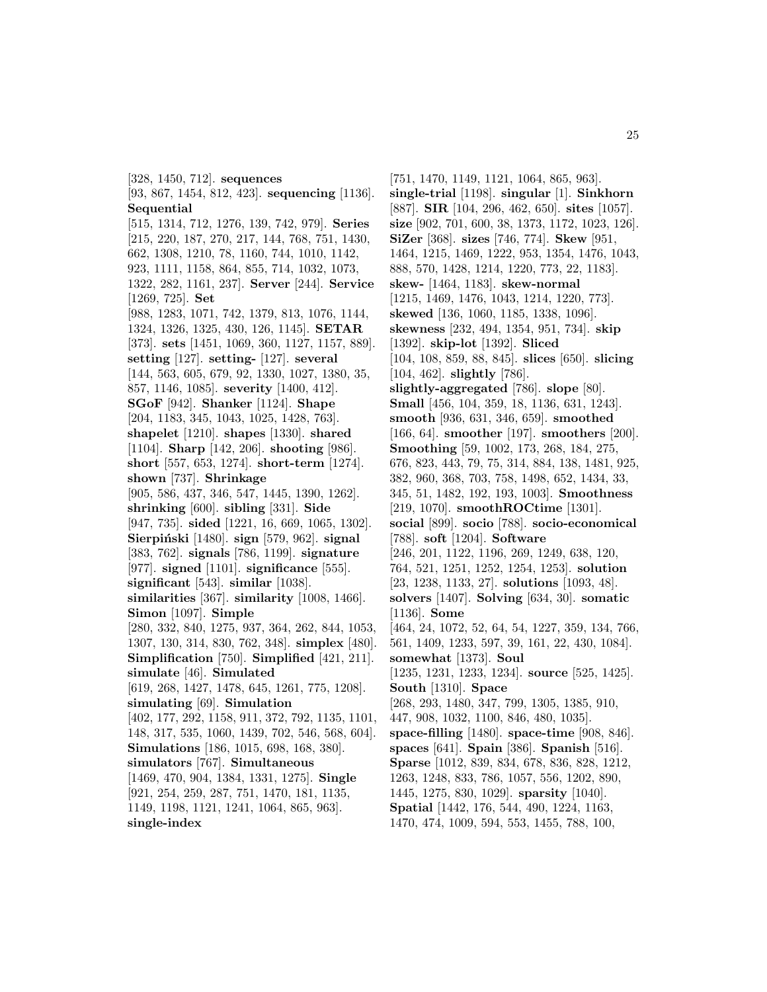[328, 1450, 712]. **sequences** [93, 867, 1454, 812, 423]. **sequencing** [1136]. **Sequential** [515, 1314, 712, 1276, 139, 742, 979]. **Series** [215, 220, 187, 270, 217, 144, 768, 751, 1430, 662, 1308, 1210, 78, 1160, 744, 1010, 1142, 923, 1111, 1158, 864, 855, 714, 1032, 1073, 1322, 282, 1161, 237]. **Server** [244]. **Service** [1269, 725]. **Set** [988, 1283, 1071, 742, 1379, 813, 1076, 1144, 1324, 1326, 1325, 430, 126, 1145]. **SETAR** [373]. **sets** [1451, 1069, 360, 1127, 1157, 889]. **setting** [127]. **setting-** [127]. **several** [144, 563, 605, 679, 92, 1330, 1027, 1380, 35, 857, 1146, 1085]. **severity** [1400, 412]. **SGoF** [942]. **Shanker** [1124]. **Shape** [204, 1183, 345, 1043, 1025, 1428, 763]. **shapelet** [1210]. **shapes** [1330]. **shared** [1104]. **Sharp** [142, 206]. **shooting** [986]. **short** [557, 653, 1274]. **short-term** [1274]. **shown** [737]. **Shrinkage** [905, 586, 437, 346, 547, 1445, 1390, 1262]. **shrinking** [600]. **sibling** [331]. **Side** [947, 735]. **sided** [1221, 16, 669, 1065, 1302]. **Sierpi´nski** [1480]. **sign** [579, 962]. **signal** [383, 762]. **signals** [786, 1199]. **signature** [977]. **signed** [1101]. **significance** [555]. **significant** [543]. **similar** [1038]. **similarities** [367]. **similarity** [1008, 1466]. **Simon** [1097]. **Simple** [280, 332, 840, 1275, 937, 364, 262, 844, 1053, 1307, 130, 314, 830, 762, 348]. **simplex** [480]. **Simplification** [750]. **Simplified** [421, 211]. **simulate** [46]. **Simulated** [619, 268, 1427, 1478, 645, 1261, 775, 1208]. **simulating** [69]. **Simulation** [402, 177, 292, 1158, 911, 372, 792, 1135, 1101, 148, 317, 535, 1060, 1439, 702, 546, 568, 604]. **Simulations** [186, 1015, 698, 168, 380]. **simulators** [767]. **Simultaneous** [1469, 470, 904, 1384, 1331, 1275]. **Single** [921, 254, 259, 287, 751, 1470, 181, 1135, 1149, 1198, 1121, 1241, 1064, 865, 963]. **single-index**

[751, 1470, 1149, 1121, 1064, 865, 963]. **single-trial** [1198]. **singular** [1]. **Sinkhorn** [887]. **SIR** [104, 296, 462, 650]. **sites** [1057]. **size** [902, 701, 600, 38, 1373, 1172, 1023, 126]. **SiZer** [368]. **sizes** [746, 774]. **Skew** [951, 1464, 1215, 1469, 1222, 953, 1354, 1476, 1043, 888, 570, 1428, 1214, 1220, 773, 22, 1183]. **skew-** [1464, 1183]. **skew-normal** [1215, 1469, 1476, 1043, 1214, 1220, 773]. **skewed** [136, 1060, 1185, 1338, 1096]. **skewness** [232, 494, 1354, 951, 734]. **skip** [1392]. **skip-lot** [1392]. **Sliced** [104, 108, 859, 88, 845]. **slices** [650]. **slicing** [104, 462]. **slightly** [786]. **slightly-aggregated** [786]. **slope** [80]. **Small** [456, 104, 359, 18, 1136, 631, 1243]. **smooth** [936, 631, 346, 659]. **smoothed** [166, 64]. **smoother** [197]. **smoothers** [200]. **Smoothing** [59, 1002, 173, 268, 184, 275, 676, 823, 443, 79, 75, 314, 884, 138, 1481, 925, 382, 960, 368, 703, 758, 1498, 652, 1434, 33, 345, 51, 1482, 192, 193, 1003]. **Smoothness** [219, 1070]. **smoothROCtime** [1301]. **social** [899]. **socio** [788]. **socio-economical** [788]. **soft** [1204]. **Software** [246, 201, 1122, 1196, 269, 1249, 638, 120, 764, 521, 1251, 1252, 1254, 1253]. **solution** [23, 1238, 1133, 27]. **solutions** [1093, 48]. **solvers** [1407]. **Solving** [634, 30]. **somatic** [1136]. **Some** [464, 24, 1072, 52, 64, 54, 1227, 359, 134, 766, 561, 1409, 1233, 597, 39, 161, 22, 430, 1084]. **somewhat** [1373]. **Soul** [1235, 1231, 1233, 1234]. **source** [525, 1425]. **South** [1310]. **Space** [268, 293, 1480, 347, 799, 1305, 1385, 910, 447, 908, 1032, 1100, 846, 480, 1035]. **space-filling** [1480]. **space-time** [908, 846]. **spaces** [641]. **Spain** [386]. **Spanish** [516]. **Sparse** [1012, 839, 834, 678, 836, 828, 1212, 1263, 1248, 833, 786, 1057, 556, 1202, 890, 1445, 1275, 830, 1029]. **sparsity** [1040]. **Spatial** [1442, 176, 544, 490, 1224, 1163, 1470, 474, 1009, 594, 553, 1455, 788, 100,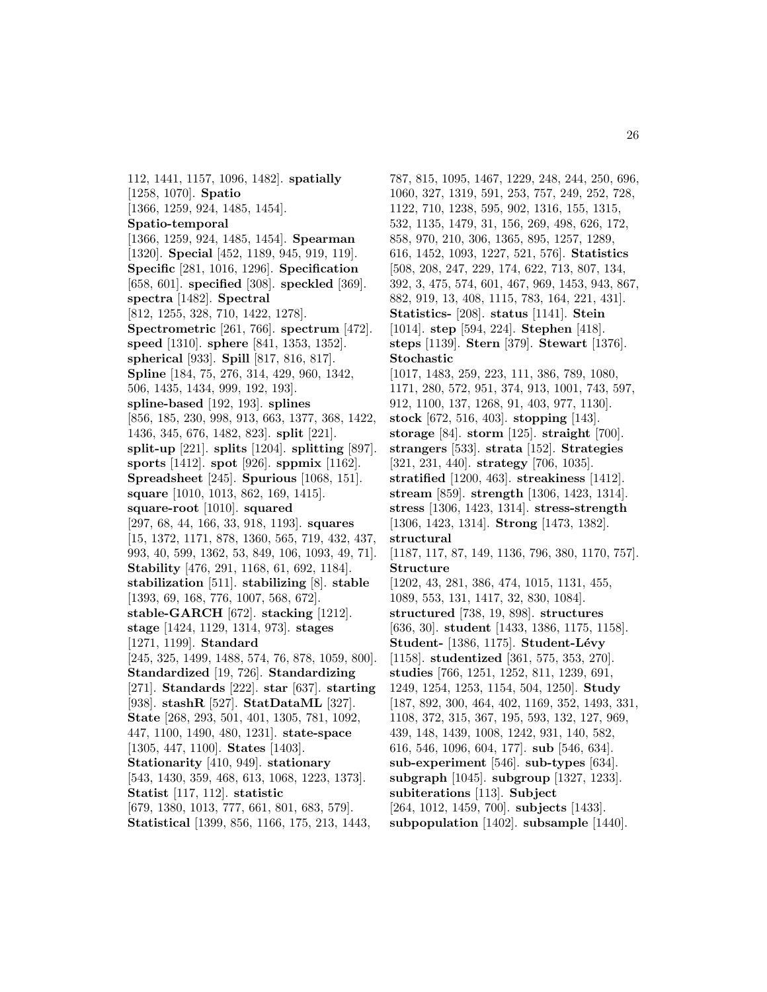112, 1441, 1157, 1096, 1482]. **spatially** [1258, 1070]. **Spatio** [1366, 1259, 924, 1485, 1454]. **Spatio-temporal** [1366, 1259, 924, 1485, 1454]. **Spearman** [1320]. **Special** [452, 1189, 945, 919, 119]. **Specific** [281, 1016, 1296]. **Specification** [658, 601]. **specified** [308]. **speckled** [369]. **spectra** [1482]. **Spectral** [812, 1255, 328, 710, 1422, 1278]. **Spectrometric** [261, 766]. **spectrum** [472]. **speed** [1310]. **sphere** [841, 1353, 1352]. **spherical** [933]. **Spill** [817, 816, 817]. **Spline** [184, 75, 276, 314, 429, 960, 1342, 506, 1435, 1434, 999, 192, 193]. **spline-based** [192, 193]. **splines** [856, 185, 230, 998, 913, 663, 1377, 368, 1422, 1436, 345, 676, 1482, 823]. **split** [221]. **split-up** [221]. **splits** [1204]. **splitting** [897]. **sports** [1412]. **spot** [926]. **sppmix** [1162]. **Spreadsheet** [245]. **Spurious** [1068, 151]. **square** [1010, 1013, 862, 169, 1415]. **square-root** [1010]. **squared** [297, 68, 44, 166, 33, 918, 1193]. **squares** [15, 1372, 1171, 878, 1360, 565, 719, 432, 437, 993, 40, 599, 1362, 53, 849, 106, 1093, 49, 71]. **Stability** [476, 291, 1168, 61, 692, 1184]. **stabilization** [511]. **stabilizing** [8]. **stable** [1393, 69, 168, 776, 1007, 568, 672]. **stable-GARCH** [672]. **stacking** [1212]. **stage** [1424, 1129, 1314, 973]. **stages** [1271, 1199]. **Standard** [245, 325, 1499, 1488, 574, 76, 878, 1059, 800]. **Standardized** [19, 726]. **Standardizing** [271]. **Standards** [222]. **star** [637]. **starting** [938]. **stashR** [527]. **StatDataML** [327]. **State** [268, 293, 501, 401, 1305, 781, 1092, 447, 1100, 1490, 480, 1231]. **state-space** [1305, 447, 1100]. **States** [1403]. **Stationarity** [410, 949]. **stationary** [543, 1430, 359, 468, 613, 1068, 1223, 1373]. **Statist** [117, 112]. **statistic** [679, 1380, 1013, 777, 661, 801, 683, 579]. **Statistical** [1399, 856, 1166, 175, 213, 1443,

787, 815, 1095, 1467, 1229, 248, 244, 250, 696, 1060, 327, 1319, 591, 253, 757, 249, 252, 728, 1122, 710, 1238, 595, 902, 1316, 155, 1315, 532, 1135, 1479, 31, 156, 269, 498, 626, 172, 858, 970, 210, 306, 1365, 895, 1257, 1289, 616, 1452, 1093, 1227, 521, 576]. **Statistics** [508, 208, 247, 229, 174, 622, 713, 807, 134, 392, 3, 475, 574, 601, 467, 969, 1453, 943, 867, 882, 919, 13, 408, 1115, 783, 164, 221, 431]. **Statistics-** [208]. **status** [1141]. **Stein** [1014]. **step** [594, 224]. **Stephen** [418]. **steps** [1139]. **Stern** [379]. **Stewart** [1376]. **Stochastic** [1017, 1483, 259, 223, 111, 386, 789, 1080, 1171, 280, 572, 951, 374, 913, 1001, 743, 597, 912, 1100, 137, 1268, 91, 403, 977, 1130]. **stock** [672, 516, 403]. **stopping** [143]. **storage** [84]. **storm** [125]. **straight** [700]. **strangers** [533]. **strata** [152]. **Strategies** [321, 231, 440]. **strategy** [706, 1035]. **stratified** [1200, 463]. **streakiness** [1412]. **stream** [859]. **strength** [1306, 1423, 1314]. **stress** [1306, 1423, 1314]. **stress-strength** [1306, 1423, 1314]. **Strong** [1473, 1382]. **structural** [1187, 117, 87, 149, 1136, 796, 380, 1170, 757]. **Structure** [1202, 43, 281, 386, 474, 1015, 1131, 455, 1089, 553, 131, 1417, 32, 830, 1084]. **structured** [738, 19, 898]. **structures** [636, 30]. **student** [1433, 1386, 1175, 1158]. **Student-** [1386, 1175]. **Student-Lévy** [1158]. **studentized** [361, 575, 353, 270]. **studies** [766, 1251, 1252, 811, 1239, 691, 1249, 1254, 1253, 1154, 504, 1250]. **Study** [187, 892, 300, 464, 402, 1169, 352, 1493, 331, 1108, 372, 315, 367, 195, 593, 132, 127, 969, 439, 148, 1439, 1008, 1242, 931, 140, 582, 616, 546, 1096, 604, 177]. **sub** [546, 634]. **sub-experiment** [546]. **sub-types** [634]. **subgraph** [1045]. **subgroup** [1327, 1233]. **subiterations** [113]. **Subject** [264, 1012, 1459, 700]. **subjects** [1433]. **subpopulation** [1402]. **subsample** [1440].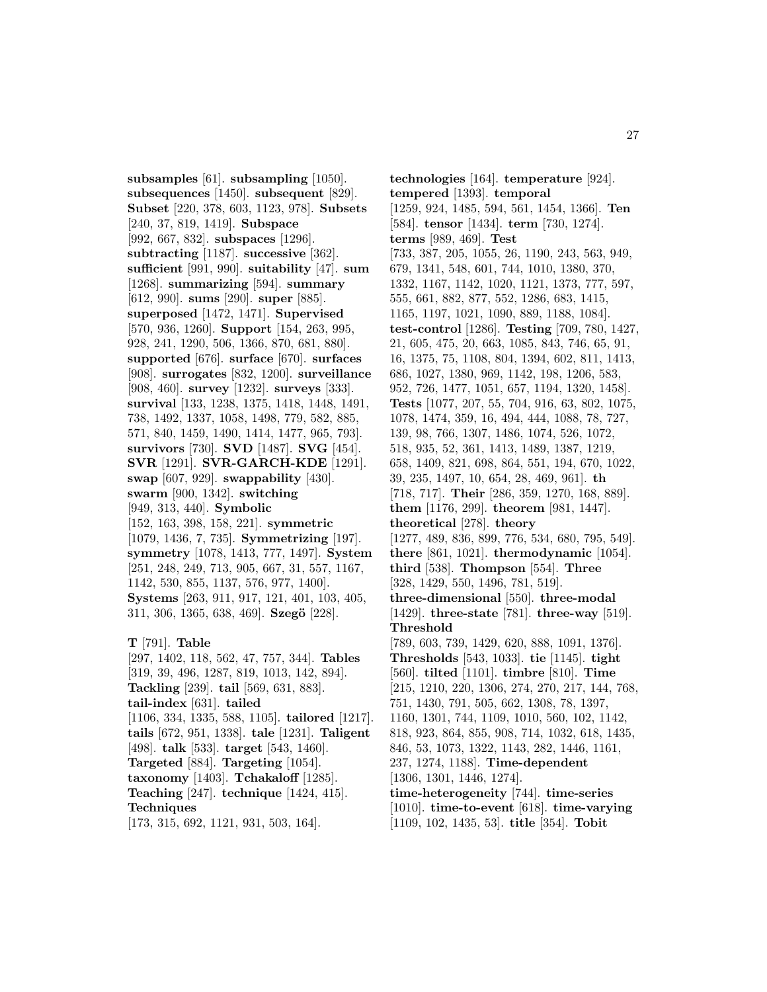**subsamples** [61]. **subsampling** [1050]. **subsequences** [1450]. **subsequent** [829]. **Subset** [220, 378, 603, 1123, 978]. **Subsets** [240, 37, 819, 1419]. **Subspace** [992, 667, 832]. **subspaces** [1296]. **subtracting** [1187]. **successive** [362]. **sufficient** [991, 990]. **suitability** [47]. **sum** [1268]. **summarizing** [594]. **summary** [612, 990]. **sums** [290]. **super** [885]. **superposed** [1472, 1471]. **Supervised** [570, 936, 1260]. **Support** [154, 263, 995, 928, 241, 1290, 506, 1366, 870, 681, 880]. **supported** [676]. **surface** [670]. **surfaces** [908]. **surrogates** [832, 1200]. **surveillance** [908, 460]. **survey** [1232]. **surveys** [333]. **survival** [133, 1238, 1375, 1418, 1448, 1491, 738, 1492, 1337, 1058, 1498, 779, 582, 885, 571, 840, 1459, 1490, 1414, 1477, 965, 793]. **survivors** [730]. **SVD** [1487]. **SVG** [454]. **SVR** [1291]. **SVR-GARCH-KDE** [1291]. **swap** [607, 929]. **swappability** [430]. **swarm** [900, 1342]. **switching** [949, 313, 440]. **Symbolic** [152, 163, 398, 158, 221]. **symmetric** [1079, 1436, 7, 735]. **Symmetrizing** [197]. **symmetry** [1078, 1413, 777, 1497]. **System** [251, 248, 249, 713, 905, 667, 31, 557, 1167, 1142, 530, 855, 1137, 576, 977, 1400]. **Systems** [263, 911, 917, 121, 401, 103, 405, 311, 306, 1365, 638, 469]. **Szegö** [228].

**T** [791]. **Table** [297, 1402, 118, 562, 47, 757, 344]. **Tables** [319, 39, 496, 1287, 819, 1013, 142, 894]. **Tackling** [239]. **tail** [569, 631, 883]. **tail-index** [631]. **tailed** [1106, 334, 1335, 588, 1105]. **tailored** [1217]. **tails** [672, 951, 1338]. **tale** [1231]. **Taligent** [498]. **talk** [533]. **target** [543, 1460]. **Targeted** [884]. **Targeting** [1054]. **taxonomy** [1403]. **Tchakaloff** [1285]. **Teaching** [247]. **technique** [1424, 415]. **Techniques** [173, 315, 692, 1121, 931, 503, 164].

**technologies** [164]. **temperature** [924]. **tempered** [1393]. **temporal** [1259, 924, 1485, 594, 561, 1454, 1366]. **Ten** [584]. **tensor** [1434]. **term** [730, 1274]. **terms** [989, 469]. **Test** [733, 387, 205, 1055, 26, 1190, 243, 563, 949, 679, 1341, 548, 601, 744, 1010, 1380, 370, 1332, 1167, 1142, 1020, 1121, 1373, 777, 597, 555, 661, 882, 877, 552, 1286, 683, 1415, 1165, 1197, 1021, 1090, 889, 1188, 1084]. **test-control** [1286]. **Testing** [709, 780, 1427, 21, 605, 475, 20, 663, 1085, 843, 746, 65, 91, 16, 1375, 75, 1108, 804, 1394, 602, 811, 1413, 686, 1027, 1380, 969, 1142, 198, 1206, 583, 952, 726, 1477, 1051, 657, 1194, 1320, 1458]. **Tests** [1077, 207, 55, 704, 916, 63, 802, 1075, 1078, 1474, 359, 16, 494, 444, 1088, 78, 727, 139, 98, 766, 1307, 1486, 1074, 526, 1072, 518, 935, 52, 361, 1413, 1489, 1387, 1219, 658, 1409, 821, 698, 864, 551, 194, 670, 1022, 39, 235, 1497, 10, 654, 28, 469, 961]. **th** [718, 717]. **Their** [286, 359, 1270, 168, 889]. **them** [1176, 299]. **theorem** [981, 1447]. **theoretical** [278]. **theory** [1277, 489, 836, 899, 776, 534, 680, 795, 549]. **there** [861, 1021]. **thermodynamic** [1054]. **third** [538]. **Thompson** [554]. **Three** [328, 1429, 550, 1496, 781, 519]. **three-dimensional** [550]. **three-modal** [1429]. **three-state** [781]. **three-way** [519]. **Threshold** [789, 603, 739, 1429, 620, 888, 1091, 1376]. **Thresholds** [543, 1033]. **tie** [1145]. **tight** [560]. **tilted** [1101]. **timbre** [810]. **Time** [215, 1210, 220, 1306, 274, 270, 217, 144, 768, 751, 1430, 791, 505, 662, 1308, 78, 1397, 1160, 1301, 744, 1109, 1010, 560, 102, 1142, 818, 923, 864, 855, 908, 714, 1032, 618, 1435, 846, 53, 1073, 1322, 1143, 282, 1446, 1161, 237, 1274, 1188]. **Time-dependent** [1306, 1301, 1446, 1274]. **time-heterogeneity** [744]. **time-series** [1010]. **time-to-event** [618]. **time-varying** [1109, 102, 1435, 53]. **title** [354]. **Tobit**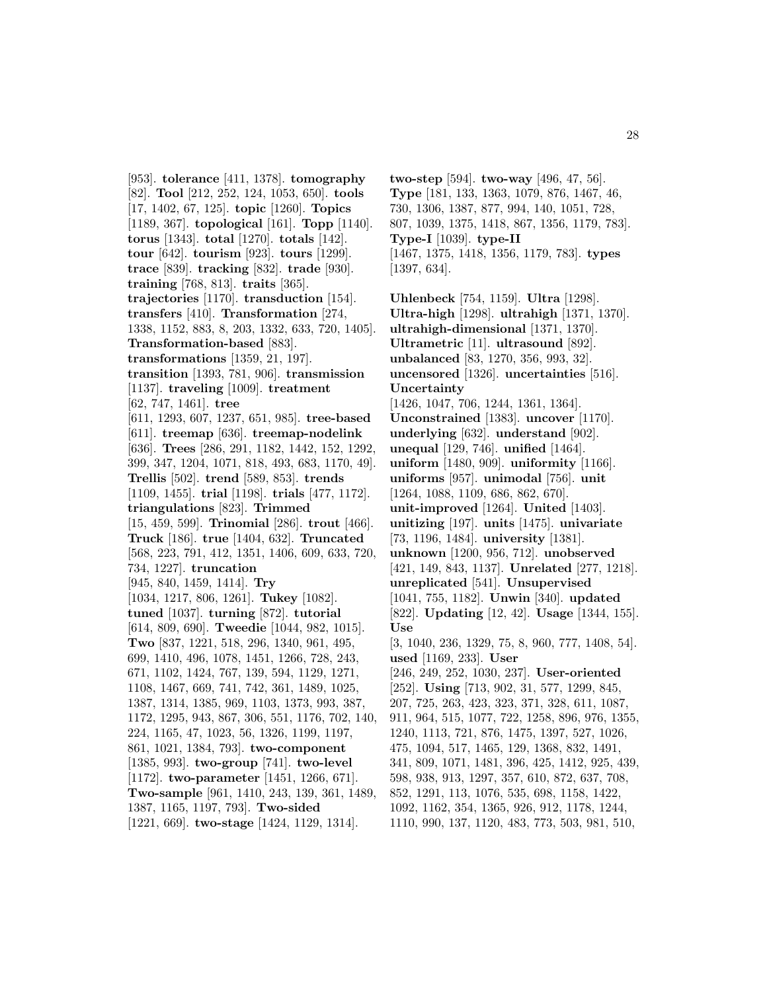[953]. **tolerance** [411, 1378]. **tomography** [82]. **Tool** [212, 252, 124, 1053, 650]. **tools** [17, 1402, 67, 125]. **topic** [1260]. **Topics** [1189, 367]. **topological** [161]. **Topp** [1140]. **torus** [1343]. **total** [1270]. **totals** [142]. **tour** [642]. **tourism** [923]. **tours** [1299]. **trace** [839]. **tracking** [832]. **trade** [930]. **training** [768, 813]. **traits** [365]. **trajectories** [1170]. **transduction** [154]. **transfers** [410]. **Transformation** [274, 1338, 1152, 883, 8, 203, 1332, 633, 720, 1405]. **Transformation-based** [883]. **transformations** [1359, 21, 197]. **transition** [1393, 781, 906]. **transmission** [1137]. **traveling** [1009]. **treatment** [62, 747, 1461]. **tree** [611, 1293, 607, 1237, 651, 985]. **tree-based** [611]. **treemap** [636]. **treemap-nodelink** [636]. **Trees** [286, 291, 1182, 1442, 152, 1292, 399, 347, 1204, 1071, 818, 493, 683, 1170, 49]. **Trellis** [502]. **trend** [589, 853]. **trends** [1109, 1455]. **trial** [1198]. **trials** [477, 1172]. **triangulations** [823]. **Trimmed** [15, 459, 599]. **Trinomial** [286]. **trout** [466]. **Truck** [186]. **true** [1404, 632]. **Truncated** [568, 223, 791, 412, 1351, 1406, 609, 633, 720, 734, 1227]. **truncation** [945, 840, 1459, 1414]. **Try** [1034, 1217, 806, 1261]. **Tukey** [1082]. **tuned** [1037]. **turning** [872]. **tutorial** [614, 809, 690]. **Tweedie** [1044, 982, 1015]. **Two** [837, 1221, 518, 296, 1340, 961, 495, 699, 1410, 496, 1078, 1451, 1266, 728, 243, 671, 1102, 1424, 767, 139, 594, 1129, 1271, 1108, 1467, 669, 741, 742, 361, 1489, 1025, 1387, 1314, 1385, 969, 1103, 1373, 993, 387, 1172, 1295, 943, 867, 306, 551, 1176, 702, 140, 224, 1165, 47, 1023, 56, 1326, 1199, 1197, 861, 1021, 1384, 793]. **two-component** [1385, 993]. **two-group** [741]. **two-level** [1172]. **two-parameter** [1451, 1266, 671]. **Two-sample** [961, 1410, 243, 139, 361, 1489, 1387, 1165, 1197, 793]. **Two-sided** [1221, 669]. **two-stage** [1424, 1129, 1314].

**two-step** [594]. **two-way** [496, 47, 56]. **Type** [181, 133, 1363, 1079, 876, 1467, 46, 730, 1306, 1387, 877, 994, 140, 1051, 728, 807, 1039, 1375, 1418, 867, 1356, 1179, 783]. **Type-I** [1039]. **type-II** [1467, 1375, 1418, 1356, 1179, 783]. **types** [1397, 634].

**Uhlenbeck** [754, 1159]. **Ultra** [1298]. **Ultra-high** [1298]. **ultrahigh** [1371, 1370]. **ultrahigh-dimensional** [1371, 1370]. **Ultrametric** [11]. **ultrasound** [892]. **unbalanced** [83, 1270, 356, 993, 32]. **uncensored** [1326]. **uncertainties** [516]. **Uncertainty** [1426, 1047, 706, 1244, 1361, 1364]. **Unconstrained** [1383]. **uncover** [1170]. **underlying** [632]. **understand** [902]. **unequal** [129, 746]. **unified** [1464]. **uniform** [1480, 909]. **uniformity** [1166]. **uniforms** [957]. **unimodal** [756]. **unit** [1264, 1088, 1109, 686, 862, 670]. **unit-improved** [1264]. **United** [1403]. **unitizing** [197]. **units** [1475]. **univariate** [73, 1196, 1484]. **university** [1381]. **unknown** [1200, 956, 712]. **unobserved** [421, 149, 843, 1137]. **Unrelated** [277, 1218]. **unreplicated** [541]. **Unsupervised** [1041, 755, 1182]. **Unwin** [340]. **updated** [822]. **Updating** [12, 42]. **Usage** [1344, 155]. **Use** [3, 1040, 236, 1329, 75, 8, 960, 777, 1408, 54]. **used** [1169, 233]. **User** [246, 249, 252, 1030, 237]. **User-oriented** [252]. **Using** [713, 902, 31, 577, 1299, 845, 207, 725, 263, 423, 323, 371, 328, 611, 1087, 911, 964, 515, 1077, 722, 1258, 896, 976, 1355, 1240, 1113, 721, 876, 1475, 1397, 527, 1026, 475, 1094, 517, 1465, 129, 1368, 832, 1491, 341, 809, 1071, 1481, 396, 425, 1412, 925, 439, 598, 938, 913, 1297, 357, 610, 872, 637, 708, 852, 1291, 113, 1076, 535, 698, 1158, 1422, 1092, 1162, 354, 1365, 926, 912, 1178, 1244, 1110, 990, 137, 1120, 483, 773, 503, 981, 510,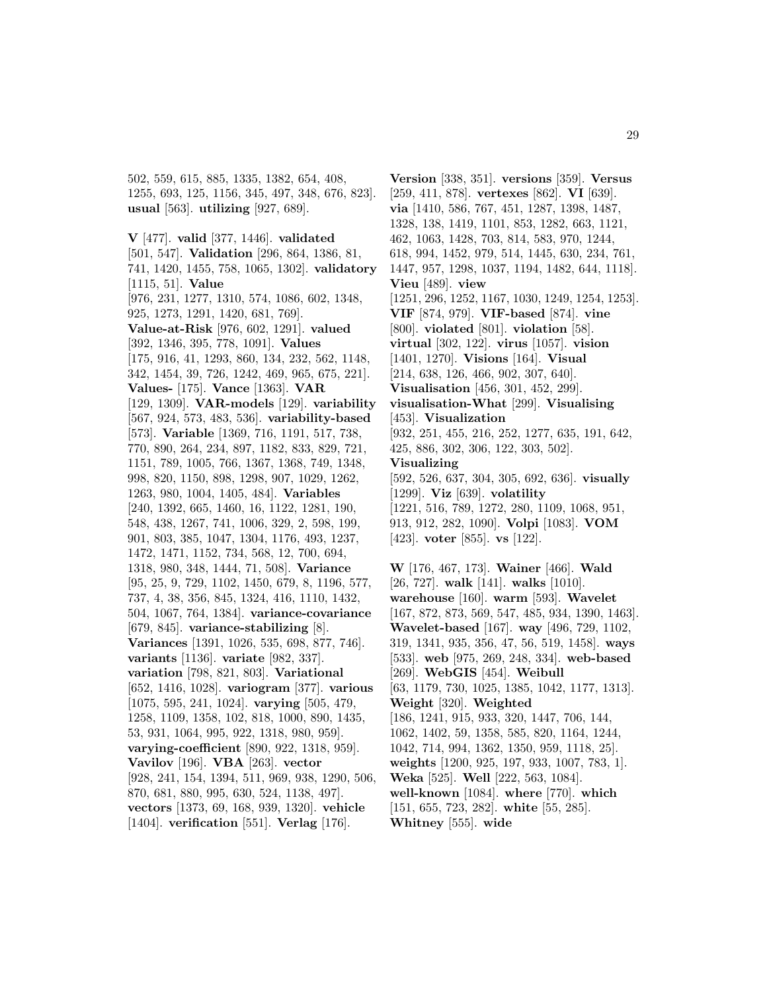502, 559, 615, 885, 1335, 1382, 654, 408, 1255, 693, 125, 1156, 345, 497, 348, 676, 823]. **usual** [563]. **utilizing** [927, 689].

**V** [477]. **valid** [377, 1446]. **validated** [501, 547]. **Validation** [296, 864, 1386, 81, 741, 1420, 1455, 758, 1065, 1302]. **validatory** [1115, 51]. **Value** [976, 231, 1277, 1310, 574, 1086, 602, 1348, 925, 1273, 1291, 1420, 681, 769]. **Value-at-Risk** [976, 602, 1291]. **valued** [392, 1346, 395, 778, 1091]. **Values** [175, 916, 41, 1293, 860, 134, 232, 562, 1148, 342, 1454, 39, 726, 1242, 469, 965, 675, 221]. **Values-** [175]. **Vance** [1363]. **VAR** [129, 1309]. **VAR-models** [129]. **variability** [567, 924, 573, 483, 536]. **variability-based** [573]. **Variable** [1369, 716, 1191, 517, 738, 770, 890, 264, 234, 897, 1182, 833, 829, 721, 1151, 789, 1005, 766, 1367, 1368, 749, 1348, 998, 820, 1150, 898, 1298, 907, 1029, 1262, 1263, 980, 1004, 1405, 484]. **Variables** [240, 1392, 665, 1460, 16, 1122, 1281, 190, 548, 438, 1267, 741, 1006, 329, 2, 598, 199, 901, 803, 385, 1047, 1304, 1176, 493, 1237, 1472, 1471, 1152, 734, 568, 12, 700, 694, 1318, 980, 348, 1444, 71, 508]. **Variance** [95, 25, 9, 729, 1102, 1450, 679, 8, 1196, 577, 737, 4, 38, 356, 845, 1324, 416, 1110, 1432, 504, 1067, 764, 1384]. **variance-covariance** [679, 845]. **variance-stabilizing** [8]. **Variances** [1391, 1026, 535, 698, 877, 746]. **variants** [1136]. **variate** [982, 337]. **variation** [798, 821, 803]. **Variational** [652, 1416, 1028]. **variogram** [377]. **various** [1075, 595, 241, 1024]. **varying** [505, 479, 1258, 1109, 1358, 102, 818, 1000, 890, 1435, 53, 931, 1064, 995, 922, 1318, 980, 959]. **varying-coefficient** [890, 922, 1318, 959]. **Vavilov** [196]. **VBA** [263]. **vector** [928, 241, 154, 1394, 511, 969, 938, 1290, 506, 870, 681, 880, 995, 630, 524, 1138, 497]. **vectors** [1373, 69, 168, 939, 1320]. **vehicle** [1404]. **verification** [551]. **Verlag** [176].

**Version** [338, 351]. **versions** [359]. **Versus** [259, 411, 878]. **vertexes** [862]. **VI** [639]. **via** [1410, 586, 767, 451, 1287, 1398, 1487, 1328, 138, 1419, 1101, 853, 1282, 663, 1121, 462, 1063, 1428, 703, 814, 583, 970, 1244, 618, 994, 1452, 979, 514, 1445, 630, 234, 761, 1447, 957, 1298, 1037, 1194, 1482, 644, 1118]. **Vieu** [489]. **view** [1251, 296, 1252, 1167, 1030, 1249, 1254, 1253]. **VIF** [874, 979]. **VIF-based** [874]. **vine** [800]. **violated** [801]. **violation** [58]. **virtual** [302, 122]. **virus** [1057]. **vision** [1401, 1270]. **Visions** [164]. **Visual** [214, 638, 126, 466, 902, 307, 640]. **Visualisation** [456, 301, 452, 299]. **visualisation-What** [299]. **Visualising** [453]. **Visualization** [932, 251, 455, 216, 252, 1277, 635, 191, 642, 425, 886, 302, 306, 122, 303, 502]. **Visualizing** [592, 526, 637, 304, 305, 692, 636]. **visually** [1299]. **Viz** [639]. **volatility** [1221, 516, 789, 1272, 280, 1109, 1068, 951, 913, 912, 282, 1090]. **Volpi** [1083]. **VOM** [423]. **voter** [855]. **vs** [122].

**W** [176, 467, 173]. **Wainer** [466]. **Wald** [26, 727]. **walk** [141]. **walks** [1010]. **warehouse** [160]. **warm** [593]. **Wavelet** [167, 872, 873, 569, 547, 485, 934, 1390, 1463]. **Wavelet-based** [167]. **way** [496, 729, 1102, 319, 1341, 935, 356, 47, 56, 519, 1458]. **ways** [533]. **web** [975, 269, 248, 334]. **web-based** [269]. **WebGIS** [454]. **Weibull** [63, 1179, 730, 1025, 1385, 1042, 1177, 1313]. **Weight** [320]. **Weighted** [186, 1241, 915, 933, 320, 1447, 706, 144, 1062, 1402, 59, 1358, 585, 820, 1164, 1244, 1042, 714, 994, 1362, 1350, 959, 1118, 25]. **weights** [1200, 925, 197, 933, 1007, 783, 1]. **Weka** [525]. **Well** [222, 563, 1084]. **well-known** [1084]. **where** [770]. **which** [151, 655, 723, 282]. **white** [55, 285]. **Whitney** [555]. **wide**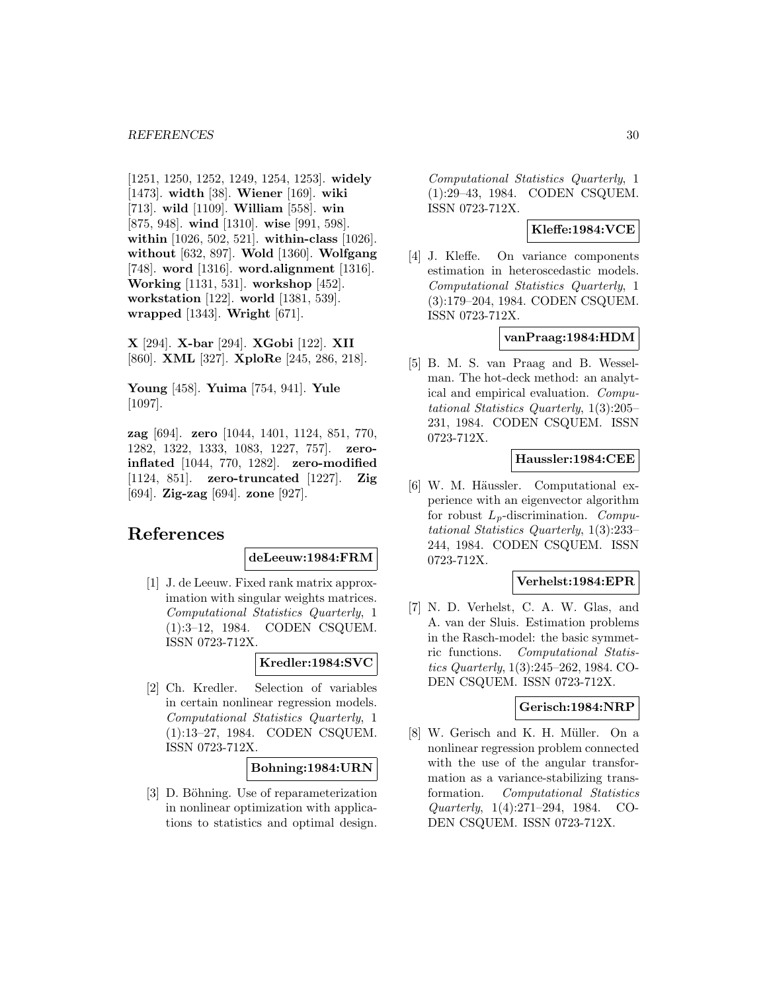[1251, 1250, 1252, 1249, 1254, 1253]. **widely** [1473]. **width** [38]. **Wiener** [169]. **wiki** [713]. **wild** [1109]. **William** [558]. **win** [875, 948]. **wind** [1310]. **wise** [991, 598]. **within** [1026, 502, 521]. **within-class** [1026]. **without** [632, 897]. **Wold** [1360]. **Wolfgang** [748]. **word** [1316]. **word.alignment** [1316]. **Working** [1131, 531]. **workshop** [452]. **workstation** [122]. **world** [1381, 539]. **wrapped** [1343]. **Wright** [671].

**X** [294]. **X-bar** [294]. **XGobi** [122]. **XII** [860]. **XML** [327]. **XploRe** [245, 286, 218].

**Young** [458]. **Yuima** [754, 941]. **Yule** [1097].

**zag** [694]. **zero** [1044, 1401, 1124, 851, 770, 1282, 1322, 1333, 1083, 1227, 757]. **zeroinflated** [1044, 770, 1282]. **zero-modified** [1124, 851]. **zero-truncated** [1227]. **Zig** [694]. **Zig-zag** [694]. **zone** [927].

# **References**

#### **deLeeuw:1984:FRM**

[1] J. de Leeuw. Fixed rank matrix approximation with singular weights matrices. Computational Statistics Quarterly, 1 (1):3–12, 1984. CODEN CSQUEM. ISSN 0723-712X.

#### **Kredler:1984:SVC**

[2] Ch. Kredler. Selection of variables in certain nonlinear regression models. Computational Statistics Quarterly, 1 (1):13–27, 1984. CODEN CSQUEM. ISSN 0723-712X.

### **Bohning:1984:URN**

[3] D. Böhning. Use of reparameterization in nonlinear optimization with applications to statistics and optimal design.

Computational Statistics Quarterly, 1 (1):29–43, 1984. CODEN CSQUEM. ISSN 0723-712X.

# **Kleffe:1984:VCE**

[4] J. Kleffe. On variance components estimation in heteroscedastic models. Computational Statistics Quarterly, 1 (3):179–204, 1984. CODEN CSQUEM. ISSN 0723-712X.

#### **vanPraag:1984:HDM**

[5] B. M. S. van Praag and B. Wesselman. The hot-deck method: an analytical and empirical evaluation. Computational Statistics Quarterly, 1(3):205– 231, 1984. CODEN CSQUEM. ISSN 0723-712X.

# **Haussler:1984:CEE**

[6] W. M. Häussler. Computational experience with an eigenvector algorithm for robust  $L_p$ -discrimination. Computational Statistics Quarterly, 1(3):233– 244, 1984. CODEN CSQUEM. ISSN 0723-712X.

#### **Verhelst:1984:EPR**

[7] N. D. Verhelst, C. A. W. Glas, and A. van der Sluis. Estimation problems in the Rasch-model: the basic symmetric functions. Computational Statistics Quarterly, 1(3):245–262, 1984. CO-DEN CSQUEM. ISSN 0723-712X.

#### **Gerisch:1984:NRP**

[8] W. Gerisch and K. H. Müller. On a nonlinear regression problem connected with the use of the angular transformation as a variance-stabilizing transformation. Computational Statistics Quarterly, 1(4):271–294, 1984. CO-DEN CSQUEM. ISSN 0723-712X.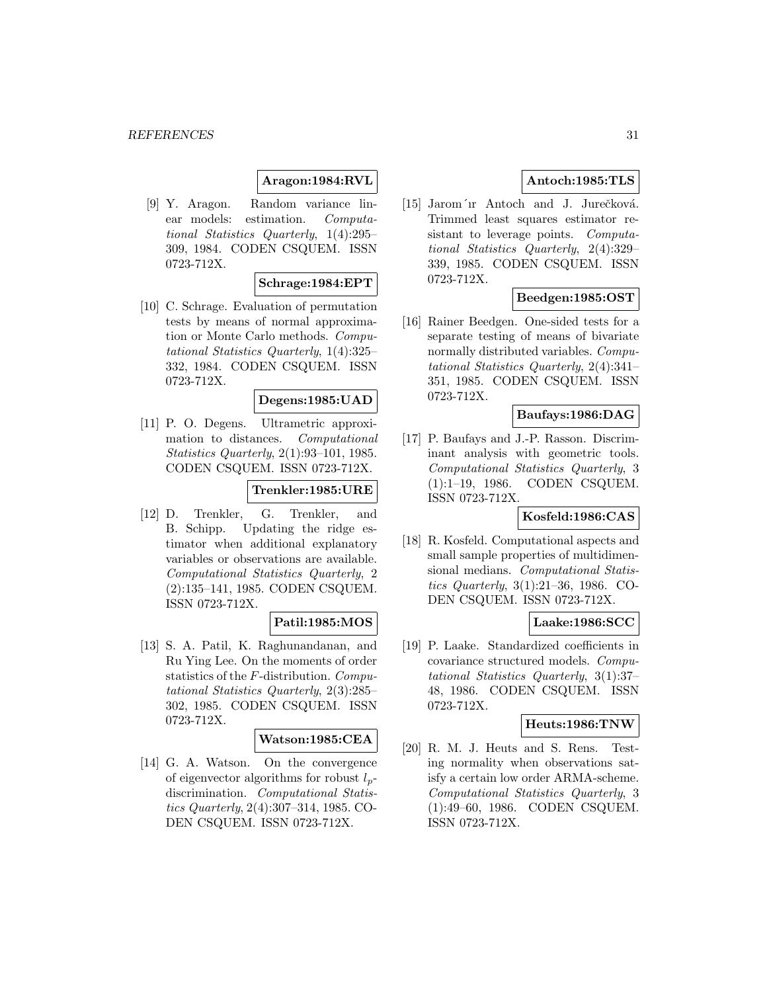# **Aragon:1984:RVL**

[9] Y. Aragon. Random variance linear models: estimation. Computational Statistics Quarterly, 1(4):295– 309, 1984. CODEN CSQUEM. ISSN 0723-712X.

#### **Schrage:1984:EPT**

[10] C. Schrage. Evaluation of permutation tests by means of normal approximation or Monte Carlo methods. Computational Statistics Quarterly, 1(4):325– 332, 1984. CODEN CSQUEM. ISSN 0723-712X.

#### **Degens:1985:UAD**

[11] P. O. Degens. Ultrametric approximation to distances. Computational Statistics Quarterly, 2(1):93–101, 1985. CODEN CSQUEM. ISSN 0723-712X.

#### **Trenkler:1985:URE**

[12] D. Trenkler, G. Trenkler, and B. Schipp. Updating the ridge estimator when additional explanatory variables or observations are available. Computational Statistics Quarterly, 2 (2):135–141, 1985. CODEN CSQUEM. ISSN 0723-712X.

#### **Patil:1985:MOS**

[13] S. A. Patil, K. Raghunandanan, and Ru Ying Lee. On the moments of order statistics of the F-distribution. Computational Statistics Quarterly, 2(3):285– 302, 1985. CODEN CSQUEM. ISSN 0723-712X.

#### **Watson:1985:CEA**

[14] G. A. Watson. On the convergence of eigenvector algorithms for robust  $l_p$ discrimination. Computational Statistics Quarterly, 2(4):307–314, 1985. CO-DEN CSQUEM. ISSN 0723-712X.

# **Antoch:1985:TLS**

[15] Jarom´ır Antoch and J. Jurečková. Trimmed least squares estimator resistant to leverage points. Computational Statistics Quarterly, 2(4):329– 339, 1985. CODEN CSQUEM. ISSN 0723-712X.

### **Beedgen:1985:OST**

[16] Rainer Beedgen. One-sided tests for a separate testing of means of bivariate normally distributed variables. Computational Statistics Quarterly, 2(4):341– 351, 1985. CODEN CSQUEM. ISSN 0723-712X.

# **Baufays:1986:DAG**

[17] P. Baufays and J.-P. Rasson. Discriminant analysis with geometric tools. Computational Statistics Quarterly, 3 (1):1–19, 1986. CODEN CSQUEM. ISSN 0723-712X.

# **Kosfeld:1986:CAS**

[18] R. Kosfeld. Computational aspects and small sample properties of multidimensional medians. Computational Statistics Quarterly, 3(1):21–36, 1986. CO-DEN CSQUEM. ISSN 0723-712X.

#### **Laake:1986:SCC**

[19] P. Laake. Standardized coefficients in covariance structured models. Computational Statistics Quarterly, 3(1):37– 48, 1986. CODEN CSQUEM. ISSN 0723-712X.

# **Heuts:1986:TNW**

[20] R. M. J. Heuts and S. Rens. Testing normality when observations satisfy a certain low order ARMA-scheme. Computational Statistics Quarterly, 3 (1):49–60, 1986. CODEN CSQUEM. ISSN 0723-712X.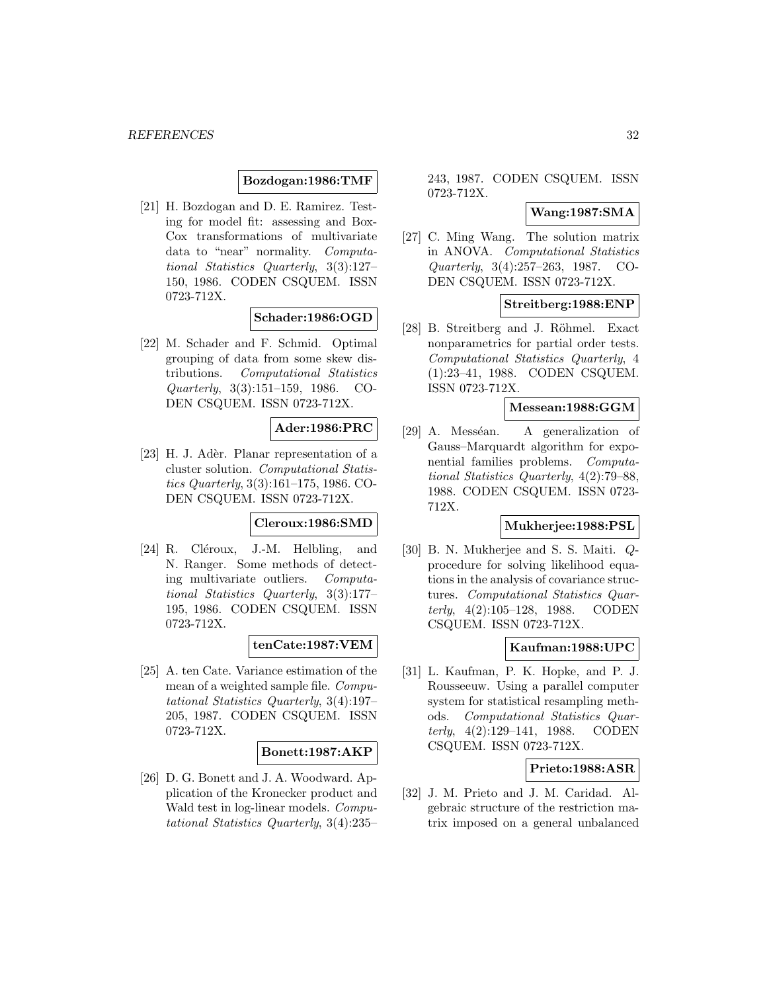#### **Bozdogan:1986:TMF**

[21] H. Bozdogan and D. E. Ramirez. Testing for model fit: assessing and Box-Cox transformations of multivariate data to "near" normality. Computational Statistics Quarterly, 3(3):127– 150, 1986. CODEN CSQUEM. ISSN 0723-712X.

### **Schader:1986:OGD**

[22] M. Schader and F. Schmid. Optimal grouping of data from some skew distributions. Computational Statistics Quarterly, 3(3):151–159, 1986. CO-DEN CSQUEM. ISSN 0723-712X.

### **Ader:1986:PRC**

[23] H. J. Adèr. Planar representation of a cluster solution. Computational Statistics Quarterly, 3(3):161–175, 1986. CO-DEN CSQUEM. ISSN 0723-712X.

#### **Cleroux:1986:SMD**

[24] R. Cléroux, J.-M. Helbling, and N. Ranger. Some methods of detecting multivariate outliers. Computational Statistics Quarterly, 3(3):177– 195, 1986. CODEN CSQUEM. ISSN 0723-712X.

#### **tenCate:1987:VEM**

[25] A. ten Cate. Variance estimation of the mean of a weighted sample file. Computational Statistics Quarterly, 3(4):197– 205, 1987. CODEN CSQUEM. ISSN 0723-712X.

#### **Bonett:1987:AKP**

[26] D. G. Bonett and J. A. Woodward. Application of the Kronecker product and Wald test in log-linear models. Computational Statistics Quarterly, 3(4):235–

243, 1987. CODEN CSQUEM. ISSN 0723-712X.

#### **Wang:1987:SMA**

[27] C. Ming Wang. The solution matrix in ANOVA. Computational Statistics Quarterly, 3(4):257–263, 1987. CO-DEN CSQUEM. ISSN 0723-712X.

#### **Streitberg:1988:ENP**

[28] B. Streitberg and J. Röhmel. Exact nonparametrics for partial order tests. Computational Statistics Quarterly, 4 (1):23–41, 1988. CODEN CSQUEM. ISSN 0723-712X.

# **Messean:1988:GGM**

[29] A. Messéan. A generalization of Gauss–Marquardt algorithm for exponential families problems. Computational Statistics Quarterly, 4(2):79–88, 1988. CODEN CSQUEM. ISSN 0723- 712X.

#### **Mukherjee:1988:PSL**

[30] B. N. Mukherjee and S. S. Maiti. Qprocedure for solving likelihood equations in the analysis of covariance structures. Computational Statistics Quarterly, 4(2):105–128, 1988. CODEN CSQUEM. ISSN 0723-712X.

#### **Kaufman:1988:UPC**

[31] L. Kaufman, P. K. Hopke, and P. J. Rousseeuw. Using a parallel computer system for statistical resampling methods. Computational Statistics Quarterly, 4(2):129–141, 1988. CODEN CSQUEM. ISSN 0723-712X.

#### **Prieto:1988:ASR**

[32] J. M. Prieto and J. M. Caridad. Algebraic structure of the restriction matrix imposed on a general unbalanced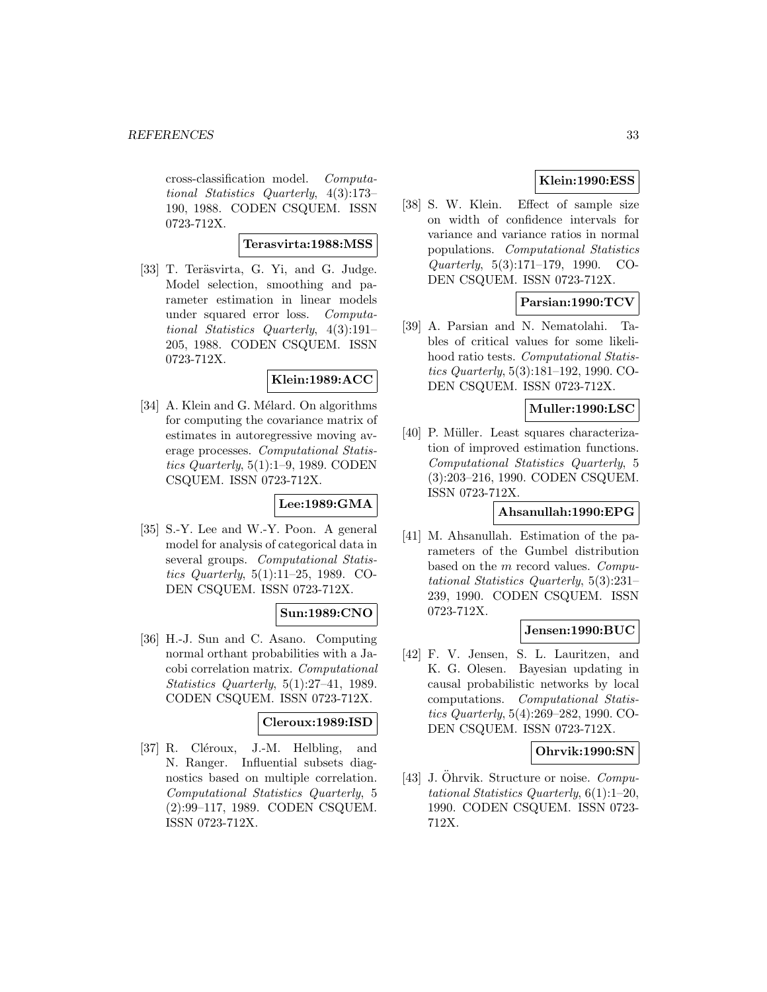cross-classification model. Computational Statistics Quarterly, 4(3):173– 190, 1988. CODEN CSQUEM. ISSN 0723-712X.

#### **Terasvirta:1988:MSS**

[33] T. Teräsvirta, G. Yi, and G. Judge. Model selection, smoothing and parameter estimation in linear models under squared error loss. Computational Statistics Quarterly, 4(3):191– 205, 1988. CODEN CSQUEM. ISSN 0723-712X.

#### **Klein:1989:ACC**

[34] A. Klein and G. Mélard. On algorithms for computing the covariance matrix of estimates in autoregressive moving average processes. Computational Statistics Quarterly, 5(1):1–9, 1989. CODEN CSQUEM. ISSN 0723-712X.

### **Lee:1989:GMA**

[35] S.-Y. Lee and W.-Y. Poon. A general model for analysis of categorical data in several groups. Computational Statistics Quarterly, 5(1):11–25, 1989. CO-DEN CSQUEM. ISSN 0723-712X.

# **Sun:1989:CNO**

[36] H.-J. Sun and C. Asano. Computing normal orthant probabilities with a Jacobi correlation matrix. Computational Statistics Quarterly, 5(1):27–41, 1989. CODEN CSQUEM. ISSN 0723-712X.

# **Cleroux:1989:ISD**

[37] R. Cléroux, J.-M. Helbling, and N. Ranger. Influential subsets diagnostics based on multiple correlation. Computational Statistics Quarterly, 5 (2):99–117, 1989. CODEN CSQUEM. ISSN 0723-712X.

# **Klein:1990:ESS**

[38] S. W. Klein. Effect of sample size on width of confidence intervals for variance and variance ratios in normal populations. Computational Statistics Quarterly, 5(3):171–179, 1990. CO-DEN CSQUEM. ISSN 0723-712X.

# **Parsian:1990:TCV**

[39] A. Parsian and N. Nematolahi. Tables of critical values for some likelihood ratio tests. Computational Statistics Quarterly, 5(3):181–192, 1990. CO-DEN CSQUEM. ISSN 0723-712X.

#### **Muller:1990:LSC**

[40] P. Müller. Least squares characterization of improved estimation functions. Computational Statistics Quarterly, 5 (3):203–216, 1990. CODEN CSQUEM. ISSN 0723-712X.

#### **Ahsanullah:1990:EPG**

[41] M. Ahsanullah. Estimation of the parameters of the Gumbel distribution based on the m record values. Computational Statistics Quarterly, 5(3):231– 239, 1990. CODEN CSQUEM. ISSN 0723-712X.

#### **Jensen:1990:BUC**

[42] F. V. Jensen, S. L. Lauritzen, and K. G. Olesen. Bayesian updating in causal probabilistic networks by local computations. Computational Statistics Quarterly, 5(4):269–282, 1990. CO-DEN CSQUEM. ISSN 0723-712X.

#### **Ohrvik:1990:SN**

[43] J. Öhrvik. Structure or noise.  $Compu$ tational Statistics Quarterly, 6(1):1–20, 1990. CODEN CSQUEM. ISSN 0723- 712X.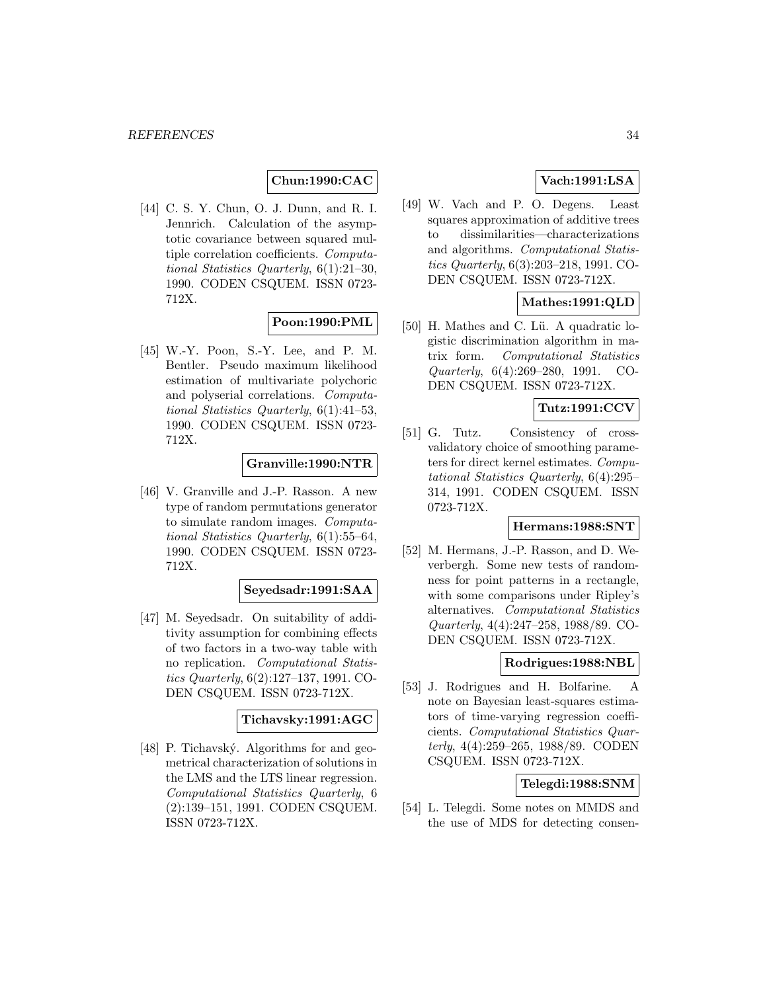# **Chun:1990:CAC**

[44] C. S. Y. Chun, O. J. Dunn, and R. I. Jennrich. Calculation of the asymptotic covariance between squared multiple correlation coefficients. Computational Statistics Quarterly, 6(1):21–30, 1990. CODEN CSQUEM. ISSN 0723- 712X.

# **Poon:1990:PML**

[45] W.-Y. Poon, S.-Y. Lee, and P. M. Bentler. Pseudo maximum likelihood estimation of multivariate polychoric and polyserial correlations. Computational Statistics Quarterly, 6(1):41–53, 1990. CODEN CSQUEM. ISSN 0723- 712X.

### **Granville:1990:NTR**

[46] V. Granville and J.-P. Rasson. A new type of random permutations generator to simulate random images. Computational Statistics Quarterly, 6(1):55–64, 1990. CODEN CSQUEM. ISSN 0723- 712X.

#### **Seyedsadr:1991:SAA**

[47] M. Seyedsadr. On suitability of additivity assumption for combining effects of two factors in a two-way table with no replication. Computational Statistics Quarterly, 6(2):127–137, 1991. CO-DEN CSQUEM. ISSN 0723-712X.

### **Tichavsky:1991:AGC**

[48] P. Tichavský. Algorithms for and geometrical characterization of solutions in the LMS and the LTS linear regression. Computational Statistics Quarterly, 6 (2):139–151, 1991. CODEN CSQUEM. ISSN 0723-712X.

# **Vach:1991:LSA**

[49] W. Vach and P. O. Degens. Least squares approximation of additive trees to dissimilarities—characterizations and algorithms. Computational Statistics Quarterly, 6(3):203–218, 1991. CO-DEN CSQUEM. ISSN 0723-712X.

# **Mathes:1991:QLD**

[50] H. Mathes and C. Lü. A quadratic logistic discrimination algorithm in matrix form. Computational Statistics Quarterly, 6(4):269–280, 1991. CO-DEN CSQUEM. ISSN 0723-712X.

### **Tutz:1991:CCV**

[51] G. Tutz. Consistency of crossvalidatory choice of smoothing parameters for direct kernel estimates. Computational Statistics Quarterly, 6(4):295– 314, 1991. CODEN CSQUEM. ISSN 0723-712X.

### **Hermans:1988:SNT**

[52] M. Hermans, J.-P. Rasson, and D. Weverbergh. Some new tests of randomness for point patterns in a rectangle, with some comparisons under Ripley's alternatives. Computational Statistics Quarterly, 4(4):247–258, 1988/89. CO-DEN CSQUEM. ISSN 0723-712X.

### **Rodrigues:1988:NBL**

[53] J. Rodrigues and H. Bolfarine. A note on Bayesian least-squares estimators of time-varying regression coefficients. Computational Statistics Quarterly, 4(4):259–265, 1988/89. CODEN CSQUEM. ISSN 0723-712X.

# **Telegdi:1988:SNM**

[54] L. Telegdi. Some notes on MMDS and the use of MDS for detecting consen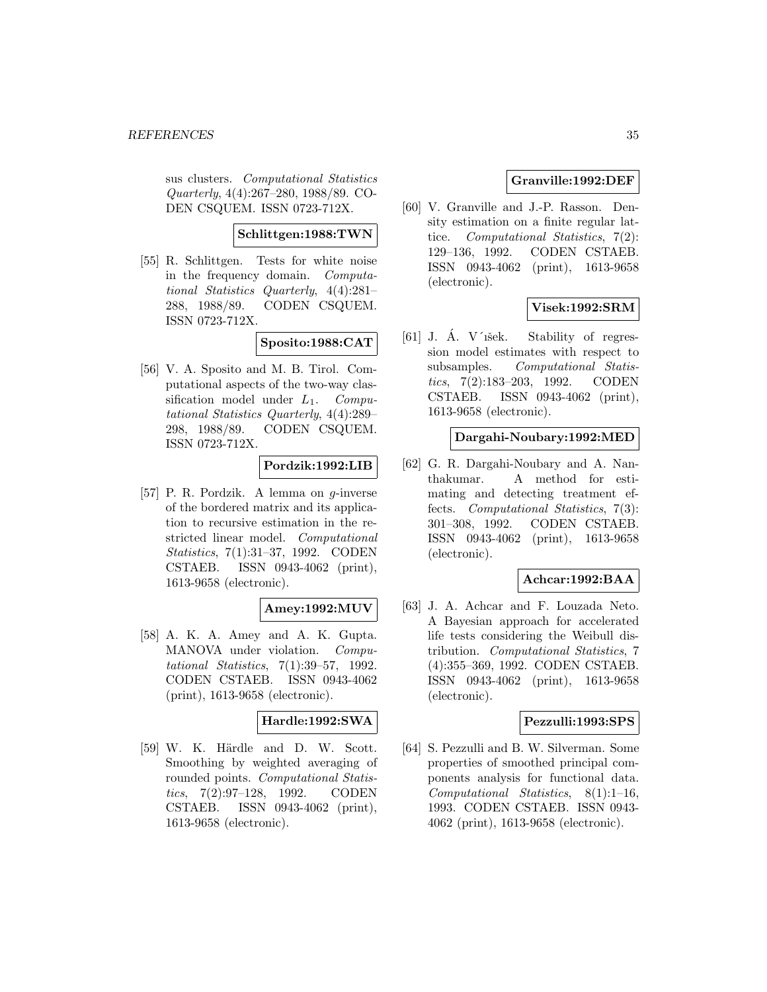sus clusters. Computational Statistics Quarterly, 4(4):267–280, 1988/89. CO-DEN CSQUEM. ISSN 0723-712X.

### **Schlittgen:1988:TWN**

[55] R. Schlittgen. Tests for white noise in the frequency domain. Computational Statistics Quarterly, 4(4):281– 288, 1988/89. CODEN CSQUEM. ISSN 0723-712X.

# **Sposito:1988:CAT**

[56] V. A. Sposito and M. B. Tirol. Computational aspects of the two-way classification model under  $L_1$ . Computational Statistics Quarterly, 4(4):289– 298, 1988/89. CODEN CSQUEM. ISSN 0723-712X.

# **Pordzik:1992:LIB**

[57] P. R. Pordzik. A lemma on g-inverse of the bordered matrix and its application to recursive estimation in the restricted linear model. Computational Statistics, 7(1):31–37, 1992. CODEN CSTAEB. ISSN 0943-4062 (print), 1613-9658 (electronic).

### **Amey:1992:MUV**

[58] A. K. A. Amey and A. K. Gupta. MANOVA under violation. Computational Statistics, 7(1):39–57, 1992. CODEN CSTAEB. ISSN 0943-4062 (print), 1613-9658 (electronic).

### **Hardle:1992:SWA**

[59] W. K. Härdle and D. W. Scott. Smoothing by weighted averaging of rounded points. Computational Statistics, 7(2):97–128, 1992. CODEN CSTAEB. ISSN 0943-4062 (print), 1613-9658 (electronic).

# **Granville:1992:DEF**

[60] V. Granville and J.-P. Rasson. Density estimation on a finite regular lattice. Computational Statistics, 7(2): 129–136, 1992. CODEN CSTAEB. ISSN 0943-4062 (print), 1613-9658 (electronic).

# **Visek:1992:SRM**

[61] J. A. V'išek. Stability of regression model estimates with respect to subsamples. Computational Statistics, 7(2):183–203, 1992. CODEN CSTAEB. ISSN 0943-4062 (print), 1613-9658 (electronic).

## **Dargahi-Noubary:1992:MED**

[62] G. R. Dargahi-Noubary and A. Nanthakumar. A method for estimating and detecting treatment effects. Computational Statistics, 7(3): 301–308, 1992. CODEN CSTAEB. ISSN 0943-4062 (print), 1613-9658 (electronic).

### **Achcar:1992:BAA**

[63] J. A. Achcar and F. Louzada Neto. A Bayesian approach for accelerated life tests considering the Weibull distribution. Computational Statistics, 7 (4):355–369, 1992. CODEN CSTAEB. ISSN 0943-4062 (print), 1613-9658 (electronic).

### **Pezzulli:1993:SPS**

[64] S. Pezzulli and B. W. Silverman. Some properties of smoothed principal components analysis for functional data. Computational Statistics, 8(1):1–16, 1993. CODEN CSTAEB. ISSN 0943- 4062 (print), 1613-9658 (electronic).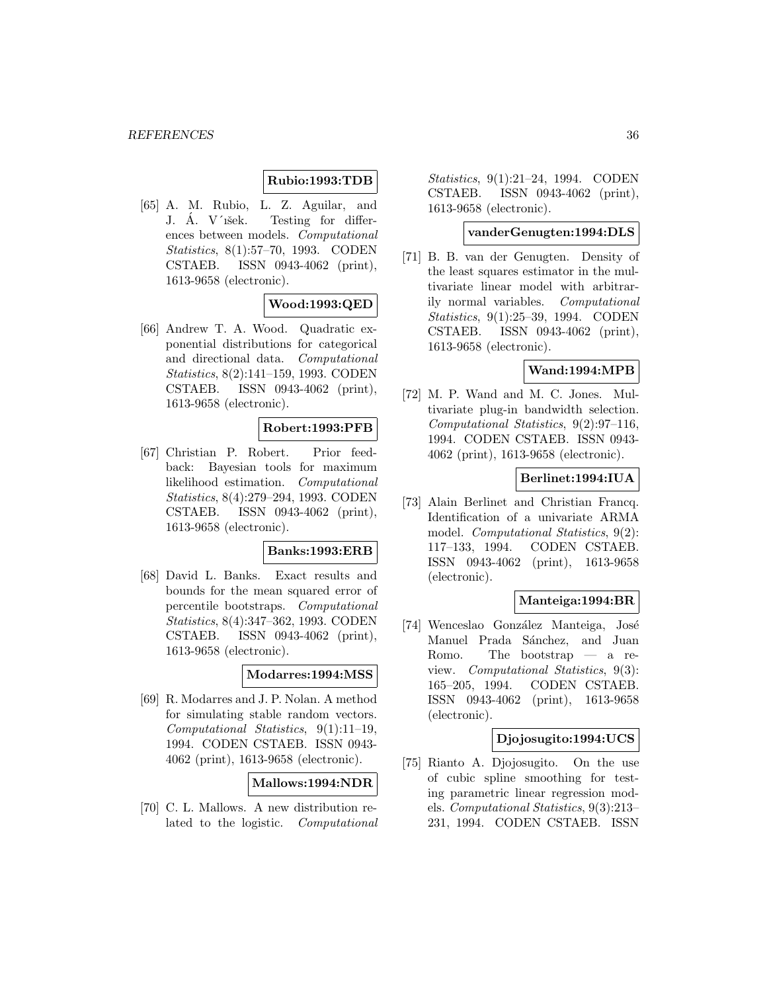# **Rubio:1993:TDB**

[65] A. M. Rubio, L. Z. Aguilar, and J. A. V'išek. Testing for differences between models. Computational Statistics, 8(1):57–70, 1993. CODEN CSTAEB. ISSN 0943-4062 (print), 1613-9658 (electronic).

# **Wood:1993:QED**

[66] Andrew T. A. Wood. Quadratic exponential distributions for categorical and directional data. Computational Statistics, 8(2):141–159, 1993. CODEN CSTAEB. ISSN 0943-4062 (print), 1613-9658 (electronic).

### **Robert:1993:PFB**

[67] Christian P. Robert. Prior feedback: Bayesian tools for maximum likelihood estimation. Computational Statistics, 8(4):279–294, 1993. CODEN CSTAEB. ISSN 0943-4062 (print), 1613-9658 (electronic).

### **Banks:1993:ERB**

[68] David L. Banks. Exact results and bounds for the mean squared error of percentile bootstraps. Computational Statistics, 8(4):347–362, 1993. CODEN CSTAEB. ISSN 0943-4062 (print), 1613-9658 (electronic).

# **Modarres:1994:MSS**

[69] R. Modarres and J. P. Nolan. A method for simulating stable random vectors. Computational Statistics, 9(1):11–19, 1994. CODEN CSTAEB. ISSN 0943- 4062 (print), 1613-9658 (electronic).

#### **Mallows:1994:NDR**

[70] C. L. Mallows. A new distribution related to the logistic. Computational

Statistics, 9(1):21–24, 1994. CODEN CSTAEB. ISSN 0943-4062 (print), 1613-9658 (electronic).

# **vanderGenugten:1994:DLS**

[71] B. B. van der Genugten. Density of the least squares estimator in the multivariate linear model with arbitrarily normal variables. Computational Statistics, 9(1):25–39, 1994. CODEN CSTAEB. ISSN 0943-4062 (print), 1613-9658 (electronic).

# **Wand:1994:MPB**

[72] M. P. Wand and M. C. Jones. Multivariate plug-in bandwidth selection. Computational Statistics, 9(2):97–116, 1994. CODEN CSTAEB. ISSN 0943- 4062 (print), 1613-9658 (electronic).

# **Berlinet:1994:IUA**

[73] Alain Berlinet and Christian Francq. Identification of a univariate ARMA model. Computational Statistics, 9(2): 117–133, 1994. CODEN CSTAEB. ISSN 0943-4062 (print), 1613-9658 (electronic).

### **Manteiga:1994:BR**

[74] Wenceslao González Manteiga, José Manuel Prada Sánchez, and Juan Romo. The bootstrap — a review. Computational Statistics, 9(3): 165–205, 1994. CODEN CSTAEB. ISSN 0943-4062 (print), 1613-9658 (electronic).

### **Djojosugito:1994:UCS**

[75] Rianto A. Djojosugito. On the use of cubic spline smoothing for testing parametric linear regression models. Computational Statistics, 9(3):213– 231, 1994. CODEN CSTAEB. ISSN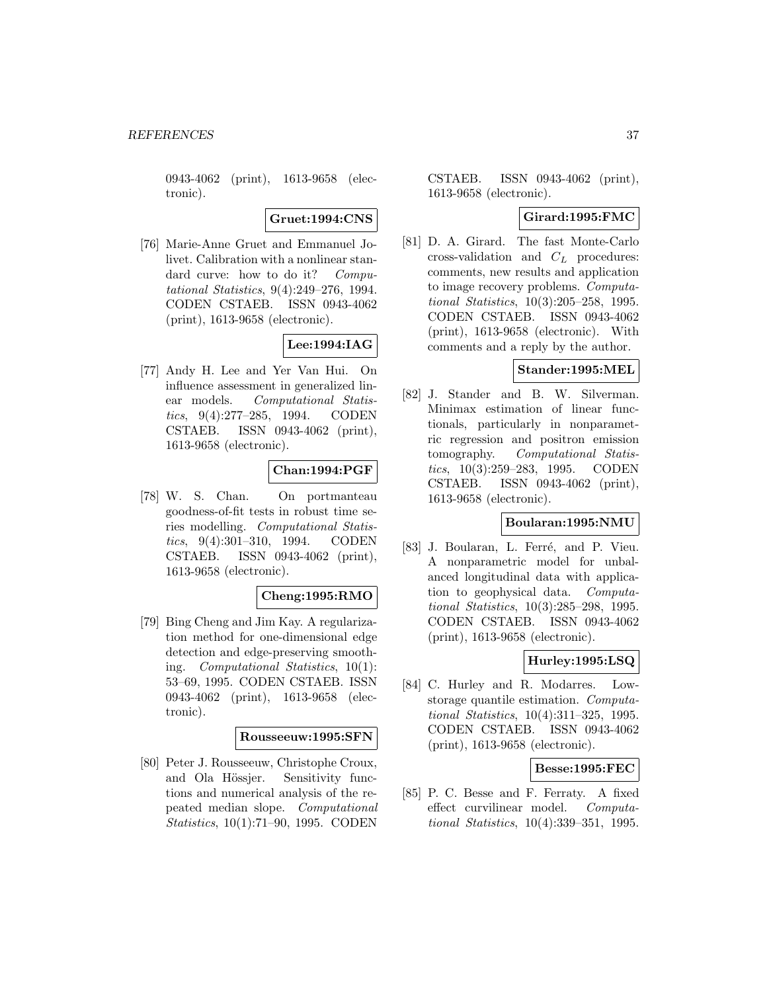0943-4062 (print), 1613-9658 (electronic).

**Gruet:1994:CNS**

[76] Marie-Anne Gruet and Emmanuel Jolivet. Calibration with a nonlinear standard curve: how to do it? Computational Statistics, 9(4):249–276, 1994. CODEN CSTAEB. ISSN 0943-4062 (print), 1613-9658 (electronic).

# **Lee:1994:IAG**

[77] Andy H. Lee and Yer Van Hui. On influence assessment in generalized linear models. Computational Statistics, 9(4):277–285, 1994. CODEN CSTAEB. ISSN 0943-4062 (print), 1613-9658 (electronic).

## **Chan:1994:PGF**

[78] W. S. Chan. On portmanteau goodness-of-fit tests in robust time series modelling. Computational Statistics, 9(4):301–310, 1994. CODEN CSTAEB. ISSN 0943-4062 (print), 1613-9658 (electronic).

### **Cheng:1995:RMO**

[79] Bing Cheng and Jim Kay. A regularization method for one-dimensional edge detection and edge-preserving smoothing. Computational Statistics, 10(1): 53–69, 1995. CODEN CSTAEB. ISSN 0943-4062 (print), 1613-9658 (electronic).

### **Rousseeuw:1995:SFN**

[80] Peter J. Rousseeuw, Christophe Croux, and Ola Hössjer. Sensitivity functions and numerical analysis of the repeated median slope. Computational Statistics, 10(1):71–90, 1995. CODEN

CSTAEB. ISSN 0943-4062 (print), 1613-9658 (electronic).

## **Girard:1995:FMC**

[81] D. A. Girard. The fast Monte-Carlo cross-validation and  $C_L$  procedures: comments, new results and application to image recovery problems. Computational Statistics, 10(3):205–258, 1995. CODEN CSTAEB. ISSN 0943-4062 (print), 1613-9658 (electronic). With comments and a reply by the author.

### **Stander:1995:MEL**

[82] J. Stander and B. W. Silverman. Minimax estimation of linear functionals, particularly in nonparametric regression and positron emission tomography. Computational Statistics, 10(3):259–283, 1995. CODEN CSTAEB. ISSN 0943-4062 (print), 1613-9658 (electronic).

## **Boularan:1995:NMU**

[83] J. Boularan, L. Ferré, and P. Vieu. A nonparametric model for unbalanced longitudinal data with application to geophysical data. Computational Statistics, 10(3):285–298, 1995. CODEN CSTAEB. ISSN 0943-4062 (print), 1613-9658 (electronic).

# **Hurley:1995:LSQ**

[84] C. Hurley and R. Modarres. Lowstorage quantile estimation. Computational Statistics, 10(4):311–325, 1995. CODEN CSTAEB. ISSN 0943-4062 (print), 1613-9658 (electronic).

## **Besse:1995:FEC**

[85] P. C. Besse and F. Ferraty. A fixed effect curvilinear model. Computational Statistics, 10(4):339–351, 1995.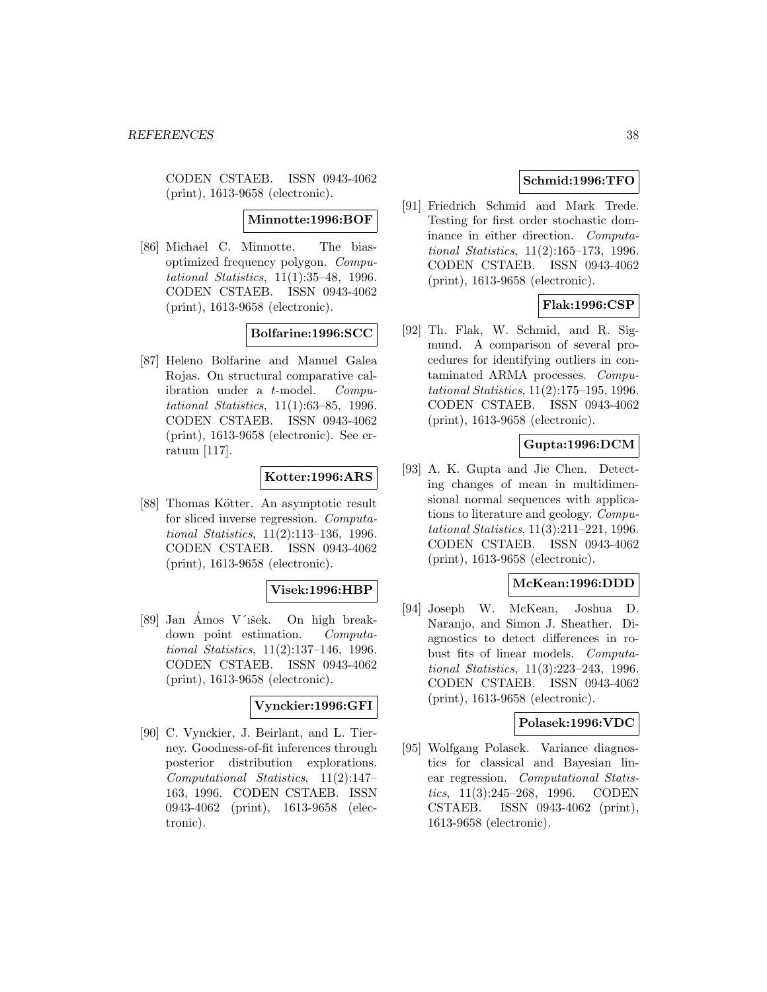CODEN CSTAEB. ISSN 0943-4062 (print), 1613-9658 (electronic).

#### **Minnotte:1996:BOF**

[86] Michael C. Minnotte. The biasoptimized frequency polygon. Computational Statistics, 11(1):35–48, 1996. CODEN CSTAEB. ISSN 0943-4062 (print), 1613-9658 (electronic).

### **Bolfarine:1996:SCC**

[87] Heleno Bolfarine and Manuel Galea Rojas. On structural comparative calibration under a t-model. Computational Statistics, 11(1):63–85, 1996. CODEN CSTAEB. ISSN 0943-4062 (print), 1613-9658 (electronic). See erratum [117].

# **Kotter:1996:ARS**

[88] Thomas Kötter. An asymptotic result for sliced inverse regression. Computational Statistics, 11(2):113–136, 1996. CODEN CSTAEB. ISSN 0943-4062 (print), 1613-9658 (electronic).

### **Visek:1996:HBP**

[89] Jan Amos V'išek. On high breakdown point estimation. Computational Statistics, 11(2):137–146, 1996. CODEN CSTAEB. ISSN 0943-4062 (print), 1613-9658 (electronic).

#### **Vynckier:1996:GFI**

[90] C. Vynckier, J. Beirlant, and L. Tierney. Goodness-of-fit inferences through posterior distribution explorations. Computational Statistics, 11(2):147– 163, 1996. CODEN CSTAEB. ISSN 0943-4062 (print), 1613-9658 (electronic).

# **Schmid:1996:TFO**

[91] Friedrich Schmid and Mark Trede. Testing for first order stochastic dominance in either direction. Computational Statistics, 11(2):165–173, 1996. CODEN CSTAEB. ISSN 0943-4062 (print), 1613-9658 (electronic).

## **Flak:1996:CSP**

[92] Th. Flak, W. Schmid, and R. Sigmund. A comparison of several procedures for identifying outliers in contaminated ARMA processes. Computational Statistics, 11(2):175–195, 1996. CODEN CSTAEB. ISSN 0943-4062 (print), 1613-9658 (electronic).

## **Gupta:1996:DCM**

[93] A. K. Gupta and Jie Chen. Detecting changes of mean in multidimensional normal sequences with applications to literature and geology. Computational Statistics, 11(3):211–221, 1996. CODEN CSTAEB. ISSN 0943-4062 (print), 1613-9658 (electronic).

#### **McKean:1996:DDD**

[94] Joseph W. McKean, Joshua D. Naranjo, and Simon J. Sheather. Diagnostics to detect differences in robust fits of linear models. Computational Statistics, 11(3):223–243, 1996. CODEN CSTAEB. ISSN 0943-4062 (print), 1613-9658 (electronic).

#### **Polasek:1996:VDC**

[95] Wolfgang Polasek. Variance diagnostics for classical and Bayesian linear regression. Computational Statistics, 11(3):245–268, 1996. CODEN CSTAEB. ISSN 0943-4062 (print), 1613-9658 (electronic).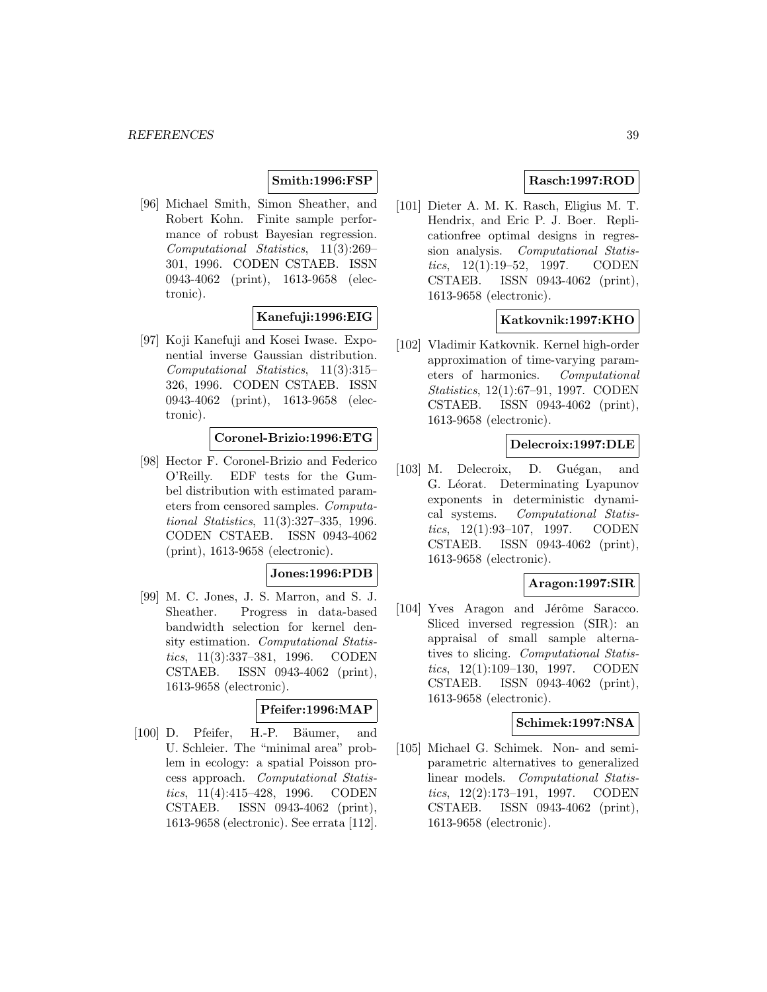## **Smith:1996:FSP**

[96] Michael Smith, Simon Sheather, and Robert Kohn. Finite sample performance of robust Bayesian regression. Computational Statistics, 11(3):269– 301, 1996. CODEN CSTAEB. ISSN 0943-4062 (print), 1613-9658 (electronic).

## **Kanefuji:1996:EIG**

[97] Koji Kanefuji and Kosei Iwase. Exponential inverse Gaussian distribution. Computational Statistics, 11(3):315– 326, 1996. CODEN CSTAEB. ISSN 0943-4062 (print), 1613-9658 (electronic).

## **Coronel-Brizio:1996:ETG**

[98] Hector F. Coronel-Brizio and Federico O'Reilly. EDF tests for the Gumbel distribution with estimated parameters from censored samples. Computational Statistics, 11(3):327–335, 1996. CODEN CSTAEB. ISSN 0943-4062 (print), 1613-9658 (electronic).

### **Jones:1996:PDB**

[99] M. C. Jones, J. S. Marron, and S. J. Sheather. Progress in data-based bandwidth selection for kernel density estimation. Computational Statistics, 11(3):337–381, 1996. CODEN CSTAEB. ISSN 0943-4062 (print), 1613-9658 (electronic).

#### **Pfeifer:1996:MAP**

[100] D. Pfeifer, H.-P. Bäumer, and U. Schleier. The "minimal area" problem in ecology: a spatial Poisson process approach. Computational Statistics, 11(4):415–428, 1996. CODEN CSTAEB. ISSN 0943-4062 (print), 1613-9658 (electronic). See errata [112].

## **Rasch:1997:ROD**

[101] Dieter A. M. K. Rasch, Eligius M. T. Hendrix, and Eric P. J. Boer. Replicationfree optimal designs in regression analysis. Computational Statistics, 12(1):19–52, 1997. CODEN CSTAEB. ISSN 0943-4062 (print), 1613-9658 (electronic).

## **Katkovnik:1997:KHO**

[102] Vladimir Katkovnik. Kernel high-order approximation of time-varying parameters of harmonics. Computational Statistics, 12(1):67–91, 1997. CODEN CSTAEB. ISSN 0943-4062 (print), 1613-9658 (electronic).

#### **Delecroix:1997:DLE**

[103] M. Delecroix, D. Guégan, and G. Léorat. Determinating Lyapunov exponents in deterministic dynamical systems. Computational Statistics, 12(1):93–107, 1997. CODEN CSTAEB. ISSN 0943-4062 (print), 1613-9658 (electronic).

#### **Aragon:1997:SIR**

[104] Yves Aragon and Jérôme Saracco. Sliced inversed regression (SIR): an appraisal of small sample alternatives to slicing. Computational Statistics, 12(1):109–130, 1997. CODEN CSTAEB. ISSN 0943-4062 (print), 1613-9658 (electronic).

#### **Schimek:1997:NSA**

[105] Michael G. Schimek. Non- and semiparametric alternatives to generalized linear models. Computational Statistics, 12(2):173–191, 1997. CODEN CSTAEB. ISSN 0943-4062 (print), 1613-9658 (electronic).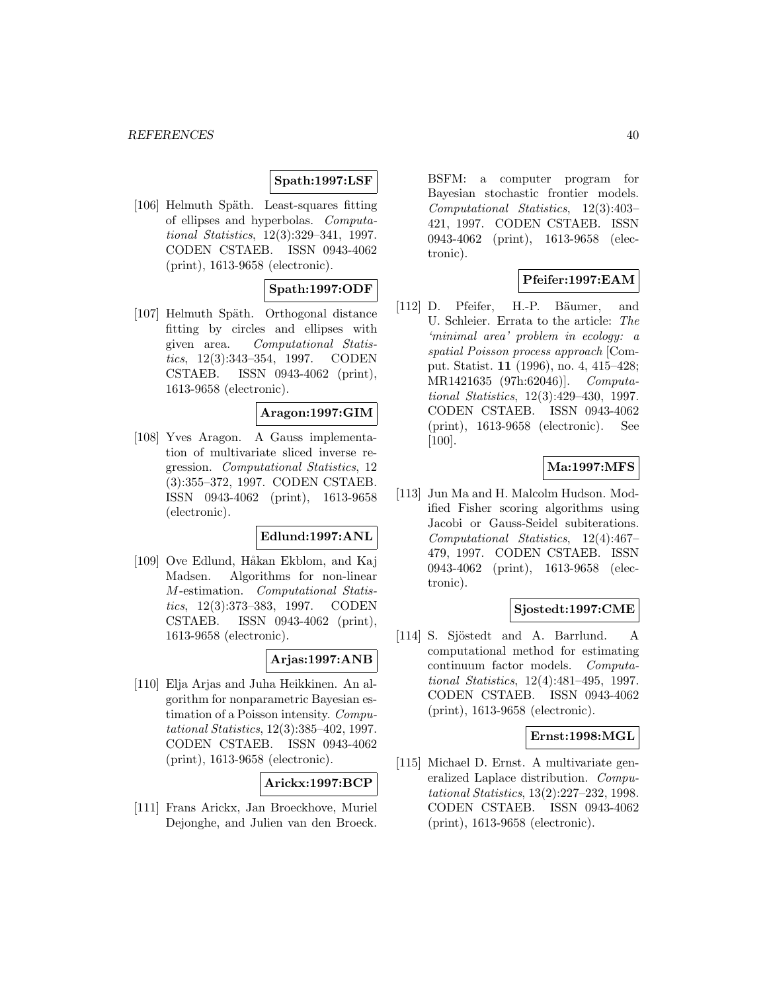#### **Spath:1997:LSF**

[106] Helmuth Späth. Least-squares fitting of ellipses and hyperbolas. Computational Statistics, 12(3):329–341, 1997. CODEN CSTAEB. ISSN 0943-4062 (print), 1613-9658 (electronic).

## **Spath:1997:ODF**

[107] Helmuth Späth. Orthogonal distance fitting by circles and ellipses with given area. Computational Statistics, 12(3):343–354, 1997. CODEN CSTAEB. ISSN 0943-4062 (print), 1613-9658 (electronic).

## **Aragon:1997:GIM**

[108] Yves Aragon. A Gauss implementation of multivariate sliced inverse regression. Computational Statistics, 12 (3):355–372, 1997. CODEN CSTAEB. ISSN 0943-4062 (print), 1613-9658 (electronic).

## **Edlund:1997:ANL**

[109] Ove Edlund, Håkan Ekblom, and Kaj Madsen. Algorithms for non-linear M-estimation. Computational Statistics, 12(3):373–383, 1997. CODEN CSTAEB. ISSN 0943-4062 (print), 1613-9658 (electronic).

### **Arjas:1997:ANB**

[110] Elja Arjas and Juha Heikkinen. An algorithm for nonparametric Bayesian estimation of a Poisson intensity. Computational Statistics, 12(3):385–402, 1997. CODEN CSTAEB. ISSN 0943-4062 (print), 1613-9658 (electronic).

### **Arickx:1997:BCP**

[111] Frans Arickx, Jan Broeckhove, Muriel Dejonghe, and Julien van den Broeck.

BSFM: a computer program for Bayesian stochastic frontier models. Computational Statistics, 12(3):403– 421, 1997. CODEN CSTAEB. ISSN 0943-4062 (print), 1613-9658 (electronic).

# **Pfeifer:1997:EAM**

[112] D. Pfeifer, H.-P. Bäumer, and U. Schleier. Errata to the article: The 'minimal area' problem in ecology: a spatial Poisson process approach [Comput. Statist. **11** (1996), no. 4, 415–428; MR1421635 (97h:62046)]. Computational Statistics, 12(3):429–430, 1997. CODEN CSTAEB. ISSN 0943-4062 (print), 1613-9658 (electronic). See [100].

## **Ma:1997:MFS**

[113] Jun Ma and H. Malcolm Hudson. Modified Fisher scoring algorithms using Jacobi or Gauss-Seidel subiterations. Computational Statistics, 12(4):467– 479, 1997. CODEN CSTAEB. ISSN 0943-4062 (print), 1613-9658 (electronic).

#### **Sjostedt:1997:CME**

[114] S. Sjöstedt and A. Barrlund. A computational method for estimating continuum factor models. Computational Statistics, 12(4):481–495, 1997. CODEN CSTAEB. ISSN 0943-4062 (print), 1613-9658 (electronic).

#### **Ernst:1998:MGL**

[115] Michael D. Ernst. A multivariate generalized Laplace distribution. Computational Statistics, 13(2):227–232, 1998. CODEN CSTAEB. ISSN 0943-4062 (print), 1613-9658 (electronic).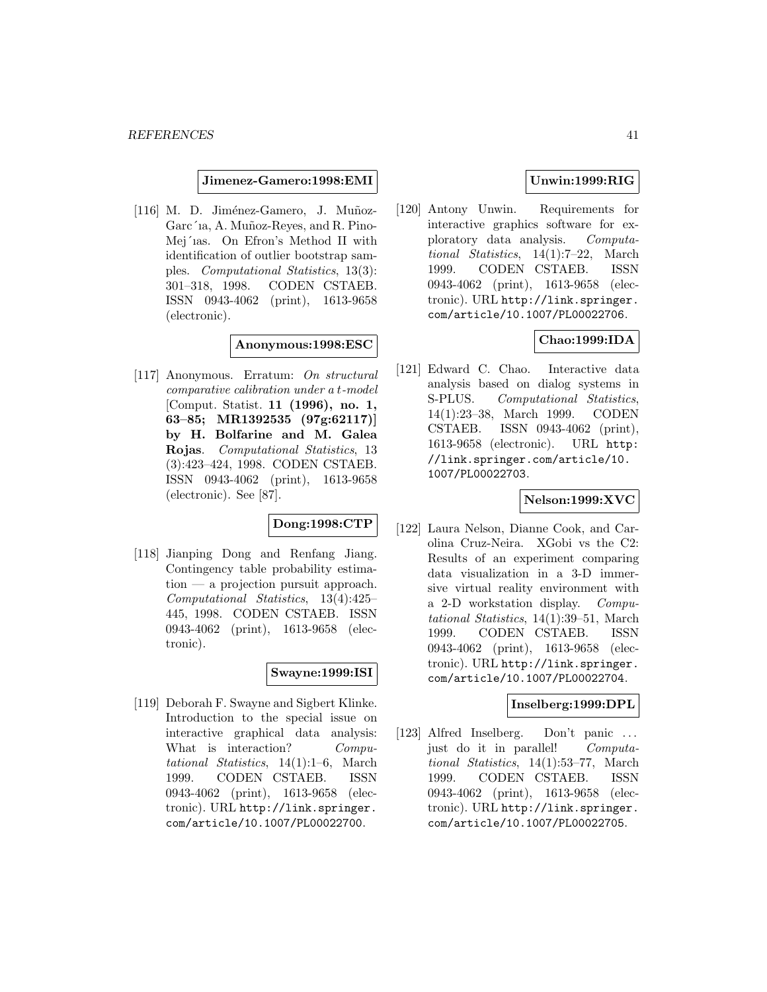#### **Jimenez-Gamero:1998:EMI**

 $[116]$  M. D. Jiménez-Gamero, J. Muñoz-Garc´ia, A. Muñoz-Reyes, and R. Pino-Mej´ıas. On Efron's Method II with identification of outlier bootstrap samples. Computational Statistics, 13(3): 301–318, 1998. CODEN CSTAEB. ISSN 0943-4062 (print), 1613-9658 (electronic).

#### **Anonymous:1998:ESC**

[117] Anonymous. Erratum: On structural comparative calibration under a t-model [Comput. Statist. **11 (1996), no. 1, 63–85; MR1392535 (97g:62117)] by H. Bolfarine and M. Galea Rojas**. Computational Statistics, 13 (3):423–424, 1998. CODEN CSTAEB. ISSN 0943-4062 (print), 1613-9658 (electronic). See [87].

# **Dong:1998:CTP**

[118] Jianping Dong and Renfang Jiang. Contingency table probability estimation — a projection pursuit approach. Computational Statistics, 13(4):425– 445, 1998. CODEN CSTAEB. ISSN 0943-4062 (print), 1613-9658 (electronic).

# **Swayne:1999:ISI**

[119] Deborah F. Swayne and Sigbert Klinke. Introduction to the special issue on interactive graphical data analysis: What is interaction? Computational Statistics, 14(1):1–6, March 1999. CODEN CSTAEB. ISSN 0943-4062 (print), 1613-9658 (electronic). URL http://link.springer. com/article/10.1007/PL00022700.

## **Unwin:1999:RIG**

[120] Antony Unwin. Requirements for interactive graphics software for exploratory data analysis. Computational Statistics, 14(1):7–22, March 1999. CODEN CSTAEB. ISSN 0943-4062 (print), 1613-9658 (electronic). URL http://link.springer. com/article/10.1007/PL00022706.

### **Chao:1999:IDA**

[121] Edward C. Chao. Interactive data analysis based on dialog systems in S-PLUS. Computational Statistics, 14(1):23–38, March 1999. CODEN CSTAEB. ISSN 0943-4062 (print), 1613-9658 (electronic). URL http: //link.springer.com/article/10. 1007/PL00022703.

# **Nelson:1999:XVC**

[122] Laura Nelson, Dianne Cook, and Carolina Cruz-Neira. XGobi vs the C2: Results of an experiment comparing data visualization in a 3-D immersive virtual reality environment with a 2-D workstation display. Computational Statistics, 14(1):39–51, March 1999. CODEN CSTAEB. ISSN 0943-4062 (print), 1613-9658 (electronic). URL http://link.springer. com/article/10.1007/PL00022704.

## **Inselberg:1999:DPL**

[123] Alfred Inselberg. Don't panic ... just do it in parallel! Computational Statistics, 14(1):53–77, March 1999. CODEN CSTAEB. ISSN 0943-4062 (print), 1613-9658 (electronic). URL http://link.springer. com/article/10.1007/PL00022705.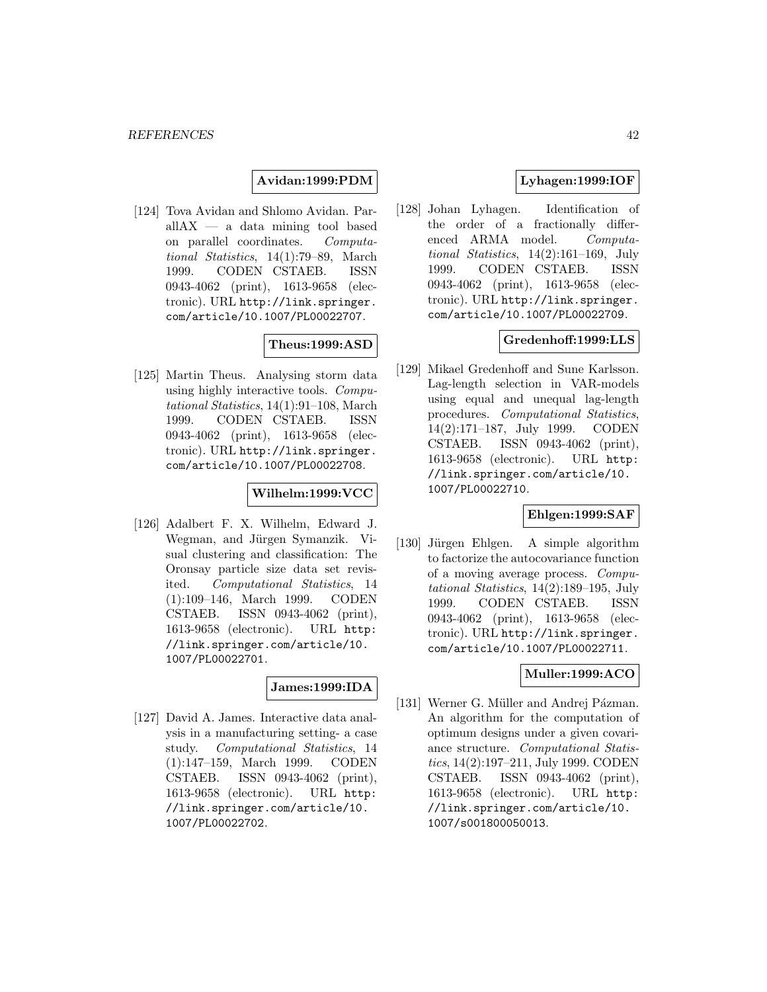## **Avidan:1999:PDM**

[124] Tova Avidan and Shlomo Avidan. ParallAX — a data mining tool based on parallel coordinates. Computational Statistics, 14(1):79–89, March 1999. CODEN CSTAEB. ISSN 0943-4062 (print), 1613-9658 (electronic). URL http://link.springer. com/article/10.1007/PL00022707.

**Theus:1999:ASD**

[125] Martin Theus. Analysing storm data using highly interactive tools. Computational Statistics, 14(1):91–108, March 1999. CODEN CSTAEB. ISSN 0943-4062 (print), 1613-9658 (electronic). URL http://link.springer. com/article/10.1007/PL00022708.

## **Wilhelm:1999:VCC**

[126] Adalbert F. X. Wilhelm, Edward J. Wegman, and Jürgen Symanzik. Visual clustering and classification: The Oronsay particle size data set revisited. Computational Statistics, 14 (1):109–146, March 1999. CODEN CSTAEB. ISSN 0943-4062 (print), 1613-9658 (electronic). URL http: //link.springer.com/article/10. 1007/PL00022701.

## **James:1999:IDA**

[127] David A. James. Interactive data analysis in a manufacturing setting- a case study. Computational Statistics, 14 (1):147–159, March 1999. CODEN CSTAEB. ISSN 0943-4062 (print), 1613-9658 (electronic). URL http: //link.springer.com/article/10. 1007/PL00022702.

# **Lyhagen:1999:IOF**

[128] Johan Lyhagen. Identification of the order of a fractionally differenced ARMA model. Computational Statistics, 14(2):161–169, July 1999. CODEN CSTAEB. ISSN 0943-4062 (print), 1613-9658 (electronic). URL http://link.springer. com/article/10.1007/PL00022709.

### **Gredenhoff:1999:LLS**

[129] Mikael Gredenhoff and Sune Karlsson. Lag-length selection in VAR-models using equal and unequal lag-length procedures. Computational Statistics, 14(2):171–187, July 1999. CODEN CSTAEB. ISSN 0943-4062 (print), 1613-9658 (electronic). URL http: //link.springer.com/article/10. 1007/PL00022710.

## **Ehlgen:1999:SAF**

[130] Jürgen Ehlgen. A simple algorithm to factorize the autocovariance function of a moving average process. Computational Statistics, 14(2):189–195, July 1999. CODEN CSTAEB. ISSN 0943-4062 (print), 1613-9658 (electronic). URL http://link.springer. com/article/10.1007/PL00022711.

### **Muller:1999:ACO**

[131] Werner G. Müller and Andrej Pázman. An algorithm for the computation of optimum designs under a given covariance structure. Computational Statistics, 14(2):197–211, July 1999. CODEN CSTAEB. ISSN 0943-4062 (print), 1613-9658 (electronic). URL http: //link.springer.com/article/10. 1007/s001800050013.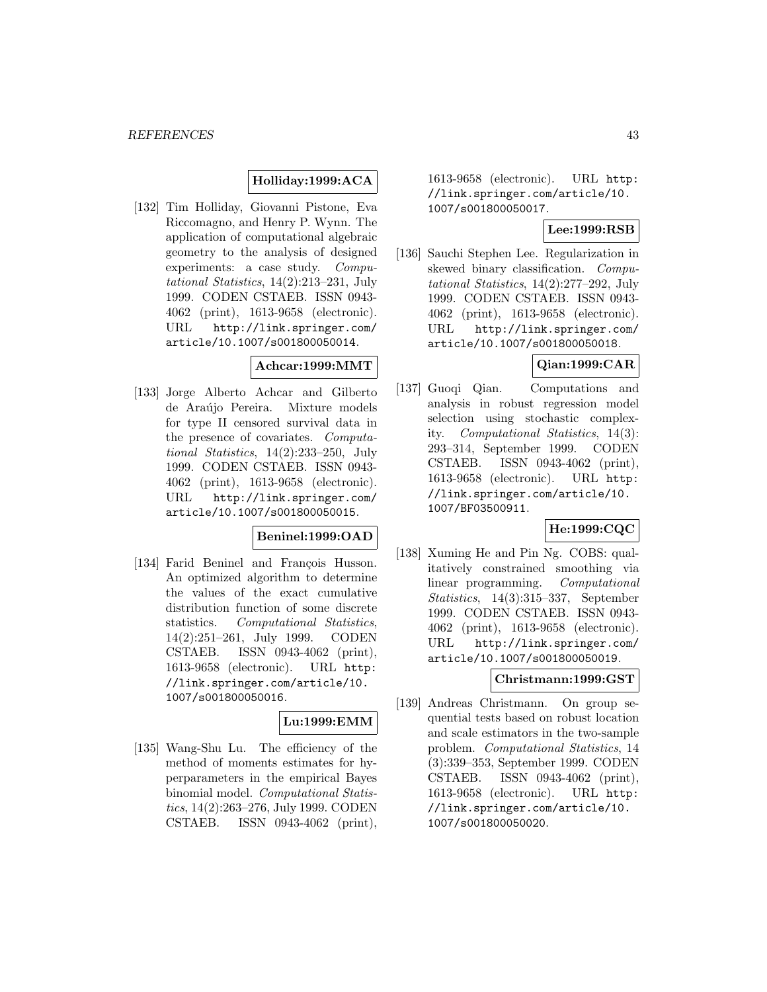## **Holliday:1999:ACA**

[132] Tim Holliday, Giovanni Pistone, Eva Riccomagno, and Henry P. Wynn. The application of computational algebraic geometry to the analysis of designed experiments: a case study. Computational Statistics, 14(2):213–231, July 1999. CODEN CSTAEB. ISSN 0943- 4062 (print), 1613-9658 (electronic). URL http://link.springer.com/ article/10.1007/s001800050014.

### **Achcar:1999:MMT**

[133] Jorge Alberto Achcar and Gilberto de Araújo Pereira. Mixture models for type II censored survival data in the presence of covariates. Computational Statistics, 14(2):233–250, July 1999. CODEN CSTAEB. ISSN 0943- 4062 (print), 1613-9658 (electronic). URL http://link.springer.com/ article/10.1007/s001800050015.

### **Beninel:1999:OAD**

[134] Farid Beninel and François Husson. An optimized algorithm to determine the values of the exact cumulative distribution function of some discrete statistics. Computational Statistics, 14(2):251–261, July 1999. CODEN CSTAEB. ISSN 0943-4062 (print), 1613-9658 (electronic). URL http: //link.springer.com/article/10. 1007/s001800050016.

# **Lu:1999:EMM**

[135] Wang-Shu Lu. The efficiency of the method of moments estimates for hyperparameters in the empirical Bayes binomial model. Computational Statistics, 14(2):263–276, July 1999. CODEN CSTAEB. ISSN 0943-4062 (print),

1613-9658 (electronic). URL http: //link.springer.com/article/10. 1007/s001800050017.

# **Lee:1999:RSB**

[136] Sauchi Stephen Lee. Regularization in skewed binary classification. Computational Statistics, 14(2):277–292, July 1999. CODEN CSTAEB. ISSN 0943- 4062 (print), 1613-9658 (electronic). URL http://link.springer.com/ article/10.1007/s001800050018.

## **Qian:1999:CAR**

[137] Guoqi Qian. Computations and analysis in robust regression model selection using stochastic complexity. Computational Statistics, 14(3): 293–314, September 1999. CODEN CSTAEB. ISSN 0943-4062 (print), 1613-9658 (electronic). URL http: //link.springer.com/article/10. 1007/BF03500911.

## **He:1999:CQC**

[138] Xuming He and Pin Ng. COBS: qualitatively constrained smoothing via linear programming. Computational Statistics, 14(3):315–337, September 1999. CODEN CSTAEB. ISSN 0943- 4062 (print), 1613-9658 (electronic). URL http://link.springer.com/ article/10.1007/s001800050019.

### **Christmann:1999:GST**

[139] Andreas Christmann. On group sequential tests based on robust location and scale estimators in the two-sample problem. Computational Statistics, 14 (3):339–353, September 1999. CODEN CSTAEB. ISSN 0943-4062 (print), 1613-9658 (electronic). URL http: //link.springer.com/article/10. 1007/s001800050020.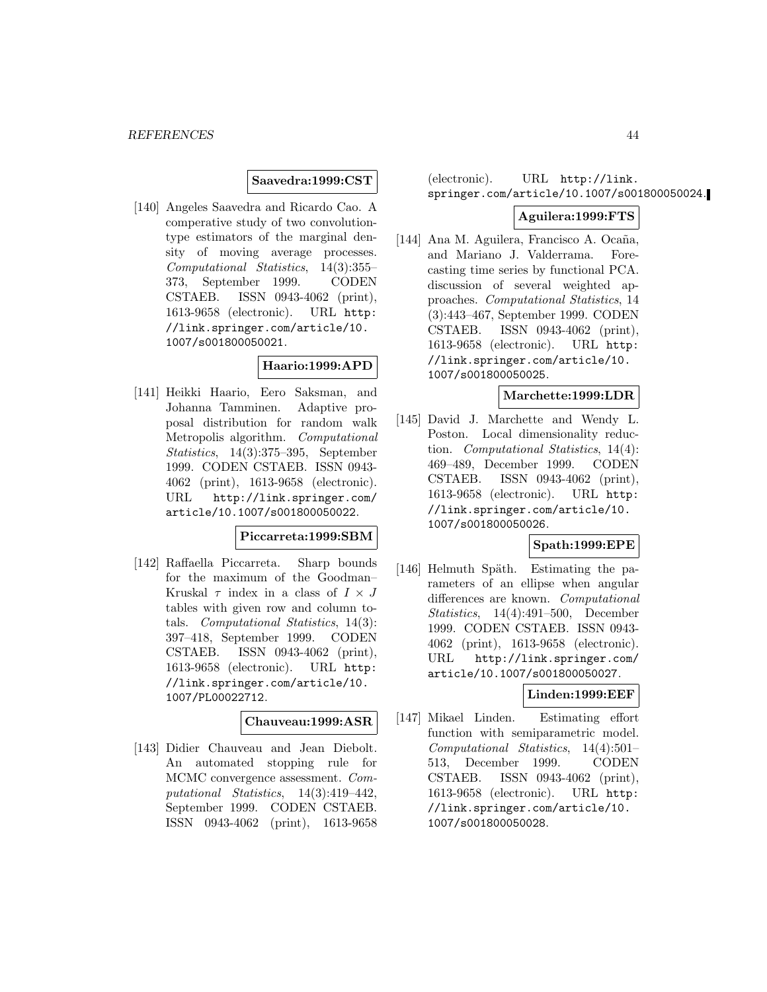### **Saavedra:1999:CST**

[140] Angeles Saavedra and Ricardo Cao. A comperative study of two convolutiontype estimators of the marginal density of moving average processes. Computational Statistics, 14(3):355– 373, September 1999. CODEN CSTAEB. ISSN 0943-4062 (print), 1613-9658 (electronic). URL http: //link.springer.com/article/10. 1007/s001800050021.

### **Haario:1999:APD**

[141] Heikki Haario, Eero Saksman, and Johanna Tamminen. Adaptive proposal distribution for random walk Metropolis algorithm. Computational Statistics, 14(3):375–395, September 1999. CODEN CSTAEB. ISSN 0943- 4062 (print), 1613-9658 (electronic). URL http://link.springer.com/ article/10.1007/s001800050022.

# **Piccarreta:1999:SBM**

[142] Raffaella Piccarreta. Sharp bounds for the maximum of the Goodman– Kruskal  $\tau$  index in a class of  $I \times J$ tables with given row and column totals. Computational Statistics, 14(3): 397–418, September 1999. CODEN CSTAEB. ISSN 0943-4062 (print), 1613-9658 (electronic). URL http: //link.springer.com/article/10. 1007/PL00022712.

### **Chauveau:1999:ASR**

[143] Didier Chauveau and Jean Diebolt. An automated stopping rule for MCMC convergence assessment. Computational Statistics, 14(3):419–442, September 1999. CODEN CSTAEB. ISSN 0943-4062 (print), 1613-9658 (electronic). URL http://link. springer.com/article/10.1007/s001800050024.

#### **Aguilera:1999:FTS**

[144] Ana M. Aguilera, Francisco A. Ocaña, and Mariano J. Valderrama. Forecasting time series by functional PCA. discussion of several weighted approaches. Computational Statistics, 14 (3):443–467, September 1999. CODEN CSTAEB. ISSN 0943-4062 (print), 1613-9658 (electronic). URL http: //link.springer.com/article/10. 1007/s001800050025.

#### **Marchette:1999:LDR**

[145] David J. Marchette and Wendy L. Poston. Local dimensionality reduction. Computational Statistics, 14(4): 469–489, December 1999. CODEN CSTAEB. ISSN 0943-4062 (print), 1613-9658 (electronic). URL http: //link.springer.com/article/10. 1007/s001800050026.

### **Spath:1999:EPE**

[146] Helmuth Späth. Estimating the parameters of an ellipse when angular differences are known. Computational Statistics, 14(4):491–500, December 1999. CODEN CSTAEB. ISSN 0943- 4062 (print), 1613-9658 (electronic). URL http://link.springer.com/ article/10.1007/s001800050027.

## **Linden:1999:EEF**

[147] Mikael Linden. Estimating effort function with semiparametric model. Computational Statistics, 14(4):501– 513, December 1999. CODEN CSTAEB. ISSN 0943-4062 (print), 1613-9658 (electronic). URL http: //link.springer.com/article/10. 1007/s001800050028.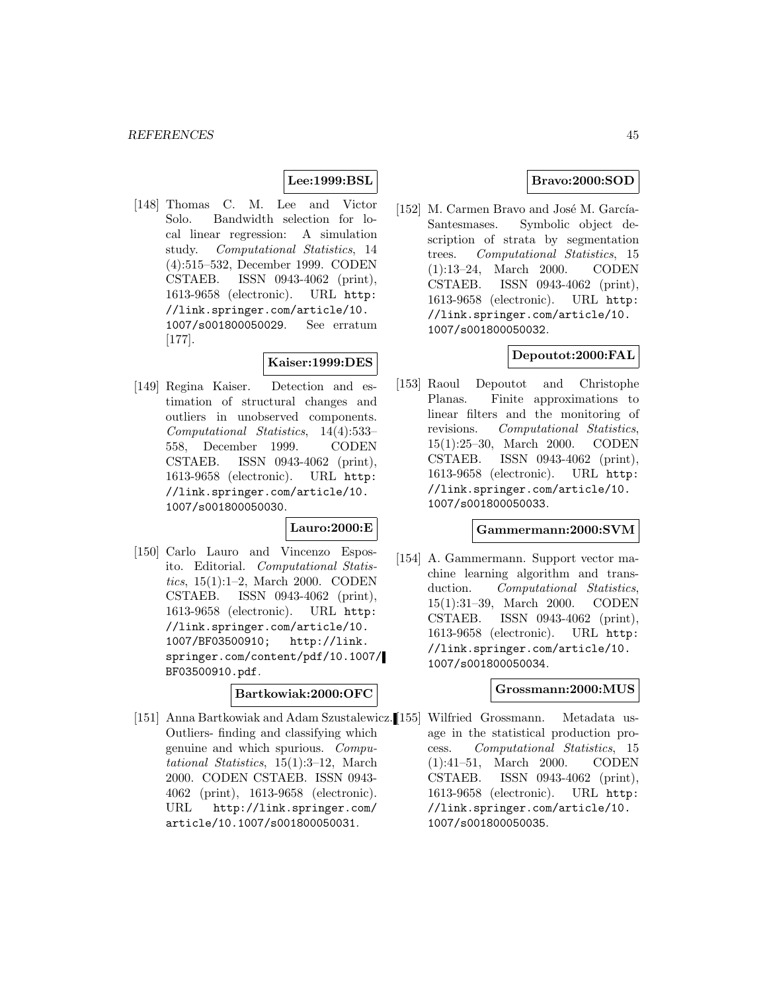## **Lee:1999:BSL**

[148] Thomas C. M. Lee and Victor Solo. Bandwidth selection for local linear regression: A simulation study. Computational Statistics, 14 (4):515–532, December 1999. CODEN CSTAEB. ISSN 0943-4062 (print), 1613-9658 (electronic). URL http: //link.springer.com/article/10. 1007/s001800050029. See erratum [177].

## **Kaiser:1999:DES**

[149] Regina Kaiser. Detection and estimation of structural changes and outliers in unobserved components. Computational Statistics, 14(4):533– 558, December 1999. CODEN CSTAEB. ISSN 0943-4062 (print), 1613-9658 (electronic). URL http: //link.springer.com/article/10. 1007/s001800050030.

### **Lauro:2000:E**

[150] Carlo Lauro and Vincenzo Esposito. Editorial. Computational Statistics, 15(1):1–2, March 2000. CODEN CSTAEB. ISSN 0943-4062 (print), 1613-9658 (electronic). URL http: //link.springer.com/article/10. 1007/BF03500910; http://link. springer.com/content/pdf/10.1007/ BF03500910.pdf.

#### **Bartkowiak:2000:OFC**

[151] Anna Bartkowiak and Adam Szustalewicz. [155] Outliers- finding and classifying which genuine and which spurious. Computational Statistics, 15(1):3–12, March 2000. CODEN CSTAEB. ISSN 0943- 4062 (print), 1613-9658 (electronic). URL http://link.springer.com/ article/10.1007/s001800050031.

## **Bravo:2000:SOD**

[152] M. Carmen Bravo and José M. García-Santesmases. Symbolic object description of strata by segmentation trees. Computational Statistics, 15 (1):13–24, March 2000. CODEN CSTAEB. ISSN 0943-4062 (print), 1613-9658 (electronic). URL http: //link.springer.com/article/10. 1007/s001800050032.

# **Depoutot:2000:FAL**

[153] Raoul Depoutot and Christophe Planas. Finite approximations to linear filters and the monitoring of revisions. Computational Statistics, 15(1):25–30, March 2000. CODEN CSTAEB. ISSN 0943-4062 (print), 1613-9658 (electronic). URL http: //link.springer.com/article/10. 1007/s001800050033.

## **Gammermann:2000:SVM**

[154] A. Gammermann. Support vector machine learning algorithm and transduction. Computational Statistics, 15(1):31–39, March 2000. CODEN CSTAEB. ISSN 0943-4062 (print), 1613-9658 (electronic). URL http: //link.springer.com/article/10. 1007/s001800050034.

## **Grossmann:2000:MUS**

Wilfried Grossmann. Metadata usage in the statistical production process. Computational Statistics, 15 (1):41–51, March 2000. CODEN CSTAEB. ISSN 0943-4062 (print), 1613-9658 (electronic). URL http: //link.springer.com/article/10. 1007/s001800050035.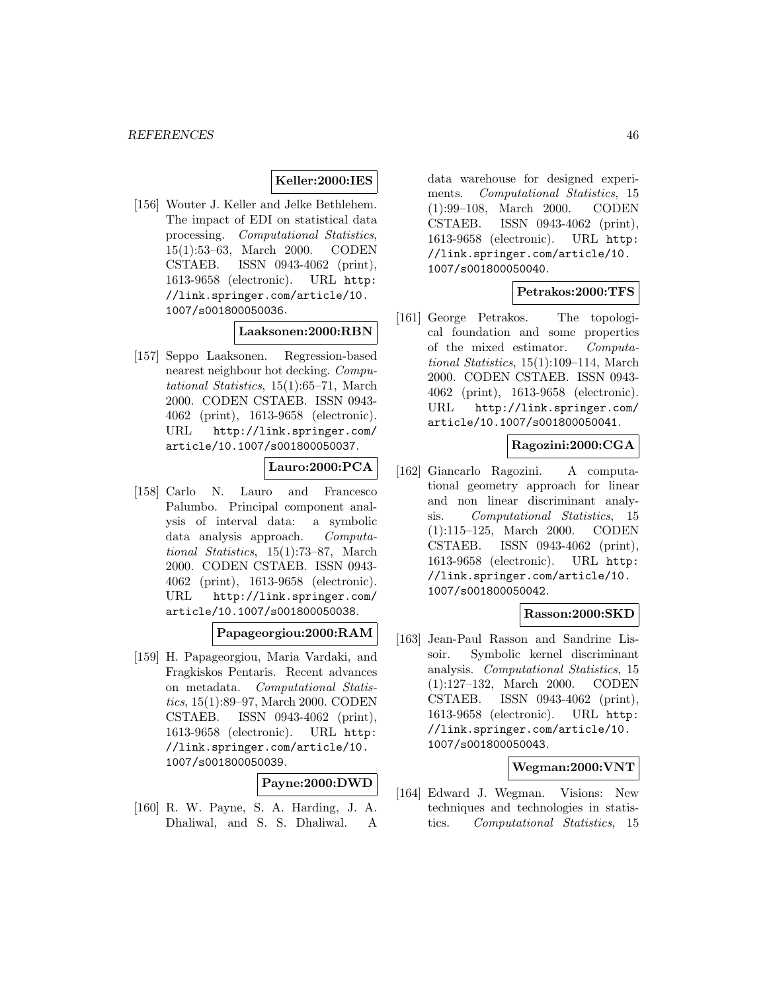#### **Keller:2000:IES**

[156] Wouter J. Keller and Jelke Bethlehem. The impact of EDI on statistical data processing. Computational Statistics, 15(1):53–63, March 2000. CODEN CSTAEB. ISSN 0943-4062 (print), 1613-9658 (electronic). URL http: //link.springer.com/article/10. 1007/s001800050036.

## **Laaksonen:2000:RBN**

[157] Seppo Laaksonen. Regression-based nearest neighbour hot decking. Computational Statistics, 15(1):65–71, March 2000. CODEN CSTAEB. ISSN 0943- 4062 (print), 1613-9658 (electronic). URL http://link.springer.com/ article/10.1007/s001800050037.

## **Lauro:2000:PCA**

[158] Carlo N. Lauro and Francesco Palumbo. Principal component analysis of interval data: a symbolic data analysis approach. Computational Statistics, 15(1):73–87, March 2000. CODEN CSTAEB. ISSN 0943- 4062 (print), 1613-9658 (electronic). URL http://link.springer.com/ article/10.1007/s001800050038.

#### **Papageorgiou:2000:RAM**

[159] H. Papageorgiou, Maria Vardaki, and Fragkiskos Pentaris. Recent advances on metadata. Computational Statistics, 15(1):89–97, March 2000. CODEN CSTAEB. ISSN 0943-4062 (print), 1613-9658 (electronic). URL http: //link.springer.com/article/10. 1007/s001800050039.

#### **Payne:2000:DWD**

[160] R. W. Payne, S. A. Harding, J. A. Dhaliwal, and S. S. Dhaliwal. A

data warehouse for designed experiments. Computational Statistics, 15 (1):99–108, March 2000. CODEN CSTAEB. ISSN 0943-4062 (print), 1613-9658 (electronic). URL http: //link.springer.com/article/10. 1007/s001800050040.

## **Petrakos:2000:TFS**

[161] George Petrakos. The topological foundation and some properties of the mixed estimator. Computational Statistics, 15(1):109–114, March 2000. CODEN CSTAEB. ISSN 0943- 4062 (print), 1613-9658 (electronic). URL http://link.springer.com/ article/10.1007/s001800050041.

#### **Ragozini:2000:CGA**

[162] Giancarlo Ragozini. A computational geometry approach for linear and non linear discriminant analysis. Computational Statistics, 15 (1):115–125, March 2000. CODEN CSTAEB. ISSN 0943-4062 (print), 1613-9658 (electronic). URL http: //link.springer.com/article/10. 1007/s001800050042.

### **Rasson:2000:SKD**

[163] Jean-Paul Rasson and Sandrine Lissoir. Symbolic kernel discriminant analysis. Computational Statistics, 15 (1):127–132, March 2000. CODEN CSTAEB. ISSN 0943-4062 (print), 1613-9658 (electronic). URL http: //link.springer.com/article/10. 1007/s001800050043.

### **Wegman:2000:VNT**

[164] Edward J. Wegman. Visions: New techniques and technologies in statistics. Computational Statistics, 15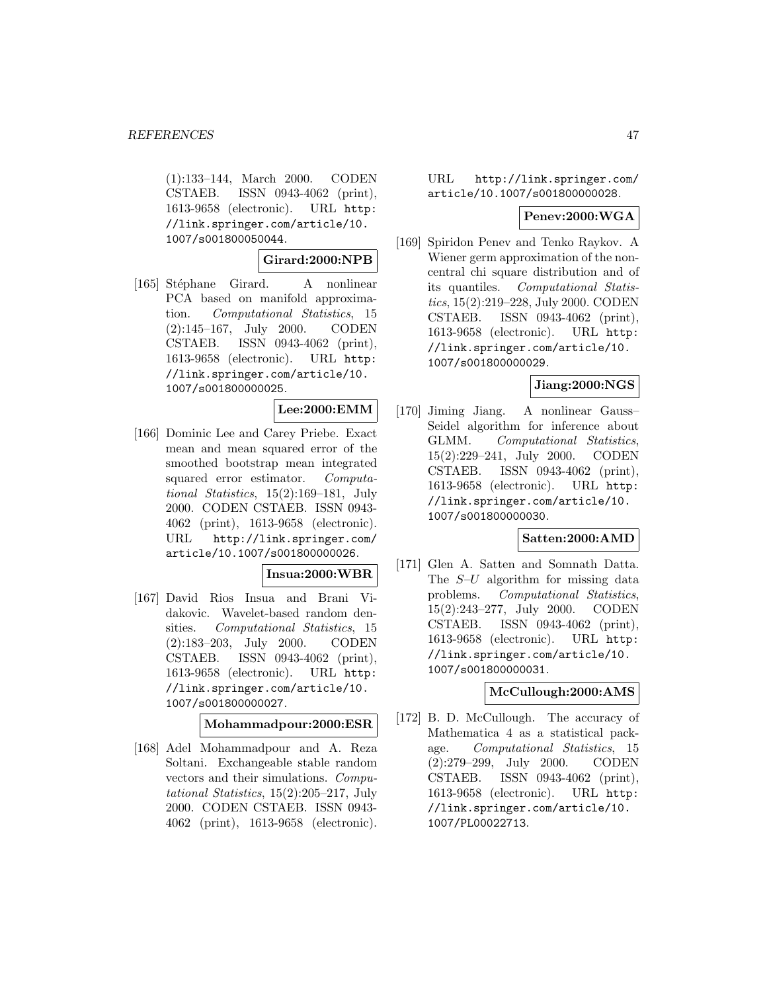(1):133–144, March 2000. CODEN CSTAEB. ISSN 0943-4062 (print), 1613-9658 (electronic). URL http: //link.springer.com/article/10. 1007/s001800050044.

### **Girard:2000:NPB**

[165] Stéphane Girard. A nonlinear PCA based on manifold approximation. Computational Statistics, 15 (2):145–167, July 2000. CODEN CSTAEB. ISSN 0943-4062 (print), 1613-9658 (electronic). URL http: //link.springer.com/article/10. 1007/s001800000025.

### **Lee:2000:EMM**

[166] Dominic Lee and Carey Priebe. Exact mean and mean squared error of the smoothed bootstrap mean integrated squared error estimator. Computational Statistics, 15(2):169–181, July 2000. CODEN CSTAEB. ISSN 0943- 4062 (print), 1613-9658 (electronic). URL http://link.springer.com/ article/10.1007/s001800000026.

#### **Insua:2000:WBR**

[167] David Rios Insua and Brani Vidakovic. Wavelet-based random densities. Computational Statistics, 15 (2):183–203, July 2000. CODEN CSTAEB. ISSN 0943-4062 (print), 1613-9658 (electronic). URL http: //link.springer.com/article/10. 1007/s001800000027.

# **Mohammadpour:2000:ESR**

[168] Adel Mohammadpour and A. Reza Soltani. Exchangeable stable random vectors and their simulations. Computational Statistics, 15(2):205–217, July 2000. CODEN CSTAEB. ISSN 0943- 4062 (print), 1613-9658 (electronic).

### URL http://link.springer.com/ article/10.1007/s001800000028.

# **Penev:2000:WGA**

[169] Spiridon Penev and Tenko Raykov. A Wiener germ approximation of the noncentral chi square distribution and of its quantiles. Computational Statistics, 15(2):219–228, July 2000. CODEN CSTAEB. ISSN 0943-4062 (print), 1613-9658 (electronic). URL http: //link.springer.com/article/10. 1007/s001800000029.

# **Jiang:2000:NGS**

[170] Jiming Jiang. A nonlinear Gauss– Seidel algorithm for inference about GLMM. Computational Statistics, 15(2):229–241, July 2000. CODEN CSTAEB. ISSN 0943-4062 (print), 1613-9658 (electronic). URL http: //link.springer.com/article/10. 1007/s001800000030.

#### **Satten:2000:AMD**

[171] Glen A. Satten and Somnath Datta. The  $S-U$  algorithm for missing data problems. Computational Statistics, 15(2):243–277, July 2000. CODEN CSTAEB. ISSN 0943-4062 (print), 1613-9658 (electronic). URL http: //link.springer.com/article/10. 1007/s001800000031.

### **McCullough:2000:AMS**

[172] B. D. McCullough. The accuracy of Mathematica 4 as a statistical package. Computational Statistics, 15 (2):279–299, July 2000. CODEN CSTAEB. ISSN 0943-4062 (print), 1613-9658 (electronic). URL http: //link.springer.com/article/10. 1007/PL00022713.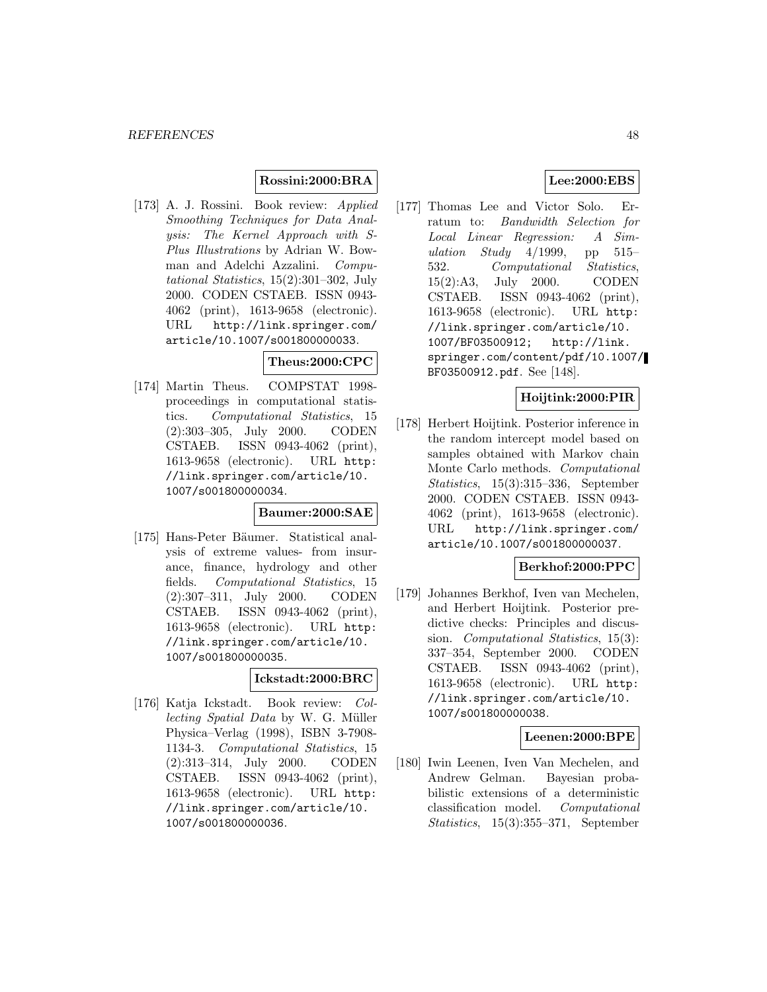### **Rossini:2000:BRA**

[173] A. J. Rossini. Book review: Applied Smoothing Techniques for Data Analysis: The Kernel Approach with S-Plus Illustrations by Adrian W. Bowman and Adelchi Azzalini. Computational Statistics, 15(2):301–302, July 2000. CODEN CSTAEB. ISSN 0943- 4062 (print), 1613-9658 (electronic). URL http://link.springer.com/ article/10.1007/s001800000033.

## **Theus:2000:CPC**

[174] Martin Theus. COMPSTAT 1998 proceedings in computational statistics. Computational Statistics, 15 (2):303–305, July 2000. CODEN CSTAEB. ISSN 0943-4062 (print), 1613-9658 (electronic). URL http: //link.springer.com/article/10. 1007/s001800000034.

#### **Baumer:2000:SAE**

[175] Hans-Peter Bäumer. Statistical analysis of extreme values- from insurance, finance, hydrology and other fields. Computational Statistics, 15 (2):307–311, July 2000. CODEN CSTAEB. ISSN 0943-4062 (print), 1613-9658 (electronic). URL http: //link.springer.com/article/10. 1007/s001800000035.

## **Ickstadt:2000:BRC**

[176] Katja Ickstadt. Book review: Collecting Spatial Data by W. G. Müller Physica–Verlag (1998), ISBN 3-7908- 1134-3. Computational Statistics, 15 (2):313–314, July 2000. CODEN CSTAEB. ISSN 0943-4062 (print), 1613-9658 (electronic). URL http: //link.springer.com/article/10. 1007/s001800000036.

## **Lee:2000:EBS**

[177] Thomas Lee and Victor Solo. Erratum to: Bandwidth Selection for Local Linear Regression: A Simulation Study  $4/1999$ , pp 515– 532. Computational Statistics, 15(2):A3, July 2000. CODEN CSTAEB. ISSN 0943-4062 (print), 1613-9658 (electronic). URL http: //link.springer.com/article/10. 1007/BF03500912; http://link. springer.com/content/pdf/10.1007/ BF03500912.pdf. See [148].

## **Hoijtink:2000:PIR**

[178] Herbert Hoijtink. Posterior inference in the random intercept model based on samples obtained with Markov chain Monte Carlo methods. Computational Statistics, 15(3):315–336, September 2000. CODEN CSTAEB. ISSN 0943- 4062 (print), 1613-9658 (electronic). URL http://link.springer.com/ article/10.1007/s001800000037.

## **Berkhof:2000:PPC**

[179] Johannes Berkhof, Iven van Mechelen, and Herbert Hoijtink. Posterior predictive checks: Principles and discussion. Computational Statistics, 15(3): 337–354, September 2000. CODEN CSTAEB. ISSN 0943-4062 (print), 1613-9658 (electronic). URL http: //link.springer.com/article/10. 1007/s001800000038.

# **Leenen:2000:BPE**

[180] Iwin Leenen, Iven Van Mechelen, and Andrew Gelman. Bayesian probabilistic extensions of a deterministic classification model. Computational Statistics, 15(3):355–371, September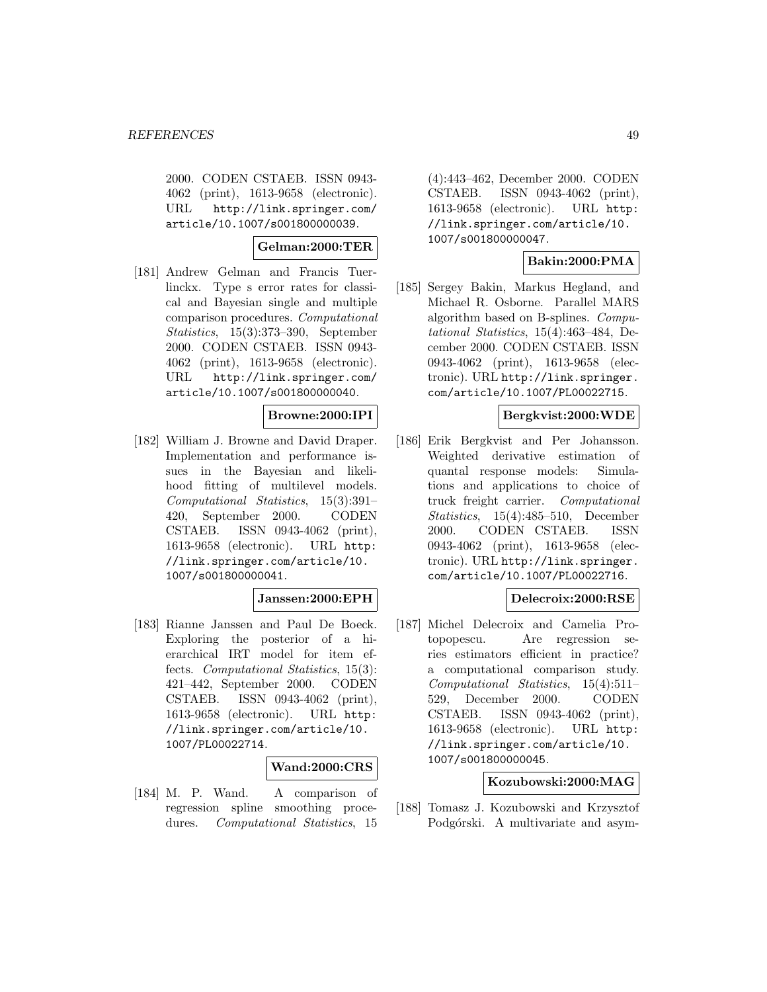2000. CODEN CSTAEB. ISSN 0943- 4062 (print), 1613-9658 (electronic). URL http://link.springer.com/ article/10.1007/s001800000039.

## **Gelman:2000:TER**

[181] Andrew Gelman and Francis Tuerlinckx. Type s error rates for classical and Bayesian single and multiple comparison procedures. Computational Statistics, 15(3):373–390, September 2000. CODEN CSTAEB. ISSN 0943- 4062 (print), 1613-9658 (electronic). URL http://link.springer.com/ article/10.1007/s001800000040.

## **Browne:2000:IPI**

[182] William J. Browne and David Draper. Implementation and performance issues in the Bayesian and likelihood fitting of multilevel models. Computational Statistics, 15(3):391– 420, September 2000. CODEN CSTAEB. ISSN 0943-4062 (print), 1613-9658 (electronic). URL http: //link.springer.com/article/10. 1007/s001800000041.

# **Janssen:2000:EPH**

[183] Rianne Janssen and Paul De Boeck. Exploring the posterior of a hierarchical IRT model for item effects. Computational Statistics, 15(3): 421–442, September 2000. CODEN CSTAEB. ISSN 0943-4062 (print), 1613-9658 (electronic). URL http: //link.springer.com/article/10. 1007/PL00022714.

### **Wand:2000:CRS**

[184] M. P. Wand. A comparison of regression spline smoothing procedures. Computational Statistics, 15

(4):443–462, December 2000. CODEN CSTAEB. ISSN 0943-4062 (print), 1613-9658 (electronic). URL http: //link.springer.com/article/10. 1007/s001800000047.

# **Bakin:2000:PMA**

[185] Sergey Bakin, Markus Hegland, and Michael R. Osborne. Parallel MARS algorithm based on B-splines. Computational Statistics, 15(4):463–484, December 2000. CODEN CSTAEB. ISSN 0943-4062 (print), 1613-9658 (electronic). URL http://link.springer. com/article/10.1007/PL00022715.

## **Bergkvist:2000:WDE**

[186] Erik Bergkvist and Per Johansson. Weighted derivative estimation of quantal response models: Simulations and applications to choice of truck freight carrier. Computational Statistics, 15(4):485–510, December 2000. CODEN CSTAEB. ISSN 0943-4062 (print), 1613-9658 (electronic). URL http://link.springer. com/article/10.1007/PL00022716.

# **Delecroix:2000:RSE**

[187] Michel Delecroix and Camelia Protopopescu. Are regression series estimators efficient in practice? a computational comparison study. Computational Statistics, 15(4):511– 529, December 2000. CODEN CSTAEB. ISSN 0943-4062 (print), 1613-9658 (electronic). URL http: //link.springer.com/article/10. 1007/s001800000045.

## **Kozubowski:2000:MAG**

[188] Tomasz J. Kozubowski and Krzysztof Podgórski. A multivariate and asym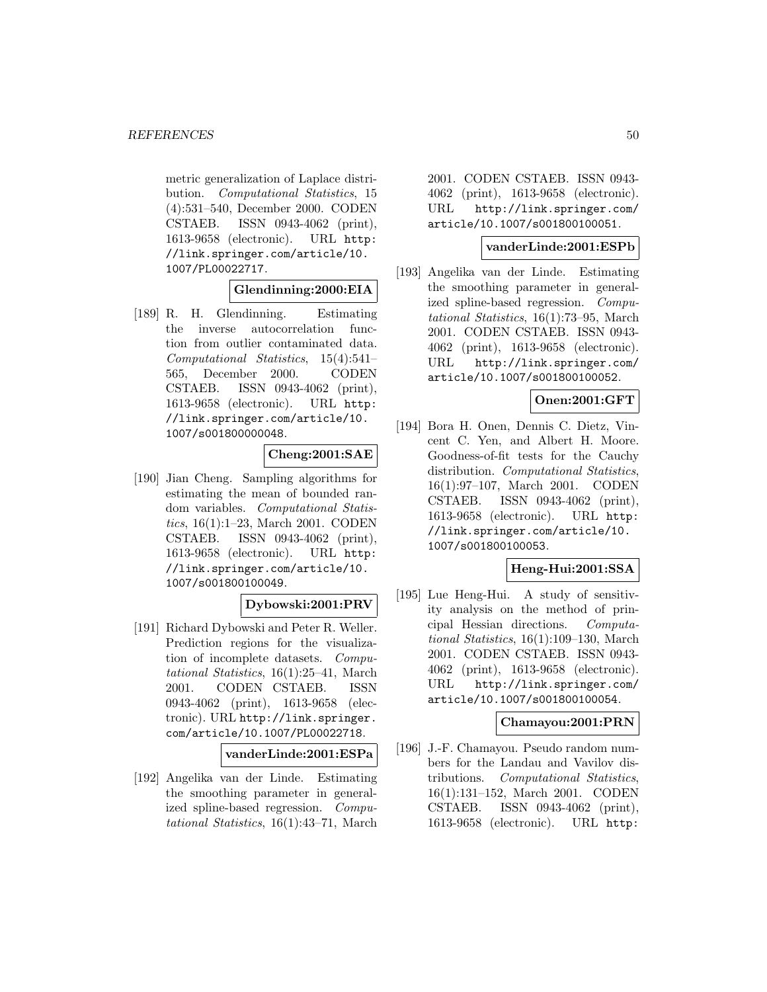metric generalization of Laplace distribution. Computational Statistics, 15 (4):531–540, December 2000. CODEN CSTAEB. ISSN 0943-4062 (print), 1613-9658 (electronic). URL http: //link.springer.com/article/10. 1007/PL00022717.

**Glendinning:2000:EIA**

[189] R. H. Glendinning. Estimating the inverse autocorrelation function from outlier contaminated data. Computational Statistics, 15(4):541– 565, December 2000. CODEN CSTAEB. ISSN 0943-4062 (print), 1613-9658 (electronic). URL http: //link.springer.com/article/10. 1007/s001800000048.

**Cheng:2001:SAE**

[190] Jian Cheng. Sampling algorithms for estimating the mean of bounded random variables. Computational Statistics, 16(1):1–23, March 2001. CODEN CSTAEB. ISSN 0943-4062 (print), 1613-9658 (electronic). URL http: //link.springer.com/article/10. 1007/s001800100049.

# **Dybowski:2001:PRV**

[191] Richard Dybowski and Peter R. Weller. Prediction regions for the visualization of incomplete datasets. Computational Statistics, 16(1):25–41, March 2001. CODEN CSTAEB. ISSN 0943-4062 (print), 1613-9658 (electronic). URL http://link.springer. com/article/10.1007/PL00022718.

**vanderLinde:2001:ESPa**

[192] Angelika van der Linde. Estimating the smoothing parameter in generalized spline-based regression. Computational Statistics, 16(1):43–71, March

2001. CODEN CSTAEB. ISSN 0943- 4062 (print), 1613-9658 (electronic). URL http://link.springer.com/ article/10.1007/s001800100051.

#### **vanderLinde:2001:ESPb**

[193] Angelika van der Linde. Estimating the smoothing parameter in generalized spline-based regression. Computational Statistics, 16(1):73–95, March 2001. CODEN CSTAEB. ISSN 0943- 4062 (print), 1613-9658 (electronic). URL http://link.springer.com/ article/10.1007/s001800100052.

## **Onen:2001:GFT**

[194] Bora H. Onen, Dennis C. Dietz, Vincent C. Yen, and Albert H. Moore. Goodness-of-fit tests for the Cauchy distribution. Computational Statistics, 16(1):97–107, March 2001. CODEN CSTAEB. ISSN 0943-4062 (print), 1613-9658 (electronic). URL http: //link.springer.com/article/10. 1007/s001800100053.

### **Heng-Hui:2001:SSA**

[195] Lue Heng-Hui. A study of sensitivity analysis on the method of principal Hessian directions. Computational Statistics, 16(1):109–130, March 2001. CODEN CSTAEB. ISSN 0943- 4062 (print), 1613-9658 (electronic). URL http://link.springer.com/ article/10.1007/s001800100054.

### **Chamayou:2001:PRN**

[196] J.-F. Chamayou. Pseudo random numbers for the Landau and Vavilov distributions. Computational Statistics, 16(1):131–152, March 2001. CODEN CSTAEB. ISSN 0943-4062 (print), 1613-9658 (electronic). URL http: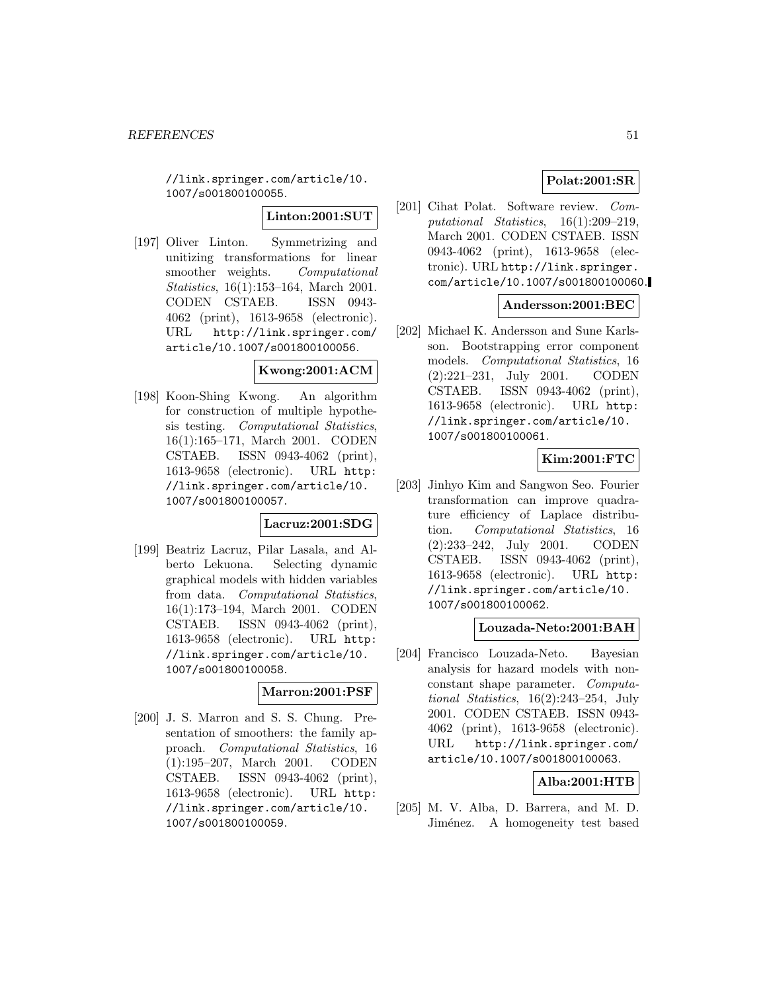//link.springer.com/article/10. 1007/s001800100055.

**Linton:2001:SUT**

[197] Oliver Linton. Symmetrizing and unitizing transformations for linear smoother weights. Computational Statistics, 16(1):153–164, March 2001. CODEN CSTAEB. ISSN 0943- 4062 (print), 1613-9658 (electronic). URL http://link.springer.com/ article/10.1007/s001800100056.

## **Kwong:2001:ACM**

[198] Koon-Shing Kwong. An algorithm for construction of multiple hypothesis testing. Computational Statistics, 16(1):165–171, March 2001. CODEN CSTAEB. ISSN 0943-4062 (print), 1613-9658 (electronic). URL http: //link.springer.com/article/10. 1007/s001800100057.

# **Lacruz:2001:SDG**

[199] Beatriz Lacruz, Pilar Lasala, and Alberto Lekuona. Selecting dynamic graphical models with hidden variables from data. Computational Statistics, 16(1):173–194, March 2001. CODEN CSTAEB. ISSN 0943-4062 (print), 1613-9658 (electronic). URL http: //link.springer.com/article/10. 1007/s001800100058.

### **Marron:2001:PSF**

[200] J. S. Marron and S. S. Chung. Presentation of smoothers: the family approach. Computational Statistics, 16 (1):195–207, March 2001. CODEN CSTAEB. ISSN 0943-4062 (print), 1613-9658 (electronic). URL http: //link.springer.com/article/10. 1007/s001800100059.

## **Polat:2001:SR**

[201] Cihat Polat. Software review. Computational Statistics, 16(1):209–219, March 2001. CODEN CSTAEB. ISSN 0943-4062 (print), 1613-9658 (electronic). URL http://link.springer. com/article/10.1007/s001800100060.

## **Andersson:2001:BEC**

[202] Michael K. Andersson and Sune Karlsson. Bootstrapping error component models. Computational Statistics, 16 (2):221–231, July 2001. CODEN CSTAEB. ISSN 0943-4062 (print), 1613-9658 (electronic). URL http: //link.springer.com/article/10. 1007/s001800100061.

# **Kim:2001:FTC**

[203] Jinhyo Kim and Sangwon Seo. Fourier transformation can improve quadrature efficiency of Laplace distribution. Computational Statistics, 16 (2):233–242, July 2001. CODEN CSTAEB. ISSN 0943-4062 (print), 1613-9658 (electronic). URL http: //link.springer.com/article/10. 1007/s001800100062.

### **Louzada-Neto:2001:BAH**

[204] Francisco Louzada-Neto. Bayesian analysis for hazard models with nonconstant shape parameter. Computational Statistics, 16(2):243–254, July 2001. CODEN CSTAEB. ISSN 0943- 4062 (print), 1613-9658 (electronic). URL http://link.springer.com/ article/10.1007/s001800100063.

# **Alba:2001:HTB**

[205] M. V. Alba, D. Barrera, and M. D. Jiménez. A homogeneity test based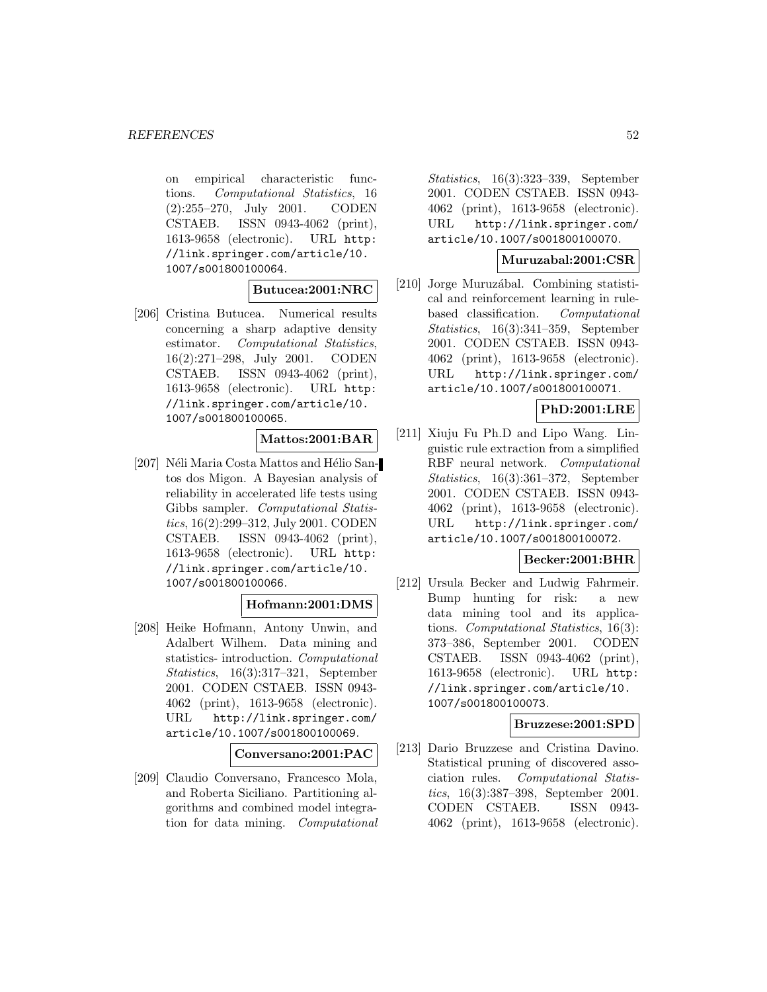on empirical characteristic functions. Computational Statistics, 16 (2):255–270, July 2001. CODEN CSTAEB. ISSN 0943-4062 (print), 1613-9658 (electronic). URL http: //link.springer.com/article/10. 1007/s001800100064.

**Butucea:2001:NRC**

[206] Cristina Butucea. Numerical results concerning a sharp adaptive density estimator. Computational Statistics, 16(2):271–298, July 2001. CODEN CSTAEB. ISSN 0943-4062 (print), 1613-9658 (electronic). URL http: //link.springer.com/article/10. 1007/s001800100065.

### **Mattos:2001:BAR**

[207] Néli Maria Costa Mattos and Hélio Santos dos Migon. A Bayesian analysis of reliability in accelerated life tests using Gibbs sampler. Computational Statistics, 16(2):299–312, July 2001. CODEN CSTAEB. ISSN 0943-4062 (print), 1613-9658 (electronic). URL http: //link.springer.com/article/10. 1007/s001800100066.

### **Hofmann:2001:DMS**

[208] Heike Hofmann, Antony Unwin, and Adalbert Wilhem. Data mining and statistics- introduction. Computational Statistics, 16(3):317–321, September 2001. CODEN CSTAEB. ISSN 0943- 4062 (print), 1613-9658 (electronic). URL http://link.springer.com/ article/10.1007/s001800100069.

**Conversano:2001:PAC**

[209] Claudio Conversano, Francesco Mola, and Roberta Siciliano. Partitioning algorithms and combined model integration for data mining. Computational

Statistics, 16(3):323–339, September 2001. CODEN CSTAEB. ISSN 0943- 4062 (print), 1613-9658 (electronic). URL http://link.springer.com/ article/10.1007/s001800100070.

#### **Muruzabal:2001:CSR**

[210] Jorge Muruzábal. Combining statistical and reinforcement learning in rulebased classification. Computational Statistics, 16(3):341–359, September 2001. CODEN CSTAEB. ISSN 0943- 4062 (print), 1613-9658 (electronic). URL http://link.springer.com/ article/10.1007/s001800100071.

## **PhD:2001:LRE**

[211] Xiuju Fu Ph.D and Lipo Wang. Linguistic rule extraction from a simplified RBF neural network. Computational Statistics, 16(3):361–372, September 2001. CODEN CSTAEB. ISSN 0943- 4062 (print), 1613-9658 (electronic). URL http://link.springer.com/ article/10.1007/s001800100072.

## **Becker:2001:BHR**

[212] Ursula Becker and Ludwig Fahrmeir. Bump hunting for risk: a new data mining tool and its applications. Computational Statistics, 16(3): 373–386, September 2001. CODEN CSTAEB. ISSN 0943-4062 (print), 1613-9658 (electronic). URL http: //link.springer.com/article/10. 1007/s001800100073.

## **Bruzzese:2001:SPD**

[213] Dario Bruzzese and Cristina Davino. Statistical pruning of discovered association rules. Computational Statistics, 16(3):387–398, September 2001. CODEN CSTAEB. ISSN 0943- 4062 (print), 1613-9658 (electronic).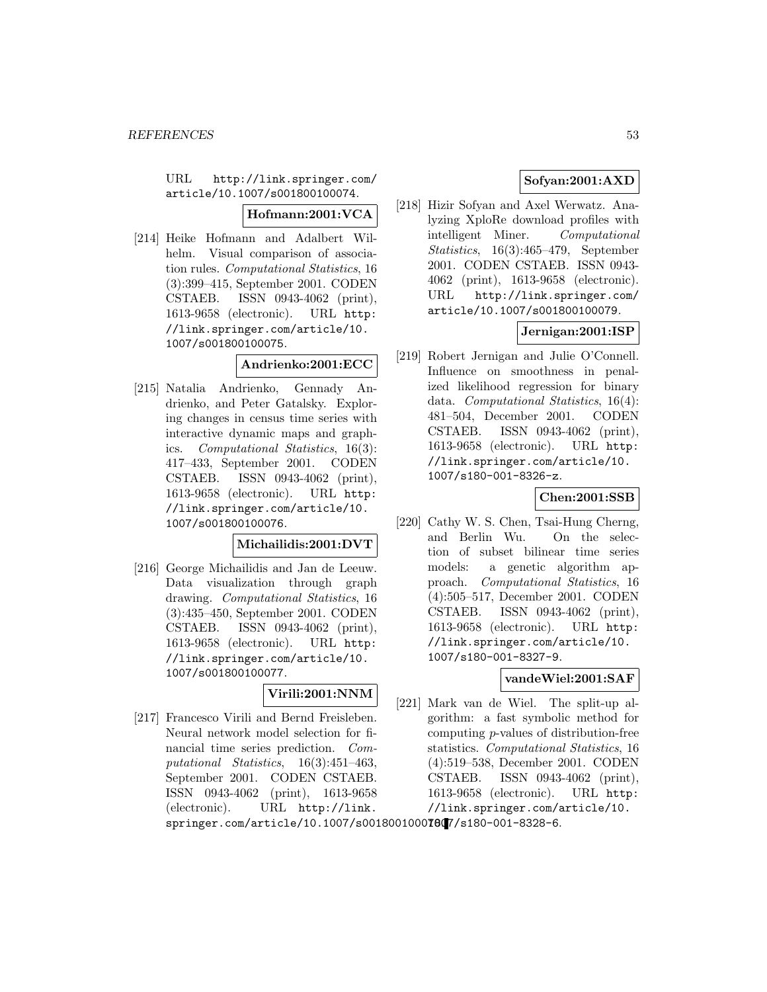URL http://link.springer.com/ article/10.1007/s001800100074.

**Hofmann:2001:VCA**

[214] Heike Hofmann and Adalbert Wilhelm. Visual comparison of association rules. Computational Statistics, 16 (3):399–415, September 2001. CODEN CSTAEB. ISSN 0943-4062 (print), 1613-9658 (electronic). URL http: //link.springer.com/article/10. 1007/s001800100075.

## **Andrienko:2001:ECC**

[215] Natalia Andrienko, Gennady Andrienko, and Peter Gatalsky. Exploring changes in census time series with interactive dynamic maps and graphics. Computational Statistics, 16(3): 417–433, September 2001. CODEN CSTAEB. ISSN 0943-4062 (print), 1613-9658 (electronic). URL http: //link.springer.com/article/10. 1007/s001800100076.

### **Michailidis:2001:DVT**

[216] George Michailidis and Jan de Leeuw. Data visualization through graph drawing. Computational Statistics, 16 (3):435–450, September 2001. CODEN CSTAEB. ISSN 0943-4062 (print), 1613-9658 (electronic). URL http: //link.springer.com/article/10. 1007/s001800100077.

# **Virili:2001:NNM**

[217] Francesco Virili and Bernd Freisleben. Neural network model selection for financial time series prediction. Computational Statistics, 16(3):451–463, September 2001. CODEN CSTAEB. ISSN 0943-4062 (print), 1613-9658 (electronic). URL http://link.

# **Sofyan:2001:AXD**

[218] Hizir Sofyan and Axel Werwatz. Analyzing XploRe download profiles with intelligent Miner. Computational Statistics, 16(3):465–479, September 2001. CODEN CSTAEB. ISSN 0943- 4062 (print), 1613-9658 (electronic). URL http://link.springer.com/ article/10.1007/s001800100079.

# **Jernigan:2001:ISP**

[219] Robert Jernigan and Julie O'Connell. Influence on smoothness in penalized likelihood regression for binary data. Computational Statistics, 16(4): 481–504, December 2001. CODEN CSTAEB. ISSN 0943-4062 (print), 1613-9658 (electronic). URL http: //link.springer.com/article/10. 1007/s180-001-8326-z.

# **Chen:2001:SSB**

[220] Cathy W. S. Chen, Tsai-Hung Cherng, and Berlin Wu. On the selection of subset bilinear time series models: a genetic algorithm approach. Computational Statistics, 16 (4):505–517, December 2001. CODEN CSTAEB. ISSN 0943-4062 (print), 1613-9658 (electronic). URL http: //link.springer.com/article/10. 1007/s180-001-8327-9.

# **vandeWiel:2001:SAF**

[221] Mark van de Wiel. The split-up algorithm: a fast symbolic method for computing p-values of distribution-free statistics. Computational Statistics, 16 (4):519–538, December 2001. CODEN CSTAEB. ISSN 0943-4062 (print), 1613-9658 (electronic). URL http: //link.springer.com/article/10.

springer.com/article/10.1007/s00180010007807/s180-001-8328-6.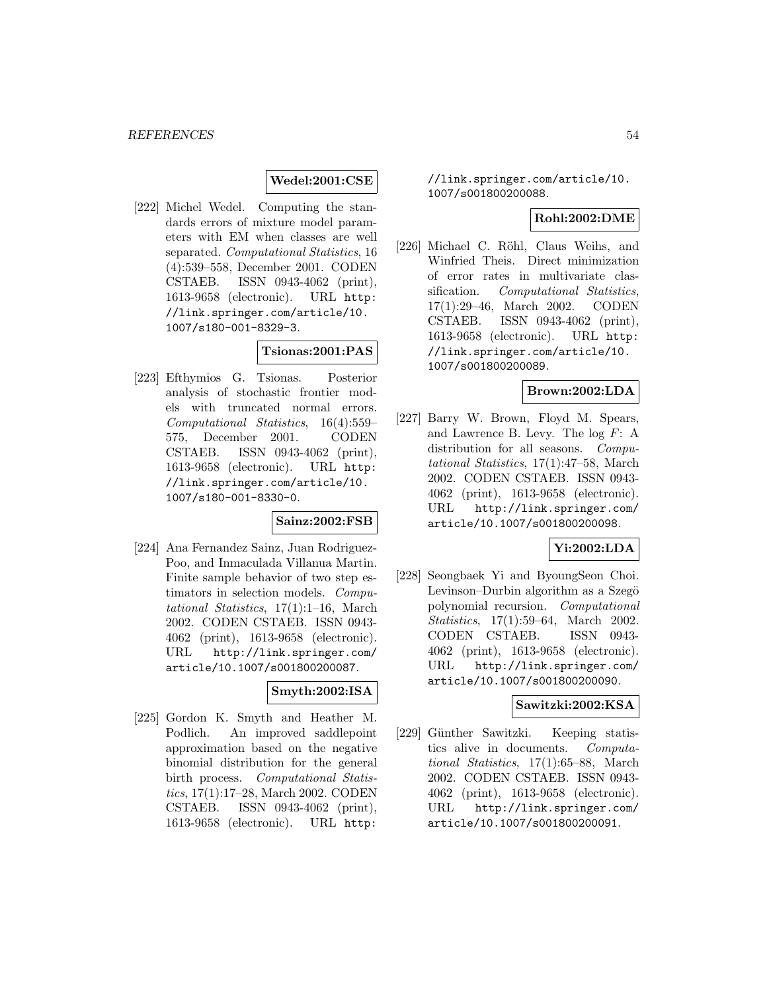## **Wedel:2001:CSE**

[222] Michel Wedel. Computing the standards errors of mixture model parameters with EM when classes are well separated. Computational Statistics, 16 (4):539–558, December 2001. CODEN CSTAEB. ISSN 0943-4062 (print), 1613-9658 (electronic). URL http: //link.springer.com/article/10. 1007/s180-001-8329-3.

# **Tsionas:2001:PAS**

[223] Efthymios G. Tsionas. Posterior analysis of stochastic frontier models with truncated normal errors. Computational Statistics, 16(4):559– 575, December 2001. CODEN CSTAEB. ISSN 0943-4062 (print), 1613-9658 (electronic). URL http: //link.springer.com/article/10. 1007/s180-001-8330-0.

### **Sainz:2002:FSB**

[224] Ana Fernandez Sainz, Juan Rodriguez-Poo, and Inmaculada Villanua Martin. Finite sample behavior of two step estimators in selection models. Computational Statistics, 17(1):1–16, March 2002. CODEN CSTAEB. ISSN 0943- 4062 (print), 1613-9658 (electronic). URL http://link.springer.com/ article/10.1007/s001800200087.

### **Smyth:2002:ISA**

[225] Gordon K. Smyth and Heather M. Podlich. An improved saddlepoint approximation based on the negative binomial distribution for the general birth process. Computational Statistics, 17(1):17–28, March 2002. CODEN CSTAEB. ISSN 0943-4062 (print), 1613-9658 (electronic). URL http:

//link.springer.com/article/10. 1007/s001800200088.

### **Rohl:2002:DME**

[226] Michael C. Röhl, Claus Weihs, and Winfried Theis. Direct minimization of error rates in multivariate classification. Computational Statistics, 17(1):29–46, March 2002. CODEN CSTAEB. ISSN 0943-4062 (print), 1613-9658 (electronic). URL http: //link.springer.com/article/10. 1007/s001800200089.

### **Brown:2002:LDA**

[227] Barry W. Brown, Floyd M. Spears, and Lawrence B. Levy. The  $log F$ : A distribution for all seasons. Computational Statistics, 17(1):47–58, March 2002. CODEN CSTAEB. ISSN 0943- 4062 (print), 1613-9658 (electronic). URL http://link.springer.com/ article/10.1007/s001800200098.

#### **Yi:2002:LDA**

[228] Seongbaek Yi and ByoungSeon Choi. Levinson–Durbin algorithm as a Szegö polynomial recursion. Computational Statistics, 17(1):59–64, March 2002. CODEN CSTAEB. ISSN 0943- 4062 (print), 1613-9658 (electronic). URL http://link.springer.com/ article/10.1007/s001800200090.

### **Sawitzki:2002:KSA**

[229] Günther Sawitzki. Keeping statistics alive in documents. Computational Statistics, 17(1):65–88, March 2002. CODEN CSTAEB. ISSN 0943- 4062 (print), 1613-9658 (electronic). URL http://link.springer.com/ article/10.1007/s001800200091.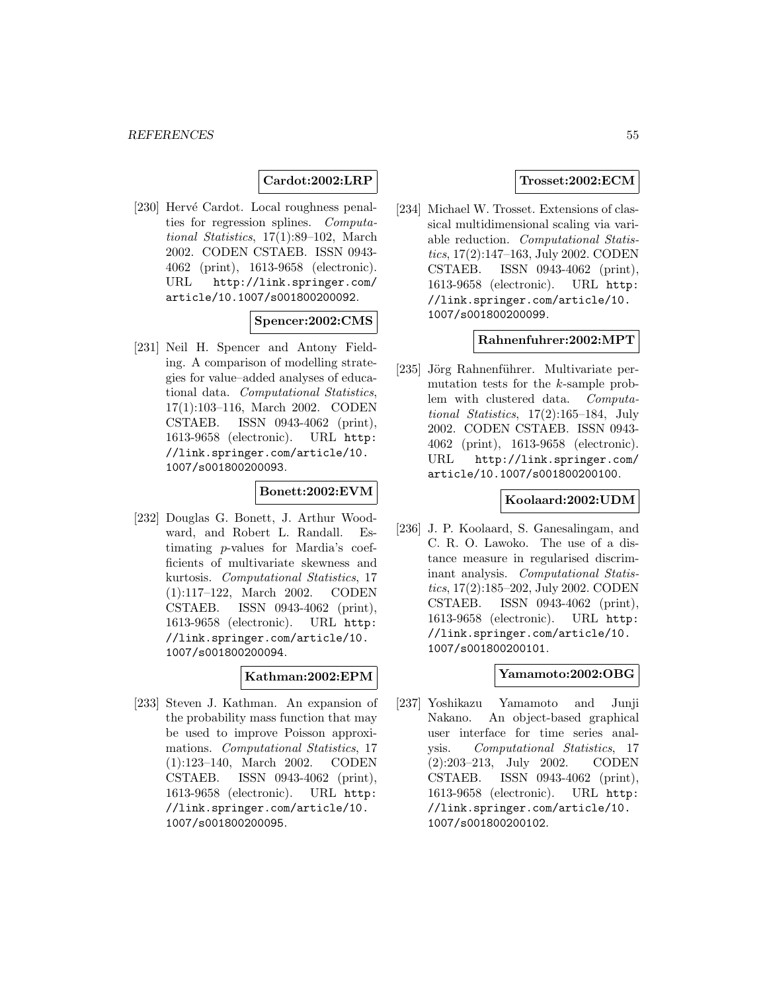## **Cardot:2002:LRP**

[230] Hervé Cardot. Local roughness penalties for regression splines. Computational Statistics, 17(1):89–102, March 2002. CODEN CSTAEB. ISSN 0943- 4062 (print), 1613-9658 (electronic). URL http://link.springer.com/ article/10.1007/s001800200092.

### **Spencer:2002:CMS**

[231] Neil H. Spencer and Antony Fielding. A comparison of modelling strategies for value–added analyses of educational data. Computational Statistics, 17(1):103–116, March 2002. CODEN CSTAEB. ISSN 0943-4062 (print), 1613-9658 (electronic). URL http: //link.springer.com/article/10. 1007/s001800200093.

#### **Bonett:2002:EVM**

[232] Douglas G. Bonett, J. Arthur Woodward, and Robert L. Randall. Estimating p-values for Mardia's coefficients of multivariate skewness and kurtosis. Computational Statistics, 17 (1):117–122, March 2002. CODEN CSTAEB. ISSN 0943-4062 (print), 1613-9658 (electronic). URL http: //link.springer.com/article/10. 1007/s001800200094.

#### **Kathman:2002:EPM**

[233] Steven J. Kathman. An expansion of the probability mass function that may be used to improve Poisson approximations. Computational Statistics, 17 (1):123–140, March 2002. CODEN CSTAEB. ISSN 0943-4062 (print), 1613-9658 (electronic). URL http: //link.springer.com/article/10. 1007/s001800200095.

## **Trosset:2002:ECM**

[234] Michael W. Trosset. Extensions of classical multidimensional scaling via variable reduction. Computational Statistics, 17(2):147–163, July 2002. CODEN CSTAEB. ISSN 0943-4062 (print), 1613-9658 (electronic). URL http: //link.springer.com/article/10. 1007/s001800200099.

#### **Rahnenfuhrer:2002:MPT**

[235] Jörg Rahnenführer. Multivariate permutation tests for the k-sample problem with clustered data. Computational Statistics, 17(2):165–184, July 2002. CODEN CSTAEB. ISSN 0943- 4062 (print), 1613-9658 (electronic). URL http://link.springer.com/ article/10.1007/s001800200100.

## **Koolaard:2002:UDM**

[236] J. P. Koolaard, S. Ganesalingam, and C. R. O. Lawoko. The use of a distance measure in regularised discriminant analysis. Computational Statistics, 17(2):185–202, July 2002. CODEN CSTAEB. ISSN 0943-4062 (print), 1613-9658 (electronic). URL http: //link.springer.com/article/10. 1007/s001800200101.

#### **Yamamoto:2002:OBG**

[237] Yoshikazu Yamamoto and Junji Nakano. An object-based graphical user interface for time series analysis. Computational Statistics, 17 (2):203–213, July 2002. CODEN CSTAEB. ISSN 0943-4062 (print), 1613-9658 (electronic). URL http: //link.springer.com/article/10. 1007/s001800200102.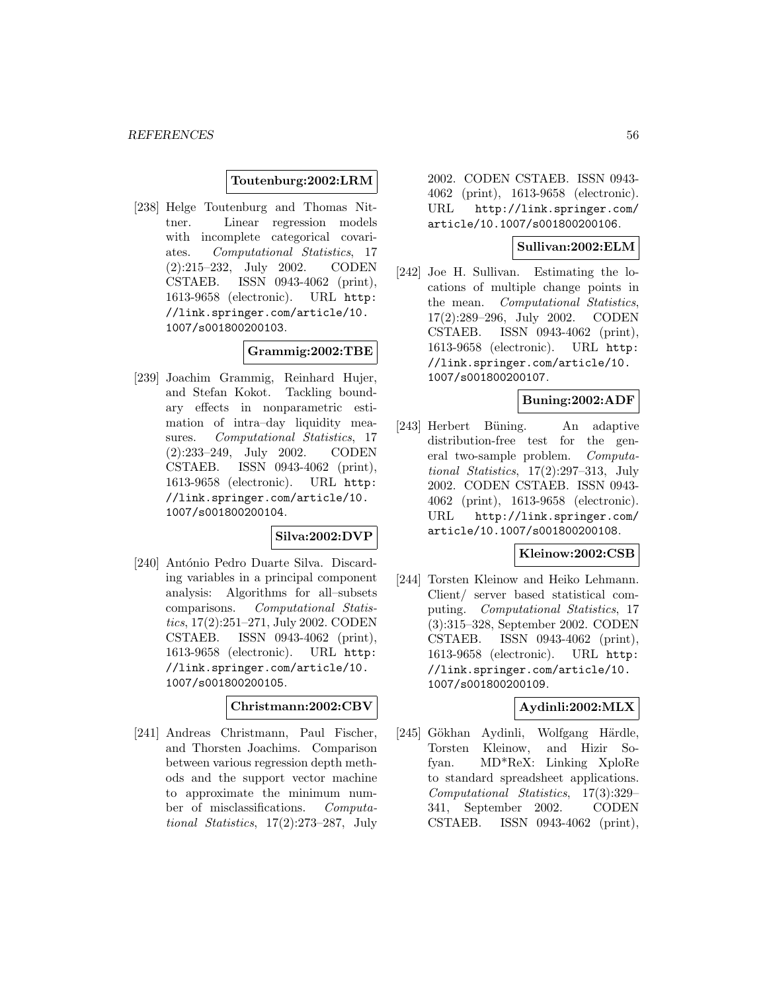#### **Toutenburg:2002:LRM**

[238] Helge Toutenburg and Thomas Nittner. Linear regression models with incomplete categorical covariates. Computational Statistics, 17 (2):215–232, July 2002. CODEN CSTAEB. ISSN 0943-4062 (print), 1613-9658 (electronic). URL http: //link.springer.com/article/10. 1007/s001800200103.

# **Grammig:2002:TBE**

[239] Joachim Grammig, Reinhard Hujer, and Stefan Kokot. Tackling boundary effects in nonparametric estimation of intra–day liquidity measures. Computational Statistics, 17 (2):233–249, July 2002. CODEN CSTAEB. ISSN 0943-4062 (print), 1613-9658 (electronic). URL http: //link.springer.com/article/10. 1007/s001800200104.

#### **Silva:2002:DVP**

[240] António Pedro Duarte Silva. Discarding variables in a principal component analysis: Algorithms for all–subsets comparisons. Computational Statistics, 17(2):251–271, July 2002. CODEN CSTAEB. ISSN 0943-4062 (print), 1613-9658 (electronic). URL http: //link.springer.com/article/10. 1007/s001800200105.

#### **Christmann:2002:CBV**

[241] Andreas Christmann, Paul Fischer, and Thorsten Joachims. Comparison between various regression depth methods and the support vector machine to approximate the minimum number of misclassifications. Computational Statistics, 17(2):273–287, July

2002. CODEN CSTAEB. ISSN 0943- 4062 (print), 1613-9658 (electronic). URL http://link.springer.com/ article/10.1007/s001800200106.

### **Sullivan:2002:ELM**

[242] Joe H. Sullivan. Estimating the locations of multiple change points in the mean. Computational Statistics, 17(2):289–296, July 2002. CODEN CSTAEB. ISSN 0943-4062 (print), 1613-9658 (electronic). URL http: //link.springer.com/article/10. 1007/s001800200107.

#### **Buning:2002:ADF**

[243] Herbert Büning. An adaptive distribution-free test for the general two-sample problem. Computational Statistics, 17(2):297–313, July 2002. CODEN CSTAEB. ISSN 0943- 4062 (print), 1613-9658 (electronic). URL http://link.springer.com/ article/10.1007/s001800200108.

### **Kleinow:2002:CSB**

[244] Torsten Kleinow and Heiko Lehmann. Client/ server based statistical computing. Computational Statistics, 17 (3):315–328, September 2002. CODEN CSTAEB. ISSN 0943-4062 (print), 1613-9658 (electronic). URL http: //link.springer.com/article/10. 1007/s001800200109.

## **Aydinli:2002:MLX**

[245] Gökhan Aydinli, Wolfgang Härdle, Torsten Kleinow, and Hizir Sofyan. MD\*ReX: Linking XploRe to standard spreadsheet applications. Computational Statistics, 17(3):329– 341, September 2002. CODEN CSTAEB. ISSN 0943-4062 (print),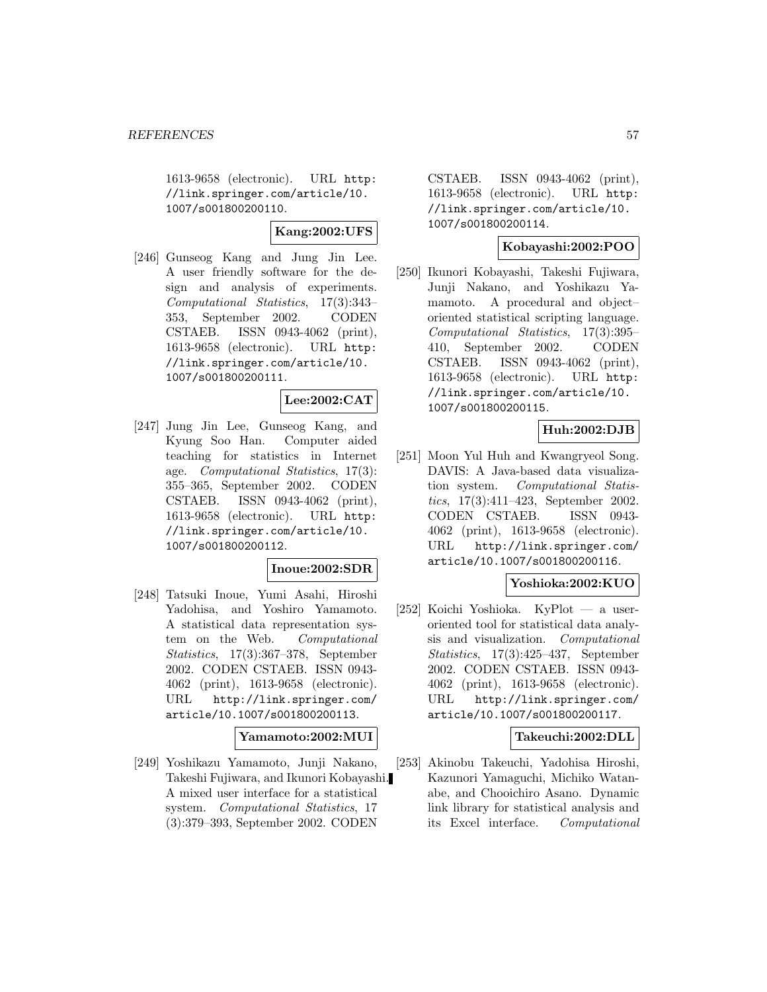1613-9658 (electronic). URL http: //link.springer.com/article/10. 1007/s001800200110.

## **Kang:2002:UFS**

[246] Gunseog Kang and Jung Jin Lee. A user friendly software for the design and analysis of experiments. Computational Statistics, 17(3):343– 353, September 2002. CODEN CSTAEB. ISSN 0943-4062 (print), 1613-9658 (electronic). URL http: //link.springer.com/article/10. 1007/s001800200111.

## **Lee:2002:CAT**

[247] Jung Jin Lee, Gunseog Kang, and Kyung Soo Han. Computer aided teaching for statistics in Internet age. Computational Statistics, 17(3): 355–365, September 2002. CODEN CSTAEB. ISSN 0943-4062 (print), 1613-9658 (electronic). URL http: //link.springer.com/article/10. 1007/s001800200112.

#### **Inoue:2002:SDR**

[248] Tatsuki Inoue, Yumi Asahi, Hiroshi Yadohisa, and Yoshiro Yamamoto. A statistical data representation system on the Web. Computational Statistics, 17(3):367–378, September 2002. CODEN CSTAEB. ISSN 0943- 4062 (print), 1613-9658 (electronic). URL http://link.springer.com/ article/10.1007/s001800200113.

### **Yamamoto:2002:MUI**

[249] Yoshikazu Yamamoto, Junji Nakano, Takeshi Fujiwara, and Ikunori Kobayashi. A mixed user interface for a statistical system. Computational Statistics, 17 (3):379–393, September 2002. CODEN

CSTAEB. ISSN 0943-4062 (print), 1613-9658 (electronic). URL http: //link.springer.com/article/10. 1007/s001800200114.

#### **Kobayashi:2002:POO**

[250] Ikunori Kobayashi, Takeshi Fujiwara, Junji Nakano, and Yoshikazu Yamamoto. A procedural and object– oriented statistical scripting language. Computational Statistics, 17(3):395– 410, September 2002. CODEN CSTAEB. ISSN 0943-4062 (print), 1613-9658 (electronic). URL http: //link.springer.com/article/10. 1007/s001800200115.

## **Huh:2002:DJB**

[251] Moon Yul Huh and Kwangryeol Song. DAVIS: A Java-based data visualization system. Computational Statistics, 17(3):411–423, September 2002. CODEN CSTAEB. ISSN 0943- 4062 (print), 1613-9658 (electronic). URL http://link.springer.com/ article/10.1007/s001800200116.

### **Yoshioka:2002:KUO**

[252] Koichi Yoshioka. KyPlot — a useroriented tool for statistical data analysis and visualization. Computational Statistics, 17(3):425–437, September 2002. CODEN CSTAEB. ISSN 0943- 4062 (print), 1613-9658 (electronic). URL http://link.springer.com/ article/10.1007/s001800200117.

### **Takeuchi:2002:DLL**

[253] Akinobu Takeuchi, Yadohisa Hiroshi, Kazunori Yamaguchi, Michiko Watanabe, and Chooichiro Asano. Dynamic link library for statistical analysis and its Excel interface. Computational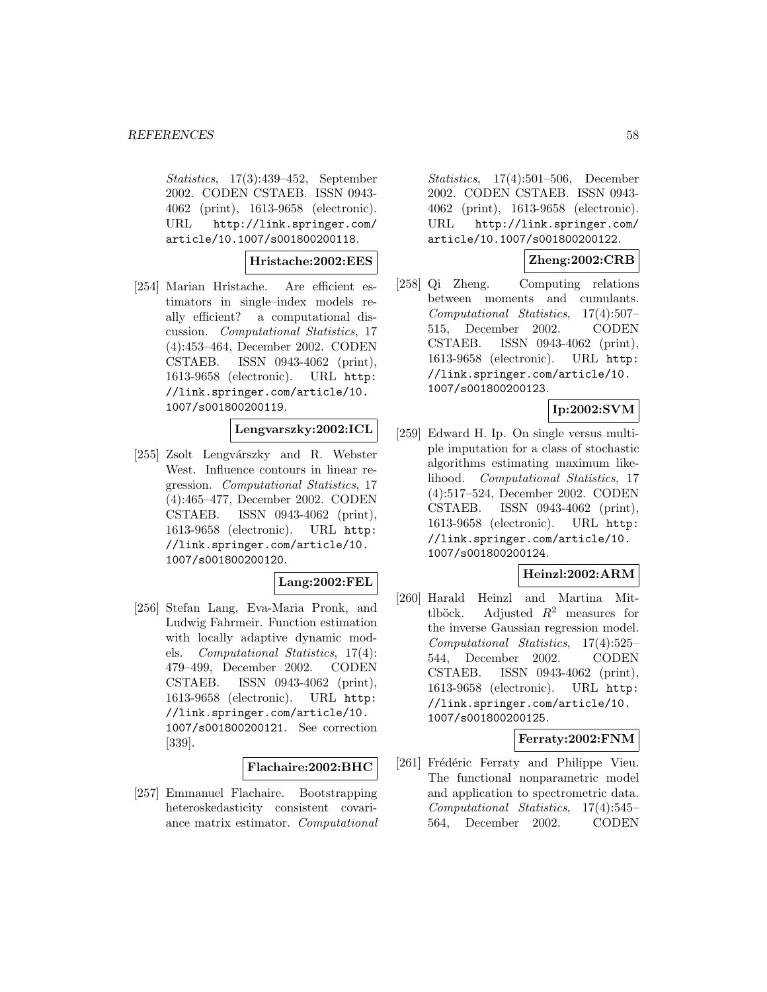Statistics, 17(3):439–452, September 2002. CODEN CSTAEB. ISSN 0943- 4062 (print), 1613-9658 (electronic). URL http://link.springer.com/ article/10.1007/s001800200118.

**Hristache:2002:EES**

[254] Marian Hristache. Are efficient estimators in single–index models really efficient? a computational discussion. Computational Statistics, 17 (4):453–464, December 2002. CODEN CSTAEB. ISSN 0943-4062 (print), 1613-9658 (electronic). URL http: //link.springer.com/article/10. 1007/s001800200119.

# **Lengvarszky:2002:ICL**

[255] Zsolt Lengvárszky and R. Webster West. Influence contours in linear regression. Computational Statistics, 17 (4):465–477, December 2002. CODEN CSTAEB. ISSN 0943-4062 (print), 1613-9658 (electronic). URL http: //link.springer.com/article/10. 1007/s001800200120.

### **Lang:2002:FEL**

[256] Stefan Lang, Eva-Maria Pronk, and Ludwig Fahrmeir. Function estimation with locally adaptive dynamic models. Computational Statistics, 17(4): 479–499, December 2002. CODEN CSTAEB. ISSN 0943-4062 (print), 1613-9658 (electronic). URL http: //link.springer.com/article/10. 1007/s001800200121. See correction [339].

### **Flachaire:2002:BHC**

[257] Emmanuel Flachaire. Bootstrapping heteroskedasticity consistent covariance matrix estimator. Computational

Statistics, 17(4):501–506, December 2002. CODEN CSTAEB. ISSN 0943- 4062 (print), 1613-9658 (electronic). URL http://link.springer.com/ article/10.1007/s001800200122.

## **Zheng:2002:CRB**

[258] Qi Zheng. Computing relations between moments and cumulants. Computational Statistics, 17(4):507– 515, December 2002. CODEN CSTAEB. ISSN 0943-4062 (print), 1613-9658 (electronic). URL http: //link.springer.com/article/10. 1007/s001800200123.

## **Ip:2002:SVM**

[259] Edward H. Ip. On single versus multiple imputation for a class of stochastic algorithms estimating maximum likelihood. Computational Statistics, 17 (4):517–524, December 2002. CODEN CSTAEB. ISSN 0943-4062 (print), 1613-9658 (electronic). URL http: //link.springer.com/article/10. 1007/s001800200124.

### **Heinzl:2002:ARM**

[260] Harald Heinzl and Martina Mittlböck. Adjusted  $R^2$  measures for the inverse Gaussian regression model. Computational Statistics, 17(4):525– 544, December 2002. CODEN CSTAEB. ISSN 0943-4062 (print), 1613-9658 (electronic). URL http: //link.springer.com/article/10. 1007/s001800200125.

### **Ferraty:2002:FNM**

[261] Frédéric Ferraty and Philippe Vieu. The functional nonparametric model and application to spectrometric data. Computational Statistics, 17(4):545– 564, December 2002. CODEN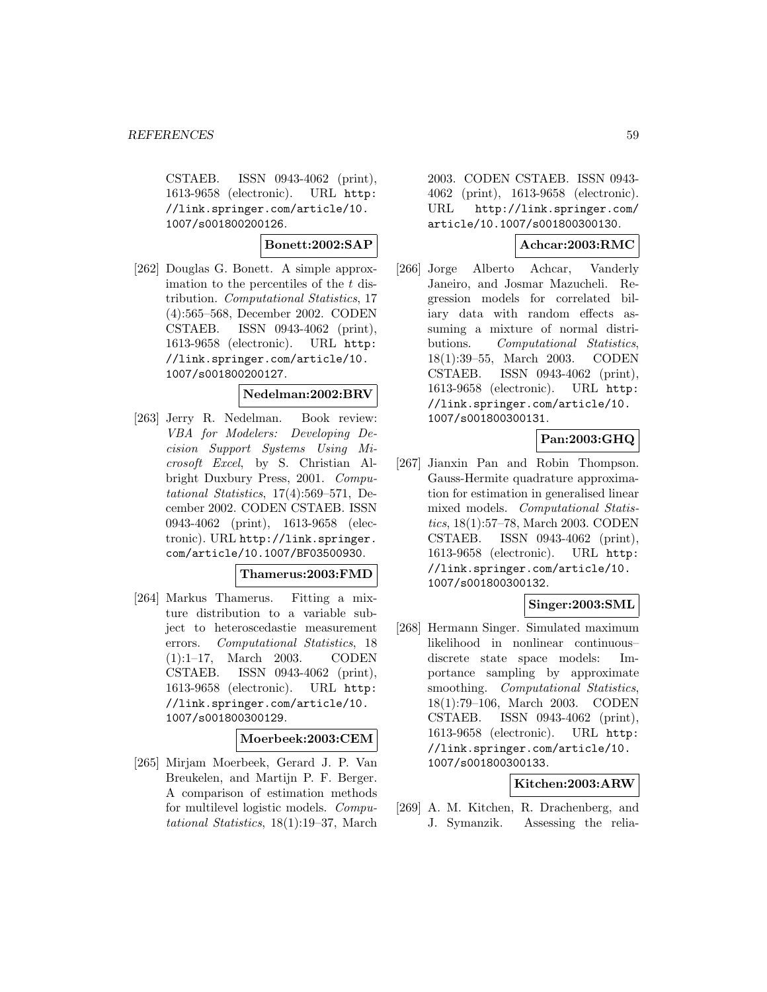CSTAEB. ISSN 0943-4062 (print), 1613-9658 (electronic). URL http: //link.springer.com/article/10. 1007/s001800200126.

#### **Bonett:2002:SAP**

[262] Douglas G. Bonett. A simple approximation to the percentiles of the  $t$  distribution. Computational Statistics, 17 (4):565–568, December 2002. CODEN CSTAEB. ISSN 0943-4062 (print), 1613-9658 (electronic). URL http: //link.springer.com/article/10. 1007/s001800200127.

# **Nedelman:2002:BRV**

[263] Jerry R. Nedelman. Book review: VBA for Modelers: Developing Decision Support Systems Using Microsoft Excel, by S. Christian Albright Duxbury Press, 2001. Computational Statistics, 17(4):569–571, December 2002. CODEN CSTAEB. ISSN 0943-4062 (print), 1613-9658 (electronic). URL http://link.springer. com/article/10.1007/BF03500930.

#### **Thamerus:2003:FMD**

[264] Markus Thamerus. Fitting a mixture distribution to a variable subject to heteroscedastie measurement errors. Computational Statistics, 18 (1):1–17, March 2003. CODEN CSTAEB. ISSN 0943-4062 (print), 1613-9658 (electronic). URL http: //link.springer.com/article/10. 1007/s001800300129.

### **Moerbeek:2003:CEM**

[265] Mirjam Moerbeek, Gerard J. P. Van Breukelen, and Martijn P. F. Berger. A comparison of estimation methods for multilevel logistic models. Computational Statistics, 18(1):19–37, March

2003. CODEN CSTAEB. ISSN 0943- 4062 (print), 1613-9658 (electronic). URL http://link.springer.com/ article/10.1007/s001800300130.

### **Achcar:2003:RMC**

[266] Jorge Alberto Achcar, Vanderly Janeiro, and Josmar Mazucheli. Regression models for correlated biliary data with random effects assuming a mixture of normal distributions. Computational Statistics, 18(1):39–55, March 2003. CODEN CSTAEB. ISSN 0943-4062 (print), 1613-9658 (electronic). URL http: //link.springer.com/article/10. 1007/s001800300131.

# **Pan:2003:GHQ**

[267] Jianxin Pan and Robin Thompson. Gauss-Hermite quadrature approximation for estimation in generalised linear mixed models. Computational Statistics, 18(1):57–78, March 2003. CODEN CSTAEB. ISSN 0943-4062 (print), 1613-9658 (electronic). URL http: //link.springer.com/article/10. 1007/s001800300132.

## **Singer:2003:SML**

[268] Hermann Singer. Simulated maximum likelihood in nonlinear continuous– discrete state space models: Importance sampling by approximate smoothing. Computational Statistics, 18(1):79–106, March 2003. CODEN CSTAEB. ISSN 0943-4062 (print), 1613-9658 (electronic). URL http: //link.springer.com/article/10. 1007/s001800300133.

## **Kitchen:2003:ARW**

[269] A. M. Kitchen, R. Drachenberg, and J. Symanzik. Assessing the relia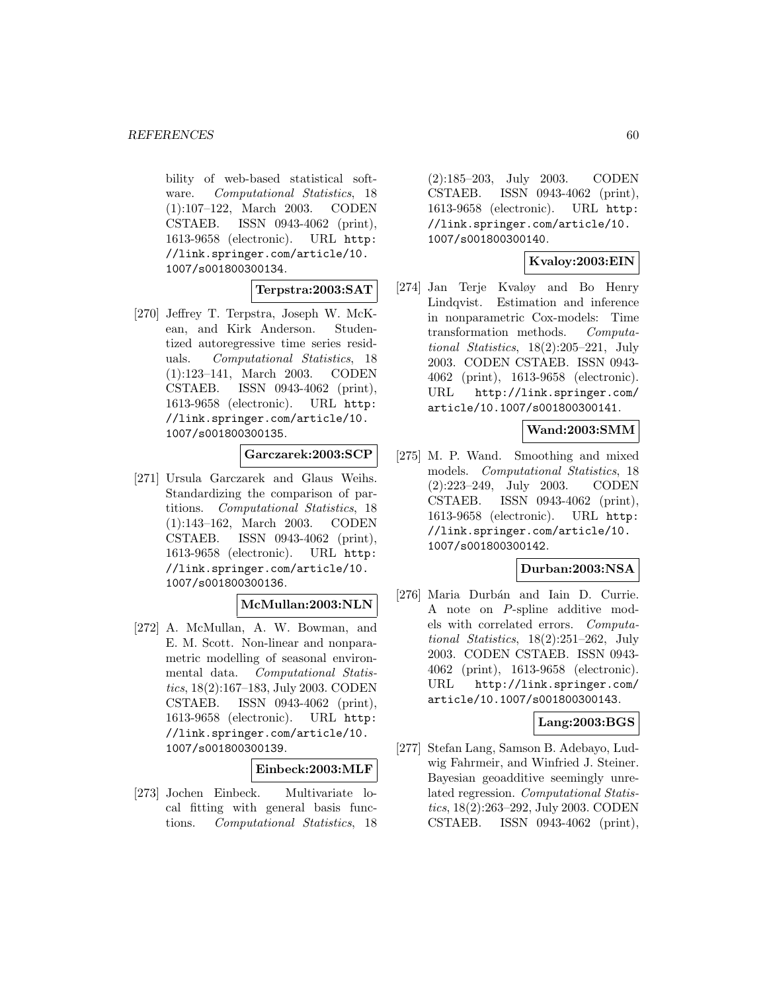bility of web-based statistical software. Computational Statistics, 18 (1):107–122, March 2003. CODEN CSTAEB. ISSN 0943-4062 (print), 1613-9658 (electronic). URL http: //link.springer.com/article/10. 1007/s001800300134.

**Terpstra:2003:SAT**

[270] Jeffrey T. Terpstra, Joseph W. McKean, and Kirk Anderson. Studentized autoregressive time series residuals. Computational Statistics, 18 (1):123–141, March 2003. CODEN CSTAEB. ISSN 0943-4062 (print), 1613-9658 (electronic). URL http: //link.springer.com/article/10. 1007/s001800300135.

**Garczarek:2003:SCP**

[271] Ursula Garczarek and Glaus Weihs. Standardizing the comparison of partitions. Computational Statistics, 18 (1):143–162, March 2003. CODEN CSTAEB. ISSN 0943-4062 (print), 1613-9658 (electronic). URL http: //link.springer.com/article/10. 1007/s001800300136.

### **McMullan:2003:NLN**

[272] A. McMullan, A. W. Bowman, and E. M. Scott. Non-linear and nonparametric modelling of seasonal environmental data. Computational Statistics, 18(2):167–183, July 2003. CODEN CSTAEB. ISSN 0943-4062 (print), 1613-9658 (electronic). URL http: //link.springer.com/article/10. 1007/s001800300139.

### **Einbeck:2003:MLF**

[273] Jochen Einbeck. Multivariate local fitting with general basis functions. Computational Statistics, 18 (2):185–203, July 2003. CODEN CSTAEB. ISSN 0943-4062 (print), 1613-9658 (electronic). URL http: //link.springer.com/article/10. 1007/s001800300140.

## **Kvaloy:2003:EIN**

[274] Jan Terje Kvaløy and Bo Henry Lindqvist. Estimation and inference in nonparametric Cox-models: Time transformation methods. Computational Statistics, 18(2):205–221, July 2003. CODEN CSTAEB. ISSN 0943- 4062 (print), 1613-9658 (electronic). URL http://link.springer.com/ article/10.1007/s001800300141.

### **Wand:2003:SMM**

[275] M. P. Wand. Smoothing and mixed models. Computational Statistics, 18 (2):223–249, July 2003. CODEN CSTAEB. ISSN 0943-4062 (print), 1613-9658 (electronic). URL http: //link.springer.com/article/10. 1007/s001800300142.

### **Durban:2003:NSA**

[276] Maria Durbán and Iain D. Currie. A note on P-spline additive models with correlated errors. Computational Statistics, 18(2):251–262, July 2003. CODEN CSTAEB. ISSN 0943- 4062 (print), 1613-9658 (electronic). URL http://link.springer.com/ article/10.1007/s001800300143.

## **Lang:2003:BGS**

[277] Stefan Lang, Samson B. Adebayo, Ludwig Fahrmeir, and Winfried J. Steiner. Bayesian geoadditive seemingly unrelated regression. Computational Statistics, 18(2):263–292, July 2003. CODEN CSTAEB. ISSN 0943-4062 (print),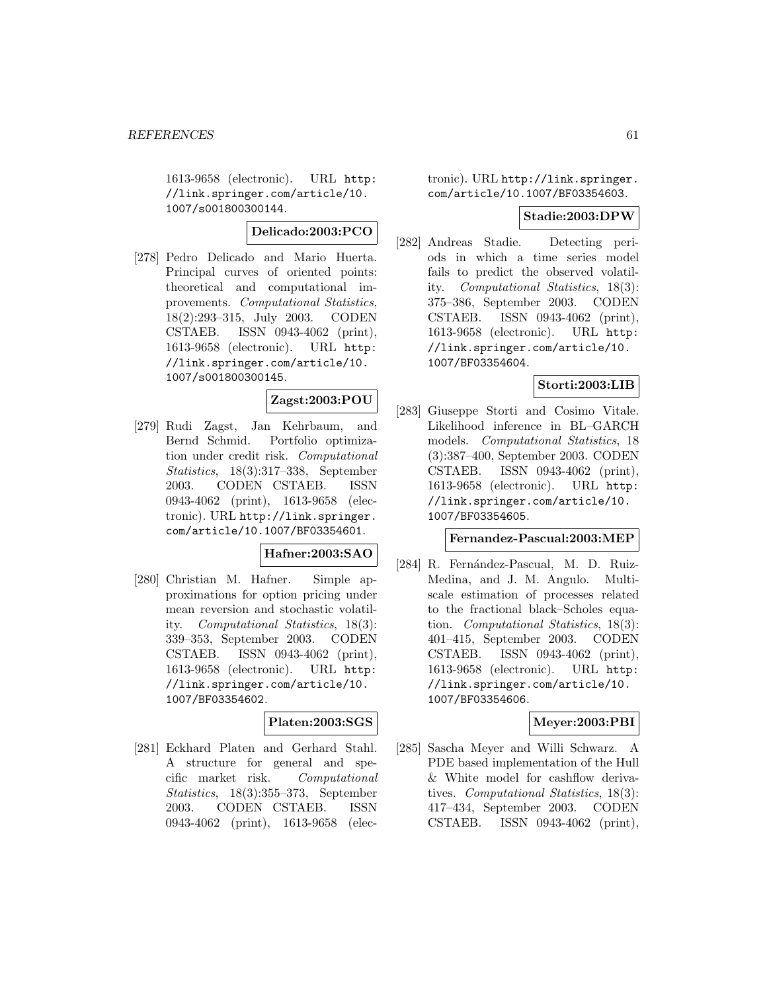1613-9658 (electronic). URL http: //link.springer.com/article/10. 1007/s001800300144.

**Delicado:2003:PCO**

[278] Pedro Delicado and Mario Huerta. Principal curves of oriented points: theoretical and computational improvements. Computational Statistics, 18(2):293–315, July 2003. CODEN CSTAEB. ISSN 0943-4062 (print), 1613-9658 (electronic). URL http: //link.springer.com/article/10. 1007/s001800300145.

# **Zagst:2003:POU**

[279] Rudi Zagst, Jan Kehrbaum, and Bernd Schmid. Portfolio optimization under credit risk. Computational Statistics, 18(3):317–338, September 2003. CODEN CSTAEB. ISSN 0943-4062 (print), 1613-9658 (electronic). URL http://link.springer. com/article/10.1007/BF03354601.

### **Hafner:2003:SAO**

[280] Christian M. Hafner. Simple approximations for option pricing under mean reversion and stochastic volatility. Computational Statistics, 18(3): 339–353, September 2003. CODEN CSTAEB. ISSN 0943-4062 (print), 1613-9658 (electronic). URL http: //link.springer.com/article/10. 1007/BF03354602.

# **Platen:2003:SGS**

[281] Eckhard Platen and Gerhard Stahl. A structure for general and specific market risk. Computational Statistics, 18(3):355–373, September 2003. CODEN CSTAEB. ISSN 0943-4062 (print), 1613-9658 (elec-

## tronic). URL http://link.springer. com/article/10.1007/BF03354603.

#### **Stadie:2003:DPW**

[282] Andreas Stadie. Detecting periods in which a time series model fails to predict the observed volatility. Computational Statistics, 18(3): 375–386, September 2003. CODEN CSTAEB. ISSN 0943-4062 (print), 1613-9658 (electronic). URL http: //link.springer.com/article/10. 1007/BF03354604.

## **Storti:2003:LIB**

[283] Giuseppe Storti and Cosimo Vitale. Likelihood inference in BL–GARCH models. Computational Statistics, 18 (3):387–400, September 2003. CODEN CSTAEB. ISSN 0943-4062 (print), 1613-9658 (electronic). URL http: //link.springer.com/article/10. 1007/BF03354605.

## **Fernandez-Pascual:2003:MEP**

[284] R. Fernández-Pascual, M. D. Ruiz-Medina, and J. M. Angulo. Multiscale estimation of processes related to the fractional black–Scholes equation. Computational Statistics, 18(3): 401–415, September 2003. CODEN CSTAEB. ISSN 0943-4062 (print), 1613-9658 (electronic). URL http: //link.springer.com/article/10. 1007/BF03354606.

## **Meyer:2003:PBI**

[285] Sascha Meyer and Willi Schwarz. A PDE based implementation of the Hull & White model for cashflow derivatives. Computational Statistics, 18(3): 417–434, September 2003. CODEN CSTAEB. ISSN 0943-4062 (print),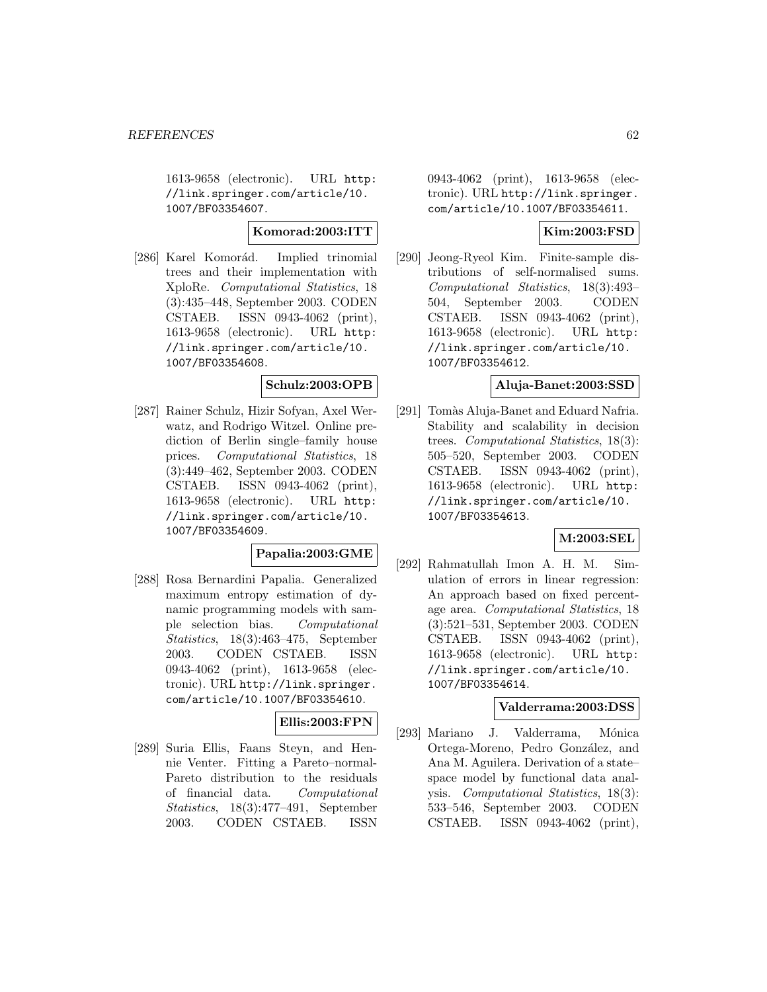1613-9658 (electronic). URL http: //link.springer.com/article/10. 1007/BF03354607.

**Komorad:2003:ITT**

[286] Karel Komorád. Implied trinomial trees and their implementation with XploRe. Computational Statistics, 18 (3):435–448, September 2003. CODEN CSTAEB. ISSN 0943-4062 (print), 1613-9658 (electronic). URL http: //link.springer.com/article/10. 1007/BF03354608.

## **Schulz:2003:OPB**

[287] Rainer Schulz, Hizir Sofyan, Axel Werwatz, and Rodrigo Witzel. Online prediction of Berlin single–family house prices. Computational Statistics, 18 (3):449–462, September 2003. CODEN CSTAEB. ISSN 0943-4062 (print), 1613-9658 (electronic). URL http: //link.springer.com/article/10. 1007/BF03354609.

#### **Papalia:2003:GME**

[288] Rosa Bernardini Papalia. Generalized maximum entropy estimation of dynamic programming models with sample selection bias. Computational Statistics, 18(3):463–475, September 2003. CODEN CSTAEB. ISSN 0943-4062 (print), 1613-9658 (electronic). URL http://link.springer. com/article/10.1007/BF03354610.

# **Ellis:2003:FPN**

[289] Suria Ellis, Faans Steyn, and Hennie Venter. Fitting a Pareto–normal-Pareto distribution to the residuals of financial data. Computational Statistics, 18(3):477–491, September 2003. CODEN CSTAEB. ISSN

0943-4062 (print), 1613-9658 (electronic). URL http://link.springer. com/article/10.1007/BF03354611.

## **Kim:2003:FSD**

[290] Jeong-Ryeol Kim. Finite-sample distributions of self-normalised sums. Computational Statistics, 18(3):493– 504, September 2003. CODEN CSTAEB. ISSN 0943-4062 (print), 1613-9658 (electronic). URL http: //link.springer.com/article/10. 1007/BF03354612.

### **Aluja-Banet:2003:SSD**

[291] Tomàs Aluja-Banet and Eduard Nafria. Stability and scalability in decision trees. Computational Statistics, 18(3): 505–520, September 2003. CODEN CSTAEB. ISSN 0943-4062 (print), 1613-9658 (electronic). URL http: //link.springer.com/article/10. 1007/BF03354613.

## **M:2003:SEL**

[292] Rahmatullah Imon A. H. M. Simulation of errors in linear regression: An approach based on fixed percentage area. Computational Statistics, 18 (3):521–531, September 2003. CODEN CSTAEB. ISSN 0943-4062 (print), 1613-9658 (electronic). URL http: //link.springer.com/article/10. 1007/BF03354614.

#### **Valderrama:2003:DSS**

[293] Mariano J. Valderrama, Mónica Ortega-Moreno, Pedro González, and Ana M. Aguilera. Derivation of a state– space model by functional data analysis. Computational Statistics, 18(3): 533–546, September 2003. CODEN CSTAEB. ISSN 0943-4062 (print),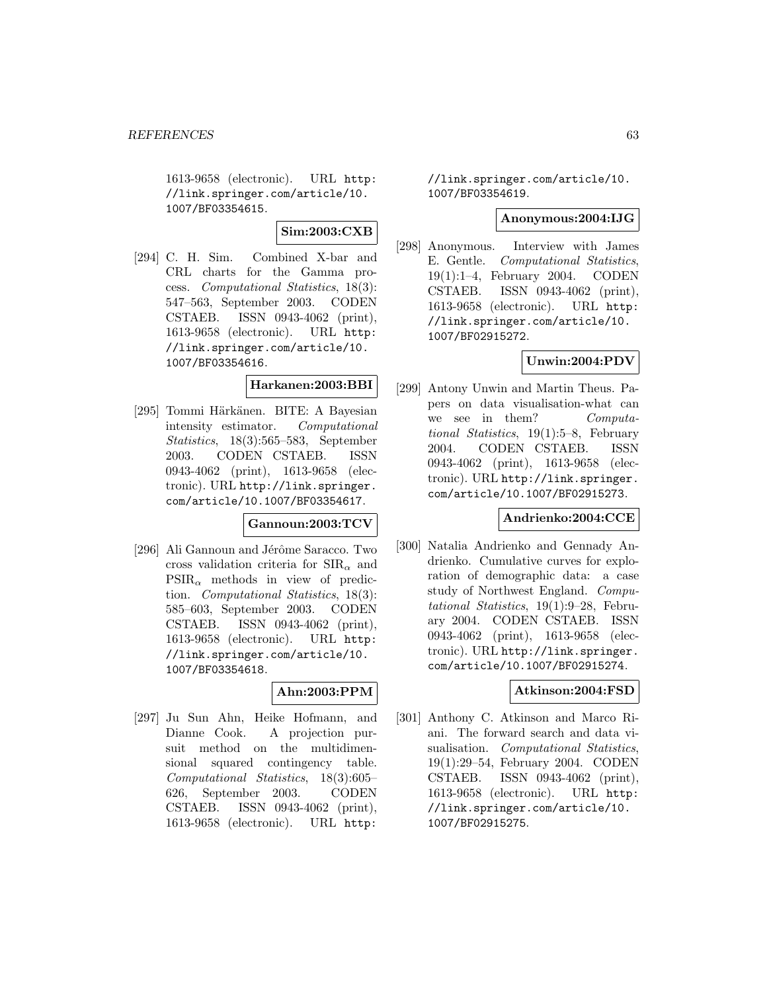1613-9658 (electronic). URL http: //link.springer.com/article/10. 1007/BF03354615.

**Sim:2003:CXB**

[294] C. H. Sim. Combined X-bar and CRL charts for the Gamma process. Computational Statistics, 18(3): 547–563, September 2003. CODEN CSTAEB. ISSN 0943-4062 (print), 1613-9658 (electronic). URL http: //link.springer.com/article/10. 1007/BF03354616.

### **Harkanen:2003:BBI**

[295] Tommi Härkänen. BITE: A Bayesian intensity estimator. Computational Statistics, 18(3):565–583, September 2003. CODEN CSTAEB. ISSN 0943-4062 (print), 1613-9658 (electronic). URL http://link.springer. com/article/10.1007/BF03354617.

### **Gannoun:2003:TCV**

[296] Ali Gannoun and Jérôme Saracco. Two cross validation criteria for  $\text{SIR}_{\alpha}$  and  $PSIR_{\alpha}$  methods in view of prediction. Computational Statistics, 18(3): 585–603, September 2003. CODEN CSTAEB. ISSN 0943-4062 (print), 1613-9658 (electronic). URL http: //link.springer.com/article/10. 1007/BF03354618.

# **Ahn:2003:PPM**

[297] Ju Sun Ahn, Heike Hofmann, and Dianne Cook. A projection pursuit method on the multidimensional squared contingency table. Computational Statistics, 18(3):605– 626, September 2003. CODEN CSTAEB. ISSN 0943-4062 (print), 1613-9658 (electronic). URL http:

//link.springer.com/article/10. 1007/BF03354619.

# **Anonymous:2004:IJG**

[298] Anonymous. Interview with James E. Gentle. Computational Statistics, 19(1):1–4, February 2004. CODEN CSTAEB. ISSN 0943-4062 (print), 1613-9658 (electronic). URL http: //link.springer.com/article/10. 1007/BF02915272.

## **Unwin:2004:PDV**

[299] Antony Unwin and Martin Theus. Papers on data visualisation-what can we see in them? Computational Statistics, 19(1):5–8, February 2004. CODEN CSTAEB. ISSN 0943-4062 (print), 1613-9658 (electronic). URL http://link.springer. com/article/10.1007/BF02915273.

### **Andrienko:2004:CCE**

[300] Natalia Andrienko and Gennady Andrienko. Cumulative curves for exploration of demographic data: a case study of Northwest England. Computational Statistics, 19(1):9–28, February 2004. CODEN CSTAEB. ISSN 0943-4062 (print), 1613-9658 (electronic). URL http://link.springer. com/article/10.1007/BF02915274.

### **Atkinson:2004:FSD**

[301] Anthony C. Atkinson and Marco Riani. The forward search and data visualisation. Computational Statistics, 19(1):29–54, February 2004. CODEN CSTAEB. ISSN 0943-4062 (print), 1613-9658 (electronic). URL http: //link.springer.com/article/10. 1007/BF02915275.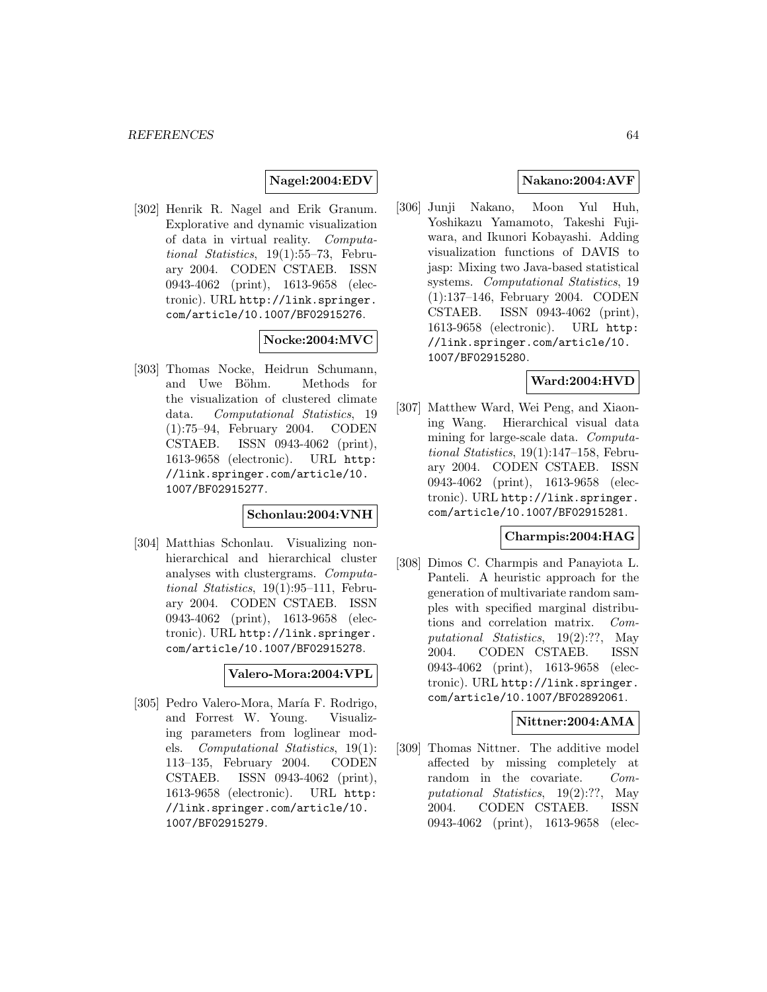## **Nagel:2004:EDV**

[302] Henrik R. Nagel and Erik Granum. Explorative and dynamic visualization of data in virtual reality. Computational Statistics, 19(1):55–73, February 2004. CODEN CSTAEB. ISSN 0943-4062 (print), 1613-9658 (electronic). URL http://link.springer. com/article/10.1007/BF02915276.

# **Nocke:2004:MVC**

[303] Thomas Nocke, Heidrun Schumann, and Uwe Böhm. Methods for the visualization of clustered climate data. Computational Statistics, 19 (1):75–94, February 2004. CODEN CSTAEB. ISSN 0943-4062 (print), 1613-9658 (electronic). URL http: //link.springer.com/article/10. 1007/BF02915277.

## **Schonlau:2004:VNH**

[304] Matthias Schonlau. Visualizing nonhierarchical and hierarchical cluster analyses with clustergrams. Computational Statistics, 19(1):95–111, February 2004. CODEN CSTAEB. ISSN 0943-4062 (print), 1613-9658 (electronic). URL http://link.springer. com/article/10.1007/BF02915278.

**Valero-Mora:2004:VPL**

[305] Pedro Valero-Mora, María F. Rodrigo, and Forrest W. Young. Visualizing parameters from loglinear models. Computational Statistics, 19(1): 113–135, February 2004. CODEN CSTAEB. ISSN 0943-4062 (print), 1613-9658 (electronic). URL http: //link.springer.com/article/10. 1007/BF02915279.

## **Nakano:2004:AVF**

[306] Junji Nakano, Moon Yul Huh, Yoshikazu Yamamoto, Takeshi Fujiwara, and Ikunori Kobayashi. Adding visualization functions of DAVIS to jasp: Mixing two Java-based statistical systems. Computational Statistics, 19 (1):137–146, February 2004. CODEN CSTAEB. ISSN 0943-4062 (print), 1613-9658 (electronic). URL http: //link.springer.com/article/10. 1007/BF02915280.

#### **Ward:2004:HVD**

[307] Matthew Ward, Wei Peng, and Xiaoning Wang. Hierarchical visual data mining for large-scale data. Computational Statistics, 19(1):147–158, February 2004. CODEN CSTAEB. ISSN 0943-4062 (print), 1613-9658 (electronic). URL http://link.springer. com/article/10.1007/BF02915281.

## **Charmpis:2004:HAG**

[308] Dimos C. Charmpis and Panayiota L. Panteli. A heuristic approach for the generation of multivariate random samples with specified marginal distributions and correlation matrix. Computational Statistics, 19(2):??, May 2004. CODEN CSTAEB. ISSN 0943-4062 (print), 1613-9658 (electronic). URL http://link.springer. com/article/10.1007/BF02892061.

#### **Nittner:2004:AMA**

[309] Thomas Nittner. The additive model affected by missing completely at random in the covariate. Computational Statistics, 19(2):??, May 2004. CODEN CSTAEB. ISSN 0943-4062 (print), 1613-9658 (elec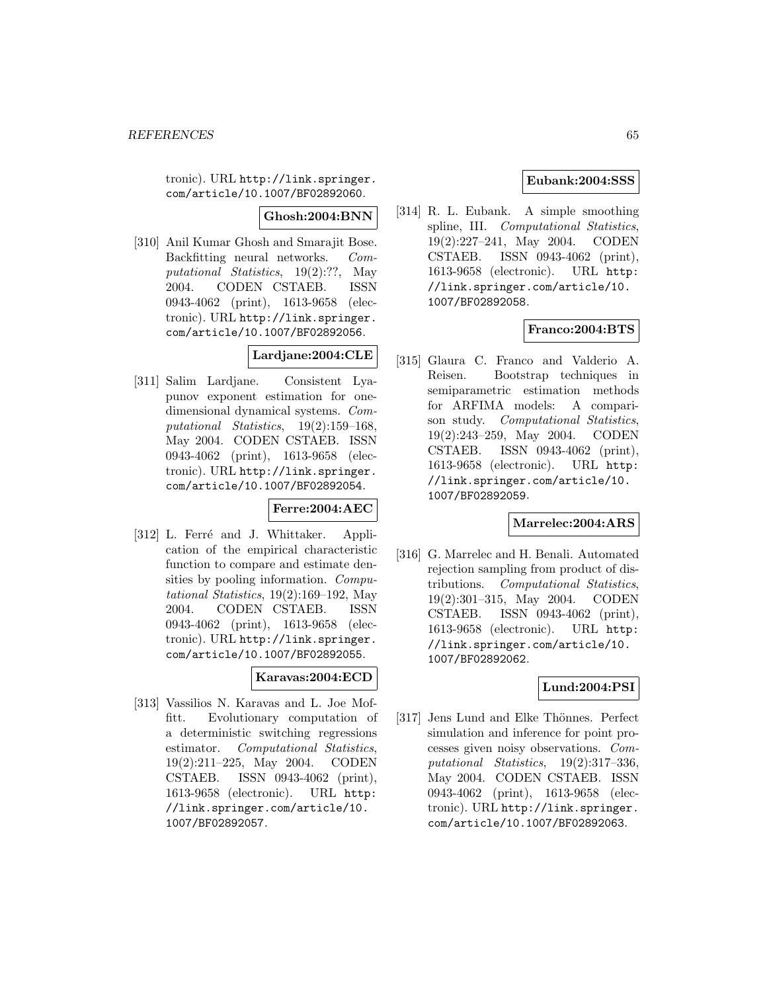tronic). URL http://link.springer. com/article/10.1007/BF02892060.

**Ghosh:2004:BNN**

[310] Anil Kumar Ghosh and Smarajit Bose. Backfitting neural networks. Computational Statistics, 19(2):??, May 2004. CODEN CSTAEB. ISSN 0943-4062 (print), 1613-9658 (electronic). URL http://link.springer. com/article/10.1007/BF02892056.

# **Lardjane:2004:CLE**

[311] Salim Lardjane. Consistent Lyapunov exponent estimation for onedimensional dynamical systems. Computational Statistics, 19(2):159–168, May 2004. CODEN CSTAEB. ISSN 0943-4062 (print), 1613-9658 (electronic). URL http://link.springer. com/article/10.1007/BF02892054.

**Ferre:2004:AEC**

[312] L. Ferré and J. Whittaker. Application of the empirical characteristic function to compare and estimate densities by pooling information. Computational Statistics, 19(2):169–192, May 2004. CODEN CSTAEB. ISSN 0943-4062 (print), 1613-9658 (electronic). URL http://link.springer. com/article/10.1007/BF02892055.

## **Karavas:2004:ECD**

[313] Vassilios N. Karavas and L. Joe Moffitt. Evolutionary computation of a deterministic switching regressions estimator. Computational Statistics, 19(2):211–225, May 2004. CODEN CSTAEB. ISSN 0943-4062 (print), 1613-9658 (electronic). URL http: //link.springer.com/article/10. 1007/BF02892057.

## **Eubank:2004:SSS**

[314] R. L. Eubank. A simple smoothing spline, III. Computational Statistics, 19(2):227–241, May 2004. CODEN CSTAEB. ISSN 0943-4062 (print), 1613-9658 (electronic). URL http: //link.springer.com/article/10. 1007/BF02892058.

# **Franco:2004:BTS**

[315] Glaura C. Franco and Valderio A. Reisen. Bootstrap techniques in semiparametric estimation methods for ARFIMA models: A comparison study. Computational Statistics, 19(2):243–259, May 2004. CODEN CSTAEB. ISSN 0943-4062 (print), 1613-9658 (electronic). URL http: //link.springer.com/article/10. 1007/BF02892059.

## **Marrelec:2004:ARS**

[316] G. Marrelec and H. Benali. Automated rejection sampling from product of distributions. Computational Statistics, 19(2):301–315, May 2004. CODEN CSTAEB. ISSN 0943-4062 (print), 1613-9658 (electronic). URL http: //link.springer.com/article/10. 1007/BF02892062.

# **Lund:2004:PSI**

[317] Jens Lund and Elke Thönnes. Perfect simulation and inference for point processes given noisy observations. Computational Statistics, 19(2):317–336, May 2004. CODEN CSTAEB. ISSN 0943-4062 (print), 1613-9658 (electronic). URL http://link.springer. com/article/10.1007/BF02892063.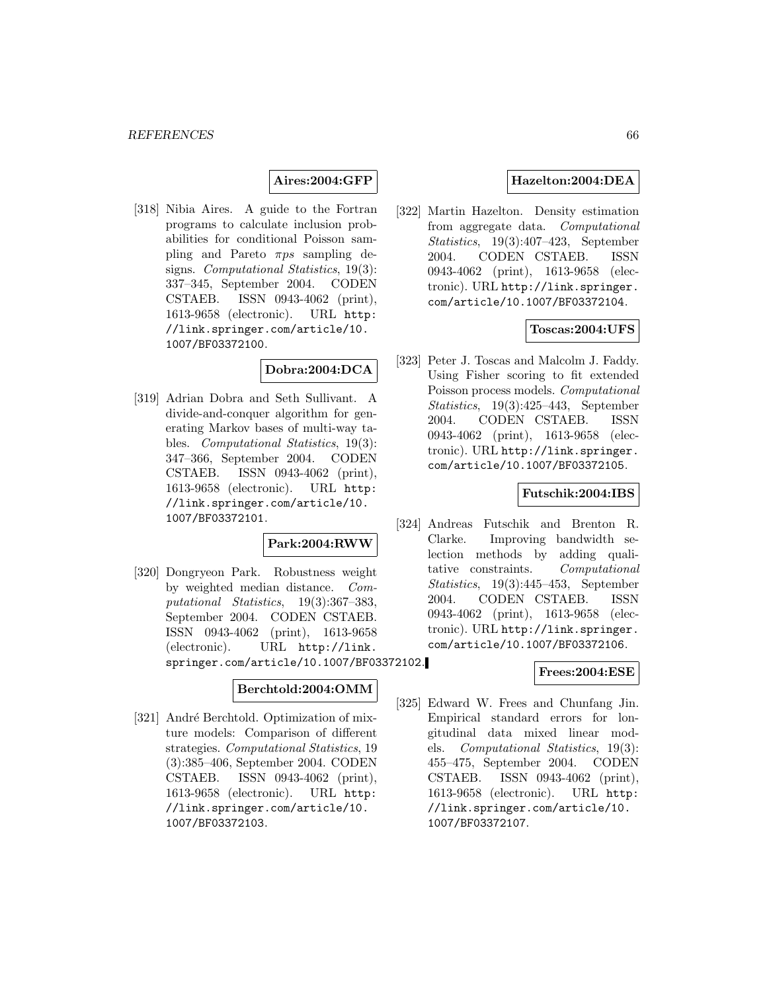### **Aires:2004:GFP**

[318] Nibia Aires. A guide to the Fortran programs to calculate inclusion probabilities for conditional Poisson sampling and Pareto  $\pi ps$  sampling designs. Computational Statistics, 19(3): 337–345, September 2004. CODEN CSTAEB. ISSN 0943-4062 (print), 1613-9658 (electronic). URL http: //link.springer.com/article/10. 1007/BF03372100.

### **Dobra:2004:DCA**

[319] Adrian Dobra and Seth Sullivant. A divide-and-conquer algorithm for generating Markov bases of multi-way tables. Computational Statistics, 19(3): 347–366, September 2004. CODEN CSTAEB. ISSN 0943-4062 (print), 1613-9658 (electronic). URL http: //link.springer.com/article/10. 1007/BF03372101.

## **Park:2004:RWW**

[320] Dongryeon Park. Robustness weight by weighted median distance. Computational Statistics, 19(3):367–383, September 2004. CODEN CSTAEB. ISSN 0943-4062 (print), 1613-9658 (electronic). URL http://link. springer.com/article/10.1007/BF03372102.

### **Berchtold:2004:OMM**

[321] André Berchtold. Optimization of mixture models: Comparison of different strategies. Computational Statistics, 19 (3):385–406, September 2004. CODEN CSTAEB. ISSN 0943-4062 (print), 1613-9658 (electronic). URL http: //link.springer.com/article/10. 1007/BF03372103.

## **Hazelton:2004:DEA**

[322] Martin Hazelton. Density estimation from aggregate data. Computational Statistics, 19(3):407–423, September 2004. CODEN CSTAEB. ISSN 0943-4062 (print), 1613-9658 (electronic). URL http://link.springer. com/article/10.1007/BF03372104.

### **Toscas:2004:UFS**

[323] Peter J. Toscas and Malcolm J. Faddy. Using Fisher scoring to fit extended Poisson process models. Computational Statistics, 19(3):425–443, September 2004. CODEN CSTAEB. ISSN 0943-4062 (print), 1613-9658 (electronic). URL http://link.springer. com/article/10.1007/BF03372105.

#### **Futschik:2004:IBS**

[324] Andreas Futschik and Brenton R. Clarke. Improving bandwidth selection methods by adding qualitative constraints. Computational Statistics, 19(3):445–453, September 2004. CODEN CSTAEB. ISSN 0943-4062 (print), 1613-9658 (electronic). URL http://link.springer. com/article/10.1007/BF03372106.

#### **Frees:2004:ESE**

[325] Edward W. Frees and Chunfang Jin. Empirical standard errors for longitudinal data mixed linear models. Computational Statistics, 19(3): 455–475, September 2004. CODEN CSTAEB. ISSN 0943-4062 (print), 1613-9658 (electronic). URL http: //link.springer.com/article/10. 1007/BF03372107.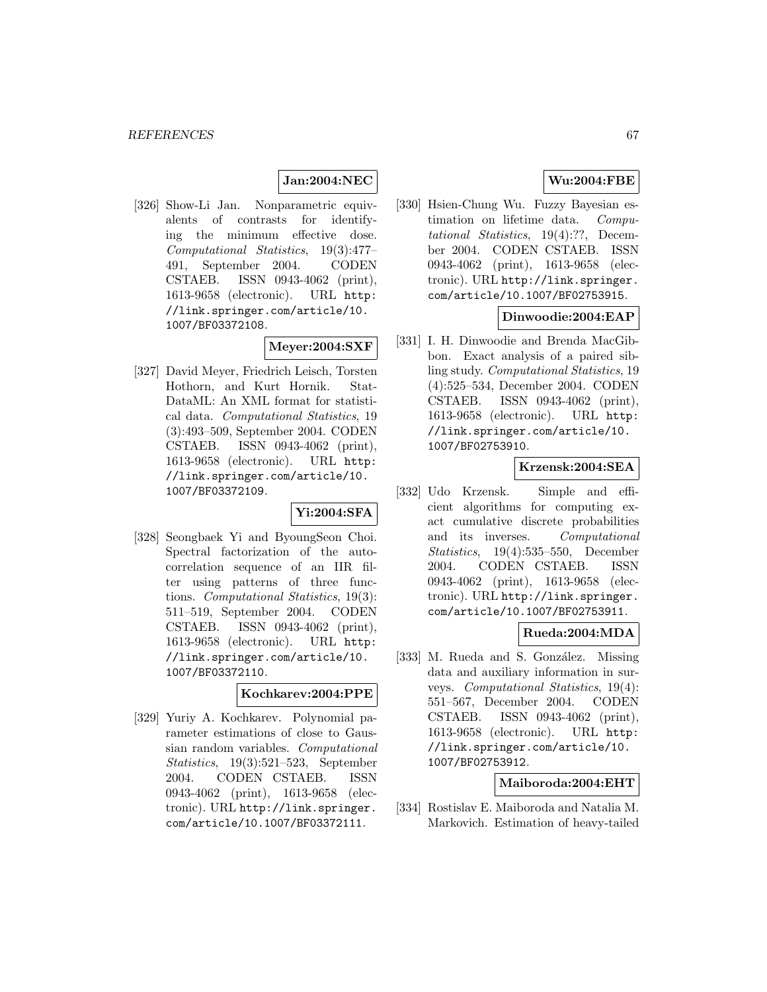### **Jan:2004:NEC**

[326] Show-Li Jan. Nonparametric equivalents of contrasts for identifying the minimum effective dose. Computational Statistics, 19(3):477– 491, September 2004. CODEN CSTAEB. ISSN 0943-4062 (print), 1613-9658 (electronic). URL http: //link.springer.com/article/10. 1007/BF03372108.

## **Meyer:2004:SXF**

[327] David Meyer, Friedrich Leisch, Torsten Hothorn, and Kurt Hornik. Stat-DataML: An XML format for statistical data. Computational Statistics, 19 (3):493–509, September 2004. CODEN CSTAEB. ISSN 0943-4062 (print), 1613-9658 (electronic). URL http: //link.springer.com/article/10. 1007/BF03372109.

#### **Yi:2004:SFA**

[328] Seongbaek Yi and ByoungSeon Choi. Spectral factorization of the autocorrelation sequence of an IIR filter using patterns of three functions. Computational Statistics, 19(3): 511–519, September 2004. CODEN CSTAEB. ISSN 0943-4062 (print), 1613-9658 (electronic). URL http: //link.springer.com/article/10. 1007/BF03372110.

#### **Kochkarev:2004:PPE**

[329] Yuriy A. Kochkarev. Polynomial parameter estimations of close to Gaussian random variables. Computational Statistics, 19(3):521–523, September 2004. CODEN CSTAEB. ISSN 0943-4062 (print), 1613-9658 (electronic). URL http://link.springer. com/article/10.1007/BF03372111.

# **Wu:2004:FBE**

[330] Hsien-Chung Wu. Fuzzy Bayesian estimation on lifetime data. Computational Statistics, 19(4):??, December 2004. CODEN CSTAEB. ISSN 0943-4062 (print), 1613-9658 (electronic). URL http://link.springer. com/article/10.1007/BF02753915.

### **Dinwoodie:2004:EAP**

[331] I. H. Dinwoodie and Brenda MacGibbon. Exact analysis of a paired sibling study. Computational Statistics, 19 (4):525–534, December 2004. CODEN CSTAEB. ISSN 0943-4062 (print), 1613-9658 (electronic). URL http: //link.springer.com/article/10. 1007/BF02753910.

## **Krzensk:2004:SEA**

[332] Udo Krzensk. Simple and efficient algorithms for computing exact cumulative discrete probabilities and its inverses. Computational Statistics, 19(4):535–550, December 2004. CODEN CSTAEB. ISSN 0943-4062 (print), 1613-9658 (electronic). URL http://link.springer. com/article/10.1007/BF02753911.

## **Rueda:2004:MDA**

[333] M. Rueda and S. González. Missing data and auxiliary information in surveys. Computational Statistics, 19(4): 551–567, December 2004. CODEN CSTAEB. ISSN 0943-4062 (print), 1613-9658 (electronic). URL http: //link.springer.com/article/10. 1007/BF02753912.

### **Maiboroda:2004:EHT**

[334] Rostislav E. Maiboroda and Natalia M. Markovich. Estimation of heavy-tailed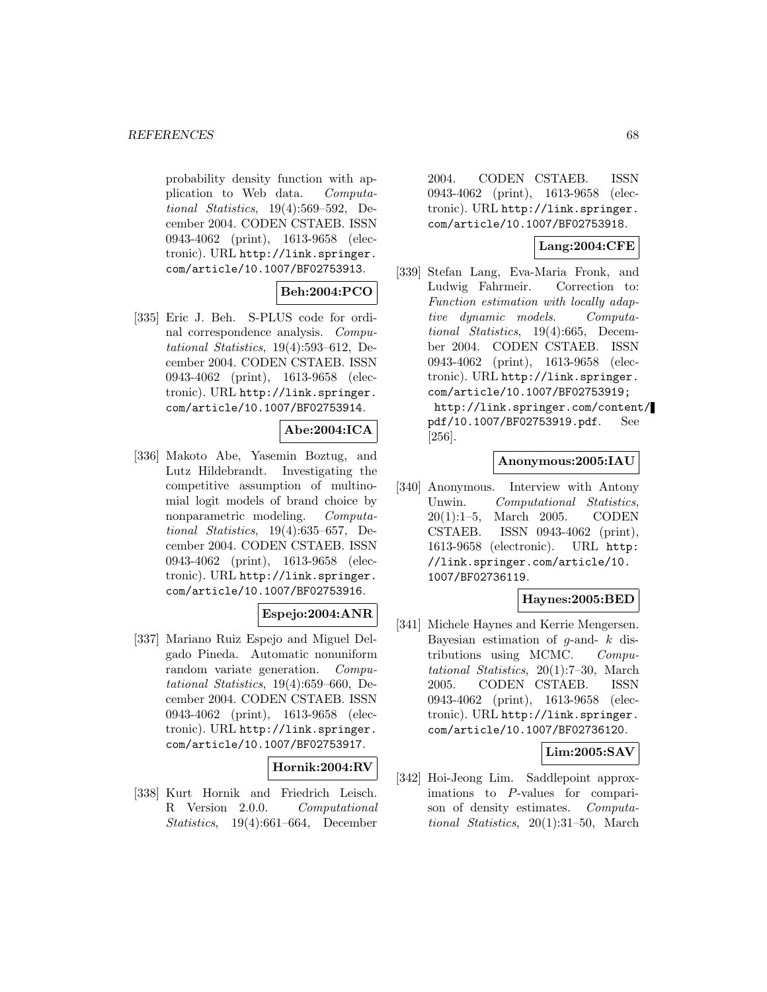probability density function with application to Web data. Computational Statistics, 19(4):569–592, December 2004. CODEN CSTAEB. ISSN 0943-4062 (print), 1613-9658 (electronic). URL http://link.springer. com/article/10.1007/BF02753913.

## **Beh:2004:PCO**

[335] Eric J. Beh. S-PLUS code for ordinal correspondence analysis. Computational Statistics, 19(4):593–612, December 2004. CODEN CSTAEB. ISSN 0943-4062 (print), 1613-9658 (electronic). URL http://link.springer. com/article/10.1007/BF02753914.

# **Abe:2004:ICA**

[336] Makoto Abe, Yasemin Boztug, and Lutz Hildebrandt. Investigating the competitive assumption of multinomial logit models of brand choice by nonparametric modeling. Computational Statistics, 19(4):635–657, December 2004. CODEN CSTAEB. ISSN 0943-4062 (print), 1613-9658 (electronic). URL http://link.springer. com/article/10.1007/BF02753916.

# **Espejo:2004:ANR**

[337] Mariano Ruiz Espejo and Miguel Delgado Pineda. Automatic nonuniform random variate generation. Computational Statistics, 19(4):659–660, December 2004. CODEN CSTAEB. ISSN 0943-4062 (print), 1613-9658 (electronic). URL http://link.springer. com/article/10.1007/BF02753917.

### **Hornik:2004:RV**

[338] Kurt Hornik and Friedrich Leisch. R Version 2.0.0. Computational Statistics, 19(4):661–664, December

2004. CODEN CSTAEB. ISSN 0943-4062 (print), 1613-9658 (electronic). URL http://link.springer. com/article/10.1007/BF02753918.

# **Lang:2004:CFE**

[339] Stefan Lang, Eva-Maria Fronk, and Ludwig Fahrmeir. Correction to: Function estimation with locally adaptive dynamic models. Computational Statistics, 19(4):665, December 2004. CODEN CSTAEB. ISSN 0943-4062 (print), 1613-9658 (electronic). URL http://link.springer. com/article/10.1007/BF02753919; http://link.springer.com/content/ pdf/10.1007/BF02753919.pdf. See [256].

#### **Anonymous:2005:IAU**

[340] Anonymous. Interview with Antony Unwin. Computational Statistics, 20(1):1–5, March 2005. CODEN CSTAEB. ISSN 0943-4062 (print), 1613-9658 (electronic). URL http: //link.springer.com/article/10. 1007/BF02736119.

# **Haynes:2005:BED**

[341] Michele Haynes and Kerrie Mengersen. Bayesian estimation of  $g$ -and-  $k$  distributions using MCMC. Computational Statistics, 20(1):7–30, March 2005. CODEN CSTAEB. ISSN 0943-4062 (print), 1613-9658 (electronic). URL http://link.springer. com/article/10.1007/BF02736120.

### **Lim:2005:SAV**

[342] Hoi-Jeong Lim. Saddlepoint approximations to P-values for comparison of density estimates. Computational Statistics, 20(1):31–50, March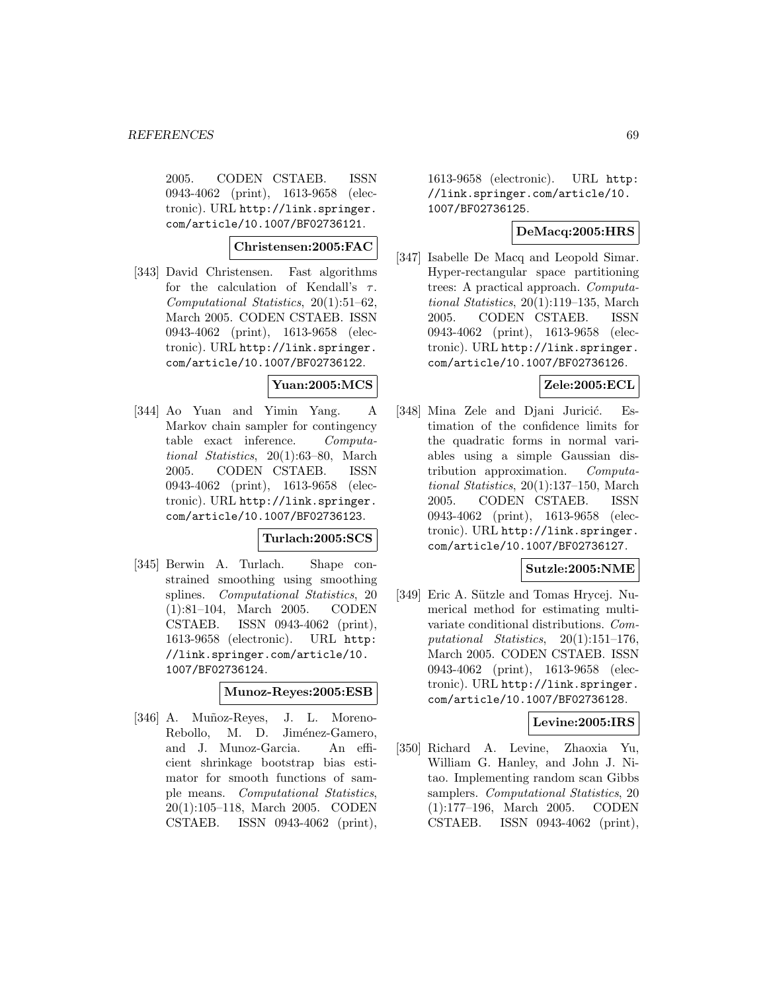2005. CODEN CSTAEB. ISSN 0943-4062 (print), 1613-9658 (electronic). URL http://link.springer. com/article/10.1007/BF02736121.

# **Christensen:2005:FAC**

[343] David Christensen. Fast algorithms for the calculation of Kendall's  $\tau$ . Computational Statistics, 20(1):51–62, March 2005. CODEN CSTAEB. ISSN 0943-4062 (print), 1613-9658 (electronic). URL http://link.springer. com/article/10.1007/BF02736122.

### **Yuan:2005:MCS**

[344] Ao Yuan and Yimin Yang. A Markov chain sampler for contingency table exact inference. Computational Statistics, 20(1):63–80, March 2005. CODEN CSTAEB. ISSN 0943-4062 (print), 1613-9658 (electronic). URL http://link.springer. com/article/10.1007/BF02736123.

#### **Turlach:2005:SCS**

[345] Berwin A. Turlach. Shape constrained smoothing using smoothing splines. Computational Statistics, 20 (1):81–104, March 2005. CODEN CSTAEB. ISSN 0943-4062 (print), 1613-9658 (electronic). URL http: //link.springer.com/article/10. 1007/BF02736124.

#### **Munoz-Reyes:2005:ESB**

[346] A. Muñoz-Reyes, J. L. Moreno-Rebollo, M. D. Jiménez-Gamero, and J. Munoz-Garcia. An efficient shrinkage bootstrap bias estimator for smooth functions of sample means. Computational Statistics, 20(1):105–118, March 2005. CODEN CSTAEB. ISSN 0943-4062 (print),

1613-9658 (electronic). URL http: //link.springer.com/article/10. 1007/BF02736125.

# **DeMacq:2005:HRS**

[347] Isabelle De Macq and Leopold Simar. Hyper-rectangular space partitioning trees: A practical approach. Computational Statistics, 20(1):119–135, March 2005. CODEN CSTAEB. ISSN 0943-4062 (print), 1613-9658 (electronic). URL http://link.springer. com/article/10.1007/BF02736126.

## **Zele:2005:ECL**

[348] Mina Zele and Djani Juricić. Estimation of the confidence limits for the quadratic forms in normal variables using a simple Gaussian distribution approximation. Computational Statistics, 20(1):137–150, March 2005. CODEN CSTAEB. ISSN 0943-4062 (print), 1613-9658 (electronic). URL http://link.springer. com/article/10.1007/BF02736127.

### **Sutzle:2005:NME**

[349] Eric A. Sützle and Tomas Hrycej. Numerical method for estimating multivariate conditional distributions. Computational Statistics, 20(1):151–176, March 2005. CODEN CSTAEB. ISSN 0943-4062 (print), 1613-9658 (electronic). URL http://link.springer. com/article/10.1007/BF02736128.

# **Levine:2005:IRS**

[350] Richard A. Levine, Zhaoxia Yu, William G. Hanley, and John J. Nitao. Implementing random scan Gibbs samplers. Computational Statistics, 20 (1):177–196, March 2005. CODEN CSTAEB. ISSN 0943-4062 (print),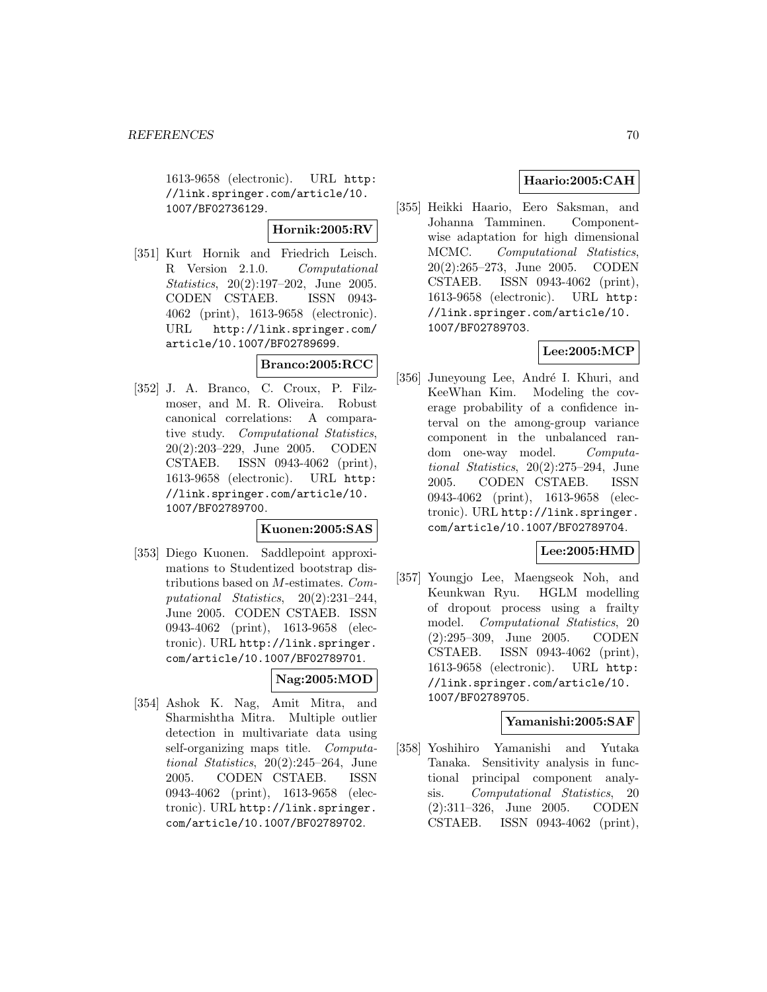1613-9658 (electronic). URL http: //link.springer.com/article/10. 1007/BF02736129.

**Hornik:2005:RV**

[351] Kurt Hornik and Friedrich Leisch. R Version 2.1.0. Computational Statistics, 20(2):197–202, June 2005. CODEN CSTAEB. ISSN 0943- 4062 (print), 1613-9658 (electronic). URL http://link.springer.com/ article/10.1007/BF02789699.

# **Branco:2005:RCC**

[352] J. A. Branco, C. Croux, P. Filzmoser, and M. R. Oliveira. Robust canonical correlations: A comparative study. Computational Statistics, 20(2):203–229, June 2005. CODEN CSTAEB. ISSN 0943-4062 (print), 1613-9658 (electronic). URL http: //link.springer.com/article/10. 1007/BF02789700.

### **Kuonen:2005:SAS**

[353] Diego Kuonen. Saddlepoint approximations to Studentized bootstrap distributions based on M-estimates. Computational Statistics, 20(2):231–244, June 2005. CODEN CSTAEB. ISSN 0943-4062 (print), 1613-9658 (electronic). URL http://link.springer. com/article/10.1007/BF02789701.

### **Nag:2005:MOD**

[354] Ashok K. Nag, Amit Mitra, and Sharmishtha Mitra. Multiple outlier detection in multivariate data using self-organizing maps title. *Computa*tional Statistics, 20(2):245–264, June 2005. CODEN CSTAEB. ISSN 0943-4062 (print), 1613-9658 (electronic). URL http://link.springer. com/article/10.1007/BF02789702.

# **Haario:2005:CAH**

[355] Heikki Haario, Eero Saksman, and Johanna Tamminen. Componentwise adaptation for high dimensional MCMC. Computational Statistics, 20(2):265–273, June 2005. CODEN CSTAEB. ISSN 0943-4062 (print), 1613-9658 (electronic). URL http: //link.springer.com/article/10. 1007/BF02789703.

# **Lee:2005:MCP**

[356] Juneyoung Lee, André I. Khuri, and KeeWhan Kim. Modeling the coverage probability of a confidence interval on the among-group variance component in the unbalanced random one-way model. Computational Statistics, 20(2):275–294, June 2005. CODEN CSTAEB. ISSN 0943-4062 (print), 1613-9658 (electronic). URL http://link.springer. com/article/10.1007/BF02789704.

# **Lee:2005:HMD**

[357] Youngjo Lee, Maengseok Noh, and Keunkwan Ryu. HGLM modelling of dropout process using a frailty model. Computational Statistics, 20 (2):295–309, June 2005. CODEN CSTAEB. ISSN 0943-4062 (print), 1613-9658 (electronic). URL http: //link.springer.com/article/10. 1007/BF02789705.

### **Yamanishi:2005:SAF**

[358] Yoshihiro Yamanishi and Yutaka Tanaka. Sensitivity analysis in functional principal component analysis. Computational Statistics, 20 (2):311–326, June 2005. CODEN CSTAEB. ISSN 0943-4062 (print),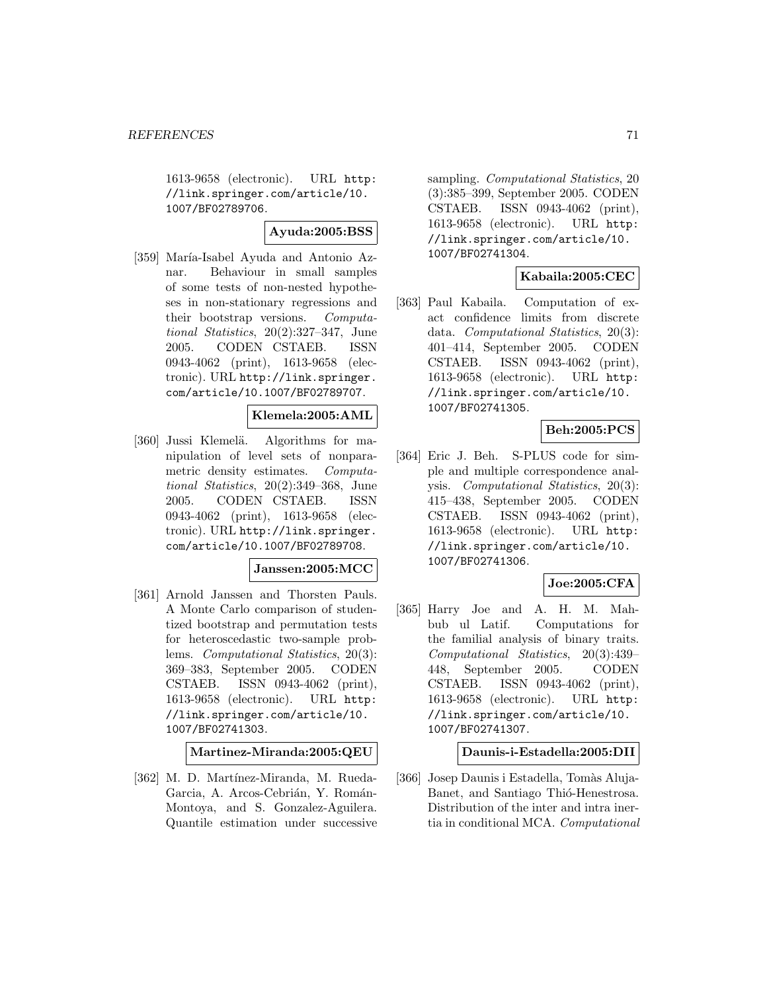1613-9658 (electronic). URL http: //link.springer.com/article/10. 1007/BF02789706.

# **Ayuda:2005:BSS**

[359] María-Isabel Ayuda and Antonio Aznar. Behaviour in small samples of some tests of non-nested hypotheses in non-stationary regressions and their bootstrap versions. Computational Statistics, 20(2):327–347, June 2005. CODEN CSTAEB. ISSN 0943-4062 (print), 1613-9658 (electronic). URL http://link.springer. com/article/10.1007/BF02789707.

## **Klemela:2005:AML**

[360] Jussi Klemelä. Algorithms for manipulation of level sets of nonparametric density estimates. Computational Statistics, 20(2):349–368, June 2005. CODEN CSTAEB. ISSN 0943-4062 (print), 1613-9658 (electronic). URL http://link.springer. com/article/10.1007/BF02789708.

#### **Janssen:2005:MCC**

[361] Arnold Janssen and Thorsten Pauls. A Monte Carlo comparison of studentized bootstrap and permutation tests for heteroscedastic two-sample problems. Computational Statistics, 20(3): 369–383, September 2005. CODEN CSTAEB. ISSN 0943-4062 (print), 1613-9658 (electronic). URL http: //link.springer.com/article/10. 1007/BF02741303.

**Martinez-Miranda:2005:QEU**

[362] M. D. Martínez-Miranda, M. Rueda-Garcia, A. Arcos-Cebrián, Y. Román-Montoya, and S. Gonzalez-Aguilera. Quantile estimation under successive sampling. *Computational Statistics*, 20 (3):385–399, September 2005. CODEN CSTAEB. ISSN 0943-4062 (print), 1613-9658 (electronic). URL http: //link.springer.com/article/10. 1007/BF02741304.

## **Kabaila:2005:CEC**

[363] Paul Kabaila. Computation of exact confidence limits from discrete data. Computational Statistics, 20(3): 401–414, September 2005. CODEN CSTAEB. ISSN 0943-4062 (print), 1613-9658 (electronic). URL http: //link.springer.com/article/10. 1007/BF02741305.

### **Beh:2005:PCS**

[364] Eric J. Beh. S-PLUS code for simple and multiple correspondence analysis. Computational Statistics, 20(3): 415–438, September 2005. CODEN CSTAEB. ISSN 0943-4062 (print), 1613-9658 (electronic). URL http: //link.springer.com/article/10. 1007/BF02741306.

### **Joe:2005:CFA**

[365] Harry Joe and A. H. M. Mahbub ul Latif. Computations for the familial analysis of binary traits. Computational Statistics, 20(3):439– 448, September 2005. CODEN CSTAEB. ISSN 0943-4062 (print), 1613-9658 (electronic). URL http: //link.springer.com/article/10. 1007/BF02741307.

#### **Daunis-i-Estadella:2005:DII**

[366] Josep Daunis i Estadella, Tomàs Aluja-Banet, and Santiago Thió-Henestrosa. Distribution of the inter and intra inertia in conditional MCA. Computational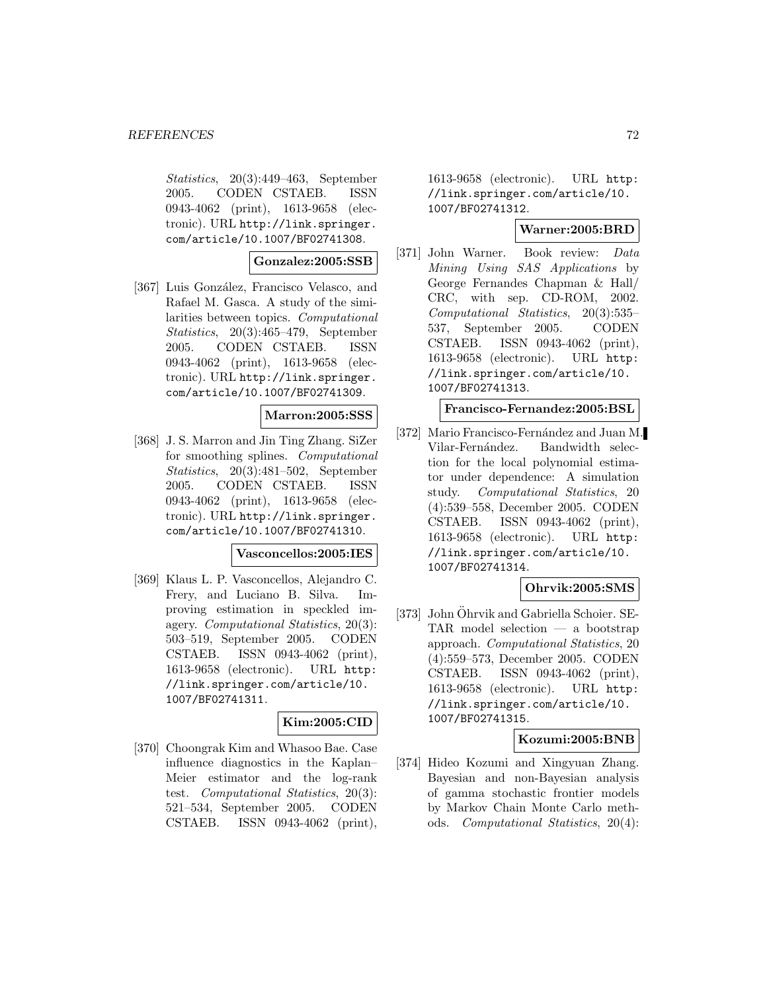Statistics, 20(3):449–463, September 2005. CODEN CSTAEB. ISSN 0943-4062 (print), 1613-9658 (electronic). URL http://link.springer. com/article/10.1007/BF02741308.

### **Gonzalez:2005:SSB**

[367] Luis González, Francisco Velasco, and Rafael M. Gasca. A study of the similarities between topics. Computational Statistics, 20(3):465–479, September 2005. CODEN CSTAEB. ISSN 0943-4062 (print), 1613-9658 (electronic). URL http://link.springer. com/article/10.1007/BF02741309.

#### **Marron:2005:SSS**

[368] J. S. Marron and Jin Ting Zhang. SiZer for smoothing splines. Computational Statistics, 20(3):481–502, September 2005. CODEN CSTAEB. ISSN 0943-4062 (print), 1613-9658 (electronic). URL http://link.springer. com/article/10.1007/BF02741310.

#### **Vasconcellos:2005:IES**

[369] Klaus L. P. Vasconcellos, Alejandro C. Frery, and Luciano B. Silva. Improving estimation in speckled imagery. Computational Statistics, 20(3): 503–519, September 2005. CODEN CSTAEB. ISSN 0943-4062 (print), 1613-9658 (electronic). URL http: //link.springer.com/article/10. 1007/BF02741311.

# **Kim:2005:CID**

[370] Choongrak Kim and Whasoo Bae. Case influence diagnostics in the Kaplan– Meier estimator and the log-rank test. Computational Statistics, 20(3): 521–534, September 2005. CODEN CSTAEB. ISSN 0943-4062 (print),

1613-9658 (electronic). URL http: //link.springer.com/article/10. 1007/BF02741312.

## **Warner:2005:BRD**

[371] John Warner. Book review: Data Mining Using SAS Applications by George Fernandes Chapman & Hall/ CRC, with sep. CD-ROM, 2002. Computational Statistics, 20(3):535– 537, September 2005. CODEN CSTAEB. ISSN 0943-4062 (print), 1613-9658 (electronic). URL http: //link.springer.com/article/10. 1007/BF02741313.

#### **Francisco-Fernandez:2005:BSL**

[372] Mario Francisco-Fernández and Juan M. Vilar-Fernández. Bandwidth selection for the local polynomial estimator under dependence: A simulation study. Computational Statistics, 20 (4):539–558, December 2005. CODEN CSTAEB. ISSN 0943-4062 (print), 1613-9658 (electronic). URL http: //link.springer.com/article/10. 1007/BF02741314.

### **Ohrvik:2005:SMS**

[373] John Öhrvik and Gabriella Schoier. SE-TAR model selection — a bootstrap approach. Computational Statistics, 20 (4):559–573, December 2005. CODEN CSTAEB. ISSN 0943-4062 (print), 1613-9658 (electronic). URL http: //link.springer.com/article/10. 1007/BF02741315.

### **Kozumi:2005:BNB**

[374] Hideo Kozumi and Xingyuan Zhang. Bayesian and non-Bayesian analysis of gamma stochastic frontier models by Markov Chain Monte Carlo methods. Computational Statistics, 20(4):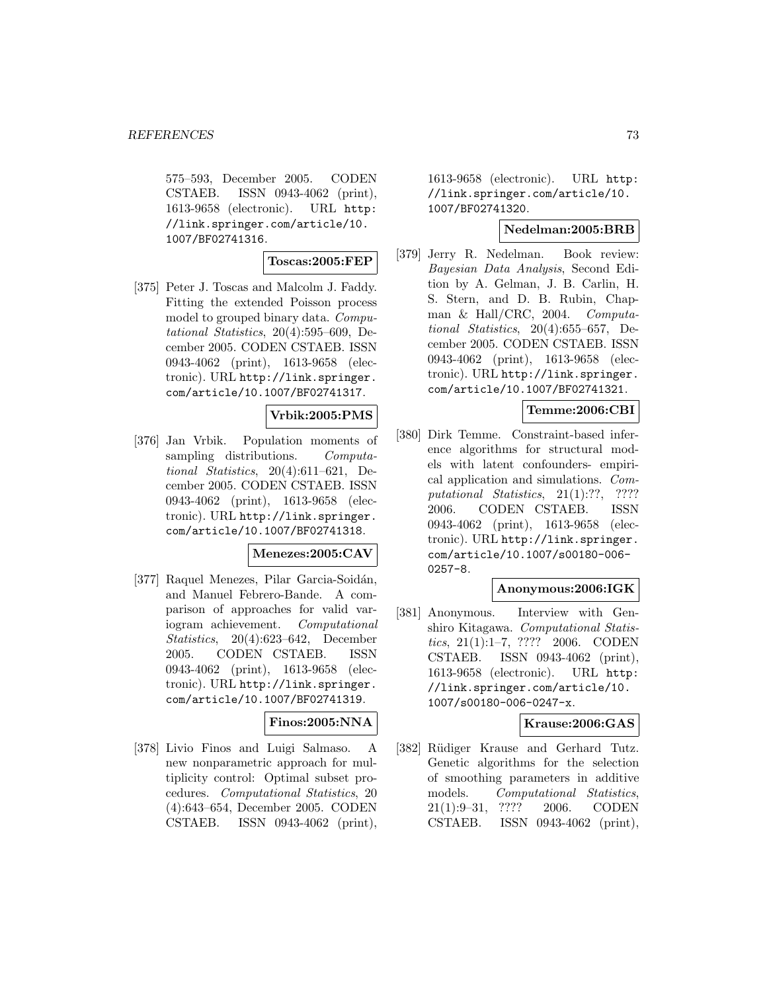575–593, December 2005. CODEN CSTAEB. ISSN 0943-4062 (print), 1613-9658 (electronic). URL http: //link.springer.com/article/10. 1007/BF02741316.

# **Toscas:2005:FEP**

[375] Peter J. Toscas and Malcolm J. Faddy. Fitting the extended Poisson process model to grouped binary data. Computational Statistics, 20(4):595–609, December 2005. CODEN CSTAEB. ISSN 0943-4062 (print), 1613-9658 (electronic). URL http://link.springer. com/article/10.1007/BF02741317.

### **Vrbik:2005:PMS**

[376] Jan Vrbik. Population moments of sampling distributions. Computational Statistics,  $20(4):611-621$ , December 2005. CODEN CSTAEB. ISSN 0943-4062 (print), 1613-9658 (electronic). URL http://link.springer. com/article/10.1007/BF02741318.

#### **Menezes:2005:CAV**

[377] Raquel Menezes, Pilar Garcia-Soidán, and Manuel Febrero-Bande. A comparison of approaches for valid variogram achievement. Computational Statistics, 20(4):623–642, December 2005. CODEN CSTAEB. ISSN 0943-4062 (print), 1613-9658 (electronic). URL http://link.springer. com/article/10.1007/BF02741319.

# **Finos:2005:NNA**

[378] Livio Finos and Luigi Salmaso. A new nonparametric approach for multiplicity control: Optimal subset procedures. Computational Statistics, 20 (4):643–654, December 2005. CODEN CSTAEB. ISSN 0943-4062 (print),

1613-9658 (electronic). URL http: //link.springer.com/article/10. 1007/BF02741320.

## **Nedelman:2005:BRB**

[379] Jerry R. Nedelman. Book review: Bayesian Data Analysis, Second Edition by A. Gelman, J. B. Carlin, H. S. Stern, and D. B. Rubin, Chapman & Hall/CRC, 2004. Computational Statistics, 20(4):655–657, December 2005. CODEN CSTAEB. ISSN 0943-4062 (print), 1613-9658 (electronic). URL http://link.springer. com/article/10.1007/BF02741321.

# **Temme:2006:CBI**

[380] Dirk Temme. Constraint-based inference algorithms for structural models with latent confounders- empirical application and simulations. Computational Statistics, 21(1):??, ???? 2006. CODEN CSTAEB. ISSN 0943-4062 (print), 1613-9658 (electronic). URL http://link.springer. com/article/10.1007/s00180-006- 0257-8.

## **Anonymous:2006:IGK**

[381] Anonymous. Interview with Genshiro Kitagawa. Computational Statistics, 21(1):1–7, ???? 2006. CODEN CSTAEB. ISSN 0943-4062 (print), 1613-9658 (electronic). URL http: //link.springer.com/article/10. 1007/s00180-006-0247-x.

### **Krause:2006:GAS**

[382] Rüdiger Krause and Gerhard Tutz. Genetic algorithms for the selection of smoothing parameters in additive models. Computational Statistics, 21(1):9–31, ???? 2006. CODEN CSTAEB. ISSN 0943-4062 (print),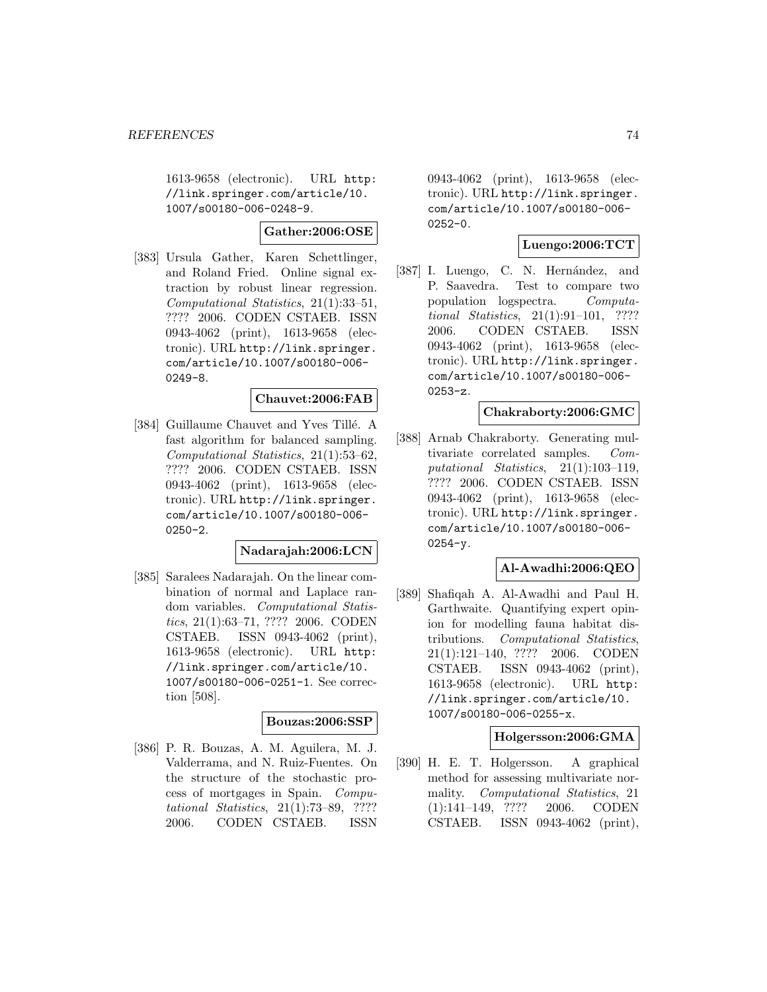1613-9658 (electronic). URL http: //link.springer.com/article/10. 1007/s00180-006-0248-9.

**Gather:2006:OSE**

[383] Ursula Gather, Karen Schettlinger, and Roland Fried. Online signal extraction by robust linear regression. Computational Statistics, 21(1):33–51, ???? 2006. CODEN CSTAEB. ISSN 0943-4062 (print), 1613-9658 (electronic). URL http://link.springer. com/article/10.1007/s00180-006- 0249-8.

#### **Chauvet:2006:FAB**

[384] Guillaume Chauvet and Yves Tillé. A fast algorithm for balanced sampling. Computational Statistics, 21(1):53–62, ???? 2006. CODEN CSTAEB. ISSN 0943-4062 (print), 1613-9658 (electronic). URL http://link.springer. com/article/10.1007/s00180-006-  $0250 - 2.$ 

### **Nadarajah:2006:LCN**

[385] Saralees Nadarajah. On the linear combination of normal and Laplace random variables. Computational Statistics, 21(1):63–71, ???? 2006. CODEN CSTAEB. ISSN 0943-4062 (print), 1613-9658 (electronic). URL http: //link.springer.com/article/10. 1007/s00180-006-0251-1. See correction [508].

# **Bouzas:2006:SSP**

[386] P. R. Bouzas, A. M. Aguilera, M. J. Valderrama, and N. Ruiz-Fuentes. On the structure of the stochastic process of mortgages in Spain. Computational Statistics, 21(1):73–89, ???? 2006. CODEN CSTAEB. ISSN

0943-4062 (print), 1613-9658 (electronic). URL http://link.springer. com/article/10.1007/s00180-006-  $0252 - 0.$ 

## **Luengo:2006:TCT**

[387] I. Luengo, C. N. Hernández, and P. Saavedra. Test to compare two population logspectra. Computational Statistics, 21(1):91–101, ???? 2006. CODEN CSTAEB. ISSN 0943-4062 (print), 1613-9658 (electronic). URL http://link.springer. com/article/10.1007/s00180-006- 0253-z.

### **Chakraborty:2006:GMC**

[388] Arnab Chakraborty. Generating multivariate correlated samples. Computational Statistics, 21(1):103–119, ???? 2006. CODEN CSTAEB. ISSN 0943-4062 (print), 1613-9658 (electronic). URL http://link.springer. com/article/10.1007/s00180-006- 0254-y.

### **Al-Awadhi:2006:QEO**

[389] Shafiqah A. Al-Awadhi and Paul H. Garthwaite. Quantifying expert opinion for modelling fauna habitat distributions. Computational Statistics, 21(1):121–140, ???? 2006. CODEN CSTAEB. ISSN 0943-4062 (print), 1613-9658 (electronic). URL http: //link.springer.com/article/10. 1007/s00180-006-0255-x.

#### **Holgersson:2006:GMA**

[390] H. E. T. Holgersson. A graphical method for assessing multivariate normality. Computational Statistics, 21 (1):141–149, ???? 2006. CODEN CSTAEB. ISSN 0943-4062 (print),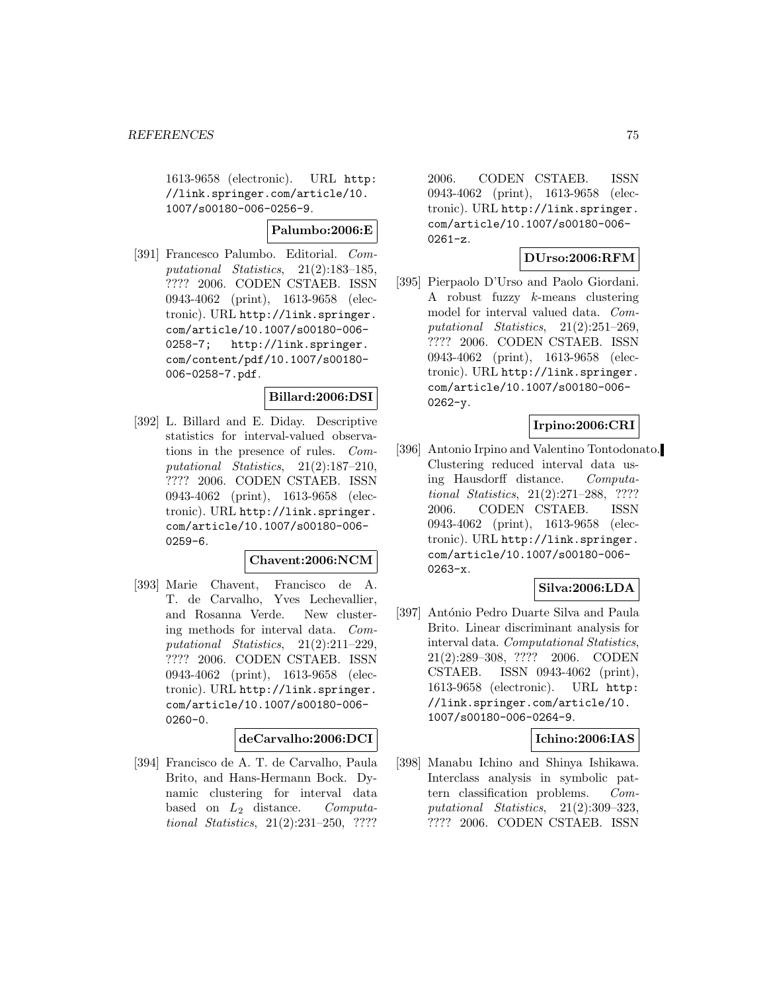1613-9658 (electronic). URL http: //link.springer.com/article/10. 1007/s00180-006-0256-9.

**Palumbo:2006:E**

[391] Francesco Palumbo. Editorial. Computational Statistics, 21(2):183–185, ???? 2006. CODEN CSTAEB. ISSN 0943-4062 (print), 1613-9658 (electronic). URL http://link.springer. com/article/10.1007/s00180-006- 0258-7; http://link.springer. com/content/pdf/10.1007/s00180- 006-0258-7.pdf.

## **Billard:2006:DSI**

[392] L. Billard and E. Diday. Descriptive statistics for interval-valued observations in the presence of rules. Computational Statistics, 21(2):187–210, ???? 2006. CODEN CSTAEB. ISSN 0943-4062 (print), 1613-9658 (electronic). URL http://link.springer. com/article/10.1007/s00180-006- 0259-6.

#### **Chavent:2006:NCM**

[393] Marie Chavent, Francisco de A. T. de Carvalho, Yves Lechevallier, and Rosanna Verde. New clustering methods for interval data. Computational Statistics, 21(2):211–229, ???? 2006. CODEN CSTAEB. ISSN 0943-4062 (print), 1613-9658 (electronic). URL http://link.springer. com/article/10.1007/s00180-006- 0260-0.

#### **deCarvalho:2006:DCI**

[394] Francisco de A. T. de Carvalho, Paula Brito, and Hans-Hermann Bock. Dynamic clustering for interval data based on  $L_2$  distance. Computational Statistics, 21(2):231–250, ????

2006. CODEN CSTAEB. ISSN 0943-4062 (print), 1613-9658 (electronic). URL http://link.springer. com/article/10.1007/s00180-006- 0261-z.

# **DUrso:2006:RFM**

[395] Pierpaolo D'Urso and Paolo Giordani. A robust fuzzy k-means clustering model for interval valued data. Computational Statistics, 21(2):251–269, ???? 2006. CODEN CSTAEB. ISSN 0943-4062 (print), 1613-9658 (electronic). URL http://link.springer. com/article/10.1007/s00180-006- 0262-y.

# **Irpino:2006:CRI**

[396] Antonio Irpino and Valentino Tontodonato. Clustering reduced interval data using Hausdorff distance. Computational Statistics, 21(2):271–288, ???? 2006. CODEN CSTAEB. ISSN 0943-4062 (print), 1613-9658 (electronic). URL http://link.springer. com/article/10.1007/s00180-006- 0263-x.

### **Silva:2006:LDA**

[397] António Pedro Duarte Silva and Paula Brito. Linear discriminant analysis for interval data. Computational Statistics, 21(2):289–308, ???? 2006. CODEN CSTAEB. ISSN 0943-4062 (print), 1613-9658 (electronic). URL http: //link.springer.com/article/10. 1007/s00180-006-0264-9.

### **Ichino:2006:IAS**

[398] Manabu Ichino and Shinya Ishikawa. Interclass analysis in symbolic pattern classification problems. Computational Statistics, 21(2):309–323, ???? 2006. CODEN CSTAEB. ISSN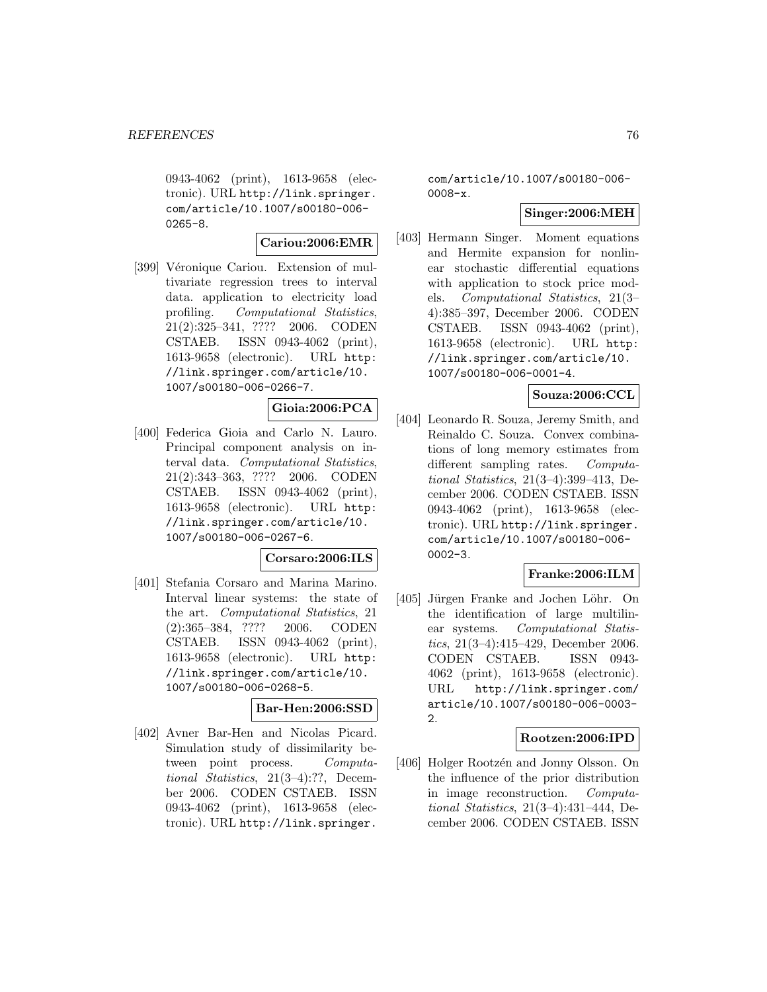0943-4062 (print), 1613-9658 (electronic). URL http://link.springer. com/article/10.1007/s00180-006- 0265-8.

#### **Cariou:2006:EMR**

[399] Véronique Cariou. Extension of multivariate regression trees to interval data. application to electricity load profiling. Computational Statistics, 21(2):325–341, ???? 2006. CODEN CSTAEB. ISSN 0943-4062 (print), 1613-9658 (electronic). URL http: //link.springer.com/article/10. 1007/s00180-006-0266-7.

### **Gioia:2006:PCA**

[400] Federica Gioia and Carlo N. Lauro. Principal component analysis on interval data. Computational Statistics, 21(2):343–363, ???? 2006. CODEN CSTAEB. ISSN 0943-4062 (print), 1613-9658 (electronic). URL http: //link.springer.com/article/10. 1007/s00180-006-0267-6.

# **Corsaro:2006:ILS**

[401] Stefania Corsaro and Marina Marino. Interval linear systems: the state of the art. Computational Statistics, 21 (2):365–384, ???? 2006. CODEN CSTAEB. ISSN 0943-4062 (print), 1613-9658 (electronic). URL http: //link.springer.com/article/10. 1007/s00180-006-0268-5.

### **Bar-Hen:2006:SSD**

[402] Avner Bar-Hen and Nicolas Picard. Simulation study of dissimilarity between point process. Computational Statistics, 21(3–4):??, December 2006. CODEN CSTAEB. ISSN 0943-4062 (print), 1613-9658 (electronic). URL http://link.springer.

com/article/10.1007/s00180-006- 0008-x.

### **Singer:2006:MEH**

[403] Hermann Singer. Moment equations and Hermite expansion for nonlinear stochastic differential equations with application to stock price models. Computational Statistics, 21(3– 4):385–397, December 2006. CODEN CSTAEB. ISSN 0943-4062 (print), 1613-9658 (electronic). URL http: //link.springer.com/article/10. 1007/s00180-006-0001-4.

### **Souza:2006:CCL**

[404] Leonardo R. Souza, Jeremy Smith, and Reinaldo C. Souza. Convex combinations of long memory estimates from different sampling rates. Computational Statistics, 21(3–4):399–413, December 2006. CODEN CSTAEB. ISSN 0943-4062 (print), 1613-9658 (electronic). URL http://link.springer. com/article/10.1007/s00180-006- 0002-3.

#### **Franke:2006:ILM**

[405] Jürgen Franke and Jochen Löhr. On the identification of large multilinear systems. Computational Statistics, 21(3–4):415–429, December 2006. CODEN CSTAEB. ISSN 0943- 4062 (print), 1613-9658 (electronic). URL http://link.springer.com/ article/10.1007/s00180-006-0003- 2.

### **Rootzen:2006:IPD**

[406] Holger Rootzén and Jonny Olsson. On the influence of the prior distribution in image reconstruction. Computational Statistics, 21(3–4):431–444, December 2006. CODEN CSTAEB. ISSN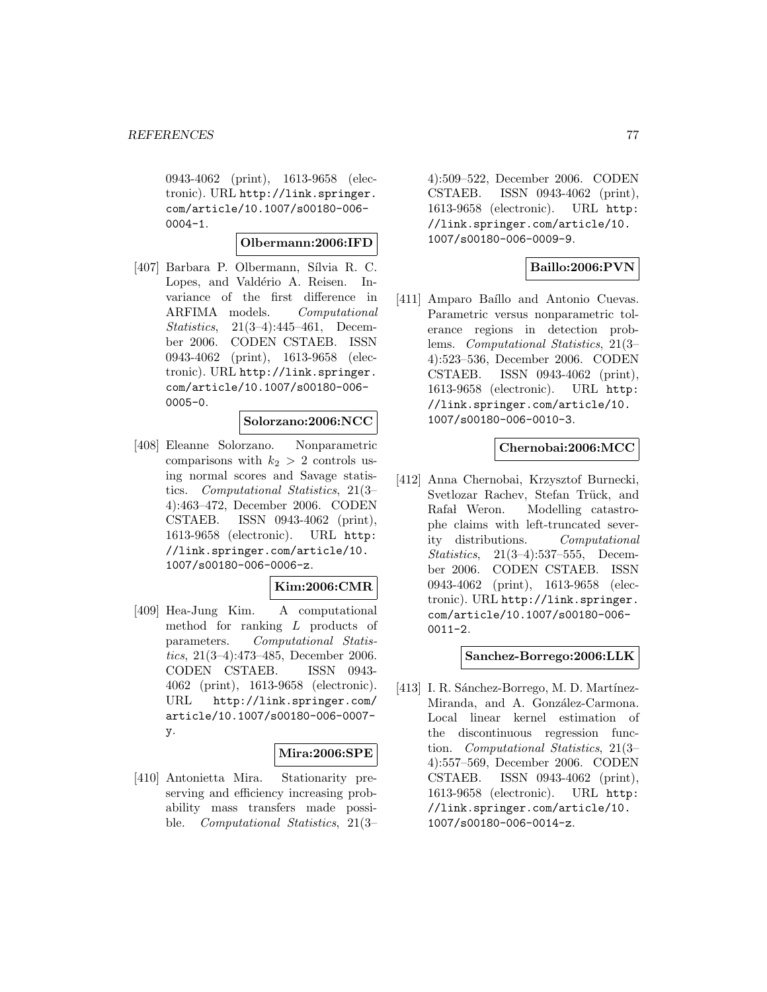0943-4062 (print), 1613-9658 (electronic). URL http://link.springer. com/article/10.1007/s00180-006-  $0004-1.$ 

#### **Olbermann:2006:IFD**

[407] Barbara P. Olbermann, Sílvia R. C. Lopes, and Valdério A. Reisen. Invariance of the first difference in ARFIMA models. Computational Statistics, 21(3–4):445–461, December 2006. CODEN CSTAEB. ISSN 0943-4062 (print), 1613-9658 (electronic). URL http://link.springer. com/article/10.1007/s00180-006- 0005-0.

#### **Solorzano:2006:NCC**

[408] Eleanne Solorzano. Nonparametric comparisons with  $k_2 > 2$  controls using normal scores and Savage statistics. Computational Statistics, 21(3– 4):463–472, December 2006. CODEN CSTAEB. ISSN 0943-4062 (print), 1613-9658 (electronic). URL http: //link.springer.com/article/10. 1007/s00180-006-0006-z.

#### **Kim:2006:CMR**

[409] Hea-Jung Kim. A computational method for ranking L products of parameters. Computational Statistics, 21(3–4):473–485, December 2006. CODEN CSTAEB. ISSN 0943- 4062 (print), 1613-9658 (electronic). URL http://link.springer.com/ article/10.1007/s00180-006-0007 y.

### **Mira:2006:SPE**

[410] Antonietta Mira. Stationarity preserving and efficiency increasing probability mass transfers made possible. Computational Statistics, 21(3– 4):509–522, December 2006. CODEN CSTAEB. ISSN 0943-4062 (print), 1613-9658 (electronic). URL http: //link.springer.com/article/10. 1007/s00180-006-0009-9.

## **Baillo:2006:PVN**

[411] Amparo Baíllo and Antonio Cuevas. Parametric versus nonparametric tolerance regions in detection problems. Computational Statistics, 21(3– 4):523–536, December 2006. CODEN CSTAEB. ISSN 0943-4062 (print), 1613-9658 (electronic). URL http: //link.springer.com/article/10. 1007/s00180-006-0010-3.

## **Chernobai:2006:MCC**

[412] Anna Chernobai, Krzysztof Burnecki, Svetlozar Rachev, Stefan Trück, and Rafał Weron. Modelling catastrophe claims with left-truncated severity distributions. Computational Statistics, 21(3–4):537–555, December 2006. CODEN CSTAEB. ISSN 0943-4062 (print), 1613-9658 (electronic). URL http://link.springer. com/article/10.1007/s00180-006-  $0011 - 2.$ 

#### **Sanchez-Borrego:2006:LLK**

[413] I. R. Sánchez-Borrego, M. D. Martínez-Miranda, and A. González-Carmona. Local linear kernel estimation of the discontinuous regression function. Computational Statistics, 21(3– 4):557–569, December 2006. CODEN CSTAEB. ISSN 0943-4062 (print), 1613-9658 (electronic). URL http: //link.springer.com/article/10. 1007/s00180-006-0014-z.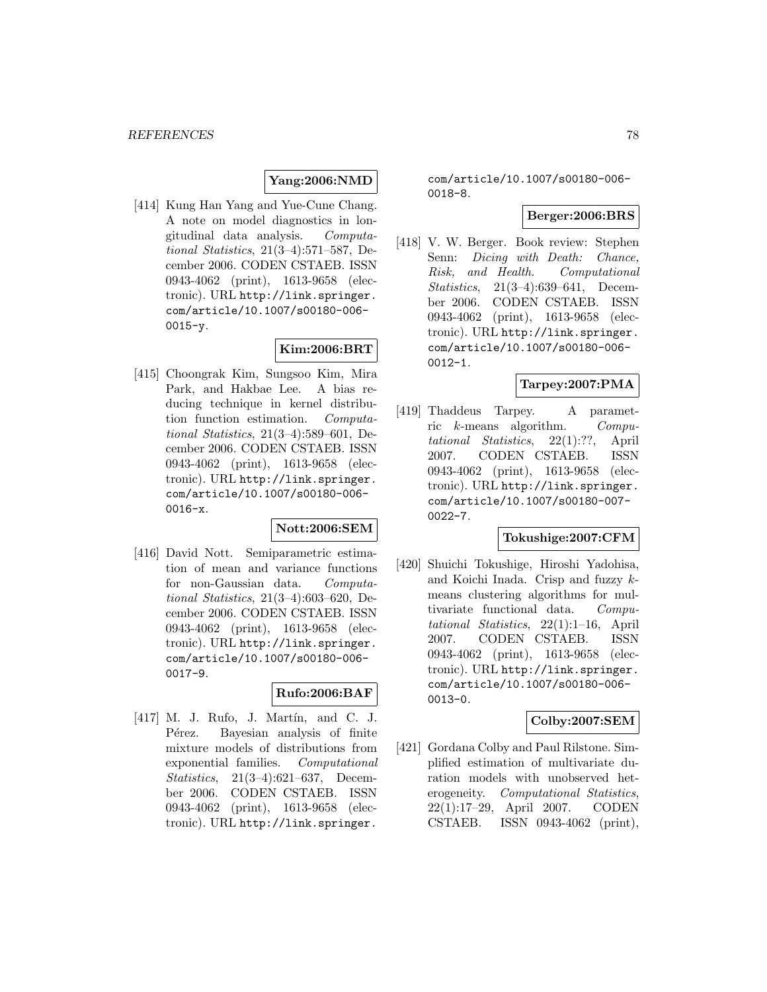# **Yang:2006:NMD**

[414] Kung Han Yang and Yue-Cune Chang. A note on model diagnostics in longitudinal data analysis. Computational Statistics, 21(3–4):571–587, December 2006. CODEN CSTAEB. ISSN 0943-4062 (print), 1613-9658 (electronic). URL http://link.springer. com/article/10.1007/s00180-006-  $0015 - y$ .

# **Kim:2006:BRT**

[415] Choongrak Kim, Sungsoo Kim, Mira Park, and Hakbae Lee. A bias reducing technique in kernel distribution function estimation. Computational Statistics, 21(3–4):589–601, December 2006. CODEN CSTAEB. ISSN 0943-4062 (print), 1613-9658 (electronic). URL http://link.springer. com/article/10.1007/s00180-006- 0016-x.

### **Nott:2006:SEM**

[416] David Nott. Semiparametric estimation of mean and variance functions for non-Gaussian data. Computational Statistics, 21(3–4):603–620, December 2006. CODEN CSTAEB. ISSN 0943-4062 (print), 1613-9658 (electronic). URL http://link.springer. com/article/10.1007/s00180-006- 0017-9.

### **Rufo:2006:BAF**

[417] M. J. Rufo, J. Martín, and C. J. Pérez. Bayesian analysis of finite mixture models of distributions from exponential families. Computational Statistics, 21(3–4):621–637, December 2006. CODEN CSTAEB. ISSN 0943-4062 (print), 1613-9658 (electronic). URL http://link.springer.

com/article/10.1007/s00180-006- 0018-8.

#### **Berger:2006:BRS**

[418] V. W. Berger. Book review: Stephen Senn: Dicing with Death: Chance, Risk, and Health. Computational Statistics, 21(3–4):639–641, December 2006. CODEN CSTAEB. ISSN 0943-4062 (print), 1613-9658 (electronic). URL http://link.springer. com/article/10.1007/s00180-006- 0012-1.

#### **Tarpey:2007:PMA**

[419] Thaddeus Tarpey. A parametric k-means algorithm. Computational Statistics, 22(1):??, April 2007. CODEN CSTAEB. ISSN 0943-4062 (print), 1613-9658 (electronic). URL http://link.springer. com/article/10.1007/s00180-007-  $0022 - 7.$ 

### **Tokushige:2007:CFM**

[420] Shuichi Tokushige, Hiroshi Yadohisa, and Koichi Inada. Crisp and fuzzy kmeans clustering algorithms for multivariate functional data. Computational Statistics, 22(1):1–16, April 2007. CODEN CSTAEB. ISSN 0943-4062 (print), 1613-9658 (electronic). URL http://link.springer. com/article/10.1007/s00180-006- 0013-0.

#### **Colby:2007:SEM**

[421] Gordana Colby and Paul Rilstone. Simplified estimation of multivariate duration models with unobserved heterogeneity. Computational Statistics, 22(1):17–29, April 2007. CODEN CSTAEB. ISSN 0943-4062 (print),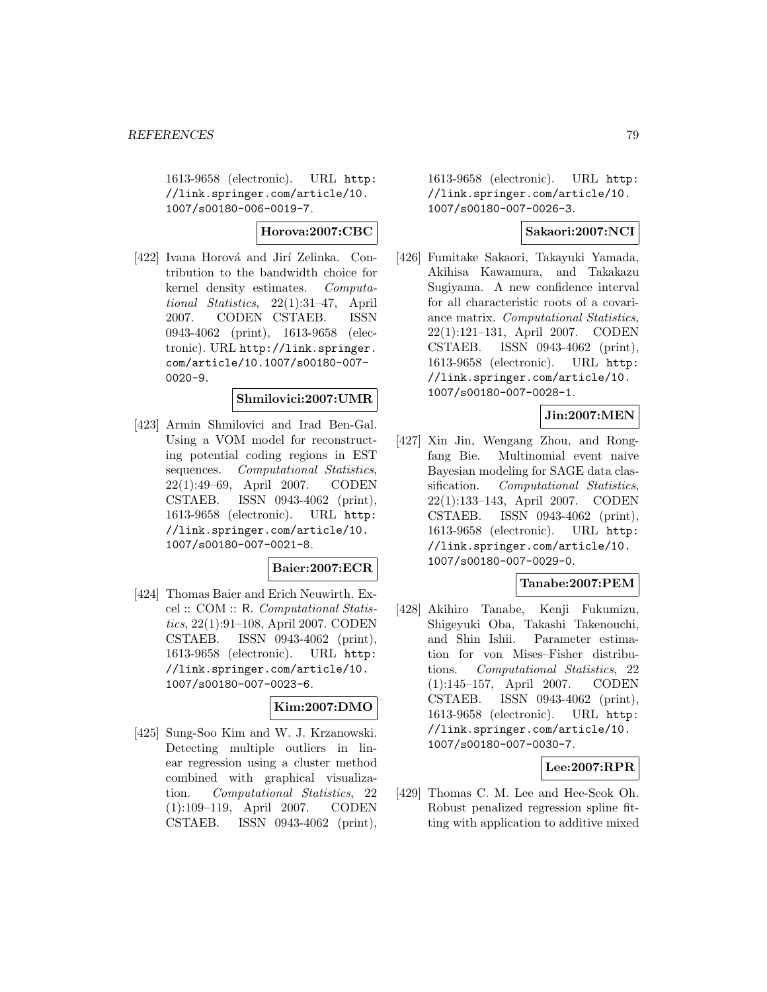1613-9658 (electronic). URL http: //link.springer.com/article/10. 1007/s00180-006-0019-7.

**Horova:2007:CBC**

[422] Ivana Horová and Jirí Zelinka. Contribution to the bandwidth choice for kernel density estimates. Computational Statistics, 22(1):31–47, April 2007. CODEN CSTAEB. ISSN 0943-4062 (print), 1613-9658 (electronic). URL http://link.springer. com/article/10.1007/s00180-007- 0020-9.

## **Shmilovici:2007:UMR**

[423] Armin Shmilovici and Irad Ben-Gal. Using a VOM model for reconstructing potential coding regions in EST sequences. Computational Statistics, 22(1):49–69, April 2007. CODEN CSTAEB. ISSN 0943-4062 (print), 1613-9658 (electronic). URL http: //link.springer.com/article/10. 1007/s00180-007-0021-8.

#### **Baier:2007:ECR**

[424] Thomas Baier and Erich Neuwirth. Excel :: COM :: R. Computational Statistics, 22(1):91–108, April 2007. CODEN CSTAEB. ISSN 0943-4062 (print), 1613-9658 (electronic). URL http: //link.springer.com/article/10. 1007/s00180-007-0023-6.

### **Kim:2007:DMO**

[425] Sung-Soo Kim and W. J. Krzanowski. Detecting multiple outliers in linear regression using a cluster method combined with graphical visualization. Computational Statistics, 22 (1):109–119, April 2007. CODEN CSTAEB. ISSN 0943-4062 (print), 1613-9658 (electronic). URL http: //link.springer.com/article/10. 1007/s00180-007-0026-3.

## **Sakaori:2007:NCI**

[426] Fumitake Sakaori, Takayuki Yamada, Akihisa Kawamura, and Takakazu Sugiyama. A new confidence interval for all characteristic roots of a covariance matrix. Computational Statistics, 22(1):121–131, April 2007. CODEN CSTAEB. ISSN 0943-4062 (print), 1613-9658 (electronic). URL http: //link.springer.com/article/10. 1007/s00180-007-0028-1.

# **Jin:2007:MEN**

[427] Xin Jin, Wengang Zhou, and Rongfang Bie. Multinomial event naive Bayesian modeling for SAGE data classification. Computational Statistics, 22(1):133–143, April 2007. CODEN CSTAEB. ISSN 0943-4062 (print), 1613-9658 (electronic). URL http: //link.springer.com/article/10. 1007/s00180-007-0029-0.

### **Tanabe:2007:PEM**

[428] Akihiro Tanabe, Kenji Fukumizu, Shigeyuki Oba, Takashi Takenouchi, and Shin Ishii. Parameter estimation for von Mises–Fisher distributions. Computational Statistics, 22 (1):145–157, April 2007. CODEN CSTAEB. ISSN 0943-4062 (print), 1613-9658 (electronic). URL http: //link.springer.com/article/10. 1007/s00180-007-0030-7.

### **Lee:2007:RPR**

[429] Thomas C. M. Lee and Hee-Seok Oh. Robust penalized regression spline fitting with application to additive mixed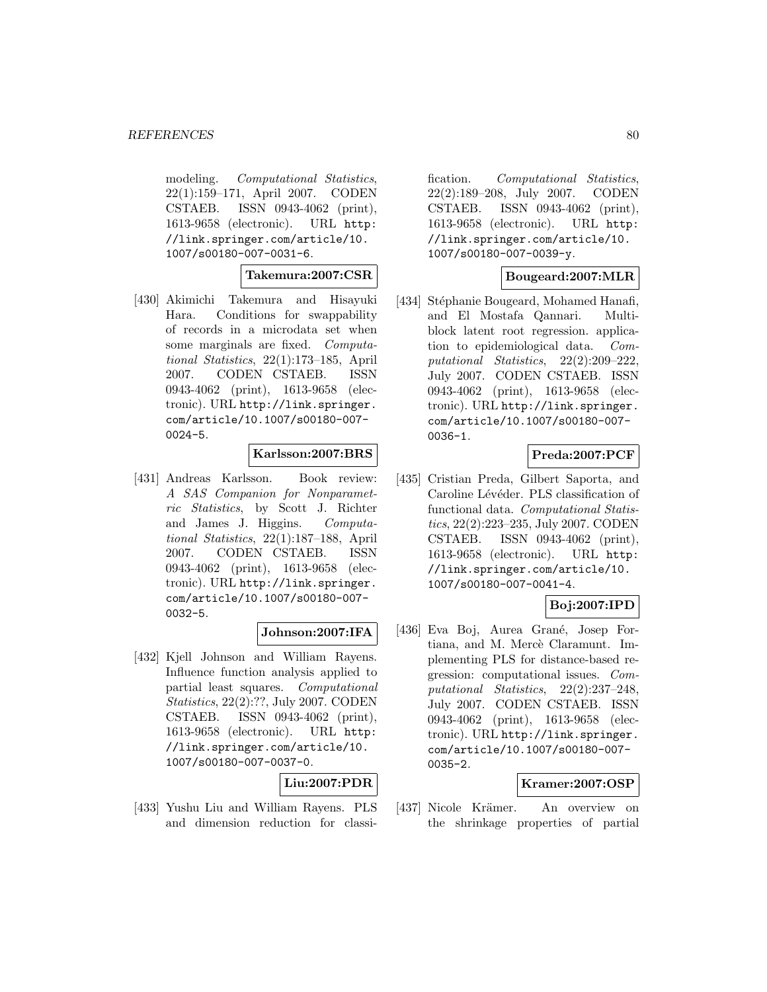modeling. *Computational Statistics*, 22(1):159–171, April 2007. CODEN CSTAEB. ISSN 0943-4062 (print), 1613-9658 (electronic). URL http: //link.springer.com/article/10. 1007/s00180-007-0031-6.

### **Takemura:2007:CSR**

[430] Akimichi Takemura and Hisayuki Hara. Conditions for swappability of records in a microdata set when some marginals are fixed. Computational Statistics, 22(1):173–185, April 2007. CODEN CSTAEB. ISSN 0943-4062 (print), 1613-9658 (electronic). URL http://link.springer. com/article/10.1007/s00180-007- 0024-5.

# **Karlsson:2007:BRS**

[431] Andreas Karlsson. Book review: A SAS Companion for Nonparametric Statistics, by Scott J. Richter and James J. Higgins. Computational Statistics, 22(1):187–188, April 2007. CODEN CSTAEB. ISSN 0943-4062 (print), 1613-9658 (electronic). URL http://link.springer. com/article/10.1007/s00180-007- 0032-5.

### **Johnson:2007:IFA**

[432] Kjell Johnson and William Rayens. Influence function analysis applied to partial least squares. Computational Statistics, 22(2):??, July 2007. CODEN CSTAEB. ISSN 0943-4062 (print), 1613-9658 (electronic). URL http: //link.springer.com/article/10. 1007/s00180-007-0037-0.

### **Liu:2007:PDR**

[433] Yushu Liu and William Rayens. PLS and dimension reduction for classification. Computational Statistics, 22(2):189–208, July 2007. CODEN CSTAEB. ISSN 0943-4062 (print), 1613-9658 (electronic). URL http: //link.springer.com/article/10. 1007/s00180-007-0039-y.

### **Bougeard:2007:MLR**

[434] Stéphanie Bougeard, Mohamed Hanafi, and El Mostafa Qannari. Multiblock latent root regression. application to epidemiological data. Computational Statistics, 22(2):209–222, July 2007. CODEN CSTAEB. ISSN 0943-4062 (print), 1613-9658 (electronic). URL http://link.springer. com/article/10.1007/s00180-007- 0036-1.

# **Preda:2007:PCF**

[435] Cristian Preda, Gilbert Saporta, and Caroline Lévéder. PLS classification of functional data. Computational Statistics, 22(2):223–235, July 2007. CODEN CSTAEB. ISSN 0943-4062 (print), 1613-9658 (electronic). URL http: //link.springer.com/article/10. 1007/s00180-007-0041-4.

# **Boj:2007:IPD**

[436] Eva Boj, Aurea Grané, Josep Fortiana, and M. Mercè Claramunt. Implementing PLS for distance-based regression: computational issues. Computational Statistics, 22(2):237–248, July 2007. CODEN CSTAEB. ISSN 0943-4062 (print), 1613-9658 (electronic). URL http://link.springer. com/article/10.1007/s00180-007- 0035-2.

### **Kramer:2007:OSP**

[437] Nicole Krämer. An overview on the shrinkage properties of partial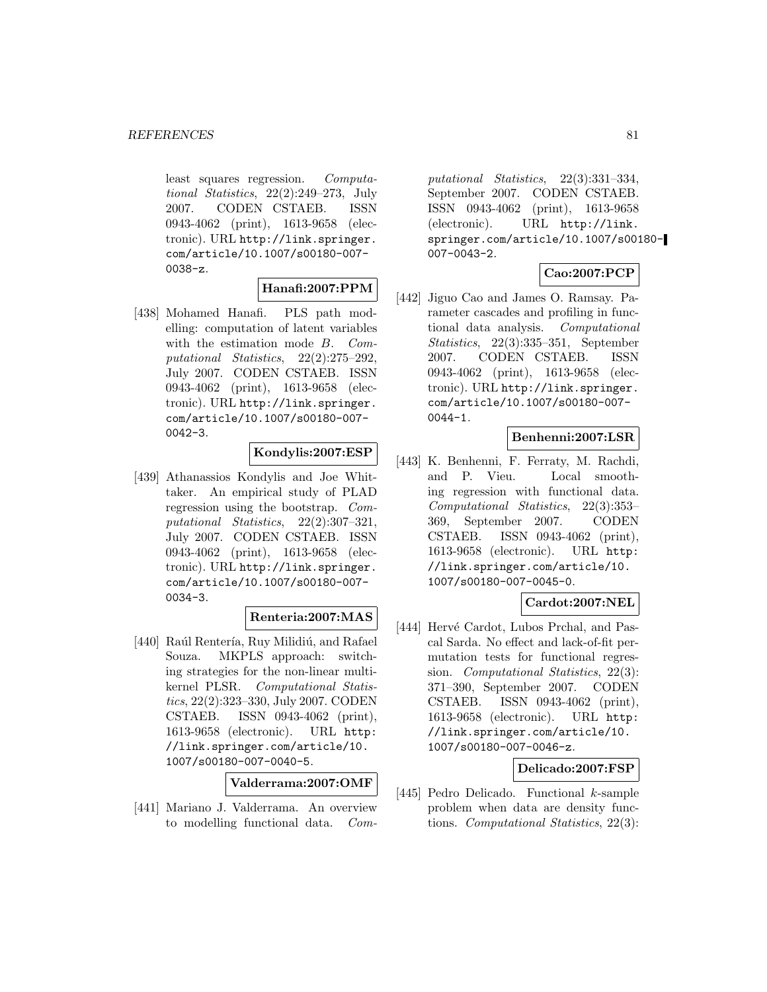least squares regression. Computational Statistics, 22(2):249–273, July 2007. CODEN CSTAEB. ISSN 0943-4062 (print), 1613-9658 (electronic). URL http://link.springer. com/article/10.1007/s00180-007- 0038-z.

# **Hanafi:2007:PPM**

[438] Mohamed Hanafi. PLS path modelling: computation of latent variables with the estimation mode B. Computational Statistics, 22(2):275–292, July 2007. CODEN CSTAEB. ISSN 0943-4062 (print), 1613-9658 (electronic). URL http://link.springer. com/article/10.1007/s00180-007-  $0042 - 3$ .

# **Kondylis:2007:ESP**

[439] Athanassios Kondylis and Joe Whittaker. An empirical study of PLAD regression using the bootstrap. Computational Statistics, 22(2):307–321, July 2007. CODEN CSTAEB. ISSN 0943-4062 (print), 1613-9658 (electronic). URL http://link.springer. com/article/10.1007/s00180-007- 0034-3.

# **Renteria:2007:MAS**

[440] Raúl Rentería, Ruy Milidiú, and Rafael Souza. MKPLS approach: switching strategies for the non-linear multikernel PLSR. Computational Statistics, 22(2):323–330, July 2007. CODEN CSTAEB. ISSN 0943-4062 (print), 1613-9658 (electronic). URL http: //link.springer.com/article/10. 1007/s00180-007-0040-5.

**Valderrama:2007:OMF**

[441] Mariano J. Valderrama. An overview to modelling functional data. Com-

putational Statistics, 22(3):331–334, September 2007. CODEN CSTAEB. ISSN 0943-4062 (print), 1613-9658 (electronic). URL http://link. springer.com/article/10.1007/s00180- 007-0043-2.

# **Cao:2007:PCP**

[442] Jiguo Cao and James O. Ramsay. Parameter cascades and profiling in functional data analysis. Computational Statistics, 22(3):335–351, September 2007. CODEN CSTAEB. ISSN 0943-4062 (print), 1613-9658 (electronic). URL http://link.springer. com/article/10.1007/s00180-007-  $0044 - 1$ .

### **Benhenni:2007:LSR**

[443] K. Benhenni, F. Ferraty, M. Rachdi, and P. Vieu. Local smoothing regression with functional data. Computational Statistics, 22(3):353– 369, September 2007. CODEN CSTAEB. ISSN 0943-4062 (print), 1613-9658 (electronic). URL http: //link.springer.com/article/10. 1007/s00180-007-0045-0.

# **Cardot:2007:NEL**

[444] Hervé Cardot, Lubos Prchal, and Pascal Sarda. No effect and lack-of-fit permutation tests for functional regression. Computational Statistics, 22(3): 371–390, September 2007. CODEN CSTAEB. ISSN 0943-4062 (print), 1613-9658 (electronic). URL http: //link.springer.com/article/10. 1007/s00180-007-0046-z.

### **Delicado:2007:FSP**

[445] Pedro Delicado. Functional k-sample problem when data are density functions. Computational Statistics, 22(3):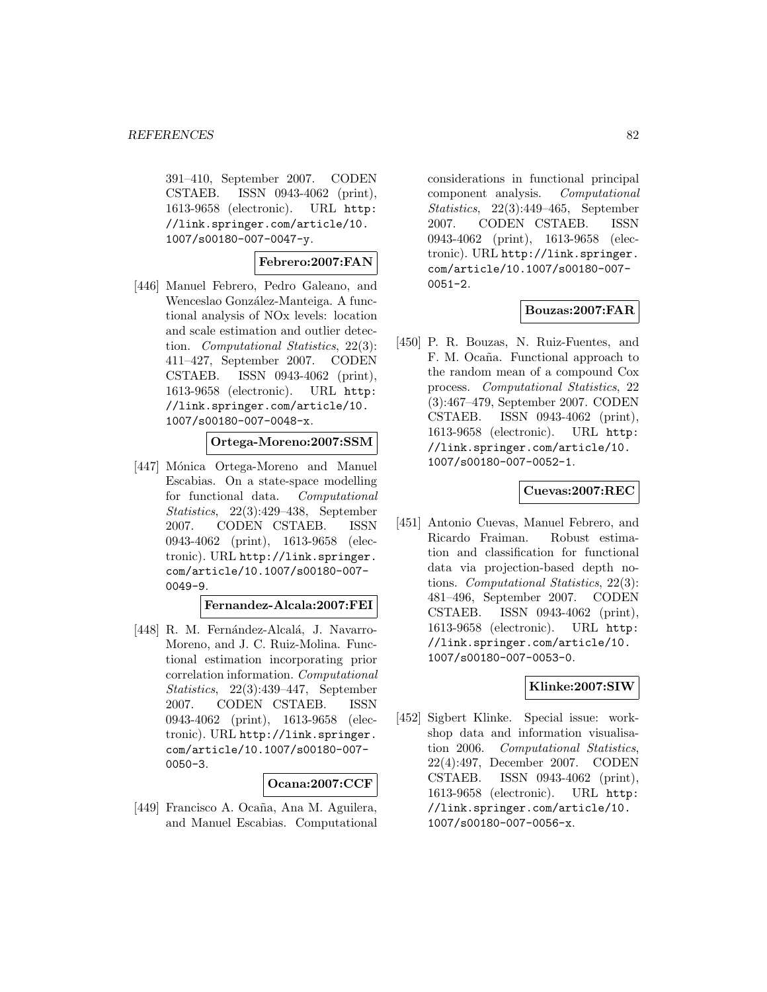391–410, September 2007. CODEN CSTAEB. ISSN 0943-4062 (print), 1613-9658 (electronic). URL http: //link.springer.com/article/10. 1007/s00180-007-0047-y.

## **Febrero:2007:FAN**

[446] Manuel Febrero, Pedro Galeano, and Wenceslao González-Manteiga. A functional analysis of NOx levels: location and scale estimation and outlier detection. Computational Statistics, 22(3): 411–427, September 2007. CODEN CSTAEB. ISSN 0943-4062 (print), 1613-9658 (electronic). URL http: //link.springer.com/article/10. 1007/s00180-007-0048-x.

#### **Ortega-Moreno:2007:SSM**

[447] Mónica Ortega-Moreno and Manuel Escabias. On a state-space modelling for functional data. Computational Statistics, 22(3):429–438, September 2007. CODEN CSTAEB. ISSN 0943-4062 (print), 1613-9658 (electronic). URL http://link.springer. com/article/10.1007/s00180-007- 0049-9.

#### **Fernandez-Alcala:2007:FEI**

[448] R. M. Fernández-Alcalá, J. Navarro-Moreno, and J. C. Ruiz-Molina. Functional estimation incorporating prior correlation information. Computational Statistics, 22(3):439–447, September 2007. CODEN CSTAEB. ISSN 0943-4062 (print), 1613-9658 (electronic). URL http://link.springer. com/article/10.1007/s00180-007- 0050-3.

### **Ocana:2007:CCF**

[449] Francisco A. Ocaña, Ana M. Aguilera, and Manuel Escabias. Computational

considerations in functional principal component analysis. Computational Statistics, 22(3):449–465, September 2007. CODEN CSTAEB. ISSN 0943-4062 (print), 1613-9658 (electronic). URL http://link.springer. com/article/10.1007/s00180-007- 0051-2.

# **Bouzas:2007:FAR**

[450] P. R. Bouzas, N. Ruiz-Fuentes, and F. M. Ocaña. Functional approach to the random mean of a compound Cox process. Computational Statistics, 22 (3):467–479, September 2007. CODEN CSTAEB. ISSN 0943-4062 (print), 1613-9658 (electronic). URL http: //link.springer.com/article/10. 1007/s00180-007-0052-1.

### **Cuevas:2007:REC**

[451] Antonio Cuevas, Manuel Febrero, and Ricardo Fraiman. Robust estimation and classification for functional data via projection-based depth notions. Computational Statistics, 22(3): 481–496, September 2007. CODEN CSTAEB. ISSN 0943-4062 (print), 1613-9658 (electronic). URL http: //link.springer.com/article/10. 1007/s00180-007-0053-0.

### **Klinke:2007:SIW**

[452] Sigbert Klinke. Special issue: workshop data and information visualisation 2006. Computational Statistics, 22(4):497, December 2007. CODEN CSTAEB. ISSN 0943-4062 (print), 1613-9658 (electronic). URL http: //link.springer.com/article/10. 1007/s00180-007-0056-x.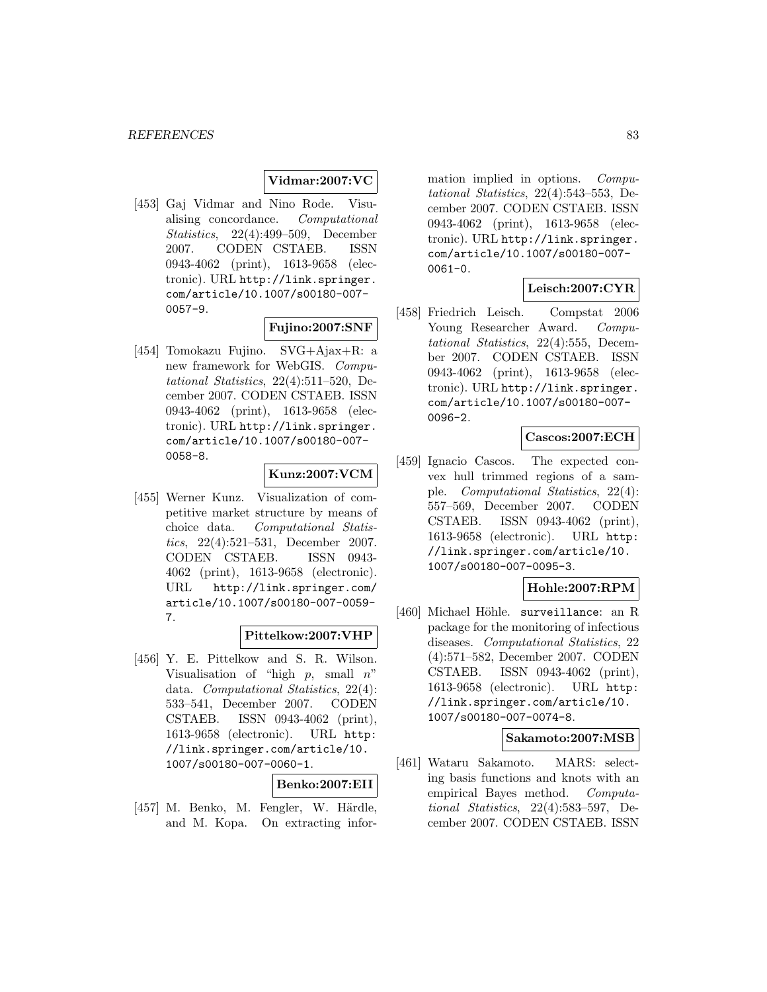## **Vidmar:2007:VC**

[453] Gaj Vidmar and Nino Rode. Visualising concordance. Computational Statistics, 22(4):499–509, December 2007. CODEN CSTAEB. ISSN 0943-4062 (print), 1613-9658 (electronic). URL http://link.springer. com/article/10.1007/s00180-007- 0057-9.

### **Fujino:2007:SNF**

[454] Tomokazu Fujino. SVG+Ajax+R: a new framework for WebGIS. Computational Statistics, 22(4):511–520, December 2007. CODEN CSTAEB. ISSN 0943-4062 (print), 1613-9658 (electronic). URL http://link.springer. com/article/10.1007/s00180-007- 0058-8.

# **Kunz:2007:VCM**

[455] Werner Kunz. Visualization of competitive market structure by means of choice data. Computational Statistics, 22(4):521–531, December 2007. CODEN CSTAEB. ISSN 0943- 4062 (print), 1613-9658 (electronic). URL http://link.springer.com/ article/10.1007/s00180-007-0059- 7.

### **Pittelkow:2007:VHP**

[456] Y. E. Pittelkow and S. R. Wilson. Visualisation of "high  $p$ , small  $n$ " data. Computational Statistics, 22(4): 533–541, December 2007. CODEN CSTAEB. ISSN 0943-4062 (print), 1613-9658 (electronic). URL http: //link.springer.com/article/10. 1007/s00180-007-0060-1.

#### **Benko:2007:EII**

[457] M. Benko, M. Fengler, W. Härdle, and M. Kopa. On extracting infor-

mation implied in options. Computational Statistics, 22(4):543–553, December 2007. CODEN CSTAEB. ISSN 0943-4062 (print), 1613-9658 (electronic). URL http://link.springer. com/article/10.1007/s00180-007-  $0061 - 0.$ 

### **Leisch:2007:CYR**

[458] Friedrich Leisch. Compstat 2006 Young Researcher Award. Computational Statistics, 22(4):555, December 2007. CODEN CSTAEB. ISSN 0943-4062 (print), 1613-9658 (electronic). URL http://link.springer. com/article/10.1007/s00180-007- 0096-2.

# **Cascos:2007:ECH**

[459] Ignacio Cascos. The expected convex hull trimmed regions of a sample. Computational Statistics, 22(4): 557–569, December 2007. CODEN CSTAEB. ISSN 0943-4062 (print), 1613-9658 (electronic). URL http: //link.springer.com/article/10. 1007/s00180-007-0095-3.

### **Hohle:2007:RPM**

[460] Michael Höhle. surveillance: an R package for the monitoring of infectious diseases. Computational Statistics, 22 (4):571–582, December 2007. CODEN CSTAEB. ISSN 0943-4062 (print), 1613-9658 (electronic). URL http: //link.springer.com/article/10. 1007/s00180-007-0074-8.

#### **Sakamoto:2007:MSB**

[461] Wataru Sakamoto. MARS: selecting basis functions and knots with an empirical Bayes method. Computational Statistics, 22(4):583–597, December 2007. CODEN CSTAEB. ISSN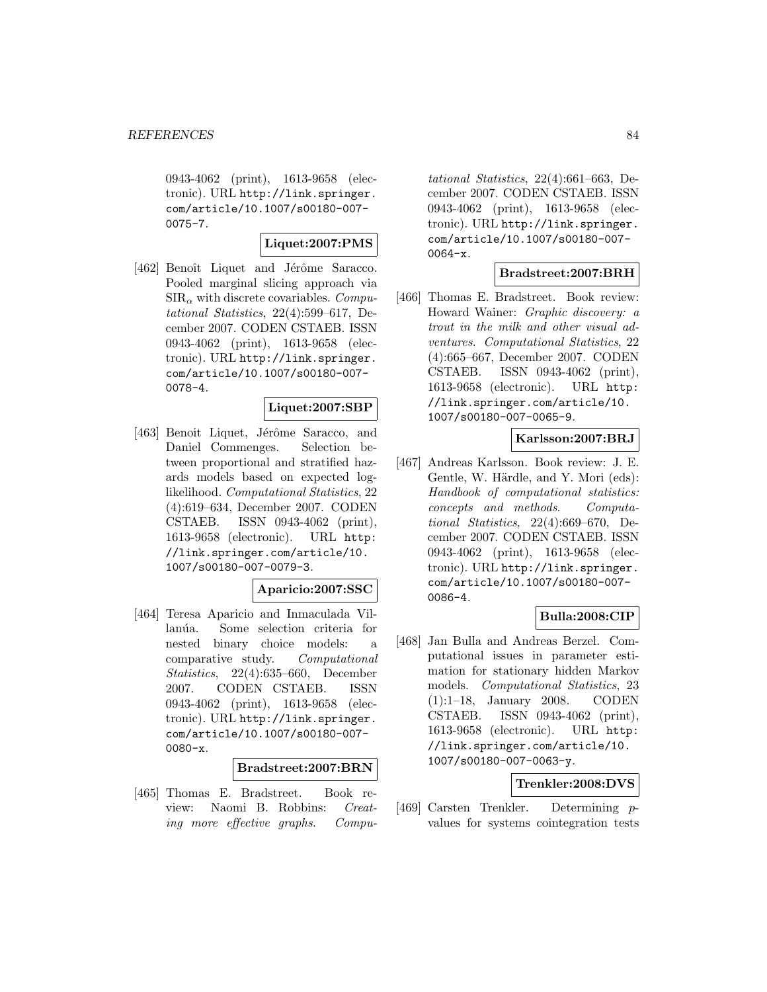0943-4062 (print), 1613-9658 (electronic). URL http://link.springer. com/article/10.1007/s00180-007- 0075-7.

### **Liquet:2007:PMS**

[462] Benoît Liquet and Jérôme Saracco. Pooled marginal slicing approach via  $\text{SIR}_{\alpha}$  with discrete covariables. Computational Statistics, 22(4):599–617, December 2007. CODEN CSTAEB. ISSN 0943-4062 (print), 1613-9658 (electronic). URL http://link.springer. com/article/10.1007/s00180-007- 0078-4.

### **Liquet:2007:SBP**

[463] Benoit Liquet, Jérôme Saracco, and Daniel Commenges. Selection between proportional and stratified hazards models based on expected loglikelihood. Computational Statistics, 22 (4):619–634, December 2007. CODEN CSTAEB. ISSN 0943-4062 (print), 1613-9658 (electronic). URL http: //link.springer.com/article/10. 1007/s00180-007-0079-3.

### **Aparicio:2007:SSC**

[464] Teresa Aparicio and Inmaculada Villanúa. Some selection criteria for nested binary choice models: a comparative study. Computational Statistics, 22(4):635–660, December 2007. CODEN CSTAEB. ISSN 0943-4062 (print), 1613-9658 (electronic). URL http://link.springer. com/article/10.1007/s00180-007-  $0080-x$ .

### **Bradstreet:2007:BRN**

[465] Thomas E. Bradstreet. Book review: Naomi B. Robbins: Creating more effective graphs. Compu-

tational Statistics, 22(4):661–663, December 2007. CODEN CSTAEB. ISSN 0943-4062 (print), 1613-9658 (electronic). URL http://link.springer. com/article/10.1007/s00180-007- 0064-x.

#### **Bradstreet:2007:BRH**

[466] Thomas E. Bradstreet. Book review: Howard Wainer: Graphic discovery: a trout in the milk and other visual adventures. Computational Statistics, 22 (4):665–667, December 2007. CODEN CSTAEB. ISSN 0943-4062 (print), 1613-9658 (electronic). URL http: //link.springer.com/article/10. 1007/s00180-007-0065-9.

## **Karlsson:2007:BRJ**

[467] Andreas Karlsson. Book review: J. E. Gentle, W. Härdle, and Y. Mori (eds): Handbook of computational statistics: concepts and methods. Computational Statistics, 22(4):669–670, December 2007. CODEN CSTAEB. ISSN 0943-4062 (print), 1613-9658 (electronic). URL http://link.springer. com/article/10.1007/s00180-007- 0086-4.

# **Bulla:2008:CIP**

[468] Jan Bulla and Andreas Berzel. Computational issues in parameter estimation for stationary hidden Markov models. Computational Statistics, 23 (1):1–18, January 2008. CODEN CSTAEB. ISSN 0943-4062 (print), 1613-9658 (electronic). URL http: //link.springer.com/article/10. 1007/s00180-007-0063-y.

# **Trenkler:2008:DVS**

[469] Carsten Trenkler. Determining pvalues for systems cointegration tests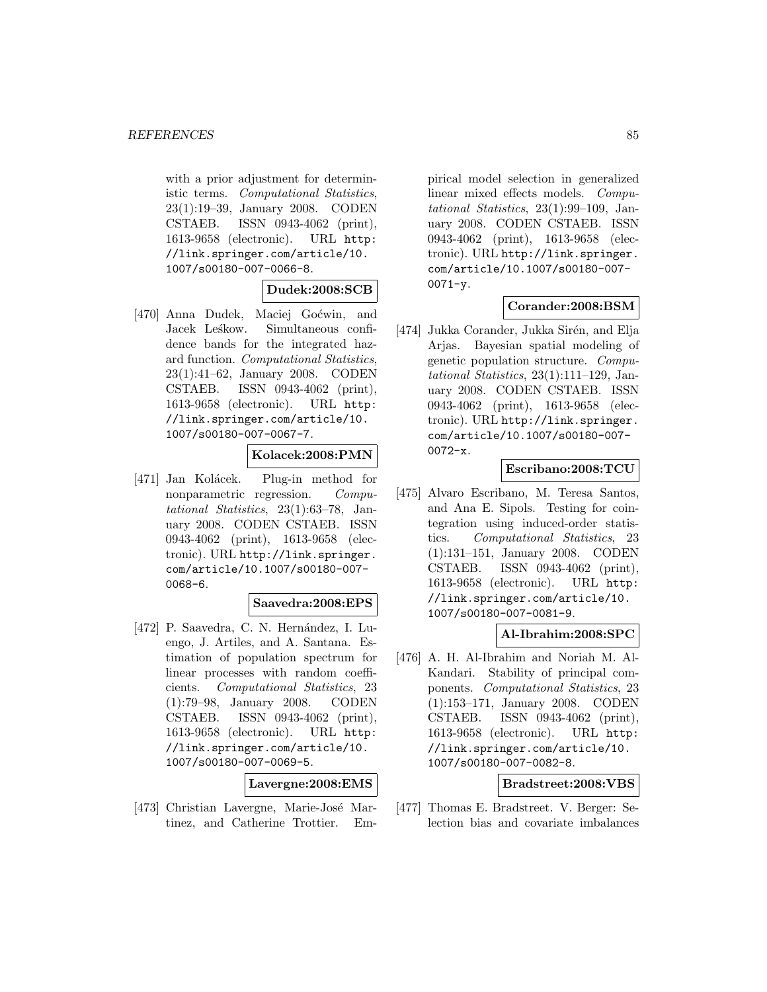with a prior adjustment for deterministic terms. Computational Statistics, 23(1):19–39, January 2008. CODEN CSTAEB. ISSN 0943-4062 (print), 1613-9658 (electronic). URL http: //link.springer.com/article/10. 1007/s00180-007-0066-8.

### **Dudek:2008:SCB**

[470] Anna Dudek, Maciej Goćwin, and Jacek Leśkow. Simultaneous confidence bands for the integrated hazard function. Computational Statistics, 23(1):41–62, January 2008. CODEN CSTAEB. ISSN 0943-4062 (print), 1613-9658 (electronic). URL http: //link.springer.com/article/10. 1007/s00180-007-0067-7.

### **Kolacek:2008:PMN**

[471] Jan Kolácek. Plug-in method for nonparametric regression. Computational Statistics, 23(1):63–78, January 2008. CODEN CSTAEB. ISSN 0943-4062 (print), 1613-9658 (electronic). URL http://link.springer. com/article/10.1007/s00180-007- 0068-6.

### **Saavedra:2008:EPS**

[472] P. Saavedra, C. N. Hernández, I. Luengo, J. Artiles, and A. Santana. Estimation of population spectrum for linear processes with random coefficients. Computational Statistics, 23 (1):79–98, January 2008. CODEN CSTAEB. ISSN 0943-4062 (print), 1613-9658 (electronic). URL http: //link.springer.com/article/10. 1007/s00180-007-0069-5.

### **Lavergne:2008:EMS**

[473] Christian Lavergne, Marie-José Martinez, and Catherine Trottier. Em-

pirical model selection in generalized linear mixed effects models. Computational Statistics, 23(1):99–109, January 2008. CODEN CSTAEB. ISSN 0943-4062 (print), 1613-9658 (electronic). URL http://link.springer. com/article/10.1007/s00180-007-  $0071 - y.$ 

# **Corander:2008:BSM**

[474] Jukka Corander, Jukka Sirén, and Elja Arjas. Bayesian spatial modeling of genetic population structure. Computational Statistics, 23(1):111–129, January 2008. CODEN CSTAEB. ISSN 0943-4062 (print), 1613-9658 (electronic). URL http://link.springer. com/article/10.1007/s00180-007- 0072-x.

### **Escribano:2008:TCU**

[475] Alvaro Escribano, M. Teresa Santos, and Ana E. Sipols. Testing for cointegration using induced-order statistics. Computational Statistics, 23 (1):131–151, January 2008. CODEN CSTAEB. ISSN 0943-4062 (print), 1613-9658 (electronic). URL http: //link.springer.com/article/10. 1007/s00180-007-0081-9.

### **Al-Ibrahim:2008:SPC**

[476] A. H. Al-Ibrahim and Noriah M. Al-Kandari. Stability of principal components. Computational Statistics, 23 (1):153–171, January 2008. CODEN CSTAEB. ISSN 0943-4062 (print), 1613-9658 (electronic). URL http: //link.springer.com/article/10. 1007/s00180-007-0082-8.

# **Bradstreet:2008:VBS**

[477] Thomas E. Bradstreet. V. Berger: Selection bias and covariate imbalances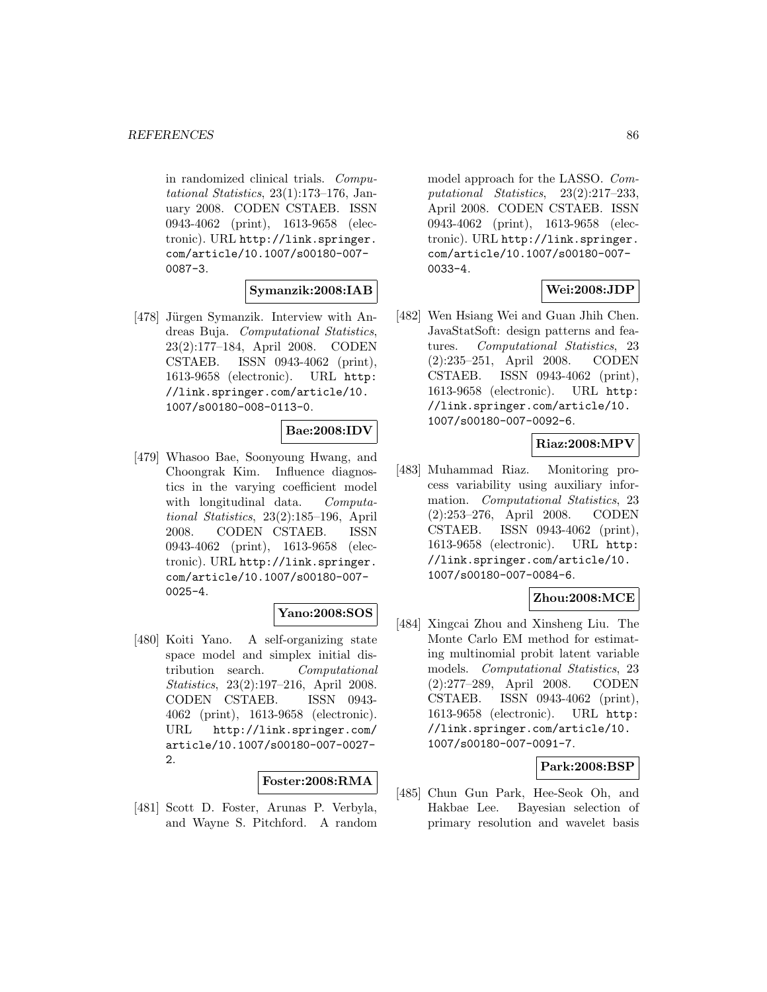in randomized clinical trials. Computational Statistics, 23(1):173–176, January 2008. CODEN CSTAEB. ISSN 0943-4062 (print), 1613-9658 (electronic). URL http://link.springer. com/article/10.1007/s00180-007- 0087-3.

# **Symanzik:2008:IAB**

[478] Jürgen Symanzik. Interview with Andreas Buja. Computational Statistics, 23(2):177–184, April 2008. CODEN CSTAEB. ISSN 0943-4062 (print), 1613-9658 (electronic). URL http: //link.springer.com/article/10. 1007/s00180-008-0113-0.

# **Bae:2008:IDV**

[479] Whasoo Bae, Soonyoung Hwang, and Choongrak Kim. Influence diagnostics in the varying coefficient model with longitudinal data. Computational Statistics, 23(2):185–196, April 2008. CODEN CSTAEB. ISSN 0943-4062 (print), 1613-9658 (electronic). URL http://link.springer. com/article/10.1007/s00180-007- 0025-4.

### **Yano:2008:SOS**

[480] Koiti Yano. A self-organizing state space model and simplex initial distribution search. Computational Statistics, 23(2):197–216, April 2008. CODEN CSTAEB. ISSN 0943- 4062 (print), 1613-9658 (electronic). URL http://link.springer.com/ article/10.1007/s00180-007-0027- 2.

#### **Foster:2008:RMA**

[481] Scott D. Foster, Arunas P. Verbyla, and Wayne S. Pitchford. A random

model approach for the LASSO. Computational Statistics, 23(2):217–233, April 2008. CODEN CSTAEB. ISSN 0943-4062 (print), 1613-9658 (electronic). URL http://link.springer. com/article/10.1007/s00180-007- 0033-4.

## **Wei:2008:JDP**

[482] Wen Hsiang Wei and Guan Jhih Chen. JavaStatSoft: design patterns and features. Computational Statistics, 23 (2):235–251, April 2008. CODEN CSTAEB. ISSN 0943-4062 (print), 1613-9658 (electronic). URL http: //link.springer.com/article/10. 1007/s00180-007-0092-6.

### **Riaz:2008:MPV**

[483] Muhammad Riaz. Monitoring process variability using auxiliary information. Computational Statistics, 23 (2):253–276, April 2008. CODEN CSTAEB. ISSN 0943-4062 (print), 1613-9658 (electronic). URL http: //link.springer.com/article/10. 1007/s00180-007-0084-6.

# **Zhou:2008:MCE**

[484] Xingcai Zhou and Xinsheng Liu. The Monte Carlo EM method for estimating multinomial probit latent variable models. Computational Statistics, 23 (2):277–289, April 2008. CODEN CSTAEB. ISSN 0943-4062 (print), 1613-9658 (electronic). URL http: //link.springer.com/article/10. 1007/s00180-007-0091-7.

### **Park:2008:BSP**

[485] Chun Gun Park, Hee-Seok Oh, and Hakbae Lee. Bayesian selection of primary resolution and wavelet basis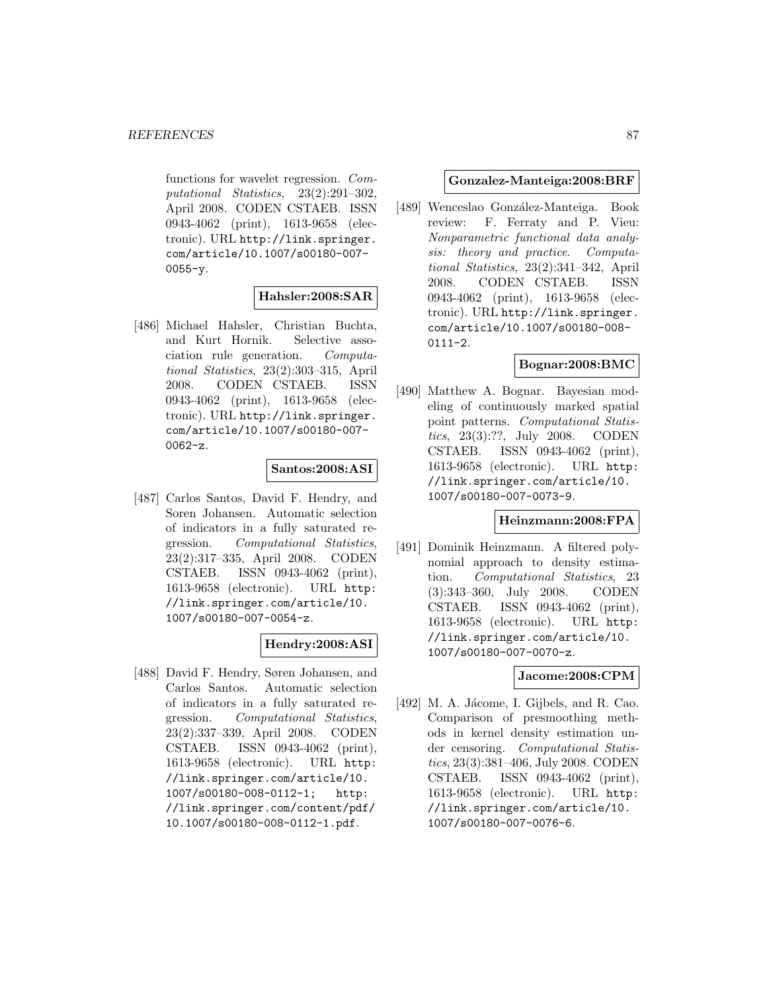functions for wavelet regression. Computational Statistics, 23(2):291–302, April 2008. CODEN CSTAEB. ISSN 0943-4062 (print), 1613-9658 (electronic). URL http://link.springer. com/article/10.1007/s00180-007-  $0055 - v.$ 

### **Hahsler:2008:SAR**

[486] Michael Hahsler, Christian Buchta, and Kurt Hornik. Selective association rule generation. Computational Statistics, 23(2):303–315, April 2008. CODEN CSTAEB. ISSN 0943-4062 (print), 1613-9658 (electronic). URL http://link.springer. com/article/10.1007/s00180-007-  $0062-z.$ 

### **Santos:2008:ASI**

[487] Carlos Santos, David F. Hendry, and Soren Johansen. Automatic selection of indicators in a fully saturated regression. Computational Statistics, 23(2):317–335, April 2008. CODEN CSTAEB. ISSN 0943-4062 (print), 1613-9658 (electronic). URL http: //link.springer.com/article/10. 1007/s00180-007-0054-z.

### **Hendry:2008:ASI**

[488] David F. Hendry, Søren Johansen, and Carlos Santos. Automatic selection of indicators in a fully saturated regression. Computational Statistics, 23(2):337–339, April 2008. CODEN CSTAEB. ISSN 0943-4062 (print), 1613-9658 (electronic). URL http: //link.springer.com/article/10. 1007/s00180-008-0112-1; http: //link.springer.com/content/pdf/ 10.1007/s00180-008-0112-1.pdf.

### **Gonzalez-Manteiga:2008:BRF**

[489] Wenceslao González-Manteiga. Book review: F. Ferraty and P. Vieu: Nonparametric functional data analysis: theory and practice. Computational Statistics, 23(2):341–342, April 2008. CODEN CSTAEB. ISSN 0943-4062 (print), 1613-9658 (electronic). URL http://link.springer. com/article/10.1007/s00180-008- 0111-2.

## **Bognar:2008:BMC**

[490] Matthew A. Bognar. Bayesian modeling of continuously marked spatial point patterns. Computational Statistics, 23(3):??, July 2008. CODEN CSTAEB. ISSN 0943-4062 (print), 1613-9658 (electronic). URL http: //link.springer.com/article/10. 1007/s00180-007-0073-9.

### **Heinzmann:2008:FPA**

[491] Dominik Heinzmann. A filtered polynomial approach to density estimation. Computational Statistics, 23 (3):343–360, July 2008. CODEN CSTAEB. ISSN 0943-4062 (print), 1613-9658 (electronic). URL http: //link.springer.com/article/10. 1007/s00180-007-0070-z.

# **Jacome:2008:CPM**

[492] M. A. Jácome, I. Gijbels, and R. Cao. Comparison of presmoothing methods in kernel density estimation under censoring. Computational Statistics, 23(3):381–406, July 2008. CODEN CSTAEB. ISSN 0943-4062 (print), 1613-9658 (electronic). URL http: //link.springer.com/article/10. 1007/s00180-007-0076-6.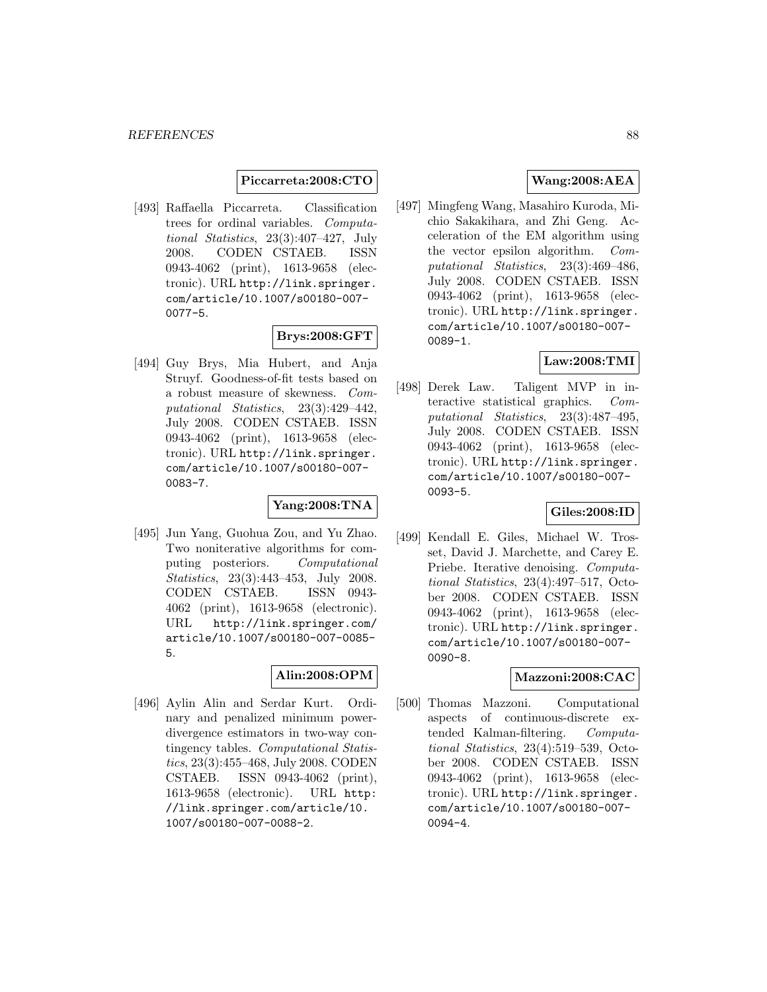### **Piccarreta:2008:CTO**

[493] Raffaella Piccarreta. Classification trees for ordinal variables. Computational Statistics, 23(3):407–427, July 2008. CODEN CSTAEB. ISSN 0943-4062 (print), 1613-9658 (electronic). URL http://link.springer. com/article/10.1007/s00180-007- 0077-5.

### **Brys:2008:GFT**

[494] Guy Brys, Mia Hubert, and Anja Struyf. Goodness-of-fit tests based on a robust measure of skewness. Computational Statistics, 23(3):429–442, July 2008. CODEN CSTAEB. ISSN 0943-4062 (print), 1613-9658 (electronic). URL http://link.springer. com/article/10.1007/s00180-007- 0083-7.

### **Yang:2008:TNA**

[495] Jun Yang, Guohua Zou, and Yu Zhao. Two noniterative algorithms for computing posteriors. Computational Statistics, 23(3):443–453, July 2008. CODEN CSTAEB. ISSN 0943- 4062 (print), 1613-9658 (electronic). URL http://link.springer.com/ article/10.1007/s00180-007-0085- 5.

### **Alin:2008:OPM**

[496] Aylin Alin and Serdar Kurt. Ordinary and penalized minimum powerdivergence estimators in two-way contingency tables. Computational Statistics, 23(3):455–468, July 2008. CODEN CSTAEB. ISSN 0943-4062 (print), 1613-9658 (electronic). URL http: //link.springer.com/article/10. 1007/s00180-007-0088-2.

# **Wang:2008:AEA**

[497] Mingfeng Wang, Masahiro Kuroda, Michio Sakakihara, and Zhi Geng. Acceleration of the EM algorithm using the vector epsilon algorithm. Computational Statistics, 23(3):469–486, July 2008. CODEN CSTAEB. ISSN 0943-4062 (print), 1613-9658 (electronic). URL http://link.springer. com/article/10.1007/s00180-007- 0089-1.

# **Law:2008:TMI**

[498] Derek Law. Taligent MVP in interactive statistical graphics. Computational Statistics, 23(3):487–495, July 2008. CODEN CSTAEB. ISSN 0943-4062 (print), 1613-9658 (electronic). URL http://link.springer. com/article/10.1007/s00180-007- 0093-5.

### **Giles:2008:ID**

[499] Kendall E. Giles, Michael W. Trosset, David J. Marchette, and Carey E. Priebe. Iterative denoising. Computational Statistics, 23(4):497–517, October 2008. CODEN CSTAEB. ISSN 0943-4062 (print), 1613-9658 (electronic). URL http://link.springer. com/article/10.1007/s00180-007- 0090-8.

### **Mazzoni:2008:CAC**

[500] Thomas Mazzoni. Computational aspects of continuous-discrete extended Kalman-filtering. Computational Statistics, 23(4):519–539, October 2008. CODEN CSTAEB. ISSN 0943-4062 (print), 1613-9658 (electronic). URL http://link.springer. com/article/10.1007/s00180-007- 0094-4.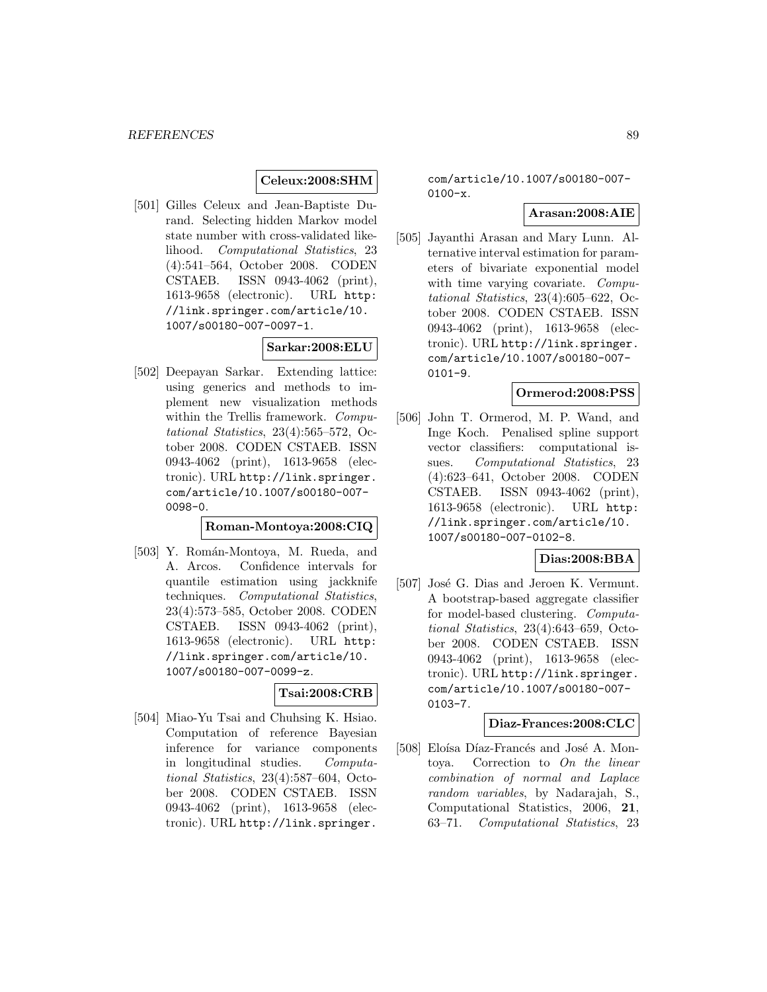# **Celeux:2008:SHM**

[501] Gilles Celeux and Jean-Baptiste Durand. Selecting hidden Markov model state number with cross-validated likelihood. Computational Statistics, 23 (4):541–564, October 2008. CODEN CSTAEB. ISSN 0943-4062 (print), 1613-9658 (electronic). URL http: //link.springer.com/article/10. 1007/s00180-007-0097-1.

### **Sarkar:2008:ELU**

[502] Deepayan Sarkar. Extending lattice: using generics and methods to implement new visualization methods within the Trellis framework. Computational Statistics, 23(4):565–572, October 2008. CODEN CSTAEB. ISSN 0943-4062 (print), 1613-9658 (electronic). URL http://link.springer. com/article/10.1007/s00180-007- 0098-0.

### **Roman-Montoya:2008:CIQ**

[503] Y. Román-Montoya, M. Rueda, and A. Arcos. Confidence intervals for quantile estimation using jackknife techniques. Computational Statistics, 23(4):573–585, October 2008. CODEN CSTAEB. ISSN 0943-4062 (print), 1613-9658 (electronic). URL http: //link.springer.com/article/10. 1007/s00180-007-0099-z.

### **Tsai:2008:CRB**

[504] Miao-Yu Tsai and Chuhsing K. Hsiao. Computation of reference Bayesian inference for variance components in longitudinal studies. Computational Statistics, 23(4):587–604, October 2008. CODEN CSTAEB. ISSN 0943-4062 (print), 1613-9658 (electronic). URL http://link.springer.

com/article/10.1007/s00180-007-  $0100-x$ .

## **Arasan:2008:AIE**

[505] Jayanthi Arasan and Mary Lunn. Alternative interval estimation for parameters of bivariate exponential model with time varying covariate. Computational Statistics, 23(4):605–622, October 2008. CODEN CSTAEB. ISSN 0943-4062 (print), 1613-9658 (electronic). URL http://link.springer. com/article/10.1007/s00180-007- 0101-9.

### **Ormerod:2008:PSS**

[506] John T. Ormerod, M. P. Wand, and Inge Koch. Penalised spline support vector classifiers: computational issues. Computational Statistics, 23 (4):623–641, October 2008. CODEN CSTAEB. ISSN 0943-4062 (print), 1613-9658 (electronic). URL http: //link.springer.com/article/10. 1007/s00180-007-0102-8.

# **Dias:2008:BBA**

[507] José G. Dias and Jeroen K. Vermunt. A bootstrap-based aggregate classifier for model-based clustering. Computational Statistics, 23(4):643–659, October 2008. CODEN CSTAEB. ISSN 0943-4062 (print), 1613-9658 (electronic). URL http://link.springer. com/article/10.1007/s00180-007- 0103-7.

### **Diaz-Frances:2008:CLC**

[508] Eloísa Díaz-Francés and José A. Montoya. Correction to On the linear combination of normal and Laplace random variables, by Nadarajah, S., Computational Statistics, 2006, **21**, 63–71. Computational Statistics, 23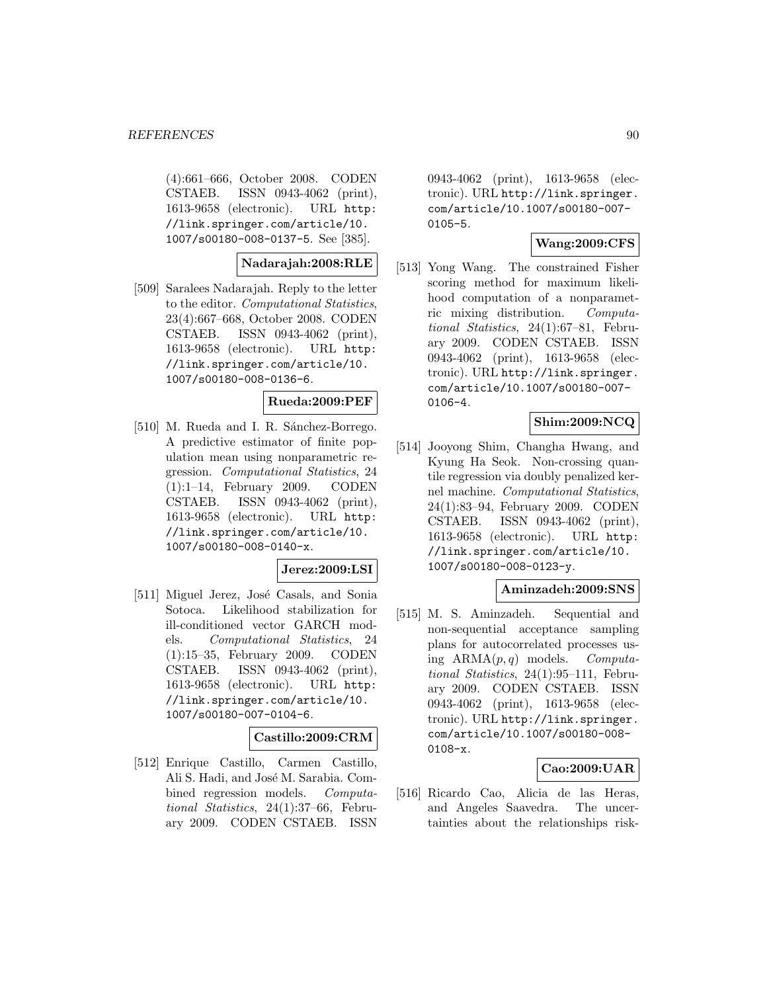(4):661–666, October 2008. CODEN CSTAEB. ISSN 0943-4062 (print), 1613-9658 (electronic). URL http: //link.springer.com/article/10. 1007/s00180-008-0137-5. See [385].

**Nadarajah:2008:RLE**

[509] Saralees Nadarajah. Reply to the letter to the editor. Computational Statistics, 23(4):667–668, October 2008. CODEN CSTAEB. ISSN 0943-4062 (print), 1613-9658 (electronic). URL http: //link.springer.com/article/10. 1007/s00180-008-0136-6.

#### **Rueda:2009:PEF**

[510] M. Rueda and I. R. Sánchez-Borrego. A predictive estimator of finite population mean using nonparametric regression. Computational Statistics, 24 (1):1–14, February 2009. CODEN CSTAEB. ISSN 0943-4062 (print), 1613-9658 (electronic). URL http: //link.springer.com/article/10. 1007/s00180-008-0140-x.

#### **Jerez:2009:LSI**

[511] Miguel Jerez, José Casals, and Sonia Sotoca. Likelihood stabilization for ill-conditioned vector GARCH models. Computational Statistics, 24 (1):15–35, February 2009. CODEN CSTAEB. ISSN 0943-4062 (print), 1613-9658 (electronic). URL http: //link.springer.com/article/10. 1007/s00180-007-0104-6.

#### **Castillo:2009:CRM**

[512] Enrique Castillo, Carmen Castillo, Ali S. Hadi, and José M. Sarabia. Combined regression models. Computational Statistics, 24(1):37–66, February 2009. CODEN CSTAEB. ISSN

0943-4062 (print), 1613-9658 (electronic). URL http://link.springer. com/article/10.1007/s00180-007- 0105-5.

# **Wang:2009:CFS**

[513] Yong Wang. The constrained Fisher scoring method for maximum likelihood computation of a nonparametric mixing distribution. Computational Statistics, 24(1):67–81, February 2009. CODEN CSTAEB. ISSN 0943-4062 (print), 1613-9658 (electronic). URL http://link.springer. com/article/10.1007/s00180-007- 0106-4.

### **Shim:2009:NCQ**

[514] Jooyong Shim, Changha Hwang, and Kyung Ha Seok. Non-crossing quantile regression via doubly penalized kernel machine. Computational Statistics, 24(1):83–94, February 2009. CODEN CSTAEB. ISSN 0943-4062 (print), 1613-9658 (electronic). URL http: //link.springer.com/article/10. 1007/s00180-008-0123-y.

#### **Aminzadeh:2009:SNS**

[515] M. S. Aminzadeh. Sequential and non-sequential acceptance sampling plans for autocorrelated processes using  $ARMA(p, q)$  models. Computational Statistics, 24(1):95–111, February 2009. CODEN CSTAEB. ISSN 0943-4062 (print), 1613-9658 (electronic). URL http://link.springer. com/article/10.1007/s00180-008- 0108-x.

### **Cao:2009:UAR**

[516] Ricardo Cao, Alicia de las Heras, and Angeles Saavedra. The uncertainties about the relationships risk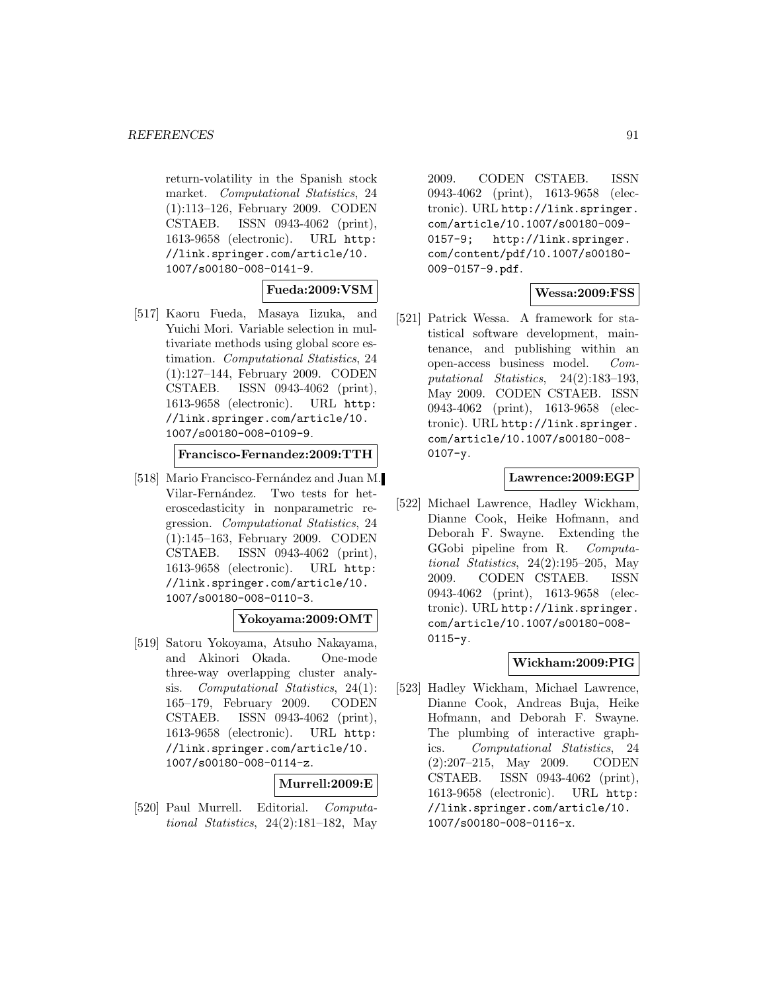return-volatility in the Spanish stock market. Computational Statistics, 24 (1):113–126, February 2009. CODEN CSTAEB. ISSN 0943-4062 (print), 1613-9658 (electronic). URL http: //link.springer.com/article/10. 1007/s00180-008-0141-9.

# **Fueda:2009:VSM**

[517] Kaoru Fueda, Masaya Iizuka, and Yuichi Mori. Variable selection in multivariate methods using global score estimation. Computational Statistics, 24 (1):127–144, February 2009. CODEN CSTAEB. ISSN 0943-4062 (print), 1613-9658 (electronic). URL http: //link.springer.com/article/10. 1007/s00180-008-0109-9.

**Francisco-Fernandez:2009:TTH**

[518] Mario Francisco-Fernández and Juan M. Vilar-Fernández. Two tests for heteroscedasticity in nonparametric regression. Computational Statistics, 24 (1):145–163, February 2009. CODEN CSTAEB. ISSN 0943-4062 (print), 1613-9658 (electronic). URL http: //link.springer.com/article/10. 1007/s00180-008-0110-3.

# **Yokoyama:2009:OMT**

[519] Satoru Yokoyama, Atsuho Nakayama, and Akinori Okada. One-mode three-way overlapping cluster analysis. Computational Statistics, 24(1): 165–179, February 2009. CODEN CSTAEB. ISSN 0943-4062 (print), 1613-9658 (electronic). URL http: //link.springer.com/article/10. 1007/s00180-008-0114-z.

### **Murrell:2009:E**

[520] Paul Murrell. Editorial. Computational Statistics, 24(2):181–182, May

2009. CODEN CSTAEB. ISSN 0943-4062 (print), 1613-9658 (electronic). URL http://link.springer. com/article/10.1007/s00180-009- 0157-9; http://link.springer. com/content/pdf/10.1007/s00180- 009-0157-9.pdf.

# **Wessa:2009:FSS**

[521] Patrick Wessa. A framework for statistical software development, maintenance, and publishing within an open-access business model. Computational Statistics, 24(2):183–193, May 2009. CODEN CSTAEB. ISSN 0943-4062 (print), 1613-9658 (electronic). URL http://link.springer. com/article/10.1007/s00180-008-  $0107 - y$ .

### **Lawrence:2009:EGP**

[522] Michael Lawrence, Hadley Wickham, Dianne Cook, Heike Hofmann, and Deborah F. Swayne. Extending the GGobi pipeline from R. Computational Statistics,  $24(2):195-205$ , May 2009. CODEN CSTAEB. ISSN 0943-4062 (print), 1613-9658 (electronic). URL http://link.springer. com/article/10.1007/s00180-008-  $0115 - y.$ 

# **Wickham:2009:PIG**

[523] Hadley Wickham, Michael Lawrence, Dianne Cook, Andreas Buja, Heike Hofmann, and Deborah F. Swayne. The plumbing of interactive graphics. Computational Statistics, 24 (2):207–215, May 2009. CODEN CSTAEB. ISSN 0943-4062 (print), 1613-9658 (electronic). URL http: //link.springer.com/article/10. 1007/s00180-008-0116-x.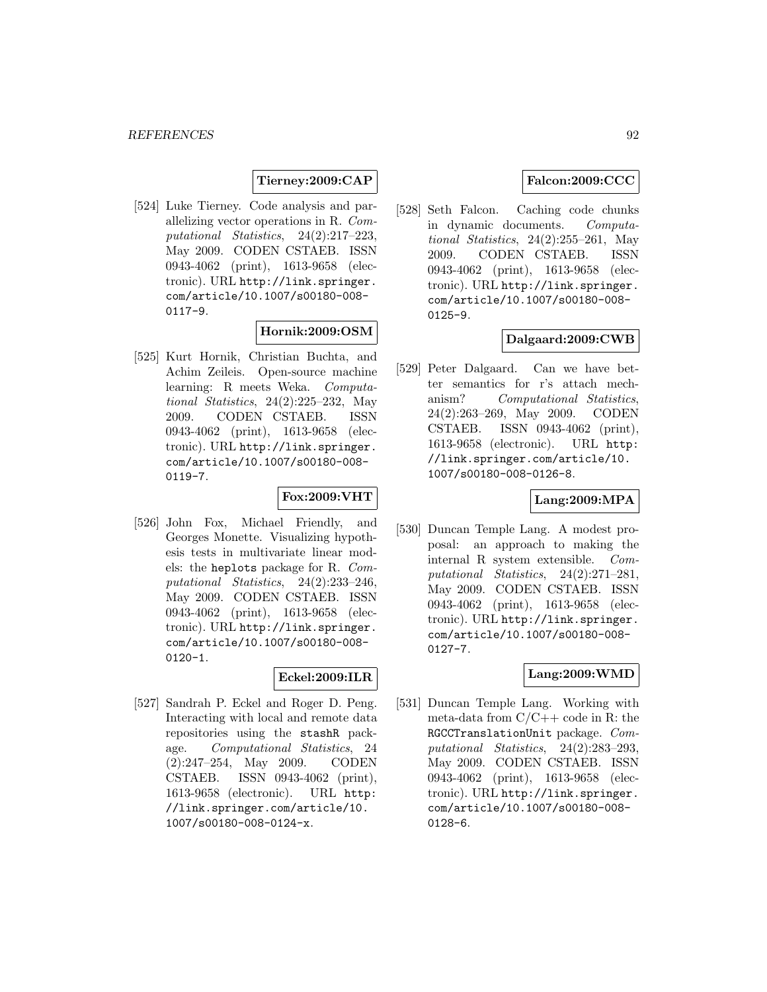## **Tierney:2009:CAP**

[524] Luke Tierney. Code analysis and parallelizing vector operations in R. Computational Statistics, 24(2):217–223, May 2009. CODEN CSTAEB. ISSN 0943-4062 (print), 1613-9658 (electronic). URL http://link.springer. com/article/10.1007/s00180-008- 0117-9.

# **Hornik:2009:OSM**

[525] Kurt Hornik, Christian Buchta, and Achim Zeileis. Open-source machine learning: R meets Weka. Computational Statistics, 24(2):225–232, May 2009. CODEN CSTAEB. ISSN 0943-4062 (print), 1613-9658 (electronic). URL http://link.springer. com/article/10.1007/s00180-008- 0119-7.

### **Fox:2009:VHT**

[526] John Fox, Michael Friendly, and Georges Monette. Visualizing hypothesis tests in multivariate linear models: the heplots package for R. Computational Statistics, 24(2):233–246, May 2009. CODEN CSTAEB. ISSN 0943-4062 (print), 1613-9658 (electronic). URL http://link.springer. com/article/10.1007/s00180-008- 0120-1.

#### **Eckel:2009:ILR**

[527] Sandrah P. Eckel and Roger D. Peng. Interacting with local and remote data repositories using the stashR package. Computational Statistics, 24 (2):247–254, May 2009. CODEN CSTAEB. ISSN 0943-4062 (print), 1613-9658 (electronic). URL http: //link.springer.com/article/10. 1007/s00180-008-0124-x.

# **Falcon:2009:CCC**

[528] Seth Falcon. Caching code chunks in dynamic documents. Computational Statistics,  $24(2):255-261$ , May 2009. CODEN CSTAEB. ISSN 0943-4062 (print), 1613-9658 (electronic). URL http://link.springer. com/article/10.1007/s00180-008- 0125-9.

#### **Dalgaard:2009:CWB**

[529] Peter Dalgaard. Can we have better semantics for r's attach mechanism? Computational Statistics, 24(2):263–269, May 2009. CODEN CSTAEB. ISSN 0943-4062 (print), 1613-9658 (electronic). URL http: //link.springer.com/article/10. 1007/s00180-008-0126-8.

## **Lang:2009:MPA**

[530] Duncan Temple Lang. A modest proposal: an approach to making the internal R system extensible. Computational Statistics, 24(2):271–281, May 2009. CODEN CSTAEB. ISSN 0943-4062 (print), 1613-9658 (electronic). URL http://link.springer. com/article/10.1007/s00180-008- 0127-7.

### **Lang:2009:WMD**

[531] Duncan Temple Lang. Working with meta-data from  $C/C++$  code in R: the RGCCTranslationUnit package. Computational Statistics, 24(2):283–293, May 2009. CODEN CSTAEB. ISSN 0943-4062 (print), 1613-9658 (electronic). URL http://link.springer. com/article/10.1007/s00180-008- 0128-6.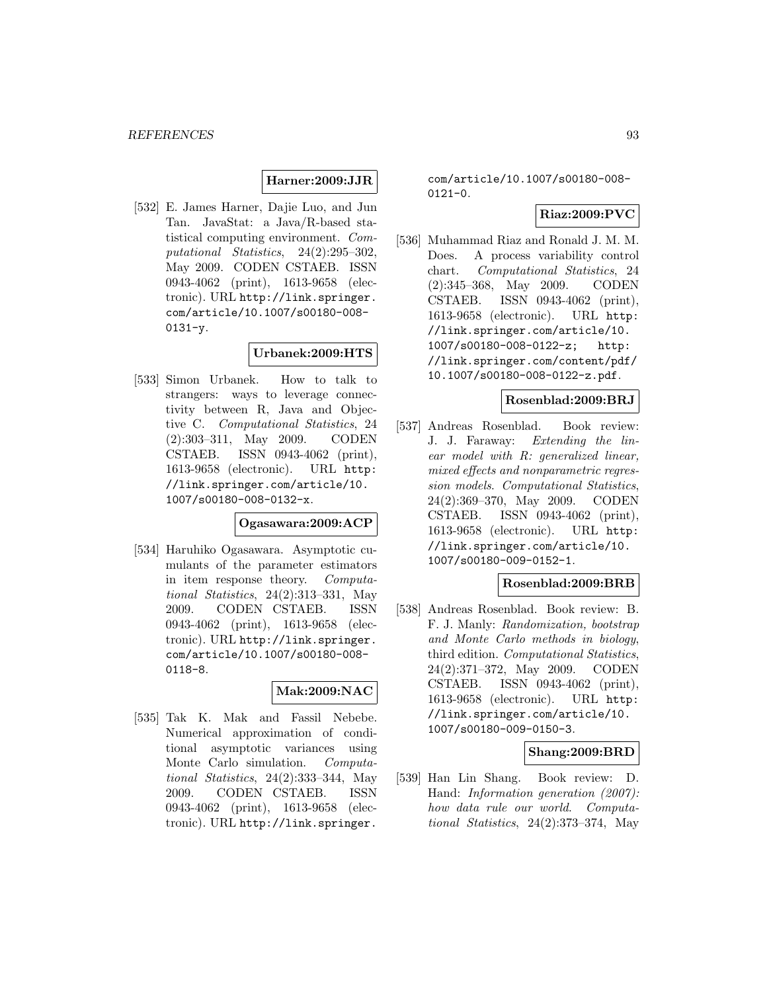## **Harner:2009:JJR**

[532] E. James Harner, Dajie Luo, and Jun Tan. JavaStat: a Java/R-based statistical computing environment. Computational Statistics, 24(2):295–302, May 2009. CODEN CSTAEB. ISSN 0943-4062 (print), 1613-9658 (electronic). URL http://link.springer. com/article/10.1007/s00180-008-  $0131 - y$ .

# **Urbanek:2009:HTS**

[533] Simon Urbanek. How to talk to strangers: ways to leverage connectivity between R, Java and Objective C. Computational Statistics, 24 (2):303–311, May 2009. CODEN CSTAEB. ISSN 0943-4062 (print), 1613-9658 (electronic). URL http: //link.springer.com/article/10. 1007/s00180-008-0132-x.

### **Ogasawara:2009:ACP**

[534] Haruhiko Ogasawara. Asymptotic cumulants of the parameter estimators in item response theory. Computational Statistics, 24(2):313–331, May 2009. CODEN CSTAEB. ISSN 0943-4062 (print), 1613-9658 (electronic). URL http://link.springer. com/article/10.1007/s00180-008- 0118-8.

### **Mak:2009:NAC**

[535] Tak K. Mak and Fassil Nebebe. Numerical approximation of conditional asymptotic variances using Monte Carlo simulation. Computational Statistics, 24(2):333–344, May 2009. CODEN CSTAEB. ISSN 0943-4062 (print), 1613-9658 (electronic). URL http://link.springer.

com/article/10.1007/s00180-008-  $0121 - 0.$ 

# **Riaz:2009:PVC**

[536] Muhammad Riaz and Ronald J. M. M. Does. A process variability control chart. Computational Statistics, 24 (2):345–368, May 2009. CODEN CSTAEB. ISSN 0943-4062 (print), 1613-9658 (electronic). URL http: //link.springer.com/article/10. 1007/s00180-008-0122-z; http: //link.springer.com/content/pdf/ 10.1007/s00180-008-0122-z.pdf.

#### **Rosenblad:2009:BRJ**

[537] Andreas Rosenblad. Book review: J. J. Faraway: Extending the linear model with R: generalized linear, mixed effects and nonparametric regression models. Computational Statistics, 24(2):369–370, May 2009. CODEN CSTAEB. ISSN 0943-4062 (print), 1613-9658 (electronic). URL http: //link.springer.com/article/10. 1007/s00180-009-0152-1.

### **Rosenblad:2009:BRB**

[538] Andreas Rosenblad. Book review: B. F. J. Manly: Randomization, bootstrap and Monte Carlo methods in biology, third edition. Computational Statistics, 24(2):371–372, May 2009. CODEN CSTAEB. ISSN 0943-4062 (print), 1613-9658 (electronic). URL http: //link.springer.com/article/10. 1007/s00180-009-0150-3.

### **Shang:2009:BRD**

[539] Han Lin Shang. Book review: D. Hand: Information generation (2007): how data rule our world. Computational Statistics, 24(2):373–374, May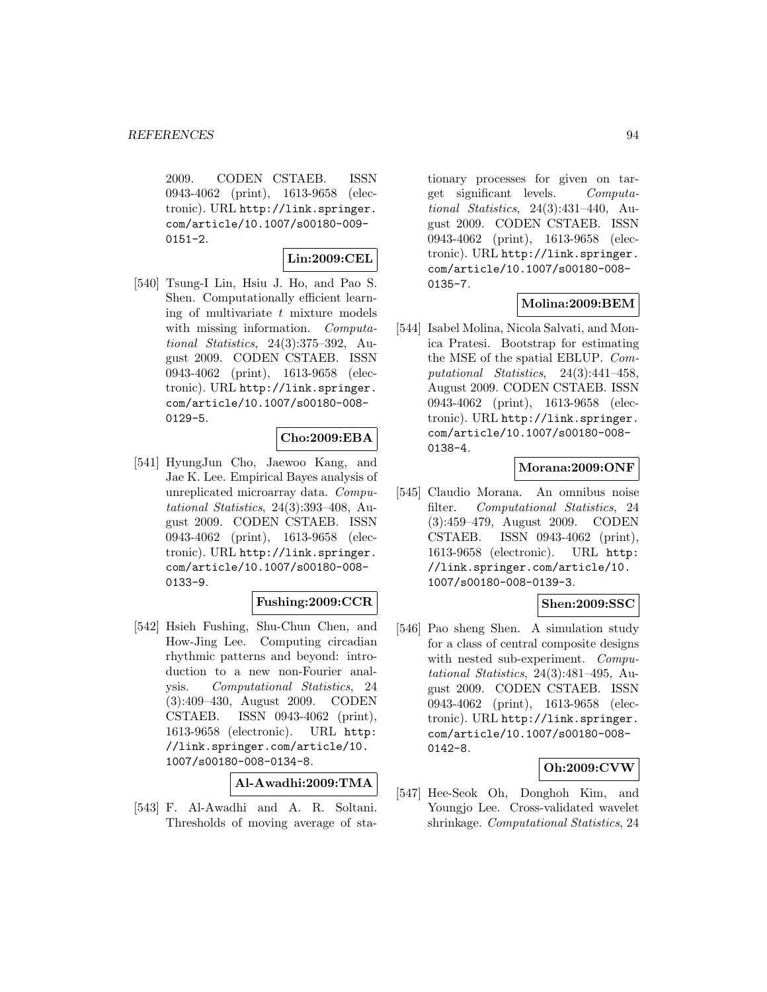2009. CODEN CSTAEB. ISSN 0943-4062 (print), 1613-9658 (electronic). URL http://link.springer. com/article/10.1007/s00180-009-  $0151 - 2.$ 

# **Lin:2009:CEL**

[540] Tsung-I Lin, Hsiu J. Ho, and Pao S. Shen. Computationally efficient learning of multivariate  $t$  mixture models with missing information. Computational Statistics, 24(3):375–392, August 2009. CODEN CSTAEB. ISSN 0943-4062 (print), 1613-9658 (electronic). URL http://link.springer. com/article/10.1007/s00180-008-  $0129 - 5.$ 

### **Cho:2009:EBA**

[541] HyungJun Cho, Jaewoo Kang, and Jae K. Lee. Empirical Bayes analysis of unreplicated microarray data. Computational Statistics, 24(3):393–408, August 2009. CODEN CSTAEB. ISSN 0943-4062 (print), 1613-9658 (electronic). URL http://link.springer. com/article/10.1007/s00180-008- 0133-9.

## **Fushing:2009:CCR**

[542] Hsieh Fushing, Shu-Chun Chen, and How-Jing Lee. Computing circadian rhythmic patterns and beyond: introduction to a new non-Fourier analysis. Computational Statistics, 24 (3):409–430, August 2009. CODEN CSTAEB. ISSN 0943-4062 (print), 1613-9658 (electronic). URL http: //link.springer.com/article/10. 1007/s00180-008-0134-8.

**Al-Awadhi:2009:TMA**

[543] F. Al-Awadhi and A. R. Soltani. Thresholds of moving average of sta-

tionary processes for given on target significant levels. Computational Statistics, 24(3):431–440, August 2009. CODEN CSTAEB. ISSN 0943-4062 (print), 1613-9658 (electronic). URL http://link.springer. com/article/10.1007/s00180-008- 0135-7.

### **Molina:2009:BEM**

[544] Isabel Molina, Nicola Salvati, and Monica Pratesi. Bootstrap for estimating the MSE of the spatial EBLUP. Computational Statistics, 24(3):441–458, August 2009. CODEN CSTAEB. ISSN 0943-4062 (print), 1613-9658 (electronic). URL http://link.springer. com/article/10.1007/s00180-008- 0138-4.

# **Morana:2009:ONF**

[545] Claudio Morana. An omnibus noise filter. Computational Statistics, 24 (3):459–479, August 2009. CODEN CSTAEB. ISSN 0943-4062 (print), 1613-9658 (electronic). URL http: //link.springer.com/article/10. 1007/s00180-008-0139-3.

## **Shen:2009:SSC**

[546] Pao sheng Shen. A simulation study for a class of central composite designs with nested sub-experiment. *Compu*tational Statistics, 24(3):481–495, August 2009. CODEN CSTAEB. ISSN 0943-4062 (print), 1613-9658 (electronic). URL http://link.springer. com/article/10.1007/s00180-008- 0142-8.

### **Oh:2009:CVW**

[547] Hee-Seok Oh, Donghoh Kim, and Youngjo Lee. Cross-validated wavelet shrinkage. Computational Statistics, 24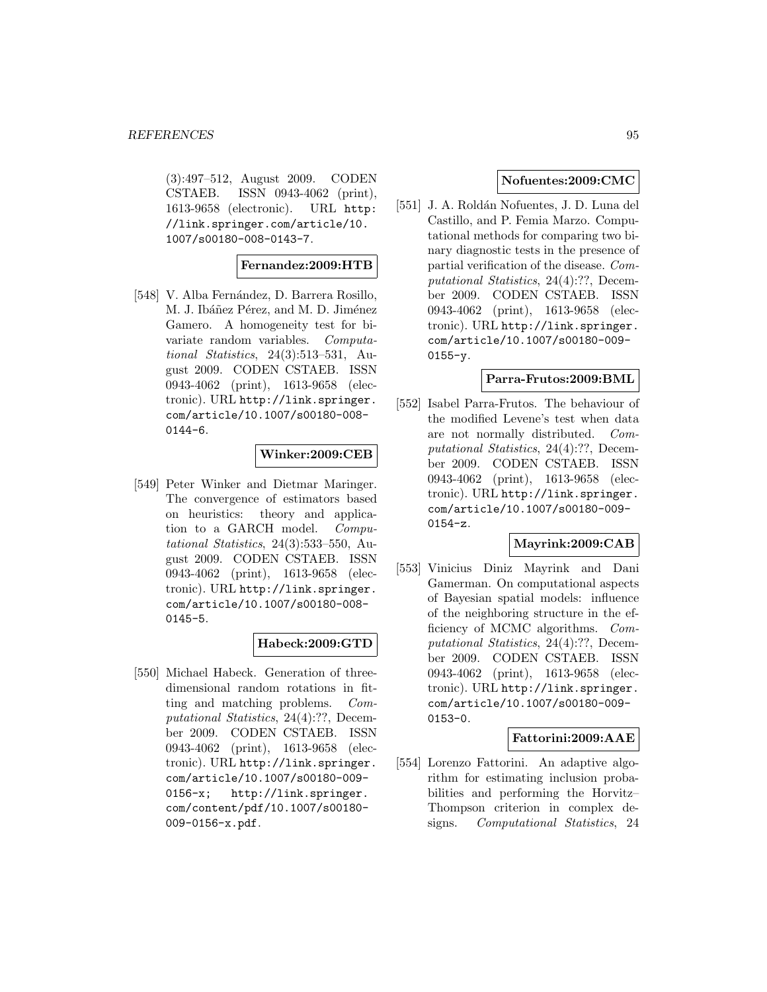(3):497–512, August 2009. CODEN CSTAEB. ISSN 0943-4062 (print), 1613-9658 (electronic). URL http: //link.springer.com/article/10. 1007/s00180-008-0143-7.

#### **Fernandez:2009:HTB**

[548] V. Alba Fernández, D. Barrera Rosillo, M. J. Ibáñez Pérez, and M. D. Jiménez Gamero. A homogeneity test for bivariate random variables. Computational Statistics, 24(3):513–531, August 2009. CODEN CSTAEB. ISSN 0943-4062 (print), 1613-9658 (electronic). URL http://link.springer. com/article/10.1007/s00180-008- 0144-6.

# **Winker:2009:CEB**

[549] Peter Winker and Dietmar Maringer. The convergence of estimators based on heuristics: theory and application to a GARCH model. Computational Statistics, 24(3):533–550, August 2009. CODEN CSTAEB. ISSN 0943-4062 (print), 1613-9658 (electronic). URL http://link.springer. com/article/10.1007/s00180-008- 0145-5.

### **Habeck:2009:GTD**

[550] Michael Habeck. Generation of threedimensional random rotations in fitting and matching problems. Computational Statistics, 24(4):??, December 2009. CODEN CSTAEB. ISSN 0943-4062 (print), 1613-9658 (electronic). URL http://link.springer. com/article/10.1007/s00180-009- 0156-x; http://link.springer. com/content/pdf/10.1007/s00180- 009-0156-x.pdf.

# **Nofuentes:2009:CMC**

[551] J. A. Roldán Nofuentes, J. D. Luna del Castillo, and P. Femia Marzo. Computational methods for comparing two binary diagnostic tests in the presence of partial verification of the disease. Computational Statistics, 24(4):??, December 2009. CODEN CSTAEB. ISSN 0943-4062 (print), 1613-9658 (electronic). URL http://link.springer. com/article/10.1007/s00180-009- 0155-y.

### **Parra-Frutos:2009:BML**

[552] Isabel Parra-Frutos. The behaviour of the modified Levene's test when data are not normally distributed. Computational Statistics, 24(4):??, December 2009. CODEN CSTAEB. ISSN 0943-4062 (print), 1613-9658 (electronic). URL http://link.springer. com/article/10.1007/s00180-009- 0154-z.

## **Mayrink:2009:CAB**

[553] Vinicius Diniz Mayrink and Dani Gamerman. On computational aspects of Bayesian spatial models: influence of the neighboring structure in the efficiency of MCMC algorithms. Computational Statistics, 24(4):??, December 2009. CODEN CSTAEB. ISSN 0943-4062 (print), 1613-9658 (electronic). URL http://link.springer. com/article/10.1007/s00180-009- 0153-0.

### **Fattorini:2009:AAE**

[554] Lorenzo Fattorini. An adaptive algorithm for estimating inclusion probabilities and performing the Horvitz– Thompson criterion in complex designs. Computational Statistics, 24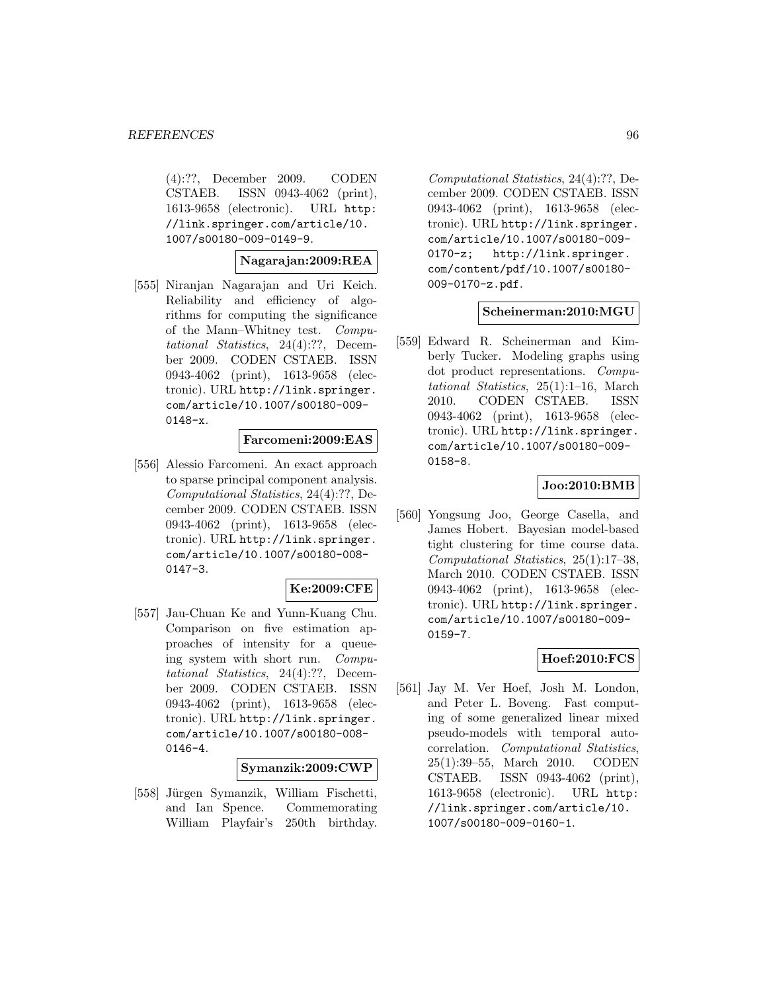(4):??, December 2009. CODEN CSTAEB. ISSN 0943-4062 (print), 1613-9658 (electronic). URL http: //link.springer.com/article/10. 1007/s00180-009-0149-9.

#### **Nagarajan:2009:REA**

[555] Niranjan Nagarajan and Uri Keich. Reliability and efficiency of algorithms for computing the significance of the Mann–Whitney test. Computational Statistics, 24(4):??, December 2009. CODEN CSTAEB. ISSN 0943-4062 (print), 1613-9658 (electronic). URL http://link.springer. com/article/10.1007/s00180-009- 0148-x.

### **Farcomeni:2009:EAS**

[556] Alessio Farcomeni. An exact approach to sparse principal component analysis. Computational Statistics, 24(4):??, December 2009. CODEN CSTAEB. ISSN 0943-4062 (print), 1613-9658 (electronic). URL http://link.springer. com/article/10.1007/s00180-008- 0147-3.

#### **Ke:2009:CFE**

[557] Jau-Chuan Ke and Yunn-Kuang Chu. Comparison on five estimation approaches of intensity for a queueing system with short run. Computational Statistics, 24(4):??, December 2009. CODEN CSTAEB. ISSN 0943-4062 (print), 1613-9658 (electronic). URL http://link.springer. com/article/10.1007/s00180-008-  $0146 - 4.$ 

### **Symanzik:2009:CWP**

[558] Jürgen Symanzik, William Fischetti, and Ian Spence. Commemorating William Playfair's 250th birthday.

Computational Statistics, 24(4):??, December 2009. CODEN CSTAEB. ISSN 0943-4062 (print), 1613-9658 (electronic). URL http://link.springer. com/article/10.1007/s00180-009- 0170-z; http://link.springer. com/content/pdf/10.1007/s00180- 009-0170-z.pdf.

### **Scheinerman:2010:MGU**

[559] Edward R. Scheinerman and Kimberly Tucker. Modeling graphs using dot product representations. Computational Statistics, 25(1):1–16, March 2010. CODEN CSTAEB. ISSN 0943-4062 (print), 1613-9658 (electronic). URL http://link.springer. com/article/10.1007/s00180-009- 0158-8.

### **Joo:2010:BMB**

[560] Yongsung Joo, George Casella, and James Hobert. Bayesian model-based tight clustering for time course data. Computational Statistics, 25(1):17–38, March 2010. CODEN CSTAEB. ISSN 0943-4062 (print), 1613-9658 (electronic). URL http://link.springer. com/article/10.1007/s00180-009- 0159-7.

### **Hoef:2010:FCS**

[561] Jay M. Ver Hoef, Josh M. London, and Peter L. Boveng. Fast computing of some generalized linear mixed pseudo-models with temporal autocorrelation. Computational Statistics, 25(1):39–55, March 2010. CODEN CSTAEB. ISSN 0943-4062 (print), 1613-9658 (electronic). URL http: //link.springer.com/article/10. 1007/s00180-009-0160-1.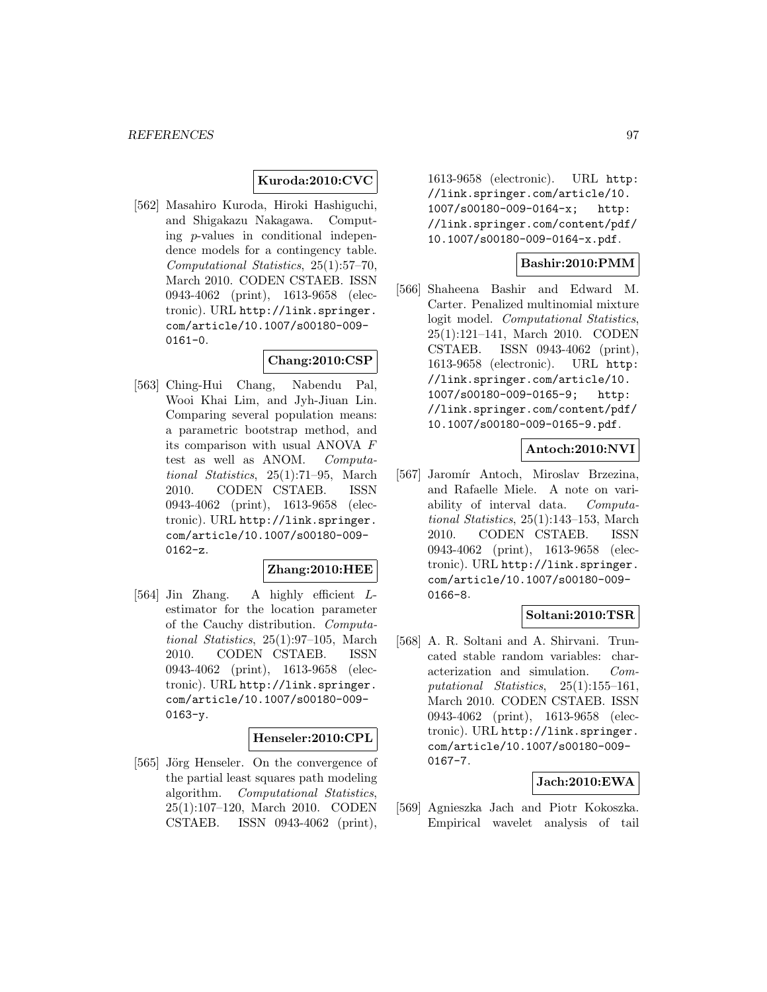#### **Kuroda:2010:CVC**

[562] Masahiro Kuroda, Hiroki Hashiguchi, and Shigakazu Nakagawa. Computing p-values in conditional independence models for a contingency table. Computational Statistics, 25(1):57–70, March 2010. CODEN CSTAEB. ISSN 0943-4062 (print), 1613-9658 (electronic). URL http://link.springer. com/article/10.1007/s00180-009- 0161-0.

### **Chang:2010:CSP**

[563] Ching-Hui Chang, Nabendu Pal, Wooi Khai Lim, and Jyh-Jiuan Lin. Comparing several population means: a parametric bootstrap method, and its comparison with usual ANOVA F test as well as ANOM. Computational Statistics, 25(1):71–95, March 2010. CODEN CSTAEB. ISSN 0943-4062 (print), 1613-9658 (electronic). URL http://link.springer. com/article/10.1007/s00180-009-  $0162-z.$ 

### **Zhang:2010:HEE**

[564] Jin Zhang. A highly efficient Lestimator for the location parameter of the Cauchy distribution. Computational Statistics, 25(1):97–105, March 2010. CODEN CSTAEB. ISSN 0943-4062 (print), 1613-9658 (electronic). URL http://link.springer. com/article/10.1007/s00180-009- 0163-y.

#### **Henseler:2010:CPL**

[565] Jörg Henseler. On the convergence of the partial least squares path modeling algorithm. Computational Statistics, 25(1):107–120, March 2010. CODEN CSTAEB. ISSN 0943-4062 (print),

1613-9658 (electronic). URL http: //link.springer.com/article/10. 1007/s00180-009-0164-x; http: //link.springer.com/content/pdf/ 10.1007/s00180-009-0164-x.pdf.

### **Bashir:2010:PMM**

[566] Shaheena Bashir and Edward M. Carter. Penalized multinomial mixture logit model. Computational Statistics, 25(1):121–141, March 2010. CODEN CSTAEB. ISSN 0943-4062 (print), 1613-9658 (electronic). URL http: //link.springer.com/article/10. 1007/s00180-009-0165-9; http: //link.springer.com/content/pdf/ 10.1007/s00180-009-0165-9.pdf.

### **Antoch:2010:NVI**

[567] Jaromír Antoch, Miroslav Brzezina, and Rafaelle Miele. A note on variability of interval data. Computational Statistics, 25(1):143–153, March 2010. CODEN CSTAEB. ISSN 0943-4062 (print), 1613-9658 (electronic). URL http://link.springer. com/article/10.1007/s00180-009- 0166-8.

### **Soltani:2010:TSR**

[568] A. R. Soltani and A. Shirvani. Truncated stable random variables: characterization and simulation. Computational Statistics, 25(1):155–161, March 2010. CODEN CSTAEB. ISSN 0943-4062 (print), 1613-9658 (electronic). URL http://link.springer. com/article/10.1007/s00180-009- 0167-7.

# **Jach:2010:EWA**

[569] Agnieszka Jach and Piotr Kokoszka. Empirical wavelet analysis of tail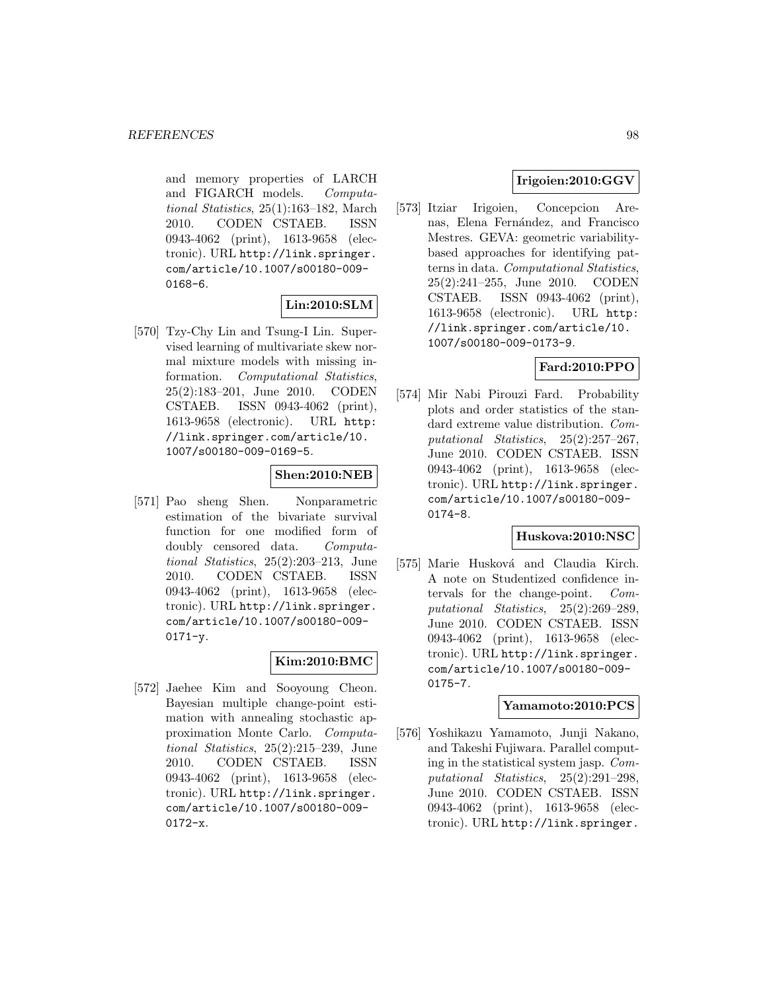and memory properties of LARCH and FIGARCH models. Computational Statistics, 25(1):163–182, March 2010. CODEN CSTAEB. ISSN 0943-4062 (print), 1613-9658 (electronic). URL http://link.springer. com/article/10.1007/s00180-009- 0168-6.

### **Lin:2010:SLM**

[570] Tzy-Chy Lin and Tsung-I Lin. Supervised learning of multivariate skew normal mixture models with missing information. Computational Statistics, 25(2):183–201, June 2010. CODEN CSTAEB. ISSN 0943-4062 (print), 1613-9658 (electronic). URL http: //link.springer.com/article/10. 1007/s00180-009-0169-5.

# **Shen:2010:NEB**

[571] Pao sheng Shen. Nonparametric estimation of the bivariate survival function for one modified form of doubly censored data. Computational Statistics, 25(2):203–213, June 2010. CODEN CSTAEB. ISSN 0943-4062 (print), 1613-9658 (electronic). URL http://link.springer. com/article/10.1007/s00180-009-  $0171 - y$ .

# **Kim:2010:BMC**

[572] Jaehee Kim and Sooyoung Cheon. Bayesian multiple change-point estimation with annealing stochastic approximation Monte Carlo. Computational Statistics, 25(2):215–239, June 2010. CODEN CSTAEB. ISSN 0943-4062 (print), 1613-9658 (electronic). URL http://link.springer. com/article/10.1007/s00180-009- 0172-x.

# **Irigoien:2010:GGV**

[573] Itziar Irigoien, Concepcion Arenas, Elena Fernández, and Francisco Mestres. GEVA: geometric variabilitybased approaches for identifying patterns in data. Computational Statistics, 25(2):241–255, June 2010. CODEN CSTAEB. ISSN 0943-4062 (print), 1613-9658 (electronic). URL http: //link.springer.com/article/10. 1007/s00180-009-0173-9.

# **Fard:2010:PPO**

[574] Mir Nabi Pirouzi Fard. Probability plots and order statistics of the standard extreme value distribution. Computational Statistics, 25(2):257–267, June 2010. CODEN CSTAEB. ISSN 0943-4062 (print), 1613-9658 (electronic). URL http://link.springer. com/article/10.1007/s00180-009- 0174-8.

# **Huskova:2010:NSC**

[575] Marie Husková and Claudia Kirch. A note on Studentized confidence intervals for the change-point. Computational Statistics, 25(2):269–289, June 2010. CODEN CSTAEB. ISSN 0943-4062 (print), 1613-9658 (electronic). URL http://link.springer. com/article/10.1007/s00180-009- 0175-7.

### **Yamamoto:2010:PCS**

[576] Yoshikazu Yamamoto, Junji Nakano, and Takeshi Fujiwara. Parallel computing in the statistical system jasp. Computational Statistics, 25(2):291–298, June 2010. CODEN CSTAEB. ISSN 0943-4062 (print), 1613-9658 (electronic). URL http://link.springer.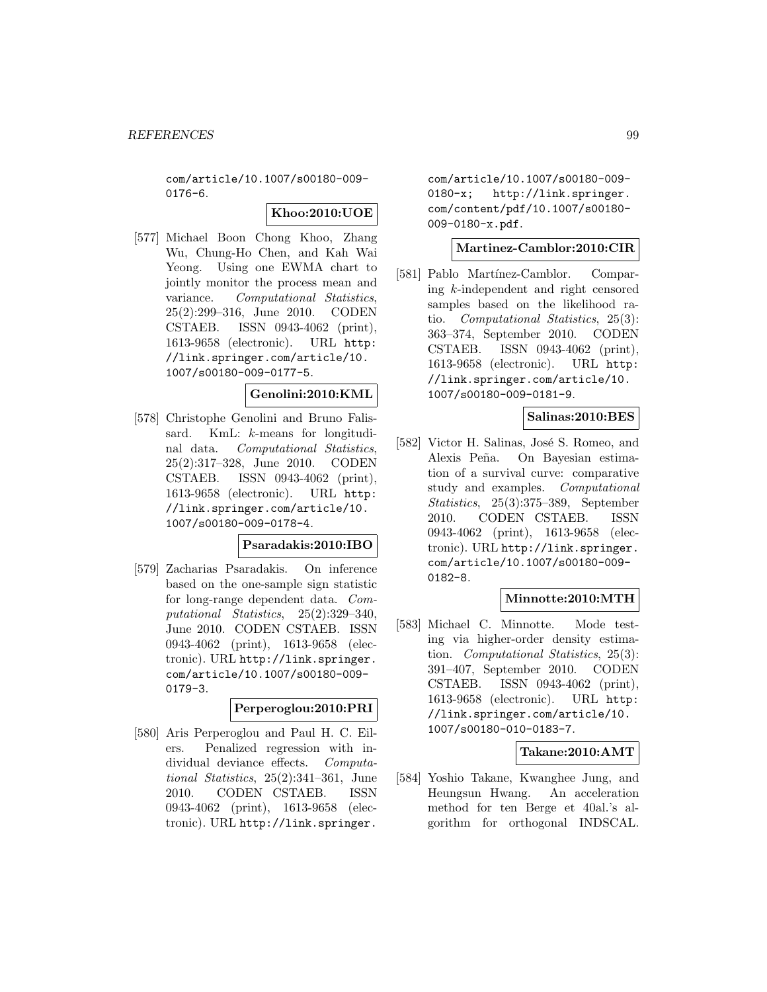com/article/10.1007/s00180-009- 0176-6.

## **Khoo:2010:UOE**

[577] Michael Boon Chong Khoo, Zhang Wu, Chung-Ho Chen, and Kah Wai Yeong. Using one EWMA chart to jointly monitor the process mean and variance. Computational Statistics, 25(2):299–316, June 2010. CODEN CSTAEB. ISSN 0943-4062 (print), 1613-9658 (electronic). URL http: //link.springer.com/article/10. 1007/s00180-009-0177-5.

# **Genolini:2010:KML**

[578] Christophe Genolini and Bruno Falissard. KmL: k-means for longitudinal data. Computational Statistics, 25(2):317–328, June 2010. CODEN CSTAEB. ISSN 0943-4062 (print), 1613-9658 (electronic). URL http: //link.springer.com/article/10. 1007/s00180-009-0178-4.

## **Psaradakis:2010:IBO**

[579] Zacharias Psaradakis. On inference based on the one-sample sign statistic for long-range dependent data. Computational Statistics, 25(2):329–340, June 2010. CODEN CSTAEB. ISSN 0943-4062 (print), 1613-9658 (electronic). URL http://link.springer. com/article/10.1007/s00180-009- 0179-3.

# **Perperoglou:2010:PRI**

[580] Aris Perperoglou and Paul H. C. Eilers. Penalized regression with individual deviance effects. Computational Statistics, 25(2):341–361, June 2010. CODEN CSTAEB. ISSN 0943-4062 (print), 1613-9658 (electronic). URL http://link.springer.

com/article/10.1007/s00180-009- 0180-x; http://link.springer. com/content/pdf/10.1007/s00180- 009-0180-x.pdf.

### **Martinez-Camblor:2010:CIR**

[581] Pablo Martínez-Camblor. Comparing k-independent and right censored samples based on the likelihood ratio. Computational Statistics, 25(3): 363–374, September 2010. CODEN CSTAEB. ISSN 0943-4062 (print), 1613-9658 (electronic). URL http: //link.springer.com/article/10. 1007/s00180-009-0181-9.

## **Salinas:2010:BES**

[582] Victor H. Salinas, José S. Romeo, and Alexis Peña. On Bayesian estimation of a survival curve: comparative study and examples. Computational Statistics, 25(3):375–389, September 2010. CODEN CSTAEB. ISSN 0943-4062 (print), 1613-9658 (electronic). URL http://link.springer. com/article/10.1007/s00180-009- 0182-8.

# **Minnotte:2010:MTH**

[583] Michael C. Minnotte. Mode testing via higher-order density estimation. Computational Statistics, 25(3): 391–407, September 2010. CODEN CSTAEB. ISSN 0943-4062 (print), 1613-9658 (electronic). URL http: //link.springer.com/article/10. 1007/s00180-010-0183-7.

# **Takane:2010:AMT**

[584] Yoshio Takane, Kwanghee Jung, and Heungsun Hwang. An acceleration method for ten Berge et 40al.'s algorithm for orthogonal INDSCAL.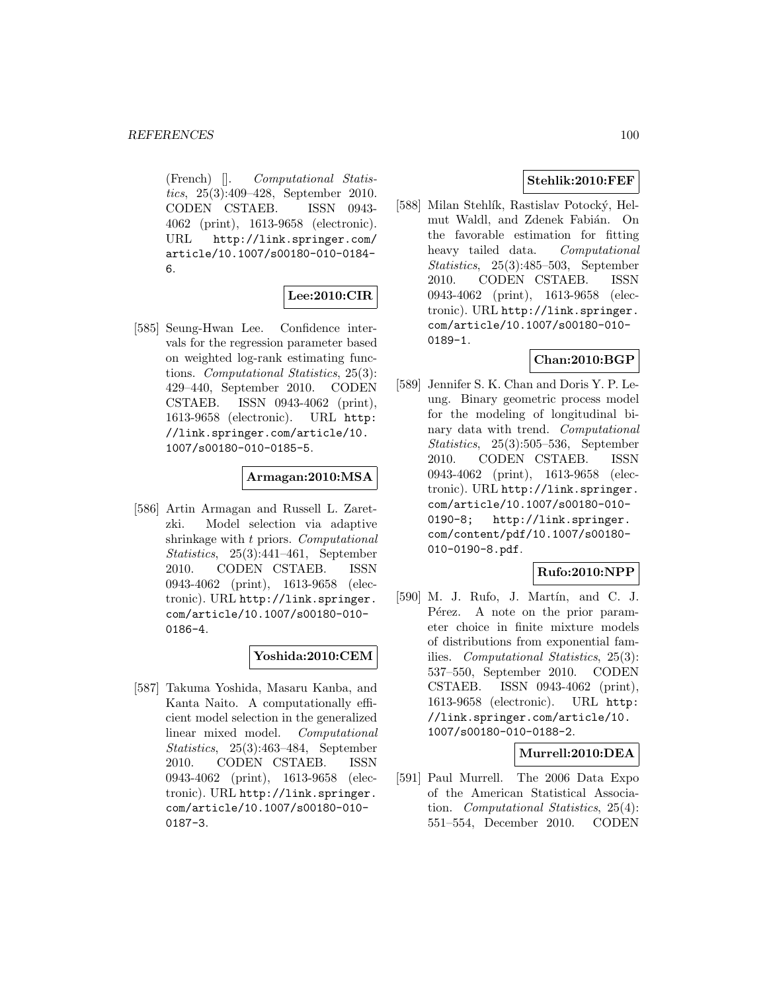(French) []. Computational Statistics, 25(3):409–428, September 2010. CODEN CSTAEB. ISSN 0943- 4062 (print), 1613-9658 (electronic). URL http://link.springer.com/ article/10.1007/s00180-010-0184- 6.

# **Lee:2010:CIR**

[585] Seung-Hwan Lee. Confidence intervals for the regression parameter based on weighted log-rank estimating functions. Computational Statistics, 25(3): 429–440, September 2010. CODEN CSTAEB. ISSN 0943-4062 (print), 1613-9658 (electronic). URL http: //link.springer.com/article/10. 1007/s00180-010-0185-5.

### **Armagan:2010:MSA**

[586] Artin Armagan and Russell L. Zaretzki. Model selection via adaptive shrinkage with t priors. Computational Statistics, 25(3):441–461, September 2010. CODEN CSTAEB. ISSN 0943-4062 (print), 1613-9658 (electronic). URL http://link.springer. com/article/10.1007/s00180-010- 0186-4.

### **Yoshida:2010:CEM**

[587] Takuma Yoshida, Masaru Kanba, and Kanta Naito. A computationally efficient model selection in the generalized linear mixed model. Computational Statistics, 25(3):463–484, September 2010. CODEN CSTAEB. ISSN 0943-4062 (print), 1613-9658 (electronic). URL http://link.springer. com/article/10.1007/s00180-010- 0187-3.

# **Stehlik:2010:FEF**

[588] Milan Stehlík, Rastislav Potocký, Helmut Waldl, and Zdenek Fabián. On the favorable estimation for fitting heavy tailed data. Computational Statistics, 25(3):485–503, September 2010. CODEN CSTAEB. ISSN 0943-4062 (print), 1613-9658 (electronic). URL http://link.springer. com/article/10.1007/s00180-010- 0189-1.

# **Chan:2010:BGP**

[589] Jennifer S. K. Chan and Doris Y. P. Leung. Binary geometric process model for the modeling of longitudinal binary data with trend. Computational Statistics, 25(3):505–536, September 2010. CODEN CSTAEB. ISSN 0943-4062 (print), 1613-9658 (electronic). URL http://link.springer. com/article/10.1007/s00180-010- 0190-8; http://link.springer. com/content/pdf/10.1007/s00180- 010-0190-8.pdf.

# **Rufo:2010:NPP**

[590] M. J. Rufo, J. Martín, and C. J. Pérez. A note on the prior parameter choice in finite mixture models of distributions from exponential families. Computational Statistics, 25(3): 537–550, September 2010. CODEN CSTAEB. ISSN 0943-4062 (print), 1613-9658 (electronic). URL http: //link.springer.com/article/10. 1007/s00180-010-0188-2.

### **Murrell:2010:DEA**

[591] Paul Murrell. The 2006 Data Expo of the American Statistical Association. Computational Statistics, 25(4): 551–554, December 2010. CODEN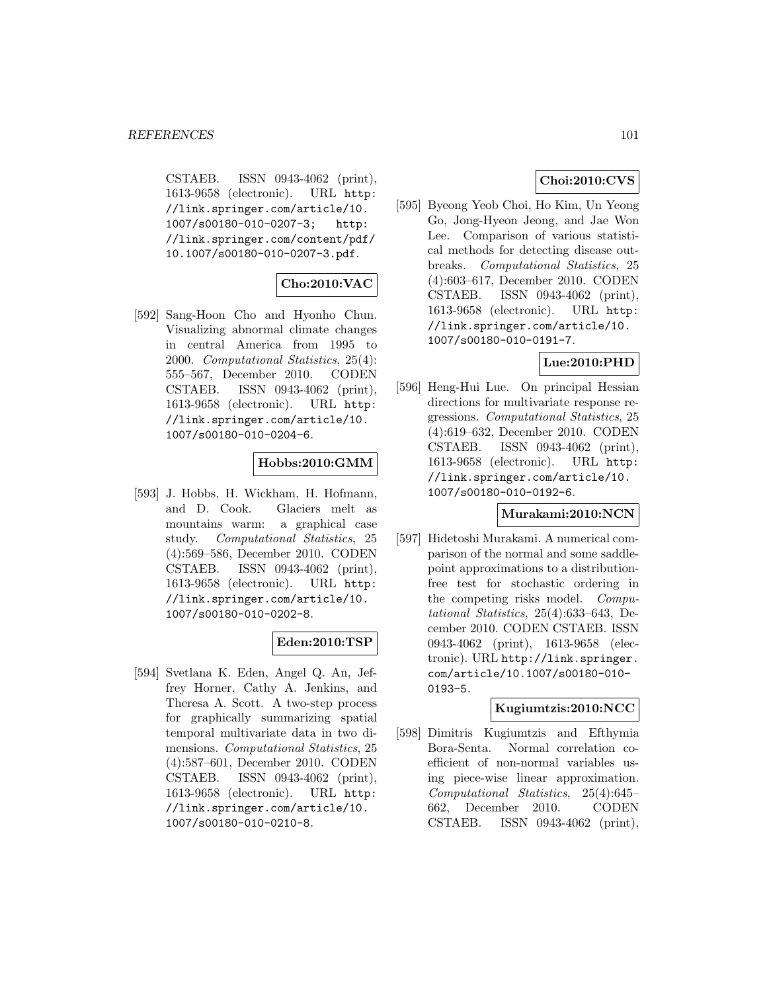CSTAEB. ISSN 0943-4062 (print), 1613-9658 (electronic). URL http: //link.springer.com/article/10. 1007/s00180-010-0207-3; http: //link.springer.com/content/pdf/ 10.1007/s00180-010-0207-3.pdf.

# **Cho:2010:VAC**

[592] Sang-Hoon Cho and Hyonho Chun. Visualizing abnormal climate changes in central America from 1995 to 2000. Computational Statistics, 25(4): 555–567, December 2010. CODEN CSTAEB. ISSN 0943-4062 (print), 1613-9658 (electronic). URL http: //link.springer.com/article/10. 1007/s00180-010-0204-6.

## **Hobbs:2010:GMM**

[593] J. Hobbs, H. Wickham, H. Hofmann, and D. Cook. Glaciers melt as mountains warm: a graphical case study. Computational Statistics, 25 (4):569–586, December 2010. CODEN CSTAEB. ISSN 0943-4062 (print), 1613-9658 (electronic). URL http: //link.springer.com/article/10. 1007/s00180-010-0202-8.

### **Eden:2010:TSP**

[594] Svetlana K. Eden, Angel Q. An, Jeffrey Horner, Cathy A. Jenkins, and Theresa A. Scott. A two-step process for graphically summarizing spatial temporal multivariate data in two dimensions. Computational Statistics, 25 (4):587–601, December 2010. CODEN CSTAEB. ISSN 0943-4062 (print), 1613-9658 (electronic). URL http: //link.springer.com/article/10. 1007/s00180-010-0210-8.

# **Choi:2010:CVS**

[595] Byeong Yeob Choi, Ho Kim, Un Yeong Go, Jong-Hyeon Jeong, and Jae Won Lee. Comparison of various statistical methods for detecting disease outbreaks. Computational Statistics, 25 (4):603–617, December 2010. CODEN CSTAEB. ISSN 0943-4062 (print), 1613-9658 (electronic). URL http: //link.springer.com/article/10. 1007/s00180-010-0191-7.

# **Lue:2010:PHD**

[596] Heng-Hui Lue. On principal Hessian directions for multivariate response regressions. Computational Statistics, 25 (4):619–632, December 2010. CODEN CSTAEB. ISSN 0943-4062 (print), 1613-9658 (electronic). URL http: //link.springer.com/article/10. 1007/s00180-010-0192-6.

### **Murakami:2010:NCN**

[597] Hidetoshi Murakami. A numerical comparison of the normal and some saddlepoint approximations to a distributionfree test for stochastic ordering in the competing risks model. Computational Statistics, 25(4):633–643, December 2010. CODEN CSTAEB. ISSN 0943-4062 (print), 1613-9658 (electronic). URL http://link.springer. com/article/10.1007/s00180-010- 0193-5.

### **Kugiumtzis:2010:NCC**

[598] Dimitris Kugiumtzis and Efthymia Bora-Senta. Normal correlation coefficient of non-normal variables using piece-wise linear approximation. Computational Statistics, 25(4):645– 662, December 2010. CODEN CSTAEB. ISSN 0943-4062 (print),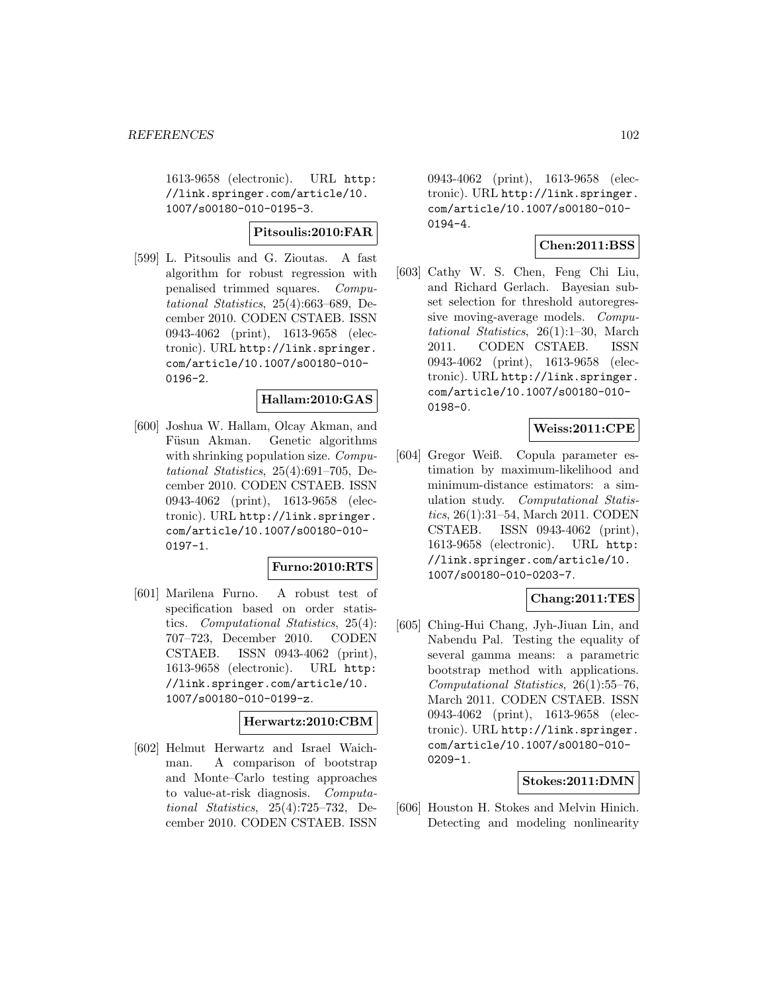1613-9658 (electronic). URL http: //link.springer.com/article/10. 1007/s00180-010-0195-3.

### **Pitsoulis:2010:FAR**

[599] L. Pitsoulis and G. Zioutas. A fast algorithm for robust regression with penalised trimmed squares. Computational Statistics, 25(4):663–689, December 2010. CODEN CSTAEB. ISSN 0943-4062 (print), 1613-9658 (electronic). URL http://link.springer. com/article/10.1007/s00180-010- 0196-2.

## **Hallam:2010:GAS**

[600] Joshua W. Hallam, Olcay Akman, and Füsun Akman. Genetic algorithms with shrinking population size. *Compu*tational Statistics, 25(4):691–705, December 2010. CODEN CSTAEB. ISSN 0943-4062 (print), 1613-9658 (electronic). URL http://link.springer. com/article/10.1007/s00180-010- 0197-1.

#### **Furno:2010:RTS**

[601] Marilena Furno. A robust test of specification based on order statistics. Computational Statistics, 25(4): 707–723, December 2010. CODEN CSTAEB. ISSN 0943-4062 (print), 1613-9658 (electronic). URL http: //link.springer.com/article/10. 1007/s00180-010-0199-z.

### **Herwartz:2010:CBM**

[602] Helmut Herwartz and Israel Waichman. A comparison of bootstrap and Monte–Carlo testing approaches to value-at-risk diagnosis. Computational Statistics, 25(4):725–732, December 2010. CODEN CSTAEB. ISSN

0943-4062 (print), 1613-9658 (electronic). URL http://link.springer. com/article/10.1007/s00180-010- 0194-4.

# **Chen:2011:BSS**

[603] Cathy W. S. Chen, Feng Chi Liu, and Richard Gerlach. Bayesian subset selection for threshold autoregressive moving-average models. Computational Statistics, 26(1):1–30, March 2011. CODEN CSTAEB. ISSN 0943-4062 (print), 1613-9658 (electronic). URL http://link.springer. com/article/10.1007/s00180-010- 0198-0.

### **Weiss:2011:CPE**

[604] Gregor Weiß. Copula parameter estimation by maximum-likelihood and minimum-distance estimators: a simulation study. Computational Statistics, 26(1):31–54, March 2011. CODEN CSTAEB. ISSN 0943-4062 (print), 1613-9658 (electronic). URL http: //link.springer.com/article/10. 1007/s00180-010-0203-7.

### **Chang:2011:TES**

[605] Ching-Hui Chang, Jyh-Jiuan Lin, and Nabendu Pal. Testing the equality of several gamma means: a parametric bootstrap method with applications. Computational Statistics, 26(1):55–76, March 2011. CODEN CSTAEB. ISSN 0943-4062 (print), 1613-9658 (electronic). URL http://link.springer. com/article/10.1007/s00180-010- 0209-1.

#### **Stokes:2011:DMN**

[606] Houston H. Stokes and Melvin Hinich. Detecting and modeling nonlinearity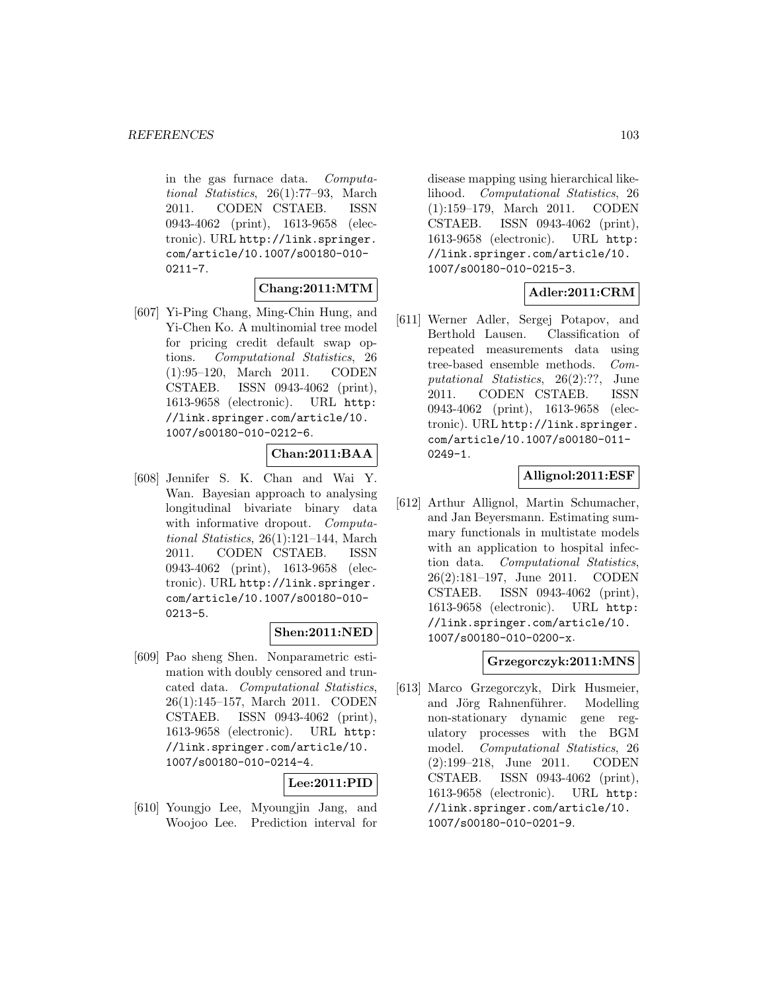in the gas furnace data. Computational Statistics, 26(1):77–93, March 2011. CODEN CSTAEB. ISSN 0943-4062 (print), 1613-9658 (electronic). URL http://link.springer. com/article/10.1007/s00180-010-  $0211 - 7.$ 

# **Chang:2011:MTM**

[607] Yi-Ping Chang, Ming-Chin Hung, and Yi-Chen Ko. A multinomial tree model for pricing credit default swap options. Computational Statistics, 26 (1):95–120, March 2011. CODEN CSTAEB. ISSN 0943-4062 (print), 1613-9658 (electronic). URL http: //link.springer.com/article/10. 1007/s00180-010-0212-6.

# **Chan:2011:BAA**

[608] Jennifer S. K. Chan and Wai Y. Wan. Bayesian approach to analysing longitudinal bivariate binary data with informative dropout. Computational Statistics, 26(1):121–144, March 2011. CODEN CSTAEB. ISSN 0943-4062 (print), 1613-9658 (electronic). URL http://link.springer. com/article/10.1007/s00180-010- 0213-5.

## **Shen:2011:NED**

[609] Pao sheng Shen. Nonparametric estimation with doubly censored and truncated data. Computational Statistics, 26(1):145–157, March 2011. CODEN CSTAEB. ISSN 0943-4062 (print), 1613-9658 (electronic). URL http: //link.springer.com/article/10. 1007/s00180-010-0214-4.

### **Lee:2011:PID**

[610] Youngjo Lee, Myoungjin Jang, and Woojoo Lee. Prediction interval for

disease mapping using hierarchical likelihood. Computational Statistics, 26 (1):159–179, March 2011. CODEN CSTAEB. ISSN 0943-4062 (print), 1613-9658 (electronic). URL http: //link.springer.com/article/10. 1007/s00180-010-0215-3.

# **Adler:2011:CRM**

[611] Werner Adler, Sergej Potapov, and Berthold Lausen. Classification of repeated measurements data using tree-based ensemble methods. Computational Statistics, 26(2):??, June 2011. CODEN CSTAEB. ISSN 0943-4062 (print), 1613-9658 (electronic). URL http://link.springer. com/article/10.1007/s00180-011- 0249-1.

# **Allignol:2011:ESF**

[612] Arthur Allignol, Martin Schumacher, and Jan Beyersmann. Estimating summary functionals in multistate models with an application to hospital infection data. Computational Statistics, 26(2):181–197, June 2011. CODEN CSTAEB. ISSN 0943-4062 (print), 1613-9658 (electronic). URL http: //link.springer.com/article/10. 1007/s00180-010-0200-x.

### **Grzegorczyk:2011:MNS**

[613] Marco Grzegorczyk, Dirk Husmeier, and Jörg Rahnenführer. Modelling non-stationary dynamic gene regulatory processes with the BGM model. Computational Statistics, 26 (2):199–218, June 2011. CODEN CSTAEB. ISSN 0943-4062 (print), 1613-9658 (electronic). URL http: //link.springer.com/article/10. 1007/s00180-010-0201-9.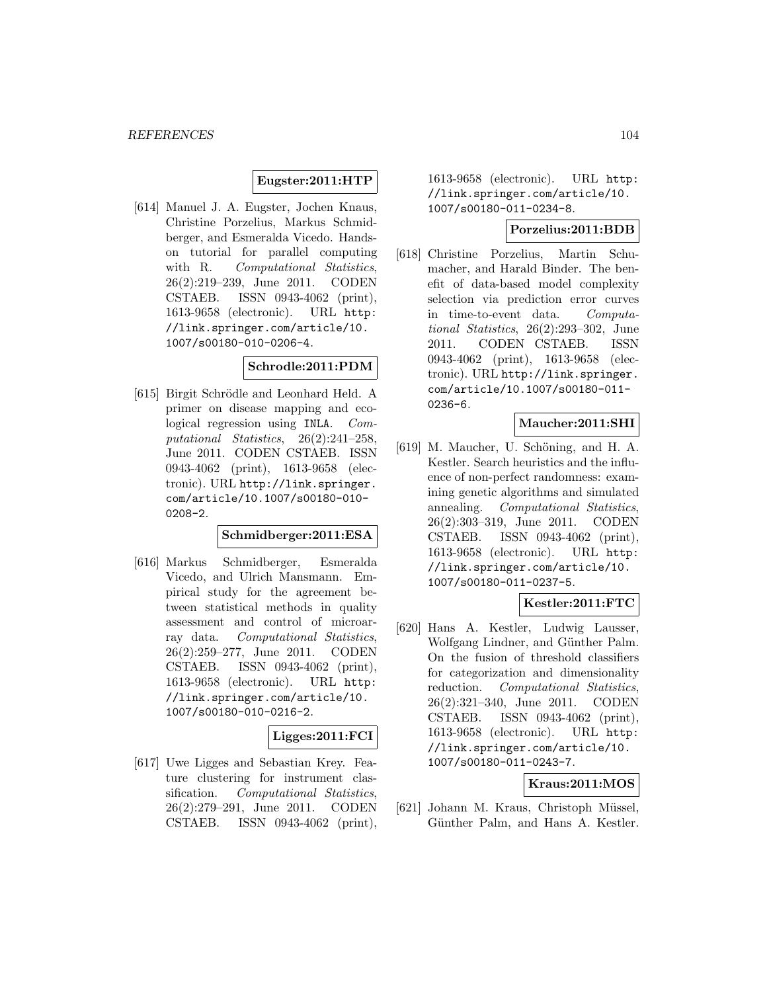### **Eugster:2011:HTP**

[614] Manuel J. A. Eugster, Jochen Knaus, Christine Porzelius, Markus Schmidberger, and Esmeralda Vicedo. Handson tutorial for parallel computing with R. Computational Statistics, 26(2):219–239, June 2011. CODEN CSTAEB. ISSN 0943-4062 (print), 1613-9658 (electronic). URL http: //link.springer.com/article/10. 1007/s00180-010-0206-4.

#### **Schrodle:2011:PDM**

[615] Birgit Schrödle and Leonhard Held. A primer on disease mapping and ecological regression using INLA. Computational Statistics, 26(2):241–258, June 2011. CODEN CSTAEB. ISSN 0943-4062 (print), 1613-9658 (electronic). URL http://link.springer. com/article/10.1007/s00180-010- 0208-2.

### **Schmidberger:2011:ESA**

[616] Markus Schmidberger, Esmeralda Vicedo, and Ulrich Mansmann. Empirical study for the agreement between statistical methods in quality assessment and control of microarray data. Computational Statistics, 26(2):259–277, June 2011. CODEN CSTAEB. ISSN 0943-4062 (print), 1613-9658 (electronic). URL http: //link.springer.com/article/10. 1007/s00180-010-0216-2.

### **Ligges:2011:FCI**

[617] Uwe Ligges and Sebastian Krey. Feature clustering for instrument classification. Computational Statistics, 26(2):279–291, June 2011. CODEN CSTAEB. ISSN 0943-4062 (print), 1613-9658 (electronic). URL http: //link.springer.com/article/10. 1007/s00180-011-0234-8.

### **Porzelius:2011:BDB**

[618] Christine Porzelius, Martin Schumacher, and Harald Binder. The benefit of data-based model complexity selection via prediction error curves in time-to-event data. Computational Statistics, 26(2):293–302, June 2011. CODEN CSTAEB. ISSN 0943-4062 (print), 1613-9658 (electronic). URL http://link.springer. com/article/10.1007/s00180-011- 0236-6.

## **Maucher:2011:SHI**

[619] M. Maucher, U. Schöning, and H. A. Kestler. Search heuristics and the influence of non-perfect randomness: examining genetic algorithms and simulated annealing. Computational Statistics, 26(2):303–319, June 2011. CODEN CSTAEB. ISSN 0943-4062 (print), 1613-9658 (electronic). URL http: //link.springer.com/article/10. 1007/s00180-011-0237-5.

### **Kestler:2011:FTC**

[620] Hans A. Kestler, Ludwig Lausser, Wolfgang Lindner, and Günther Palm. On the fusion of threshold classifiers for categorization and dimensionality reduction. Computational Statistics, 26(2):321–340, June 2011. CODEN CSTAEB. ISSN 0943-4062 (print), 1613-9658 (electronic). URL http: //link.springer.com/article/10. 1007/s00180-011-0243-7.

### **Kraus:2011:MOS**

[621] Johann M. Kraus, Christoph Müssel, Günther Palm, and Hans A. Kestler.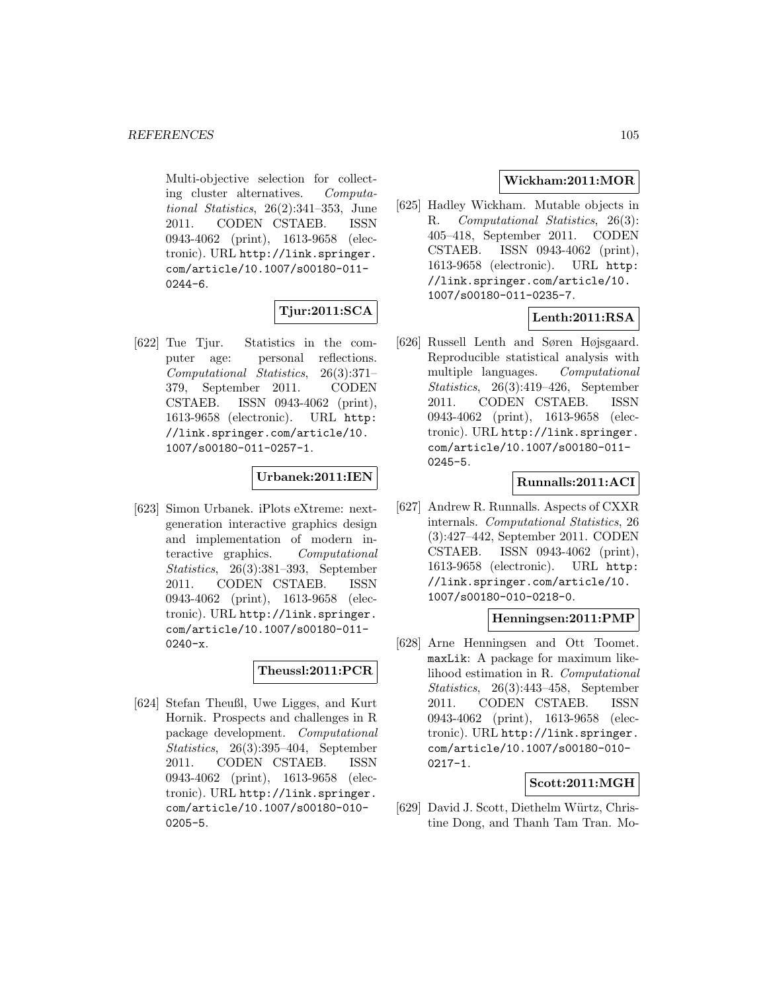Multi-objective selection for collecting cluster alternatives. Computational Statistics, 26(2):341–353, June 2011. CODEN CSTAEB. ISSN 0943-4062 (print), 1613-9658 (electronic). URL http://link.springer. com/article/10.1007/s00180-011- 0244-6.

# **Tjur:2011:SCA**

[622] Tue Tjur. Statistics in the computer age: personal reflections. Computational Statistics, 26(3):371– 379, September 2011. CODEN CSTAEB. ISSN 0943-4062 (print), 1613-9658 (electronic). URL http: //link.springer.com/article/10. 1007/s00180-011-0257-1.

# **Urbanek:2011:IEN**

[623] Simon Urbanek. iPlots eXtreme: nextgeneration interactive graphics design and implementation of modern interactive graphics. Computational Statistics, 26(3):381–393, September 2011. CODEN CSTAEB. ISSN 0943-4062 (print), 1613-9658 (electronic). URL http://link.springer. com/article/10.1007/s00180-011- 0240-x.

### **Theussl:2011:PCR**

[624] Stefan Theußl, Uwe Ligges, and Kurt Hornik. Prospects and challenges in R package development. Computational Statistics, 26(3):395–404, September 2011. CODEN CSTAEB. ISSN 0943-4062 (print), 1613-9658 (electronic). URL http://link.springer. com/article/10.1007/s00180-010- 0205-5.

# **Wickham:2011:MOR**

[625] Hadley Wickham. Mutable objects in R. Computational Statistics, 26(3): 405–418, September 2011. CODEN CSTAEB. ISSN 0943-4062 (print), 1613-9658 (electronic). URL http: //link.springer.com/article/10. 1007/s00180-011-0235-7.

# **Lenth:2011:RSA**

[626] Russell Lenth and Søren Højsgaard. Reproducible statistical analysis with multiple languages. Computational Statistics, 26(3):419–426, September 2011. CODEN CSTAEB. ISSN 0943-4062 (print), 1613-9658 (electronic). URL http://link.springer. com/article/10.1007/s00180-011- 0245-5.

### **Runnalls:2011:ACI**

[627] Andrew R. Runnalls. Aspects of CXXR internals. Computational Statistics, 26 (3):427–442, September 2011. CODEN CSTAEB. ISSN 0943-4062 (print), 1613-9658 (electronic). URL http: //link.springer.com/article/10. 1007/s00180-010-0218-0.

### **Henningsen:2011:PMP**

[628] Arne Henningsen and Ott Toomet. maxLik: A package for maximum likelihood estimation in R. Computational Statistics, 26(3):443–458, September 2011. CODEN CSTAEB. ISSN 0943-4062 (print), 1613-9658 (electronic). URL http://link.springer. com/article/10.1007/s00180-010- 0217-1.

### **Scott:2011:MGH**

[629] David J. Scott, Diethelm Würtz, Christine Dong, and Thanh Tam Tran. Mo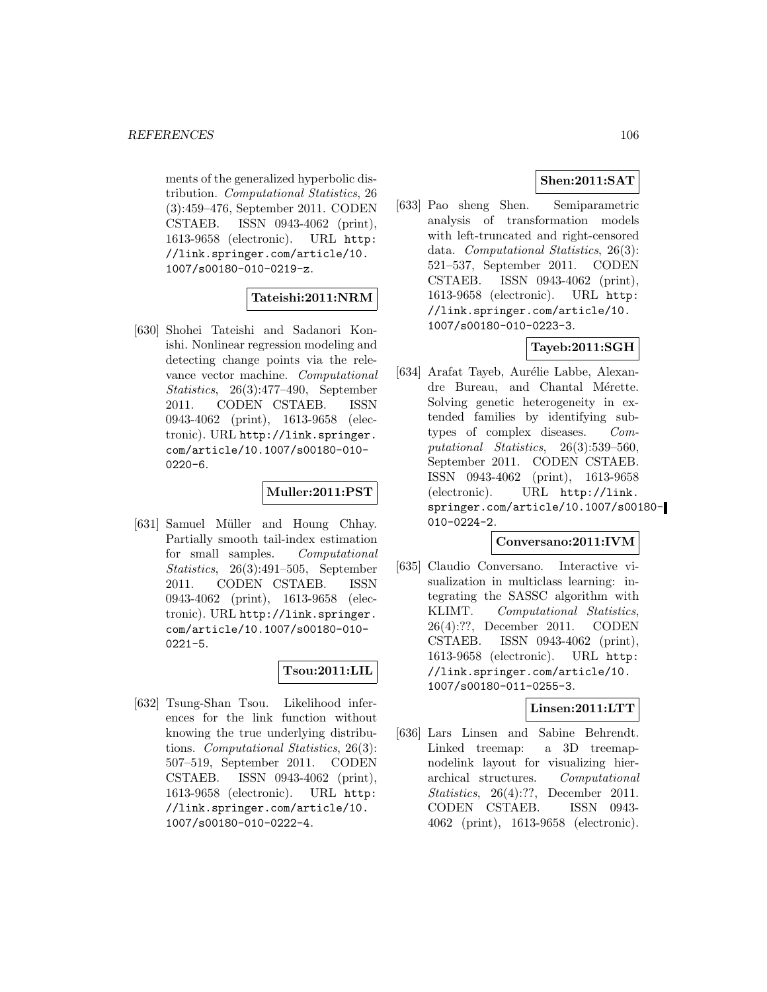ments of the generalized hyperbolic distribution. Computational Statistics, 26 (3):459–476, September 2011. CODEN CSTAEB. ISSN 0943-4062 (print), 1613-9658 (electronic). URL http: //link.springer.com/article/10. 1007/s00180-010-0219-z.

### **Tateishi:2011:NRM**

[630] Shohei Tateishi and Sadanori Konishi. Nonlinear regression modeling and detecting change points via the relevance vector machine. Computational Statistics, 26(3):477–490, September 2011. CODEN CSTAEB. ISSN 0943-4062 (print), 1613-9658 (electronic). URL http://link.springer. com/article/10.1007/s00180-010-  $0220 - 6.$ 

## **Muller:2011:PST**

[631] Samuel Müller and Houng Chhay. Partially smooth tail-index estimation for small samples. Computational Statistics, 26(3):491–505, September 2011. CODEN CSTAEB. ISSN 0943-4062 (print), 1613-9658 (electronic). URL http://link.springer. com/article/10.1007/s00180-010- 0221-5.

### **Tsou:2011:LIL**

[632] Tsung-Shan Tsou. Likelihood inferences for the link function without knowing the true underlying distributions. Computational Statistics, 26(3): 507–519, September 2011. CODEN CSTAEB. ISSN 0943-4062 (print), 1613-9658 (electronic). URL http: //link.springer.com/article/10. 1007/s00180-010-0222-4.

# **Shen:2011:SAT**

[633] Pao sheng Shen. Semiparametric analysis of transformation models with left-truncated and right-censored data. Computational Statistics, 26(3): 521–537, September 2011. CODEN CSTAEB. ISSN 0943-4062 (print), 1613-9658 (electronic). URL http: //link.springer.com/article/10. 1007/s00180-010-0223-3.

# **Tayeb:2011:SGH**

[634] Arafat Tayeb, Aurélie Labbe, Alexandre Bureau, and Chantal Mérette. Solving genetic heterogeneity in extended families by identifying subtypes of complex diseases. Computational Statistics, 26(3):539–560, September 2011. CODEN CSTAEB. ISSN 0943-4062 (print), 1613-9658 (electronic). URL http://link. springer.com/article/10.1007/s00180-010-0224-2.

### **Conversano:2011:IVM**

[635] Claudio Conversano. Interactive visualization in multiclass learning: integrating the SASSC algorithm with KLIMT. Computational Statistics, 26(4):??, December 2011. CODEN CSTAEB. ISSN 0943-4062 (print), 1613-9658 (electronic). URL http: //link.springer.com/article/10. 1007/s00180-011-0255-3.

### **Linsen:2011:LTT**

[636] Lars Linsen and Sabine Behrendt. Linked treemap: a 3D treemapnodelink layout for visualizing hierarchical structures. Computational Statistics, 26(4):??, December 2011. CODEN CSTAEB. ISSN 0943- 4062 (print), 1613-9658 (electronic).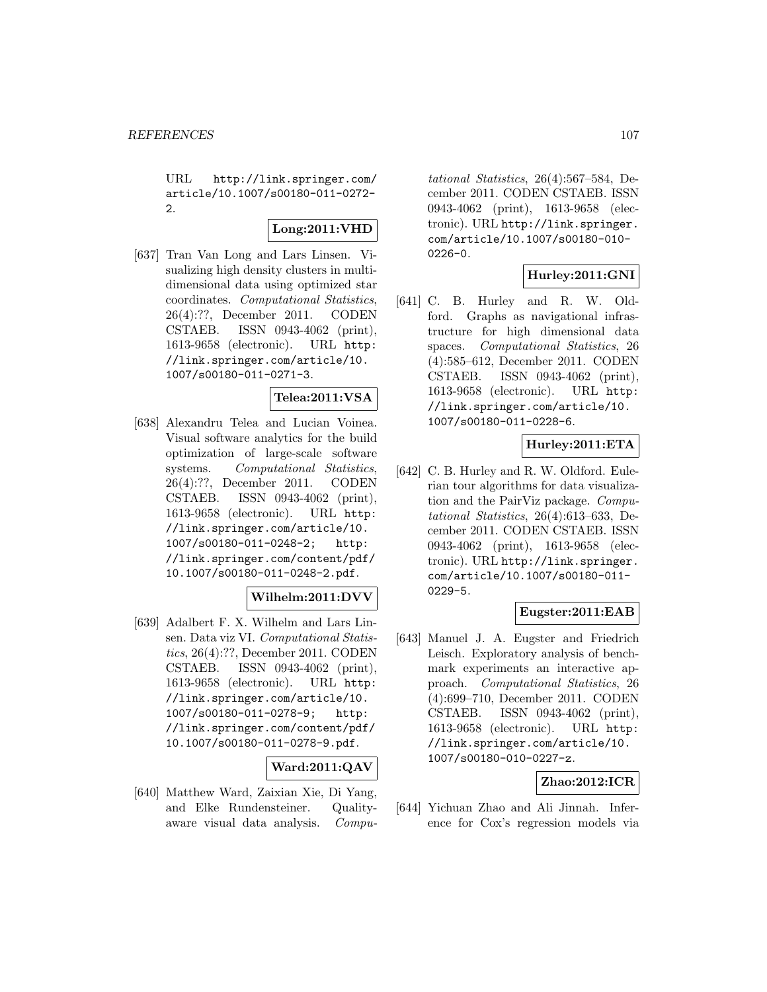URL http://link.springer.com/ article/10.1007/s00180-011-0272-  $\mathcal{L}$ 

# **Long:2011:VHD**

[637] Tran Van Long and Lars Linsen. Visualizing high density clusters in multidimensional data using optimized star coordinates. Computational Statistics, 26(4):??, December 2011. CODEN CSTAEB. ISSN 0943-4062 (print), 1613-9658 (electronic). URL http: //link.springer.com/article/10. 1007/s00180-011-0271-3.

### **Telea:2011:VSA**

[638] Alexandru Telea and Lucian Voinea. Visual software analytics for the build optimization of large-scale software systems. Computational Statistics, 26(4):??, December 2011. CODEN CSTAEB. ISSN 0943-4062 (print), 1613-9658 (electronic). URL http: //link.springer.com/article/10. 1007/s00180-011-0248-2; http: //link.springer.com/content/pdf/ 10.1007/s00180-011-0248-2.pdf.

# **Wilhelm:2011:DVV**

[639] Adalbert F. X. Wilhelm and Lars Linsen. Data viz VI. Computational Statistics, 26(4):??, December 2011. CODEN CSTAEB. ISSN 0943-4062 (print), 1613-9658 (electronic). URL http: //link.springer.com/article/10. 1007/s00180-011-0278-9; http: //link.springer.com/content/pdf/ 10.1007/s00180-011-0278-9.pdf.

### **Ward:2011:QAV**

[640] Matthew Ward, Zaixian Xie, Di Yang, and Elke Rundensteiner. Qualityaware visual data analysis. Compu-

tational Statistics, 26(4):567–584, December 2011. CODEN CSTAEB. ISSN 0943-4062 (print), 1613-9658 (electronic). URL http://link.springer. com/article/10.1007/s00180-010- 0226-0.

# **Hurley:2011:GNI**

[641] C. B. Hurley and R. W. Oldford. Graphs as navigational infrastructure for high dimensional data spaces. Computational Statistics, 26 (4):585–612, December 2011. CODEN CSTAEB. ISSN 0943-4062 (print), 1613-9658 (electronic). URL http: //link.springer.com/article/10. 1007/s00180-011-0228-6.

# **Hurley:2011:ETA**

[642] C. B. Hurley and R. W. Oldford. Eulerian tour algorithms for data visualization and the PairViz package. Computational Statistics, 26(4):613–633, December 2011. CODEN CSTAEB. ISSN 0943-4062 (print), 1613-9658 (electronic). URL http://link.springer. com/article/10.1007/s00180-011- 0229-5.

# **Eugster:2011:EAB**

[643] Manuel J. A. Eugster and Friedrich Leisch. Exploratory analysis of benchmark experiments an interactive approach. Computational Statistics, 26 (4):699–710, December 2011. CODEN CSTAEB. ISSN 0943-4062 (print), 1613-9658 (electronic). URL http: //link.springer.com/article/10. 1007/s00180-010-0227-z.

# **Zhao:2012:ICR**

[644] Yichuan Zhao and Ali Jinnah. Inference for Cox's regression models via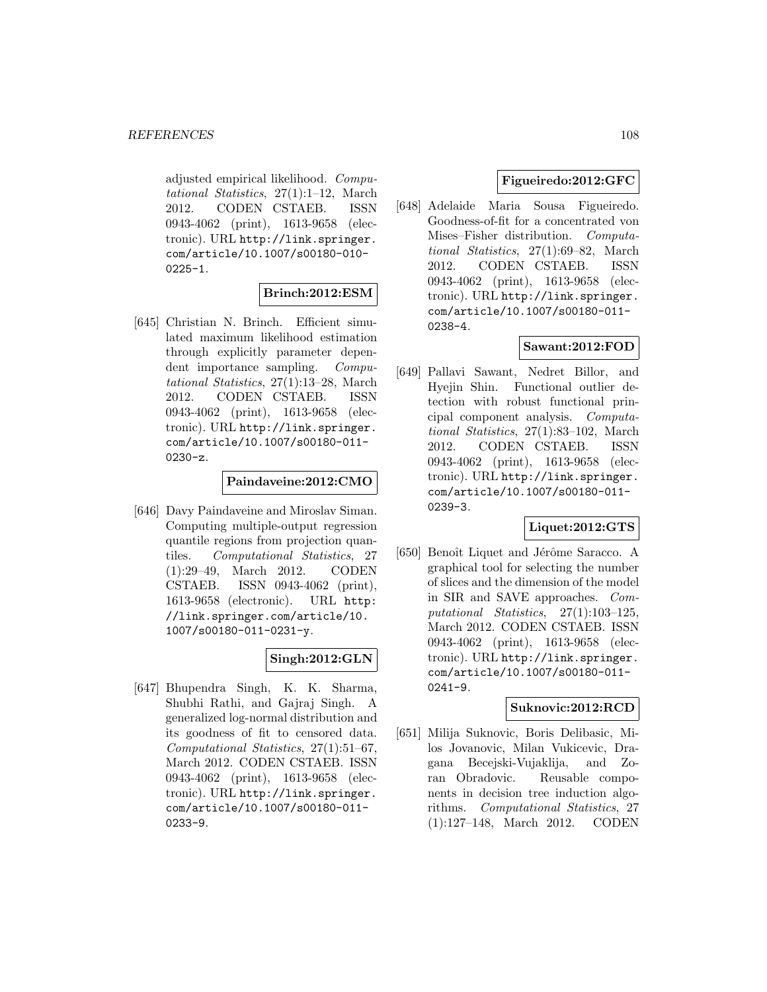adjusted empirical likelihood. Computational Statistics, 27(1):1–12, March 2012. CODEN CSTAEB. ISSN 0943-4062 (print), 1613-9658 (electronic). URL http://link.springer. com/article/10.1007/s00180-010-  $0225 - 1.$ 

# **Brinch:2012:ESM**

[645] Christian N. Brinch. Efficient simulated maximum likelihood estimation through explicitly parameter dependent importance sampling. Computational Statistics, 27(1):13–28, March 2012. CODEN CSTAEB. ISSN 0943-4062 (print), 1613-9658 (electronic). URL http://link.springer. com/article/10.1007/s00180-011- 0230-z.

#### **Paindaveine:2012:CMO**

[646] Davy Paindaveine and Miroslav Siman. Computing multiple-output regression quantile regions from projection quantiles. Computational Statistics, 27 (1):29–49, March 2012. CODEN CSTAEB. ISSN 0943-4062 (print), 1613-9658 (electronic). URL http: //link.springer.com/article/10. 1007/s00180-011-0231-y.

# **Singh:2012:GLN**

[647] Bhupendra Singh, K. K. Sharma, Shubhi Rathi, and Gajraj Singh. A generalized log-normal distribution and its goodness of fit to censored data. Computational Statistics, 27(1):51–67, March 2012. CODEN CSTAEB. ISSN 0943-4062 (print), 1613-9658 (electronic). URL http://link.springer. com/article/10.1007/s00180-011- 0233-9.

# **Figueiredo:2012:GFC**

[648] Adelaide Maria Sousa Figueiredo. Goodness-of-fit for a concentrated von Mises–Fisher distribution. Computational Statistics, 27(1):69–82, March 2012. CODEN CSTAEB. ISSN 0943-4062 (print), 1613-9658 (electronic). URL http://link.springer. com/article/10.1007/s00180-011- 0238-4.

# **Sawant:2012:FOD**

[649] Pallavi Sawant, Nedret Billor, and Hyejin Shin. Functional outlier detection with robust functional principal component analysis. Computational Statistics, 27(1):83–102, March 2012. CODEN CSTAEB. ISSN 0943-4062 (print), 1613-9658 (electronic). URL http://link.springer. com/article/10.1007/s00180-011- 0239-3.

### **Liquet:2012:GTS**

[650] Benoît Liquet and Jérôme Saracco. A graphical tool for selecting the number of slices and the dimension of the model in SIR and SAVE approaches. Computational Statistics, 27(1):103–125, March 2012. CODEN CSTAEB. ISSN 0943-4062 (print), 1613-9658 (electronic). URL http://link.springer. com/article/10.1007/s00180-011- 0241-9.

#### **Suknovic:2012:RCD**

[651] Milija Suknovic, Boris Delibasic, Milos Jovanovic, Milan Vukicevic, Dragana Becejski-Vujaklija, and Zoran Obradovic. Reusable components in decision tree induction algorithms. Computational Statistics, 27 (1):127–148, March 2012. CODEN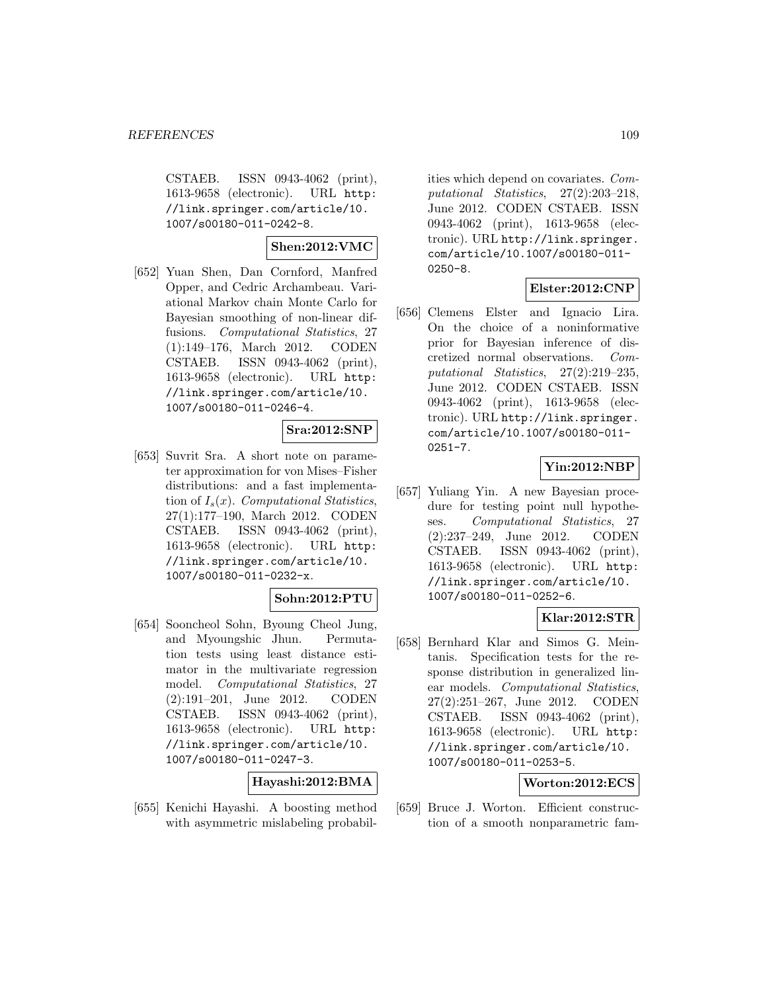CSTAEB. ISSN 0943-4062 (print), 1613-9658 (electronic). URL http: //link.springer.com/article/10. 1007/s00180-011-0242-8.

**Shen:2012:VMC**

[652] Yuan Shen, Dan Cornford, Manfred Opper, and Cedric Archambeau. Variational Markov chain Monte Carlo for Bayesian smoothing of non-linear diffusions. Computational Statistics, 27 (1):149–176, March 2012. CODEN CSTAEB. ISSN 0943-4062 (print), 1613-9658 (electronic). URL http: //link.springer.com/article/10. 1007/s00180-011-0246-4.

### **Sra:2012:SNP**

[653] Suvrit Sra. A short note on parameter approximation for von Mises–Fisher distributions: and a fast implementation of  $I_s(x)$ . Computational Statistics, 27(1):177–190, March 2012. CODEN CSTAEB. ISSN 0943-4062 (print), 1613-9658 (electronic). URL http: //link.springer.com/article/10. 1007/s00180-011-0232-x.

### **Sohn:2012:PTU**

[654] Sooncheol Sohn, Byoung Cheol Jung, and Myoungshic Jhun. Permutation tests using least distance estimator in the multivariate regression model. Computational Statistics, 27 (2):191–201, June 2012. CODEN CSTAEB. ISSN 0943-4062 (print), 1613-9658 (electronic). URL http: //link.springer.com/article/10. 1007/s00180-011-0247-3.

**Hayashi:2012:BMA**

[655] Kenichi Hayashi. A boosting method with asymmetric mislabeling probabil-

ities which depend on covariates. Computational Statistics, 27(2):203–218, June 2012. CODEN CSTAEB. ISSN 0943-4062 (print), 1613-9658 (electronic). URL http://link.springer. com/article/10.1007/s00180-011- 0250-8.

### **Elster:2012:CNP**

[656] Clemens Elster and Ignacio Lira. On the choice of a noninformative prior for Bayesian inference of discretized normal observations. Computational Statistics, 27(2):219–235, June 2012. CODEN CSTAEB. ISSN 0943-4062 (print), 1613-9658 (electronic). URL http://link.springer. com/article/10.1007/s00180-011- 0251-7.

## **Yin:2012:NBP**

[657] Yuliang Yin. A new Bayesian procedure for testing point null hypotheses. Computational Statistics, 27 (2):237–249, June 2012. CODEN CSTAEB. ISSN 0943-4062 (print), 1613-9658 (electronic). URL http: //link.springer.com/article/10. 1007/s00180-011-0252-6.

## **Klar:2012:STR**

[658] Bernhard Klar and Simos G. Meintanis. Specification tests for the response distribution in generalized linear models. Computational Statistics, 27(2):251–267, June 2012. CODEN CSTAEB. ISSN 0943-4062 (print), 1613-9658 (electronic). URL http: //link.springer.com/article/10. 1007/s00180-011-0253-5.

## **Worton:2012:ECS**

[659] Bruce J. Worton. Efficient construction of a smooth nonparametric fam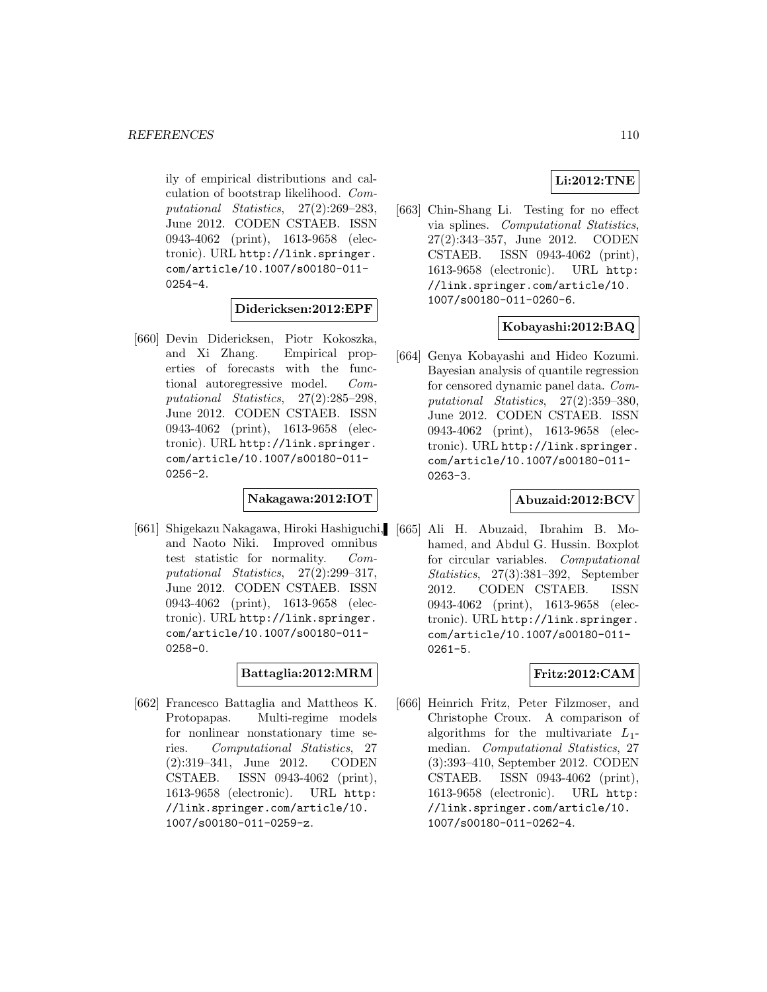ily of empirical distributions and calculation of bootstrap likelihood. Computational Statistics, 27(2):269–283, June 2012. CODEN CSTAEB. ISSN 0943-4062 (print), 1613-9658 (electronic). URL http://link.springer. com/article/10.1007/s00180-011- 0254-4.

### **Didericksen:2012:EPF**

[660] Devin Didericksen, Piotr Kokoszka, and Xi Zhang. Empirical properties of forecasts with the functional autoregressive model. Computational Statistics, 27(2):285–298, June 2012. CODEN CSTAEB. ISSN 0943-4062 (print), 1613-9658 (electronic). URL http://link.springer. com/article/10.1007/s00180-011- 0256-2.

#### **Nakagawa:2012:IOT**

[661] Shigekazu Nakagawa, Hiroki Hashiguchi, and Naoto Niki. Improved omnibus test statistic for normality. Computational Statistics, 27(2):299–317, June 2012. CODEN CSTAEB. ISSN 0943-4062 (print), 1613-9658 (electronic). URL http://link.springer. com/article/10.1007/s00180-011- 0258-0.

### **Battaglia:2012:MRM**

[662] Francesco Battaglia and Mattheos K. Protopapas. Multi-regime models for nonlinear nonstationary time series. Computational Statistics, 27 (2):319–341, June 2012. CODEN CSTAEB. ISSN 0943-4062 (print), 1613-9658 (electronic). URL http: //link.springer.com/article/10. 1007/s00180-011-0259-z.

## **Li:2012:TNE**

[663] Chin-Shang Li. Testing for no effect via splines. Computational Statistics, 27(2):343–357, June 2012. CODEN CSTAEB. ISSN 0943-4062 (print), 1613-9658 (electronic). URL http: //link.springer.com/article/10. 1007/s00180-011-0260-6.

### **Kobayashi:2012:BAQ**

[664] Genya Kobayashi and Hideo Kozumi. Bayesian analysis of quantile regression for censored dynamic panel data. Computational Statistics, 27(2):359–380, June 2012. CODEN CSTAEB. ISSN 0943-4062 (print), 1613-9658 (electronic). URL http://link.springer. com/article/10.1007/s00180-011- 0263-3.

### **Abuzaid:2012:BCV**

[665] Ali H. Abuzaid, Ibrahim B. Mohamed, and Abdul G. Hussin. Boxplot for circular variables. Computational Statistics, 27(3):381–392, September 2012. CODEN CSTAEB. ISSN 0943-4062 (print), 1613-9658 (electronic). URL http://link.springer. com/article/10.1007/s00180-011- 0261-5.

### **Fritz:2012:CAM**

[666] Heinrich Fritz, Peter Filzmoser, and Christophe Croux. A comparison of algorithms for the multivariate  $L_1$ median. Computational Statistics, 27 (3):393–410, September 2012. CODEN CSTAEB. ISSN 0943-4062 (print), 1613-9658 (electronic). URL http: //link.springer.com/article/10. 1007/s00180-011-0262-4.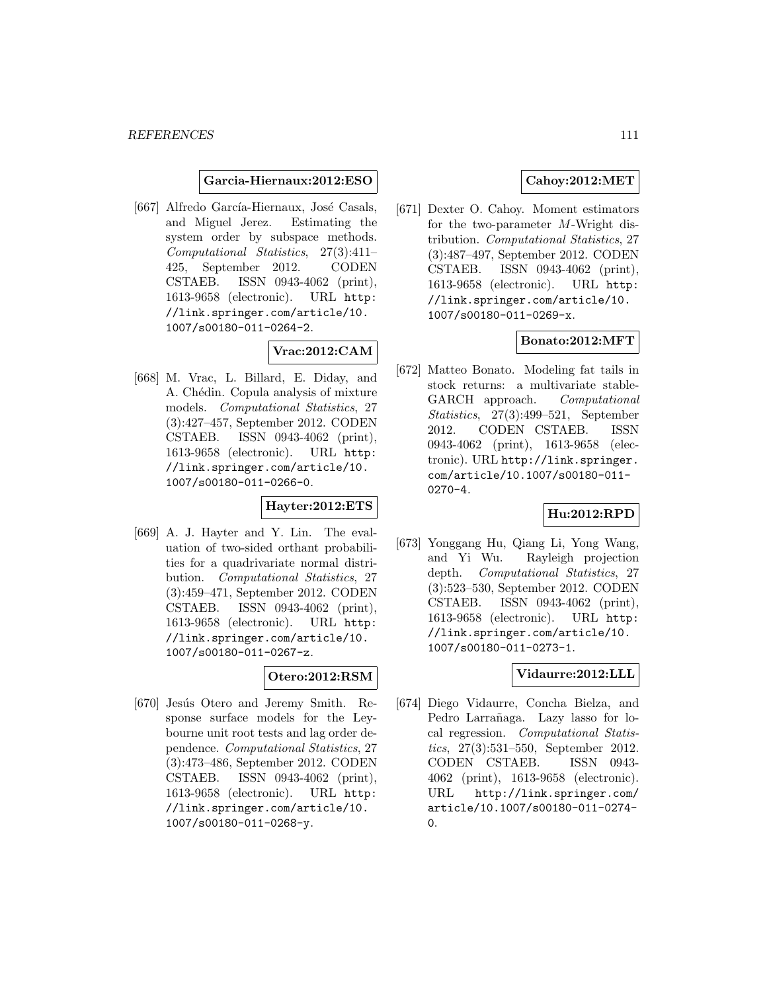#### **Garcia-Hiernaux:2012:ESO**

[667] Alfredo García-Hiernaux, José Casals, and Miguel Jerez. Estimating the system order by subspace methods. Computational Statistics, 27(3):411– 425, September 2012. CODEN CSTAEB. ISSN 0943-4062 (print), 1613-9658 (electronic). URL http: //link.springer.com/article/10. 1007/s00180-011-0264-2.

# **Vrac:2012:CAM**

[668] M. Vrac, L. Billard, E. Diday, and A. Chédin. Copula analysis of mixture models. Computational Statistics, 27 (3):427–457, September 2012. CODEN CSTAEB. ISSN 0943-4062 (print), 1613-9658 (electronic). URL http: //link.springer.com/article/10. 1007/s00180-011-0266-0.

### **Hayter:2012:ETS**

[669] A. J. Hayter and Y. Lin. The evaluation of two-sided orthant probabilities for a quadrivariate normal distribution. Computational Statistics, 27 (3):459–471, September 2012. CODEN CSTAEB. ISSN 0943-4062 (print), 1613-9658 (electronic). URL http: //link.springer.com/article/10. 1007/s00180-011-0267-z.

## **Otero:2012:RSM**

[670] Jesús Otero and Jeremy Smith. Response surface models for the Leybourne unit root tests and lag order dependence. Computational Statistics, 27 (3):473–486, September 2012. CODEN CSTAEB. ISSN 0943-4062 (print), 1613-9658 (electronic). URL http: //link.springer.com/article/10. 1007/s00180-011-0268-y.

### **Cahoy:2012:MET**

[671] Dexter O. Cahoy. Moment estimators for the two-parameter M-Wright distribution. Computational Statistics, 27 (3):487–497, September 2012. CODEN CSTAEB. ISSN 0943-4062 (print), 1613-9658 (electronic). URL http: //link.springer.com/article/10. 1007/s00180-011-0269-x.

### **Bonato:2012:MFT**

[672] Matteo Bonato. Modeling fat tails in stock returns: a multivariate stable-GARCH approach. Computational Statistics, 27(3):499–521, September 2012. CODEN CSTAEB. ISSN 0943-4062 (print), 1613-9658 (electronic). URL http://link.springer. com/article/10.1007/s00180-011- 0270-4.

### **Hu:2012:RPD**

[673] Yonggang Hu, Qiang Li, Yong Wang, and Yi Wu. Rayleigh projection depth. Computational Statistics, 27 (3):523–530, September 2012. CODEN CSTAEB. ISSN 0943-4062 (print), 1613-9658 (electronic). URL http: //link.springer.com/article/10. 1007/s00180-011-0273-1.

### **Vidaurre:2012:LLL**

[674] Diego Vidaurre, Concha Bielza, and Pedro Larrañaga. Lazy lasso for local regression. Computational Statistics, 27(3):531–550, September 2012. CODEN CSTAEB. ISSN 0943- 4062 (print), 1613-9658 (electronic). URL http://link.springer.com/ article/10.1007/s00180-011-0274- 0.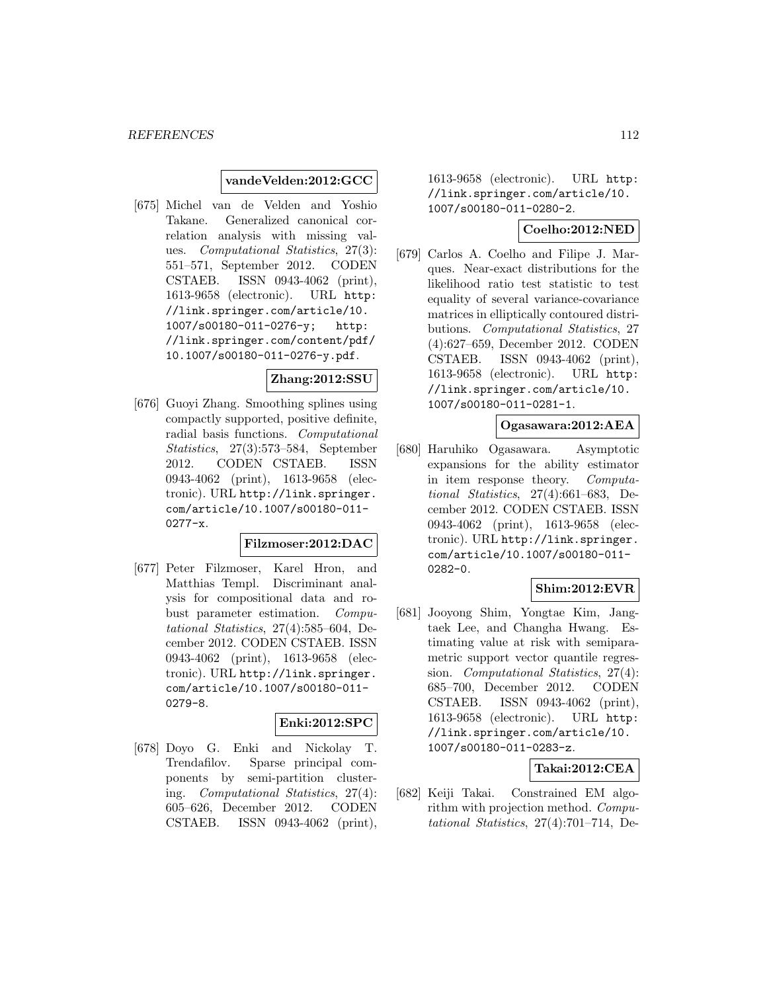#### **vandeVelden:2012:GCC**

[675] Michel van de Velden and Yoshio Takane. Generalized canonical correlation analysis with missing values. Computational Statistics, 27(3): 551–571, September 2012. CODEN CSTAEB. ISSN 0943-4062 (print), 1613-9658 (electronic). URL http: //link.springer.com/article/10. 1007/s00180-011-0276-y; http: //link.springer.com/content/pdf/ 10.1007/s00180-011-0276-y.pdf.

#### **Zhang:2012:SSU**

[676] Guoyi Zhang. Smoothing splines using compactly supported, positive definite, radial basis functions. Computational Statistics, 27(3):573–584, September 2012. CODEN CSTAEB. ISSN 0943-4062 (print), 1613-9658 (electronic). URL http://link.springer. com/article/10.1007/s00180-011- 0277-x.

## **Filzmoser:2012:DAC**

[677] Peter Filzmoser, Karel Hron, and Matthias Templ. Discriminant analysis for compositional data and robust parameter estimation. Computational Statistics, 27(4):585–604, December 2012. CODEN CSTAEB. ISSN 0943-4062 (print), 1613-9658 (electronic). URL http://link.springer. com/article/10.1007/s00180-011- 0279-8.

# **Enki:2012:SPC**

[678] Doyo G. Enki and Nickolay T. Trendafilov. Sparse principal components by semi-partition clustering. Computational Statistics, 27(4): 605–626, December 2012. CODEN CSTAEB. ISSN 0943-4062 (print), 1613-9658 (electronic). URL http: //link.springer.com/article/10. 1007/s00180-011-0280-2.

#### **Coelho:2012:NED**

[679] Carlos A. Coelho and Filipe J. Marques. Near-exact distributions for the likelihood ratio test statistic to test equality of several variance-covariance matrices in elliptically contoured distributions. Computational Statistics, 27 (4):627–659, December 2012. CODEN CSTAEB. ISSN 0943-4062 (print), 1613-9658 (electronic). URL http: //link.springer.com/article/10. 1007/s00180-011-0281-1.

#### **Ogasawara:2012:AEA**

[680] Haruhiko Ogasawara. Asymptotic expansions for the ability estimator in item response theory. Computational Statistics, 27(4):661–683, December 2012. CODEN CSTAEB. ISSN 0943-4062 (print), 1613-9658 (electronic). URL http://link.springer. com/article/10.1007/s00180-011- 0282-0.

### **Shim:2012:EVR**

[681] Jooyong Shim, Yongtae Kim, Jangtaek Lee, and Changha Hwang. Estimating value at risk with semiparametric support vector quantile regression. Computational Statistics, 27(4): 685–700, December 2012. CODEN CSTAEB. ISSN 0943-4062 (print), 1613-9658 (electronic). URL http: //link.springer.com/article/10. 1007/s00180-011-0283-z.

### **Takai:2012:CEA**

[682] Keiji Takai. Constrained EM algorithm with projection method. Computational Statistics, 27(4):701–714, De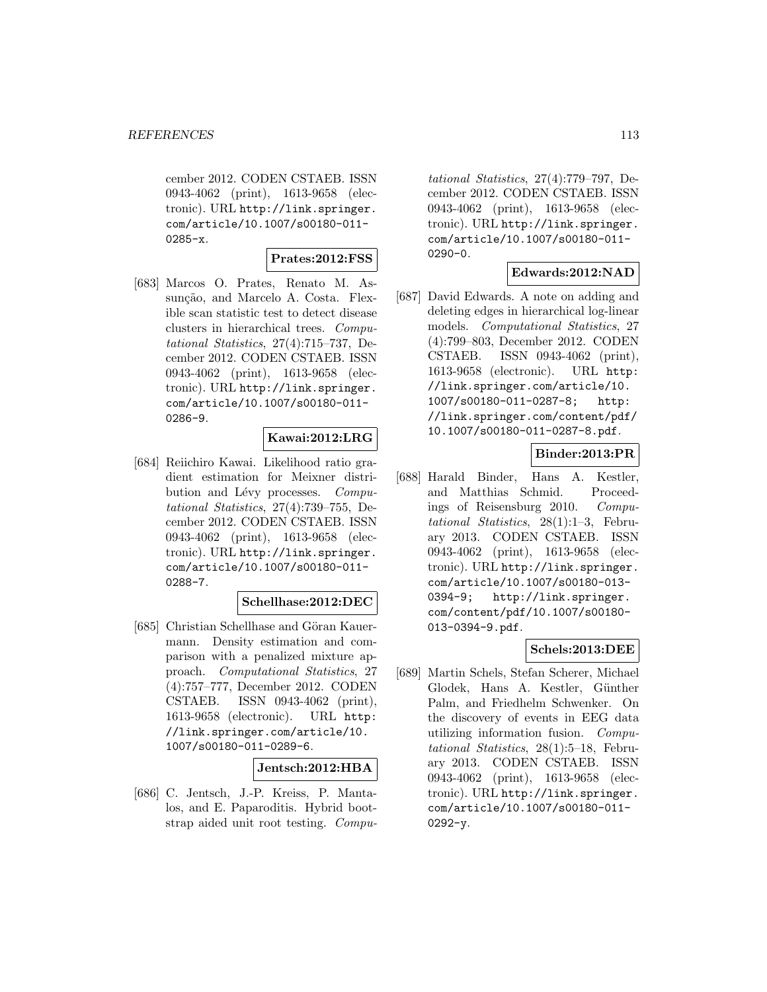cember 2012. CODEN CSTAEB. ISSN 0943-4062 (print), 1613-9658 (electronic). URL http://link.springer. com/article/10.1007/s00180-011- 0285-x.

**Prates:2012:FSS**

[683] Marcos O. Prates, Renato M. Assunção, and Marcelo A. Costa. Flexible scan statistic test to detect disease clusters in hierarchical trees. Computational Statistics, 27(4):715–737, December 2012. CODEN CSTAEB. ISSN 0943-4062 (print), 1613-9658 (electronic). URL http://link.springer. com/article/10.1007/s00180-011- 0286-9.

## **Kawai:2012:LRG**

[684] Reiichiro Kawai. Likelihood ratio gradient estimation for Meixner distribution and Lévy processes. Computational Statistics, 27(4):739–755, December 2012. CODEN CSTAEB. ISSN 0943-4062 (print), 1613-9658 (electronic). URL http://link.springer. com/article/10.1007/s00180-011- 0288-7.

### **Schellhase:2012:DEC**

[685] Christian Schellhase and Göran Kauermann. Density estimation and comparison with a penalized mixture approach. Computational Statistics, 27 (4):757–777, December 2012. CODEN CSTAEB. ISSN 0943-4062 (print), 1613-9658 (electronic). URL http: //link.springer.com/article/10. 1007/s00180-011-0289-6.

### **Jentsch:2012:HBA**

[686] C. Jentsch, J.-P. Kreiss, P. Mantalos, and E. Paparoditis. Hybrid bootstrap aided unit root testing. Compu-

tational Statistics, 27(4):779–797, December 2012. CODEN CSTAEB. ISSN 0943-4062 (print), 1613-9658 (electronic). URL http://link.springer. com/article/10.1007/s00180-011-  $0290 - 0.$ 

### **Edwards:2012:NAD**

[687] David Edwards. A note on adding and deleting edges in hierarchical log-linear models. Computational Statistics, 27 (4):799–803, December 2012. CODEN CSTAEB. ISSN 0943-4062 (print), 1613-9658 (electronic). URL http: //link.springer.com/article/10. 1007/s00180-011-0287-8; http: //link.springer.com/content/pdf/ 10.1007/s00180-011-0287-8.pdf.

## **Binder:2013:PR**

[688] Harald Binder, Hans A. Kestler, and Matthias Schmid. Proceedings of Reisensburg 2010. Computational Statistics, 28(1):1–3, February 2013. CODEN CSTAEB. ISSN 0943-4062 (print), 1613-9658 (electronic). URL http://link.springer. com/article/10.1007/s00180-013- 0394-9; http://link.springer. com/content/pdf/10.1007/s00180- 013-0394-9.pdf.

### **Schels:2013:DEE**

[689] Martin Schels, Stefan Scherer, Michael Glodek, Hans A. Kestler, Günther Palm, and Friedhelm Schwenker. On the discovery of events in EEG data utilizing information fusion. Computational Statistics, 28(1):5–18, February 2013. CODEN CSTAEB. ISSN 0943-4062 (print), 1613-9658 (electronic). URL http://link.springer. com/article/10.1007/s00180-011-  $0292 - y.$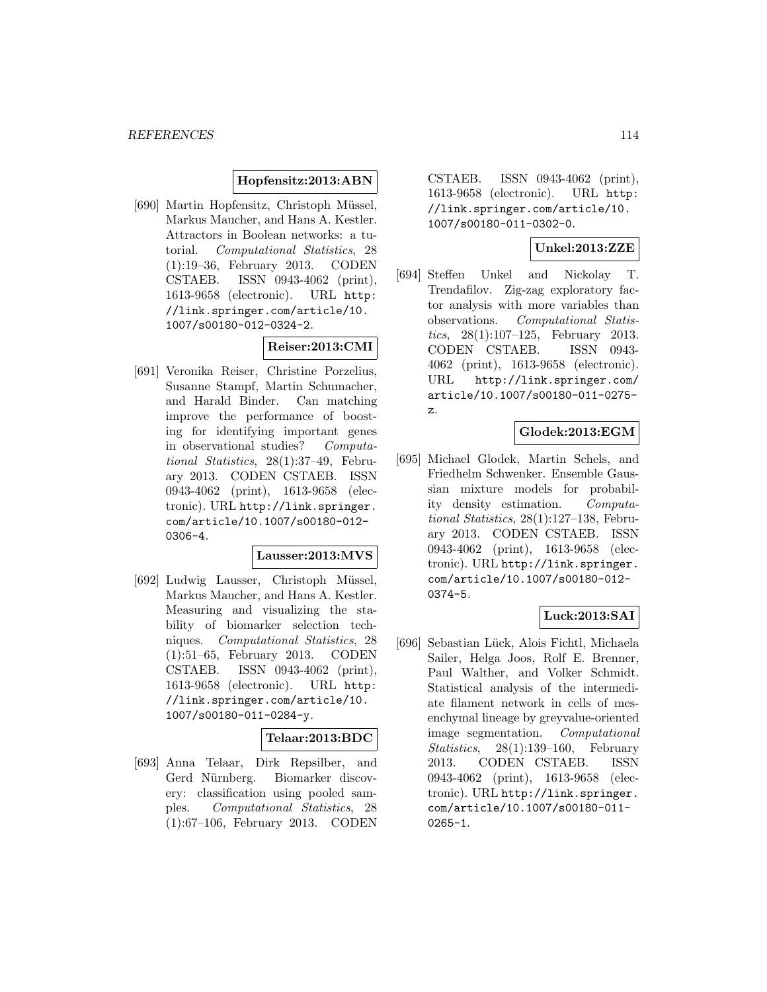#### **Hopfensitz:2013:ABN**

[690] Martin Hopfensitz, Christoph Müssel, Markus Maucher, and Hans A. Kestler. Attractors in Boolean networks: a tutorial. Computational Statistics, 28 (1):19–36, February 2013. CODEN CSTAEB. ISSN 0943-4062 (print), 1613-9658 (electronic). URL http: //link.springer.com/article/10. 1007/s00180-012-0324-2.

### **Reiser:2013:CMI**

[691] Veronika Reiser, Christine Porzelius, Susanne Stampf, Martin Schumacher, and Harald Binder. Can matching improve the performance of boosting for identifying important genes in observational studies? Computational Statistics, 28(1):37–49, February 2013. CODEN CSTAEB. ISSN 0943-4062 (print), 1613-9658 (electronic). URL http://link.springer. com/article/10.1007/s00180-012- 0306-4.

#### **Lausser:2013:MVS**

[692] Ludwig Lausser, Christoph Müssel, Markus Maucher, and Hans A. Kestler. Measuring and visualizing the stability of biomarker selection techniques. Computational Statistics, 28 (1):51–65, February 2013. CODEN CSTAEB. ISSN 0943-4062 (print), 1613-9658 (electronic). URL http: //link.springer.com/article/10. 1007/s00180-011-0284-y.

## **Telaar:2013:BDC**

[693] Anna Telaar, Dirk Repsilber, and Gerd Nürnberg. Biomarker discovery: classification using pooled samples. Computational Statistics, 28 (1):67–106, February 2013. CODEN

CSTAEB. ISSN 0943-4062 (print), 1613-9658 (electronic). URL http: //link.springer.com/article/10. 1007/s00180-011-0302-0.

### **Unkel:2013:ZZE**

[694] Steffen Unkel and Nickolay T. Trendafilov. Zig-zag exploratory factor analysis with more variables than observations. Computational Statistics, 28(1):107–125, February 2013. CODEN CSTAEB. ISSN 0943- 4062 (print), 1613-9658 (electronic). URL http://link.springer.com/ article/10.1007/s00180-011-0275 z.

### **Glodek:2013:EGM**

[695] Michael Glodek, Martin Schels, and Friedhelm Schwenker. Ensemble Gaussian mixture models for probability density estimation. Computational Statistics, 28(1):127–138, February 2013. CODEN CSTAEB. ISSN 0943-4062 (print), 1613-9658 (electronic). URL http://link.springer. com/article/10.1007/s00180-012- 0374-5.

### **Luck:2013:SAI**

[696] Sebastian Lück, Alois Fichtl, Michaela Sailer, Helga Joos, Rolf E. Brenner, Paul Walther, and Volker Schmidt. Statistical analysis of the intermediate filament network in cells of mesenchymal lineage by greyvalue-oriented image segmentation. Computational Statistics, 28(1):139–160, February 2013. CODEN CSTAEB. ISSN 0943-4062 (print), 1613-9658 (electronic). URL http://link.springer. com/article/10.1007/s00180-011- 0265-1.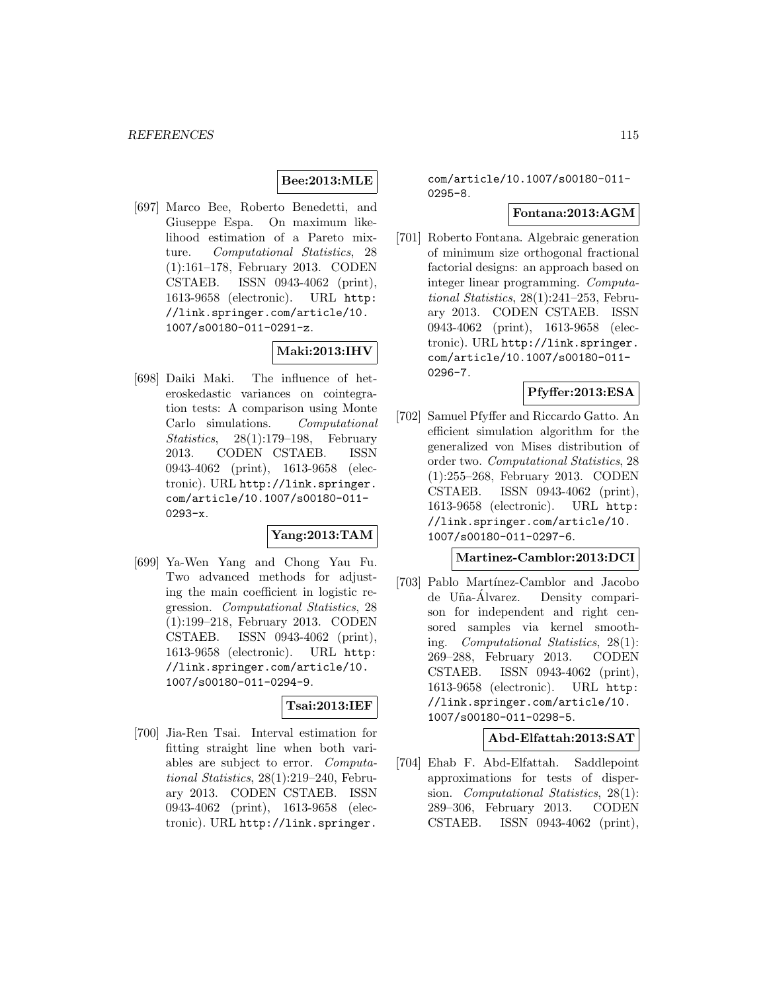## **Bee:2013:MLE**

[697] Marco Bee, Roberto Benedetti, and Giuseppe Espa. On maximum likelihood estimation of a Pareto mixture. Computational Statistics, 28 (1):161–178, February 2013. CODEN CSTAEB. ISSN 0943-4062 (print), 1613-9658 (electronic). URL http: //link.springer.com/article/10. 1007/s00180-011-0291-z.

# **Maki:2013:IHV**

[698] Daiki Maki. The influence of heteroskedastic variances on cointegration tests: A comparison using Monte Carlo simulations. Computational Statistics, 28(1):179–198, February 2013. CODEN CSTAEB. ISSN 0943-4062 (print), 1613-9658 (electronic). URL http://link.springer. com/article/10.1007/s00180-011- 0293-x.

#### **Yang:2013:TAM**

[699] Ya-Wen Yang and Chong Yau Fu. Two advanced methods for adjusting the main coefficient in logistic regression. Computational Statistics, 28 (1):199–218, February 2013. CODEN CSTAEB. ISSN 0943-4062 (print), 1613-9658 (electronic). URL http: //link.springer.com/article/10. 1007/s00180-011-0294-9.

#### **Tsai:2013:IEF**

[700] Jia-Ren Tsai. Interval estimation for fitting straight line when both variables are subject to error. Computational Statistics, 28(1):219–240, February 2013. CODEN CSTAEB. ISSN 0943-4062 (print), 1613-9658 (electronic). URL http://link.springer.

com/article/10.1007/s00180-011- 0295-8.

### **Fontana:2013:AGM**

[701] Roberto Fontana. Algebraic generation of minimum size orthogonal fractional factorial designs: an approach based on integer linear programming. Computational Statistics, 28(1):241–253, February 2013. CODEN CSTAEB. ISSN 0943-4062 (print), 1613-9658 (electronic). URL http://link.springer. com/article/10.1007/s00180-011- 0296-7.

### **Pfyffer:2013:ESA**

[702] Samuel Pfyffer and Riccardo Gatto. An efficient simulation algorithm for the generalized von Mises distribution of order two. Computational Statistics, 28 (1):255–268, February 2013. CODEN CSTAEB. ISSN 0943-4062 (print), 1613-9658 (electronic). URL http: //link.springer.com/article/10. 1007/s00180-011-0297-6.

### **Martinez-Camblor:2013:DCI**

[703] Pablo Martínez-Camblor and Jacobo de Uña-Álvarez. Density comparison for independent and right censored samples via kernel smoothing. Computational Statistics, 28(1): 269–288, February 2013. CODEN CSTAEB. ISSN 0943-4062 (print), 1613-9658 (electronic). URL http: //link.springer.com/article/10. 1007/s00180-011-0298-5.

#### **Abd-Elfattah:2013:SAT**

[704] Ehab F. Abd-Elfattah. Saddlepoint approximations for tests of dispersion. Computational Statistics, 28(1): 289–306, February 2013. CODEN CSTAEB. ISSN 0943-4062 (print),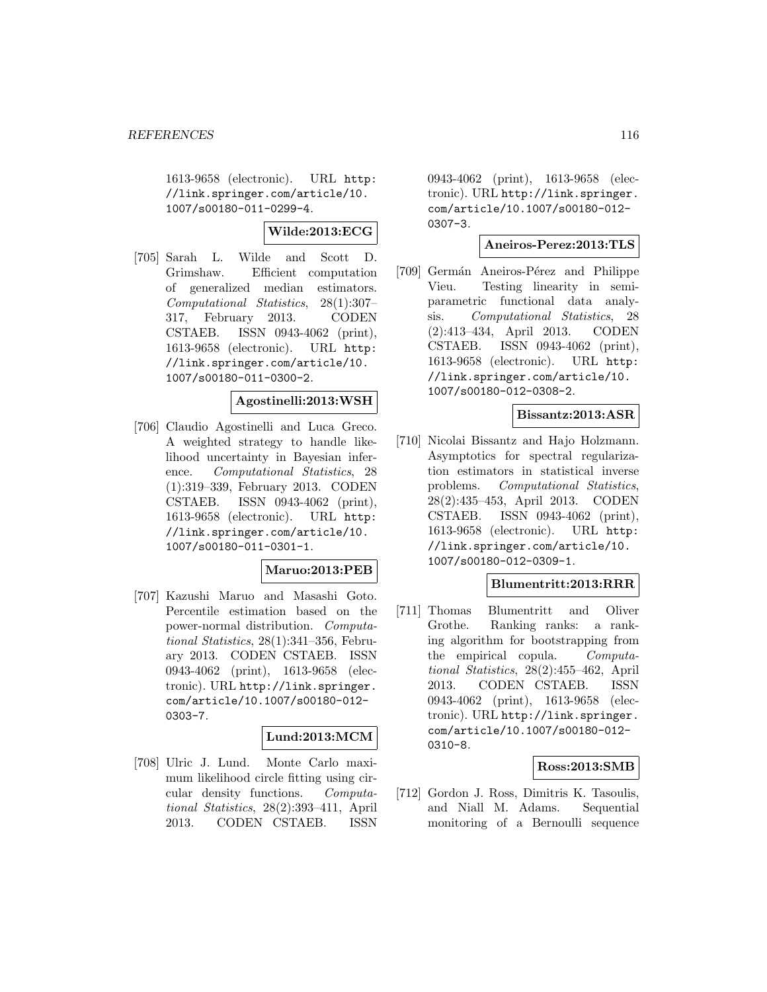1613-9658 (electronic). URL http: //link.springer.com/article/10. 1007/s00180-011-0299-4.

**Wilde:2013:ECG**

[705] Sarah L. Wilde and Scott D. Grimshaw. Efficient computation of generalized median estimators. Computational Statistics, 28(1):307– 317, February 2013. CODEN CSTAEB. ISSN 0943-4062 (print), 1613-9658 (electronic). URL http: //link.springer.com/article/10. 1007/s00180-011-0300-2.

# **Agostinelli:2013:WSH**

[706] Claudio Agostinelli and Luca Greco. A weighted strategy to handle likelihood uncertainty in Bayesian inference. Computational Statistics, 28 (1):319–339, February 2013. CODEN CSTAEB. ISSN 0943-4062 (print), 1613-9658 (electronic). URL http: //link.springer.com/article/10. 1007/s00180-011-0301-1.

### **Maruo:2013:PEB**

[707] Kazushi Maruo and Masashi Goto. Percentile estimation based on the power-normal distribution. Computational Statistics, 28(1):341–356, February 2013. CODEN CSTAEB. ISSN 0943-4062 (print), 1613-9658 (electronic). URL http://link.springer. com/article/10.1007/s00180-012- 0303-7.

### **Lund:2013:MCM**

[708] Ulric J. Lund. Monte Carlo maximum likelihood circle fitting using circular density functions. Computational Statistics, 28(2):393–411, April 2013. CODEN CSTAEB. ISSN

0943-4062 (print), 1613-9658 (electronic). URL http://link.springer. com/article/10.1007/s00180-012- 0307-3.

#### **Aneiros-Perez:2013:TLS**

[709] Germán Aneiros-Pérez and Philippe Vieu. Testing linearity in semiparametric functional data analysis. Computational Statistics, 28 (2):413–434, April 2013. CODEN CSTAEB. ISSN 0943-4062 (print), 1613-9658 (electronic). URL http: //link.springer.com/article/10. 1007/s00180-012-0308-2.

# **Bissantz:2013:ASR**

[710] Nicolai Bissantz and Hajo Holzmann. Asymptotics for spectral regularization estimators in statistical inverse problems. Computational Statistics, 28(2):435–453, April 2013. CODEN CSTAEB. ISSN 0943-4062 (print), 1613-9658 (electronic). URL http: //link.springer.com/article/10. 1007/s00180-012-0309-1.

### **Blumentritt:2013:RRR**

[711] Thomas Blumentritt and Oliver Grothe. Ranking ranks: a ranking algorithm for bootstrapping from the empirical copula. Computational Statistics, 28(2):455–462, April 2013. CODEN CSTAEB. ISSN 0943-4062 (print), 1613-9658 (electronic). URL http://link.springer. com/article/10.1007/s00180-012- 0310-8.

### **Ross:2013:SMB**

[712] Gordon J. Ross, Dimitris K. Tasoulis, and Niall M. Adams. Sequential monitoring of a Bernoulli sequence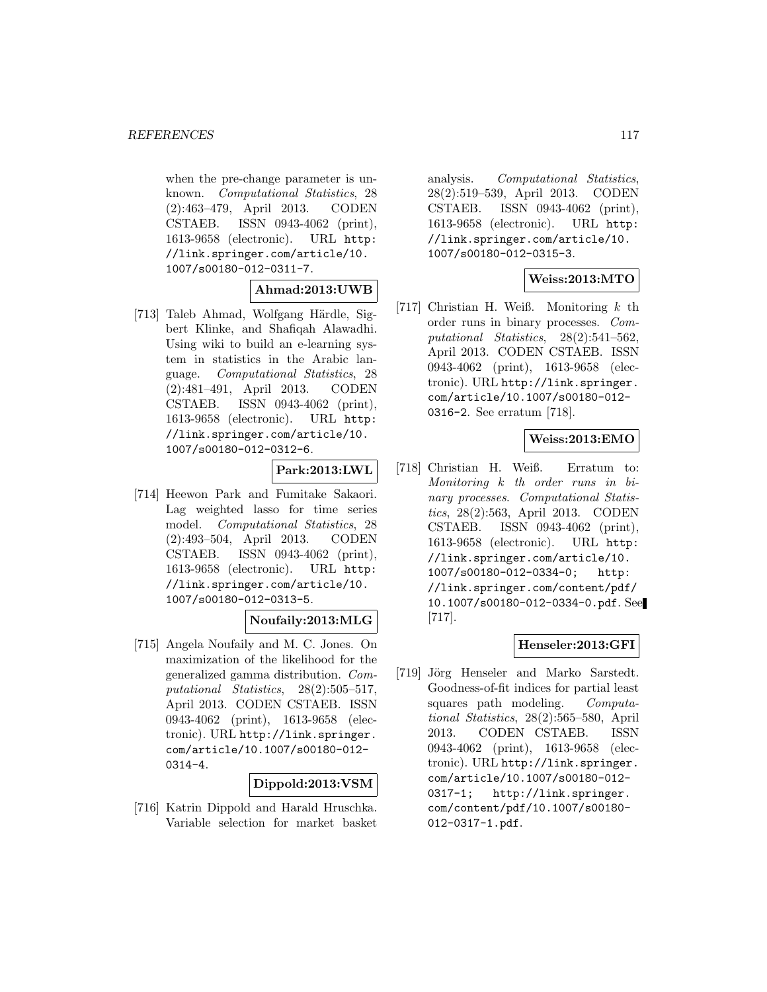when the pre-change parameter is unknown. Computational Statistics, 28 (2):463–479, April 2013. CODEN CSTAEB. ISSN 0943-4062 (print), 1613-9658 (electronic). URL http: //link.springer.com/article/10. 1007/s00180-012-0311-7.

### **Ahmad:2013:UWB**

[713] Taleb Ahmad, Wolfgang Härdle, Sigbert Klinke, and Shafiqah Alawadhi. Using wiki to build an e-learning system in statistics in the Arabic language. Computational Statistics, 28 (2):481–491, April 2013. CODEN CSTAEB. ISSN 0943-4062 (print), 1613-9658 (electronic). URL http: //link.springer.com/article/10. 1007/s00180-012-0312-6.

### **Park:2013:LWL**

[714] Heewon Park and Fumitake Sakaori. Lag weighted lasso for time series model. Computational Statistics, 28 (2):493–504, April 2013. CODEN CSTAEB. ISSN 0943-4062 (print), 1613-9658 (electronic). URL http: //link.springer.com/article/10. 1007/s00180-012-0313-5.

## **Noufaily:2013:MLG**

[715] Angela Noufaily and M. C. Jones. On maximization of the likelihood for the generalized gamma distribution. Computational Statistics, 28(2):505-517, April 2013. CODEN CSTAEB. ISSN 0943-4062 (print), 1613-9658 (electronic). URL http://link.springer. com/article/10.1007/s00180-012- 0314-4.

### **Dippold:2013:VSM**

[716] Katrin Dippold and Harald Hruschka. Variable selection for market basket analysis. Computational Statistics, 28(2):519–539, April 2013. CODEN CSTAEB. ISSN 0943-4062 (print), 1613-9658 (electronic). URL http: //link.springer.com/article/10. 1007/s00180-012-0315-3.

# **Weiss:2013:MTO**

[717] Christian H. Weiß. Monitoring  $k$  th order runs in binary processes. Computational Statistics, 28(2):541–562, April 2013. CODEN CSTAEB. ISSN 0943-4062 (print), 1613-9658 (electronic). URL http://link.springer. com/article/10.1007/s00180-012- 0316-2. See erratum [718].

# **Weiss:2013:EMO**

[718] Christian H. Weiß. Erratum to: Monitoring k th order runs in binary processes. Computational Statistics, 28(2):563, April 2013. CODEN CSTAEB. ISSN 0943-4062 (print), 1613-9658 (electronic). URL http: //link.springer.com/article/10. 1007/s00180-012-0334-0; http: //link.springer.com/content/pdf/ 10.1007/s00180-012-0334-0.pdf. See [717].

### **Henseler:2013:GFI**

[719] Jörg Henseler and Marko Sarstedt. Goodness-of-fit indices for partial least squares path modeling. Computational Statistics, 28(2):565–580, April 2013. CODEN CSTAEB. ISSN 0943-4062 (print), 1613-9658 (electronic). URL http://link.springer. com/article/10.1007/s00180-012- 0317-1; http://link.springer. com/content/pdf/10.1007/s00180- 012-0317-1.pdf.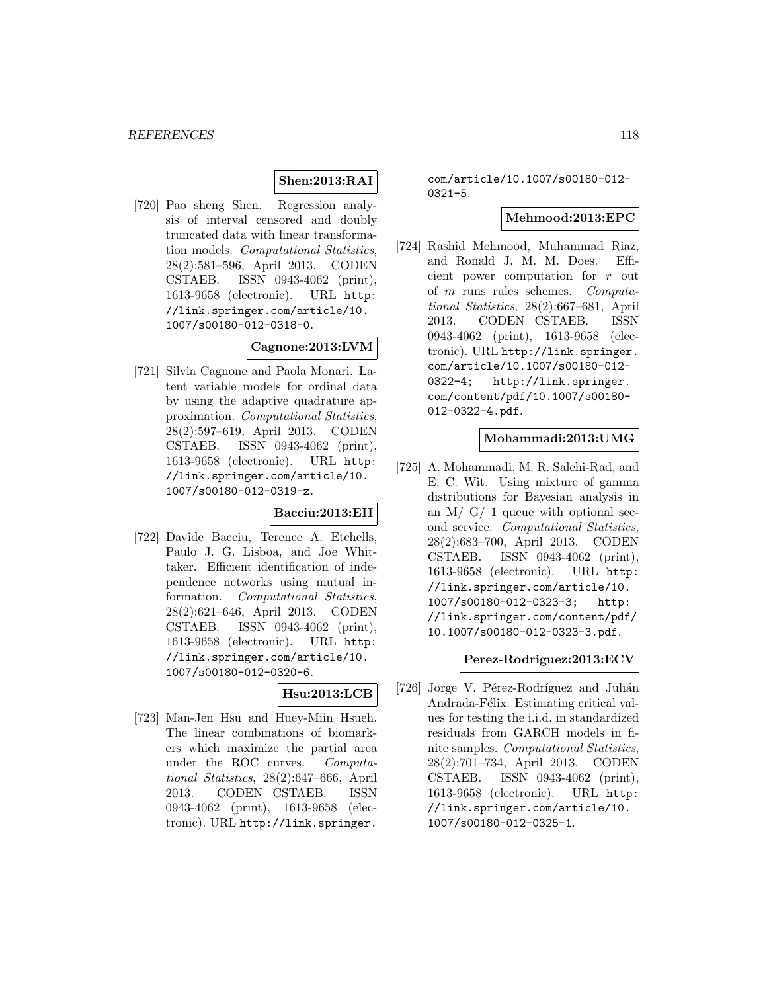# **Shen:2013:RAI**

[720] Pao sheng Shen. Regression analysis of interval censored and doubly truncated data with linear transformation models. Computational Statistics, 28(2):581–596, April 2013. CODEN CSTAEB. ISSN 0943-4062 (print), 1613-9658 (electronic). URL http: //link.springer.com/article/10. 1007/s00180-012-0318-0.

## **Cagnone:2013:LVM**

[721] Silvia Cagnone and Paola Monari. Latent variable models for ordinal data by using the adaptive quadrature approximation. Computational Statistics, 28(2):597–619, April 2013. CODEN CSTAEB. ISSN 0943-4062 (print), 1613-9658 (electronic). URL http: //link.springer.com/article/10. 1007/s00180-012-0319-z.

### **Bacciu:2013:EII**

[722] Davide Bacciu, Terence A. Etchells, Paulo J. G. Lisboa, and Joe Whittaker. Efficient identification of independence networks using mutual information. Computational Statistics, 28(2):621–646, April 2013. CODEN CSTAEB. ISSN 0943-4062 (print), 1613-9658 (electronic). URL http: //link.springer.com/article/10. 1007/s00180-012-0320-6.

## **Hsu:2013:LCB**

[723] Man-Jen Hsu and Huey-Miin Hsueh. The linear combinations of biomarkers which maximize the partial area under the ROC curves. Computational Statistics, 28(2):647–666, April 2013. CODEN CSTAEB. ISSN 0943-4062 (print), 1613-9658 (electronic). URL http://link.springer.

com/article/10.1007/s00180-012- 0321-5.

### **Mehmood:2013:EPC**

[724] Rashid Mehmood, Muhammad Riaz, and Ronald J. M. M. Does. Efficient power computation for r out of m runs rules schemes. Computational Statistics, 28(2):667–681, April 2013. CODEN CSTAEB. ISSN 0943-4062 (print), 1613-9658 (electronic). URL http://link.springer. com/article/10.1007/s00180-012- 0322-4; http://link.springer. com/content/pdf/10.1007/s00180- 012-0322-4.pdf.

### **Mohammadi:2013:UMG**

[725] A. Mohammadi, M. R. Salehi-Rad, and E. C. Wit. Using mixture of gamma distributions for Bayesian analysis in an M/  $G/1$  queue with optional second service. Computational Statistics, 28(2):683–700, April 2013. CODEN CSTAEB. ISSN 0943-4062 (print), 1613-9658 (electronic). URL http: //link.springer.com/article/10. 1007/s00180-012-0323-3; http: //link.springer.com/content/pdf/ 10.1007/s00180-012-0323-3.pdf.

### **Perez-Rodriguez:2013:ECV**

[726] Jorge V. Pérez-Rodríguez and Julián Andrada-Félix. Estimating critical values for testing the i.i.d. in standardized residuals from GARCH models in finite samples. Computational Statistics, 28(2):701–734, April 2013. CODEN CSTAEB. ISSN 0943-4062 (print), 1613-9658 (electronic). URL http: //link.springer.com/article/10. 1007/s00180-012-0325-1.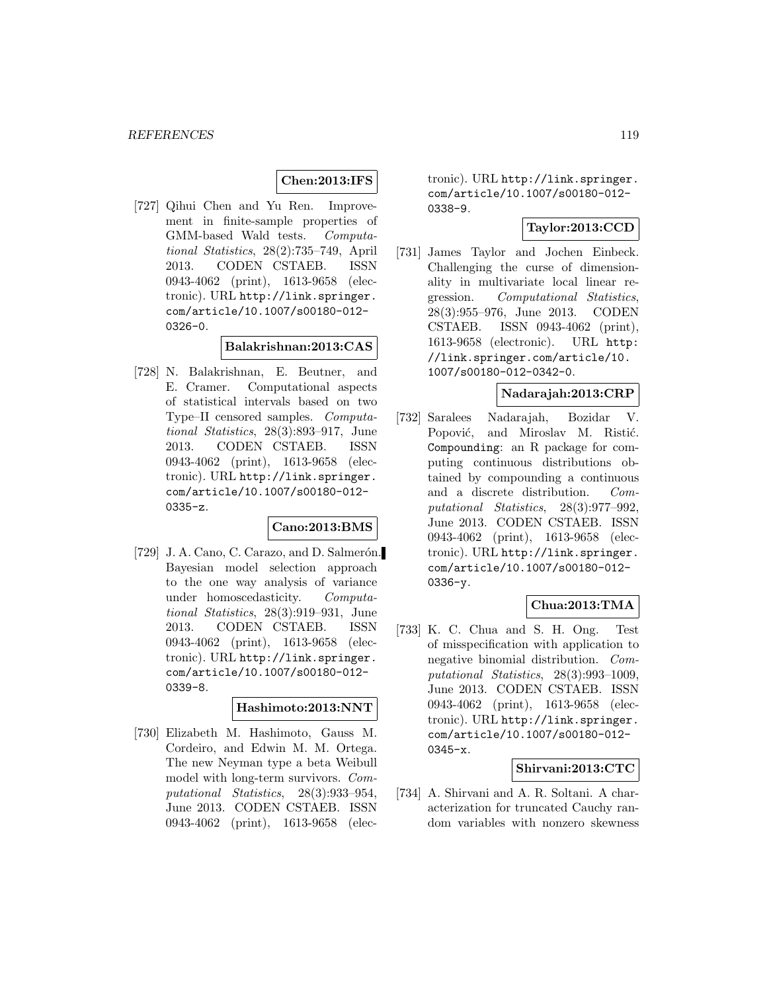### **Chen:2013:IFS**

[727] Qihui Chen and Yu Ren. Improvement in finite-sample properties of GMM-based Wald tests. Computational Statistics, 28(2):735–749, April 2013. CODEN CSTAEB. ISSN 0943-4062 (print), 1613-9658 (electronic). URL http://link.springer. com/article/10.1007/s00180-012- 0326-0.

#### **Balakrishnan:2013:CAS**

[728] N. Balakrishnan, E. Beutner, and E. Cramer. Computational aspects of statistical intervals based on two Type–II censored samples. Computational Statistics, 28(3):893–917, June 2013. CODEN CSTAEB. ISSN 0943-4062 (print), 1613-9658 (electronic). URL http://link.springer. com/article/10.1007/s00180-012- 0335-z.

### **Cano:2013:BMS**

[ $729$ ] J. A. Cano, C. Carazo, and D. Salmerón. Bayesian model selection approach to the one way analysis of variance under homoscedasticity. Computational Statistics, 28(3):919–931, June 2013. CODEN CSTAEB. ISSN 0943-4062 (print), 1613-9658 (electronic). URL http://link.springer. com/article/10.1007/s00180-012- 0339-8.

#### **Hashimoto:2013:NNT**

[730] Elizabeth M. Hashimoto, Gauss M. Cordeiro, and Edwin M. M. Ortega. The new Neyman type a beta Weibull model with long-term survivors. Computational Statistics, 28(3):933–954, June 2013. CODEN CSTAEB. ISSN 0943-4062 (print), 1613-9658 (electronic). URL http://link.springer. com/article/10.1007/s00180-012- 0338-9.

## **Taylor:2013:CCD**

[731] James Taylor and Jochen Einbeck. Challenging the curse of dimensionality in multivariate local linear regression. Computational Statistics, 28(3):955–976, June 2013. CODEN CSTAEB. ISSN 0943-4062 (print), 1613-9658 (electronic). URL http: //link.springer.com/article/10. 1007/s00180-012-0342-0.

### **Nadarajah:2013:CRP**

[732] Saralees Nadarajah, Bozidar V. Popović, and Miroslav M. Ristić. Compounding: an R package for computing continuous distributions obtained by compounding a continuous and a discrete distribution. Computational Statistics, 28(3):977–992, June 2013. CODEN CSTAEB. ISSN 0943-4062 (print), 1613-9658 (electronic). URL http://link.springer. com/article/10.1007/s00180-012- 0336-y.

# **Chua:2013:TMA**

[733] K. C. Chua and S. H. Ong. Test of misspecification with application to negative binomial distribution. Computational Statistics, 28(3):993–1009, June 2013. CODEN CSTAEB. ISSN 0943-4062 (print), 1613-9658 (electronic). URL http://link.springer. com/article/10.1007/s00180-012- 0345-x.

### **Shirvani:2013:CTC**

[734] A. Shirvani and A. R. Soltani. A characterization for truncated Cauchy random variables with nonzero skewness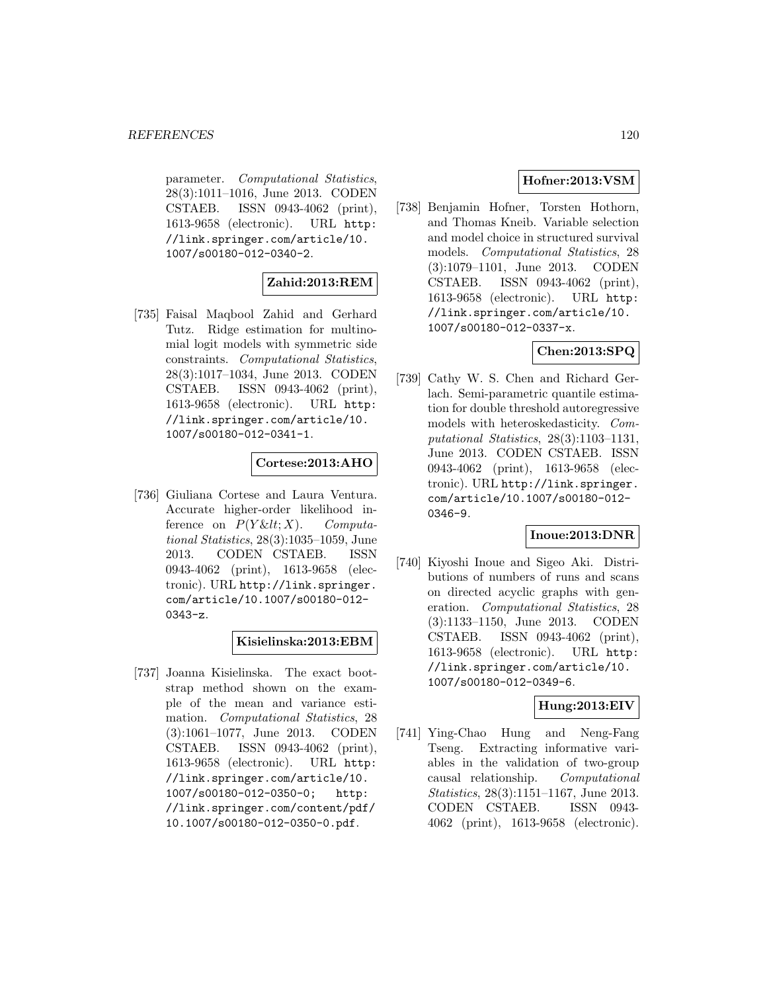parameter. Computational Statistics, 28(3):1011–1016, June 2013. CODEN CSTAEB. ISSN 0943-4062 (print), 1613-9658 (electronic). URL http: //link.springer.com/article/10. 1007/s00180-012-0340-2.

# **Zahid:2013:REM**

[735] Faisal Maqbool Zahid and Gerhard Tutz. Ridge estimation for multinomial logit models with symmetric side constraints. Computational Statistics, 28(3):1017–1034, June 2013. CODEN CSTAEB. ISSN 0943-4062 (print), 1613-9658 (electronic). URL http: //link.springer.com/article/10. 1007/s00180-012-0341-1.

### **Cortese:2013:AHO**

[736] Giuliana Cortese and Laura Ventura. Accurate higher-order likelihood inference on  $P(Y \& It; X)$ . Computational Statistics, 28(3):1035–1059, June 2013. CODEN CSTAEB. ISSN 0943-4062 (print), 1613-9658 (electronic). URL http://link.springer. com/article/10.1007/s00180-012- 0343-z.

## **Kisielinska:2013:EBM**

[737] Joanna Kisielinska. The exact bootstrap method shown on the example of the mean and variance estimation. Computational Statistics, 28 (3):1061–1077, June 2013. CODEN CSTAEB. ISSN 0943-4062 (print), 1613-9658 (electronic). URL http: //link.springer.com/article/10. 1007/s00180-012-0350-0; http: //link.springer.com/content/pdf/ 10.1007/s00180-012-0350-0.pdf.

# **Hofner:2013:VSM**

[738] Benjamin Hofner, Torsten Hothorn, and Thomas Kneib. Variable selection and model choice in structured survival models. Computational Statistics, 28 (3):1079–1101, June 2013. CODEN CSTAEB. ISSN 0943-4062 (print), 1613-9658 (electronic). URL http: //link.springer.com/article/10. 1007/s00180-012-0337-x.

## **Chen:2013:SPQ**

[739] Cathy W. S. Chen and Richard Gerlach. Semi-parametric quantile estimation for double threshold autoregressive models with heteroskedasticity. Computational Statistics, 28(3):1103–1131, June 2013. CODEN CSTAEB. ISSN 0943-4062 (print), 1613-9658 (electronic). URL http://link.springer. com/article/10.1007/s00180-012- 0346-9.

### **Inoue:2013:DNR**

[740] Kiyoshi Inoue and Sigeo Aki. Distributions of numbers of runs and scans on directed acyclic graphs with generation. Computational Statistics, 28 (3):1133–1150, June 2013. CODEN CSTAEB. ISSN 0943-4062 (print), 1613-9658 (electronic). URL http: //link.springer.com/article/10. 1007/s00180-012-0349-6.

### **Hung:2013:EIV**

[741] Ying-Chao Hung and Neng-Fang Tseng. Extracting informative variables in the validation of two-group causal relationship. Computational Statistics, 28(3):1151–1167, June 2013. CODEN CSTAEB. ISSN 0943- 4062 (print), 1613-9658 (electronic).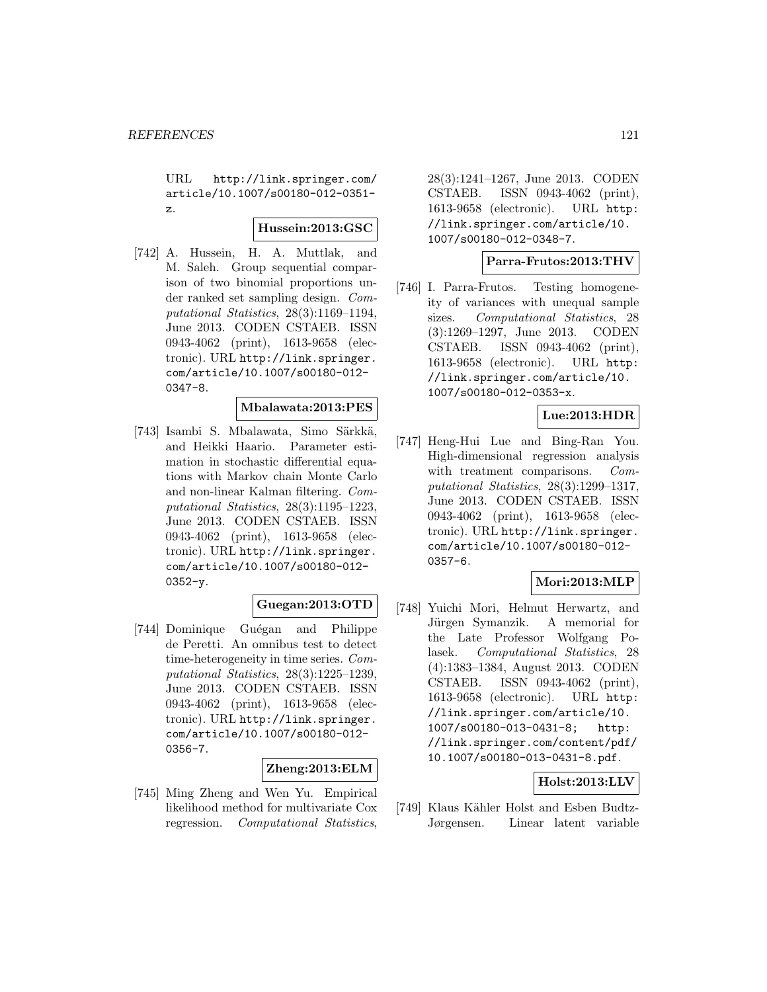URL http://link.springer.com/ article/10.1007/s00180-012-0351 z.

#### **Hussein:2013:GSC**

[742] A. Hussein, H. A. Muttlak, and M. Saleh. Group sequential comparison of two binomial proportions under ranked set sampling design. Computational Statistics, 28(3):1169–1194, June 2013. CODEN CSTAEB. ISSN 0943-4062 (print), 1613-9658 (electronic). URL http://link.springer. com/article/10.1007/s00180-012- 0347-8.

### **Mbalawata:2013:PES**

[743] Isambi S. Mbalawata, Simo Särkkä, and Heikki Haario. Parameter estimation in stochastic differential equations with Markov chain Monte Carlo and non-linear Kalman filtering. Computational Statistics, 28(3):1195–1223, June 2013. CODEN CSTAEB. ISSN 0943-4062 (print), 1613-9658 (electronic). URL http://link.springer. com/article/10.1007/s00180-012-  $0352 - y.$ 

### **Guegan:2013:OTD**

[744] Dominique Guégan and Philippe de Peretti. An omnibus test to detect time-heterogeneity in time series. Computational Statistics, 28(3):1225–1239, June 2013. CODEN CSTAEB. ISSN 0943-4062 (print), 1613-9658 (electronic). URL http://link.springer. com/article/10.1007/s00180-012- 0356-7.

**Zheng:2013:ELM**

[745] Ming Zheng and Wen Yu. Empirical likelihood method for multivariate Cox regression. Computational Statistics,

28(3):1241–1267, June 2013. CODEN CSTAEB. ISSN 0943-4062 (print), 1613-9658 (electronic). URL http: //link.springer.com/article/10. 1007/s00180-012-0348-7.

### **Parra-Frutos:2013:THV**

[746] I. Parra-Frutos. Testing homogeneity of variances with unequal sample sizes. Computational Statistics, 28 (3):1269–1297, June 2013. CODEN CSTAEB. ISSN 0943-4062 (print), 1613-9658 (electronic). URL http: //link.springer.com/article/10. 1007/s00180-012-0353-x.

### **Lue:2013:HDR**

[747] Heng-Hui Lue and Bing-Ran You. High-dimensional regression analysis with treatment comparisons. *Com*putational Statistics, 28(3):1299–1317, June 2013. CODEN CSTAEB. ISSN 0943-4062 (print), 1613-9658 (electronic). URL http://link.springer. com/article/10.1007/s00180-012- 0357-6.

## **Mori:2013:MLP**

[748] Yuichi Mori, Helmut Herwartz, and Jürgen Symanzik. A memorial for the Late Professor Wolfgang Polasek. Computational Statistics, 28 (4):1383–1384, August 2013. CODEN CSTAEB. ISSN 0943-4062 (print), 1613-9658 (electronic). URL http: //link.springer.com/article/10. 1007/s00180-013-0431-8; http: //link.springer.com/content/pdf/ 10.1007/s00180-013-0431-8.pdf.

### **Holst:2013:LLV**

[749] Klaus Kähler Holst and Esben Budtz-Jørgensen. Linear latent variable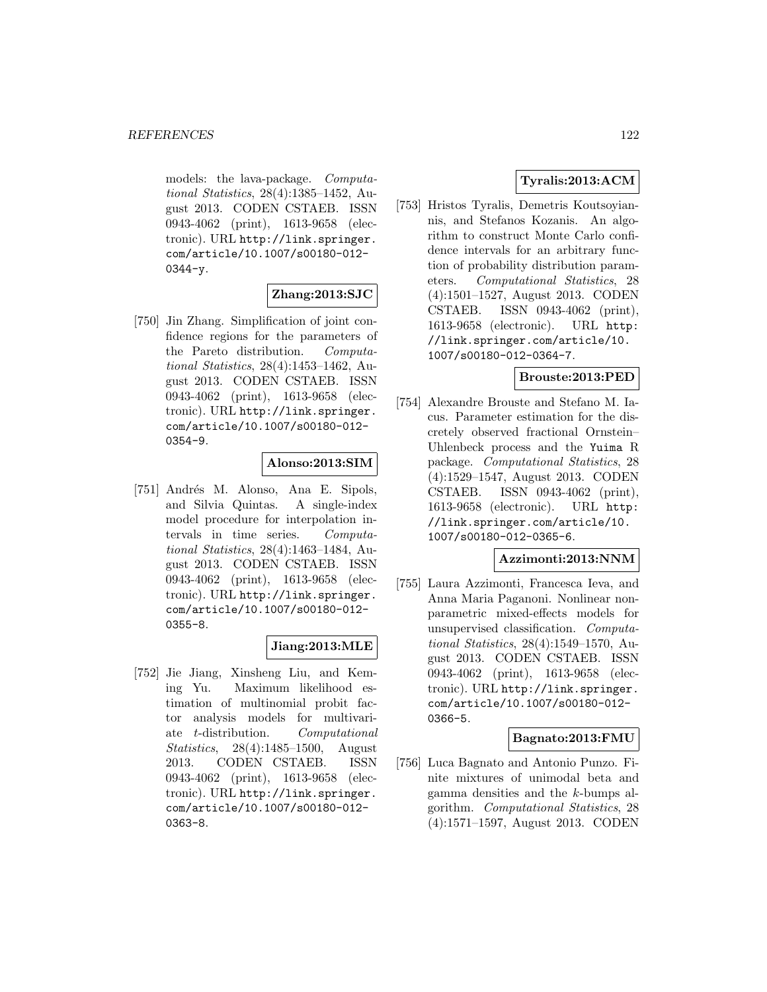models: the lava-package. Computational Statistics, 28(4):1385–1452, August 2013. CODEN CSTAEB. ISSN 0943-4062 (print), 1613-9658 (electronic). URL http://link.springer. com/article/10.1007/s00180-012-  $0344 - y.$ 

### **Zhang:2013:SJC**

[750] Jin Zhang. Simplification of joint confidence regions for the parameters of the Pareto distribution. Computational Statistics, 28(4):1453–1462, August 2013. CODEN CSTAEB. ISSN 0943-4062 (print), 1613-9658 (electronic). URL http://link.springer. com/article/10.1007/s00180-012- 0354-9.

#### **Alonso:2013:SIM**

[751] Andrés M. Alonso, Ana E. Sipols, and Silvia Quintas. A single-index model procedure for interpolation intervals in time series. Computational Statistics, 28(4):1463–1484, August 2013. CODEN CSTAEB. ISSN 0943-4062 (print), 1613-9658 (electronic). URL http://link.springer. com/article/10.1007/s00180-012- 0355-8.

### **Jiang:2013:MLE**

[752] Jie Jiang, Xinsheng Liu, and Keming Yu. Maximum likelihood estimation of multinomial probit factor analysis models for multivariate t-distribution. Computational Statistics, 28(4):1485–1500, August 2013. CODEN CSTAEB. ISSN 0943-4062 (print), 1613-9658 (electronic). URL http://link.springer. com/article/10.1007/s00180-012- 0363-8.

# **Tyralis:2013:ACM**

[753] Hristos Tyralis, Demetris Koutsoyiannis, and Stefanos Kozanis. An algorithm to construct Monte Carlo confidence intervals for an arbitrary function of probability distribution parameters. Computational Statistics, 28 (4):1501–1527, August 2013. CODEN CSTAEB. ISSN 0943-4062 (print), 1613-9658 (electronic). URL http: //link.springer.com/article/10. 1007/s00180-012-0364-7.

### **Brouste:2013:PED**

[754] Alexandre Brouste and Stefano M. Iacus. Parameter estimation for the discretely observed fractional Ornstein– Uhlenbeck process and the Yuima R package. Computational Statistics, 28 (4):1529–1547, August 2013. CODEN CSTAEB. ISSN 0943-4062 (print), 1613-9658 (electronic). URL http: //link.springer.com/article/10. 1007/s00180-012-0365-6.

### **Azzimonti:2013:NNM**

[755] Laura Azzimonti, Francesca Ieva, and Anna Maria Paganoni. Nonlinear nonparametric mixed-effects models for unsupervised classification. Computational Statistics, 28(4):1549–1570, August 2013. CODEN CSTAEB. ISSN 0943-4062 (print), 1613-9658 (electronic). URL http://link.springer. com/article/10.1007/s00180-012- 0366-5.

### **Bagnato:2013:FMU**

[756] Luca Bagnato and Antonio Punzo. Finite mixtures of unimodal beta and gamma densities and the k-bumps algorithm. Computational Statistics, 28 (4):1571–1597, August 2013. CODEN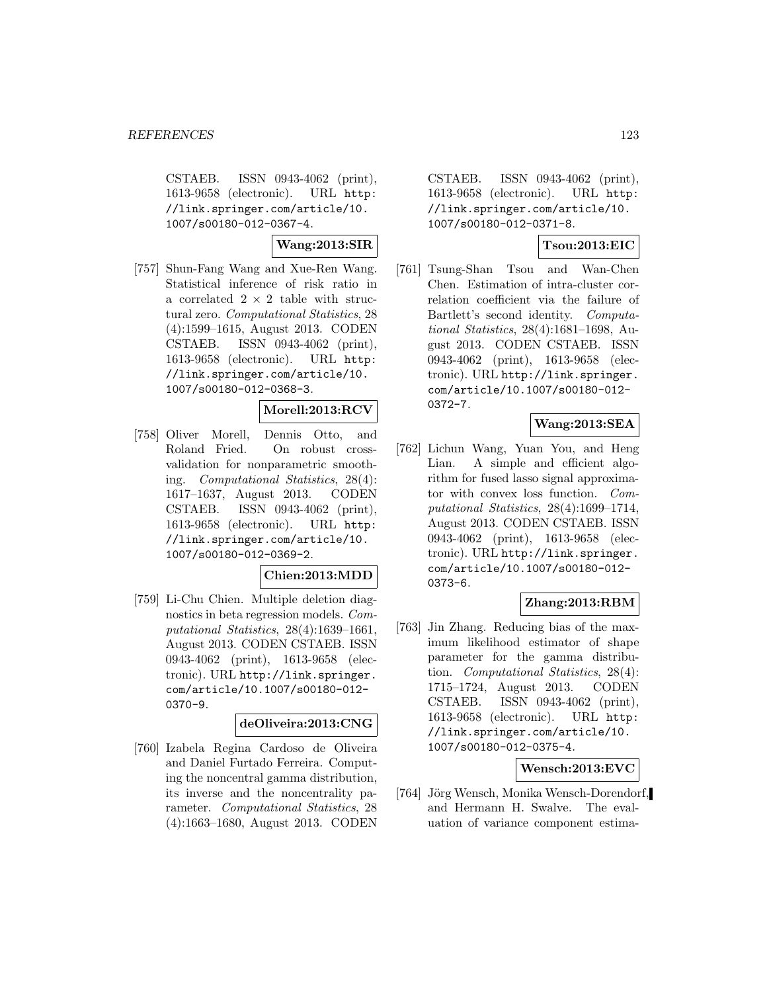CSTAEB. ISSN 0943-4062 (print), 1613-9658 (electronic). URL http: //link.springer.com/article/10. 1007/s00180-012-0367-4.

**Wang:2013:SIR**

[757] Shun-Fang Wang and Xue-Ren Wang. Statistical inference of risk ratio in a correlated  $2 \times 2$  table with structural zero. Computational Statistics, 28 (4):1599–1615, August 2013. CODEN CSTAEB. ISSN 0943-4062 (print), 1613-9658 (electronic). URL http: //link.springer.com/article/10. 1007/s00180-012-0368-3.

### **Morell:2013:RCV**

[758] Oliver Morell, Dennis Otto, and Roland Fried. On robust crossvalidation for nonparametric smoothing. Computational Statistics, 28(4): 1617–1637, August 2013. CODEN CSTAEB. ISSN 0943-4062 (print), 1613-9658 (electronic). URL http: //link.springer.com/article/10. 1007/s00180-012-0369-2.

### **Chien:2013:MDD**

[759] Li-Chu Chien. Multiple deletion diagnostics in beta regression models. Computational Statistics, 28(4):1639–1661, August 2013. CODEN CSTAEB. ISSN 0943-4062 (print), 1613-9658 (electronic). URL http://link.springer. com/article/10.1007/s00180-012- 0370-9.

### **deOliveira:2013:CNG**

[760] Izabela Regina Cardoso de Oliveira and Daniel Furtado Ferreira. Computing the noncentral gamma distribution, its inverse and the noncentrality parameter. Computational Statistics, 28 (4):1663–1680, August 2013. CODEN

CSTAEB. ISSN 0943-4062 (print), 1613-9658 (electronic). URL http: //link.springer.com/article/10. 1007/s00180-012-0371-8.

### **Tsou:2013:EIC**

[761] Tsung-Shan Tsou and Wan-Chen Chen. Estimation of intra-cluster correlation coefficient via the failure of Bartlett's second identity. Computational Statistics, 28(4):1681–1698, August 2013. CODEN CSTAEB. ISSN 0943-4062 (print), 1613-9658 (electronic). URL http://link.springer. com/article/10.1007/s00180-012- 0372-7.

### **Wang:2013:SEA**

[762] Lichun Wang, Yuan You, and Heng Lian. A simple and efficient algorithm for fused lasso signal approximator with convex loss function. Computational Statistics, 28(4):1699–1714, August 2013. CODEN CSTAEB. ISSN 0943-4062 (print), 1613-9658 (electronic). URL http://link.springer. com/article/10.1007/s00180-012- 0373-6.

## **Zhang:2013:RBM**

[763] Jin Zhang. Reducing bias of the maximum likelihood estimator of shape parameter for the gamma distribution. Computational Statistics, 28(4): 1715–1724, August 2013. CODEN CSTAEB. ISSN 0943-4062 (print), 1613-9658 (electronic). URL http: //link.springer.com/article/10. 1007/s00180-012-0375-4.

### **Wensch:2013:EVC**

[764] Jörg Wensch, Monika Wensch-Dorendorf, and Hermann H. Swalve. The evaluation of variance component estima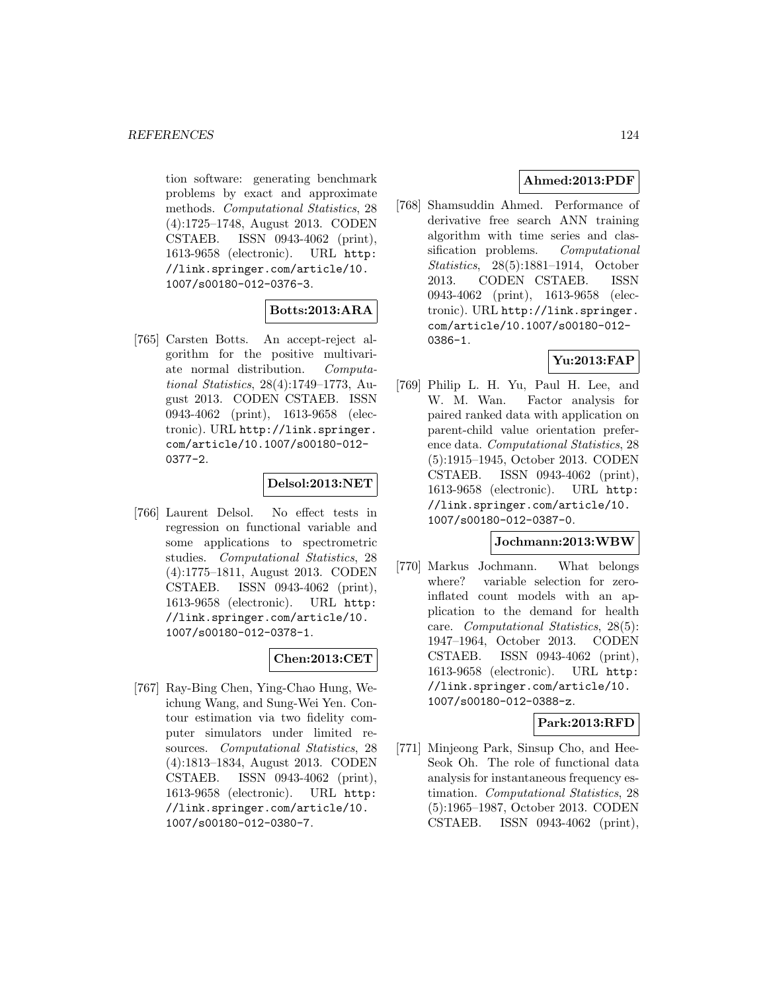tion software: generating benchmark problems by exact and approximate methods. Computational Statistics, 28 (4):1725–1748, August 2013. CODEN CSTAEB. ISSN 0943-4062 (print), 1613-9658 (electronic). URL http: //link.springer.com/article/10. 1007/s00180-012-0376-3.

# **Botts:2013:ARA**

[765] Carsten Botts. An accept-reject algorithm for the positive multivariate normal distribution. Computational Statistics, 28(4):1749–1773, August 2013. CODEN CSTAEB. ISSN 0943-4062 (print), 1613-9658 (electronic). URL http://link.springer. com/article/10.1007/s00180-012- 0377-2.

### **Delsol:2013:NET**

[766] Laurent Delsol. No effect tests in regression on functional variable and some applications to spectrometric studies. Computational Statistics, 28 (4):1775–1811, August 2013. CODEN CSTAEB. ISSN 0943-4062 (print), 1613-9658 (electronic). URL http: //link.springer.com/article/10. 1007/s00180-012-0378-1.

### **Chen:2013:CET**

[767] Ray-Bing Chen, Ying-Chao Hung, Weichung Wang, and Sung-Wei Yen. Contour estimation via two fidelity computer simulators under limited resources. Computational Statistics, 28 (4):1813–1834, August 2013. CODEN CSTAEB. ISSN 0943-4062 (print), 1613-9658 (electronic). URL http: //link.springer.com/article/10. 1007/s00180-012-0380-7.

# **Ahmed:2013:PDF**

[768] Shamsuddin Ahmed. Performance of derivative free search ANN training algorithm with time series and classification problems. Computational Statistics, 28(5):1881–1914, October 2013. CODEN CSTAEB. ISSN 0943-4062 (print), 1613-9658 (electronic). URL http://link.springer. com/article/10.1007/s00180-012- 0386-1.

## **Yu:2013:FAP**

[769] Philip L. H. Yu, Paul H. Lee, and W. M. Wan. Factor analysis for paired ranked data with application on parent-child value orientation preference data. Computational Statistics, 28 (5):1915–1945, October 2013. CODEN CSTAEB. ISSN 0943-4062 (print), 1613-9658 (electronic). URL http: //link.springer.com/article/10. 1007/s00180-012-0387-0.

### **Jochmann:2013:WBW**

[770] Markus Jochmann. What belongs where? variable selection for zeroinflated count models with an application to the demand for health care. Computational Statistics, 28(5): 1947–1964, October 2013. CODEN CSTAEB. ISSN 0943-4062 (print), 1613-9658 (electronic). URL http: //link.springer.com/article/10. 1007/s00180-012-0388-z.

# **Park:2013:RFD**

[771] Minjeong Park, Sinsup Cho, and Hee-Seok Oh. The role of functional data analysis for instantaneous frequency estimation. Computational Statistics, 28 (5):1965–1987, October 2013. CODEN CSTAEB. ISSN 0943-4062 (print),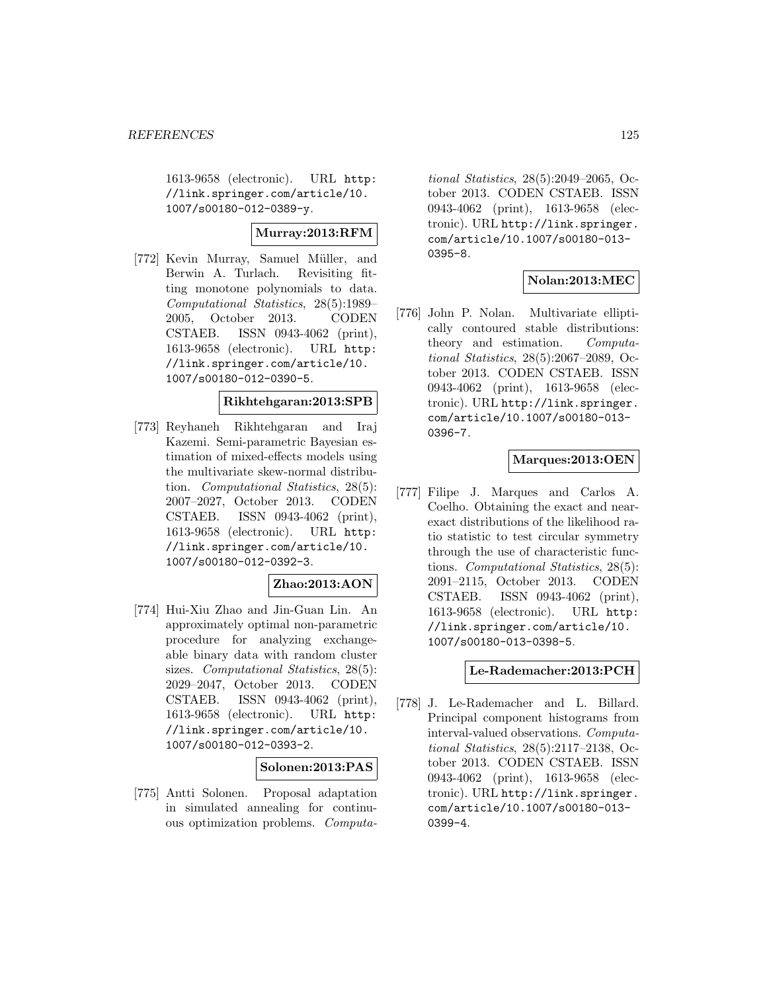1613-9658 (electronic). URL http: //link.springer.com/article/10. 1007/s00180-012-0389-y.

## **Murray:2013:RFM**

[772] Kevin Murray, Samuel Müller, and Berwin A. Turlach. Revisiting fitting monotone polynomials to data. Computational Statistics, 28(5):1989– 2005, October 2013. CODEN CSTAEB. ISSN 0943-4062 (print), 1613-9658 (electronic). URL http: //link.springer.com/article/10. 1007/s00180-012-0390-5.

#### **Rikhtehgaran:2013:SPB**

[773] Reyhaneh Rikhtehgaran and Iraj Kazemi. Semi-parametric Bayesian estimation of mixed-effects models using the multivariate skew-normal distribution. Computational Statistics, 28(5): 2007–2027, October 2013. CODEN CSTAEB. ISSN 0943-4062 (print), 1613-9658 (electronic). URL http: //link.springer.com/article/10. 1007/s00180-012-0392-3.

#### **Zhao:2013:AON**

[774] Hui-Xiu Zhao and Jin-Guan Lin. An approximately optimal non-parametric procedure for analyzing exchangeable binary data with random cluster sizes. *Computational Statistics*, 28(5): 2029–2047, October 2013. CODEN CSTAEB. ISSN 0943-4062 (print), 1613-9658 (electronic). URL http: //link.springer.com/article/10. 1007/s00180-012-0393-2.

### **Solonen:2013:PAS**

[775] Antti Solonen. Proposal adaptation in simulated annealing for continuous optimization problems. Computa-

tional Statistics, 28(5):2049–2065, October 2013. CODEN CSTAEB. ISSN 0943-4062 (print), 1613-9658 (electronic). URL http://link.springer. com/article/10.1007/s00180-013- 0395-8.

### **Nolan:2013:MEC**

[776] John P. Nolan. Multivariate elliptically contoured stable distributions: theory and estimation. Computational Statistics, 28(5):2067–2089, October 2013. CODEN CSTAEB. ISSN 0943-4062 (print), 1613-9658 (electronic). URL http://link.springer. com/article/10.1007/s00180-013- 0396-7.

# **Marques:2013:OEN**

[777] Filipe J. Marques and Carlos A. Coelho. Obtaining the exact and nearexact distributions of the likelihood ratio statistic to test circular symmetry through the use of characteristic functions. Computational Statistics, 28(5): 2091–2115, October 2013. CODEN CSTAEB. ISSN 0943-4062 (print), 1613-9658 (electronic). URL http: //link.springer.com/article/10. 1007/s00180-013-0398-5.

### **Le-Rademacher:2013:PCH**

[778] J. Le-Rademacher and L. Billard. Principal component histograms from interval-valued observations. Computational Statistics, 28(5):2117–2138, October 2013. CODEN CSTAEB. ISSN 0943-4062 (print), 1613-9658 (electronic). URL http://link.springer. com/article/10.1007/s00180-013- 0399-4.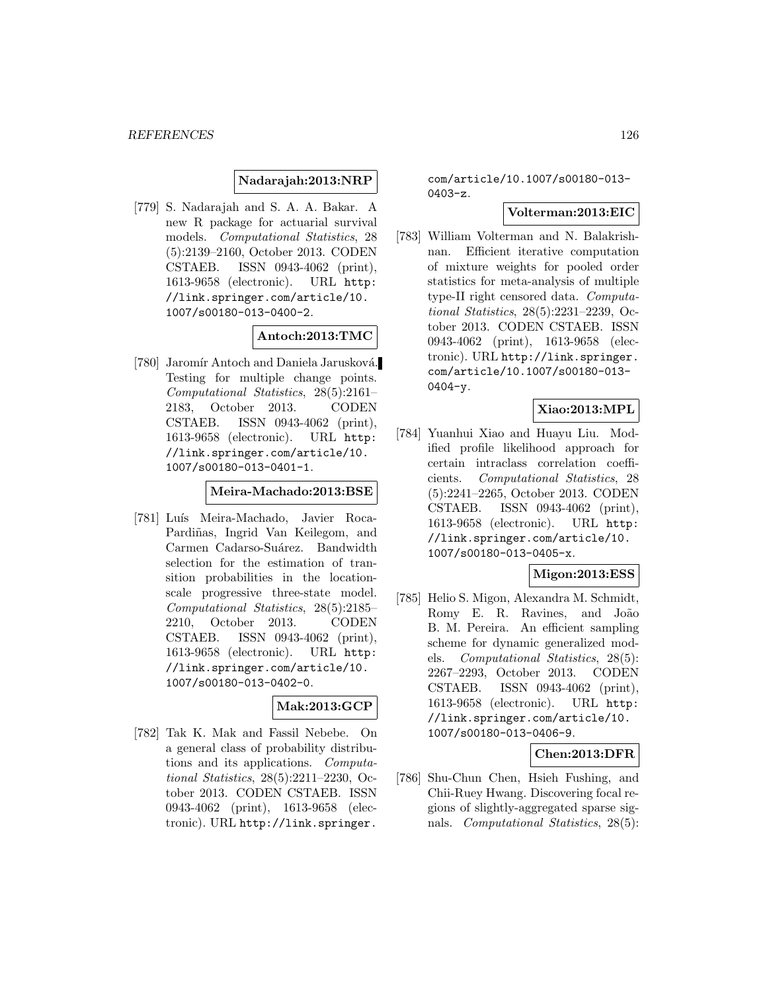### **Nadarajah:2013:NRP**

[779] S. Nadarajah and S. A. A. Bakar. A new R package for actuarial survival models. Computational Statistics, 28 (5):2139–2160, October 2013. CODEN CSTAEB. ISSN 0943-4062 (print), 1613-9658 (electronic). URL http: //link.springer.com/article/10. 1007/s00180-013-0400-2.

#### **Antoch:2013:TMC**

[780] Jaromír Antoch and Daniela Jarusková. Testing for multiple change points. Computational Statistics, 28(5):2161– 2183, October 2013. CODEN CSTAEB. ISSN 0943-4062 (print), 1613-9658 (electronic). URL http: //link.springer.com/article/10. 1007/s00180-013-0401-1.

#### **Meira-Machado:2013:BSE**

[781] Luís Meira-Machado, Javier Roca-Pardiñas, Ingrid Van Keilegom, and Carmen Cadarso-Suárez. Bandwidth selection for the estimation of transition probabilities in the locationscale progressive three-state model. Computational Statistics, 28(5):2185– 2210, October 2013. CODEN CSTAEB. ISSN 0943-4062 (print), 1613-9658 (electronic). URL http: //link.springer.com/article/10. 1007/s00180-013-0402-0.

#### **Mak:2013:GCP**

[782] Tak K. Mak and Fassil Nebebe. On a general class of probability distributions and its applications. Computational Statistics, 28(5):2211–2230, October 2013. CODEN CSTAEB. ISSN 0943-4062 (print), 1613-9658 (electronic). URL http://link.springer.

com/article/10.1007/s00180-013- 0403-z.

## **Volterman:2013:EIC**

[783] William Volterman and N. Balakrishnan. Efficient iterative computation of mixture weights for pooled order statistics for meta-analysis of multiple type-II right censored data. Computational Statistics, 28(5):2231–2239, October 2013. CODEN CSTAEB. ISSN 0943-4062 (print), 1613-9658 (electronic). URL http://link.springer. com/article/10.1007/s00180-013- 0404-y.

### **Xiao:2013:MPL**

[784] Yuanhui Xiao and Huayu Liu. Modified profile likelihood approach for certain intraclass correlation coefficients. Computational Statistics, 28 (5):2241–2265, October 2013. CODEN CSTAEB. ISSN 0943-4062 (print), 1613-9658 (electronic). URL http: //link.springer.com/article/10. 1007/s00180-013-0405-x.

### **Migon:2013:ESS**

[785] Helio S. Migon, Alexandra M. Schmidt, Romy E. R. Ravines, and João B. M. Pereira. An efficient sampling scheme for dynamic generalized models. Computational Statistics, 28(5): 2267–2293, October 2013. CODEN CSTAEB. ISSN 0943-4062 (print), 1613-9658 (electronic). URL http: //link.springer.com/article/10. 1007/s00180-013-0406-9.

#### **Chen:2013:DFR**

[786] Shu-Chun Chen, Hsieh Fushing, and Chii-Ruey Hwang. Discovering focal regions of slightly-aggregated sparse signals. Computational Statistics, 28(5):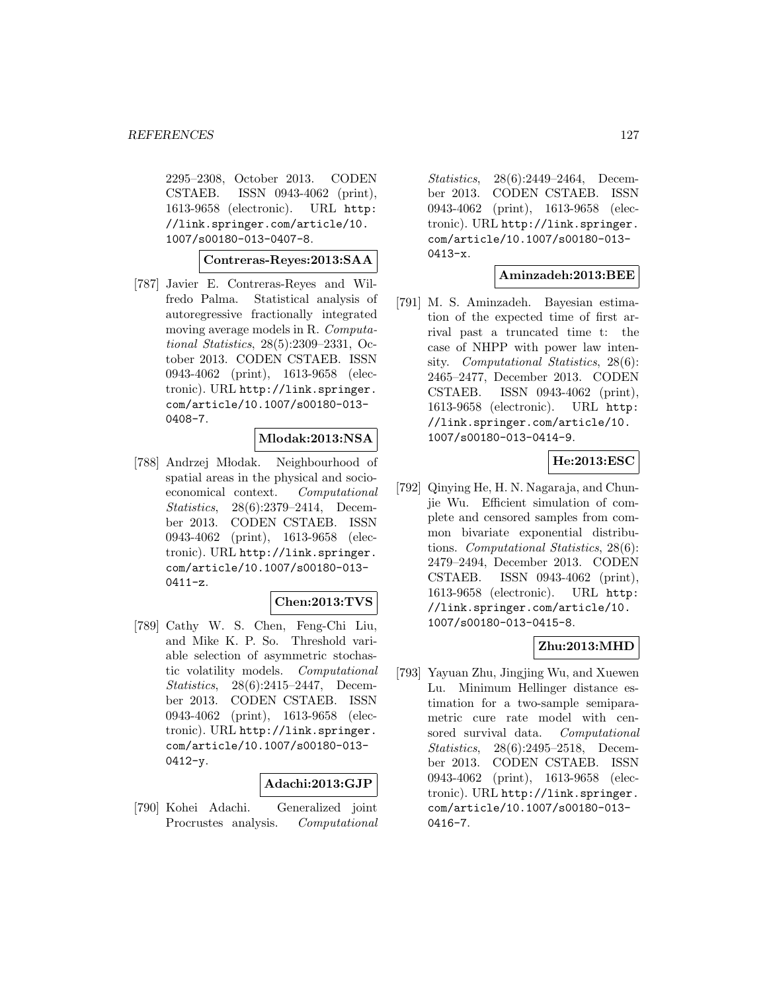2295–2308, October 2013. CODEN CSTAEB. ISSN 0943-4062 (print), 1613-9658 (electronic). URL http: //link.springer.com/article/10. 1007/s00180-013-0407-8.

#### **Contreras-Reyes:2013:SAA**

[787] Javier E. Contreras-Reyes and Wilfredo Palma. Statistical analysis of autoregressive fractionally integrated moving average models in R. Computational Statistics, 28(5):2309–2331, October 2013. CODEN CSTAEB. ISSN 0943-4062 (print), 1613-9658 (electronic). URL http://link.springer. com/article/10.1007/s00180-013- 0408-7.

#### **Mlodak:2013:NSA**

[788] Andrzej Młodak. Neighbourhood of spatial areas in the physical and socioeconomical context. Computational Statistics, 28(6):2379–2414, December 2013. CODEN CSTAEB. ISSN 0943-4062 (print), 1613-9658 (electronic). URL http://link.springer. com/article/10.1007/s00180-013-  $0411-z.$ 

#### **Chen:2013:TVS**

[789] Cathy W. S. Chen, Feng-Chi Liu, and Mike K. P. So. Threshold variable selection of asymmetric stochastic volatility models. Computational Statistics, 28(6):2415–2447, December 2013. CODEN CSTAEB. ISSN 0943-4062 (print), 1613-9658 (electronic). URL http://link.springer. com/article/10.1007/s00180-013-  $0412 - y.$ 

### **Adachi:2013:GJP**

[790] Kohei Adachi. Generalized joint Procrustes analysis. Computational

Statistics, 28(6):2449–2464, December 2013. CODEN CSTAEB. ISSN 0943-4062 (print), 1613-9658 (electronic). URL http://link.springer. com/article/10.1007/s00180-013-  $0413-x.$ 

### **Aminzadeh:2013:BEE**

[791] M. S. Aminzadeh. Bayesian estimation of the expected time of first arrival past a truncated time t: the case of NHPP with power law intensity. Computational Statistics, 28(6): 2465–2477, December 2013. CODEN CSTAEB. ISSN 0943-4062 (print), 1613-9658 (electronic). URL http: //link.springer.com/article/10. 1007/s00180-013-0414-9.

## **He:2013:ESC**

[792] Qinying He, H. N. Nagaraja, and Chunjie Wu. Efficient simulation of complete and censored samples from common bivariate exponential distributions. Computational Statistics, 28(6): 2479–2494, December 2013. CODEN CSTAEB. ISSN 0943-4062 (print), 1613-9658 (electronic). URL http: //link.springer.com/article/10. 1007/s00180-013-0415-8.

### **Zhu:2013:MHD**

[793] Yayuan Zhu, Jingjing Wu, and Xuewen Lu. Minimum Hellinger distance estimation for a two-sample semiparametric cure rate model with censored survival data. Computational Statistics, 28(6):2495–2518, December 2013. CODEN CSTAEB. ISSN 0943-4062 (print), 1613-9658 (electronic). URL http://link.springer. com/article/10.1007/s00180-013- 0416-7.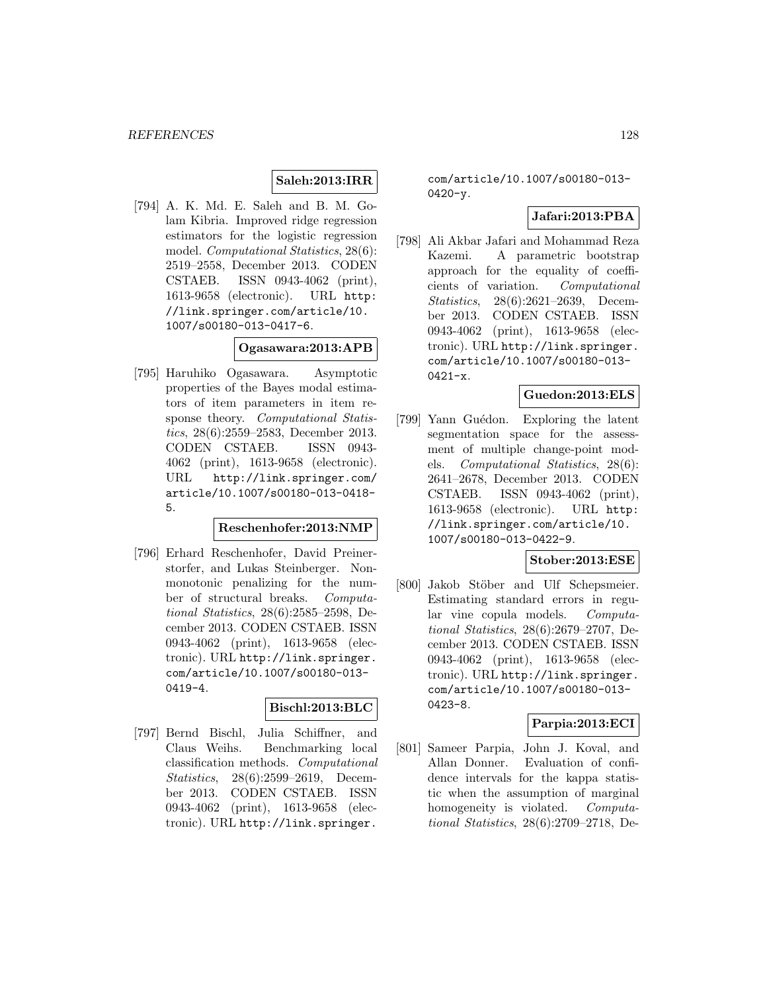## **Saleh:2013:IRR**

[794] A. K. Md. E. Saleh and B. M. Golam Kibria. Improved ridge regression estimators for the logistic regression model. *Computational Statistics*, 28(6): 2519–2558, December 2013. CODEN CSTAEB. ISSN 0943-4062 (print), 1613-9658 (electronic). URL http: //link.springer.com/article/10. 1007/s00180-013-0417-6.

# **Ogasawara:2013:APB**

[795] Haruhiko Ogasawara. Asymptotic properties of the Bayes modal estimators of item parameters in item response theory. Computational Statistics, 28(6):2559–2583, December 2013. CODEN CSTAEB. ISSN 0943- 4062 (print), 1613-9658 (electronic). URL http://link.springer.com/ article/10.1007/s00180-013-0418- 5.

#### **Reschenhofer:2013:NMP**

[796] Erhard Reschenhofer, David Preinerstorfer, and Lukas Steinberger. Nonmonotonic penalizing for the number of structural breaks. Computational Statistics, 28(6):2585–2598, December 2013. CODEN CSTAEB. ISSN 0943-4062 (print), 1613-9658 (electronic). URL http://link.springer. com/article/10.1007/s00180-013- 0419-4.

### **Bischl:2013:BLC**

[797] Bernd Bischl, Julia Schiffner, and Claus Weihs. Benchmarking local classification methods. Computational Statistics, 28(6):2599–2619, December 2013. CODEN CSTAEB. ISSN 0943-4062 (print), 1613-9658 (electronic). URL http://link.springer.

com/article/10.1007/s00180-013-  $0420 - y.$ 

### **Jafari:2013:PBA**

[798] Ali Akbar Jafari and Mohammad Reza Kazemi. A parametric bootstrap approach for the equality of coefficients of variation. Computational Statistics, 28(6):2621–2639, December 2013. CODEN CSTAEB. ISSN 0943-4062 (print), 1613-9658 (electronic). URL http://link.springer. com/article/10.1007/s00180-013-  $0421-x$ .

#### **Guedon:2013:ELS**

[799] Yann Guédon. Exploring the latent segmentation space for the assessment of multiple change-point models. Computational Statistics, 28(6): 2641–2678, December 2013. CODEN CSTAEB. ISSN 0943-4062 (print), 1613-9658 (electronic). URL http: //link.springer.com/article/10. 1007/s00180-013-0422-9.

### **Stober:2013:ESE**

[800] Jakob Stöber and Ulf Schepsmeier. Estimating standard errors in regular vine copula models. Computational Statistics, 28(6):2679–2707, December 2013. CODEN CSTAEB. ISSN 0943-4062 (print), 1613-9658 (electronic). URL http://link.springer. com/article/10.1007/s00180-013- 0423-8.

### **Parpia:2013:ECI**

[801] Sameer Parpia, John J. Koval, and Allan Donner. Evaluation of confidence intervals for the kappa statistic when the assumption of marginal homogeneity is violated. Computational Statistics, 28(6):2709–2718, De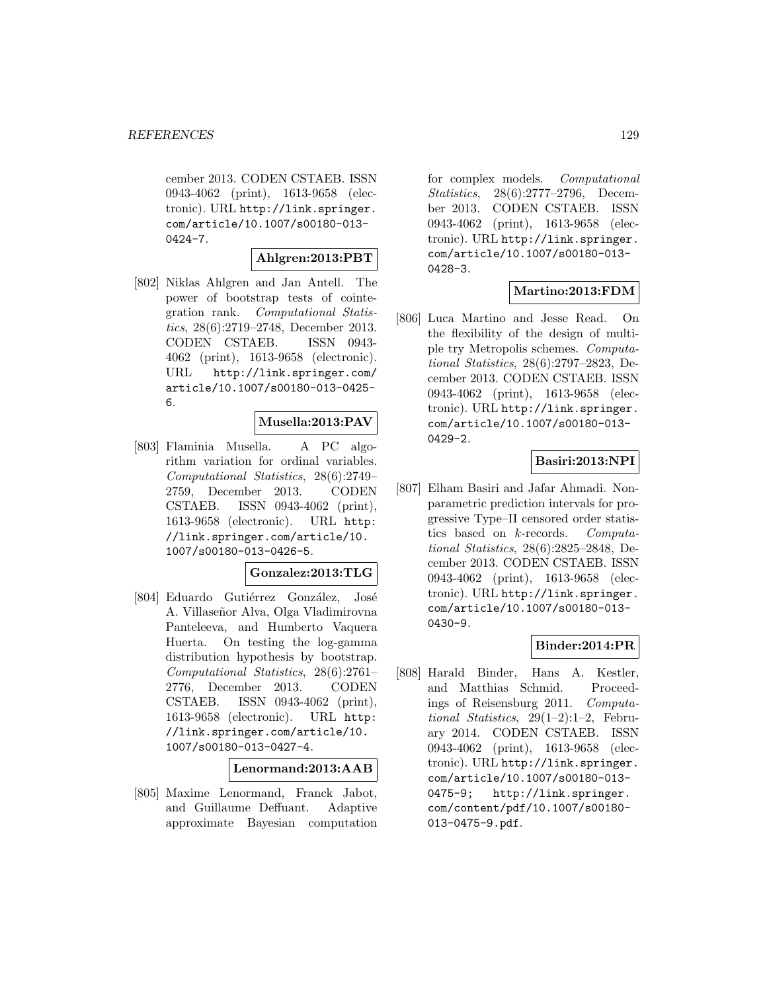cember 2013. CODEN CSTAEB. ISSN 0943-4062 (print), 1613-9658 (electronic). URL http://link.springer. com/article/10.1007/s00180-013- 0424-7.

#### **Ahlgren:2013:PBT**

[802] Niklas Ahlgren and Jan Antell. The power of bootstrap tests of cointegration rank. Computational Statistics, 28(6):2719–2748, December 2013. CODEN CSTAEB. ISSN 0943- 4062 (print), 1613-9658 (electronic). URL http://link.springer.com/ article/10.1007/s00180-013-0425- 6.

#### **Musella:2013:PAV**

[803] Flaminia Musella. A PC algorithm variation for ordinal variables. Computational Statistics, 28(6):2749– 2759, December 2013. CODEN CSTAEB. ISSN 0943-4062 (print), 1613-9658 (electronic). URL http: //link.springer.com/article/10. 1007/s00180-013-0426-5.

# **Gonzalez:2013:TLG**

[804] Eduardo Gutiérrez González, José A. Villaseñor Alva, Olga Vladimirovna Panteleeva, and Humberto Vaquera Huerta. On testing the log-gamma distribution hypothesis by bootstrap. Computational Statistics, 28(6):2761– 2776, December 2013. CODEN CSTAEB. ISSN 0943-4062 (print), 1613-9658 (electronic). URL http: //link.springer.com/article/10. 1007/s00180-013-0427-4.

#### **Lenormand:2013:AAB**

[805] Maxime Lenormand, Franck Jabot, and Guillaume Deffuant. Adaptive approximate Bayesian computation

for complex models. Computational Statistics, 28(6):2777–2796, December 2013. CODEN CSTAEB. ISSN 0943-4062 (print), 1613-9658 (electronic). URL http://link.springer. com/article/10.1007/s00180-013- 0428-3.

### **Martino:2013:FDM**

[806] Luca Martino and Jesse Read. On the flexibility of the design of multiple try Metropolis schemes. Computational Statistics, 28(6):2797–2823, December 2013. CODEN CSTAEB. ISSN 0943-4062 (print), 1613-9658 (electronic). URL http://link.springer. com/article/10.1007/s00180-013- 0429-2.

# **Basiri:2013:NPI**

[807] Elham Basiri and Jafar Ahmadi. Nonparametric prediction intervals for progressive Type–II censored order statistics based on k-records. Computational Statistics, 28(6):2825–2848, December 2013. CODEN CSTAEB. ISSN 0943-4062 (print), 1613-9658 (electronic). URL http://link.springer. com/article/10.1007/s00180-013- 0430-9.

### **Binder:2014:PR**

[808] Harald Binder, Hans A. Kestler, and Matthias Schmid. Proceedings of Reisensburg 2011. Computational Statistics, 29(1–2):1–2, February 2014. CODEN CSTAEB. ISSN 0943-4062 (print), 1613-9658 (electronic). URL http://link.springer. com/article/10.1007/s00180-013- 0475-9; http://link.springer. com/content/pdf/10.1007/s00180- 013-0475-9.pdf.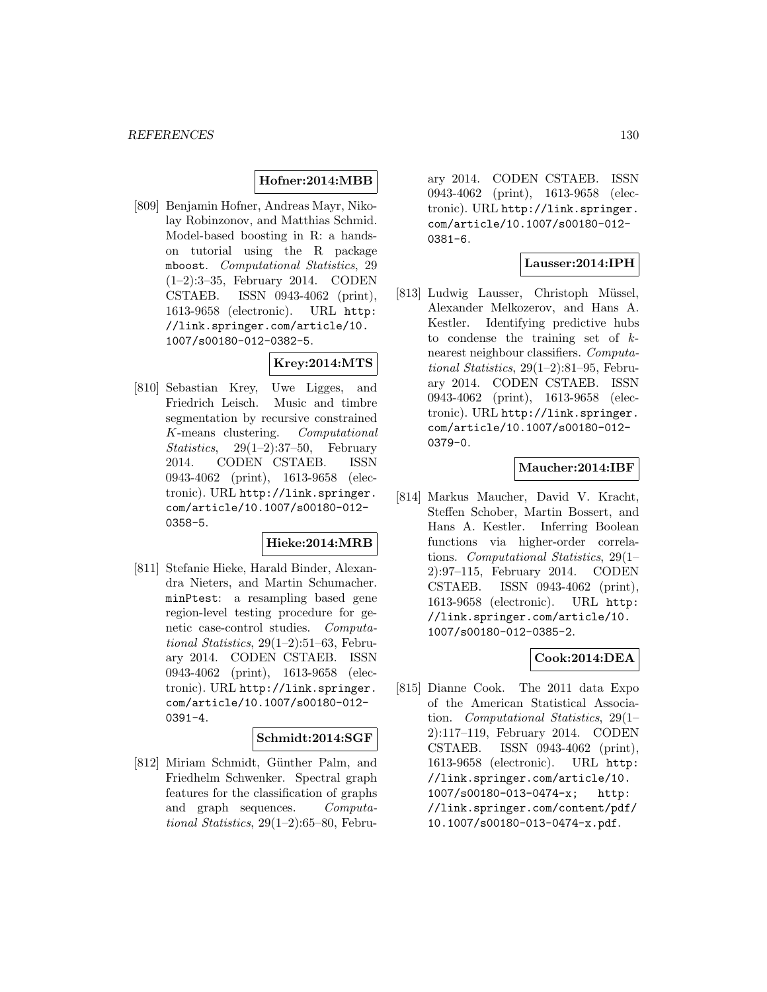#### **Hofner:2014:MBB**

[809] Benjamin Hofner, Andreas Mayr, Nikolay Robinzonov, and Matthias Schmid. Model-based boosting in R: a handson tutorial using the R package mboost. Computational Statistics, 29 (1–2):3–35, February 2014. CODEN CSTAEB. ISSN 0943-4062 (print), 1613-9658 (electronic). URL http: //link.springer.com/article/10. 1007/s00180-012-0382-5.

### **Krey:2014:MTS**

[810] Sebastian Krey, Uwe Ligges, and Friedrich Leisch. Music and timbre segmentation by recursive constrained K-means clustering. Computational Statistics,  $29(1-2):37-50$ , February 2014. CODEN CSTAEB. ISSN 0943-4062 (print), 1613-9658 (electronic). URL http://link.springer. com/article/10.1007/s00180-012- 0358-5.

#### **Hieke:2014:MRB**

[811] Stefanie Hieke, Harald Binder, Alexandra Nieters, and Martin Schumacher. minPtest: a resampling based gene region-level testing procedure for genetic case-control studies. Computational Statistics, 29(1–2):51–63, February 2014. CODEN CSTAEB. ISSN 0943-4062 (print), 1613-9658 (electronic). URL http://link.springer. com/article/10.1007/s00180-012- 0391-4.

#### **Schmidt:2014:SGF**

[812] Miriam Schmidt, Günther Palm, and Friedhelm Schwenker. Spectral graph features for the classification of graphs and graph sequences. Computational Statistics, 29(1–2):65–80, Febru-

ary 2014. CODEN CSTAEB. ISSN 0943-4062 (print), 1613-9658 (electronic). URL http://link.springer. com/article/10.1007/s00180-012- 0381-6.

### **Lausser:2014:IPH**

[813] Ludwig Lausser, Christoph Müssel, Alexander Melkozerov, and Hans A. Kestler. Identifying predictive hubs to condense the training set of  $k$ nearest neighbour classifiers. Computational Statistics, 29(1–2):81–95, February 2014. CODEN CSTAEB. ISSN 0943-4062 (print), 1613-9658 (electronic). URL http://link.springer. com/article/10.1007/s00180-012- 0379-0.

### **Maucher:2014:IBF**

[814] Markus Maucher, David V. Kracht, Steffen Schober, Martin Bossert, and Hans A. Kestler. Inferring Boolean functions via higher-order correlations. Computational Statistics, 29(1– 2):97–115, February 2014. CODEN CSTAEB. ISSN 0943-4062 (print), 1613-9658 (electronic). URL http: //link.springer.com/article/10. 1007/s00180-012-0385-2.

### **Cook:2014:DEA**

[815] Dianne Cook. The 2011 data Expo of the American Statistical Association. Computational Statistics, 29(1– 2):117–119, February 2014. CODEN CSTAEB. ISSN 0943-4062 (print), 1613-9658 (electronic). URL http: //link.springer.com/article/10. 1007/s00180-013-0474-x; http: //link.springer.com/content/pdf/ 10.1007/s00180-013-0474-x.pdf.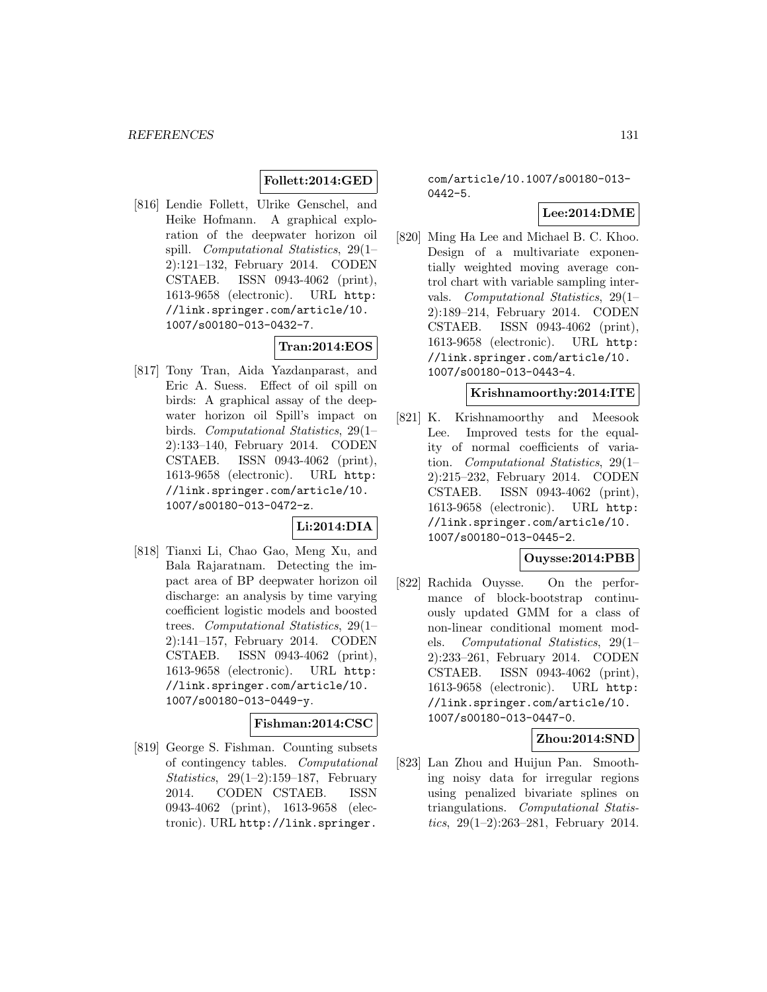# **Follett:2014:GED**

[816] Lendie Follett, Ulrike Genschel, and Heike Hofmann. A graphical exploration of the deepwater horizon oil spill. Computational Statistics, 29(1– 2):121–132, February 2014. CODEN CSTAEB. ISSN 0943-4062 (print), 1613-9658 (electronic). URL http: //link.springer.com/article/10. 1007/s00180-013-0432-7.

## **Tran:2014:EOS**

[817] Tony Tran, Aida Yazdanparast, and Eric A. Suess. Effect of oil spill on birds: A graphical assay of the deepwater horizon oil Spill's impact on birds. Computational Statistics, 29(1– 2):133–140, February 2014. CODEN CSTAEB. ISSN 0943-4062 (print), 1613-9658 (electronic). URL http: //link.springer.com/article/10. 1007/s00180-013-0472-z.

## **Li:2014:DIA**

[818] Tianxi Li, Chao Gao, Meng Xu, and Bala Rajaratnam. Detecting the impact area of BP deepwater horizon oil discharge: an analysis by time varying coefficient logistic models and boosted trees. Computational Statistics, 29(1– 2):141–157, February 2014. CODEN CSTAEB. ISSN 0943-4062 (print), 1613-9658 (electronic). URL http: //link.springer.com/article/10. 1007/s00180-013-0449-y.

# **Fishman:2014:CSC**

[819] George S. Fishman. Counting subsets of contingency tables. Computational Statistics, 29(1–2):159–187, February 2014. CODEN CSTAEB. ISSN 0943-4062 (print), 1613-9658 (electronic). URL http://link.springer.

com/article/10.1007/s00180-013- 0442-5.

# **Lee:2014:DME**

[820] Ming Ha Lee and Michael B. C. Khoo. Design of a multivariate exponentially weighted moving average control chart with variable sampling intervals. Computational Statistics, 29(1– 2):189–214, February 2014. CODEN CSTAEB. ISSN 0943-4062 (print), 1613-9658 (electronic). URL http: //link.springer.com/article/10. 1007/s00180-013-0443-4.

### **Krishnamoorthy:2014:ITE**

[821] K. Krishnamoorthy and Meesook Lee. Improved tests for the equality of normal coefficients of variation. Computational Statistics, 29(1– 2):215–232, February 2014. CODEN CSTAEB. ISSN 0943-4062 (print), 1613-9658 (electronic). URL http: //link.springer.com/article/10. 1007/s00180-013-0445-2.

### **Ouysse:2014:PBB**

[822] Rachida Ouysse. On the performance of block-bootstrap continuously updated GMM for a class of non-linear conditional moment models. Computational Statistics, 29(1– 2):233–261, February 2014. CODEN CSTAEB. ISSN 0943-4062 (print), 1613-9658 (electronic). URL http: //link.springer.com/article/10. 1007/s00180-013-0447-0.

### **Zhou:2014:SND**

[823] Lan Zhou and Huijun Pan. Smoothing noisy data for irregular regions using penalized bivariate splines on triangulations. Computational Statistics, 29(1–2):263–281, February 2014.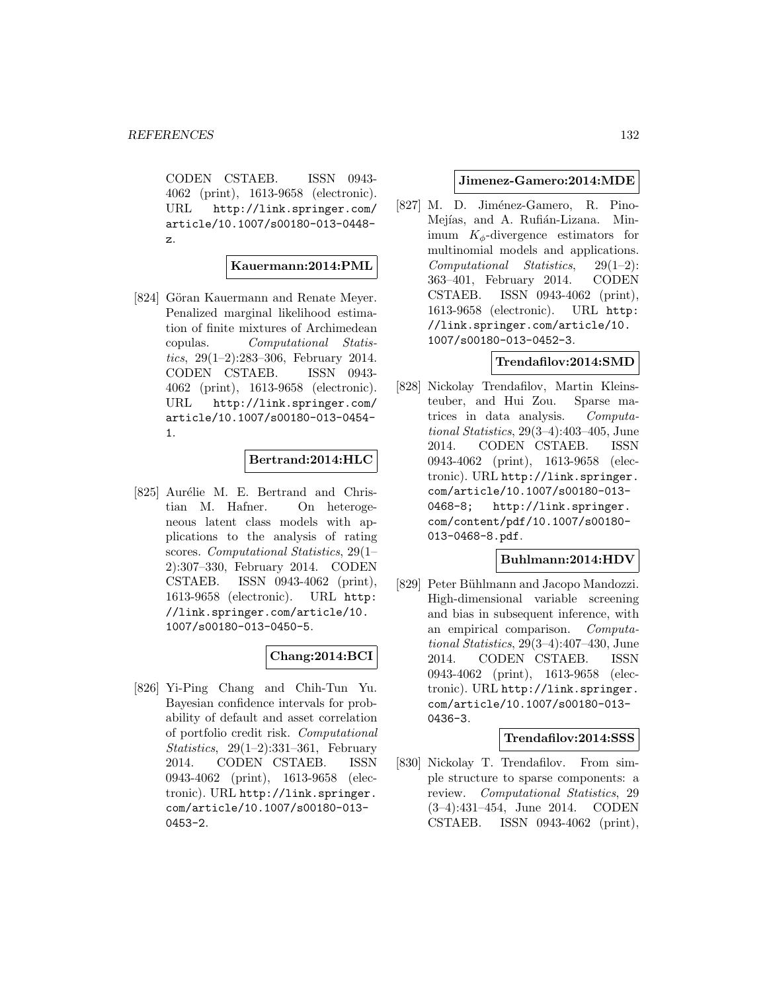CODEN CSTAEB. ISSN 0943- 4062 (print), 1613-9658 (electronic). URL http://link.springer.com/ article/10.1007/s00180-013-0448 z.

### **Kauermann:2014:PML**

[824] Göran Kauermann and Renate Meyer. Penalized marginal likelihood estimation of finite mixtures of Archimedean copulas. Computational Statistics,  $29(1-2):283-306$ , February 2014. CODEN CSTAEB. ISSN 0943- 4062 (print), 1613-9658 (electronic). URL http://link.springer.com/ article/10.1007/s00180-013-0454- 1.

### **Bertrand:2014:HLC**

[825] Aurélie M. E. Bertrand and Christian M. Hafner. On heterogeneous latent class models with applications to the analysis of rating scores. Computational Statistics, 29(1– 2):307–330, February 2014. CODEN CSTAEB. ISSN 0943-4062 (print), 1613-9658 (electronic). URL http: //link.springer.com/article/10. 1007/s00180-013-0450-5.

## **Chang:2014:BCI**

[826] Yi-Ping Chang and Chih-Tun Yu. Bayesian confidence intervals for probability of default and asset correlation of portfolio credit risk. Computational Statistics, 29(1–2):331–361, February 2014. CODEN CSTAEB. ISSN 0943-4062 (print), 1613-9658 (electronic). URL http://link.springer. com/article/10.1007/s00180-013- 0453-2.

#### **Jimenez-Gamero:2014:MDE**

[827] M. D. Jiménez-Gamero, R. Pino-Mejías, and A. Rufián-Lizana. Minimum  $K_{\phi}$ -divergence estimators for multinomial models and applications. Computational Statistics, 29(1–2): 363–401, February 2014. CODEN CSTAEB. ISSN 0943-4062 (print), 1613-9658 (electronic). URL http: //link.springer.com/article/10. 1007/s00180-013-0452-3.

### **Trendafilov:2014:SMD**

[828] Nickolay Trendafilov, Martin Kleinsteuber, and Hui Zou. Sparse matrices in data analysis. Computational Statistics, 29(3–4):403–405, June 2014. CODEN CSTAEB. ISSN 0943-4062 (print), 1613-9658 (electronic). URL http://link.springer. com/article/10.1007/s00180-013- 0468-8; http://link.springer. com/content/pdf/10.1007/s00180- 013-0468-8.pdf.

## **Buhlmann:2014:HDV**

[829] Peter Bühlmann and Jacopo Mandozzi. High-dimensional variable screening and bias in subsequent inference, with an empirical comparison. Computational Statistics, 29(3–4):407–430, June 2014. CODEN CSTAEB. ISSN 0943-4062 (print), 1613-9658 (electronic). URL http://link.springer. com/article/10.1007/s00180-013- 0436-3.

#### **Trendafilov:2014:SSS**

[830] Nickolay T. Trendafilov. From simple structure to sparse components: a review. Computational Statistics, 29 (3–4):431–454, June 2014. CODEN CSTAEB. ISSN 0943-4062 (print),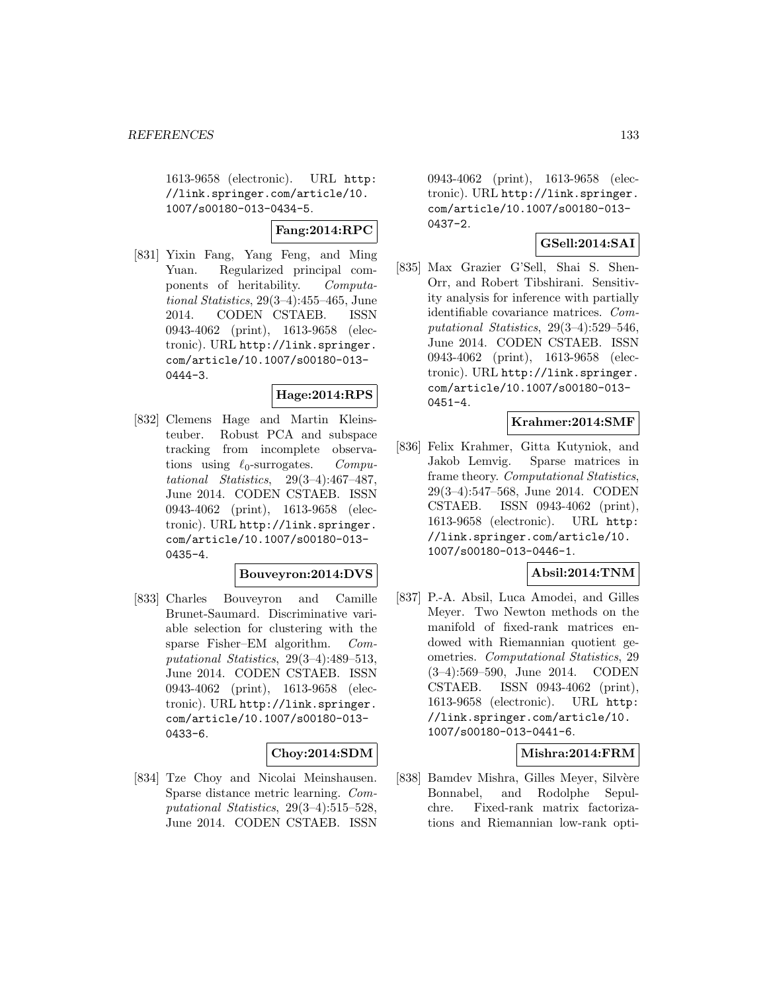1613-9658 (electronic). URL http: //link.springer.com/article/10. 1007/s00180-013-0434-5.

### **Fang:2014:RPC**

[831] Yixin Fang, Yang Feng, and Ming Yuan. Regularized principal components of heritability. Computational Statistics, 29(3–4):455–465, June 2014. CODEN CSTAEB. ISSN 0943-4062 (print), 1613-9658 (electronic). URL http://link.springer. com/article/10.1007/s00180-013- 0444-3.

## **Hage:2014:RPS**

[832] Clemens Hage and Martin Kleinsteuber. Robust PCA and subspace tracking from incomplete observations using  $\ell_0$ -surrogates. Computational Statistics, 29(3–4):467–487, June 2014. CODEN CSTAEB. ISSN 0943-4062 (print), 1613-9658 (electronic). URL http://link.springer. com/article/10.1007/s00180-013- 0435-4.

#### **Bouveyron:2014:DVS**

[833] Charles Bouveyron and Camille Brunet-Saumard. Discriminative variable selection for clustering with the sparse Fisher–EM algorithm. Computational Statistics, 29(3–4):489–513, June 2014. CODEN CSTAEB. ISSN 0943-4062 (print), 1613-9658 (electronic). URL http://link.springer. com/article/10.1007/s00180-013- 0433-6.

#### **Choy:2014:SDM**

[834] Tze Choy and Nicolai Meinshausen. Sparse distance metric learning. Computational Statistics, 29(3–4):515–528, June 2014. CODEN CSTAEB. ISSN

0943-4062 (print), 1613-9658 (electronic). URL http://link.springer. com/article/10.1007/s00180-013- 0437-2.

### **GSell:2014:SAI**

[835] Max Grazier G'Sell, Shai S. Shen-Orr, and Robert Tibshirani. Sensitivity analysis for inference with partially identifiable covariance matrices. Computational Statistics, 29(3–4):529–546, June 2014. CODEN CSTAEB. ISSN 0943-4062 (print), 1613-9658 (electronic). URL http://link.springer. com/article/10.1007/s00180-013- 0451-4.

#### **Krahmer:2014:SMF**

[836] Felix Krahmer, Gitta Kutyniok, and Jakob Lemvig. Sparse matrices in frame theory. Computational Statistics, 29(3–4):547–568, June 2014. CODEN CSTAEB. ISSN 0943-4062 (print), 1613-9658 (electronic). URL http: //link.springer.com/article/10. 1007/s00180-013-0446-1.

### **Absil:2014:TNM**

[837] P.-A. Absil, Luca Amodei, and Gilles Meyer. Two Newton methods on the manifold of fixed-rank matrices endowed with Riemannian quotient geometries. Computational Statistics, 29 (3–4):569–590, June 2014. CODEN CSTAEB. ISSN 0943-4062 (print), 1613-9658 (electronic). URL http: //link.springer.com/article/10. 1007/s00180-013-0441-6.

### **Mishra:2014:FRM**

[838] Bamdev Mishra, Gilles Meyer, Silvère Bonnabel, and Rodolphe Sepulchre. Fixed-rank matrix factorizations and Riemannian low-rank opti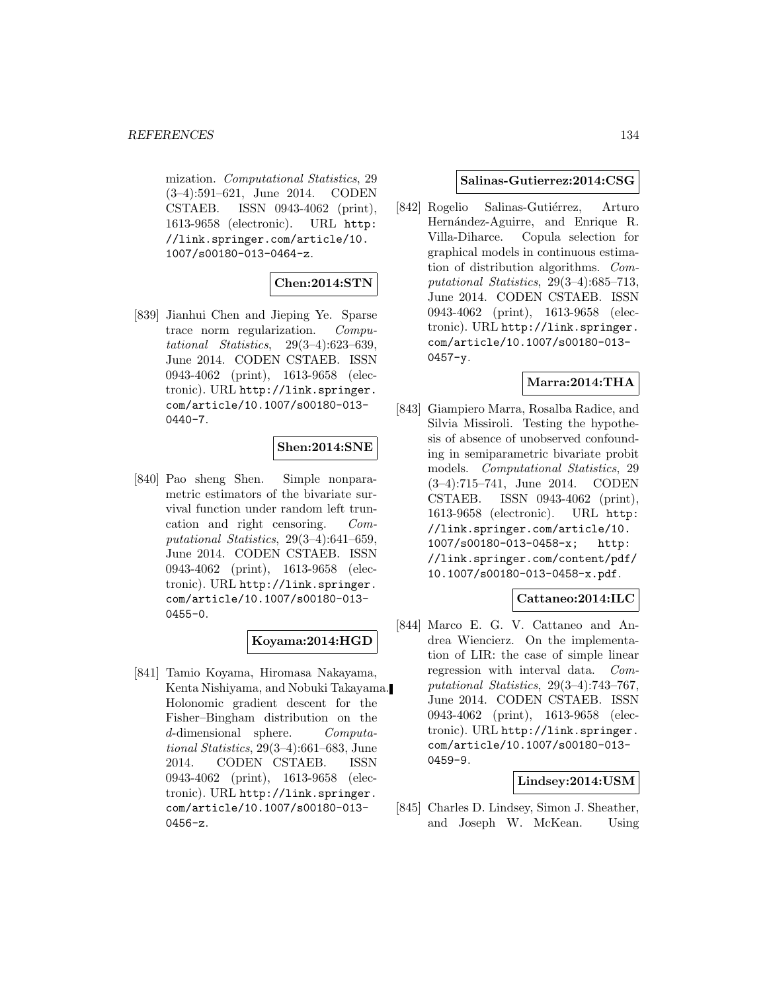mization. Computational Statistics, 29 (3–4):591–621, June 2014. CODEN CSTAEB. ISSN 0943-4062 (print), 1613-9658 (electronic). URL http: //link.springer.com/article/10. 1007/s00180-013-0464-z.

## **Chen:2014:STN**

[839] Jianhui Chen and Jieping Ye. Sparse trace norm regularization. Computational Statistics, 29(3–4):623–639, June 2014. CODEN CSTAEB. ISSN 0943-4062 (print), 1613-9658 (electronic). URL http://link.springer. com/article/10.1007/s00180-013- 0440-7.

### **Shen:2014:SNE**

[840] Pao sheng Shen. Simple nonparametric estimators of the bivariate survival function under random left truncation and right censoring. Computational Statistics, 29(3–4):641–659, June 2014. CODEN CSTAEB. ISSN 0943-4062 (print), 1613-9658 (electronic). URL http://link.springer. com/article/10.1007/s00180-013- 0455-0.

### **Koyama:2014:HGD**

[841] Tamio Koyama, Hiromasa Nakayama, Kenta Nishiyama, and Nobuki Takayama. Holonomic gradient descent for the Fisher–Bingham distribution on the d-dimensional sphere. Computational Statistics, 29(3–4):661–683, June 2014. CODEN CSTAEB. ISSN 0943-4062 (print), 1613-9658 (electronic). URL http://link.springer. com/article/10.1007/s00180-013- 0456-z.

### **Salinas-Gutierrez:2014:CSG**

[842] Rogelio Salinas-Gutiérrez, Arturo Hernández-Aguirre, and Enrique R. Villa-Diharce. Copula selection for graphical models in continuous estimation of distribution algorithms. Computational Statistics, 29(3–4):685–713, June 2014. CODEN CSTAEB. ISSN 0943-4062 (print), 1613-9658 (electronic). URL http://link.springer. com/article/10.1007/s00180-013- 0457-y.

## **Marra:2014:THA**

[843] Giampiero Marra, Rosalba Radice, and Silvia Missiroli. Testing the hypothesis of absence of unobserved confounding in semiparametric bivariate probit models. Computational Statistics, 29 (3–4):715–741, June 2014. CODEN CSTAEB. ISSN 0943-4062 (print), 1613-9658 (electronic). URL http: //link.springer.com/article/10. 1007/s00180-013-0458-x; http: //link.springer.com/content/pdf/ 10.1007/s00180-013-0458-x.pdf.

### **Cattaneo:2014:ILC**

[844] Marco E. G. V. Cattaneo and Andrea Wiencierz. On the implementation of LIR: the case of simple linear regression with interval data. Computational Statistics, 29(3–4):743–767, June 2014. CODEN CSTAEB. ISSN 0943-4062 (print), 1613-9658 (electronic). URL http://link.springer. com/article/10.1007/s00180-013- 0459-9.

#### **Lindsey:2014:USM**

[845] Charles D. Lindsey, Simon J. Sheather, and Joseph W. McKean. Using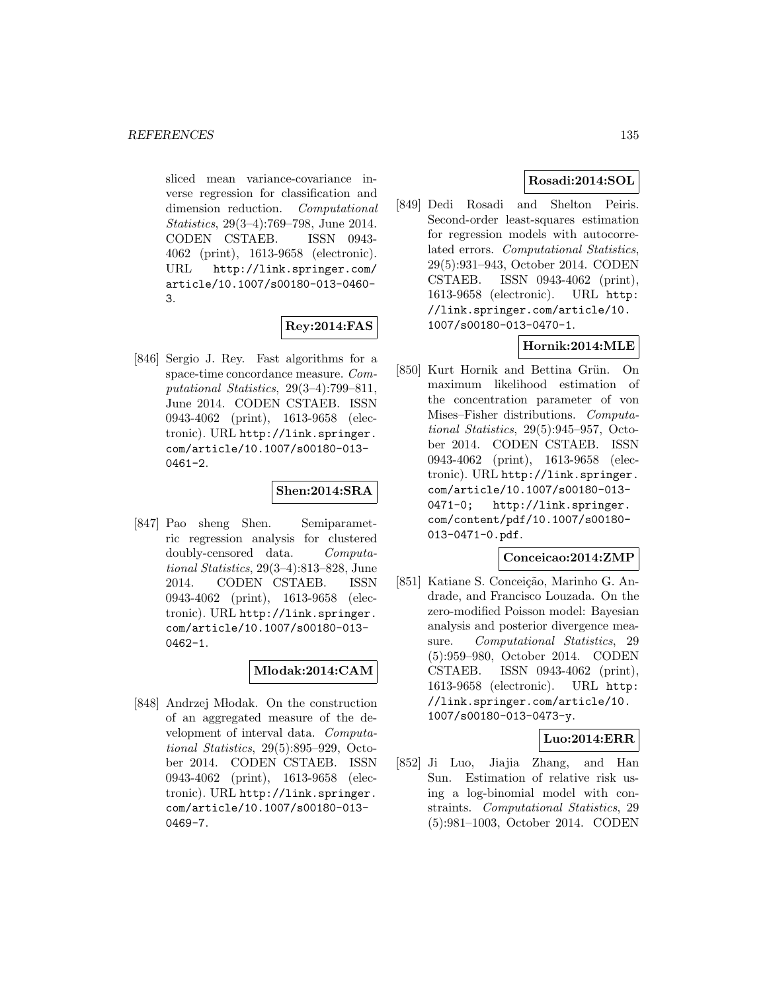sliced mean variance-covariance inverse regression for classification and dimension reduction. Computational Statistics, 29(3–4):769–798, June 2014. CODEN CSTAEB. ISSN 0943- 4062 (print), 1613-9658 (electronic). URL http://link.springer.com/ article/10.1007/s00180-013-0460- 3.

# **Rey:2014:FAS**

[846] Sergio J. Rey. Fast algorithms for a space-time concordance measure. Computational Statistics, 29(3–4):799–811, June 2014. CODEN CSTAEB. ISSN 0943-4062 (print), 1613-9658 (electronic). URL http://link.springer. com/article/10.1007/s00180-013- 0461-2.

# **Shen:2014:SRA**

[847] Pao sheng Shen. Semiparametric regression analysis for clustered doubly-censored data. Computational Statistics, 29(3–4):813–828, June 2014. CODEN CSTAEB. ISSN 0943-4062 (print), 1613-9658 (electronic). URL http://link.springer. com/article/10.1007/s00180-013- 0462-1.

### **Mlodak:2014:CAM**

[848] Andrzej Młodak. On the construction of an aggregated measure of the development of interval data. Computational Statistics, 29(5):895–929, October 2014. CODEN CSTAEB. ISSN 0943-4062 (print), 1613-9658 (electronic). URL http://link.springer. com/article/10.1007/s00180-013- 0469-7.

## **Rosadi:2014:SOL**

[849] Dedi Rosadi and Shelton Peiris. Second-order least-squares estimation for regression models with autocorrelated errors. Computational Statistics, 29(5):931–943, October 2014. CODEN CSTAEB. ISSN 0943-4062 (print), 1613-9658 (electronic). URL http: //link.springer.com/article/10. 1007/s00180-013-0470-1.

# **Hornik:2014:MLE**

[850] Kurt Hornik and Bettina Grün. On maximum likelihood estimation of the concentration parameter of von Mises–Fisher distributions. Computational Statistics, 29(5):945–957, October 2014. CODEN CSTAEB. ISSN 0943-4062 (print), 1613-9658 (electronic). URL http://link.springer. com/article/10.1007/s00180-013- 0471-0; http://link.springer. com/content/pdf/10.1007/s00180- 013-0471-0.pdf.

## **Conceicao:2014:ZMP**

[851] Katiane S. Conceição, Marinho G. Andrade, and Francisco Louzada. On the zero-modified Poisson model: Bayesian analysis and posterior divergence measure. Computational Statistics, 29 (5):959–980, October 2014. CODEN CSTAEB. ISSN 0943-4062 (print), 1613-9658 (electronic). URL http: //link.springer.com/article/10. 1007/s00180-013-0473-y.

## **Luo:2014:ERR**

[852] Ji Luo, Jiajia Zhang, and Han Sun. Estimation of relative risk using a log-binomial model with constraints. Computational Statistics, 29 (5):981–1003, October 2014. CODEN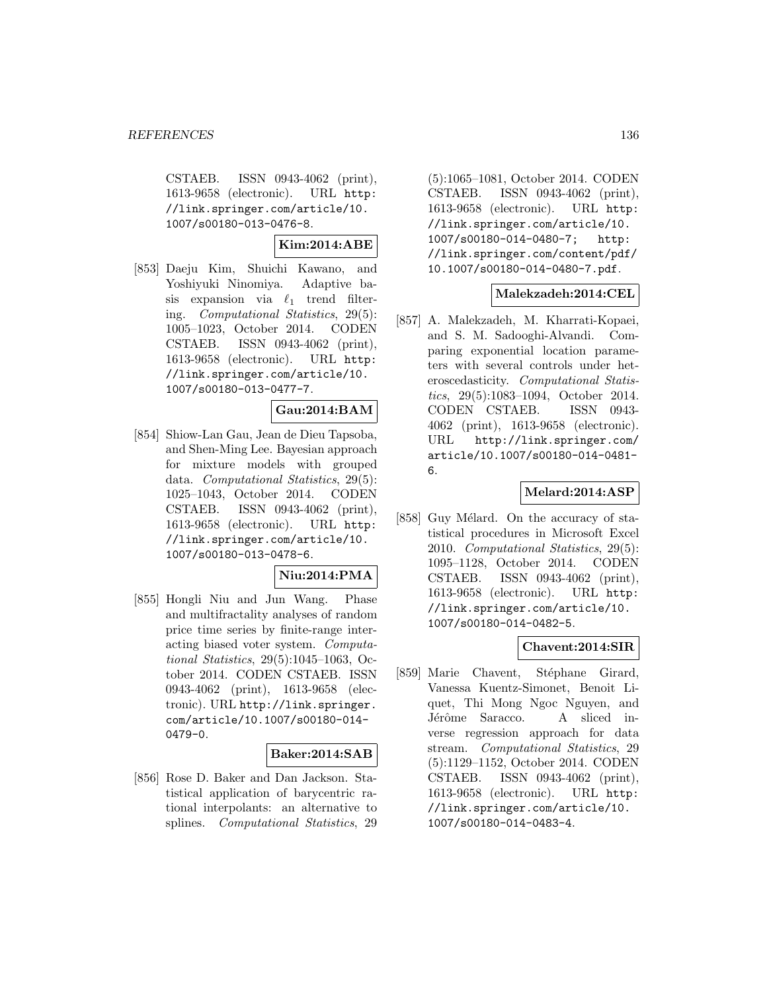CSTAEB. ISSN 0943-4062 (print), 1613-9658 (electronic). URL http: //link.springer.com/article/10. 1007/s00180-013-0476-8.

**Kim:2014:ABE**

[853] Daeju Kim, Shuichi Kawano, and Yoshiyuki Ninomiya. Adaptive basis expansion via  $\ell_1$  trend filtering. Computational Statistics, 29(5): 1005–1023, October 2014. CODEN CSTAEB. ISSN 0943-4062 (print), 1613-9658 (electronic). URL http: //link.springer.com/article/10. 1007/s00180-013-0477-7.

### **Gau:2014:BAM**

[854] Shiow-Lan Gau, Jean de Dieu Tapsoba, and Shen-Ming Lee. Bayesian approach for mixture models with grouped data. Computational Statistics, 29(5): 1025–1043, October 2014. CODEN CSTAEB. ISSN 0943-4062 (print), 1613-9658 (electronic). URL http: //link.springer.com/article/10. 1007/s00180-013-0478-6.

### **Niu:2014:PMA**

[855] Hongli Niu and Jun Wang. Phase and multifractality analyses of random price time series by finite-range interacting biased voter system. Computational Statistics, 29(5):1045–1063, October 2014. CODEN CSTAEB. ISSN 0943-4062 (print), 1613-9658 (electronic). URL http://link.springer. com/article/10.1007/s00180-014- 0479-0.

#### **Baker:2014:SAB**

[856] Rose D. Baker and Dan Jackson. Statistical application of barycentric rational interpolants: an alternative to splines. Computational Statistics, 29 (5):1065–1081, October 2014. CODEN CSTAEB. ISSN 0943-4062 (print), 1613-9658 (electronic). URL http: //link.springer.com/article/10. 1007/s00180-014-0480-7; http: //link.springer.com/content/pdf/ 10.1007/s00180-014-0480-7.pdf.

### **Malekzadeh:2014:CEL**

[857] A. Malekzadeh, M. Kharrati-Kopaei, and S. M. Sadooghi-Alvandi. Comparing exponential location parameters with several controls under heteroscedasticity. Computational Statistics, 29(5):1083–1094, October 2014. CODEN CSTAEB. ISSN 0943- 4062 (print), 1613-9658 (electronic). URL http://link.springer.com/ article/10.1007/s00180-014-0481- 6.

### **Melard:2014:ASP**

[858] Guy Mélard. On the accuracy of statistical procedures in Microsoft Excel 2010. Computational Statistics, 29(5): 1095–1128, October 2014. CODEN CSTAEB. ISSN 0943-4062 (print), 1613-9658 (electronic). URL http: //link.springer.com/article/10. 1007/s00180-014-0482-5.

### **Chavent:2014:SIR**

[859] Marie Chavent, Stéphane Girard, Vanessa Kuentz-Simonet, Benoit Liquet, Thi Mong Ngoc Nguyen, and Jérôme Saracco. A sliced inverse regression approach for data stream. Computational Statistics, 29 (5):1129–1152, October 2014. CODEN CSTAEB. ISSN 0943-4062 (print), 1613-9658 (electronic). URL http: //link.springer.com/article/10. 1007/s00180-014-0483-4.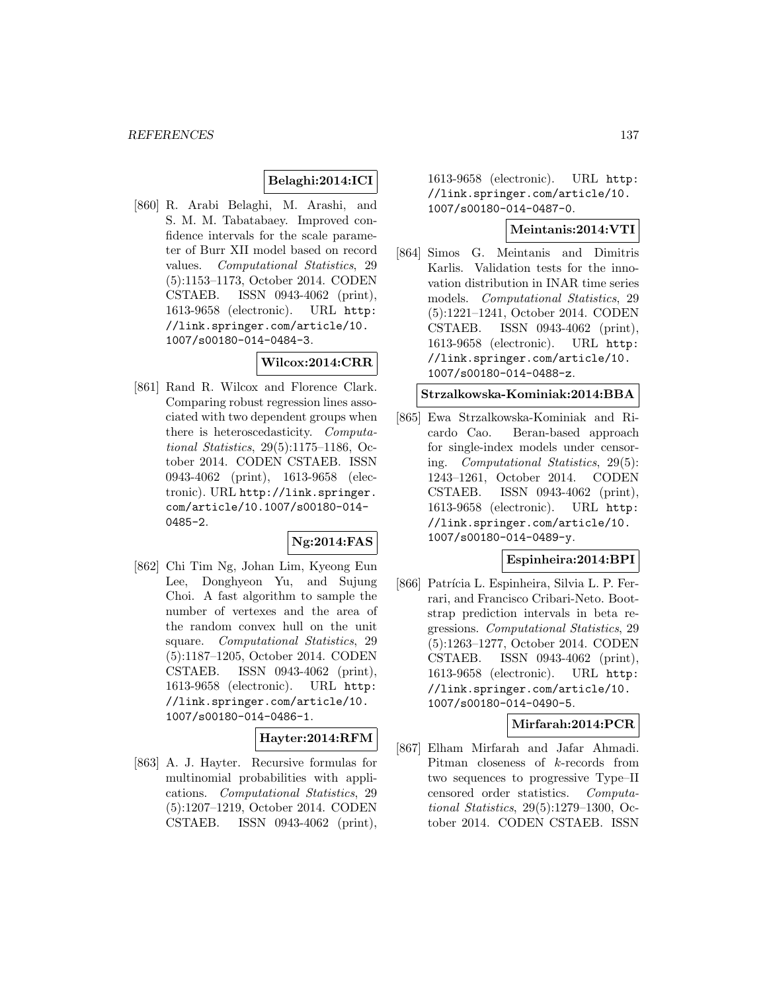## **Belaghi:2014:ICI**

[860] R. Arabi Belaghi, M. Arashi, and S. M. M. Tabatabaey. Improved confidence intervals for the scale parameter of Burr XII model based on record values. Computational Statistics, 29 (5):1153–1173, October 2014. CODEN CSTAEB. ISSN 0943-4062 (print), 1613-9658 (electronic). URL http: //link.springer.com/article/10. 1007/s00180-014-0484-3.

### **Wilcox:2014:CRR**

[861] Rand R. Wilcox and Florence Clark. Comparing robust regression lines associated with two dependent groups when there is heteroscedasticity. Computational Statistics, 29(5):1175–1186, October 2014. CODEN CSTAEB. ISSN 0943-4062 (print), 1613-9658 (electronic). URL http://link.springer. com/article/10.1007/s00180-014- 0485-2.

### **Ng:2014:FAS**

[862] Chi Tim Ng, Johan Lim, Kyeong Eun Lee, Donghyeon Yu, and Sujung Choi. A fast algorithm to sample the number of vertexes and the area of the random convex hull on the unit square. Computational Statistics, 29 (5):1187–1205, October 2014. CODEN CSTAEB. ISSN 0943-4062 (print), 1613-9658 (electronic). URL http: //link.springer.com/article/10. 1007/s00180-014-0486-1.

### **Hayter:2014:RFM**

[863] A. J. Hayter. Recursive formulas for multinomial probabilities with applications. Computational Statistics, 29 (5):1207–1219, October 2014. CODEN CSTAEB. ISSN 0943-4062 (print),

1613-9658 (electronic). URL http: //link.springer.com/article/10. 1007/s00180-014-0487-0.

### **Meintanis:2014:VTI**

[864] Simos G. Meintanis and Dimitris Karlis. Validation tests for the innovation distribution in INAR time series models. Computational Statistics, 29 (5):1221–1241, October 2014. CODEN CSTAEB. ISSN 0943-4062 (print), 1613-9658 (electronic). URL http: //link.springer.com/article/10. 1007/s00180-014-0488-z.

### **Strzalkowska-Kominiak:2014:BBA**

[865] Ewa Strzalkowska-Kominiak and Ricardo Cao. Beran-based approach for single-index models under censoring. Computational Statistics, 29(5): 1243–1261, October 2014. CODEN CSTAEB. ISSN 0943-4062 (print), 1613-9658 (electronic). URL http: //link.springer.com/article/10. 1007/s00180-014-0489-y.

### **Espinheira:2014:BPI**

[866] Patrícia L. Espinheira, Silvia L. P. Ferrari, and Francisco Cribari-Neto. Bootstrap prediction intervals in beta regressions. Computational Statistics, 29 (5):1263–1277, October 2014. CODEN CSTAEB. ISSN 0943-4062 (print), 1613-9658 (electronic). URL http: //link.springer.com/article/10. 1007/s00180-014-0490-5.

## **Mirfarah:2014:PCR**

[867] Elham Mirfarah and Jafar Ahmadi. Pitman closeness of k-records from two sequences to progressive Type–II censored order statistics. Computational Statistics, 29(5):1279–1300, October 2014. CODEN CSTAEB. ISSN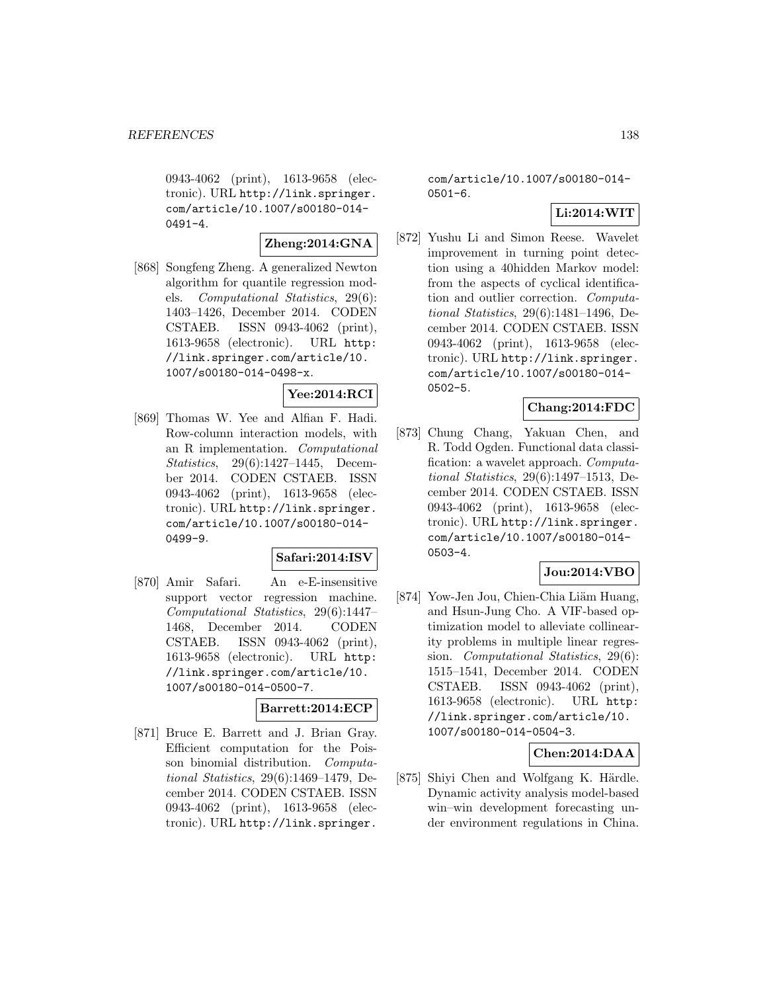0943-4062 (print), 1613-9658 (electronic). URL http://link.springer. com/article/10.1007/s00180-014-  $0491 - 4.$ 

### **Zheng:2014:GNA**

[868] Songfeng Zheng. A generalized Newton algorithm for quantile regression models. Computational Statistics, 29(6): 1403–1426, December 2014. CODEN CSTAEB. ISSN 0943-4062 (print), 1613-9658 (electronic). URL http: //link.springer.com/article/10. 1007/s00180-014-0498-x.

# **Yee:2014:RCI**

[869] Thomas W. Yee and Alfian F. Hadi. Row-column interaction models, with an R implementation. Computational Statistics, 29(6):1427–1445, December 2014. CODEN CSTAEB. ISSN 0943-4062 (print), 1613-9658 (electronic). URL http://link.springer. com/article/10.1007/s00180-014- 0499-9.

## **Safari:2014:ISV**

[870] Amir Safari. An e-E-insensitive support vector regression machine. Computational Statistics, 29(6):1447– 1468, December 2014. CODEN CSTAEB. ISSN 0943-4062 (print), 1613-9658 (electronic). URL http: //link.springer.com/article/10. 1007/s00180-014-0500-7.

#### **Barrett:2014:ECP**

[871] Bruce E. Barrett and J. Brian Gray. Efficient computation for the Poisson binomial distribution. Computational Statistics, 29(6):1469–1479, December 2014. CODEN CSTAEB. ISSN 0943-4062 (print), 1613-9658 (electronic). URL http://link.springer.

com/article/10.1007/s00180-014- 0501-6.

### **Li:2014:WIT**

[872] Yushu Li and Simon Reese. Wavelet improvement in turning point detection using a 40hidden Markov model: from the aspects of cyclical identification and outlier correction. Computational Statistics, 29(6):1481–1496, December 2014. CODEN CSTAEB. ISSN 0943-4062 (print), 1613-9658 (electronic). URL http://link.springer. com/article/10.1007/s00180-014- 0502-5.

### **Chang:2014:FDC**

[873] Chung Chang, Yakuan Chen, and R. Todd Ogden. Functional data classification: a wavelet approach. Computational Statistics, 29(6):1497–1513, December 2014. CODEN CSTAEB. ISSN 0943-4062 (print), 1613-9658 (electronic). URL http://link.springer. com/article/10.1007/s00180-014- 0503-4.

## **Jou:2014:VBO**

[874] Yow-Jen Jou, Chien-Chia Liäm Huang, and Hsun-Jung Cho. A VIF-based optimization model to alleviate collinearity problems in multiple linear regression. Computational Statistics, 29(6): 1515–1541, December 2014. CODEN CSTAEB. ISSN 0943-4062 (print), 1613-9658 (electronic). URL http: //link.springer.com/article/10. 1007/s00180-014-0504-3.

#### **Chen:2014:DAA**

[875] Shiyi Chen and Wolfgang K. Härdle. Dynamic activity analysis model-based win–win development forecasting under environment regulations in China.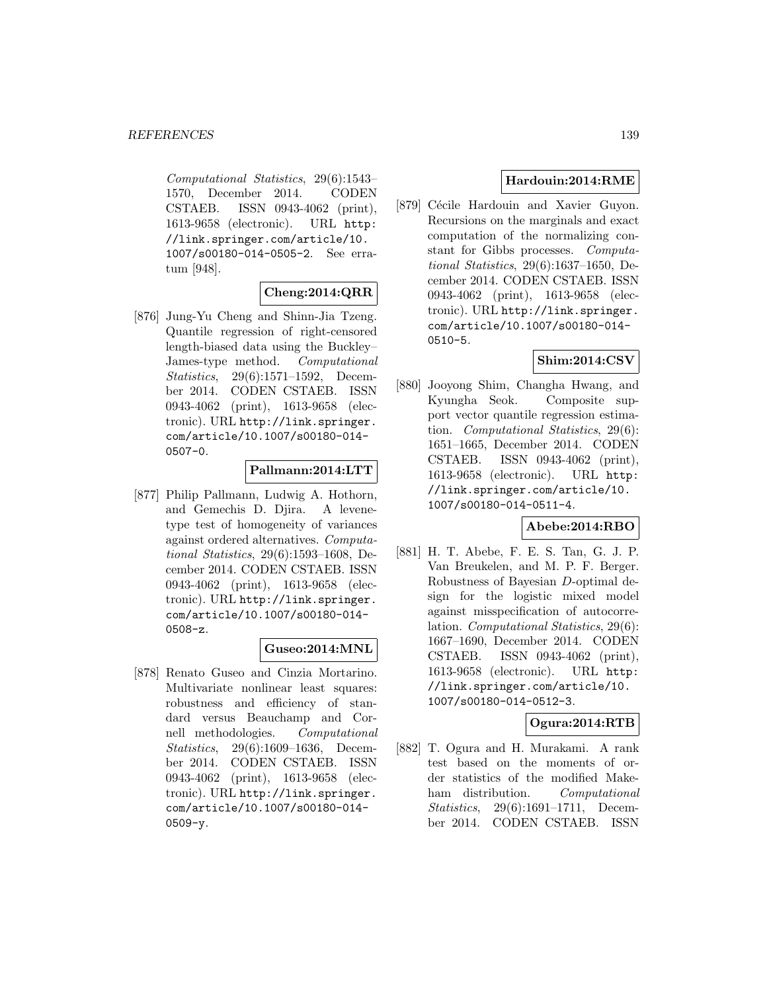Computational Statistics, 29(6):1543– 1570, December 2014. CODEN CSTAEB. ISSN 0943-4062 (print), 1613-9658 (electronic). URL http: //link.springer.com/article/10. 1007/s00180-014-0505-2. See erratum [948].

## **Cheng:2014:QRR**

[876] Jung-Yu Cheng and Shinn-Jia Tzeng. Quantile regression of right-censored length-biased data using the Buckley– James-type method. Computational Statistics, 29(6):1571–1592, December 2014. CODEN CSTAEB. ISSN 0943-4062 (print), 1613-9658 (electronic). URL http://link.springer. com/article/10.1007/s00180-014- 0507-0.

### **Pallmann:2014:LTT**

[877] Philip Pallmann, Ludwig A. Hothorn, and Gemechis D. Djira. A levenetype test of homogeneity of variances against ordered alternatives. Computational Statistics, 29(6):1593–1608, December 2014. CODEN CSTAEB. ISSN 0943-4062 (print), 1613-9658 (electronic). URL http://link.springer. com/article/10.1007/s00180-014- 0508-z.

### **Guseo:2014:MNL**

[878] Renato Guseo and Cinzia Mortarino. Multivariate nonlinear least squares: robustness and efficiency of standard versus Beauchamp and Cornell methodologies. Computational Statistics, 29(6):1609–1636, December 2014. CODEN CSTAEB. ISSN 0943-4062 (print), 1613-9658 (electronic). URL http://link.springer. com/article/10.1007/s00180-014- 0509-y.

## **Hardouin:2014:RME**

[879] Cécile Hardouin and Xavier Guyon. Recursions on the marginals and exact computation of the normalizing constant for Gibbs processes. Computational Statistics, 29(6):1637–1650, December 2014. CODEN CSTAEB. ISSN 0943-4062 (print), 1613-9658 (electronic). URL http://link.springer. com/article/10.1007/s00180-014- 0510-5.

## **Shim:2014:CSV**

[880] Jooyong Shim, Changha Hwang, and Kyungha Seok. Composite support vector quantile regression estimation. Computational Statistics, 29(6): 1651–1665, December 2014. CODEN CSTAEB. ISSN 0943-4062 (print), 1613-9658 (electronic). URL http: //link.springer.com/article/10. 1007/s00180-014-0511-4.

### **Abebe:2014:RBO**

[881] H. T. Abebe, F. E. S. Tan, G. J. P. Van Breukelen, and M. P. F. Berger. Robustness of Bayesian D-optimal design for the logistic mixed model against misspecification of autocorrelation. Computational Statistics, 29(6): 1667–1690, December 2014. CODEN CSTAEB. ISSN 0943-4062 (print), 1613-9658 (electronic). URL http: //link.springer.com/article/10. 1007/s00180-014-0512-3.

### **Ogura:2014:RTB**

[882] T. Ogura and H. Murakami. A rank test based on the moments of order statistics of the modified Makeham distribution. Computational Statistics, 29(6):1691–1711, December 2014. CODEN CSTAEB. ISSN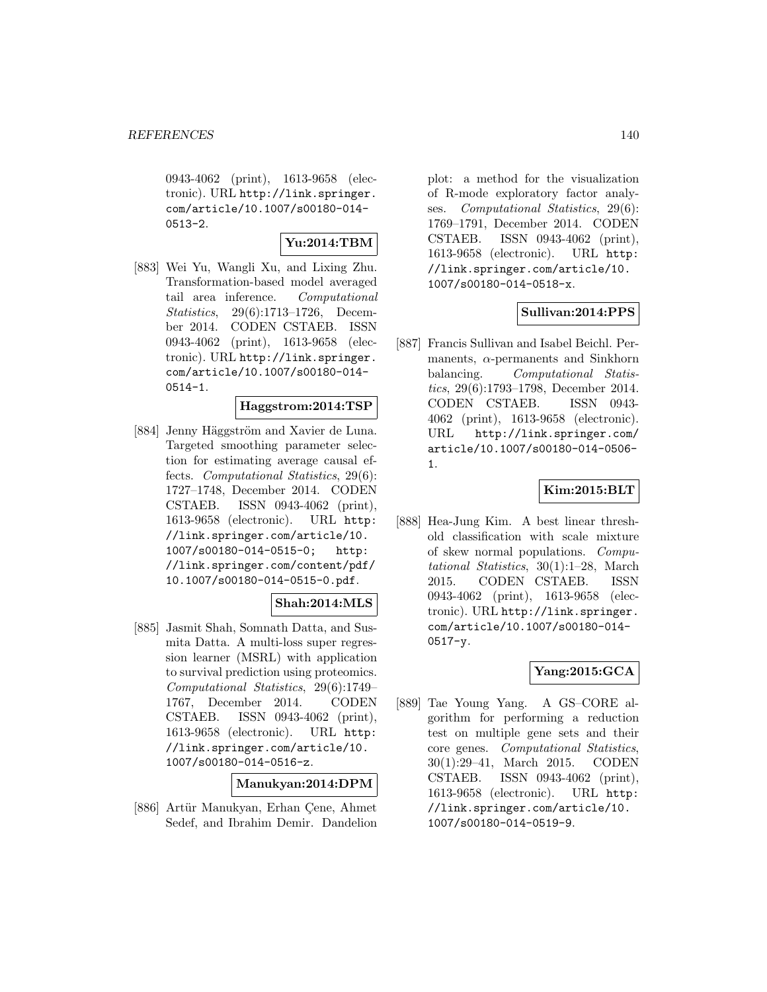0943-4062 (print), 1613-9658 (electronic). URL http://link.springer. com/article/10.1007/s00180-014-  $0513 - 2.$ 

# **Yu:2014:TBM**

[883] Wei Yu, Wangli Xu, and Lixing Zhu. Transformation-based model averaged tail area inference. Computational Statistics, 29(6):1713–1726, December 2014. CODEN CSTAEB. ISSN 0943-4062 (print), 1613-9658 (electronic). URL http://link.springer. com/article/10.1007/s00180-014- 0514-1.

### **Haggstrom:2014:TSP**

[884] Jenny Häggström and Xavier de Luna. Targeted smoothing parameter selection for estimating average causal effects. Computational Statistics, 29(6): 1727–1748, December 2014. CODEN CSTAEB. ISSN 0943-4062 (print), 1613-9658 (electronic). URL http: //link.springer.com/article/10. 1007/s00180-014-0515-0; http: //link.springer.com/content/pdf/ 10.1007/s00180-014-0515-0.pdf.

## **Shah:2014:MLS**

[885] Jasmit Shah, Somnath Datta, and Susmita Datta. A multi-loss super regression learner (MSRL) with application to survival prediction using proteomics. Computational Statistics, 29(6):1749– 1767, December 2014. CODEN CSTAEB. ISSN 0943-4062 (print), 1613-9658 (electronic). URL http: //link.springer.com/article/10. 1007/s00180-014-0516-z.

### **Manukyan:2014:DPM**

[886] Artür Manukyan, Erhan Cene, Ahmet Sedef, and Ibrahim Demir. Dandelion

plot: a method for the visualization of R-mode exploratory factor analyses. Computational Statistics, 29(6): 1769–1791, December 2014. CODEN CSTAEB. ISSN 0943-4062 (print), 1613-9658 (electronic). URL http: //link.springer.com/article/10. 1007/s00180-014-0518-x.

### **Sullivan:2014:PPS**

[887] Francis Sullivan and Isabel Beichl. Permanents,  $\alpha$ -permanents and Sinkhorn balancing. Computational Statistics, 29(6):1793–1798, December 2014. CODEN CSTAEB. ISSN 0943- 4062 (print), 1613-9658 (electronic). URL http://link.springer.com/ article/10.1007/s00180-014-0506- 1.

### **Kim:2015:BLT**

[888] Hea-Jung Kim. A best linear threshold classification with scale mixture of skew normal populations. Computational Statistics, 30(1):1–28, March 2015. CODEN CSTAEB. ISSN 0943-4062 (print), 1613-9658 (electronic). URL http://link.springer. com/article/10.1007/s00180-014- 0517-y.

### **Yang:2015:GCA**

[889] Tae Young Yang. A GS–CORE algorithm for performing a reduction test on multiple gene sets and their core genes. Computational Statistics, 30(1):29–41, March 2015. CODEN CSTAEB. ISSN 0943-4062 (print), 1613-9658 (electronic). URL http: //link.springer.com/article/10. 1007/s00180-014-0519-9.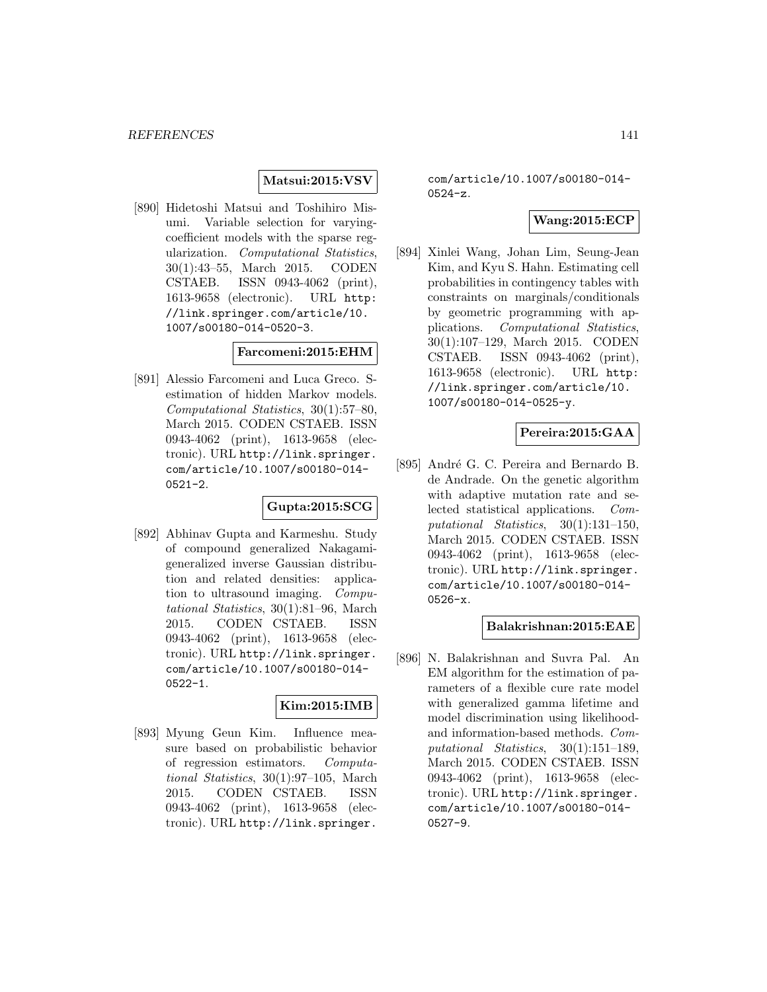### **Matsui:2015:VSV**

[890] Hidetoshi Matsui and Toshihiro Misumi. Variable selection for varyingcoefficient models with the sparse regularization. Computational Statistics, 30(1):43–55, March 2015. CODEN CSTAEB. ISSN 0943-4062 (print), 1613-9658 (electronic). URL http: //link.springer.com/article/10. 1007/s00180-014-0520-3.

## **Farcomeni:2015:EHM**

[891] Alessio Farcomeni and Luca Greco. Sestimation of hidden Markov models. Computational Statistics, 30(1):57–80, March 2015. CODEN CSTAEB. ISSN 0943-4062 (print), 1613-9658 (electronic). URL http://link.springer. com/article/10.1007/s00180-014- 0521-2.

### **Gupta:2015:SCG**

[892] Abhinav Gupta and Karmeshu. Study of compound generalized Nakagamigeneralized inverse Gaussian distribution and related densities: application to ultrasound imaging. Computational Statistics, 30(1):81–96, March 2015. CODEN CSTAEB. ISSN 0943-4062 (print), 1613-9658 (electronic). URL http://link.springer. com/article/10.1007/s00180-014- 0522-1.

## **Kim:2015:IMB**

[893] Myung Geun Kim. Influence measure based on probabilistic behavior of regression estimators. Computational Statistics, 30(1):97–105, March 2015. CODEN CSTAEB. ISSN 0943-4062 (print), 1613-9658 (electronic). URL http://link.springer.

com/article/10.1007/s00180-014- 0524-z.

### **Wang:2015:ECP**

[894] Xinlei Wang, Johan Lim, Seung-Jean Kim, and Kyu S. Hahn. Estimating cell probabilities in contingency tables with constraints on marginals/conditionals by geometric programming with applications. Computational Statistics, 30(1):107–129, March 2015. CODEN CSTAEB. ISSN 0943-4062 (print), 1613-9658 (electronic). URL http: //link.springer.com/article/10. 1007/s00180-014-0525-y.

### **Pereira:2015:GAA**

[895] André G. C. Pereira and Bernardo B. de Andrade. On the genetic algorithm with adaptive mutation rate and selected statistical applications. Computational Statistics, 30(1):131–150, March 2015. CODEN CSTAEB. ISSN 0943-4062 (print), 1613-9658 (electronic). URL http://link.springer. com/article/10.1007/s00180-014- 0526-x.

#### **Balakrishnan:2015:EAE**

[896] N. Balakrishnan and Suvra Pal. An EM algorithm for the estimation of parameters of a flexible cure rate model with generalized gamma lifetime and model discrimination using likelihoodand information-based methods. Computational Statistics, 30(1):151–189, March 2015. CODEN CSTAEB. ISSN 0943-4062 (print), 1613-9658 (electronic). URL http://link.springer. com/article/10.1007/s00180-014- 0527-9.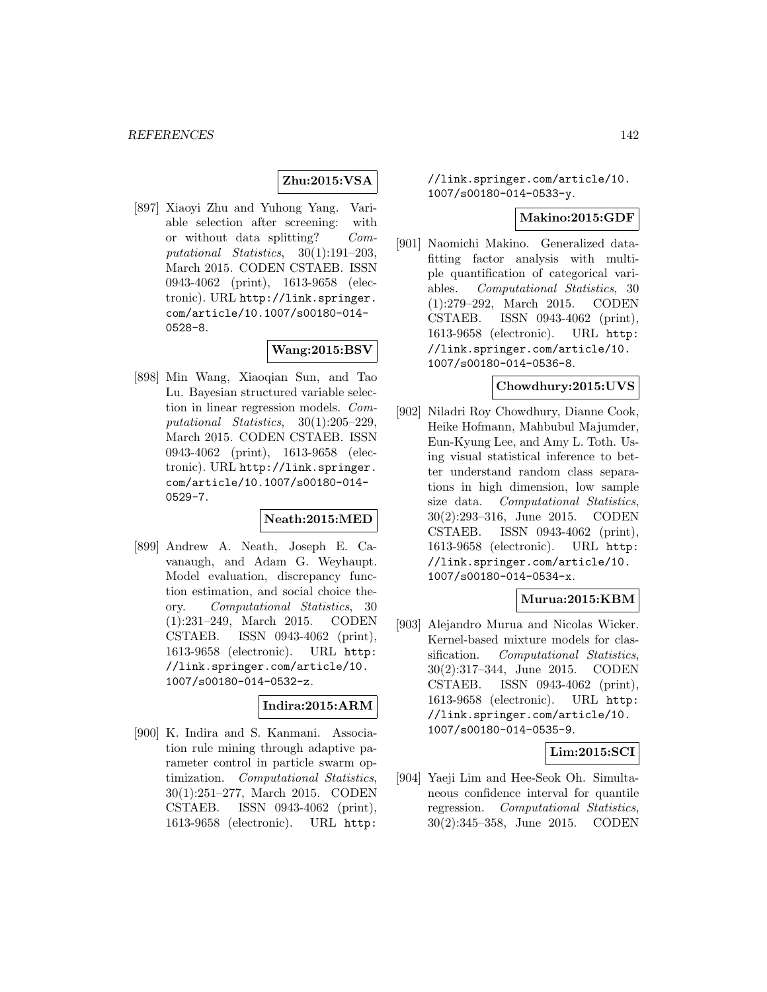### **Zhu:2015:VSA**

[897] Xiaoyi Zhu and Yuhong Yang. Variable selection after screening: with or without data splitting? Computational Statistics, 30(1):191–203, March 2015. CODEN CSTAEB. ISSN 0943-4062 (print), 1613-9658 (electronic). URL http://link.springer. com/article/10.1007/s00180-014- 0528-8.

# **Wang:2015:BSV**

[898] Min Wang, Xiaoqian Sun, and Tao Lu. Bayesian structured variable selection in linear regression models. Computational Statistics, 30(1):205–229, March 2015. CODEN CSTAEB. ISSN 0943-4062 (print), 1613-9658 (electronic). URL http://link.springer. com/article/10.1007/s00180-014- 0529-7.

### **Neath:2015:MED**

[899] Andrew A. Neath, Joseph E. Cavanaugh, and Adam G. Weyhaupt. Model evaluation, discrepancy function estimation, and social choice theory. Computational Statistics, 30 (1):231–249, March 2015. CODEN CSTAEB. ISSN 0943-4062 (print), 1613-9658 (electronic). URL http: //link.springer.com/article/10. 1007/s00180-014-0532-z.

#### **Indira:2015:ARM**

[900] K. Indira and S. Kanmani. Association rule mining through adaptive parameter control in particle swarm optimization. Computational Statistics, 30(1):251–277, March 2015. CODEN CSTAEB. ISSN 0943-4062 (print), 1613-9658 (electronic). URL http:

### //link.springer.com/article/10. 1007/s00180-014-0533-y.

#### **Makino:2015:GDF**

[901] Naomichi Makino. Generalized datafitting factor analysis with multiple quantification of categorical variables. Computational Statistics, 30 (1):279–292, March 2015. CODEN CSTAEB. ISSN 0943-4062 (print), 1613-9658 (electronic). URL http: //link.springer.com/article/10. 1007/s00180-014-0536-8.

### **Chowdhury:2015:UVS**

[902] Niladri Roy Chowdhury, Dianne Cook, Heike Hofmann, Mahbubul Majumder, Eun-Kyung Lee, and Amy L. Toth. Using visual statistical inference to better understand random class separations in high dimension, low sample size data. Computational Statistics, 30(2):293–316, June 2015. CODEN CSTAEB. ISSN 0943-4062 (print), 1613-9658 (electronic). URL http: //link.springer.com/article/10. 1007/s00180-014-0534-x.

# **Murua:2015:KBM**

[903] Alejandro Murua and Nicolas Wicker. Kernel-based mixture models for classification. Computational Statistics, 30(2):317–344, June 2015. CODEN CSTAEB. ISSN 0943-4062 (print), 1613-9658 (electronic). URL http: //link.springer.com/article/10. 1007/s00180-014-0535-9.

#### **Lim:2015:SCI**

[904] Yaeji Lim and Hee-Seok Oh. Simultaneous confidence interval for quantile regression. Computational Statistics, 30(2):345–358, June 2015. CODEN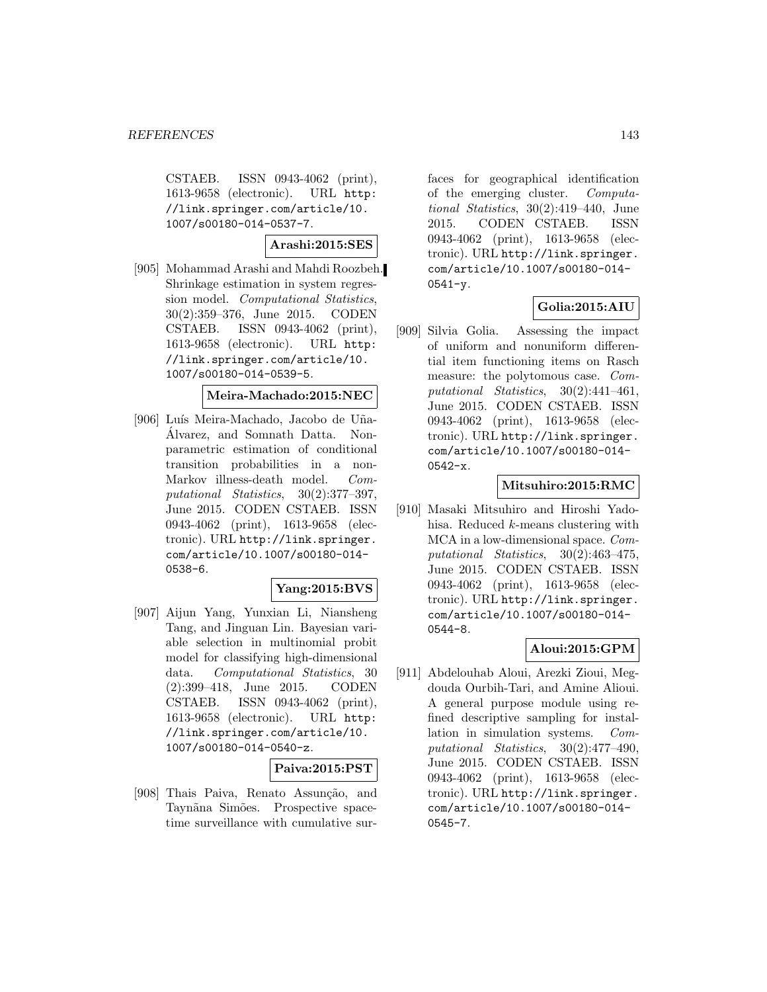CSTAEB. ISSN 0943-4062 (print), 1613-9658 (electronic). URL http: //link.springer.com/article/10. 1007/s00180-014-0537-7.

**Arashi:2015:SES**

[905] Mohammad Arashi and Mahdi Roozbeh. Shrinkage estimation in system regression model. Computational Statistics, 30(2):359–376, June 2015. CODEN CSTAEB. ISSN 0943-4062 (print), 1613-9658 (electronic). URL http: //link.springer.com/article/10. 1007/s00180-014-0539-5.

#### **Meira-Machado:2015:NEC**

[906] Luís Meira-Machado, Jacobo de Uña-Alvarez, and Somnath Datta. Non- ´ parametric estimation of conditional transition probabilities in a non-Markov illness-death model. Computational Statistics, 30(2):377–397, June 2015. CODEN CSTAEB. ISSN 0943-4062 (print), 1613-9658 (electronic). URL http://link.springer. com/article/10.1007/s00180-014- 0538-6.

#### **Yang:2015:BVS**

[907] Aijun Yang, Yunxian Li, Niansheng Tang, and Jinguan Lin. Bayesian variable selection in multinomial probit model for classifying high-dimensional data. Computational Statistics, 30 (2):399–418, June 2015. CODEN CSTAEB. ISSN 0943-4062 (print), 1613-9658 (electronic). URL http: //link.springer.com/article/10. 1007/s00180-014-0540-z.

### **Paiva:2015:PST**

[908] Thais Paiva, Renato Assunção, and Taynãna Simões. Prospective spacetime surveillance with cumulative sur-

faces for geographical identification of the emerging cluster. Computational Statistics, 30(2):419–440, June 2015. CODEN CSTAEB. ISSN 0943-4062 (print), 1613-9658 (electronic). URL http://link.springer. com/article/10.1007/s00180-014- 0541-y.

## **Golia:2015:AIU**

[909] Silvia Golia. Assessing the impact of uniform and nonuniform differential item functioning items on Rasch measure: the polytomous case. Computational Statistics, 30(2):441–461, June 2015. CODEN CSTAEB. ISSN 0943-4062 (print), 1613-9658 (electronic). URL http://link.springer. com/article/10.1007/s00180-014- 0542-x.

### **Mitsuhiro:2015:RMC**

[910] Masaki Mitsuhiro and Hiroshi Yadohisa. Reduced k-means clustering with MCA in a low-dimensional space. Computational Statistics, 30(2):463–475, June 2015. CODEN CSTAEB. ISSN 0943-4062 (print), 1613-9658 (electronic). URL http://link.springer. com/article/10.1007/s00180-014- 0544-8.

## **Aloui:2015:GPM**

[911] Abdelouhab Aloui, Arezki Zioui, Megdouda Ourbih-Tari, and Amine Alioui. A general purpose module using refined descriptive sampling for installation in simulation systems. Computational Statistics, 30(2):477–490, June 2015. CODEN CSTAEB. ISSN 0943-4062 (print), 1613-9658 (electronic). URL http://link.springer. com/article/10.1007/s00180-014- 0545-7.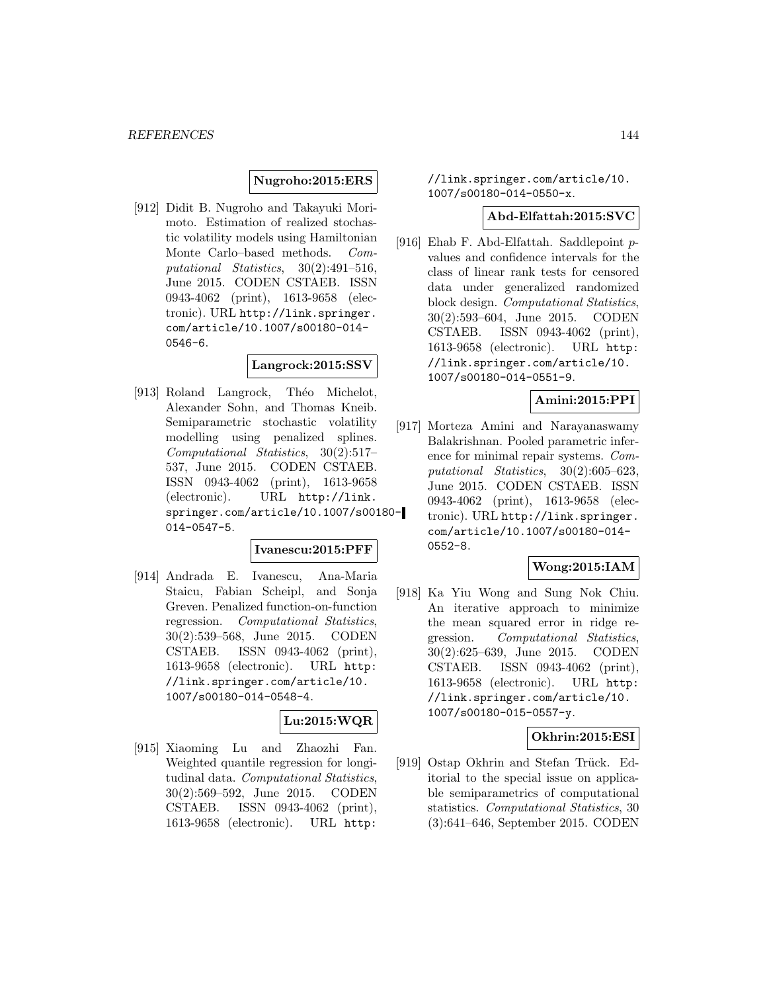### **Nugroho:2015:ERS**

[912] Didit B. Nugroho and Takayuki Morimoto. Estimation of realized stochastic volatility models using Hamiltonian Monte Carlo–based methods. Computational Statistics, 30(2):491–516, June 2015. CODEN CSTAEB. ISSN 0943-4062 (print), 1613-9658 (electronic). URL http://link.springer. com/article/10.1007/s00180-014- 0546-6.

#### **Langrock:2015:SSV**

[913] Roland Langrock, Théo Michelot, Alexander Sohn, and Thomas Kneib. Semiparametric stochastic volatility modelling using penalized splines. Computational Statistics, 30(2):517– 537, June 2015. CODEN CSTAEB. ISSN 0943-4062 (print), 1613-9658 (electronic). URL http://link. springer.com/article/10.1007/s00180- 014-0547-5.

#### **Ivanescu:2015:PFF**

[914] Andrada E. Ivanescu, Ana-Maria Staicu, Fabian Scheipl, and Sonja Greven. Penalized function-on-function regression. Computational Statistics, 30(2):539–568, June 2015. CODEN CSTAEB. ISSN 0943-4062 (print), 1613-9658 (electronic). URL http: //link.springer.com/article/10. 1007/s00180-014-0548-4.

# **Lu:2015:WQR**

[915] Xiaoming Lu and Zhaozhi Fan. Weighted quantile regression for longitudinal data. Computational Statistics, 30(2):569–592, June 2015. CODEN CSTAEB. ISSN 0943-4062 (print), 1613-9658 (electronic). URL http:

//link.springer.com/article/10. 1007/s00180-014-0550-x.

#### **Abd-Elfattah:2015:SVC**

[916] Ehab F. Abd-Elfattah. Saddlepoint pvalues and confidence intervals for the class of linear rank tests for censored data under generalized randomized block design. Computational Statistics, 30(2):593–604, June 2015. CODEN CSTAEB. ISSN 0943-4062 (print), 1613-9658 (electronic). URL http: //link.springer.com/article/10. 1007/s00180-014-0551-9.

#### **Amini:2015:PPI**

[917] Morteza Amini and Narayanaswamy Balakrishnan. Pooled parametric inference for minimal repair systems. Computational Statistics, 30(2):605–623, June 2015. CODEN CSTAEB. ISSN 0943-4062 (print), 1613-9658 (electronic). URL http://link.springer. com/article/10.1007/s00180-014- 0552-8.

### **Wong:2015:IAM**

[918] Ka Yiu Wong and Sung Nok Chiu. An iterative approach to minimize the mean squared error in ridge regression. Computational Statistics, 30(2):625–639, June 2015. CODEN CSTAEB. ISSN 0943-4062 (print), 1613-9658 (electronic). URL http: //link.springer.com/article/10. 1007/s00180-015-0557-y.

### **Okhrin:2015:ESI**

[919] Ostap Okhrin and Stefan Trück. Editorial to the special issue on applicable semiparametrics of computational statistics. Computational Statistics, 30 (3):641–646, September 2015. CODEN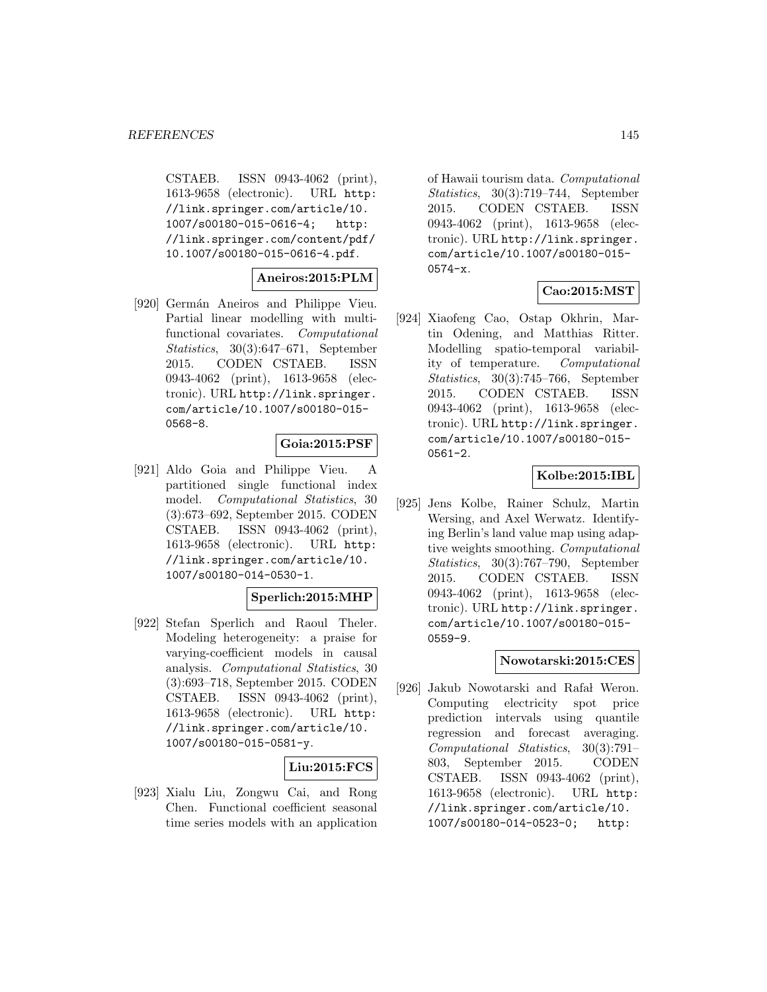CSTAEB. ISSN 0943-4062 (print), 1613-9658 (electronic). URL http: //link.springer.com/article/10. 1007/s00180-015-0616-4; http: //link.springer.com/content/pdf/ 10.1007/s00180-015-0616-4.pdf.

# **Aneiros:2015:PLM**

[920] Germán Aneiros and Philippe Vieu. Partial linear modelling with multifunctional covariates. Computational Statistics, 30(3):647–671, September 2015. CODEN CSTAEB. ISSN 0943-4062 (print), 1613-9658 (electronic). URL http://link.springer. com/article/10.1007/s00180-015- 0568-8.

# **Goia:2015:PSF**

[921] Aldo Goia and Philippe Vieu. A partitioned single functional index model. Computational Statistics, 30 (3):673–692, September 2015. CODEN CSTAEB. ISSN 0943-4062 (print), 1613-9658 (electronic). URL http: //link.springer.com/article/10. 1007/s00180-014-0530-1.

# **Sperlich:2015:MHP**

[922] Stefan Sperlich and Raoul Theler. Modeling heterogeneity: a praise for varying-coefficient models in causal analysis. Computational Statistics, 30 (3):693–718, September 2015. CODEN CSTAEB. ISSN 0943-4062 (print), 1613-9658 (electronic). URL http: //link.springer.com/article/10. 1007/s00180-015-0581-y.

#### **Liu:2015:FCS**

[923] Xialu Liu, Zongwu Cai, and Rong Chen. Functional coefficient seasonal time series models with an application

of Hawaii tourism data. Computational Statistics, 30(3):719–744, September 2015. CODEN CSTAEB. ISSN 0943-4062 (print), 1613-9658 (electronic). URL http://link.springer. com/article/10.1007/s00180-015- 0574-x.

# **Cao:2015:MST**

[924] Xiaofeng Cao, Ostap Okhrin, Martin Odening, and Matthias Ritter. Modelling spatio-temporal variability of temperature. Computational Statistics, 30(3):745–766, September 2015. CODEN CSTAEB. ISSN 0943-4062 (print), 1613-9658 (electronic). URL http://link.springer. com/article/10.1007/s00180-015- 0561-2.

# **Kolbe:2015:IBL**

[925] Jens Kolbe, Rainer Schulz, Martin Wersing, and Axel Werwatz. Identifying Berlin's land value map using adaptive weights smoothing. Computational Statistics, 30(3):767–790, September 2015. CODEN CSTAEB. ISSN 0943-4062 (print), 1613-9658 (electronic). URL http://link.springer. com/article/10.1007/s00180-015- 0559-9.

# **Nowotarski:2015:CES**

[926] Jakub Nowotarski and Rafał Weron. Computing electricity spot price prediction intervals using quantile regression and forecast averaging. Computational Statistics, 30(3):791– 803, September 2015. CODEN CSTAEB. ISSN 0943-4062 (print), 1613-9658 (electronic). URL http: //link.springer.com/article/10. 1007/s00180-014-0523-0; http: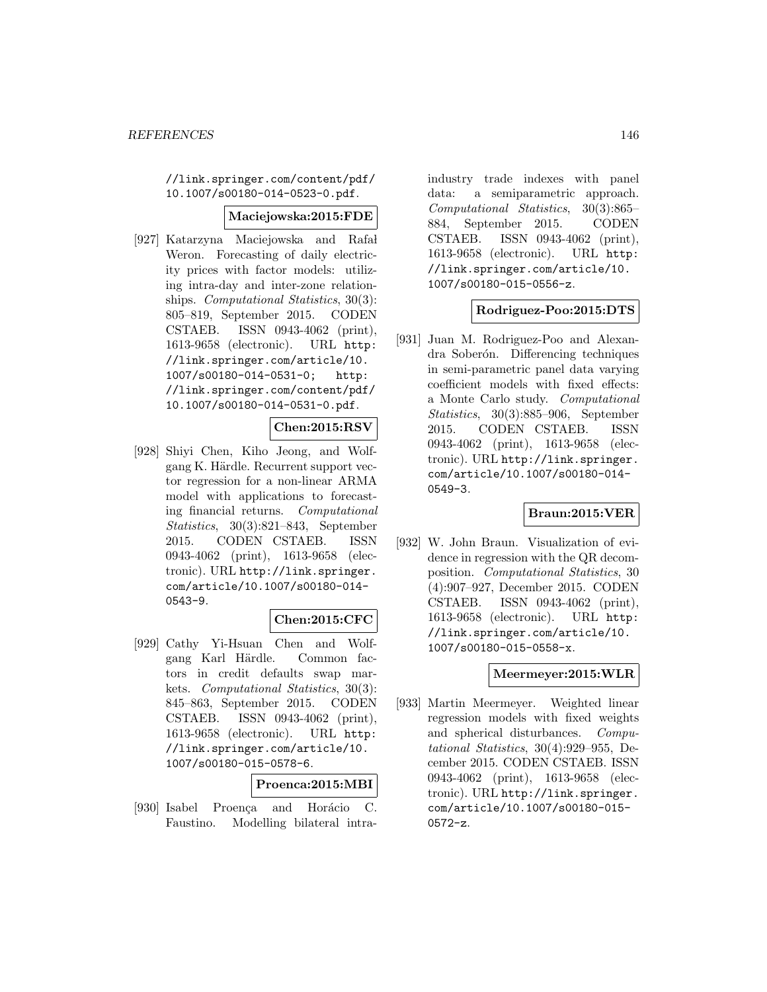//link.springer.com/content/pdf/ 10.1007/s00180-014-0523-0.pdf.

#### **Maciejowska:2015:FDE**

[927] Katarzyna Maciejowska and Rafał Weron. Forecasting of daily electricity prices with factor models: utilizing intra-day and inter-zone relationships. *Computational Statistics*, 30(3): 805–819, September 2015. CODEN CSTAEB. ISSN 0943-4062 (print), 1613-9658 (electronic). URL http: //link.springer.com/article/10. 1007/s00180-014-0531-0; http: //link.springer.com/content/pdf/ 10.1007/s00180-014-0531-0.pdf.

# **Chen:2015:RSV**

[928] Shiyi Chen, Kiho Jeong, and Wolfgang K. Härdle. Recurrent support vector regression for a non-linear ARMA model with applications to forecasting financial returns. Computational Statistics, 30(3):821–843, September 2015. CODEN CSTAEB. ISSN 0943-4062 (print), 1613-9658 (electronic). URL http://link.springer. com/article/10.1007/s00180-014- 0543-9.

# **Chen:2015:CFC**

[929] Cathy Yi-Hsuan Chen and Wolfgang Karl Härdle. Common factors in credit defaults swap markets. Computational Statistics, 30(3): 845–863, September 2015. CODEN CSTAEB. ISSN 0943-4062 (print), 1613-9658 (electronic). URL http: //link.springer.com/article/10. 1007/s00180-015-0578-6.

#### **Proenca:2015:MBI**

[930] Isabel Proenca and Horácio C. Faustino. Modelling bilateral intraindustry trade indexes with panel data: a semiparametric approach. Computational Statistics, 30(3):865– 884, September 2015. CODEN CSTAEB. ISSN 0943-4062 (print), 1613-9658 (electronic). URL http: //link.springer.com/article/10. 1007/s00180-015-0556-z.

# **Rodriguez-Poo:2015:DTS**

[931] Juan M. Rodriguez-Poo and Alexandra Soberón. Differencing techniques in semi-parametric panel data varying coefficient models with fixed effects: a Monte Carlo study. Computational Statistics, 30(3):885–906, September 2015. CODEN CSTAEB. ISSN 0943-4062 (print), 1613-9658 (electronic). URL http://link.springer. com/article/10.1007/s00180-014- 0549-3.

# **Braun:2015:VER**

[932] W. John Braun. Visualization of evidence in regression with the QR decomposition. Computational Statistics, 30 (4):907–927, December 2015. CODEN CSTAEB. ISSN 0943-4062 (print), 1613-9658 (electronic). URL http: //link.springer.com/article/10. 1007/s00180-015-0558-x.

# **Meermeyer:2015:WLR**

[933] Martin Meermeyer. Weighted linear regression models with fixed weights and spherical disturbances. Computational Statistics, 30(4):929–955, December 2015. CODEN CSTAEB. ISSN 0943-4062 (print), 1613-9658 (electronic). URL http://link.springer. com/article/10.1007/s00180-015- 0572-z.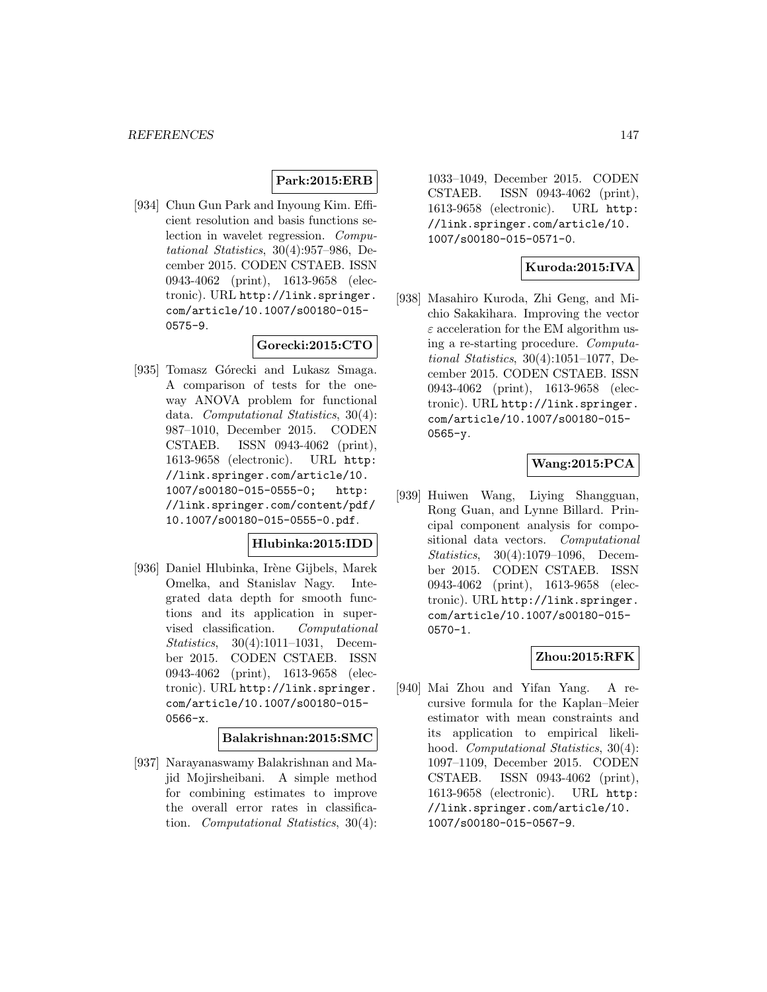# **Park:2015:ERB**

[934] Chun Gun Park and Inyoung Kim. Efficient resolution and basis functions selection in wavelet regression. Computational Statistics, 30(4):957–986, December 2015. CODEN CSTAEB. ISSN 0943-4062 (print), 1613-9658 (electronic). URL http://link.springer. com/article/10.1007/s00180-015- 0575-9.

# **Gorecki:2015:CTO**

[935] Tomasz Górecki and Lukasz Smaga. A comparison of tests for the oneway ANOVA problem for functional data. Computational Statistics, 30(4): 987–1010, December 2015. CODEN CSTAEB. ISSN 0943-4062 (print), 1613-9658 (electronic). URL http: //link.springer.com/article/10. 1007/s00180-015-0555-0; http: //link.springer.com/content/pdf/ 10.1007/s00180-015-0555-0.pdf.

# **Hlubinka:2015:IDD**

[936] Daniel Hlubinka, Irène Gijbels, Marek Omelka, and Stanislav Nagy. Integrated data depth for smooth functions and its application in supervised classification. Computational Statistics, 30(4):1011–1031, December 2015. CODEN CSTAEB. ISSN 0943-4062 (print), 1613-9658 (electronic). URL http://link.springer. com/article/10.1007/s00180-015- 0566-x.

### **Balakrishnan:2015:SMC**

[937] Narayanaswamy Balakrishnan and Majid Mojirsheibani. A simple method for combining estimates to improve the overall error rates in classification. Computational Statistics, 30(4):

1033–1049, December 2015. CODEN CSTAEB. ISSN 0943-4062 (print), 1613-9658 (electronic). URL http: //link.springer.com/article/10. 1007/s00180-015-0571-0.

# **Kuroda:2015:IVA**

[938] Masahiro Kuroda, Zhi Geng, and Michio Sakakihara. Improving the vector  $\varepsilon$  acceleration for the EM algorithm using a re-starting procedure. Computational Statistics, 30(4):1051–1077, December 2015. CODEN CSTAEB. ISSN 0943-4062 (print), 1613-9658 (electronic). URL http://link.springer. com/article/10.1007/s00180-015- 0565-y.

# **Wang:2015:PCA**

[939] Huiwen Wang, Liying Shangguan, Rong Guan, and Lynne Billard. Principal component analysis for compositional data vectors. Computational Statistics, 30(4):1079–1096, December 2015. CODEN CSTAEB. ISSN 0943-4062 (print), 1613-9658 (electronic). URL http://link.springer. com/article/10.1007/s00180-015- 0570-1.

# **Zhou:2015:RFK**

[940] Mai Zhou and Yifan Yang. A recursive formula for the Kaplan–Meier estimator with mean constraints and its application to empirical likelihood. Computational Statistics, 30(4): 1097–1109, December 2015. CODEN CSTAEB. ISSN 0943-4062 (print), 1613-9658 (electronic). URL http: //link.springer.com/article/10. 1007/s00180-015-0567-9.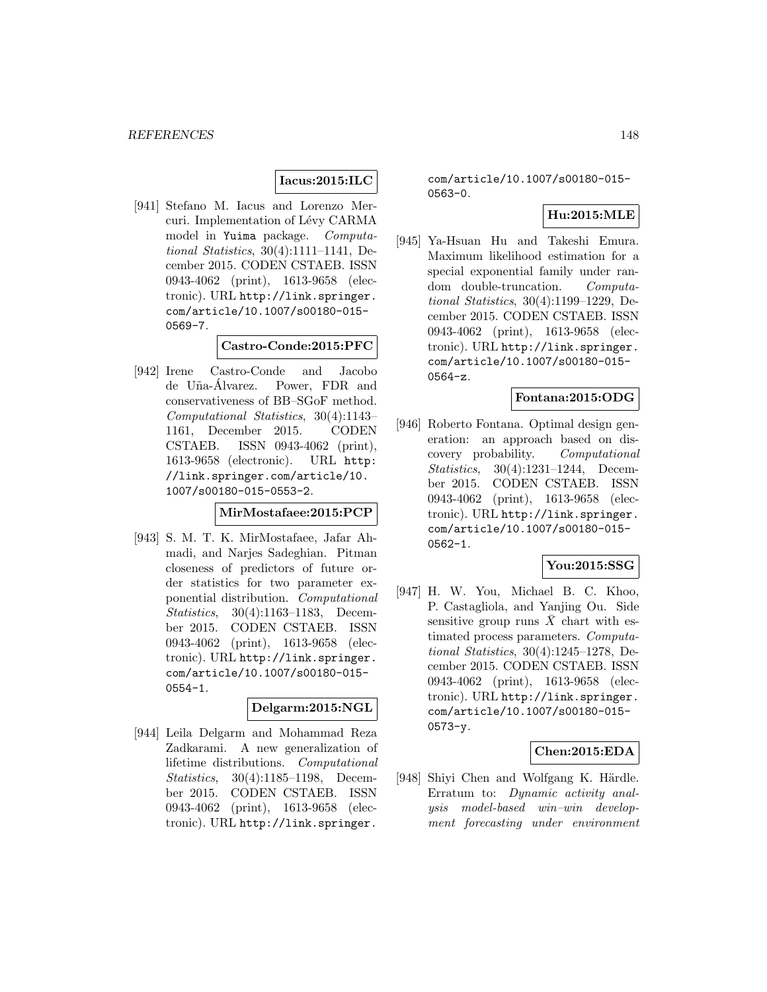# **Iacus:2015:ILC**

[941] Stefano M. Iacus and Lorenzo Mercuri. Implementation of Lévy CARMA model in Yuima package. Computational Statistics, 30(4):1111–1141, December 2015. CODEN CSTAEB. ISSN 0943-4062 (print), 1613-9658 (electronic). URL http://link.springer. com/article/10.1007/s00180-015- 0569-7.

# **Castro-Conde:2015:PFC**

[942] Irene Castro-Conde and Jacobo de Uña-Álvarez. Power, FDR and conservativeness of BB–SGoF method. Computational Statistics, 30(4):1143– 1161, December 2015. CODEN CSTAEB. ISSN 0943-4062 (print), 1613-9658 (electronic). URL http: //link.springer.com/article/10. 1007/s00180-015-0553-2.

#### **MirMostafaee:2015:PCP**

[943] S. M. T. K. MirMostafaee, Jafar Ahmadi, and Narjes Sadeghian. Pitman closeness of predictors of future order statistics for two parameter exponential distribution. Computational Statistics, 30(4):1163–1183, December 2015. CODEN CSTAEB. ISSN 0943-4062 (print), 1613-9658 (electronic). URL http://link.springer. com/article/10.1007/s00180-015- 0554-1.

#### **Delgarm:2015:NGL**

[944] Leila Delgarm and Mohammad Reza Zadkarami. A new generalization of lifetime distributions. Computational Statistics, 30(4):1185–1198, December 2015. CODEN CSTAEB. ISSN 0943-4062 (print), 1613-9658 (electronic). URL http://link.springer.

com/article/10.1007/s00180-015- 0563-0.

# **Hu:2015:MLE**

[945] Ya-Hsuan Hu and Takeshi Emura. Maximum likelihood estimation for a special exponential family under random double-truncation. Computational Statistics, 30(4):1199–1229, December 2015. CODEN CSTAEB. ISSN 0943-4062 (print), 1613-9658 (electronic). URL http://link.springer. com/article/10.1007/s00180-015- 0564-z.

# **Fontana:2015:ODG**

[946] Roberto Fontana. Optimal design generation: an approach based on discovery probability. Computational Statistics, 30(4):1231–1244, December 2015. CODEN CSTAEB. ISSN 0943-4062 (print), 1613-9658 (electronic). URL http://link.springer. com/article/10.1007/s00180-015- 0562-1.

# **You:2015:SSG**

[947] H. W. You, Michael B. C. Khoo, P. Castagliola, and Yanjing Ou. Side sensitive group runs  $\bar{X}$  chart with estimated process parameters. Computational Statistics, 30(4):1245–1278, December 2015. CODEN CSTAEB. ISSN 0943-4062 (print), 1613-9658 (electronic). URL http://link.springer. com/article/10.1007/s00180-015- 0573-y.

# **Chen:2015:EDA**

[948] Shiyi Chen and Wolfgang K. Härdle. Erratum to: Dynamic activity analysis model-based win–win development forecasting under environment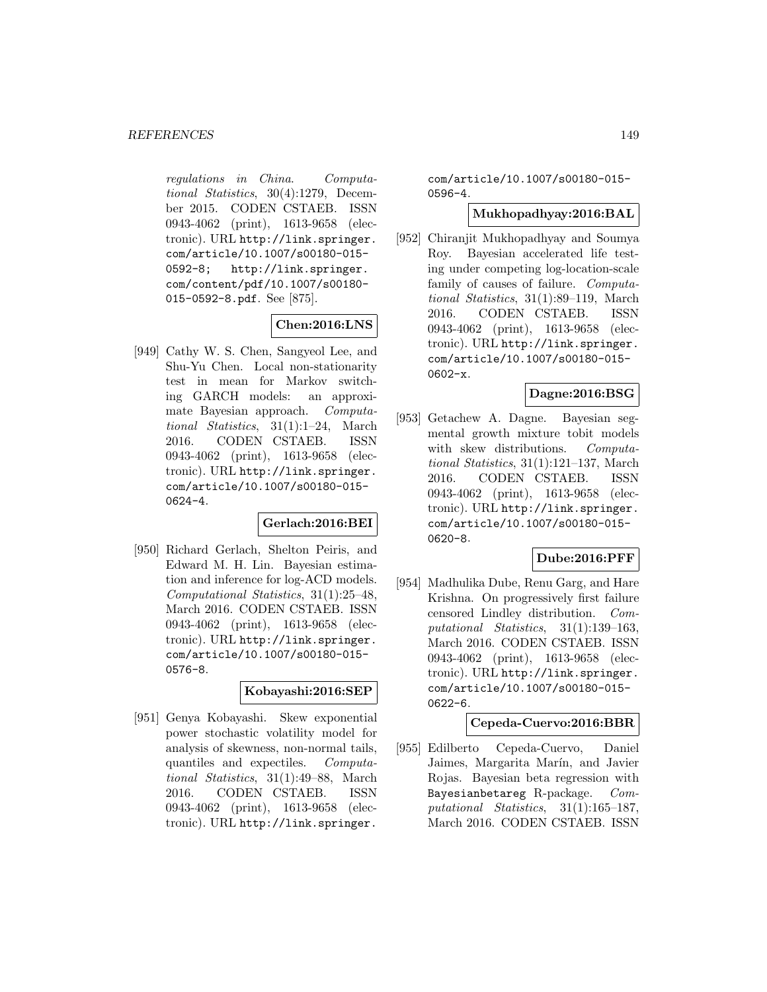regulations in China. Computational Statistics, 30(4):1279, December 2015. CODEN CSTAEB. ISSN 0943-4062 (print), 1613-9658 (electronic). URL http://link.springer. com/article/10.1007/s00180-015- 0592-8; http://link.springer. com/content/pdf/10.1007/s00180- 015-0592-8.pdf. See [875].

# **Chen:2016:LNS**

[949] Cathy W. S. Chen, Sangyeol Lee, and Shu-Yu Chen. Local non-stationarity test in mean for Markov switching GARCH models: an approximate Bayesian approach. Computational Statistics, 31(1):1–24, March 2016. CODEN CSTAEB. ISSN 0943-4062 (print), 1613-9658 (electronic). URL http://link.springer. com/article/10.1007/s00180-015- 0624-4.

# **Gerlach:2016:BEI**

[950] Richard Gerlach, Shelton Peiris, and Edward M. H. Lin. Bayesian estimation and inference for log-ACD models. Computational Statistics, 31(1):25–48, March 2016. CODEN CSTAEB. ISSN 0943-4062 (print), 1613-9658 (electronic). URL http://link.springer. com/article/10.1007/s00180-015- 0576-8.

### **Kobayashi:2016:SEP**

[951] Genya Kobayashi. Skew exponential power stochastic volatility model for analysis of skewness, non-normal tails, quantiles and expectiles. Computational Statistics, 31(1):49–88, March 2016. CODEN CSTAEB. ISSN 0943-4062 (print), 1613-9658 (electronic). URL http://link.springer.

com/article/10.1007/s00180-015- 0596-4.

# **Mukhopadhyay:2016:BAL**

[952] Chiranjit Mukhopadhyay and Soumya Roy. Bayesian accelerated life testing under competing log-location-scale family of causes of failure. Computational Statistics, 31(1):89–119, March 2016. CODEN CSTAEB. ISSN 0943-4062 (print), 1613-9658 (electronic). URL http://link.springer. com/article/10.1007/s00180-015- 0602-x.

# **Dagne:2016:BSG**

[953] Getachew A. Dagne. Bayesian segmental growth mixture tobit models with skew distributions. Computational Statistics, 31(1):121–137, March 2016. CODEN CSTAEB. ISSN 0943-4062 (print), 1613-9658 (electronic). URL http://link.springer. com/article/10.1007/s00180-015- 0620-8.

# **Dube:2016:PFF**

[954] Madhulika Dube, Renu Garg, and Hare Krishna. On progressively first failure censored Lindley distribution. Computational Statistics, 31(1):139–163, March 2016. CODEN CSTAEB. ISSN 0943-4062 (print), 1613-9658 (electronic). URL http://link.springer. com/article/10.1007/s00180-015- 0622-6.

#### **Cepeda-Cuervo:2016:BBR**

[955] Edilberto Cepeda-Cuervo, Daniel Jaimes, Margarita Marín, and Javier Rojas. Bayesian beta regression with Bayesianbetareg R-package. Computational Statistics, 31(1):165–187, March 2016. CODEN CSTAEB. ISSN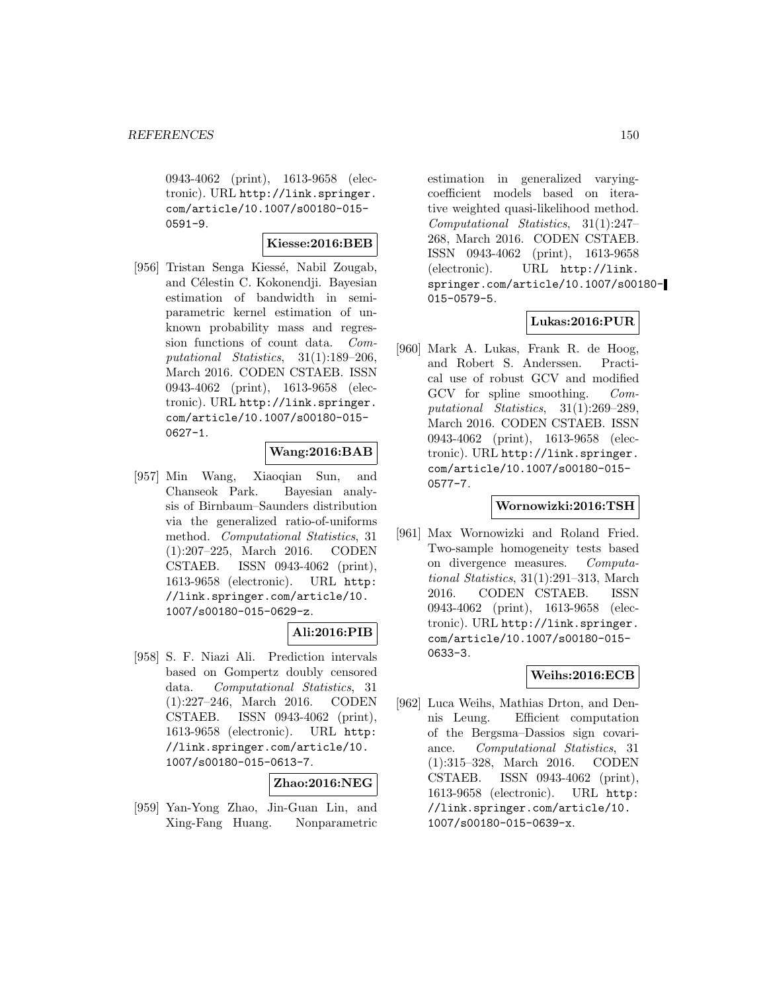0943-4062 (print), 1613-9658 (electronic). URL http://link.springer. com/article/10.1007/s00180-015- 0591-9.

### **Kiesse:2016:BEB**

[956] Tristan Senga Kiessé, Nabil Zougab, and Célestin C. Kokonendji. Bayesian estimation of bandwidth in semiparametric kernel estimation of unknown probability mass and regression functions of count data. Computational Statistics, 31(1):189–206, March 2016. CODEN CSTAEB. ISSN 0943-4062 (print), 1613-9658 (electronic). URL http://link.springer. com/article/10.1007/s00180-015- 0627-1.

# **Wang:2016:BAB**

[957] Min Wang, Xiaoqian Sun, and Chanseok Park. Bayesian analysis of Birnbaum–Saunders distribution via the generalized ratio-of-uniforms method. Computational Statistics, 31 (1):207–225, March 2016. CODEN CSTAEB. ISSN 0943-4062 (print), 1613-9658 (electronic). URL http: //link.springer.com/article/10. 1007/s00180-015-0629-z.

# **Ali:2016:PIB**

[958] S. F. Niazi Ali. Prediction intervals based on Gompertz doubly censored data. Computational Statistics, 31 (1):227–246, March 2016. CODEN CSTAEB. ISSN 0943-4062 (print), 1613-9658 (electronic). URL http: //link.springer.com/article/10. 1007/s00180-015-0613-7.

#### **Zhao:2016:NEG**

[959] Yan-Yong Zhao, Jin-Guan Lin, and Xing-Fang Huang. Nonparametric

estimation in generalized varyingcoefficient models based on iterative weighted quasi-likelihood method. Computational Statistics, 31(1):247– 268, March 2016. CODEN CSTAEB. ISSN 0943-4062 (print), 1613-9658 (electronic). URL http://link. springer.com/article/10.1007/s00180- 015-0579-5.

#### **Lukas:2016:PUR**

[960] Mark A. Lukas, Frank R. de Hoog, and Robert S. Anderssen. Practical use of robust GCV and modified GCV for spline smoothing. Computational Statistics, 31(1):269–289, March 2016. CODEN CSTAEB. ISSN 0943-4062 (print), 1613-9658 (electronic). URL http://link.springer. com/article/10.1007/s00180-015- 0577-7.

#### **Wornowizki:2016:TSH**

[961] Max Wornowizki and Roland Fried. Two-sample homogeneity tests based on divergence measures. Computational Statistics, 31(1):291–313, March 2016. CODEN CSTAEB. ISSN 0943-4062 (print), 1613-9658 (electronic). URL http://link.springer. com/article/10.1007/s00180-015- 0633-3.

# **Weihs:2016:ECB**

[962] Luca Weihs, Mathias Drton, and Dennis Leung. Efficient computation of the Bergsma–Dassios sign covariance. Computational Statistics, 31 (1):315–328, March 2016. CODEN CSTAEB. ISSN 0943-4062 (print), 1613-9658 (electronic). URL http: //link.springer.com/article/10. 1007/s00180-015-0639-x.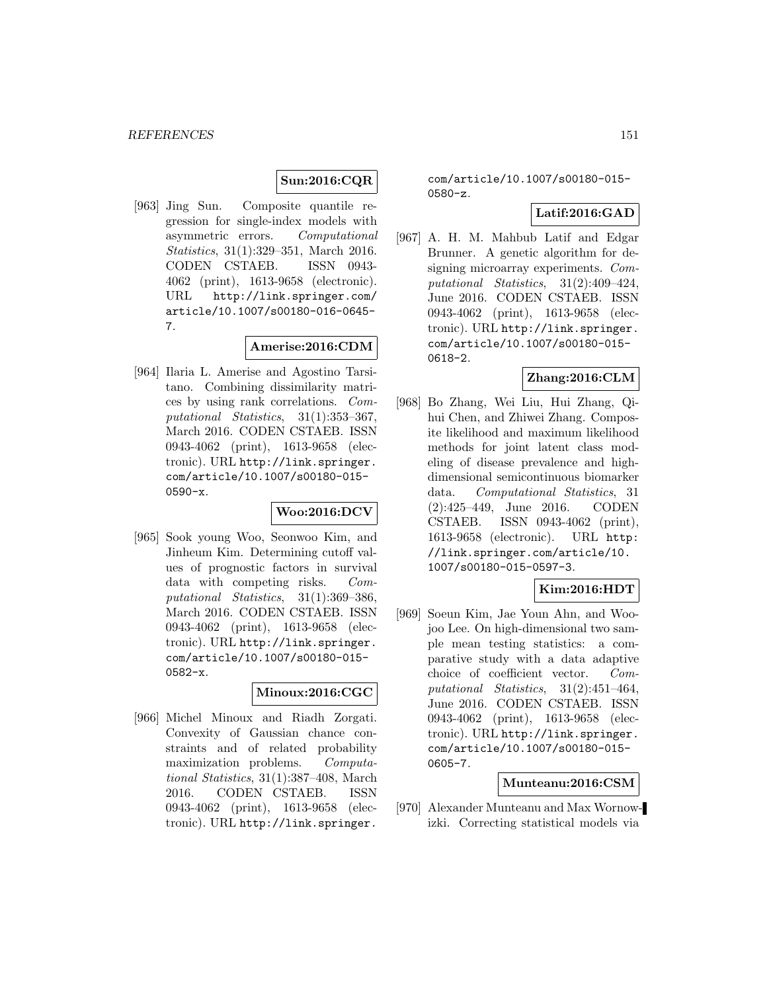# **Sun:2016:CQR**

[963] Jing Sun. Composite quantile regression for single-index models with asymmetric errors. Computational Statistics, 31(1):329–351, March 2016. CODEN CSTAEB. ISSN 0943- 4062 (print), 1613-9658 (electronic). URL http://link.springer.com/ article/10.1007/s00180-016-0645- 7.

# **Amerise:2016:CDM**

[964] Ilaria L. Amerise and Agostino Tarsitano. Combining dissimilarity matrices by using rank correlations. Computational Statistics, 31(1):353–367, March 2016. CODEN CSTAEB. ISSN 0943-4062 (print), 1613-9658 (electronic). URL http://link.springer. com/article/10.1007/s00180-015- 0590-x.

# **Woo:2016:DCV**

[965] Sook young Woo, Seonwoo Kim, and Jinheum Kim. Determining cutoff values of prognostic factors in survival data with competing risks. Computational Statistics, 31(1):369–386, March 2016. CODEN CSTAEB. ISSN 0943-4062 (print), 1613-9658 (electronic). URL http://link.springer. com/article/10.1007/s00180-015- 0582-x.

# **Minoux:2016:CGC**

[966] Michel Minoux and Riadh Zorgati. Convexity of Gaussian chance constraints and of related probability maximization problems. Computational Statistics, 31(1):387–408, March 2016. CODEN CSTAEB. ISSN 0943-4062 (print), 1613-9658 (electronic). URL http://link.springer.

com/article/10.1007/s00180-015- 0580-z.

# **Latif:2016:GAD**

[967] A. H. M. Mahbub Latif and Edgar Brunner. A genetic algorithm for designing microarray experiments. Computational Statistics, 31(2):409–424, June 2016. CODEN CSTAEB. ISSN 0943-4062 (print), 1613-9658 (electronic). URL http://link.springer. com/article/10.1007/s00180-015- 0618-2.

# **Zhang:2016:CLM**

[968] Bo Zhang, Wei Liu, Hui Zhang, Qihui Chen, and Zhiwei Zhang. Composite likelihood and maximum likelihood methods for joint latent class modeling of disease prevalence and highdimensional semicontinuous biomarker data. Computational Statistics, 31 (2):425–449, June 2016. CODEN CSTAEB. ISSN 0943-4062 (print), 1613-9658 (electronic). URL http: //link.springer.com/article/10. 1007/s00180-015-0597-3.

# **Kim:2016:HDT**

[969] Soeun Kim, Jae Youn Ahn, and Woojoo Lee. On high-dimensional two sample mean testing statistics: a comparative study with a data adaptive choice of coefficient vector. Computational Statistics, 31(2):451–464, June 2016. CODEN CSTAEB. ISSN 0943-4062 (print), 1613-9658 (electronic). URL http://link.springer. com/article/10.1007/s00180-015- 0605-7.

# **Munteanu:2016:CSM**

[970] Alexander Munteanu and Max Wornowizki. Correcting statistical models via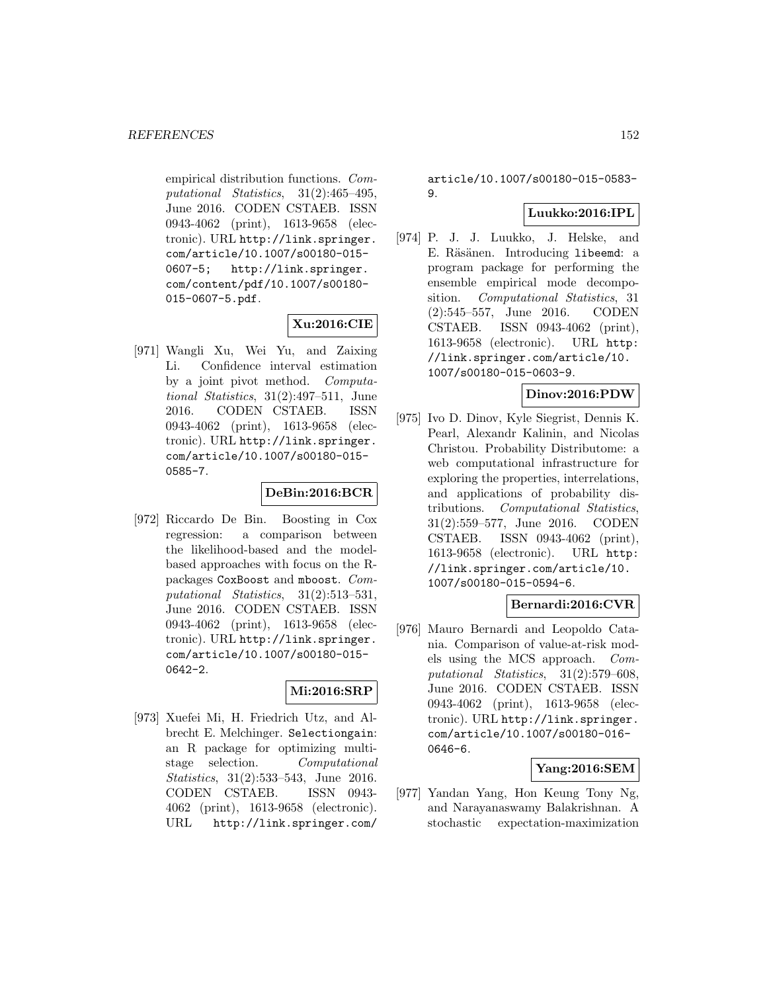empirical distribution functions. Computational Statistics, 31(2):465–495, June 2016. CODEN CSTAEB. ISSN 0943-4062 (print), 1613-9658 (electronic). URL http://link.springer. com/article/10.1007/s00180-015- 0607-5; http://link.springer. com/content/pdf/10.1007/s00180- 015-0607-5.pdf.

# **Xu:2016:CIE**

[971] Wangli Xu, Wei Yu, and Zaixing Li. Confidence interval estimation by a joint pivot method. Computational Statistics, 31(2):497–511, June 2016. CODEN CSTAEB. ISSN 0943-4062 (print), 1613-9658 (electronic). URL http://link.springer. com/article/10.1007/s00180-015- 0585-7.

# **DeBin:2016:BCR**

[972] Riccardo De Bin. Boosting in Cox regression: a comparison between the likelihood-based and the modelbased approaches with focus on the Rpackages CoxBoost and mboost. Computational Statistics, 31(2):513–531, June 2016. CODEN CSTAEB. ISSN 0943-4062 (print), 1613-9658 (electronic). URL http://link.springer. com/article/10.1007/s00180-015- 0642-2.

# **Mi:2016:SRP**

[973] Xuefei Mi, H. Friedrich Utz, and Albrecht E. Melchinger. Selectiongain: an R package for optimizing multistage selection. Computational Statistics, 31(2):533-543, June 2016. CODEN CSTAEB. ISSN 0943- 4062 (print), 1613-9658 (electronic). URL http://link.springer.com/

article/10.1007/s00180-015-0583- 9.

# **Luukko:2016:IPL**

[974] P. J. J. Luukko, J. Helske, and E. Räsänen. Introducing libeemd: a program package for performing the ensemble empirical mode decomposition. Computational Statistics, 31 (2):545–557, June 2016. CODEN CSTAEB. ISSN 0943-4062 (print), 1613-9658 (electronic). URL http: //link.springer.com/article/10. 1007/s00180-015-0603-9.

# **Dinov:2016:PDW**

[975] Ivo D. Dinov, Kyle Siegrist, Dennis K. Pearl, Alexandr Kalinin, and Nicolas Christou. Probability Distributome: a web computational infrastructure for exploring the properties, interrelations, and applications of probability distributions. Computational Statistics, 31(2):559–577, June 2016. CODEN CSTAEB. ISSN 0943-4062 (print), 1613-9658 (electronic). URL http: //link.springer.com/article/10. 1007/s00180-015-0594-6.

### **Bernardi:2016:CVR**

[976] Mauro Bernardi and Leopoldo Catania. Comparison of value-at-risk models using the MCS approach. Computational Statistics, 31(2):579–608, June 2016. CODEN CSTAEB. ISSN 0943-4062 (print), 1613-9658 (electronic). URL http://link.springer. com/article/10.1007/s00180-016- 0646-6.

# **Yang:2016:SEM**

[977] Yandan Yang, Hon Keung Tony Ng, and Narayanaswamy Balakrishnan. A stochastic expectation-maximization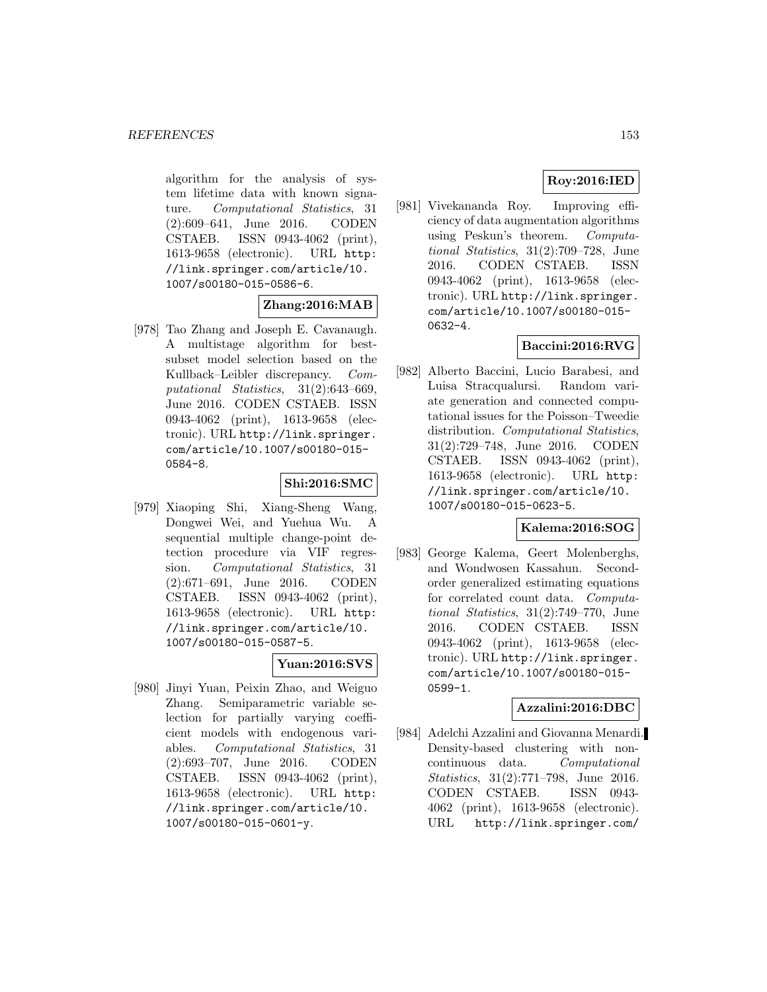algorithm for the analysis of system lifetime data with known signature. Computational Statistics, 31 (2):609–641, June 2016. CODEN CSTAEB. ISSN 0943-4062 (print), 1613-9658 (electronic). URL http: //link.springer.com/article/10. 1007/s00180-015-0586-6.

# **Zhang:2016:MAB**

[978] Tao Zhang and Joseph E. Cavanaugh. A multistage algorithm for bestsubset model selection based on the Kullback–Leibler discrepancy. Computational Statistics, 31(2):643–669, June 2016. CODEN CSTAEB. ISSN 0943-4062 (print), 1613-9658 (electronic). URL http://link.springer. com/article/10.1007/s00180-015- 0584-8.

# **Shi:2016:SMC**

[979] Xiaoping Shi, Xiang-Sheng Wang, Dongwei Wei, and Yuehua Wu. A sequential multiple change-point detection procedure via VIF regression. Computational Statistics, 31 (2):671–691, June 2016. CODEN CSTAEB. ISSN 0943-4062 (print), 1613-9658 (electronic). URL http: //link.springer.com/article/10. 1007/s00180-015-0587-5.

# **Yuan:2016:SVS**

[980] Jinyi Yuan, Peixin Zhao, and Weiguo Zhang. Semiparametric variable selection for partially varying coefficient models with endogenous variables. Computational Statistics, 31 (2):693–707, June 2016. CODEN CSTAEB. ISSN 0943-4062 (print), 1613-9658 (electronic). URL http: //link.springer.com/article/10. 1007/s00180-015-0601-y.

# **Roy:2016:IED**

[981] Vivekananda Roy. Improving efficiency of data augmentation algorithms using Peskun's theorem. Computational Statistics, 31(2):709–728, June 2016. CODEN CSTAEB. ISSN 0943-4062 (print), 1613-9658 (electronic). URL http://link.springer. com/article/10.1007/s00180-015- 0632-4.

# **Baccini:2016:RVG**

[982] Alberto Baccini, Lucio Barabesi, and Luisa Stracqualursi. Random variate generation and connected computational issues for the Poisson–Tweedie distribution. Computational Statistics, 31(2):729–748, June 2016. CODEN CSTAEB. ISSN 0943-4062 (print), 1613-9658 (electronic). URL http: //link.springer.com/article/10. 1007/s00180-015-0623-5.

# **Kalema:2016:SOG**

[983] George Kalema, Geert Molenberghs, and Wondwosen Kassahun. Secondorder generalized estimating equations for correlated count data. Computational Statistics, 31(2):749–770, June 2016. CODEN CSTAEB. ISSN 0943-4062 (print), 1613-9658 (electronic). URL http://link.springer. com/article/10.1007/s00180-015- 0599-1.

# **Azzalini:2016:DBC**

[984] Adelchi Azzalini and Giovanna Menardi. Density-based clustering with noncontinuous data. Computational Statistics, 31(2):771–798, June 2016. CODEN CSTAEB. ISSN 0943- 4062 (print), 1613-9658 (electronic). URL http://link.springer.com/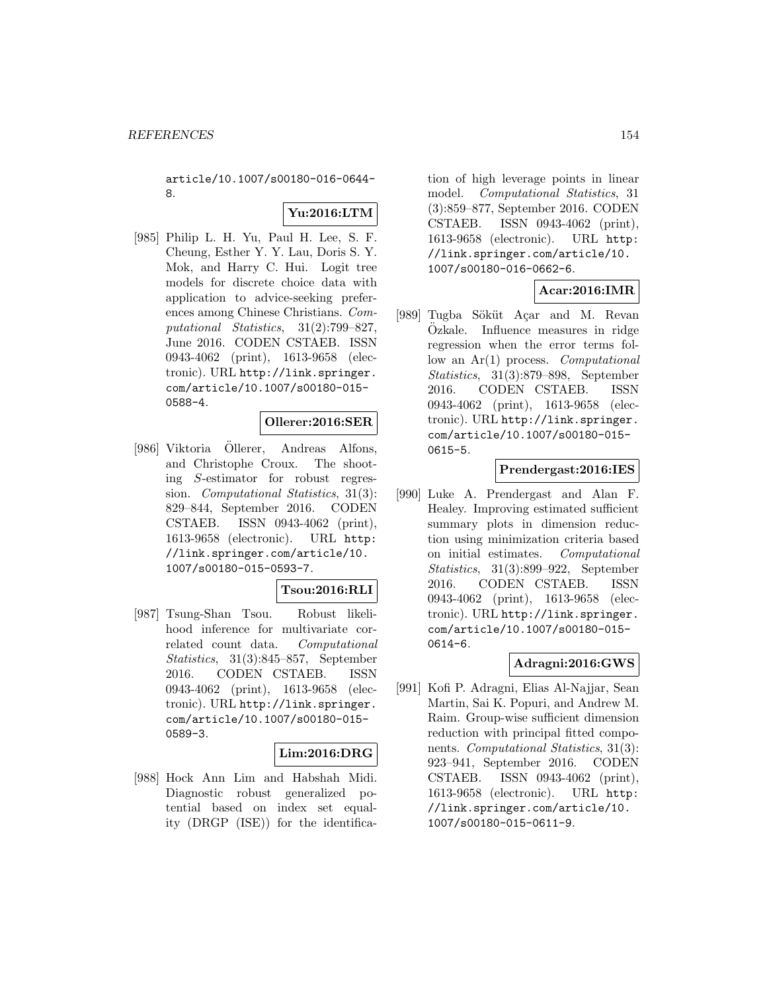article/10.1007/s00180-016-0644- 8.

# **Yu:2016:LTM**

[985] Philip L. H. Yu, Paul H. Lee, S. F. Cheung, Esther Y. Y. Lau, Doris S. Y. Mok, and Harry C. Hui. Logit tree models for discrete choice data with application to advice-seeking preferences among Chinese Christians. Computational Statistics, 31(2):799–827, June 2016. CODEN CSTAEB. ISSN 0943-4062 (print), 1613-9658 (electronic). URL http://link.springer. com/article/10.1007/s00180-015- 0588-4.

#### **Ollerer:2016:SER**

[986] Viktoria Ollerer, Andreas Alfons, and Christophe Croux. The shooting S-estimator for robust regression. Computational Statistics, 31(3): 829–844, September 2016. CODEN CSTAEB. ISSN 0943-4062 (print), 1613-9658 (electronic). URL http: //link.springer.com/article/10. 1007/s00180-015-0593-7.

# **Tsou:2016:RLI**

[987] Tsung-Shan Tsou. Robust likelihood inference for multivariate correlated count data. Computational Statistics, 31(3):845–857, September 2016. CODEN CSTAEB. ISSN 0943-4062 (print), 1613-9658 (electronic). URL http://link.springer. com/article/10.1007/s00180-015- 0589-3.

#### **Lim:2016:DRG**

[988] Hock Ann Lim and Habshah Midi. Diagnostic robust generalized potential based on index set equality (DRGP (ISE)) for the identification of high leverage points in linear model. Computational Statistics, 31 (3):859–877, September 2016. CODEN CSTAEB. ISSN 0943-4062 (print), 1613-9658 (electronic). URL http: //link.springer.com/article/10. 1007/s00180-016-0662-6.

# **Acar:2016:IMR**

[989] Tugba Söküt Açar and M. Revan Ozkale. Influence measures in ridge regression when the error terms follow an  $Ar(1)$  process. *Computational* Statistics, 31(3):879–898, September 2016. CODEN CSTAEB. ISSN 0943-4062 (print), 1613-9658 (electronic). URL http://link.springer. com/article/10.1007/s00180-015- 0615-5.

#### **Prendergast:2016:IES**

[990] Luke A. Prendergast and Alan F. Healey. Improving estimated sufficient summary plots in dimension reduction using minimization criteria based on initial estimates. Computational Statistics, 31(3):899–922, September 2016. CODEN CSTAEB. ISSN 0943-4062 (print), 1613-9658 (electronic). URL http://link.springer. com/article/10.1007/s00180-015- 0614-6.

# **Adragni:2016:GWS**

[991] Kofi P. Adragni, Elias Al-Najjar, Sean Martin, Sai K. Popuri, and Andrew M. Raim. Group-wise sufficient dimension reduction with principal fitted components. Computational Statistics, 31(3): 923–941, September 2016. CODEN CSTAEB. ISSN 0943-4062 (print), 1613-9658 (electronic). URL http: //link.springer.com/article/10. 1007/s00180-015-0611-9.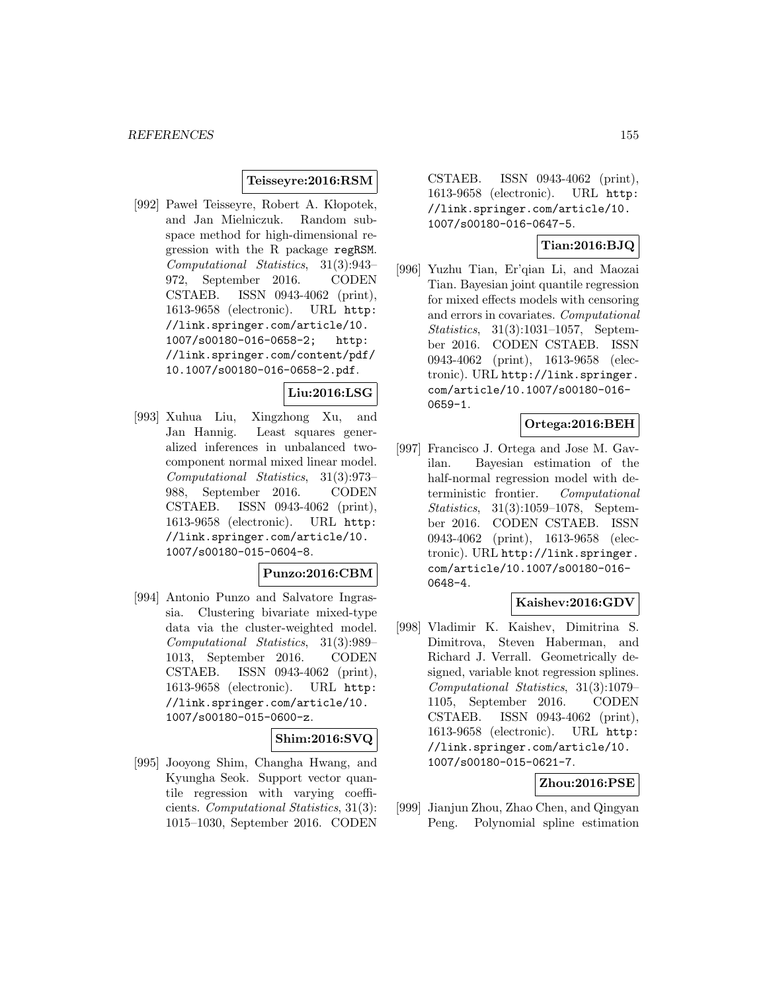### **Teisseyre:2016:RSM**

[992] Pawel Teisseyre, Robert A. Klopotek, and Jan Mielniczuk. Random subspace method for high-dimensional regression with the R package regRSM. Computational Statistics, 31(3):943– 972, September 2016. CODEN CSTAEB. ISSN 0943-4062 (print), 1613-9658 (electronic). URL http: //link.springer.com/article/10. 1007/s00180-016-0658-2; http: //link.springer.com/content/pdf/ 10.1007/s00180-016-0658-2.pdf.

# **Liu:2016:LSG**

[993] Xuhua Liu, Xingzhong Xu, and Jan Hannig. Least squares generalized inferences in unbalanced twocomponent normal mixed linear model. Computational Statistics, 31(3):973– 988, September 2016. CODEN CSTAEB. ISSN 0943-4062 (print), 1613-9658 (electronic). URL http: //link.springer.com/article/10. 1007/s00180-015-0604-8.

### **Punzo:2016:CBM**

[994] Antonio Punzo and Salvatore Ingrassia. Clustering bivariate mixed-type data via the cluster-weighted model. Computational Statistics, 31(3):989– 1013, September 2016. CODEN CSTAEB. ISSN 0943-4062 (print), 1613-9658 (electronic). URL http: //link.springer.com/article/10. 1007/s00180-015-0600-z.

# **Shim:2016:SVQ**

[995] Jooyong Shim, Changha Hwang, and Kyungha Seok. Support vector quantile regression with varying coefficients. Computational Statistics, 31(3): 1015–1030, September 2016. CODEN

CSTAEB. ISSN 0943-4062 (print), 1613-9658 (electronic). URL http: //link.springer.com/article/10. 1007/s00180-016-0647-5.

# **Tian:2016:BJQ**

[996] Yuzhu Tian, Er'qian Li, and Maozai Tian. Bayesian joint quantile regression for mixed effects models with censoring and errors in covariates. Computational Statistics, 31(3):1031–1057, September 2016. CODEN CSTAEB. ISSN 0943-4062 (print), 1613-9658 (electronic). URL http://link.springer. com/article/10.1007/s00180-016- 0659-1.

# **Ortega:2016:BEH**

[997] Francisco J. Ortega and Jose M. Gavilan. Bayesian estimation of the half-normal regression model with deterministic frontier. Computational Statistics, 31(3):1059–1078, September 2016. CODEN CSTAEB. ISSN 0943-4062 (print), 1613-9658 (electronic). URL http://link.springer. com/article/10.1007/s00180-016- 0648-4.

# **Kaishev:2016:GDV**

[998] Vladimir K. Kaishev, Dimitrina S. Dimitrova, Steven Haberman, and Richard J. Verrall. Geometrically designed, variable knot regression splines. Computational Statistics, 31(3):1079– 1105, September 2016. CODEN CSTAEB. ISSN 0943-4062 (print), 1613-9658 (electronic). URL http: //link.springer.com/article/10. 1007/s00180-015-0621-7.

# **Zhou:2016:PSE**

[999] Jianjun Zhou, Zhao Chen, and Qingyan Peng. Polynomial spline estimation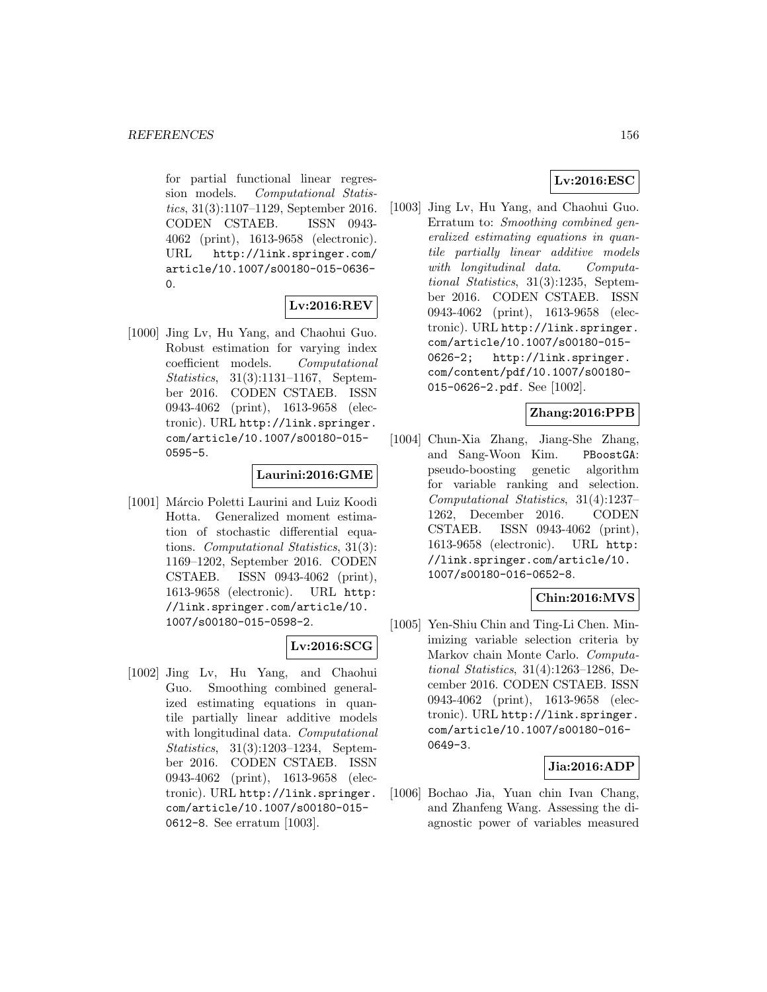for partial functional linear regression models. Computational Statistics, 31(3):1107–1129, September 2016. CODEN CSTAEB. ISSN 0943- 4062 (print), 1613-9658 (electronic). URL http://link.springer.com/ article/10.1007/s00180-015-0636- 0.

# **Lv:2016:REV**

[1000] Jing Lv, Hu Yang, and Chaohui Guo. Robust estimation for varying index coefficient models. Computational Statistics, 31(3):1131–1167, September 2016. CODEN CSTAEB. ISSN 0943-4062 (print), 1613-9658 (electronic). URL http://link.springer. com/article/10.1007/s00180-015- 0595-5.

# **Laurini:2016:GME**

[1001] Márcio Poletti Laurini and Luiz Koodi Hotta. Generalized moment estimation of stochastic differential equations. Computational Statistics, 31(3): 1169–1202, September 2016. CODEN CSTAEB. ISSN 0943-4062 (print), 1613-9658 (electronic). URL http: //link.springer.com/article/10. 1007/s00180-015-0598-2.

# **Lv:2016:SCG**

[1002] Jing Lv, Hu Yang, and Chaohui Guo. Smoothing combined generalized estimating equations in quantile partially linear additive models with longitudinal data. Computational Statistics, 31(3):1203–1234, September 2016. CODEN CSTAEB. ISSN 0943-4062 (print), 1613-9658 (electronic). URL http://link.springer. com/article/10.1007/s00180-015- 0612-8. See erratum [1003].

# **Lv:2016:ESC**

[1003] Jing Lv, Hu Yang, and Chaohui Guo. Erratum to: Smoothing combined generalized estimating equations in quantile partially linear additive models with longitudinal data. Computational Statistics, 31(3):1235, September 2016. CODEN CSTAEB. ISSN 0943-4062 (print), 1613-9658 (electronic). URL http://link.springer. com/article/10.1007/s00180-015- 0626-2; http://link.springer. com/content/pdf/10.1007/s00180- 015-0626-2.pdf. See [1002].

# **Zhang:2016:PPB**

[1004] Chun-Xia Zhang, Jiang-She Zhang, and Sang-Woon Kim. PBoostGA: pseudo-boosting genetic algorithm for variable ranking and selection. Computational Statistics, 31(4):1237– 1262, December 2016. CODEN CSTAEB. ISSN 0943-4062 (print), 1613-9658 (electronic). URL http: //link.springer.com/article/10. 1007/s00180-016-0652-8.

# **Chin:2016:MVS**

[1005] Yen-Shiu Chin and Ting-Li Chen. Minimizing variable selection criteria by Markov chain Monte Carlo. Computational Statistics, 31(4):1263–1286, December 2016. CODEN CSTAEB. ISSN 0943-4062 (print), 1613-9658 (electronic). URL http://link.springer. com/article/10.1007/s00180-016- 0649-3.

# **Jia:2016:ADP**

[1006] Bochao Jia, Yuan chin Ivan Chang, and Zhanfeng Wang. Assessing the diagnostic power of variables measured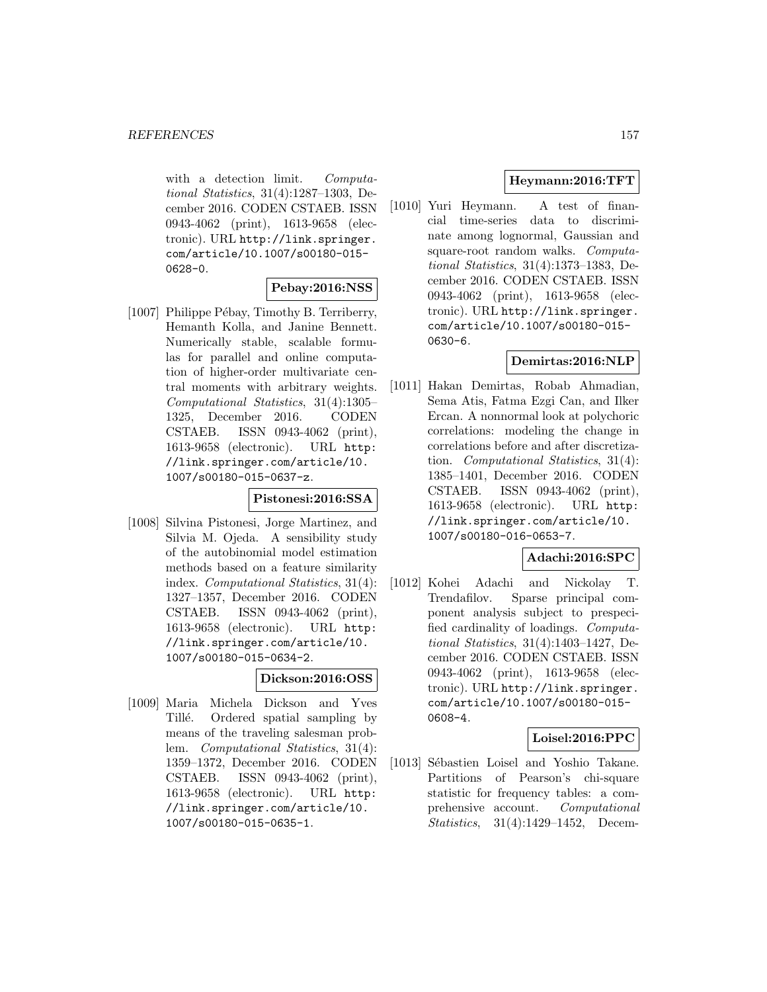with a detection limit. Computational Statistics, 31(4):1287–1303, December 2016. CODEN CSTAEB. ISSN 0943-4062 (print), 1613-9658 (electronic). URL http://link.springer. com/article/10.1007/s00180-015- 0628-0.

# **Pebay:2016:NSS**

[1007] Philippe Pébay, Timothy B. Terriberry, Hemanth Kolla, and Janine Bennett. Numerically stable, scalable formulas for parallel and online computation of higher-order multivariate central moments with arbitrary weights. Computational Statistics, 31(4):1305– 1325, December 2016. CODEN CSTAEB. ISSN 0943-4062 (print), 1613-9658 (electronic). URL http: //link.springer.com/article/10. 1007/s00180-015-0637-z.

### **Pistonesi:2016:SSA**

[1008] Silvina Pistonesi, Jorge Martinez, and Silvia M. Ojeda. A sensibility study of the autobinomial model estimation methods based on a feature similarity index. Computational Statistics, 31(4): 1327–1357, December 2016. CODEN CSTAEB. ISSN 0943-4062 (print), 1613-9658 (electronic). URL http: //link.springer.com/article/10. 1007/s00180-015-0634-2.

# **Dickson:2016:OSS**

[1009] Maria Michela Dickson and Yves Tillé. Ordered spatial sampling by means of the traveling salesman problem. Computational Statistics, 31(4): 1359–1372, December 2016. CODEN CSTAEB. ISSN 0943-4062 (print), 1613-9658 (electronic). URL http: //link.springer.com/article/10. 1007/s00180-015-0635-1.

# **Heymann:2016:TFT**

[1010] Yuri Heymann. A test of financial time-series data to discriminate among lognormal, Gaussian and square-root random walks. Computational Statistics, 31(4):1373–1383, December 2016. CODEN CSTAEB. ISSN 0943-4062 (print), 1613-9658 (electronic). URL http://link.springer. com/article/10.1007/s00180-015- 0630-6.

# **Demirtas:2016:NLP**

[1011] Hakan Demirtas, Robab Ahmadian, Sema Atis, Fatma Ezgi Can, and Ilker Ercan. A nonnormal look at polychoric correlations: modeling the change in correlations before and after discretization. Computational Statistics, 31(4): 1385–1401, December 2016. CODEN CSTAEB. ISSN 0943-4062 (print), 1613-9658 (electronic). URL http: //link.springer.com/article/10. 1007/s00180-016-0653-7.

# **Adachi:2016:SPC**

[1012] Kohei Adachi and Nickolay T. Trendafilov. Sparse principal component analysis subject to prespecified cardinality of loadings. Computational Statistics, 31(4):1403–1427, December 2016. CODEN CSTAEB. ISSN 0943-4062 (print), 1613-9658 (electronic). URL http://link.springer. com/article/10.1007/s00180-015- 0608-4.

# **Loisel:2016:PPC**

[1013] Sébastien Loisel and Yoshio Takane. Partitions of Pearson's chi-square statistic for frequency tables: a comprehensive account. Computational Statistics, 31(4):1429–1452, Decem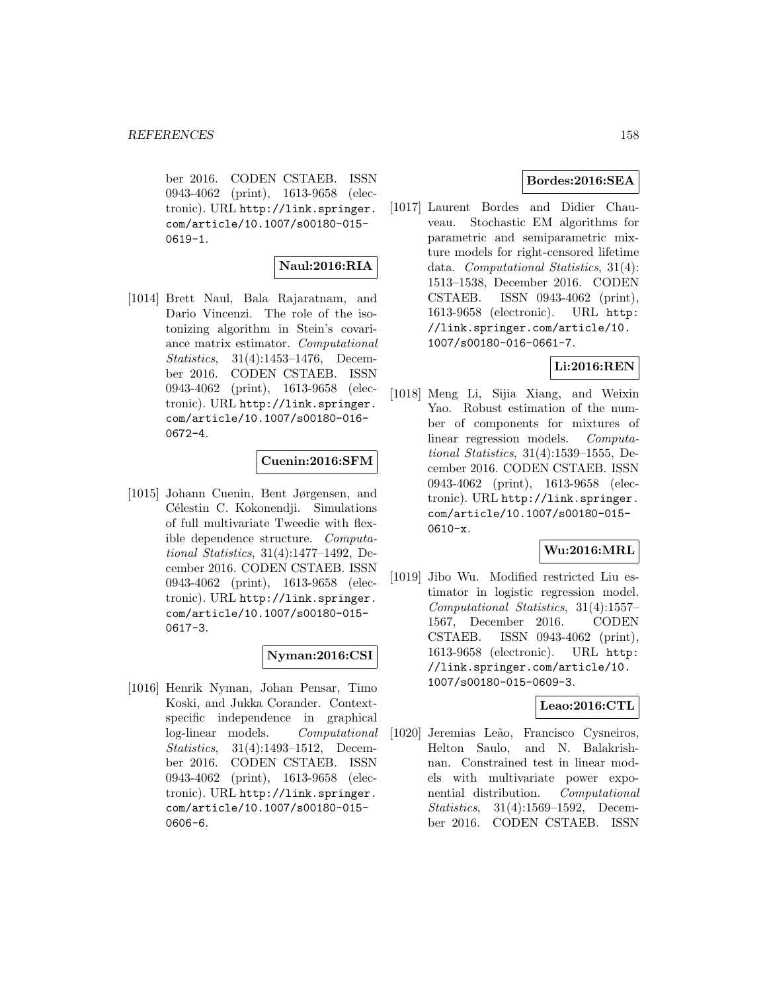ber 2016. CODEN CSTAEB. ISSN 0943-4062 (print), 1613-9658 (electronic). URL http://link.springer. com/article/10.1007/s00180-015- 0619-1.

#### **Naul:2016:RIA**

[1014] Brett Naul, Bala Rajaratnam, and Dario Vincenzi. The role of the isotonizing algorithm in Stein's covariance matrix estimator. Computational Statistics, 31(4):1453–1476, December 2016. CODEN CSTAEB. ISSN 0943-4062 (print), 1613-9658 (electronic). URL http://link.springer. com/article/10.1007/s00180-016- 0672-4.

# **Cuenin:2016:SFM**

[1015] Johann Cuenin, Bent Jørgensen, and Célestin C. Kokonendji. Simulations of full multivariate Tweedie with flexible dependence structure. Computational Statistics, 31(4):1477–1492, December 2016. CODEN CSTAEB. ISSN 0943-4062 (print), 1613-9658 (electronic). URL http://link.springer. com/article/10.1007/s00180-015- 0617-3.

# **Nyman:2016:CSI**

[1016] Henrik Nyman, Johan Pensar, Timo Koski, and Jukka Corander. Contextspecific independence in graphical log-linear models. Computational Statistics, 31(4):1493–1512, December 2016. CODEN CSTAEB. ISSN 0943-4062 (print), 1613-9658 (electronic). URL http://link.springer. com/article/10.1007/s00180-015- 0606-6.

# **Bordes:2016:SEA**

[1017] Laurent Bordes and Didier Chauveau. Stochastic EM algorithms for parametric and semiparametric mixture models for right-censored lifetime data. Computational Statistics, 31(4): 1513–1538, December 2016. CODEN CSTAEB. ISSN 0943-4062 (print), 1613-9658 (electronic). URL http: //link.springer.com/article/10. 1007/s00180-016-0661-7.

# **Li:2016:REN**

[1018] Meng Li, Sijia Xiang, and Weixin Yao. Robust estimation of the number of components for mixtures of linear regression models. Computational Statistics, 31(4):1539–1555, December 2016. CODEN CSTAEB. ISSN 0943-4062 (print), 1613-9658 (electronic). URL http://link.springer. com/article/10.1007/s00180-015- 0610-x.

# **Wu:2016:MRL**

[1019] Jibo Wu. Modified restricted Liu estimator in logistic regression model. Computational Statistics, 31(4):1557– 1567, December 2016. CODEN CSTAEB. ISSN 0943-4062 (print), 1613-9658 (electronic). URL http: //link.springer.com/article/10. 1007/s00180-015-0609-3.

# **Leao:2016:CTL**

[1020] Jeremias Leão, Francisco Cysneiros, Helton Saulo, and N. Balakrishnan. Constrained test in linear models with multivariate power exponential distribution. Computational Statistics, 31(4):1569–1592, December 2016. CODEN CSTAEB. ISSN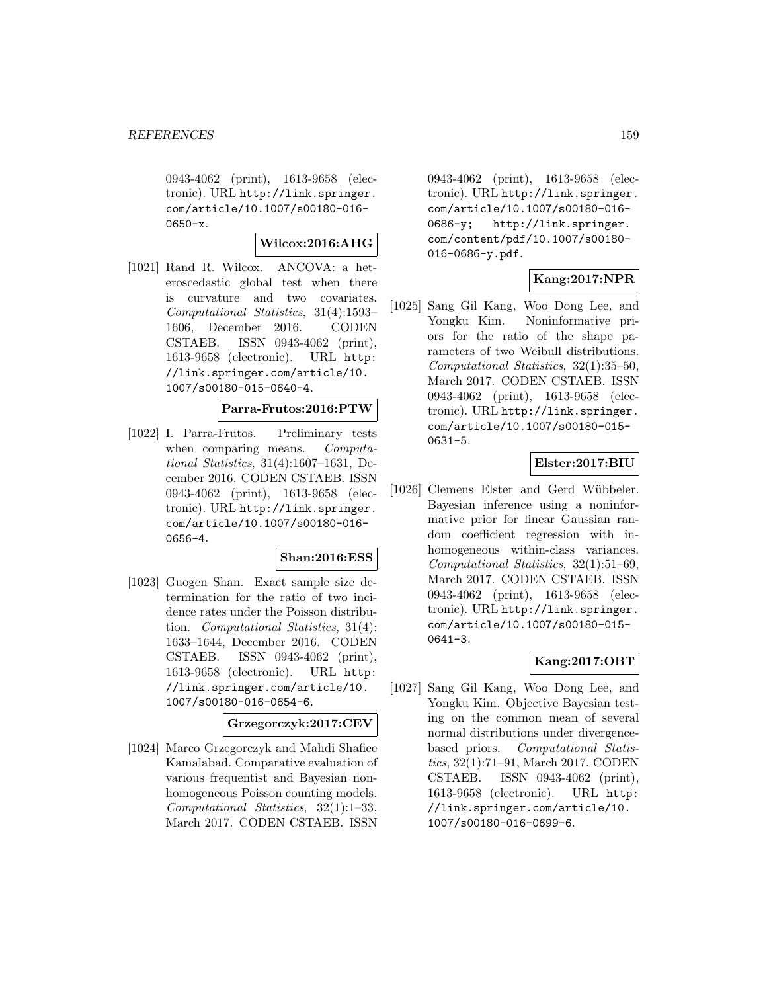0943-4062 (print), 1613-9658 (electronic). URL http://link.springer. com/article/10.1007/s00180-016- 0650-x.

#### **Wilcox:2016:AHG**

[1021] Rand R. Wilcox. ANCOVA: a heteroscedastic global test when there is curvature and two covariates. Computational Statistics, 31(4):1593– 1606, December 2016. CODEN CSTAEB. ISSN 0943-4062 (print), 1613-9658 (electronic). URL http: //link.springer.com/article/10. 1007/s00180-015-0640-4.

# **Parra-Frutos:2016:PTW**

[1022] I. Parra-Frutos. Preliminary tests when comparing means. Computational Statistics, 31(4):1607–1631, December 2016. CODEN CSTAEB. ISSN 0943-4062 (print), 1613-9658 (electronic). URL http://link.springer. com/article/10.1007/s00180-016- 0656-4.

#### **Shan:2016:ESS**

[1023] Guogen Shan. Exact sample size determination for the ratio of two incidence rates under the Poisson distribution. Computational Statistics, 31(4): 1633–1644, December 2016. CODEN CSTAEB. ISSN 0943-4062 (print), 1613-9658 (electronic). URL http: //link.springer.com/article/10. 1007/s00180-016-0654-6.

# **Grzegorczyk:2017:CEV**

[1024] Marco Grzegorczyk and Mahdi Shafiee Kamalabad. Comparative evaluation of various frequentist and Bayesian nonhomogeneous Poisson counting models. Computational Statistics, 32(1):1–33, March 2017. CODEN CSTAEB. ISSN

0943-4062 (print), 1613-9658 (electronic). URL http://link.springer. com/article/10.1007/s00180-016- 0686-y; http://link.springer. com/content/pdf/10.1007/s00180- 016-0686-y.pdf.

# **Kang:2017:NPR**

[1025] Sang Gil Kang, Woo Dong Lee, and Yongku Kim. Noninformative priors for the ratio of the shape parameters of two Weibull distributions. Computational Statistics, 32(1):35–50, March 2017. CODEN CSTAEB. ISSN 0943-4062 (print), 1613-9658 (electronic). URL http://link.springer. com/article/10.1007/s00180-015- 0631-5.

# **Elster:2017:BIU**

[1026] Clemens Elster and Gerd Wübbeler. Bayesian inference using a noninformative prior for linear Gaussian random coefficient regression with inhomogeneous within-class variances. Computational Statistics, 32(1):51–69, March 2017. CODEN CSTAEB. ISSN 0943-4062 (print), 1613-9658 (electronic). URL http://link.springer. com/article/10.1007/s00180-015- 0641-3.

# **Kang:2017:OBT**

[1027] Sang Gil Kang, Woo Dong Lee, and Yongku Kim. Objective Bayesian testing on the common mean of several normal distributions under divergencebased priors. Computational Statistics, 32(1):71–91, March 2017. CODEN CSTAEB. ISSN 0943-4062 (print), 1613-9658 (electronic). URL http: //link.springer.com/article/10. 1007/s00180-016-0699-6.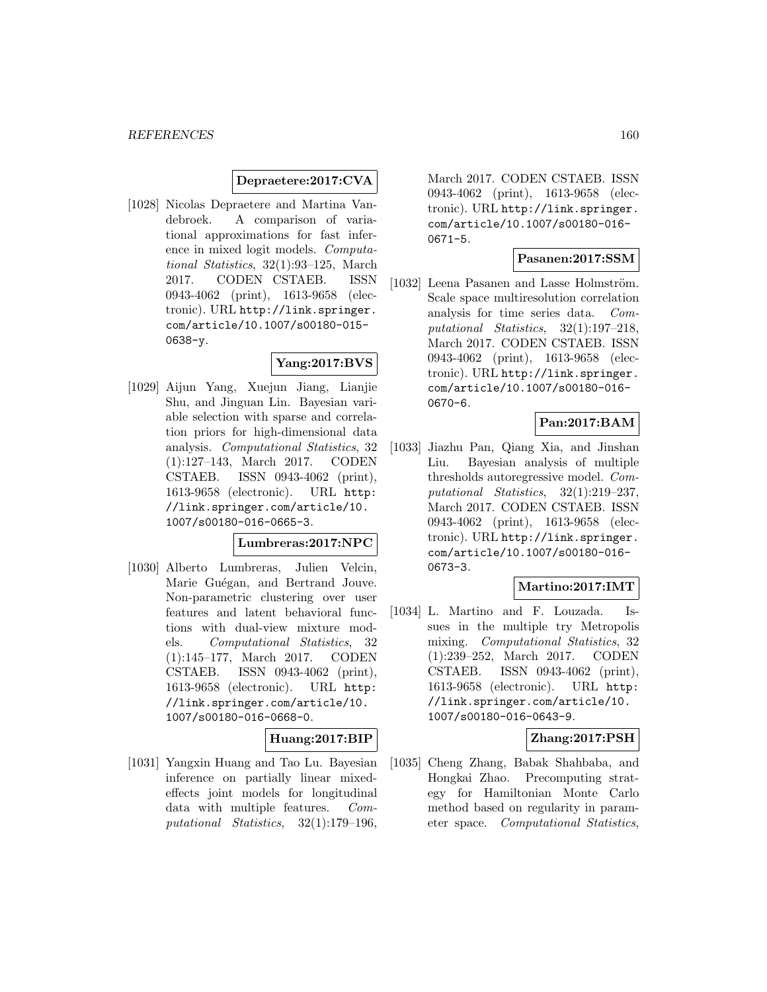### **Depraetere:2017:CVA**

[1028] Nicolas Depraetere and Martina Vandebroek. A comparison of variational approximations for fast inference in mixed logit models. Computational Statistics, 32(1):93–125, March 2017. CODEN CSTAEB. ISSN 0943-4062 (print), 1613-9658 (electronic). URL http://link.springer. com/article/10.1007/s00180-015- 0638-y.

# **Yang:2017:BVS**

[1029] Aijun Yang, Xuejun Jiang, Lianjie Shu, and Jinguan Lin. Bayesian variable selection with sparse and correlation priors for high-dimensional data analysis. Computational Statistics, 32 (1):127–143, March 2017. CODEN CSTAEB. ISSN 0943-4062 (print), 1613-9658 (electronic). URL http: //link.springer.com/article/10. 1007/s00180-016-0665-3.

# **Lumbreras:2017:NPC**

[1030] Alberto Lumbreras, Julien Velcin, Marie Guégan, and Bertrand Jouve. Non-parametric clustering over user features and latent behavioral functions with dual-view mixture models. Computational Statistics, 32 (1):145–177, March 2017. CODEN CSTAEB. ISSN 0943-4062 (print), 1613-9658 (electronic). URL http: //link.springer.com/article/10. 1007/s00180-016-0668-0.

# **Huang:2017:BIP**

[1031] Yangxin Huang and Tao Lu. Bayesian inference on partially linear mixedeffects joint models for longitudinal data with multiple features. Computational Statistics, 32(1):179–196,

March 2017. CODEN CSTAEB. ISSN 0943-4062 (print), 1613-9658 (electronic). URL http://link.springer. com/article/10.1007/s00180-016- 0671-5.

# **Pasanen:2017:SSM**

[1032] Leena Pasanen and Lasse Holmström. Scale space multiresolution correlation analysis for time series data. Computational Statistics, 32(1):197–218, March 2017. CODEN CSTAEB. ISSN 0943-4062 (print), 1613-9658 (electronic). URL http://link.springer. com/article/10.1007/s00180-016- 0670-6.

# **Pan:2017:BAM**

[1033] Jiazhu Pan, Qiang Xia, and Jinshan Liu. Bayesian analysis of multiple thresholds autoregressive model. Computational Statistics, 32(1):219–237, March 2017. CODEN CSTAEB. ISSN 0943-4062 (print), 1613-9658 (electronic). URL http://link.springer. com/article/10.1007/s00180-016- 0673-3.

# **Martino:2017:IMT**

[1034] L. Martino and F. Louzada. Issues in the multiple try Metropolis mixing. Computational Statistics, 32 (1):239–252, March 2017. CODEN CSTAEB. ISSN 0943-4062 (print), 1613-9658 (electronic). URL http: //link.springer.com/article/10. 1007/s00180-016-0643-9.

### **Zhang:2017:PSH**

[1035] Cheng Zhang, Babak Shahbaba, and Hongkai Zhao. Precomputing strategy for Hamiltonian Monte Carlo method based on regularity in parameter space. Computational Statistics,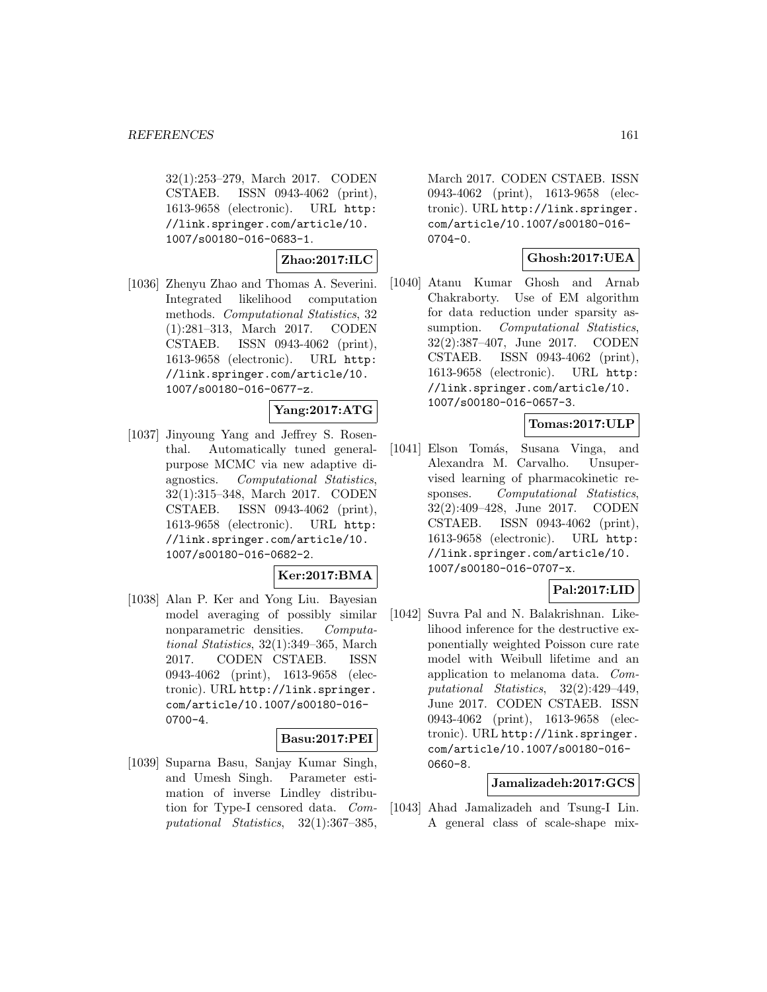32(1):253–279, March 2017. CODEN CSTAEB. ISSN 0943-4062 (print), 1613-9658 (electronic). URL http: //link.springer.com/article/10. 1007/s00180-016-0683-1.

**Zhao:2017:ILC**

[1036] Zhenyu Zhao and Thomas A. Severini. Integrated likelihood computation methods. Computational Statistics, 32 (1):281–313, March 2017. CODEN CSTAEB. ISSN 0943-4062 (print), 1613-9658 (electronic). URL http: //link.springer.com/article/10. 1007/s00180-016-0677-z.

**Yang:2017:ATG**

[1037] Jinyoung Yang and Jeffrey S. Rosenthal. Automatically tuned generalpurpose MCMC via new adaptive diagnostics. Computational Statistics, 32(1):315–348, March 2017. CODEN CSTAEB. ISSN 0943-4062 (print), 1613-9658 (electronic). URL http: //link.springer.com/article/10. 1007/s00180-016-0682-2.

**Ker:2017:BMA**

[1038] Alan P. Ker and Yong Liu. Bayesian model averaging of possibly similar nonparametric densities. Computational Statistics, 32(1):349–365, March 2017. CODEN CSTAEB. ISSN 0943-4062 (print), 1613-9658 (electronic). URL http://link.springer. com/article/10.1007/s00180-016- 0700-4.

# **Basu:2017:PEI**

[1039] Suparna Basu, Sanjay Kumar Singh, and Umesh Singh. Parameter estimation of inverse Lindley distribution for Type-I censored data. Computational Statistics, 32(1):367–385,

March 2017. CODEN CSTAEB. ISSN 0943-4062 (print), 1613-9658 (electronic). URL http://link.springer. com/article/10.1007/s00180-016- 0704-0.

# **Ghosh:2017:UEA**

[1040] Atanu Kumar Ghosh and Arnab Chakraborty. Use of EM algorithm for data reduction under sparsity assumption. Computational Statistics, 32(2):387–407, June 2017. CODEN CSTAEB. ISSN 0943-4062 (print), 1613-9658 (electronic). URL http: //link.springer.com/article/10. 1007/s00180-016-0657-3.

### **Tomas:2017:ULP**

[1041] Elson Tomás, Susana Vinga, and Alexandra M. Carvalho. Unsupervised learning of pharmacokinetic responses. Computational Statistics, 32(2):409–428, June 2017. CODEN CSTAEB. ISSN 0943-4062 (print), 1613-9658 (electronic). URL http: //link.springer.com/article/10. 1007/s00180-016-0707-x.

# **Pal:2017:LID**

[1042] Suvra Pal and N. Balakrishnan. Likelihood inference for the destructive exponentially weighted Poisson cure rate model with Weibull lifetime and an application to melanoma data. Computational Statistics, 32(2):429–449, June 2017. CODEN CSTAEB. ISSN 0943-4062 (print), 1613-9658 (electronic). URL http://link.springer. com/article/10.1007/s00180-016- 0660-8.

# **Jamalizadeh:2017:GCS**

[1043] Ahad Jamalizadeh and Tsung-I Lin. A general class of scale-shape mix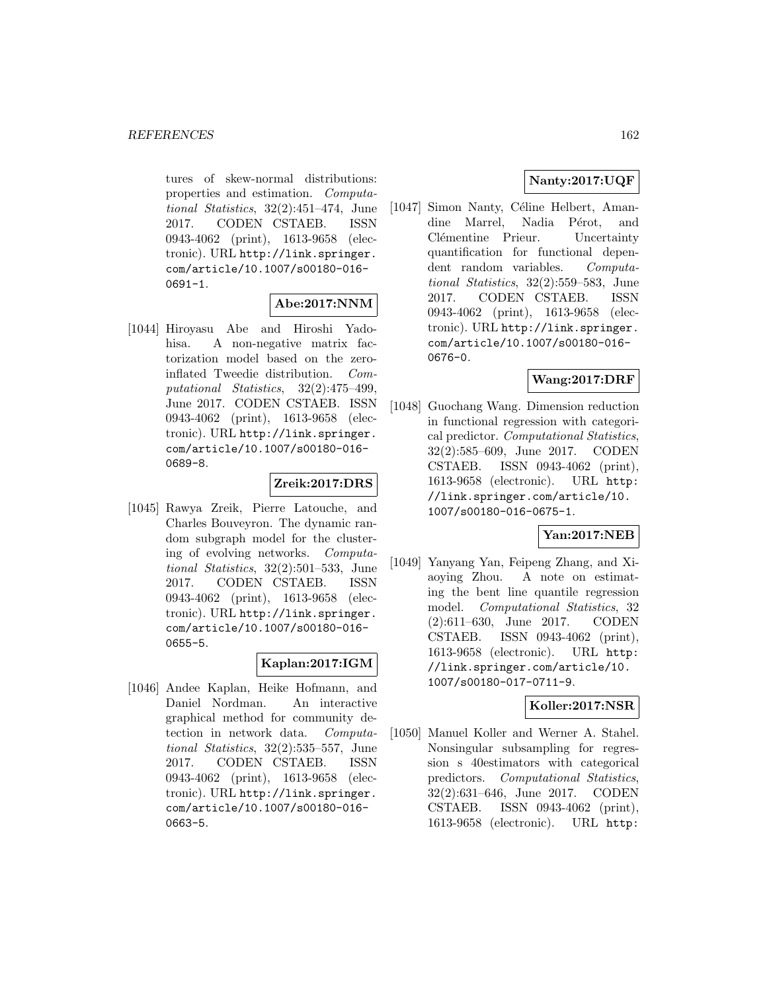tures of skew-normal distributions: properties and estimation. Computational Statistics, 32(2):451–474, June 2017. CODEN CSTAEB. ISSN 0943-4062 (print), 1613-9658 (electronic). URL http://link.springer. com/article/10.1007/s00180-016- 0691-1.

# **Abe:2017:NNM**

[1044] Hiroyasu Abe and Hiroshi Yadohisa. A non-negative matrix factorization model based on the zeroinflated Tweedie distribution. Computational Statistics, 32(2):475–499, June 2017. CODEN CSTAEB. ISSN 0943-4062 (print), 1613-9658 (electronic). URL http://link.springer. com/article/10.1007/s00180-016- 0689-8.

#### **Zreik:2017:DRS**

[1045] Rawya Zreik, Pierre Latouche, and Charles Bouveyron. The dynamic random subgraph model for the clustering of evolving networks. Computational Statistics, 32(2):501–533, June 2017. CODEN CSTAEB. ISSN 0943-4062 (print), 1613-9658 (electronic). URL http://link.springer. com/article/10.1007/s00180-016- 0655-5.

# **Kaplan:2017:IGM**

[1046] Andee Kaplan, Heike Hofmann, and Daniel Nordman. An interactive graphical method for community detection in network data. Computational Statistics, 32(2):535–557, June 2017. CODEN CSTAEB. ISSN 0943-4062 (print), 1613-9658 (electronic). URL http://link.springer. com/article/10.1007/s00180-016- 0663-5.

# **Nanty:2017:UQF**

[1047] Simon Nanty, Céline Helbert, Amandine Marrel, Nadia Pérot, and Clémentine Prieur. Uncertainty quantification for functional dependent random variables. Computational Statistics, 32(2):559–583, June 2017. CODEN CSTAEB. ISSN 0943-4062 (print), 1613-9658 (electronic). URL http://link.springer. com/article/10.1007/s00180-016- 0676-0.

# **Wang:2017:DRF**

[1048] Guochang Wang. Dimension reduction in functional regression with categorical predictor. Computational Statistics, 32(2):585–609, June 2017. CODEN CSTAEB. ISSN 0943-4062 (print), 1613-9658 (electronic). URL http: //link.springer.com/article/10. 1007/s00180-016-0675-1.

# **Yan:2017:NEB**

[1049] Yanyang Yan, Feipeng Zhang, and Xiaoying Zhou. A note on estimating the bent line quantile regression model. Computational Statistics, 32 (2):611–630, June 2017. CODEN CSTAEB. ISSN 0943-4062 (print), 1613-9658 (electronic). URL http: //link.springer.com/article/10. 1007/s00180-017-0711-9.

# **Koller:2017:NSR**

[1050] Manuel Koller and Werner A. Stahel. Nonsingular subsampling for regression s 40estimators with categorical predictors. Computational Statistics, 32(2):631–646, June 2017. CODEN CSTAEB. ISSN 0943-4062 (print), 1613-9658 (electronic). URL http: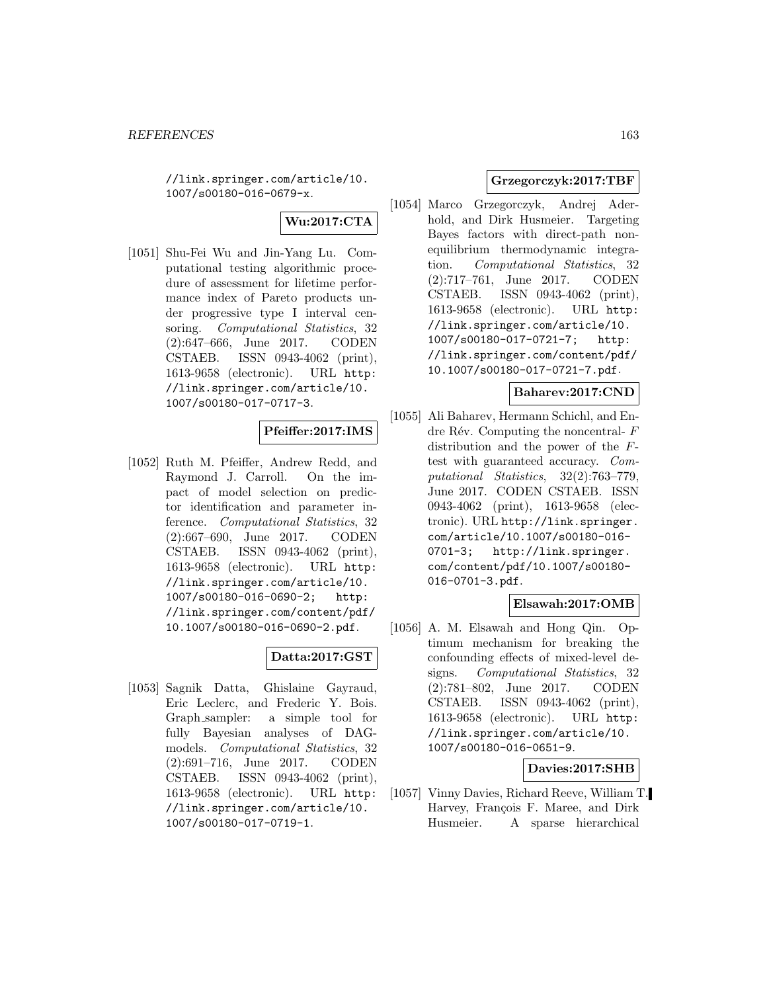//link.springer.com/article/10. 1007/s00180-016-0679-x.

# **Wu:2017:CTA**

[1051] Shu-Fei Wu and Jin-Yang Lu. Computational testing algorithmic procedure of assessment for lifetime performance index of Pareto products under progressive type I interval censoring. Computational Statistics, 32 (2):647–666, June 2017. CODEN CSTAEB. ISSN 0943-4062 (print), 1613-9658 (electronic). URL http: //link.springer.com/article/10. 1007/s00180-017-0717-3.

# **Pfeiffer:2017:IMS**

[1052] Ruth M. Pfeiffer, Andrew Redd, and Raymond J. Carroll. On the impact of model selection on predictor identification and parameter inference. Computational Statistics, 32 (2):667–690, June 2017. CODEN CSTAEB. ISSN 0943-4062 (print), 1613-9658 (electronic). URL http: //link.springer.com/article/10. 1007/s00180-016-0690-2; http: //link.springer.com/content/pdf/ 10.1007/s00180-016-0690-2.pdf.

# **Datta:2017:GST**

[1053] Sagnik Datta, Ghislaine Gayraud, Eric Leclerc, and Frederic Y. Bois. Graph sampler: a simple tool for fully Bayesian analyses of DAGmodels. *Computational Statistics*, 32 (2):691–716, June 2017. CODEN CSTAEB. ISSN 0943-4062 (print), 1613-9658 (electronic). URL http: //link.springer.com/article/10. 1007/s00180-017-0719-1.

# **Grzegorczyk:2017:TBF**

[1054] Marco Grzegorczyk, Andrej Aderhold, and Dirk Husmeier. Targeting Bayes factors with direct-path nonequilibrium thermodynamic integration. Computational Statistics, 32 (2):717–761, June 2017. CODEN CSTAEB. ISSN 0943-4062 (print), 1613-9658 (electronic). URL http: //link.springer.com/article/10. 1007/s00180-017-0721-7; http: //link.springer.com/content/pdf/ 10.1007/s00180-017-0721-7.pdf.

# **Baharev:2017:CND**

[1055] Ali Baharev, Hermann Schichl, and Endre Rév. Computing the noncentral-  $F$ distribution and the power of the Ftest with guaranteed accuracy. Computational Statistics, 32(2):763–779, June 2017. CODEN CSTAEB. ISSN 0943-4062 (print), 1613-9658 (electronic). URL http://link.springer. com/article/10.1007/s00180-016- 0701-3; http://link.springer. com/content/pdf/10.1007/s00180- 016-0701-3.pdf.

# **Elsawah:2017:OMB**

[1056] A. M. Elsawah and Hong Qin. Optimum mechanism for breaking the confounding effects of mixed-level designs. Computational Statistics, 32 (2):781–802, June 2017. CODEN CSTAEB. ISSN 0943-4062 (print), 1613-9658 (electronic). URL http: //link.springer.com/article/10. 1007/s00180-016-0651-9.

# **Davies:2017:SHB**

[1057] Vinny Davies, Richard Reeve, William T. Harvey, François F. Maree, and Dirk Husmeier. A sparse hierarchical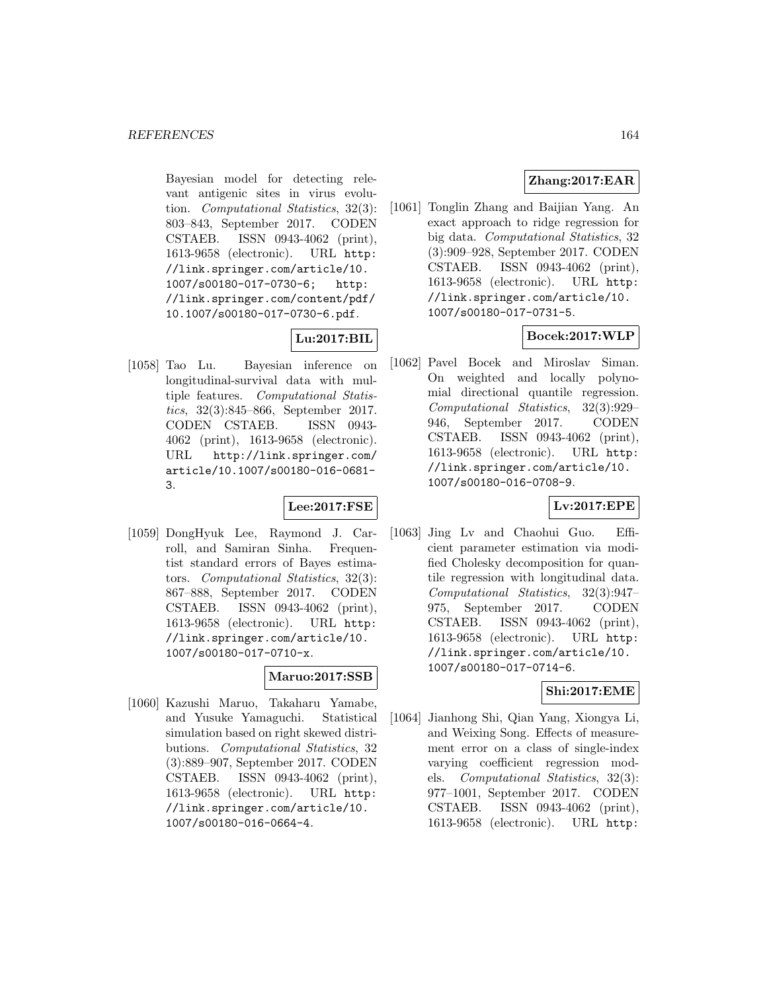Bayesian model for detecting relevant antigenic sites in virus evolution. Computational Statistics, 32(3): 803–843, September 2017. CODEN CSTAEB. ISSN 0943-4062 (print), 1613-9658 (electronic). URL http: //link.springer.com/article/10. 1007/s00180-017-0730-6; http: //link.springer.com/content/pdf/ 10.1007/s00180-017-0730-6.pdf.

# **Lu:2017:BIL**

[1058] Tao Lu. Bayesian inference on longitudinal-survival data with multiple features. Computational Statistics, 32(3):845–866, September 2017. CODEN CSTAEB. ISSN 0943- 4062 (print), 1613-9658 (electronic). URL http://link.springer.com/ article/10.1007/s00180-016-0681- 3.

# **Lee:2017:FSE**

[1059] DongHyuk Lee, Raymond J. Carroll, and Samiran Sinha. Frequentist standard errors of Bayes estimators. Computational Statistics, 32(3): 867–888, September 2017. CODEN CSTAEB. ISSN 0943-4062 (print), 1613-9658 (electronic). URL http: //link.springer.com/article/10. 1007/s00180-017-0710-x.

# **Maruo:2017:SSB**

[1060] Kazushi Maruo, Takaharu Yamabe, and Yusuke Yamaguchi. Statistical simulation based on right skewed distributions. Computational Statistics, 32 (3):889–907, September 2017. CODEN CSTAEB. ISSN 0943-4062 (print), 1613-9658 (electronic). URL http: //link.springer.com/article/10. 1007/s00180-016-0664-4.

# **Zhang:2017:EAR**

[1061] Tonglin Zhang and Baijian Yang. An exact approach to ridge regression for big data. Computational Statistics, 32 (3):909–928, September 2017. CODEN CSTAEB. ISSN 0943-4062 (print), 1613-9658 (electronic). URL http: //link.springer.com/article/10. 1007/s00180-017-0731-5.

# **Bocek:2017:WLP**

[1062] Pavel Bocek and Miroslav Siman. On weighted and locally polynomial directional quantile regression. Computational Statistics, 32(3):929– 946, September 2017. CODEN CSTAEB. ISSN 0943-4062 (print), 1613-9658 (electronic). URL http: //link.springer.com/article/10. 1007/s00180-016-0708-9.

# **Lv:2017:EPE**

[1063] Jing Lv and Chaohui Guo. Efficient parameter estimation via modified Cholesky decomposition for quantile regression with longitudinal data. Computational Statistics, 32(3):947– 975, September 2017. CODEN CSTAEB. ISSN 0943-4062 (print), 1613-9658 (electronic). URL http: //link.springer.com/article/10. 1007/s00180-017-0714-6.

# **Shi:2017:EME**

[1064] Jianhong Shi, Qian Yang, Xiongya Li, and Weixing Song. Effects of measurement error on a class of single-index varying coefficient regression models. Computational Statistics, 32(3): 977–1001, September 2017. CODEN CSTAEB. ISSN 0943-4062 (print), 1613-9658 (electronic). URL http: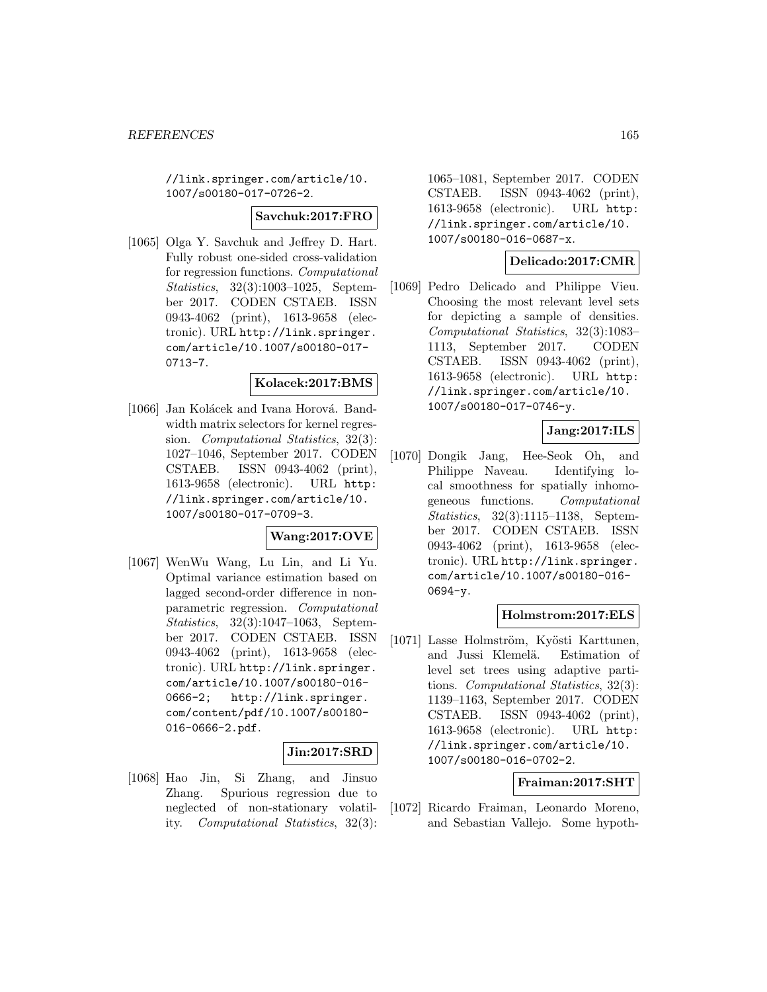//link.springer.com/article/10. 1007/s00180-017-0726-2.

#### **Savchuk:2017:FRO**

[1065] Olga Y. Savchuk and Jeffrey D. Hart. Fully robust one-sided cross-validation for regression functions. Computational Statistics, 32(3):1003–1025, September 2017. CODEN CSTAEB. ISSN 0943-4062 (print), 1613-9658 (electronic). URL http://link.springer. com/article/10.1007/s00180-017- 0713-7.

#### **Kolacek:2017:BMS**

[1066] Jan Kolácek and Ivana Horová. Bandwidth matrix selectors for kernel regression. Computational Statistics, 32(3): 1027–1046, September 2017. CODEN CSTAEB. ISSN 0943-4062 (print), 1613-9658 (electronic). URL http: //link.springer.com/article/10. 1007/s00180-017-0709-3.

# **Wang:2017:OVE**

[1067] WenWu Wang, Lu Lin, and Li Yu. Optimal variance estimation based on lagged second-order difference in nonparametric regression. Computational Statistics, 32(3):1047–1063, September 2017. CODEN CSTAEB. ISSN 0943-4062 (print), 1613-9658 (electronic). URL http://link.springer. com/article/10.1007/s00180-016- 0666-2; http://link.springer. com/content/pdf/10.1007/s00180- 016-0666-2.pdf.

#### **Jin:2017:SRD**

[1068] Hao Jin, Si Zhang, and Jinsuo Zhang. Spurious regression due to neglected of non-stationary volatility. Computational Statistics, 32(3):

1065–1081, September 2017. CODEN CSTAEB. ISSN 0943-4062 (print), 1613-9658 (electronic). URL http: //link.springer.com/article/10. 1007/s00180-016-0687-x.

#### **Delicado:2017:CMR**

[1069] Pedro Delicado and Philippe Vieu. Choosing the most relevant level sets for depicting a sample of densities. Computational Statistics, 32(3):1083– 1113, September 2017. CODEN CSTAEB. ISSN 0943-4062 (print), 1613-9658 (electronic). URL http: //link.springer.com/article/10. 1007/s00180-017-0746-y.

# **Jang:2017:ILS**

[1070] Dongik Jang, Hee-Seok Oh, and Philippe Naveau. Identifying local smoothness for spatially inhomogeneous functions. Computational Statistics, 32(3):1115–1138, September 2017. CODEN CSTAEB. ISSN 0943-4062 (print), 1613-9658 (electronic). URL http://link.springer. com/article/10.1007/s00180-016- 0694-y.

# **Holmstrom:2017:ELS**

[1071] Lasse Holmström, Kyösti Karttunen, and Jussi Klemelä. Estimation of level set trees using adaptive partitions. Computational Statistics, 32(3): 1139–1163, September 2017. CODEN CSTAEB. ISSN 0943-4062 (print), 1613-9658 (electronic). URL http: //link.springer.com/article/10. 1007/s00180-016-0702-2.

# **Fraiman:2017:SHT**

[1072] Ricardo Fraiman, Leonardo Moreno, and Sebastian Vallejo. Some hypoth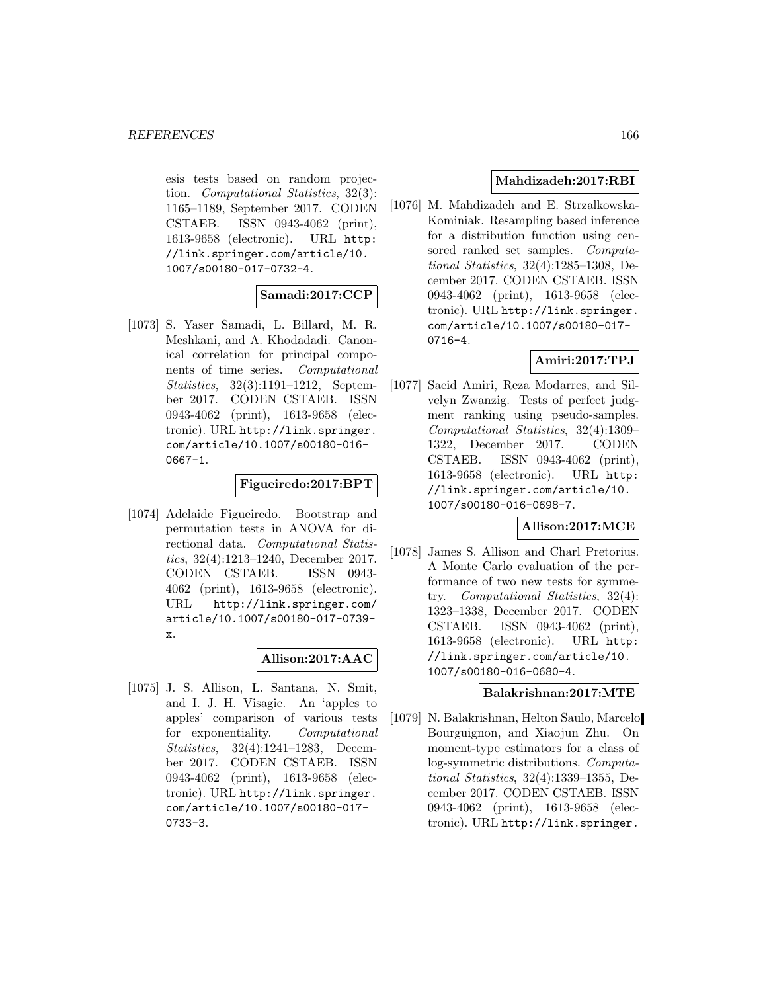esis tests based on random projection. Computational Statistics, 32(3): 1165–1189, September 2017. CODEN CSTAEB. ISSN 0943-4062 (print), 1613-9658 (electronic). URL http: //link.springer.com/article/10. 1007/s00180-017-0732-4.

# **Samadi:2017:CCP**

[1073] S. Yaser Samadi, L. Billard, M. R. Meshkani, and A. Khodadadi. Canonical correlation for principal components of time series. Computational Statistics, 32(3):1191–1212, September 2017. CODEN CSTAEB. ISSN 0943-4062 (print), 1613-9658 (electronic). URL http://link.springer. com/article/10.1007/s00180-016- 0667-1.

# **Figueiredo:2017:BPT**

[1074] Adelaide Figueiredo. Bootstrap and permutation tests in ANOVA for directional data. Computational Statistics, 32(4):1213–1240, December 2017. CODEN CSTAEB. ISSN 0943- 4062 (print), 1613-9658 (electronic). URL http://link.springer.com/ article/10.1007/s00180-017-0739 x.

# **Allison:2017:AAC**

[1075] J. S. Allison, L. Santana, N. Smit, and I. J. H. Visagie. An 'apples to apples' comparison of various tests for exponentiality. Computational Statistics, 32(4):1241–1283, December 2017. CODEN CSTAEB. ISSN 0943-4062 (print), 1613-9658 (electronic). URL http://link.springer. com/article/10.1007/s00180-017- 0733-3.

# **Mahdizadeh:2017:RBI**

[1076] M. Mahdizadeh and E. Strzalkowska-Kominiak. Resampling based inference for a distribution function using censored ranked set samples. Computational Statistics, 32(4):1285–1308, December 2017. CODEN CSTAEB. ISSN 0943-4062 (print), 1613-9658 (electronic). URL http://link.springer. com/article/10.1007/s00180-017- 0716-4.

# **Amiri:2017:TPJ**

[1077] Saeid Amiri, Reza Modarres, and Silvelyn Zwanzig. Tests of perfect judgment ranking using pseudo-samples. Computational Statistics, 32(4):1309– 1322, December 2017. CODEN CSTAEB. ISSN 0943-4062 (print), 1613-9658 (electronic). URL http: //link.springer.com/article/10. 1007/s00180-016-0698-7.

# **Allison:2017:MCE**

[1078] James S. Allison and Charl Pretorius. A Monte Carlo evaluation of the performance of two new tests for symmetry. Computational Statistics, 32(4): 1323–1338, December 2017. CODEN CSTAEB. ISSN 0943-4062 (print), 1613-9658 (electronic). URL http: //link.springer.com/article/10. 1007/s00180-016-0680-4.

#### **Balakrishnan:2017:MTE**

[1079] N. Balakrishnan, Helton Saulo, Marcelo Bourguignon, and Xiaojun Zhu. On moment-type estimators for a class of log-symmetric distributions. Computational Statistics, 32(4):1339–1355, December 2017. CODEN CSTAEB. ISSN 0943-4062 (print), 1613-9658 (electronic). URL http://link.springer.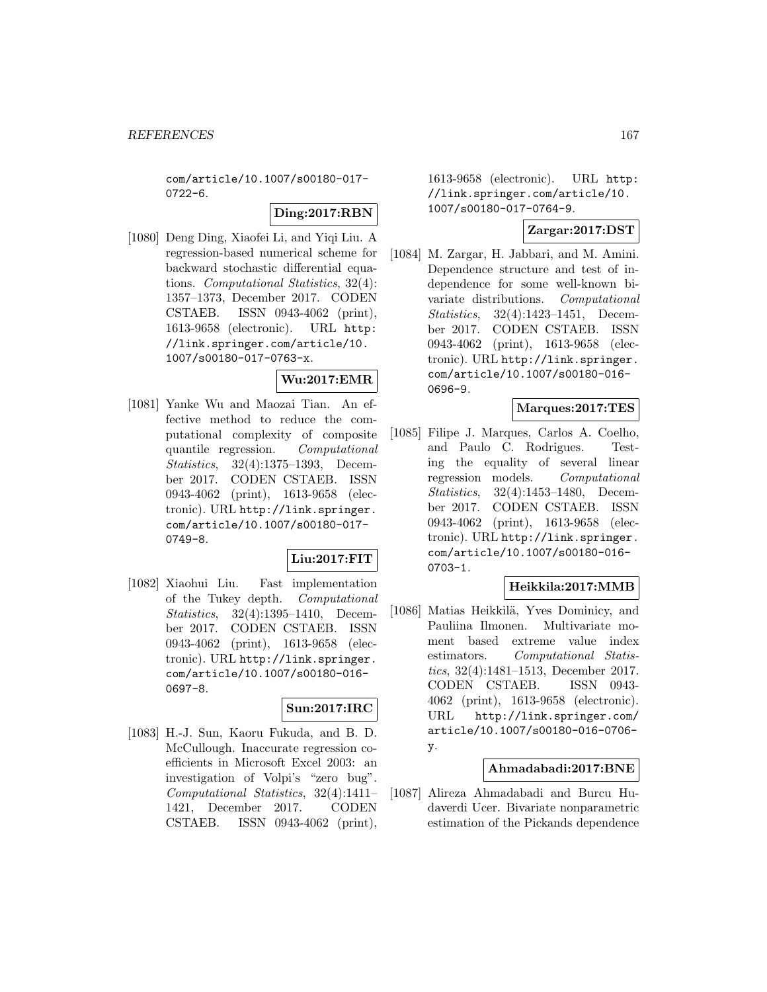com/article/10.1007/s00180-017- 0722-6.

# **Ding:2017:RBN**

[1080] Deng Ding, Xiaofei Li, and Yiqi Liu. A regression-based numerical scheme for backward stochastic differential equations. Computational Statistics, 32(4): 1357–1373, December 2017. CODEN CSTAEB. ISSN 0943-4062 (print), 1613-9658 (electronic). URL http: //link.springer.com/article/10. 1007/s00180-017-0763-x.

#### **Wu:2017:EMR**

[1081] Yanke Wu and Maozai Tian. An effective method to reduce the computational complexity of composite quantile regression. Computational Statistics, 32(4):1375–1393, December 2017. CODEN CSTAEB. ISSN 0943-4062 (print), 1613-9658 (electronic). URL http://link.springer. com/article/10.1007/s00180-017- 0749-8.

# **Liu:2017:FIT**

[1082] Xiaohui Liu. Fast implementation of the Tukey depth. Computational Statistics, 32(4):1395–1410, December 2017. CODEN CSTAEB. ISSN 0943-4062 (print), 1613-9658 (electronic). URL http://link.springer. com/article/10.1007/s00180-016- 0697-8.

# **Sun:2017:IRC**

[1083] H.-J. Sun, Kaoru Fukuda, and B. D. McCullough. Inaccurate regression coefficients in Microsoft Excel 2003: an investigation of Volpi's "zero bug". Computational Statistics, 32(4):1411– 1421, December 2017. CODEN CSTAEB. ISSN 0943-4062 (print),

1613-9658 (electronic). URL http: //link.springer.com/article/10. 1007/s00180-017-0764-9.

# **Zargar:2017:DST**

[1084] M. Zargar, H. Jabbari, and M. Amini. Dependence structure and test of independence for some well-known bivariate distributions. Computational Statistics, 32(4):1423–1451, December 2017. CODEN CSTAEB. ISSN 0943-4062 (print), 1613-9658 (electronic). URL http://link.springer. com/article/10.1007/s00180-016- 0696-9.

# **Marques:2017:TES**

[1085] Filipe J. Marques, Carlos A. Coelho, and Paulo C. Rodrigues. Testing the equality of several linear regression models. Computational Statistics, 32(4):1453–1480, December 2017. CODEN CSTAEB. ISSN 0943-4062 (print), 1613-9658 (electronic). URL http://link.springer. com/article/10.1007/s00180-016- 0703-1.

### **Heikkila:2017:MMB**

[1086] Matias Heikkilä, Yves Dominicy, and Pauliina Ilmonen. Multivariate moment based extreme value index estimators. Computational Statistics, 32(4):1481–1513, December 2017. CODEN CSTAEB. ISSN 0943- 4062 (print), 1613-9658 (electronic). URL http://link.springer.com/ article/10.1007/s00180-016-0706 y.

### **Ahmadabadi:2017:BNE**

[1087] Alireza Ahmadabadi and Burcu Hudaverdi Ucer. Bivariate nonparametric estimation of the Pickands dependence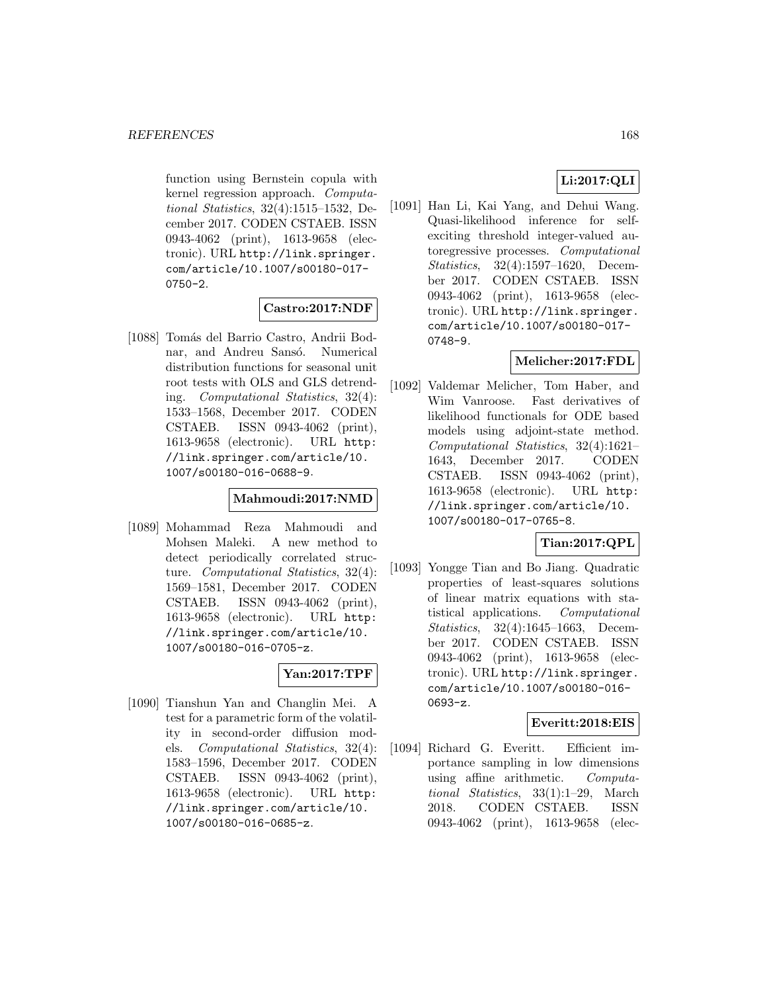function using Bernstein copula with kernel regression approach. Computational Statistics, 32(4):1515–1532, December 2017. CODEN CSTAEB. ISSN 0943-4062 (print), 1613-9658 (electronic). URL http://link.springer. com/article/10.1007/s00180-017- 0750-2.

# **Castro:2017:NDF**

[1088] Tomás del Barrio Castro, Andrii Bodnar, and Andreu Sansó. Numerical distribution functions for seasonal unit root tests with OLS and GLS detrending. Computational Statistics, 32(4): 1533–1568, December 2017. CODEN CSTAEB. ISSN 0943-4062 (print), 1613-9658 (electronic). URL http: //link.springer.com/article/10. 1007/s00180-016-0688-9.

# **Mahmoudi:2017:NMD**

[1089] Mohammad Reza Mahmoudi and Mohsen Maleki. A new method to detect periodically correlated structure. *Computational Statistics*, 32(4): 1569–1581, December 2017. CODEN CSTAEB. ISSN 0943-4062 (print), 1613-9658 (electronic). URL http: //link.springer.com/article/10. 1007/s00180-016-0705-z.

# **Yan:2017:TPF**

[1090] Tianshun Yan and Changlin Mei. A test for a parametric form of the volatility in second-order diffusion models. Computational Statistics, 32(4): 1583–1596, December 2017. CODEN CSTAEB. ISSN 0943-4062 (print), 1613-9658 (electronic). URL http: //link.springer.com/article/10. 1007/s00180-016-0685-z.

# **Li:2017:QLI**

[1091] Han Li, Kai Yang, and Dehui Wang. Quasi-likelihood inference for selfexciting threshold integer-valued autoregressive processes. Computational Statistics, 32(4):1597–1620, December 2017. CODEN CSTAEB. ISSN 0943-4062 (print), 1613-9658 (electronic). URL http://link.springer. com/article/10.1007/s00180-017- 0748-9.

# **Melicher:2017:FDL**

[1092] Valdemar Melicher, Tom Haber, and Wim Vanroose. Fast derivatives of likelihood functionals for ODE based models using adjoint-state method. Computational Statistics, 32(4):1621– 1643, December 2017. CODEN CSTAEB. ISSN 0943-4062 (print), 1613-9658 (electronic). URL http: //link.springer.com/article/10. 1007/s00180-017-0765-8.

# **Tian:2017:QPL**

[1093] Yongge Tian and Bo Jiang. Quadratic properties of least-squares solutions of linear matrix equations with statistical applications. Computational Statistics, 32(4):1645–1663, December 2017. CODEN CSTAEB. ISSN 0943-4062 (print), 1613-9658 (electronic). URL http://link.springer. com/article/10.1007/s00180-016- 0693-z.

# **Everitt:2018:EIS**

[1094] Richard G. Everitt. Efficient importance sampling in low dimensions using affine arithmetic. Computational Statistics, 33(1):1–29, March 2018. CODEN CSTAEB. ISSN 0943-4062 (print), 1613-9658 (elec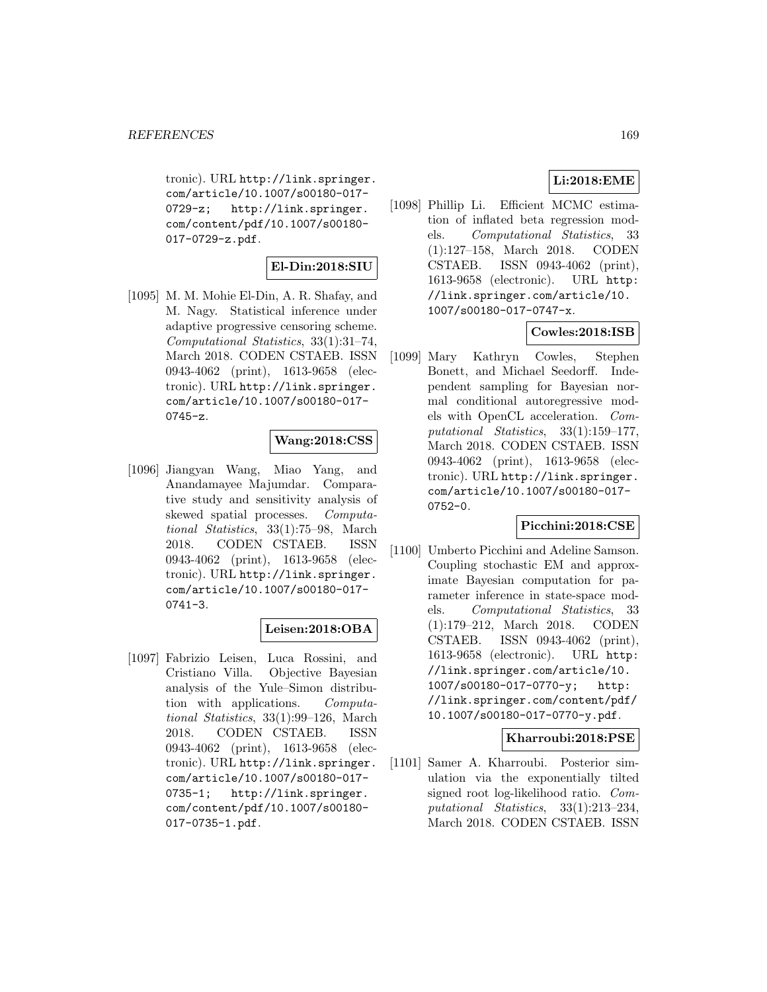tronic). URL http://link.springer. com/article/10.1007/s00180-017- 0729-z; http://link.springer. com/content/pdf/10.1007/s00180- 017-0729-z.pdf.

# **El-Din:2018:SIU**

[1095] M. M. Mohie El-Din, A. R. Shafay, and M. Nagy. Statistical inference under adaptive progressive censoring scheme. Computational Statistics, 33(1):31–74, March 2018. CODEN CSTAEB. ISSN 0943-4062 (print), 1613-9658 (electronic). URL http://link.springer. com/article/10.1007/s00180-017- 0745-z.

# **Wang:2018:CSS**

[1096] Jiangyan Wang, Miao Yang, and Anandamayee Majumdar. Comparative study and sensitivity analysis of skewed spatial processes. Computational Statistics, 33(1):75–98, March 2018. CODEN CSTAEB. ISSN 0943-4062 (print), 1613-9658 (electronic). URL http://link.springer. com/article/10.1007/s00180-017- 0741-3.

# **Leisen:2018:OBA**

[1097] Fabrizio Leisen, Luca Rossini, and Cristiano Villa. Objective Bayesian analysis of the Yule–Simon distribution with applications. Computational Statistics, 33(1):99–126, March 2018. CODEN CSTAEB. ISSN 0943-4062 (print), 1613-9658 (electronic). URL http://link.springer. com/article/10.1007/s00180-017- 0735-1; http://link.springer. com/content/pdf/10.1007/s00180- 017-0735-1.pdf.

# **Li:2018:EME**

[1098] Phillip Li. Efficient MCMC estimation of inflated beta regression models. Computational Statistics, 33 (1):127–158, March 2018. CODEN CSTAEB. ISSN 0943-4062 (print), 1613-9658 (electronic). URL http: //link.springer.com/article/10. 1007/s00180-017-0747-x.

# **Cowles:2018:ISB**

[1099] Mary Kathryn Cowles, Stephen Bonett, and Michael Seedorff. Independent sampling for Bayesian normal conditional autoregressive models with OpenCL acceleration. Computational Statistics, 33(1):159–177, March 2018. CODEN CSTAEB. ISSN 0943-4062 (print), 1613-9658 (electronic). URL http://link.springer. com/article/10.1007/s00180-017- 0752-0.

# **Picchini:2018:CSE**

[1100] Umberto Picchini and Adeline Samson. Coupling stochastic EM and approximate Bayesian computation for parameter inference in state-space models. Computational Statistics, 33 (1):179–212, March 2018. CODEN CSTAEB. ISSN 0943-4062 (print), 1613-9658 (electronic). URL http: //link.springer.com/article/10. 1007/s00180-017-0770-y; http: //link.springer.com/content/pdf/ 10.1007/s00180-017-0770-y.pdf.

# **Kharroubi:2018:PSE**

[1101] Samer A. Kharroubi. Posterior simulation via the exponentially tilted signed root log-likelihood ratio. Computational Statistics, 33(1):213–234, March 2018. CODEN CSTAEB. ISSN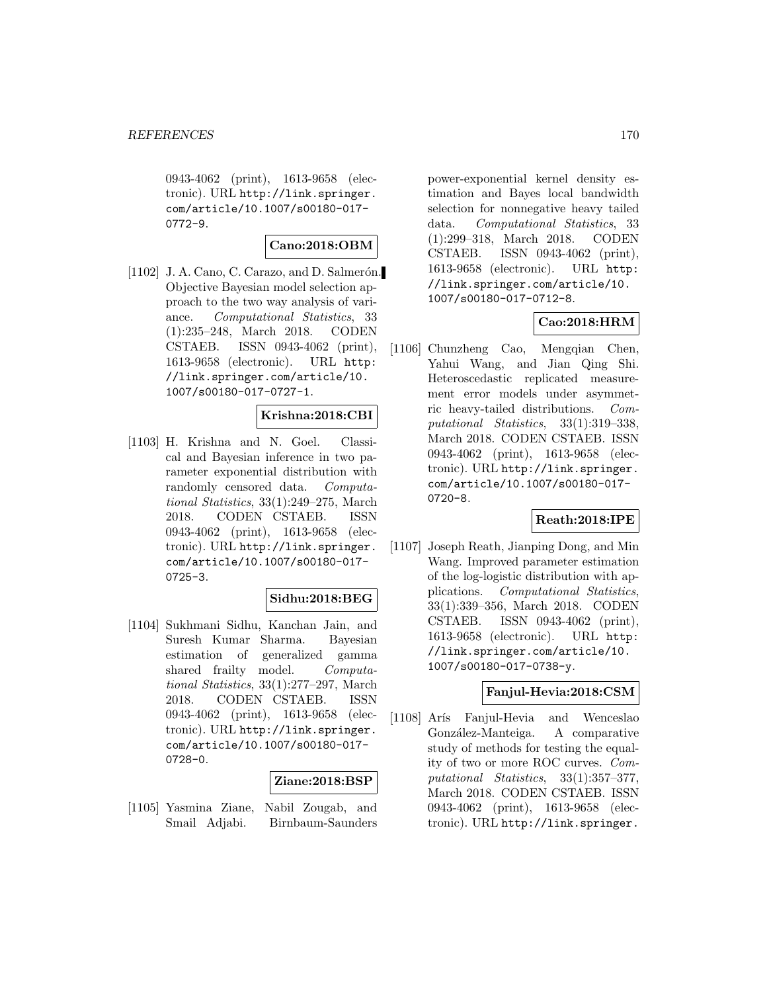0943-4062 (print), 1613-9658 (electronic). URL http://link.springer. com/article/10.1007/s00180-017- 0772-9.

# **Cano:2018:OBM**

 $[1102]$  J. A. Cano, C. Carazo, and D. Salmerón. Objective Bayesian model selection approach to the two way analysis of variance. Computational Statistics, 33 (1):235–248, March 2018. CODEN CSTAEB. ISSN 0943-4062 (print), 1613-9658 (electronic). URL http: //link.springer.com/article/10. 1007/s00180-017-0727-1.

# **Krishna:2018:CBI**

[1103] H. Krishna and N. Goel. Classical and Bayesian inference in two parameter exponential distribution with randomly censored data. Computational Statistics, 33(1):249–275, March 2018. CODEN CSTAEB. ISSN 0943-4062 (print), 1613-9658 (electronic). URL http://link.springer. com/article/10.1007/s00180-017- 0725-3.

# **Sidhu:2018:BEG**

[1104] Sukhmani Sidhu, Kanchan Jain, and Suresh Kumar Sharma. Bayesian estimation of generalized gamma shared frailty model. Computational Statistics, 33(1):277–297, March 2018. CODEN CSTAEB. ISSN 0943-4062 (print), 1613-9658 (electronic). URL http://link.springer. com/article/10.1007/s00180-017- 0728-0.

#### **Ziane:2018:BSP**

[1105] Yasmina Ziane, Nabil Zougab, and Smail Adjabi. Birnbaum-Saunders

power-exponential kernel density estimation and Bayes local bandwidth selection for nonnegative heavy tailed data. Computational Statistics, 33 (1):299–318, March 2018. CODEN CSTAEB. ISSN 0943-4062 (print), 1613-9658 (electronic). URL http: //link.springer.com/article/10. 1007/s00180-017-0712-8.

# **Cao:2018:HRM**

[1106] Chunzheng Cao, Mengqian Chen, Yahui Wang, and Jian Qing Shi. Heteroscedastic replicated measurement error models under asymmetric heavy-tailed distributions. Computational Statistics, 33(1):319–338, March 2018. CODEN CSTAEB. ISSN 0943-4062 (print), 1613-9658 (electronic). URL http://link.springer. com/article/10.1007/s00180-017- 0720-8.

# **Reath:2018:IPE**

[1107] Joseph Reath, Jianping Dong, and Min Wang. Improved parameter estimation of the log-logistic distribution with applications. Computational Statistics, 33(1):339–356, March 2018. CODEN CSTAEB. ISSN 0943-4062 (print), 1613-9658 (electronic). URL http: //link.springer.com/article/10. 1007/s00180-017-0738-y.

# **Fanjul-Hevia:2018:CSM**

[1108] Arís Fanjul-Hevia and Wenceslao González-Manteiga. A comparative study of methods for testing the equality of two or more ROC curves. Computational Statistics, 33(1):357–377, March 2018. CODEN CSTAEB. ISSN 0943-4062 (print), 1613-9658 (electronic). URL http://link.springer.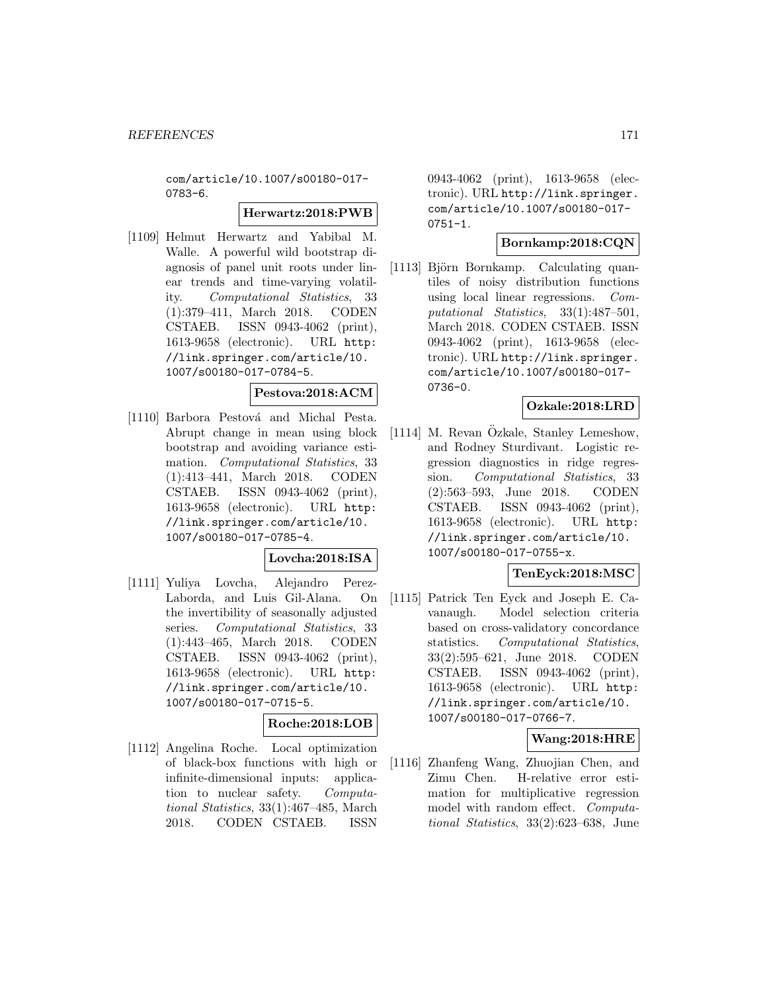com/article/10.1007/s00180-017- 0783-6.

### **Herwartz:2018:PWB**

[1109] Helmut Herwartz and Yabibal M. Walle. A powerful wild bootstrap diagnosis of panel unit roots under linear trends and time-varying volatility. Computational Statistics, 33 (1):379–411, March 2018. CODEN CSTAEB. ISSN 0943-4062 (print), 1613-9658 (electronic). URL http: //link.springer.com/article/10. 1007/s00180-017-0784-5.

# **Pestova:2018:ACM**

[1110] Barbora Pestová and Michal Pesta. Abrupt change in mean using block bootstrap and avoiding variance estimation. Computational Statistics, 33 (1):413–441, March 2018. CODEN CSTAEB. ISSN 0943-4062 (print), 1613-9658 (electronic). URL http: //link.springer.com/article/10. 1007/s00180-017-0785-4.

# **Lovcha:2018:ISA**

[1111] Yuliya Lovcha, Alejandro Perez-Laborda, and Luis Gil-Alana. On the invertibility of seasonally adjusted series. Computational Statistics, 33 (1):443–465, March 2018. CODEN CSTAEB. ISSN 0943-4062 (print), 1613-9658 (electronic). URL http: //link.springer.com/article/10. 1007/s00180-017-0715-5.

# **Roche:2018:LOB**

[1112] Angelina Roche. Local optimization of black-box functions with high or infinite-dimensional inputs: application to nuclear safety. Computational Statistics, 33(1):467–485, March 2018. CODEN CSTAEB. ISSN

0943-4062 (print), 1613-9658 (electronic). URL http://link.springer. com/article/10.1007/s00180-017-  $0751 - 1.$ 

# **Bornkamp:2018:CQN**

[1113] Björn Bornkamp. Calculating quantiles of noisy distribution functions using local linear regressions. Computational Statistics, 33(1):487–501, March 2018. CODEN CSTAEB. ISSN 0943-4062 (print), 1613-9658 (electronic). URL http://link.springer. com/article/10.1007/s00180-017- 0736-0.

# **Ozkale:2018:LRD**

 $[1114]$  M. Revan Özkale, Stanley Lemeshow, and Rodney Sturdivant. Logistic regression diagnostics in ridge regression. Computational Statistics, 33 (2):563–593, June 2018. CODEN CSTAEB. ISSN 0943-4062 (print), 1613-9658 (electronic). URL http: //link.springer.com/article/10. 1007/s00180-017-0755-x.

# **TenEyck:2018:MSC**

[1115] Patrick Ten Eyck and Joseph E. Cavanaugh. Model selection criteria based on cross-validatory concordance statistics. Computational Statistics, 33(2):595–621, June 2018. CODEN CSTAEB. ISSN 0943-4062 (print), 1613-9658 (electronic). URL http: //link.springer.com/article/10. 1007/s00180-017-0766-7.

# **Wang:2018:HRE**

[1116] Zhanfeng Wang, Zhuojian Chen, and Zimu Chen. H-relative error estimation for multiplicative regression model with random effect. Computational Statistics, 33(2):623–638, June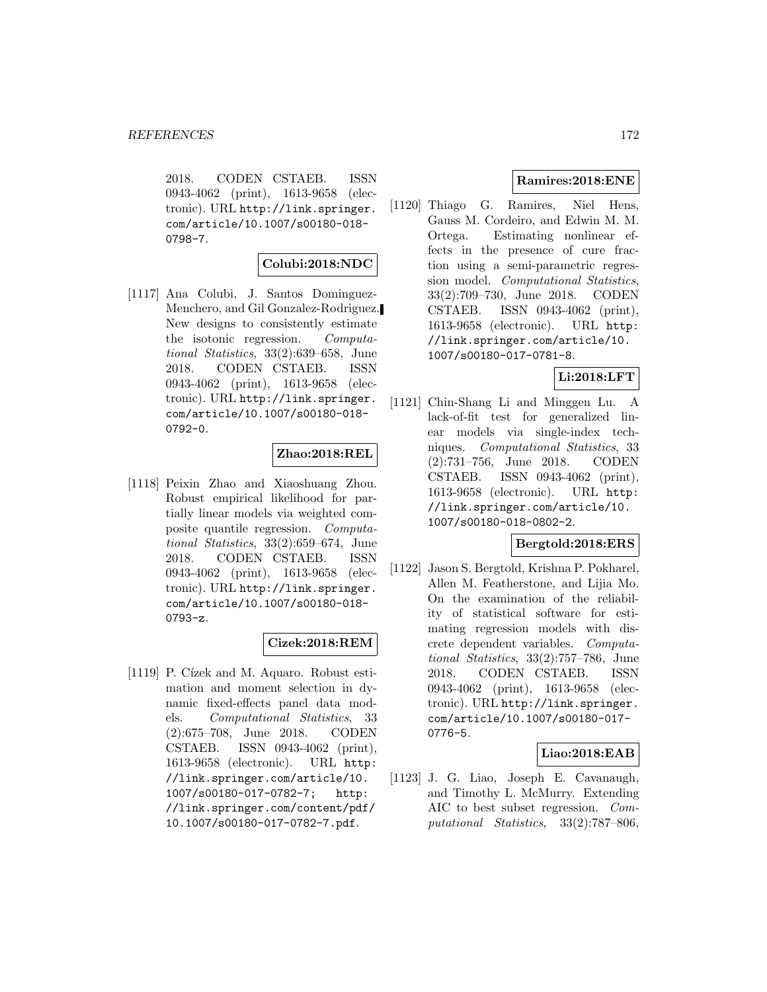2018. CODEN CSTAEB. ISSN 0943-4062 (print), 1613-9658 (electronic). URL http://link.springer. com/article/10.1007/s00180-018- 0798-7.

#### **Colubi:2018:NDC**

[1117] Ana Colubi, J. Santos Dominguez-Menchero, and Gil Gonzalez-Rodriguez. New designs to consistently estimate the isotonic regression. Computational Statistics, 33(2):639–658, June 2018. CODEN CSTAEB. ISSN 0943-4062 (print), 1613-9658 (electronic). URL http://link.springer. com/article/10.1007/s00180-018- 0792-0.

# **Zhao:2018:REL**

[1118] Peixin Zhao and Xiaoshuang Zhou. Robust empirical likelihood for partially linear models via weighted composite quantile regression. Computational Statistics, 33(2):659–674, June 2018. CODEN CSTAEB. ISSN 0943-4062 (print), 1613-9658 (electronic). URL http://link.springer. com/article/10.1007/s00180-018- 0793-z.

# **Cizek:2018:REM**

[1119] P. Cízek and M. Aquaro. Robust estimation and moment selection in dynamic fixed-effects panel data models. Computational Statistics, 33 (2):675–708, June 2018. CODEN CSTAEB. ISSN 0943-4062 (print), 1613-9658 (electronic). URL http: //link.springer.com/article/10. 1007/s00180-017-0782-7; http: //link.springer.com/content/pdf/ 10.1007/s00180-017-0782-7.pdf.

# **Ramires:2018:ENE**

[1120] Thiago G. Ramires, Niel Hens, Gauss M. Cordeiro, and Edwin M. M. Ortega. Estimating nonlinear effects in the presence of cure fraction using a semi-parametric regression model. Computational Statistics, 33(2):709–730, June 2018. CODEN CSTAEB. ISSN 0943-4062 (print), 1613-9658 (electronic). URL http: //link.springer.com/article/10. 1007/s00180-017-0781-8.

# **Li:2018:LFT**

[1121] Chin-Shang Li and Minggen Lu. A lack-of-fit test for generalized linear models via single-index techniques. Computational Statistics, 33 (2):731–756, June 2018. CODEN CSTAEB. ISSN 0943-4062 (print), 1613-9658 (electronic). URL http: //link.springer.com/article/10. 1007/s00180-018-0802-2.

# **Bergtold:2018:ERS**

[1122] Jason S. Bergtold, Krishna P. Pokharel, Allen M. Featherstone, and Lijia Mo. On the examination of the reliability of statistical software for estimating regression models with discrete dependent variables. Computational Statistics, 33(2):757–786, June 2018. CODEN CSTAEB. ISSN 0943-4062 (print), 1613-9658 (electronic). URL http://link.springer. com/article/10.1007/s00180-017- 0776-5.

# **Liao:2018:EAB**

[1123] J. G. Liao, Joseph E. Cavanaugh, and Timothy L. McMurry. Extending AIC to best subset regression. Computational Statistics, 33(2):787–806,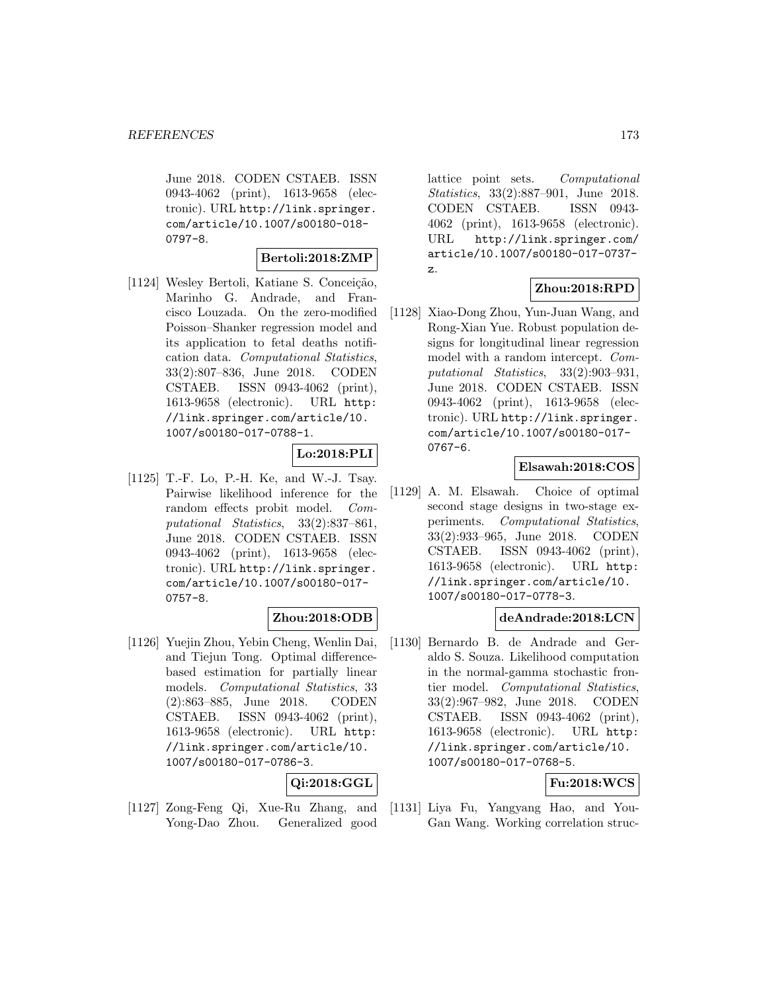June 2018. CODEN CSTAEB. ISSN 0943-4062 (print), 1613-9658 (electronic). URL http://link.springer. com/article/10.1007/s00180-018- 0797-8.

#### **Bertoli:2018:ZMP**

[1124] Wesley Bertoli, Katiane S. Conceição, Marinho G. Andrade, and Francisco Louzada. On the zero-modified Poisson–Shanker regression model and its application to fetal deaths notification data. Computational Statistics, 33(2):807–836, June 2018. CODEN CSTAEB. ISSN 0943-4062 (print), 1613-9658 (electronic). URL http: //link.springer.com/article/10. 1007/s00180-017-0788-1.

# **Lo:2018:PLI**

[1125] T.-F. Lo, P.-H. Ke, and W.-J. Tsay. Pairwise likelihood inference for the random effects probit model. Computational Statistics, 33(2):837–861, June 2018. CODEN CSTAEB. ISSN 0943-4062 (print), 1613-9658 (electronic). URL http://link.springer. com/article/10.1007/s00180-017- 0757-8.

# **Zhou:2018:ODB**

[1126] Yuejin Zhou, Yebin Cheng, Wenlin Dai, and Tiejun Tong. Optimal differencebased estimation for partially linear models. Computational Statistics, 33 (2):863–885, June 2018. CODEN CSTAEB. ISSN 0943-4062 (print), 1613-9658 (electronic). URL http: //link.springer.com/article/10. 1007/s00180-017-0786-3.

# **Qi:2018:GGL**

[1127] Zong-Feng Qi, Xue-Ru Zhang, and Yong-Dao Zhou. Generalized good

lattice point sets. Computational Statistics, 33(2):887–901, June 2018. CODEN CSTAEB. ISSN 0943- 4062 (print), 1613-9658 (electronic). URL http://link.springer.com/ article/10.1007/s00180-017-0737 z.

# **Zhou:2018:RPD**

[1128] Xiao-Dong Zhou, Yun-Juan Wang, and Rong-Xian Yue. Robust population designs for longitudinal linear regression model with a random intercept. Computational Statistics, 33(2):903–931, June 2018. CODEN CSTAEB. ISSN 0943-4062 (print), 1613-9658 (electronic). URL http://link.springer. com/article/10.1007/s00180-017- 0767-6.

# **Elsawah:2018:COS**

[1129] A. M. Elsawah. Choice of optimal second stage designs in two-stage experiments. Computational Statistics, 33(2):933–965, June 2018. CODEN CSTAEB. ISSN 0943-4062 (print), 1613-9658 (electronic). URL http: //link.springer.com/article/10. 1007/s00180-017-0778-3.

# **deAndrade:2018:LCN**

[1130] Bernardo B. de Andrade and Geraldo S. Souza. Likelihood computation in the normal-gamma stochastic frontier model. Computational Statistics, 33(2):967–982, June 2018. CODEN CSTAEB. ISSN 0943-4062 (print), 1613-9658 (electronic). URL http: //link.springer.com/article/10. 1007/s00180-017-0768-5.

# **Fu:2018:WCS**

[1131] Liya Fu, Yangyang Hao, and You-Gan Wang. Working correlation struc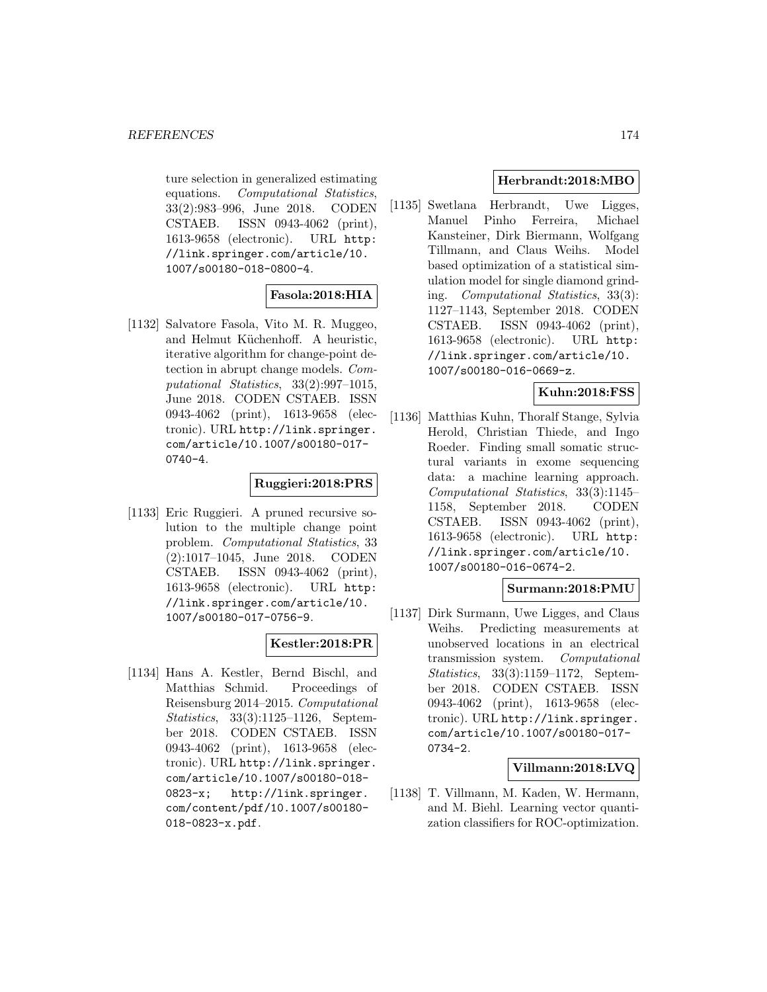ture selection in generalized estimating equations. Computational Statistics, 33(2):983–996, June 2018. CODEN CSTAEB. ISSN 0943-4062 (print), 1613-9658 (electronic). URL http: //link.springer.com/article/10. 1007/s00180-018-0800-4.

# **Fasola:2018:HIA**

[1132] Salvatore Fasola, Vito M. R. Muggeo, and Helmut Küchenhoff. A heuristic, iterative algorithm for change-point detection in abrupt change models. Computational Statistics, 33(2):997–1015, June 2018. CODEN CSTAEB. ISSN 0943-4062 (print), 1613-9658 (electronic). URL http://link.springer. com/article/10.1007/s00180-017- 0740-4.

# **Ruggieri:2018:PRS**

[1133] Eric Ruggieri. A pruned recursive solution to the multiple change point problem. Computational Statistics, 33 (2):1017–1045, June 2018. CODEN CSTAEB. ISSN 0943-4062 (print), 1613-9658 (electronic). URL http: //link.springer.com/article/10. 1007/s00180-017-0756-9.

# **Kestler:2018:PR**

[1134] Hans A. Kestler, Bernd Bischl, and Matthias Schmid. Proceedings of Reisensburg 2014–2015. Computational Statistics, 33(3):1125–1126, September 2018. CODEN CSTAEB. ISSN 0943-4062 (print), 1613-9658 (electronic). URL http://link.springer. com/article/10.1007/s00180-018- 0823-x; http://link.springer. com/content/pdf/10.1007/s00180- 018-0823-x.pdf.

# **Herbrandt:2018:MBO**

[1135] Swetlana Herbrandt, Uwe Ligges, Manuel Pinho Ferreira, Michael Kansteiner, Dirk Biermann, Wolfgang Tillmann, and Claus Weihs. Model based optimization of a statistical simulation model for single diamond grinding. Computational Statistics, 33(3): 1127–1143, September 2018. CODEN CSTAEB. ISSN 0943-4062 (print), 1613-9658 (electronic). URL http: //link.springer.com/article/10. 1007/s00180-016-0669-z.

# **Kuhn:2018:FSS**

[1136] Matthias Kuhn, Thoralf Stange, Sylvia Herold, Christian Thiede, and Ingo Roeder. Finding small somatic structural variants in exome sequencing data: a machine learning approach. Computational Statistics, 33(3):1145– 1158, September 2018. CODEN CSTAEB. ISSN 0943-4062 (print), 1613-9658 (electronic). URL http: //link.springer.com/article/10. 1007/s00180-016-0674-2.

# **Surmann:2018:PMU**

[1137] Dirk Surmann, Uwe Ligges, and Claus Weihs. Predicting measurements at unobserved locations in an electrical transmission system. Computational Statistics, 33(3):1159–1172, September 2018. CODEN CSTAEB. ISSN 0943-4062 (print), 1613-9658 (electronic). URL http://link.springer. com/article/10.1007/s00180-017- 0734-2.

# **Villmann:2018:LVQ**

[1138] T. Villmann, M. Kaden, W. Hermann, and M. Biehl. Learning vector quantization classifiers for ROC-optimization.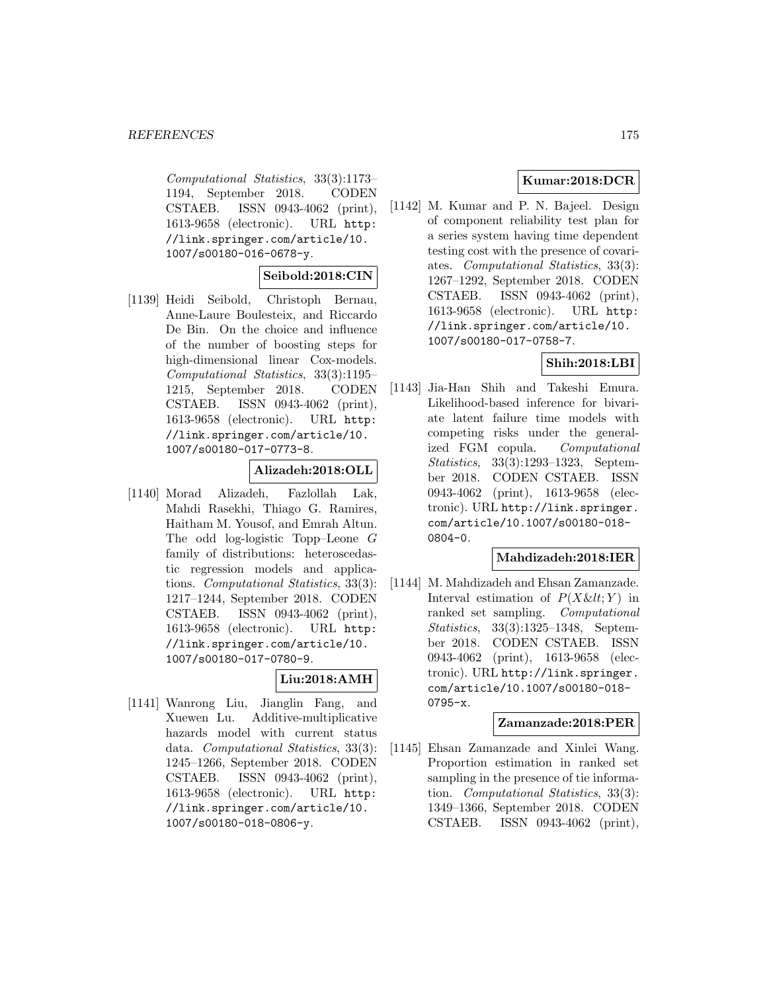Computational Statistics, 33(3):1173– 1194, September 2018. CODEN CSTAEB. ISSN 0943-4062 (print), 1613-9658 (electronic). URL http: //link.springer.com/article/10. 1007/s00180-016-0678-y.

#### **Seibold:2018:CIN**

[1139] Heidi Seibold, Christoph Bernau, Anne-Laure Boulesteix, and Riccardo De Bin. On the choice and influence of the number of boosting steps for high-dimensional linear Cox-models. Computational Statistics, 33(3):1195– 1215, September 2018. CODEN CSTAEB. ISSN 0943-4062 (print), 1613-9658 (electronic). URL http: //link.springer.com/article/10. 1007/s00180-017-0773-8.

#### **Alizadeh:2018:OLL**

[1140] Morad Alizadeh, Fazlollah Lak, Mahdi Rasekhi, Thiago G. Ramires, Haitham M. Yousof, and Emrah Altun. The odd log-logistic Topp–Leone G family of distributions: heteroscedastic regression models and applications. Computational Statistics, 33(3): 1217–1244, September 2018. CODEN CSTAEB. ISSN 0943-4062 (print), 1613-9658 (electronic). URL http: //link.springer.com/article/10. 1007/s00180-017-0780-9.

# **Liu:2018:AMH**

[1141] Wanrong Liu, Jianglin Fang, and Xuewen Lu. Additive-multiplicative hazards model with current status data. Computational Statistics, 33(3): 1245–1266, September 2018. CODEN CSTAEB. ISSN 0943-4062 (print), 1613-9658 (electronic). URL http: //link.springer.com/article/10. 1007/s00180-018-0806-y.

# **Kumar:2018:DCR**

[1142] M. Kumar and P. N. Bajeel. Design of component reliability test plan for a series system having time dependent testing cost with the presence of covariates. Computational Statistics, 33(3): 1267–1292, September 2018. CODEN CSTAEB. ISSN 0943-4062 (print), 1613-9658 (electronic). URL http: //link.springer.com/article/10. 1007/s00180-017-0758-7.

# **Shih:2018:LBI**

[1143] Jia-Han Shih and Takeshi Emura. Likelihood-based inference for bivariate latent failure time models with competing risks under the generalized FGM copula. Computational Statistics, 33(3):1293–1323, September 2018. CODEN CSTAEB. ISSN 0943-4062 (print), 1613-9658 (electronic). URL http://link.springer. com/article/10.1007/s00180-018- 0804-0.

# **Mahdizadeh:2018:IER**

[1144] M. Mahdizadeh and Ehsan Zamanzade. Interval estimation of  $P(X \< l; Y)$  in ranked set sampling. Computational Statistics, 33(3):1325–1348, September 2018. CODEN CSTAEB. ISSN 0943-4062 (print), 1613-9658 (electronic). URL http://link.springer. com/article/10.1007/s00180-018- 0795-x.

#### **Zamanzade:2018:PER**

[1145] Ehsan Zamanzade and Xinlei Wang. Proportion estimation in ranked set sampling in the presence of tie information. Computational Statistics, 33(3): 1349–1366, September 2018. CODEN CSTAEB. ISSN 0943-4062 (print),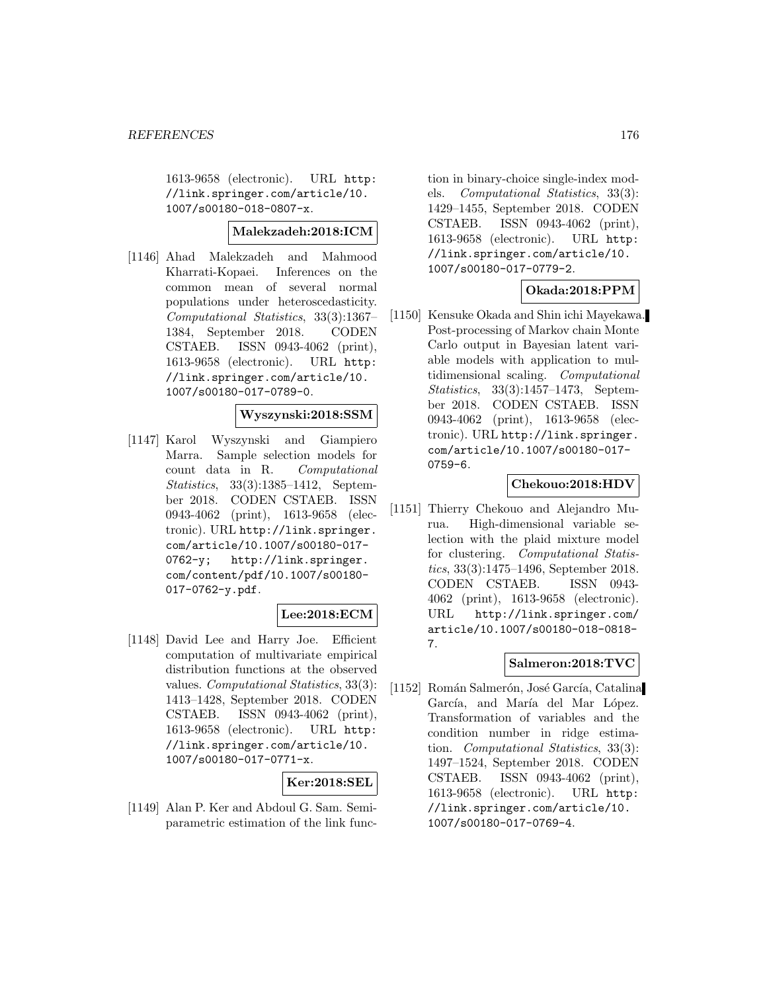1613-9658 (electronic). URL http: //link.springer.com/article/10. 1007/s00180-018-0807-x.

# **Malekzadeh:2018:ICM**

[1146] Ahad Malekzadeh and Mahmood Kharrati-Kopaei. Inferences on the common mean of several normal populations under heteroscedasticity. Computational Statistics, 33(3):1367– 1384, September 2018. CODEN CSTAEB. ISSN 0943-4062 (print), 1613-9658 (electronic). URL http: //link.springer.com/article/10. 1007/s00180-017-0789-0.

# **Wyszynski:2018:SSM**

[1147] Karol Wyszynski and Giampiero Marra. Sample selection models for count data in R. Computational Statistics, 33(3):1385–1412, September 2018. CODEN CSTAEB. ISSN 0943-4062 (print), 1613-9658 (electronic). URL http://link.springer. com/article/10.1007/s00180-017- 0762-y; http://link.springer. com/content/pdf/10.1007/s00180- 017-0762-y.pdf.

# **Lee:2018:ECM**

[1148] David Lee and Harry Joe. Efficient computation of multivariate empirical distribution functions at the observed values. *Computational Statistics*, 33(3): 1413–1428, September 2018. CODEN CSTAEB. ISSN 0943-4062 (print), 1613-9658 (electronic). URL http: //link.springer.com/article/10. 1007/s00180-017-0771-x.

# **Ker:2018:SEL**

[1149] Alan P. Ker and Abdoul G. Sam. Semiparametric estimation of the link func-

tion in binary-choice single-index models. Computational Statistics, 33(3): 1429–1455, September 2018. CODEN CSTAEB. ISSN 0943-4062 (print), 1613-9658 (electronic). URL http: //link.springer.com/article/10. 1007/s00180-017-0779-2.

# **Okada:2018:PPM**

[1150] Kensuke Okada and Shin ichi Mayekawa. Post-processing of Markov chain Monte Carlo output in Bayesian latent variable models with application to multidimensional scaling. Computational Statistics, 33(3):1457–1473, September 2018. CODEN CSTAEB. ISSN 0943-4062 (print), 1613-9658 (electronic). URL http://link.springer. com/article/10.1007/s00180-017- 0759-6.

#### **Chekouo:2018:HDV**

[1151] Thierry Chekouo and Alejandro Murua. High-dimensional variable selection with the plaid mixture model for clustering. Computational Statistics, 33(3):1475–1496, September 2018. CODEN CSTAEB. ISSN 0943- 4062 (print), 1613-9658 (electronic). URL http://link.springer.com/ article/10.1007/s00180-018-0818- 7.

# **Salmeron:2018:TVC**

[1152] Román Salmerón, José García, Catalina García, and María del Mar López. Transformation of variables and the condition number in ridge estimation. Computational Statistics, 33(3): 1497–1524, September 2018. CODEN CSTAEB. ISSN 0943-4062 (print), 1613-9658 (electronic). URL http: //link.springer.com/article/10. 1007/s00180-017-0769-4.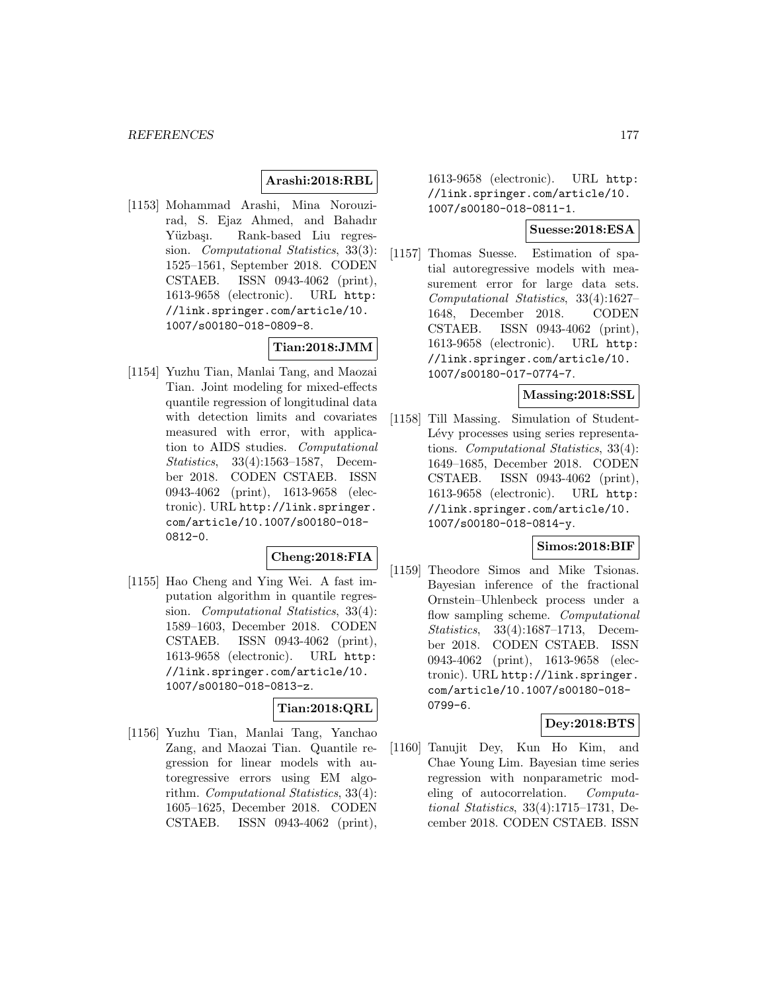# **Arashi:2018:RBL**

[1153] Mohammad Arashi, Mina Norouzirad, S. Ejaz Ahmed, and Bahadır Yüzbaşı. Rank-based Liu regression. Computational Statistics, 33(3): 1525–1561, September 2018. CODEN CSTAEB. ISSN 0943-4062 (print), 1613-9658 (electronic). URL http: //link.springer.com/article/10. 1007/s00180-018-0809-8.

# **Tian:2018:JMM**

[1154] Yuzhu Tian, Manlai Tang, and Maozai Tian. Joint modeling for mixed-effects quantile regression of longitudinal data with detection limits and covariates measured with error, with application to AIDS studies. Computational Statistics, 33(4):1563–1587, December 2018. CODEN CSTAEB. ISSN 0943-4062 (print), 1613-9658 (electronic). URL http://link.springer. com/article/10.1007/s00180-018- 0812-0.

#### **Cheng:2018:FIA**

[1155] Hao Cheng and Ying Wei. A fast imputation algorithm in quantile regression. *Computational Statistics*, 33(4): 1589–1603, December 2018. CODEN CSTAEB. ISSN 0943-4062 (print), 1613-9658 (electronic). URL http: //link.springer.com/article/10. 1007/s00180-018-0813-z.

#### **Tian:2018:QRL**

[1156] Yuzhu Tian, Manlai Tang, Yanchao Zang, and Maozai Tian. Quantile regression for linear models with autoregressive errors using EM algorithm. Computational Statistics, 33(4): 1605–1625, December 2018. CODEN CSTAEB. ISSN 0943-4062 (print), 1613-9658 (electronic). URL http: //link.springer.com/article/10. 1007/s00180-018-0811-1.

# **Suesse:2018:ESA**

[1157] Thomas Suesse. Estimation of spatial autoregressive models with measurement error for large data sets. Computational Statistics, 33(4):1627– 1648, December 2018. CODEN CSTAEB. ISSN 0943-4062 (print), 1613-9658 (electronic). URL http: //link.springer.com/article/10. 1007/s00180-017-0774-7.

# **Massing:2018:SSL**

[1158] Till Massing. Simulation of Student-Lévy processes using series representations. Computational Statistics, 33(4): 1649–1685, December 2018. CODEN CSTAEB. ISSN 0943-4062 (print), 1613-9658 (electronic). URL http: //link.springer.com/article/10. 1007/s00180-018-0814-y.

#### **Simos:2018:BIF**

[1159] Theodore Simos and Mike Tsionas. Bayesian inference of the fractional Ornstein–Uhlenbeck process under a flow sampling scheme. Computational Statistics, 33(4):1687–1713, December 2018. CODEN CSTAEB. ISSN 0943-4062 (print), 1613-9658 (electronic). URL http://link.springer. com/article/10.1007/s00180-018- 0799-6.

# **Dey:2018:BTS**

[1160] Tanujit Dey, Kun Ho Kim, and Chae Young Lim. Bayesian time series regression with nonparametric modeling of autocorrelation. Computational Statistics, 33(4):1715–1731, December 2018. CODEN CSTAEB. ISSN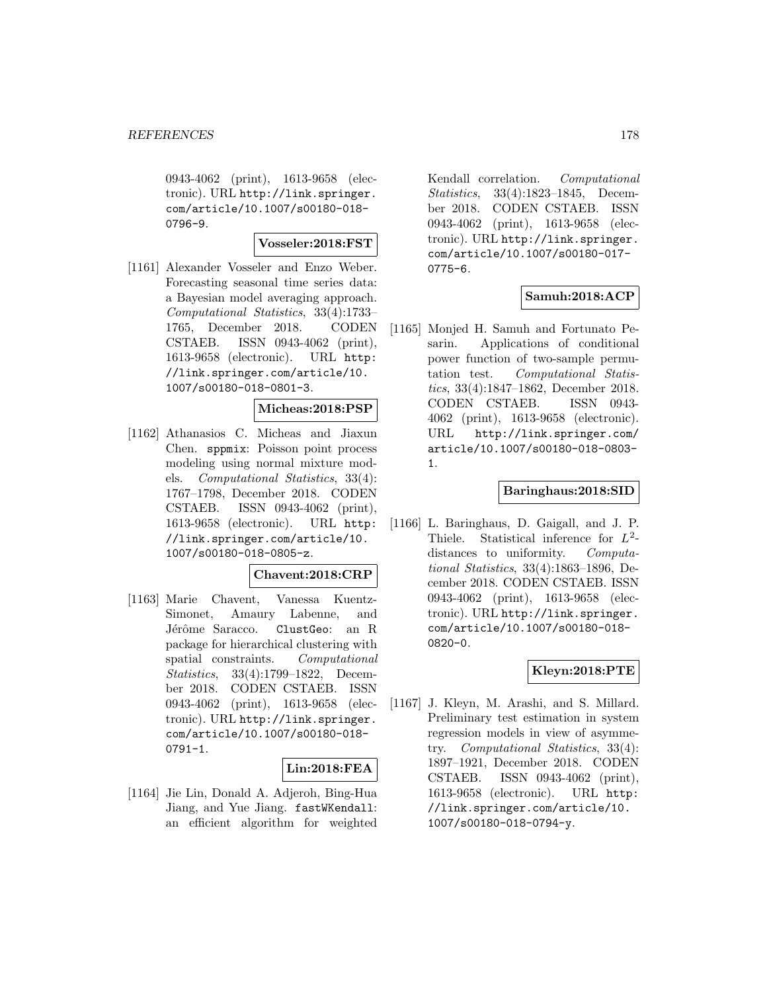0943-4062 (print), 1613-9658 (electronic). URL http://link.springer. com/article/10.1007/s00180-018- 0796-9.

#### **Vosseler:2018:FST**

[1161] Alexander Vosseler and Enzo Weber. Forecasting seasonal time series data: a Bayesian model averaging approach. Computational Statistics, 33(4):1733– 1765, December 2018. CODEN CSTAEB. ISSN 0943-4062 (print), 1613-9658 (electronic). URL http: //link.springer.com/article/10. 1007/s00180-018-0801-3.

#### **Micheas:2018:PSP**

[1162] Athanasios C. Micheas and Jiaxun Chen. sppmix: Poisson point process modeling using normal mixture models. Computational Statistics, 33(4): 1767–1798, December 2018. CODEN CSTAEB. ISSN 0943-4062 (print), 1613-9658 (electronic). URL http: //link.springer.com/article/10. 1007/s00180-018-0805-z.

#### **Chavent:2018:CRP**

[1163] Marie Chavent, Vanessa Kuentz-Simonet, Amaury Labenne, and Jérôme Saracco. ClustGeo: an R package for hierarchical clustering with spatial constraints. Computational Statistics, 33(4):1799–1822, December 2018. CODEN CSTAEB. ISSN 0943-4062 (print), 1613-9658 (electronic). URL http://link.springer. com/article/10.1007/s00180-018- 0791-1.

#### **Lin:2018:FEA**

[1164] Jie Lin, Donald A. Adjeroh, Bing-Hua Jiang, and Yue Jiang. fastWKendall: an efficient algorithm for weighted

Kendall correlation. Computational Statistics, 33(4):1823–1845, December 2018. CODEN CSTAEB. ISSN 0943-4062 (print), 1613-9658 (electronic). URL http://link.springer. com/article/10.1007/s00180-017- 0775-6.

# **Samuh:2018:ACP**

[1165] Monjed H. Samuh and Fortunato Pesarin. Applications of conditional power function of two-sample permutation test. Computational Statistics, 33(4):1847–1862, December 2018. CODEN CSTAEB. ISSN 0943- 4062 (print), 1613-9658 (electronic). URL http://link.springer.com/ article/10.1007/s00180-018-0803- 1.

#### **Baringhaus:2018:SID**

[1166] L. Baringhaus, D. Gaigall, and J. P. Thiele. Statistical inference for  $L^2$ distances to uniformity. Computational Statistics, 33(4):1863–1896, December 2018. CODEN CSTAEB. ISSN 0943-4062 (print), 1613-9658 (electronic). URL http://link.springer. com/article/10.1007/s00180-018- 0820-0.

#### **Kleyn:2018:PTE**

[1167] J. Kleyn, M. Arashi, and S. Millard. Preliminary test estimation in system regression models in view of asymmetry. Computational Statistics, 33(4): 1897–1921, December 2018. CODEN CSTAEB. ISSN 0943-4062 (print), 1613-9658 (electronic). URL http: //link.springer.com/article/10. 1007/s00180-018-0794-y.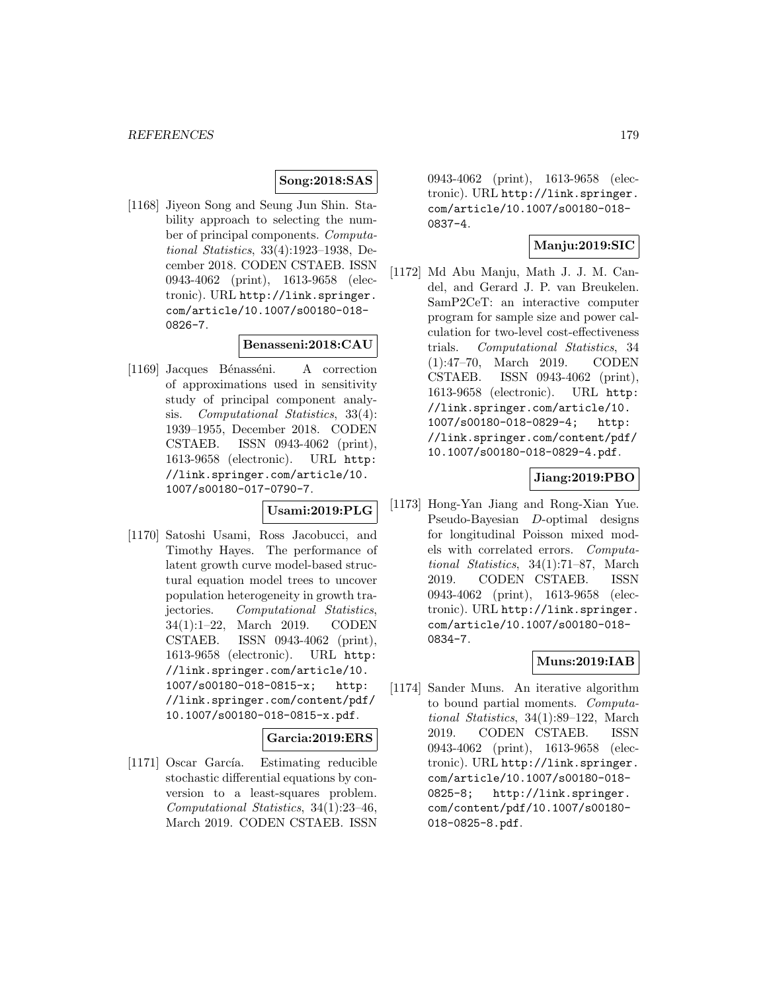# **Song:2018:SAS**

[1168] Jiyeon Song and Seung Jun Shin. Stability approach to selecting the number of principal components. Computational Statistics, 33(4):1923–1938, December 2018. CODEN CSTAEB. ISSN 0943-4062 (print), 1613-9658 (electronic). URL http://link.springer. com/article/10.1007/s00180-018- 0826-7.

#### **Benasseni:2018:CAU**

[1169] Jacques Bénasséni. A correction of approximations used in sensitivity study of principal component analysis. Computational Statistics, 33(4): 1939–1955, December 2018. CODEN CSTAEB. ISSN 0943-4062 (print), 1613-9658 (electronic). URL http: //link.springer.com/article/10. 1007/s00180-017-0790-7.

#### **Usami:2019:PLG**

[1170] Satoshi Usami, Ross Jacobucci, and Timothy Hayes. The performance of latent growth curve model-based structural equation model trees to uncover population heterogeneity in growth trajectories. Computational Statistics, 34(1):1–22, March 2019. CODEN CSTAEB. ISSN 0943-4062 (print), 1613-9658 (electronic). URL http: //link.springer.com/article/10. 1007/s00180-018-0815-x; http: //link.springer.com/content/pdf/ 10.1007/s00180-018-0815-x.pdf.

# **Garcia:2019:ERS**

[1171] Oscar García. Estimating reducible stochastic differential equations by conversion to a least-squares problem. Computational Statistics, 34(1):23–46, March 2019. CODEN CSTAEB. ISSN

0943-4062 (print), 1613-9658 (electronic). URL http://link.springer. com/article/10.1007/s00180-018- 0837-4.

# **Manju:2019:SIC**

[1172] Md Abu Manju, Math J. J. M. Candel, and Gerard J. P. van Breukelen. SamP2CeT: an interactive computer program for sample size and power calculation for two-level cost-effectiveness trials. Computational Statistics, 34 (1):47–70, March 2019. CODEN CSTAEB. ISSN 0943-4062 (print), 1613-9658 (electronic). URL http: //link.springer.com/article/10. 1007/s00180-018-0829-4; http: //link.springer.com/content/pdf/ 10.1007/s00180-018-0829-4.pdf.

# **Jiang:2019:PBO**

[1173] Hong-Yan Jiang and Rong-Xian Yue. Pseudo-Bayesian D-optimal designs for longitudinal Poisson mixed models with correlated errors. Computational Statistics, 34(1):71–87, March 2019. CODEN CSTAEB. ISSN 0943-4062 (print), 1613-9658 (electronic). URL http://link.springer. com/article/10.1007/s00180-018- 0834-7.

# **Muns:2019:IAB**

[1174] Sander Muns. An iterative algorithm to bound partial moments. Computational Statistics, 34(1):89–122, March 2019. CODEN CSTAEB. ISSN 0943-4062 (print), 1613-9658 (electronic). URL http://link.springer. com/article/10.1007/s00180-018- 0825-8; http://link.springer. com/content/pdf/10.1007/s00180- 018-0825-8.pdf.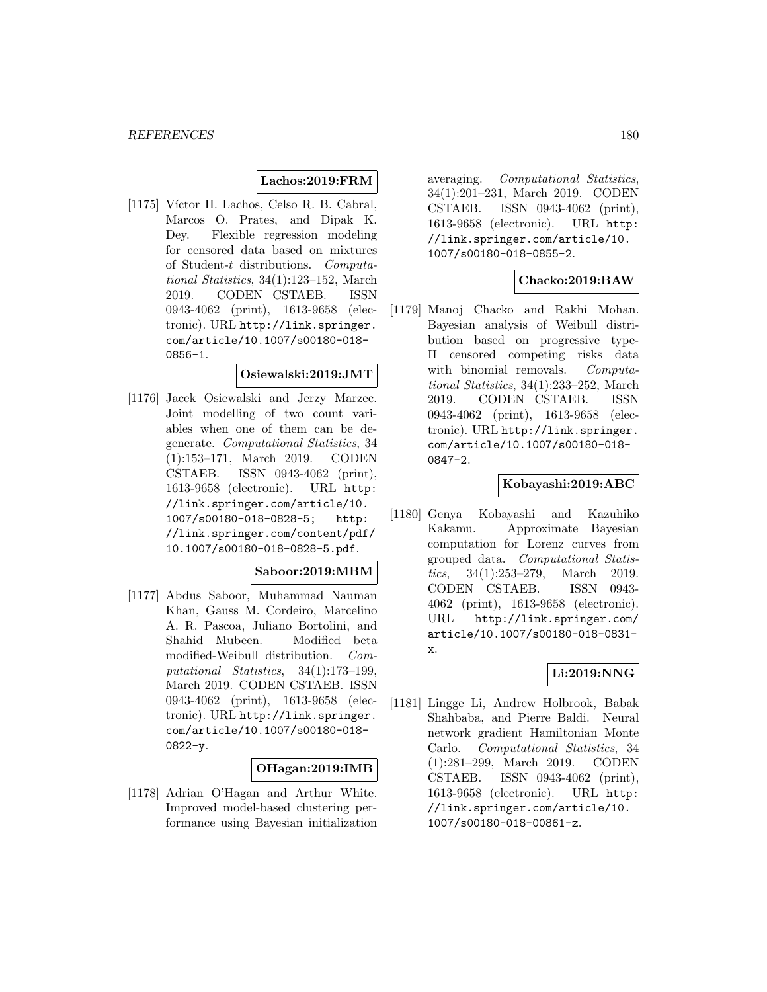# **Lachos:2019:FRM**

[1175] Víctor H. Lachos, Celso R. B. Cabral, Marcos O. Prates, and Dipak K. Dey. Flexible regression modeling for censored data based on mixtures of Student-t distributions. Computational Statistics, 34(1):123–152, March 2019. CODEN CSTAEB. ISSN 0943-4062 (print), 1613-9658 (electronic). URL http://link.springer. com/article/10.1007/s00180-018- 0856-1.

#### **Osiewalski:2019:JMT**

[1176] Jacek Osiewalski and Jerzy Marzec. Joint modelling of two count variables when one of them can be degenerate. Computational Statistics, 34 (1):153–171, March 2019. CODEN CSTAEB. ISSN 0943-4062 (print), 1613-9658 (electronic). URL http: //link.springer.com/article/10. 1007/s00180-018-0828-5; http: //link.springer.com/content/pdf/ 10.1007/s00180-018-0828-5.pdf.

#### **Saboor:2019:MBM**

[1177] Abdus Saboor, Muhammad Nauman Khan, Gauss M. Cordeiro, Marcelino A. R. Pascoa, Juliano Bortolini, and Shahid Mubeen. Modified beta modified-Weibull distribution. Computational Statistics, 34(1):173–199, March 2019. CODEN CSTAEB. ISSN 0943-4062 (print), 1613-9658 (electronic). URL http://link.springer. com/article/10.1007/s00180-018-  $0822 - y.$ 

# **OHagan:2019:IMB**

[1178] Adrian O'Hagan and Arthur White. Improved model-based clustering performance using Bayesian initialization averaging. Computational Statistics, 34(1):201–231, March 2019. CODEN CSTAEB. ISSN 0943-4062 (print), 1613-9658 (electronic). URL http: //link.springer.com/article/10. 1007/s00180-018-0855-2.

# **Chacko:2019:BAW**

[1179] Manoj Chacko and Rakhi Mohan. Bayesian analysis of Weibull distribution based on progressive type-II censored competing risks data with binomial removals. Computational Statistics, 34(1):233–252, March 2019. CODEN CSTAEB. ISSN 0943-4062 (print), 1613-9658 (electronic). URL http://link.springer. com/article/10.1007/s00180-018- 0847-2.

# **Kobayashi:2019:ABC**

[1180] Genya Kobayashi and Kazuhiko Kakamu. Approximate Bayesian computation for Lorenz curves from grouped data. Computational Statistics, 34(1):253–279, March 2019. CODEN CSTAEB. ISSN 0943- 4062 (print), 1613-9658 (electronic). URL http://link.springer.com/ article/10.1007/s00180-018-0831 x.

# **Li:2019:NNG**

[1181] Lingge Li, Andrew Holbrook, Babak Shahbaba, and Pierre Baldi. Neural network gradient Hamiltonian Monte Carlo. Computational Statistics, 34 (1):281–299, March 2019. CODEN CSTAEB. ISSN 0943-4062 (print), 1613-9658 (electronic). URL http: //link.springer.com/article/10. 1007/s00180-018-00861-z.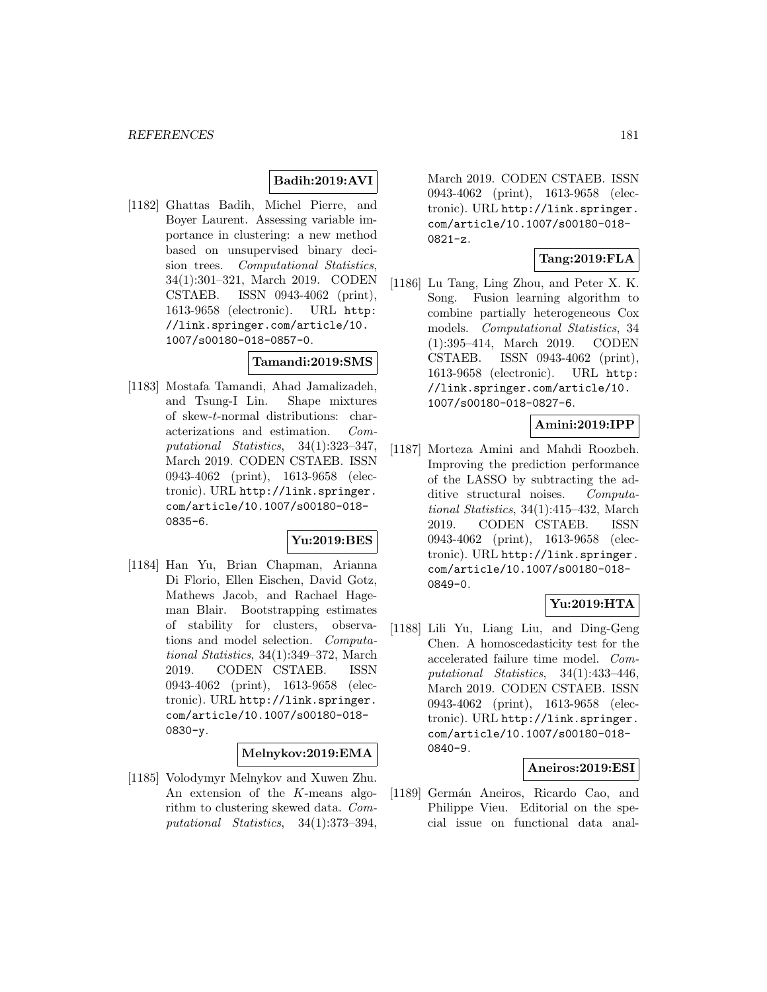#### **Badih:2019:AVI**

[1182] Ghattas Badih, Michel Pierre, and Boyer Laurent. Assessing variable importance in clustering: a new method based on unsupervised binary decision trees. Computational Statistics, 34(1):301–321, March 2019. CODEN CSTAEB. ISSN 0943-4062 (print), 1613-9658 (electronic). URL http: //link.springer.com/article/10. 1007/s00180-018-0857-0.

#### **Tamandi:2019:SMS**

[1183] Mostafa Tamandi, Ahad Jamalizadeh, and Tsung-I Lin. Shape mixtures of skew-t-normal distributions: characterizations and estimation. Computational Statistics, 34(1):323–347, March 2019. CODEN CSTAEB. ISSN 0943-4062 (print), 1613-9658 (electronic). URL http://link.springer. com/article/10.1007/s00180-018- 0835-6.

#### **Yu:2019:BES**

[1184] Han Yu, Brian Chapman, Arianna Di Florio, Ellen Eischen, David Gotz, Mathews Jacob, and Rachael Hageman Blair. Bootstrapping estimates of stability for clusters, observations and model selection. Computational Statistics, 34(1):349–372, March 2019. CODEN CSTAEB. ISSN 0943-4062 (print), 1613-9658 (electronic). URL http://link.springer. com/article/10.1007/s00180-018- 0830-y.

#### **Melnykov:2019:EMA**

[1185] Volodymyr Melnykov and Xuwen Zhu. An extension of the K-means algorithm to clustering skewed data. Computational Statistics, 34(1):373–394,

March 2019. CODEN CSTAEB. ISSN 0943-4062 (print), 1613-9658 (electronic). URL http://link.springer. com/article/10.1007/s00180-018- 0821-z.

### **Tang:2019:FLA**

[1186] Lu Tang, Ling Zhou, and Peter X. K. Song. Fusion learning algorithm to combine partially heterogeneous Cox models. Computational Statistics, 34 (1):395–414, March 2019. CODEN CSTAEB. ISSN 0943-4062 (print), 1613-9658 (electronic). URL http: //link.springer.com/article/10. 1007/s00180-018-0827-6.

#### **Amini:2019:IPP**

[1187] Morteza Amini and Mahdi Roozbeh. Improving the prediction performance of the LASSO by subtracting the additive structural noises. Computational Statistics, 34(1):415–432, March 2019. CODEN CSTAEB. ISSN 0943-4062 (print), 1613-9658 (electronic). URL http://link.springer. com/article/10.1007/s00180-018- 0849-0.

### **Yu:2019:HTA**

[1188] Lili Yu, Liang Liu, and Ding-Geng Chen. A homoscedasticity test for the accelerated failure time model. Computational Statistics, 34(1):433–446, March 2019. CODEN CSTAEB. ISSN 0943-4062 (print), 1613-9658 (electronic). URL http://link.springer. com/article/10.1007/s00180-018- 0840-9.

#### **Aneiros:2019:ESI**

[1189] Germán Aneiros, Ricardo Cao, and Philippe Vieu. Editorial on the special issue on functional data anal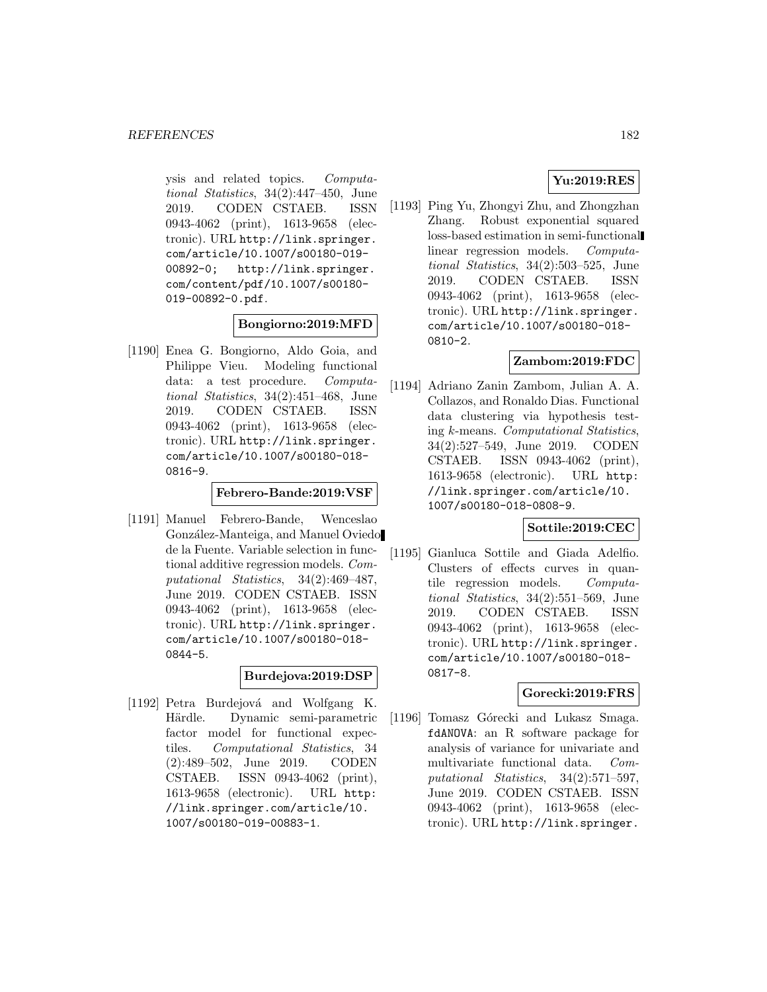ysis and related topics. Computational Statistics, 34(2):447–450, June 2019. CODEN CSTAEB. ISSN 0943-4062 (print), 1613-9658 (electronic). URL http://link.springer. com/article/10.1007/s00180-019- 00892-0; http://link.springer. com/content/pdf/10.1007/s00180- 019-00892-0.pdf.

### **Bongiorno:2019:MFD**

[1190] Enea G. Bongiorno, Aldo Goia, and Philippe Vieu. Modeling functional data: a test procedure. Computational Statistics, 34(2):451–468, June 2019. CODEN CSTAEB. ISSN 0943-4062 (print), 1613-9658 (electronic). URL http://link.springer. com/article/10.1007/s00180-018- 0816-9.

### **Febrero-Bande:2019:VSF**

[1191] Manuel Febrero-Bande, Wenceslao González-Manteiga, and Manuel Oviedo de la Fuente. Variable selection in functional additive regression models. Computational Statistics, 34(2):469–487, June 2019. CODEN CSTAEB. ISSN 0943-4062 (print), 1613-9658 (electronic). URL http://link.springer. com/article/10.1007/s00180-018- 0844-5.

#### **Burdejova:2019:DSP**

[1192] Petra Burdejová and Wolfgang K. Härdle. Dynamic semi-parametric factor model for functional expectiles. Computational Statistics, 34 (2):489–502, June 2019. CODEN CSTAEB. ISSN 0943-4062 (print), 1613-9658 (electronic). URL http: //link.springer.com/article/10. 1007/s00180-019-00883-1.

## **Yu:2019:RES**

[1193] Ping Yu, Zhongyi Zhu, and Zhongzhan Zhang. Robust exponential squared loss-based estimation in semi-functional linear regression models. Computational Statistics, 34(2):503–525, June 2019. CODEN CSTAEB. ISSN 0943-4062 (print), 1613-9658 (electronic). URL http://link.springer. com/article/10.1007/s00180-018- 0810-2.

#### **Zambom:2019:FDC**

[1194] Adriano Zanin Zambom, Julian A. A. Collazos, and Ronaldo Dias. Functional data clustering via hypothesis testing k-means. Computational Statistics, 34(2):527–549, June 2019. CODEN CSTAEB. ISSN 0943-4062 (print), 1613-9658 (electronic). URL http: //link.springer.com/article/10. 1007/s00180-018-0808-9.

#### **Sottile:2019:CEC**

[1195] Gianluca Sottile and Giada Adelfio. Clusters of effects curves in quantile regression models. Computational Statistics, 34(2):551–569, June 2019. CODEN CSTAEB. ISSN 0943-4062 (print), 1613-9658 (electronic). URL http://link.springer. com/article/10.1007/s00180-018- 0817-8.

#### **Gorecki:2019:FRS**

[1196] Tomasz Górecki and Lukasz Smaga. fdANOVA: an R software package for analysis of variance for univariate and multivariate functional data. Computational Statistics, 34(2):571–597, June 2019. CODEN CSTAEB. ISSN 0943-4062 (print), 1613-9658 (electronic). URL http://link.springer.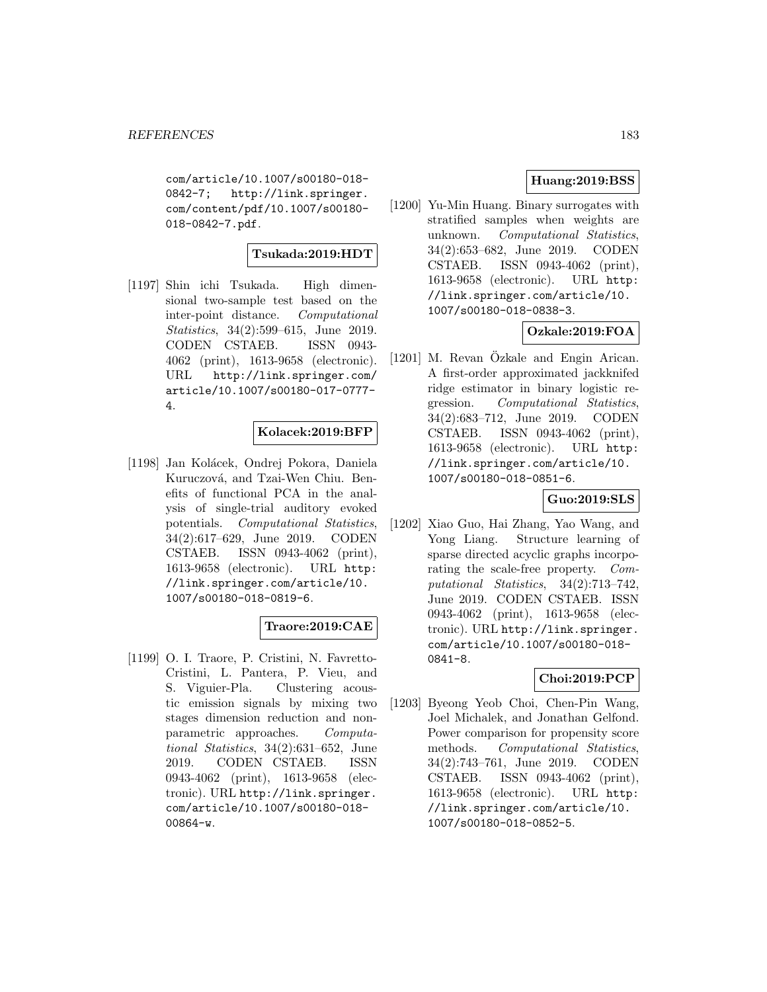com/article/10.1007/s00180-018- 0842-7; http://link.springer. com/content/pdf/10.1007/s00180- 018-0842-7.pdf.

## **Tsukada:2019:HDT**

[1197] Shin ichi Tsukada. High dimensional two-sample test based on the inter-point distance. Computational Statistics, 34(2):599–615, June 2019. CODEN CSTAEB. ISSN 0943- 4062 (print), 1613-9658 (electronic). URL http://link.springer.com/ article/10.1007/s00180-017-0777- 4.

#### **Kolacek:2019:BFP**

[1198] Jan Kolácek, Ondrej Pokora, Daniela Kuruczová, and Tzai-Wen Chiu. Benefits of functional PCA in the analysis of single-trial auditory evoked potentials. Computational Statistics, 34(2):617–629, June 2019. CODEN CSTAEB. ISSN 0943-4062 (print), 1613-9658 (electronic). URL http: //link.springer.com/article/10. 1007/s00180-018-0819-6.

#### **Traore:2019:CAE**

[1199] O. I. Traore, P. Cristini, N. Favretto-Cristini, L. Pantera, P. Vieu, and S. Viguier-Pla. Clustering acoustic emission signals by mixing two stages dimension reduction and nonparametric approaches. Computational Statistics, 34(2):631–652, June 2019. CODEN CSTAEB. ISSN 0943-4062 (print), 1613-9658 (electronic). URL http://link.springer. com/article/10.1007/s00180-018- 00864-w.

### **Huang:2019:BSS**

[1200] Yu-Min Huang. Binary surrogates with stratified samples when weights are unknown. Computational Statistics, 34(2):653–682, June 2019. CODEN CSTAEB. ISSN 0943-4062 (print), 1613-9658 (electronic). URL http: //link.springer.com/article/10. 1007/s00180-018-0838-3.

# **Ozkale:2019:FOA**

 $[1201]$  M. Revan Özkale and Engin Arican. A first-order approximated jackknifed ridge estimator in binary logistic regression. Computational Statistics, 34(2):683–712, June 2019. CODEN CSTAEB. ISSN 0943-4062 (print), 1613-9658 (electronic). URL http: //link.springer.com/article/10. 1007/s00180-018-0851-6.

### **Guo:2019:SLS**

[1202] Xiao Guo, Hai Zhang, Yao Wang, and Yong Liang. Structure learning of sparse directed acyclic graphs incorporating the scale-free property. Computational Statistics, 34(2):713–742, June 2019. CODEN CSTAEB. ISSN 0943-4062 (print), 1613-9658 (electronic). URL http://link.springer. com/article/10.1007/s00180-018- 0841-8.

## **Choi:2019:PCP**

[1203] Byeong Yeob Choi, Chen-Pin Wang, Joel Michalek, and Jonathan Gelfond. Power comparison for propensity score methods. Computational Statistics, 34(2):743–761, June 2019. CODEN CSTAEB. ISSN 0943-4062 (print), 1613-9658 (electronic). URL http: //link.springer.com/article/10. 1007/s00180-018-0852-5.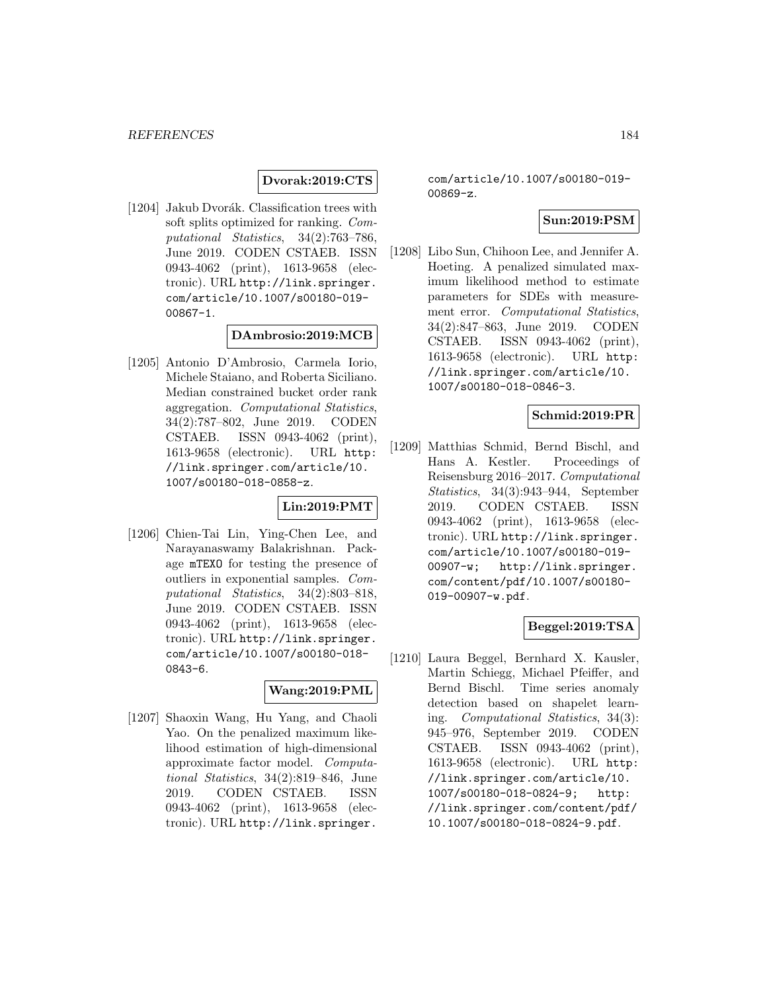**Dvorak:2019:CTS**

[1204] Jakub Dvorák. Classification trees with soft splits optimized for ranking. Computational Statistics, 34(2):763–786, June 2019. CODEN CSTAEB. ISSN 0943-4062 (print), 1613-9658 (electronic). URL http://link.springer. com/article/10.1007/s00180-019- 00867-1.

#### **DAmbrosio:2019:MCB**

[1205] Antonio D'Ambrosio, Carmela Iorio, Michele Staiano, and Roberta Siciliano. Median constrained bucket order rank aggregation. Computational Statistics, 34(2):787–802, June 2019. CODEN CSTAEB. ISSN 0943-4062 (print), 1613-9658 (electronic). URL http: //link.springer.com/article/10. 1007/s00180-018-0858-z.

#### **Lin:2019:PMT**

[1206] Chien-Tai Lin, Ying-Chen Lee, and Narayanaswamy Balakrishnan. Package mTEXO for testing the presence of outliers in exponential samples. Computational Statistics, 34(2):803–818, June 2019. CODEN CSTAEB. ISSN 0943-4062 (print), 1613-9658 (electronic). URL http://link.springer. com/article/10.1007/s00180-018- 0843-6.

#### **Wang:2019:PML**

[1207] Shaoxin Wang, Hu Yang, and Chaoli Yao. On the penalized maximum likelihood estimation of high-dimensional approximate factor model. Computational Statistics, 34(2):819–846, June 2019. CODEN CSTAEB. ISSN 0943-4062 (print), 1613-9658 (electronic). URL http://link.springer.

com/article/10.1007/s00180-019- 00869-z.

### **Sun:2019:PSM**

[1208] Libo Sun, Chihoon Lee, and Jennifer A. Hoeting. A penalized simulated maximum likelihood method to estimate parameters for SDEs with measurement error. Computational Statistics, 34(2):847–863, June 2019. CODEN CSTAEB. ISSN 0943-4062 (print), 1613-9658 (electronic). URL http: //link.springer.com/article/10. 1007/s00180-018-0846-3.

### **Schmid:2019:PR**

[1209] Matthias Schmid, Bernd Bischl, and Hans A. Kestler. Proceedings of Reisensburg 2016–2017. Computational Statistics, 34(3):943–944, September 2019. CODEN CSTAEB. ISSN 0943-4062 (print), 1613-9658 (electronic). URL http://link.springer. com/article/10.1007/s00180-019- 00907-w; http://link.springer. com/content/pdf/10.1007/s00180- 019-00907-w.pdf.

#### **Beggel:2019:TSA**

[1210] Laura Beggel, Bernhard X. Kausler, Martin Schiegg, Michael Pfeiffer, and Bernd Bischl. Time series anomaly detection based on shapelet learning. Computational Statistics, 34(3): 945–976, September 2019. CODEN CSTAEB. ISSN 0943-4062 (print), 1613-9658 (electronic). URL http: //link.springer.com/article/10. 1007/s00180-018-0824-9; http: //link.springer.com/content/pdf/ 10.1007/s00180-018-0824-9.pdf.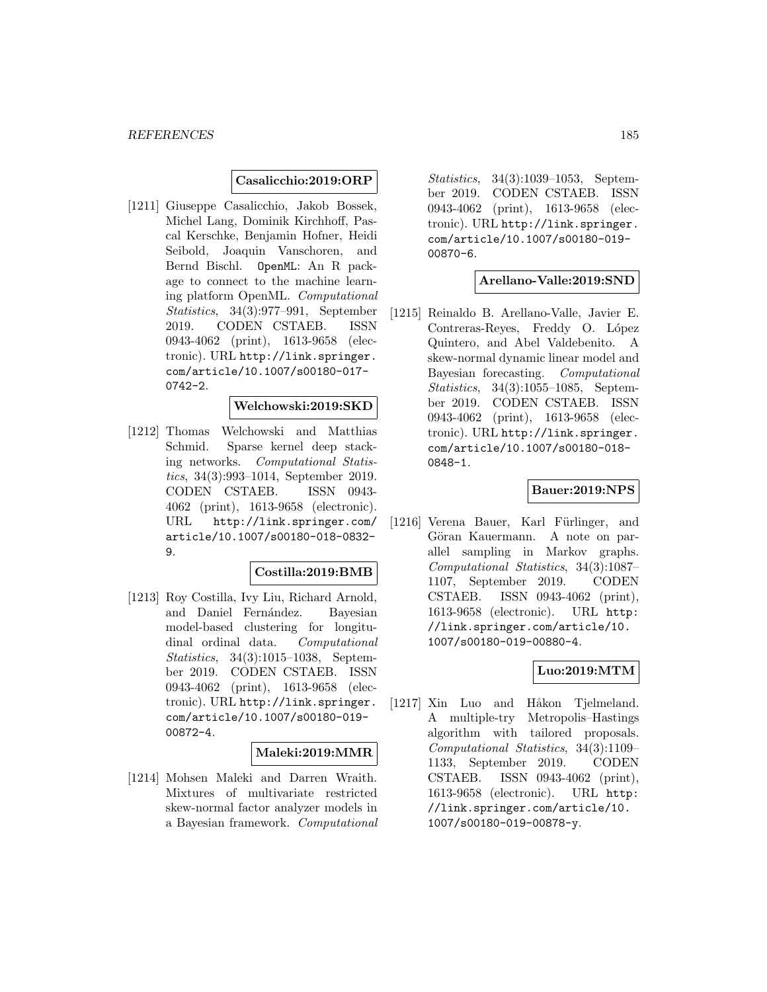#### **Casalicchio:2019:ORP**

[1211] Giuseppe Casalicchio, Jakob Bossek, Michel Lang, Dominik Kirchhoff, Pascal Kerschke, Benjamin Hofner, Heidi Seibold, Joaquin Vanschoren, and Bernd Bischl. OpenML: An R package to connect to the machine learning platform OpenML. Computational Statistics, 34(3):977–991, September 2019. CODEN CSTAEB. ISSN 0943-4062 (print), 1613-9658 (electronic). URL http://link.springer. com/article/10.1007/s00180-017- 0742-2.

#### **Welchowski:2019:SKD**

[1212] Thomas Welchowski and Matthias Schmid. Sparse kernel deep stacking networks. Computational Statistics, 34(3):993–1014, September 2019. CODEN CSTAEB. ISSN 0943- 4062 (print), 1613-9658 (electronic). URL http://link.springer.com/ article/10.1007/s00180-018-0832- 9.

#### **Costilla:2019:BMB**

[1213] Roy Costilla, Ivy Liu, Richard Arnold, and Daniel Fernández. Bayesian model-based clustering for longitudinal ordinal data. Computational Statistics, 34(3):1015–1038, September 2019. CODEN CSTAEB. ISSN 0943-4062 (print), 1613-9658 (electronic). URL http://link.springer. com/article/10.1007/s00180-019- 00872-4.

#### **Maleki:2019:MMR**

[1214] Mohsen Maleki and Darren Wraith. Mixtures of multivariate restricted skew-normal factor analyzer models in a Bayesian framework. Computational

Statistics, 34(3):1039–1053, September 2019. CODEN CSTAEB. ISSN 0943-4062 (print), 1613-9658 (electronic). URL http://link.springer. com/article/10.1007/s00180-019- 00870-6.

#### **Arellano-Valle:2019:SND**

[1215] Reinaldo B. Arellano-Valle, Javier E. Contreras-Reyes, Freddy O. López Quintero, and Abel Valdebenito. A skew-normal dynamic linear model and Bayesian forecasting. Computational Statistics, 34(3):1055–1085, September 2019. CODEN CSTAEB. ISSN 0943-4062 (print), 1613-9658 (electronic). URL http://link.springer. com/article/10.1007/s00180-018- 0848-1.

## **Bauer:2019:NPS**

[1216] Verena Bauer, Karl Fürlinger, and Göran Kauermann. A note on parallel sampling in Markov graphs. Computational Statistics, 34(3):1087– 1107, September 2019. CODEN CSTAEB. ISSN 0943-4062 (print), 1613-9658 (electronic). URL http: //link.springer.com/article/10. 1007/s00180-019-00880-4.

#### **Luo:2019:MTM**

[1217] Xin Luo and Håkon Tjelmeland. A multiple-try Metropolis–Hastings algorithm with tailored proposals. Computational Statistics, 34(3):1109– 1133, September 2019. CODEN CSTAEB. ISSN 0943-4062 (print), 1613-9658 (electronic). URL http: //link.springer.com/article/10. 1007/s00180-019-00878-y.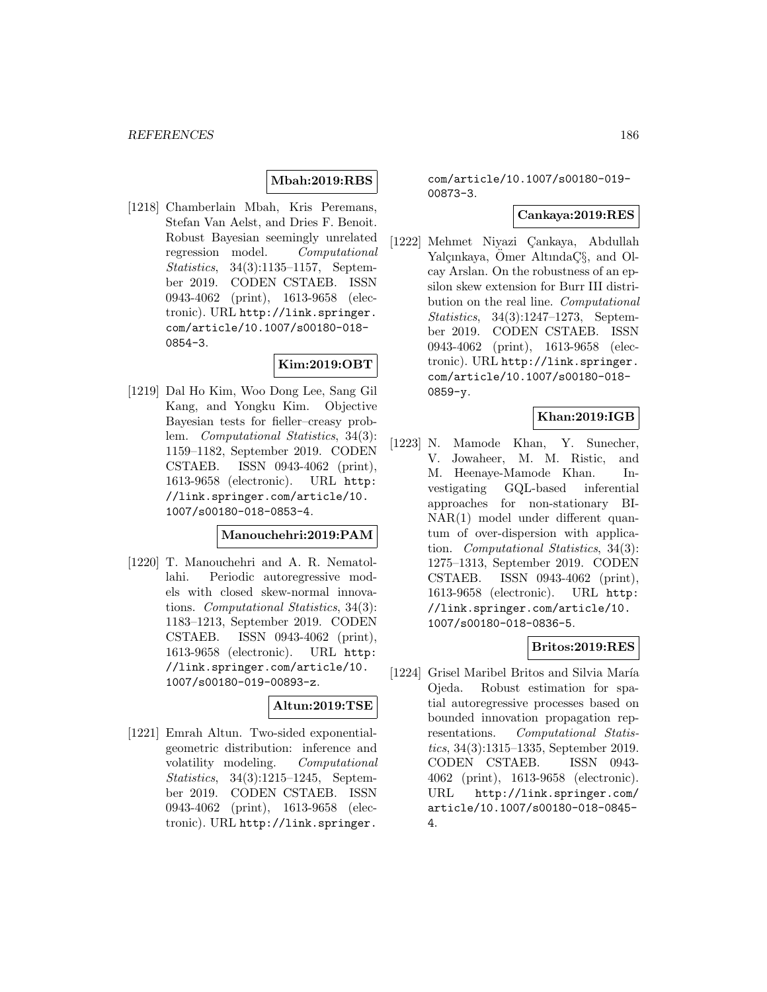### **Mbah:2019:RBS**

[1218] Chamberlain Mbah, Kris Peremans, Stefan Van Aelst, and Dries F. Benoit. Robust Bayesian seemingly unrelated regression model. Computational Statistics, 34(3):1135–1157, September 2019. CODEN CSTAEB. ISSN 0943-4062 (print), 1613-9658 (electronic). URL http://link.springer. com/article/10.1007/s00180-018- 0854-3.

### **Kim:2019:OBT**

[1219] Dal Ho Kim, Woo Dong Lee, Sang Gil Kang, and Yongku Kim. Objective Bayesian tests for fieller–creasy problem. Computational Statistics, 34(3): 1159–1182, September 2019. CODEN CSTAEB. ISSN 0943-4062 (print), 1613-9658 (electronic). URL http: //link.springer.com/article/10. 1007/s00180-018-0853-4.

#### **Manouchehri:2019:PAM**

[1220] T. Manouchehri and A. R. Nematollahi. Periodic autoregressive models with closed skew-normal innovations. Computational Statistics, 34(3): 1183–1213, September 2019. CODEN CSTAEB. ISSN 0943-4062 (print), 1613-9658 (electronic). URL http: //link.springer.com/article/10. 1007/s00180-019-00893-z.

#### **Altun:2019:TSE**

[1221] Emrah Altun. Two-sided exponentialgeometric distribution: inference and volatility modeling. Computational Statistics, 34(3):1215–1245, September 2019. CODEN CSTAEB. ISSN 0943-4062 (print), 1613-9658 (electronic). URL http://link.springer.

### com/article/10.1007/s00180-019- 00873-3.

#### **Cankaya:2019:RES**

[1222] Mehmet Niyazi Cankaya, Abdullah Yalçınkaya, Ömer Altında Ç $\S$ , and Olcay Arslan. On the robustness of an epsilon skew extension for Burr III distribution on the real line. Computational Statistics, 34(3):1247–1273, September 2019. CODEN CSTAEB. ISSN 0943-4062 (print), 1613-9658 (electronic). URL http://link.springer. com/article/10.1007/s00180-018- 0859-y.

## **Khan:2019:IGB**

[1223] N. Mamode Khan, Y. Sunecher, V. Jowaheer, M. M. Ristic, and M. Heenaye-Mamode Khan. Investigating GQL-based inferential approaches for non-stationary BI-NAR(1) model under different quantum of over-dispersion with application. Computational Statistics, 34(3): 1275–1313, September 2019. CODEN CSTAEB. ISSN 0943-4062 (print), 1613-9658 (electronic). URL http: //link.springer.com/article/10. 1007/s00180-018-0836-5.

#### **Britos:2019:RES**

[1224] Grisel Maribel Britos and Silvia María Ojeda. Robust estimation for spatial autoregressive processes based on bounded innovation propagation representations. Computational Statistics, 34(3):1315–1335, September 2019. CODEN CSTAEB. ISSN 0943- 4062 (print), 1613-9658 (electronic). URL http://link.springer.com/ article/10.1007/s00180-018-0845- 4.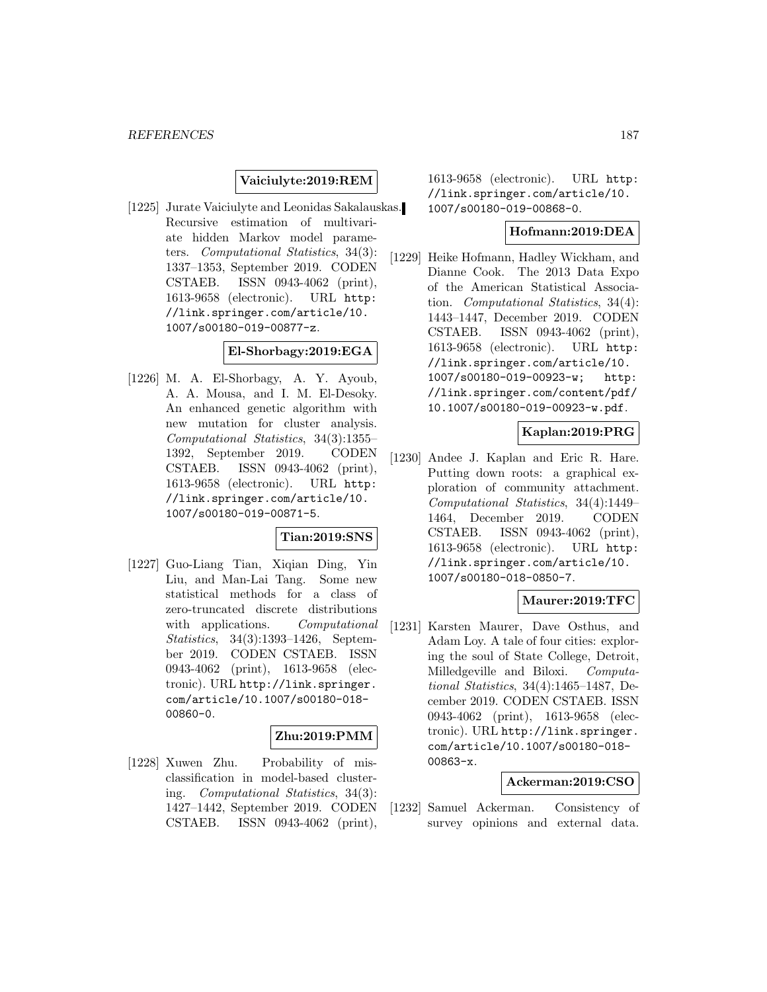### **Vaiciulyte:2019:REM**

[1225] Jurate Vaiciulyte and Leonidas Sakalauskas. Recursive estimation of multivariate hidden Markov model parameters. Computational Statistics, 34(3): 1337–1353, September 2019. CODEN CSTAEB. ISSN 0943-4062 (print), 1613-9658 (electronic). URL http: //link.springer.com/article/10. 1007/s00180-019-00877-z.

## **El-Shorbagy:2019:EGA**

[1226] M. A. El-Shorbagy, A. Y. Ayoub, A. A. Mousa, and I. M. El-Desoky. An enhanced genetic algorithm with new mutation for cluster analysis. Computational Statistics, 34(3):1355– 1392, September 2019. CODEN CSTAEB. ISSN 0943-4062 (print), 1613-9658 (electronic). URL http: //link.springer.com/article/10. 1007/s00180-019-00871-5.

## **Tian:2019:SNS**

[1227] Guo-Liang Tian, Xiqian Ding, Yin Liu, and Man-Lai Tang. Some new statistical methods for a class of zero-truncated discrete distributions with applications. Computational Statistics, 34(3):1393–1426, September 2019. CODEN CSTAEB. ISSN 0943-4062 (print), 1613-9658 (electronic). URL http://link.springer. com/article/10.1007/s00180-018- 00860-0.

#### **Zhu:2019:PMM**

[1228] Xuwen Zhu. Probability of misclassification in model-based clustering. Computational Statistics, 34(3): 1427–1442, September 2019. CODEN CSTAEB. ISSN 0943-4062 (print), 1613-9658 (electronic). URL http: //link.springer.com/article/10. 1007/s00180-019-00868-0.

#### **Hofmann:2019:DEA**

[1229] Heike Hofmann, Hadley Wickham, and Dianne Cook. The 2013 Data Expo of the American Statistical Association. Computational Statistics, 34(4): 1443–1447, December 2019. CODEN CSTAEB. ISSN 0943-4062 (print), 1613-9658 (electronic). URL http: //link.springer.com/article/10. 1007/s00180-019-00923-w; http: //link.springer.com/content/pdf/ 10.1007/s00180-019-00923-w.pdf.

### **Kaplan:2019:PRG**

[1230] Andee J. Kaplan and Eric R. Hare. Putting down roots: a graphical exploration of community attachment. Computational Statistics, 34(4):1449– 1464, December 2019. CODEN CSTAEB. ISSN 0943-4062 (print), 1613-9658 (electronic). URL http: //link.springer.com/article/10. 1007/s00180-018-0850-7.

#### **Maurer:2019:TFC**

[1231] Karsten Maurer, Dave Osthus, and Adam Loy. A tale of four cities: exploring the soul of State College, Detroit, Milledgeville and Biloxi. Computational Statistics, 34(4):1465–1487, December 2019. CODEN CSTAEB. ISSN 0943-4062 (print), 1613-9658 (electronic). URL http://link.springer. com/article/10.1007/s00180-018- 00863-x.

#### **Ackerman:2019:CSO**

[1232] Samuel Ackerman. Consistency of survey opinions and external data.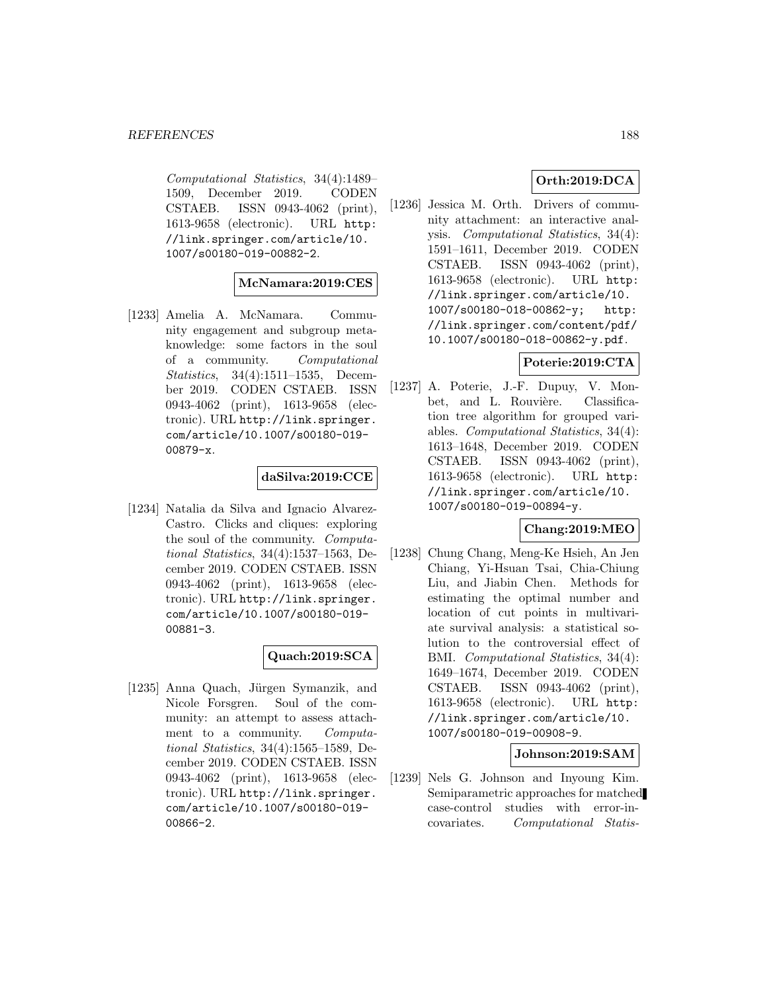Computational Statistics, 34(4):1489– 1509, December 2019. CODEN CSTAEB. ISSN 0943-4062 (print), 1613-9658 (electronic). URL http: //link.springer.com/article/10. 1007/s00180-019-00882-2.

#### **McNamara:2019:CES**

[1233] Amelia A. McNamara. Community engagement and subgroup metaknowledge: some factors in the soul of a community. Computational Statistics, 34(4):1511–1535, December 2019. CODEN CSTAEB. ISSN 0943-4062 (print), 1613-9658 (electronic). URL http://link.springer. com/article/10.1007/s00180-019- 00879-x.

## **daSilva:2019:CCE**

[1234] Natalia da Silva and Ignacio Alvarez-Castro. Clicks and cliques: exploring the soul of the community. Computational Statistics, 34(4):1537–1563, December 2019. CODEN CSTAEB. ISSN 0943-4062 (print), 1613-9658 (electronic). URL http://link.springer. com/article/10.1007/s00180-019- 00881-3.

## **Quach:2019:SCA**

[1235] Anna Quach, Jürgen Symanzik, and Nicole Forsgren. Soul of the community: an attempt to assess attachment to a community. Computational Statistics, 34(4):1565–1589, December 2019. CODEN CSTAEB. ISSN 0943-4062 (print), 1613-9658 (electronic). URL http://link.springer. com/article/10.1007/s00180-019- 00866-2.

## **Orth:2019:DCA**

[1236] Jessica M. Orth. Drivers of community attachment: an interactive analysis. Computational Statistics, 34(4): 1591–1611, December 2019. CODEN CSTAEB. ISSN 0943-4062 (print), 1613-9658 (electronic). URL http: //link.springer.com/article/10. 1007/s00180-018-00862-y; http: //link.springer.com/content/pdf/ 10.1007/s00180-018-00862-y.pdf.

## **Poterie:2019:CTA**

[1237] A. Poterie, J.-F. Dupuy, V. Monbet, and L. Rouvière. Classification tree algorithm for grouped variables. Computational Statistics, 34(4): 1613–1648, December 2019. CODEN CSTAEB. ISSN 0943-4062 (print), 1613-9658 (electronic). URL http: //link.springer.com/article/10. 1007/s00180-019-00894-y.

## **Chang:2019:MEO**

[1238] Chung Chang, Meng-Ke Hsieh, An Jen Chiang, Yi-Hsuan Tsai, Chia-Chiung Liu, and Jiabin Chen. Methods for estimating the optimal number and location of cut points in multivariate survival analysis: a statistical solution to the controversial effect of BMI. Computational Statistics, 34(4): 1649–1674, December 2019. CODEN CSTAEB. ISSN 0943-4062 (print), 1613-9658 (electronic). URL http: //link.springer.com/article/10. 1007/s00180-019-00908-9.

#### **Johnson:2019:SAM**

[1239] Nels G. Johnson and Inyoung Kim. Semiparametric approaches for matched case-control studies with error-incovariates. Computational Statis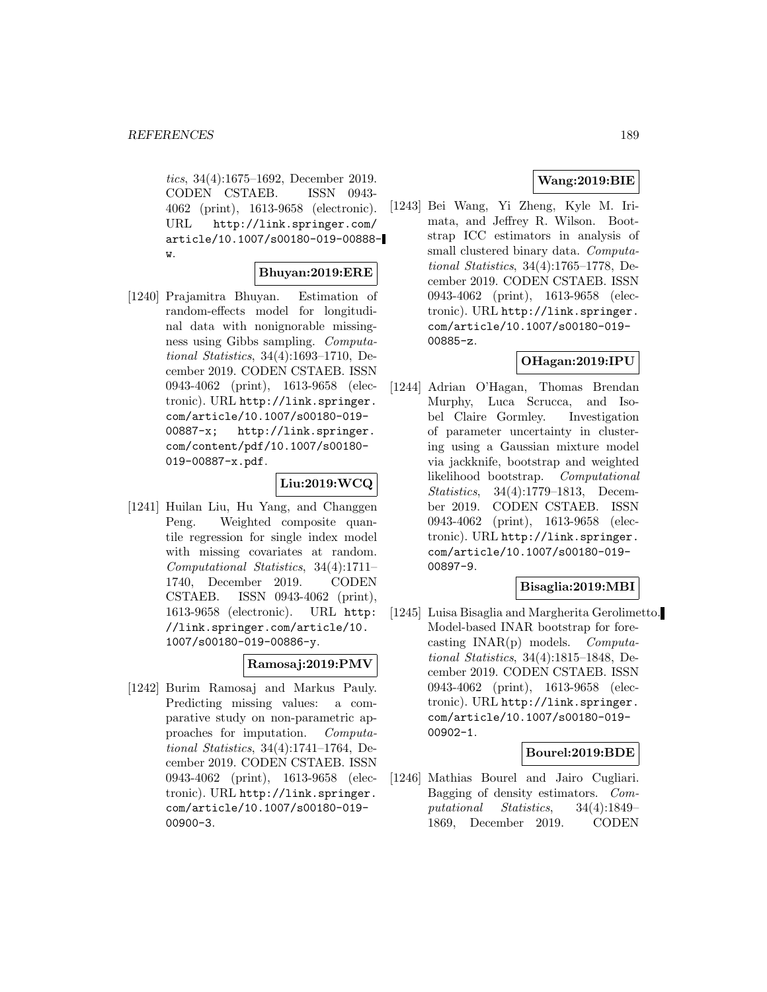tics, 34(4):1675–1692, December 2019. CODEN CSTAEB. ISSN 0943- 4062 (print), 1613-9658 (electronic). URL http://link.springer.com/ article/10.1007/s00180-019-00888 w.

#### **Bhuyan:2019:ERE**

[1240] Prajamitra Bhuyan. Estimation of random-effects model for longitudinal data with nonignorable missingness using Gibbs sampling. Computational Statistics, 34(4):1693–1710, December 2019. CODEN CSTAEB. ISSN 0943-4062 (print), 1613-9658 (electronic). URL http://link.springer. com/article/10.1007/s00180-019- 00887-x; http://link.springer. com/content/pdf/10.1007/s00180- 019-00887-x.pdf.

### **Liu:2019:WCQ**

[1241] Huilan Liu, Hu Yang, and Changgen Peng. Weighted composite quantile regression for single index model with missing covariates at random. Computational Statistics, 34(4):1711– 1740, December 2019. CODEN CSTAEB. ISSN 0943-4062 (print), 1613-9658 (electronic). URL http: //link.springer.com/article/10. 1007/s00180-019-00886-y.

#### **Ramosaj:2019:PMV**

[1242] Burim Ramosaj and Markus Pauly. Predicting missing values: a comparative study on non-parametric approaches for imputation. Computational Statistics, 34(4):1741–1764, December 2019. CODEN CSTAEB. ISSN 0943-4062 (print), 1613-9658 (electronic). URL http://link.springer. com/article/10.1007/s00180-019- 00900-3.

### **Wang:2019:BIE**

[1243] Bei Wang, Yi Zheng, Kyle M. Irimata, and Jeffrey R. Wilson. Bootstrap ICC estimators in analysis of small clustered binary data. Computational Statistics, 34(4):1765–1778, December 2019. CODEN CSTAEB. ISSN 0943-4062 (print), 1613-9658 (electronic). URL http://link.springer. com/article/10.1007/s00180-019- 00885-z.

### **OHagan:2019:IPU**

[1244] Adrian O'Hagan, Thomas Brendan Murphy, Luca Scrucca, and Isobel Claire Gormley. Investigation of parameter uncertainty in clustering using a Gaussian mixture model via jackknife, bootstrap and weighted likelihood bootstrap. Computational Statistics, 34(4):1779–1813, December 2019. CODEN CSTAEB. ISSN 0943-4062 (print), 1613-9658 (electronic). URL http://link.springer. com/article/10.1007/s00180-019- 00897-9.

## **Bisaglia:2019:MBI**

[1245] Luisa Bisaglia and Margherita Gerolimetto. Model-based INAR bootstrap for forecasting  $INAR(p)$  models. Computational Statistics, 34(4):1815–1848, December 2019. CODEN CSTAEB. ISSN 0943-4062 (print), 1613-9658 (electronic). URL http://link.springer. com/article/10.1007/s00180-019- 00902-1.

#### **Bourel:2019:BDE**

[1246] Mathias Bourel and Jairo Cugliari. Bagging of density estimators. Computational Statistics, 34(4):1849– 1869, December 2019. CODEN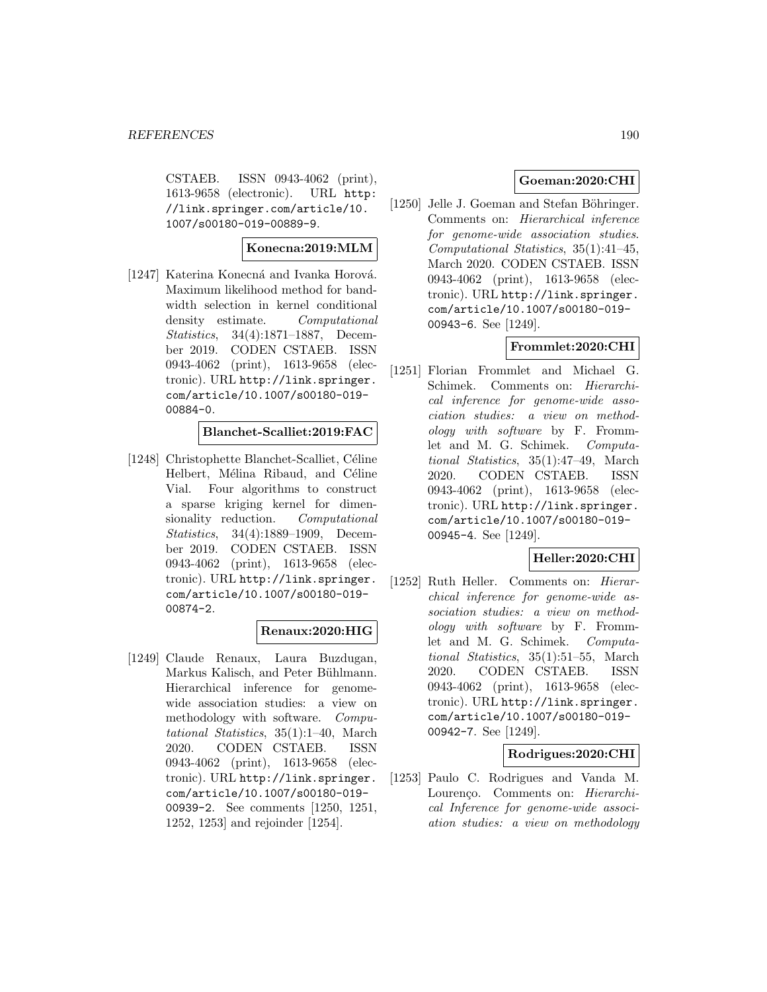CSTAEB. ISSN 0943-4062 (print), 1613-9658 (electronic). URL http: //link.springer.com/article/10. 1007/s00180-019-00889-9.

#### **Konecna:2019:MLM**

[1247] Katerina Konecná and Ivanka Horová. Maximum likelihood method for bandwidth selection in kernel conditional density estimate. Computational Statistics, 34(4):1871–1887, December 2019. CODEN CSTAEB. ISSN 0943-4062 (print), 1613-9658 (electronic). URL http://link.springer. com/article/10.1007/s00180-019- 00884-0.

#### **Blanchet-Scalliet:2019:FAC**

[1248] Christophette Blanchet-Scalliet, Céline Helbert, Mélina Ribaud, and Céline Vial. Four algorithms to construct a sparse kriging kernel for dimensionality reduction. Computational Statistics, 34(4):1889–1909, December 2019. CODEN CSTAEB. ISSN 0943-4062 (print), 1613-9658 (electronic). URL http://link.springer. com/article/10.1007/s00180-019- 00874-2.

#### **Renaux:2020:HIG**

[1249] Claude Renaux, Laura Buzdugan, Markus Kalisch, and Peter Bühlmann. Hierarchical inference for genomewide association studies: a view on methodology with software. Computational Statistics, 35(1):1–40, March 2020. CODEN CSTAEB. ISSN 0943-4062 (print), 1613-9658 (electronic). URL http://link.springer. com/article/10.1007/s00180-019- 00939-2. See comments [1250, 1251, 1252, 1253] and rejoinder [1254].

## **Goeman:2020:CHI**

[1250] Jelle J. Goeman and Stefan Böhringer. Comments on: Hierarchical inference for genome-wide association studies. Computational Statistics, 35(1):41–45, March 2020. CODEN CSTAEB. ISSN 0943-4062 (print), 1613-9658 (electronic). URL http://link.springer. com/article/10.1007/s00180-019- 00943-6. See [1249].

#### **Frommlet:2020:CHI**

[1251] Florian Frommlet and Michael G. Schimek. Comments on: Hierarchical inference for genome-wide association studies: a view on methodology with software by F. Frommlet and M. G. Schimek. Computational Statistics, 35(1):47–49, March 2020. CODEN CSTAEB. ISSN 0943-4062 (print), 1613-9658 (electronic). URL http://link.springer. com/article/10.1007/s00180-019- 00945-4. See [1249].

## **Heller:2020:CHI**

[1252] Ruth Heller. Comments on: Hierarchical inference for genome-wide association studies: a view on methodology with software by F. Frommlet and M. G. Schimek. Computational Statistics, 35(1):51–55, March 2020. CODEN CSTAEB. ISSN 0943-4062 (print), 1613-9658 (electronic). URL http://link.springer. com/article/10.1007/s00180-019- 00942-7. See [1249].

### **Rodrigues:2020:CHI**

[1253] Paulo C. Rodrigues and Vanda M. Lourenço. Comments on: Hierarchical Inference for genome-wide association studies: a view on methodology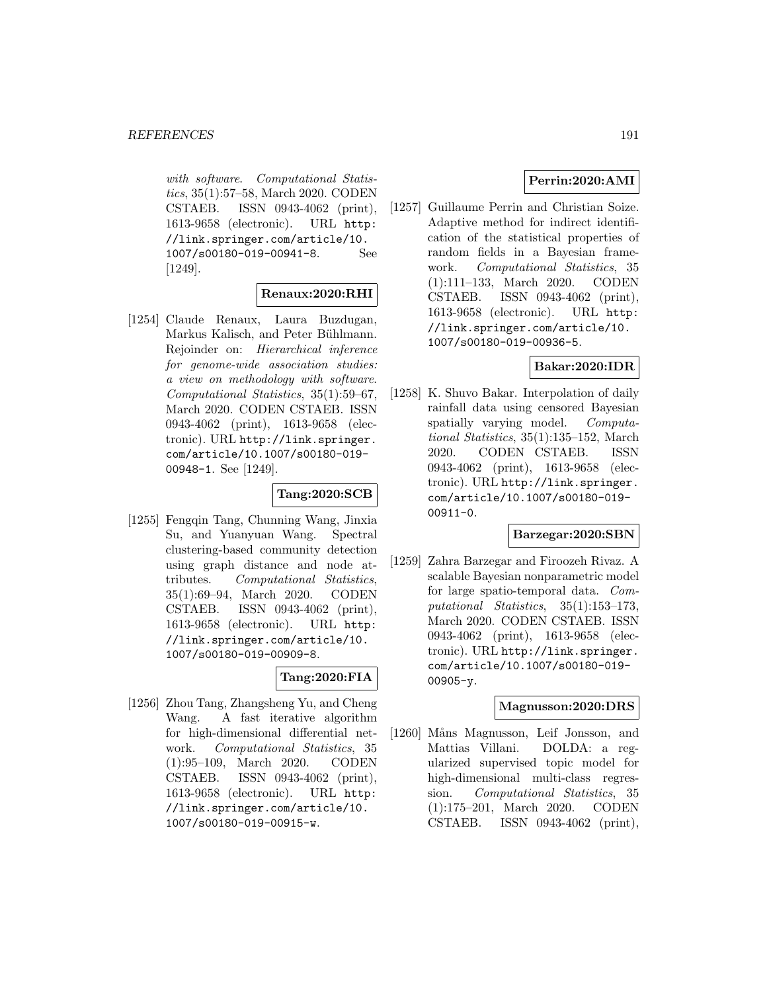with software. Computational Statistics, 35(1):57–58, March 2020. CODEN CSTAEB. ISSN 0943-4062 (print), 1613-9658 (electronic). URL http: //link.springer.com/article/10. 1007/s00180-019-00941-8. See [1249].

## **Renaux:2020:RHI**

[1254] Claude Renaux, Laura Buzdugan, Markus Kalisch, and Peter Bühlmann. Rejoinder on: Hierarchical inference for genome-wide association studies: a view on methodology with software. Computational Statistics, 35(1):59–67, March 2020. CODEN CSTAEB. ISSN 0943-4062 (print), 1613-9658 (electronic). URL http://link.springer. com/article/10.1007/s00180-019- 00948-1. See [1249].

### **Tang:2020:SCB**

[1255] Fengqin Tang, Chunning Wang, Jinxia Su, and Yuanyuan Wang. Spectral clustering-based community detection using graph distance and node attributes. Computational Statistics, 35(1):69–94, March 2020. CODEN CSTAEB. ISSN 0943-4062 (print), 1613-9658 (electronic). URL http: //link.springer.com/article/10. 1007/s00180-019-00909-8.

### **Tang:2020:FIA**

[1256] Zhou Tang, Zhangsheng Yu, and Cheng Wang. A fast iterative algorithm for high-dimensional differential network. Computational Statistics, 35 (1):95–109, March 2020. CODEN CSTAEB. ISSN 0943-4062 (print), 1613-9658 (electronic). URL http: //link.springer.com/article/10. 1007/s00180-019-00915-w.

## **Perrin:2020:AMI**

[1257] Guillaume Perrin and Christian Soize. Adaptive method for indirect identification of the statistical properties of random fields in a Bayesian framework. Computational Statistics, 35 (1):111–133, March 2020. CODEN CSTAEB. ISSN 0943-4062 (print), 1613-9658 (electronic). URL http: //link.springer.com/article/10. 1007/s00180-019-00936-5.

### **Bakar:2020:IDR**

[1258] K. Shuvo Bakar. Interpolation of daily rainfall data using censored Bayesian spatially varying model. Computational Statistics, 35(1):135–152, March 2020. CODEN CSTAEB. ISSN 0943-4062 (print), 1613-9658 (electronic). URL http://link.springer. com/article/10.1007/s00180-019- 00911-0.

#### **Barzegar:2020:SBN**

[1259] Zahra Barzegar and Firoozeh Rivaz. A scalable Bayesian nonparametric model for large spatio-temporal data. Computational Statistics, 35(1):153–173, March 2020. CODEN CSTAEB. ISSN 0943-4062 (print), 1613-9658 (electronic). URL http://link.springer. com/article/10.1007/s00180-019- 00905-y.

#### **Magnusson:2020:DRS**

[1260] Måns Magnusson, Leif Jonsson, and Mattias Villani. DOLDA: a regularized supervised topic model for high-dimensional multi-class regression. Computational Statistics, 35 (1):175–201, March 2020. CODEN CSTAEB. ISSN 0943-4062 (print),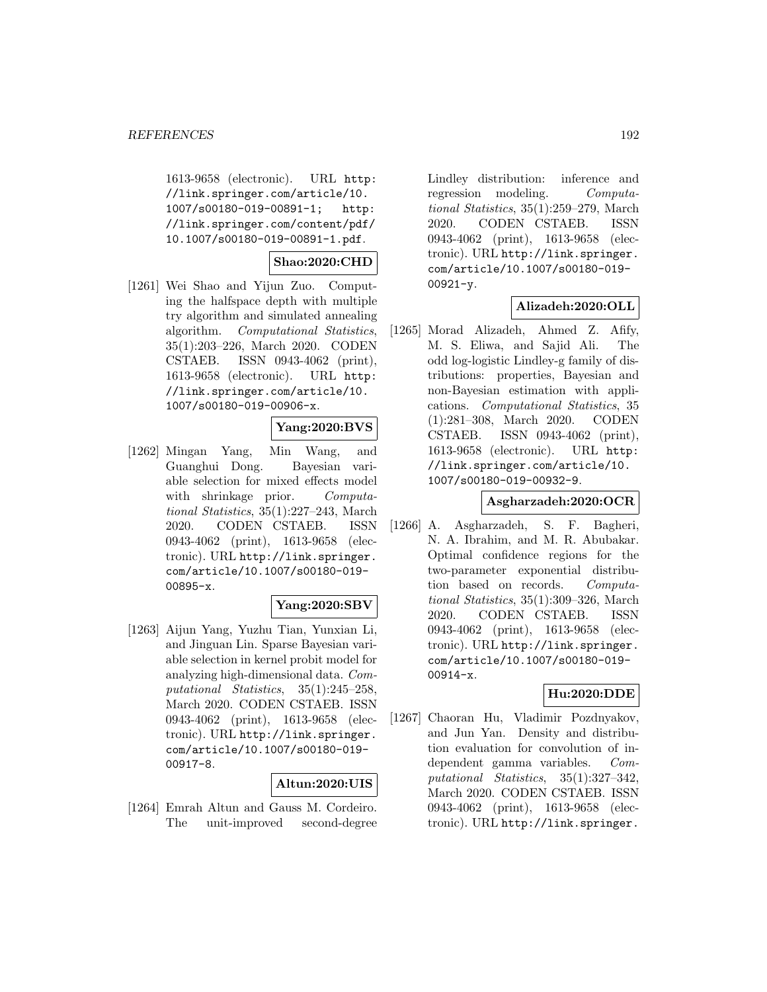1613-9658 (electronic). URL http: //link.springer.com/article/10. 1007/s00180-019-00891-1; http: //link.springer.com/content/pdf/ 10.1007/s00180-019-00891-1.pdf.

**Shao:2020:CHD**

[1261] Wei Shao and Yijun Zuo. Computing the halfspace depth with multiple try algorithm and simulated annealing algorithm. Computational Statistics, 35(1):203–226, March 2020. CODEN CSTAEB. ISSN 0943-4062 (print), 1613-9658 (electronic). URL http: //link.springer.com/article/10. 1007/s00180-019-00906-x.

#### **Yang:2020:BVS**

[1262] Mingan Yang, Min Wang, and Guanghui Dong. Bayesian variable selection for mixed effects model with shrinkage prior. Computational Statistics, 35(1):227–243, March 2020. CODEN CSTAEB. ISSN 0943-4062 (print), 1613-9658 (electronic). URL http://link.springer. com/article/10.1007/s00180-019- 00895-x.

#### **Yang:2020:SBV**

[1263] Aijun Yang, Yuzhu Tian, Yunxian Li, and Jinguan Lin. Sparse Bayesian variable selection in kernel probit model for analyzing high-dimensional data. Computational Statistics, 35(1):245–258, March 2020. CODEN CSTAEB. ISSN 0943-4062 (print), 1613-9658 (electronic). URL http://link.springer. com/article/10.1007/s00180-019- 00917-8.

#### **Altun:2020:UIS**

[1264] Emrah Altun and Gauss M. Cordeiro. The unit-improved second-degree

Lindley distribution: inference and regression modeling. Computational Statistics, 35(1):259–279, March 2020. CODEN CSTAEB. ISSN 0943-4062 (print), 1613-9658 (electronic). URL http://link.springer. com/article/10.1007/s00180-019- 00921-y.

## **Alizadeh:2020:OLL**

[1265] Morad Alizadeh, Ahmed Z. Afify, M. S. Eliwa, and Sajid Ali. The odd log-logistic Lindley-g family of distributions: properties, Bayesian and non-Bayesian estimation with applications. Computational Statistics, 35 (1):281–308, March 2020. CODEN CSTAEB. ISSN 0943-4062 (print), 1613-9658 (electronic). URL http: //link.springer.com/article/10. 1007/s00180-019-00932-9.

### **Asgharzadeh:2020:OCR**

[1266] A. Asgharzadeh, S. F. Bagheri, N. A. Ibrahim, and M. R. Abubakar. Optimal confidence regions for the two-parameter exponential distribution based on records. Computational Statistics, 35(1):309–326, March 2020. CODEN CSTAEB. ISSN 0943-4062 (print), 1613-9658 (electronic). URL http://link.springer. com/article/10.1007/s00180-019- 00914-x.

#### **Hu:2020:DDE**

[1267] Chaoran Hu, Vladimir Pozdnyakov, and Jun Yan. Density and distribution evaluation for convolution of independent gamma variables. Computational Statistics, 35(1):327–342, March 2020. CODEN CSTAEB. ISSN 0943-4062 (print), 1613-9658 (electronic). URL http://link.springer.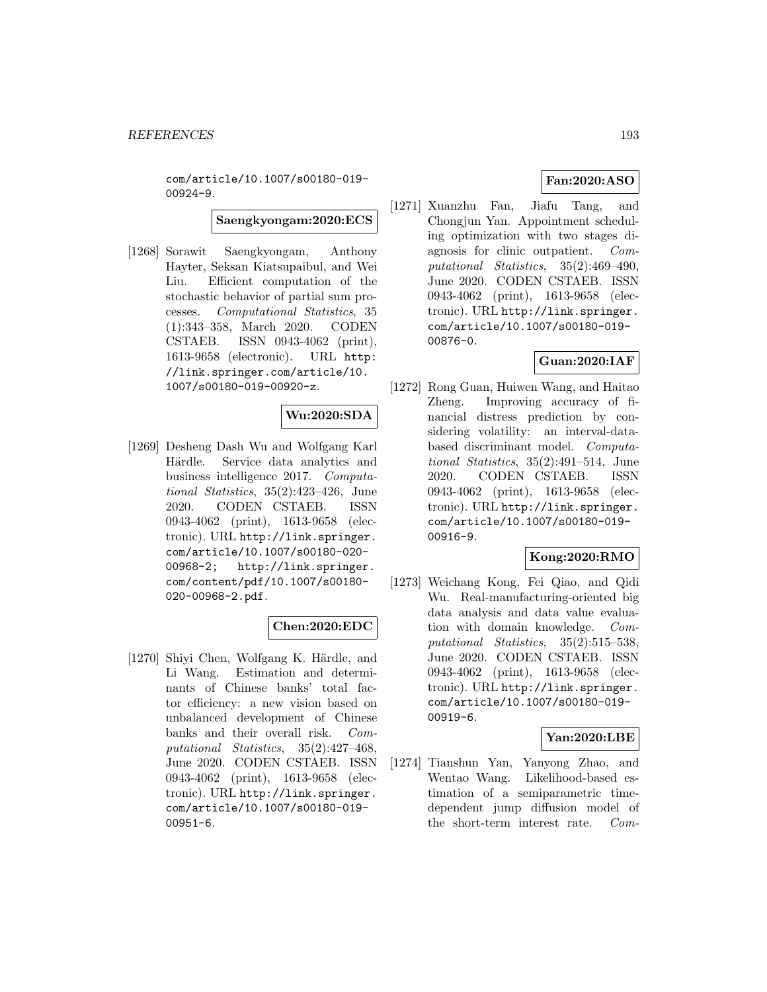com/article/10.1007/s00180-019- 00924-9.

**Saengkyongam:2020:ECS**

[1268] Sorawit Saengkyongam, Anthony Hayter, Seksan Kiatsupaibul, and Wei Liu. Efficient computation of the stochastic behavior of partial sum processes. Computational Statistics, 35 (1):343–358, March 2020. CODEN CSTAEB. ISSN 0943-4062 (print), 1613-9658 (electronic). URL http: //link.springer.com/article/10. 1007/s00180-019-00920-z.

# **Wu:2020:SDA**

[1269] Desheng Dash Wu and Wolfgang Karl Härdle. Service data analytics and business intelligence 2017. Computational Statistics, 35(2):423–426, June 2020. CODEN CSTAEB. ISSN 0943-4062 (print), 1613-9658 (electronic). URL http://link.springer. com/article/10.1007/s00180-020- 00968-2; http://link.springer. com/content/pdf/10.1007/s00180- 020-00968-2.pdf.

#### **Chen:2020:EDC**

[1270] Shiyi Chen, Wolfgang K. Härdle, and Li Wang. Estimation and determinants of Chinese banks' total factor efficiency: a new vision based on unbalanced development of Chinese banks and their overall risk. Computational Statistics, 35(2):427–468, June 2020. CODEN CSTAEB. ISSN 0943-4062 (print), 1613-9658 (electronic). URL http://link.springer. com/article/10.1007/s00180-019- 00951-6.

[1271] Xuanzhu Fan, Jiafu Tang, and Chongjun Yan. Appointment scheduling optimization with two stages diagnosis for clinic outpatient. Computational Statistics, 35(2):469–490, June 2020. CODEN CSTAEB. ISSN 0943-4062 (print), 1613-9658 (electronic). URL http://link.springer. com/article/10.1007/s00180-019- 00876-0.

# **Guan:2020:IAF**

[1272] Rong Guan, Huiwen Wang, and Haitao Zheng. Improving accuracy of financial distress prediction by considering volatility: an interval-databased discriminant model. Computational Statistics, 35(2):491–514, June 2020. CODEN CSTAEB. ISSN 0943-4062 (print), 1613-9658 (electronic). URL http://link.springer. com/article/10.1007/s00180-019- 00916-9.

## **Kong:2020:RMO**

[1273] Weichang Kong, Fei Qiao, and Qidi Wu. Real-manufacturing-oriented big data analysis and data value evaluation with domain knowledge. Computational Statistics, 35(2):515–538, June 2020. CODEN CSTAEB. ISSN 0943-4062 (print), 1613-9658 (electronic). URL http://link.springer. com/article/10.1007/s00180-019- 00919-6.

#### **Yan:2020:LBE**

[1274] Tianshun Yan, Yanyong Zhao, and Wentao Wang. Likelihood-based estimation of a semiparametric timedependent jump diffusion model of the short-term interest rate. Com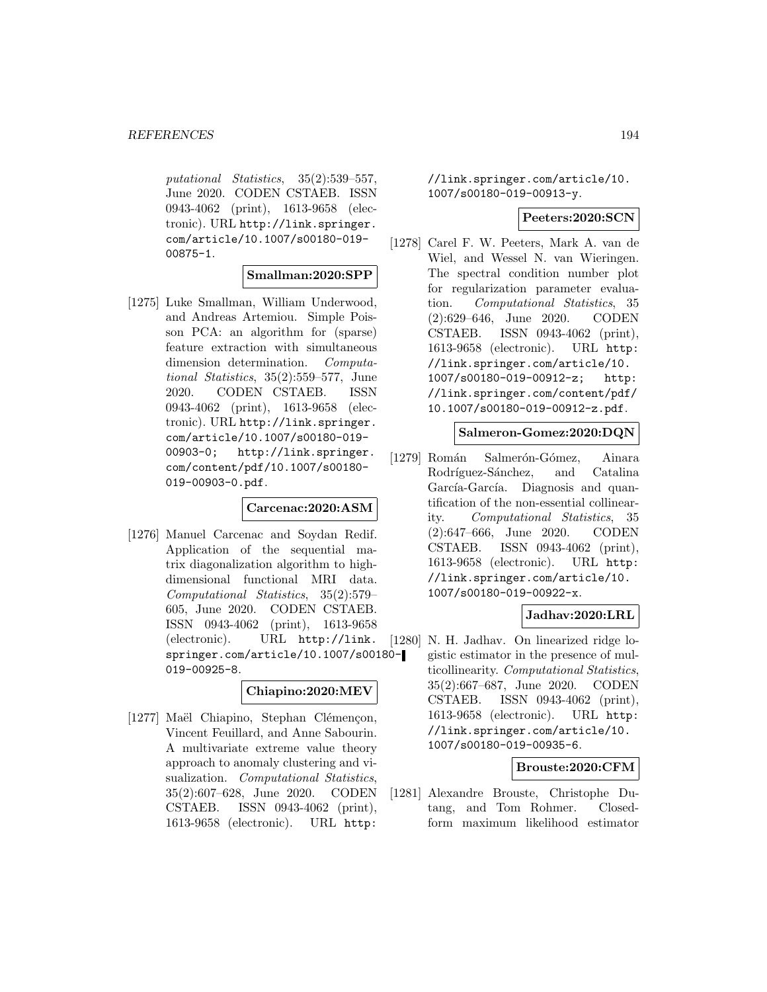putational Statistics, 35(2):539–557, June 2020. CODEN CSTAEB. ISSN 0943-4062 (print), 1613-9658 (electronic). URL http://link.springer. com/article/10.1007/s00180-019- 00875-1.

#### **Smallman:2020:SPP**

[1275] Luke Smallman, William Underwood, and Andreas Artemiou. Simple Poisson PCA: an algorithm for (sparse) feature extraction with simultaneous dimension determination. Computational Statistics, 35(2):559–577, June 2020. CODEN CSTAEB. ISSN 0943-4062 (print), 1613-9658 (electronic). URL http://link.springer. com/article/10.1007/s00180-019- 00903-0; http://link.springer. com/content/pdf/10.1007/s00180- 019-00903-0.pdf.

#### **Carcenac:2020:ASM**

[1276] Manuel Carcenac and Soydan Redif. Application of the sequential matrix diagonalization algorithm to highdimensional functional MRI data. Computational Statistics, 35(2):579– 605, June 2020. CODEN CSTAEB. ISSN 0943-4062 (print), 1613-9658 (electronic). URL http://link. springer.com/article/10.1007/s00180- 019-00925-8.

#### **Chiapino:2020:MEV**

[1277] Maël Chiapino, Stephan Clémençon, Vincent Feuillard, and Anne Sabourin. A multivariate extreme value theory approach to anomaly clustering and visualization. Computational Statistics, 35(2):607–628, June 2020. CODEN CSTAEB. ISSN 0943-4062 (print), 1613-9658 (electronic). URL http:

//link.springer.com/article/10. 1007/s00180-019-00913-y.

#### **Peeters:2020:SCN**

[1278] Carel F. W. Peeters, Mark A. van de Wiel, and Wessel N. van Wieringen. The spectral condition number plot for regularization parameter evaluation. Computational Statistics, 35 (2):629–646, June 2020. CODEN CSTAEB. ISSN 0943-4062 (print), 1613-9658 (electronic). URL http: //link.springer.com/article/10. 1007/s00180-019-00912-z; http: //link.springer.com/content/pdf/ 10.1007/s00180-019-00912-z.pdf.

#### **Salmeron-Gomez:2020:DQN**

[1279] Román Salmerón-Gómez, Ainara Rodríguez-Sánchez, and Catalina García-García. Diagnosis and quantification of the non-essential collinearity. Computational Statistics, 35 (2):647–666, June 2020. CODEN CSTAEB. ISSN 0943-4062 (print), 1613-9658 (electronic). URL http: //link.springer.com/article/10. 1007/s00180-019-00922-x.

#### **Jadhav:2020:LRL**

[1280] N. H. Jadhav. On linearized ridge logistic estimator in the presence of multicollinearity. Computational Statistics, 35(2):667–687, June 2020. CODEN CSTAEB. ISSN 0943-4062 (print), 1613-9658 (electronic). URL http: //link.springer.com/article/10. 1007/s00180-019-00935-6.

#### **Brouste:2020:CFM**

[1281] Alexandre Brouste, Christophe Dutang, and Tom Rohmer. Closedform maximum likelihood estimator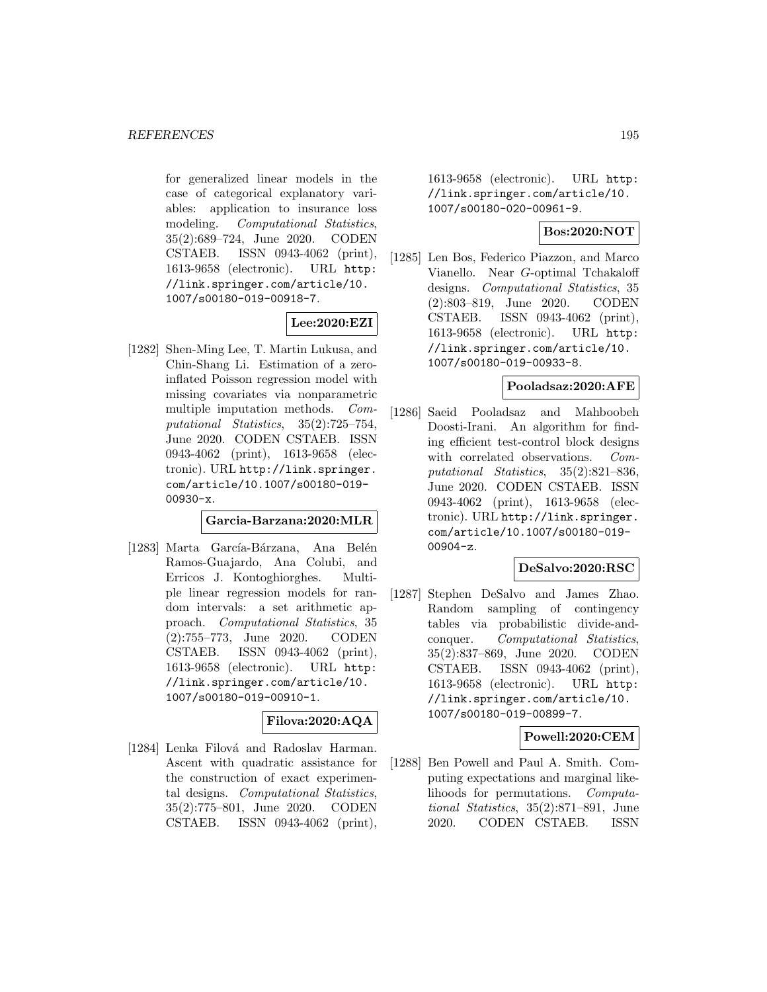for generalized linear models in the case of categorical explanatory variables: application to insurance loss modeling. Computational Statistics, 35(2):689–724, June 2020. CODEN CSTAEB. ISSN 0943-4062 (print), 1613-9658 (electronic). URL http: //link.springer.com/article/10. 1007/s00180-019-00918-7.

## **Lee:2020:EZI**

[1282] Shen-Ming Lee, T. Martin Lukusa, and Chin-Shang Li. Estimation of a zeroinflated Poisson regression model with missing covariates via nonparametric multiple imputation methods. Computational Statistics, 35(2):725–754, June 2020. CODEN CSTAEB. ISSN 0943-4062 (print), 1613-9658 (electronic). URL http://link.springer. com/article/10.1007/s00180-019- 00930-x.

**Garcia-Barzana:2020:MLR**

[1283] Marta García-Bárzana, Ana Belén Ramos-Guajardo, Ana Colubi, and Erricos J. Kontoghiorghes. Multiple linear regression models for random intervals: a set arithmetic approach. Computational Statistics, 35 (2):755–773, June 2020. CODEN CSTAEB. ISSN 0943-4062 (print), 1613-9658 (electronic). URL http: //link.springer.com/article/10. 1007/s00180-019-00910-1.

## **Filova:2020:AQA**

[1284] Lenka Filová and Radoslav Harman. Ascent with quadratic assistance for the construction of exact experimental designs. Computational Statistics, 35(2):775–801, June 2020. CODEN CSTAEB. ISSN 0943-4062 (print), 1613-9658 (electronic). URL http: //link.springer.com/article/10. 1007/s00180-020-00961-9.

### **Bos:2020:NOT**

[1285] Len Bos, Federico Piazzon, and Marco Vianello. Near G-optimal Tchakaloff designs. Computational Statistics, 35 (2):803–819, June 2020. CODEN CSTAEB. ISSN 0943-4062 (print), 1613-9658 (electronic). URL http: //link.springer.com/article/10. 1007/s00180-019-00933-8.

## **Pooladsaz:2020:AFE**

[1286] Saeid Pooladsaz and Mahboobeh Doosti-Irani. An algorithm for finding efficient test-control block designs with correlated observations. Computational Statistics, 35(2):821–836, June 2020. CODEN CSTAEB. ISSN 0943-4062 (print), 1613-9658 (electronic). URL http://link.springer. com/article/10.1007/s00180-019- 00904-z.

#### **DeSalvo:2020:RSC**

[1287] Stephen DeSalvo and James Zhao. Random sampling of contingency tables via probabilistic divide-andconquer. Computational Statistics, 35(2):837–869, June 2020. CODEN CSTAEB. ISSN 0943-4062 (print), 1613-9658 (electronic). URL http: //link.springer.com/article/10. 1007/s00180-019-00899-7.

#### **Powell:2020:CEM**

[1288] Ben Powell and Paul A. Smith. Computing expectations and marginal likelihoods for permutations. Computational Statistics, 35(2):871–891, June 2020. CODEN CSTAEB. ISSN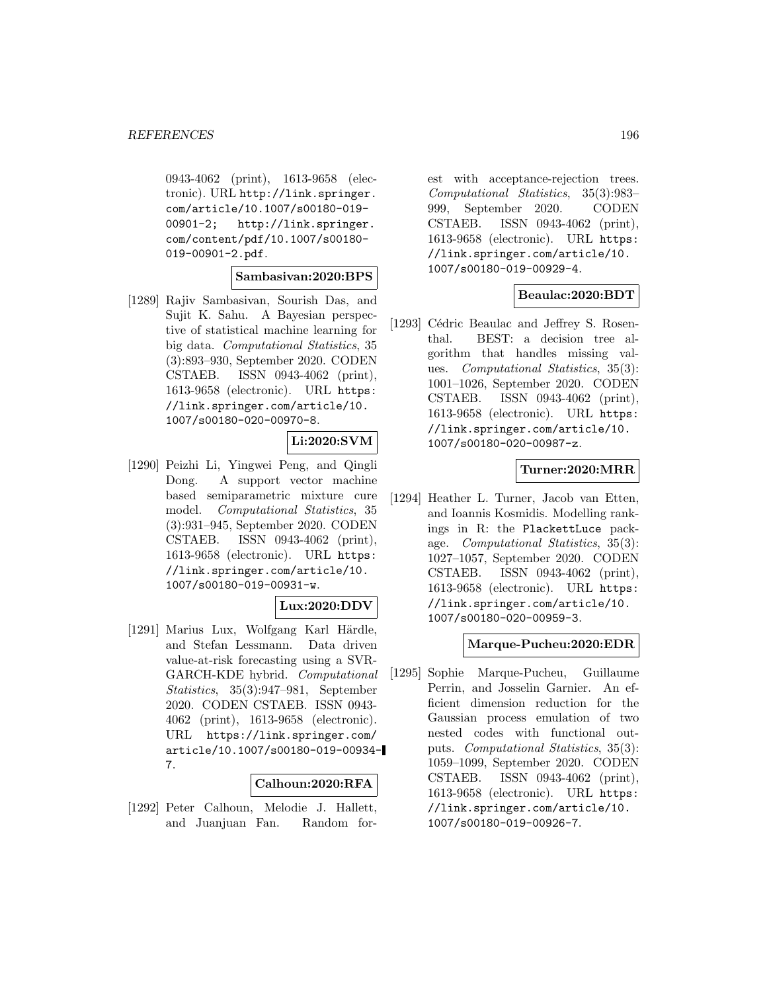0943-4062 (print), 1613-9658 (electronic). URL http://link.springer. com/article/10.1007/s00180-019- 00901-2; http://link.springer. com/content/pdf/10.1007/s00180- 019-00901-2.pdf.

#### **Sambasivan:2020:BPS**

[1289] Rajiv Sambasivan, Sourish Das, and Sujit K. Sahu. A Bayesian perspective of statistical machine learning for big data. Computational Statistics, 35 (3):893–930, September 2020. CODEN CSTAEB. ISSN 0943-4062 (print), 1613-9658 (electronic). URL https: //link.springer.com/article/10. 1007/s00180-020-00970-8.

#### **Li:2020:SVM**

[1290] Peizhi Li, Yingwei Peng, and Qingli Dong. A support vector machine based semiparametric mixture cure model. Computational Statistics, 35 (3):931–945, September 2020. CODEN CSTAEB. ISSN 0943-4062 (print), 1613-9658 (electronic). URL https: //link.springer.com/article/10. 1007/s00180-019-00931-w.

### **Lux:2020:DDV**

[1291] Marius Lux, Wolfgang Karl Härdle, and Stefan Lessmann. Data driven value-at-risk forecasting using a SVR-GARCH-KDE hybrid. Computational Statistics, 35(3):947–981, September 2020. CODEN CSTAEB. ISSN 0943- 4062 (print), 1613-9658 (electronic). URL https://link.springer.com/ article/10.1007/s00180-019-00934- 7.

#### **Calhoun:2020:RFA**

[1292] Peter Calhoun, Melodie J. Hallett, and Juanjuan Fan. Random for-

est with acceptance-rejection trees. Computational Statistics, 35(3):983– 999, September 2020. CODEN CSTAEB. ISSN 0943-4062 (print), 1613-9658 (electronic). URL https: //link.springer.com/article/10. 1007/s00180-019-00929-4.

#### **Beaulac:2020:BDT**

[1293] Cédric Beaulac and Jeffrey S. Rosenthal. BEST: a decision tree algorithm that handles missing values. Computational Statistics, 35(3): 1001–1026, September 2020. CODEN CSTAEB. ISSN 0943-4062 (print), 1613-9658 (electronic). URL https: //link.springer.com/article/10. 1007/s00180-020-00987-z.

### **Turner:2020:MRR**

[1294] Heather L. Turner, Jacob van Etten, and Ioannis Kosmidis. Modelling rankings in R: the PlackettLuce package. Computational Statistics, 35(3): 1027–1057, September 2020. CODEN CSTAEB. ISSN 0943-4062 (print), 1613-9658 (electronic). URL https: //link.springer.com/article/10. 1007/s00180-020-00959-3.

#### **Marque-Pucheu:2020:EDR**

[1295] Sophie Marque-Pucheu, Guillaume Perrin, and Josselin Garnier. An efficient dimension reduction for the Gaussian process emulation of two nested codes with functional outputs. Computational Statistics, 35(3): 1059–1099, September 2020. CODEN CSTAEB. ISSN 0943-4062 (print), 1613-9658 (electronic). URL https: //link.springer.com/article/10. 1007/s00180-019-00926-7.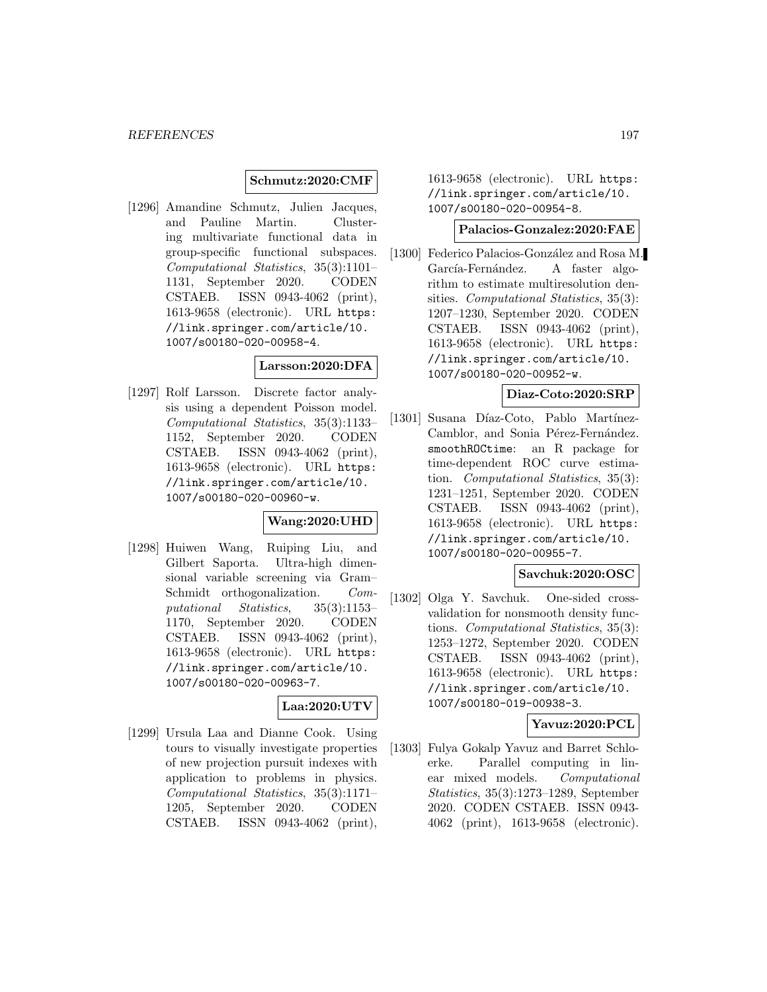### **Schmutz:2020:CMF**

[1296] Amandine Schmutz, Julien Jacques, and Pauline Martin. Clustering multivariate functional data in group-specific functional subspaces. Computational Statistics, 35(3):1101– 1131, September 2020. CODEN CSTAEB. ISSN 0943-4062 (print), 1613-9658 (electronic). URL https: //link.springer.com/article/10. 1007/s00180-020-00958-4.

#### **Larsson:2020:DFA**

[1297] Rolf Larsson. Discrete factor analysis using a dependent Poisson model. Computational Statistics, 35(3):1133– 1152, September 2020. CODEN CSTAEB. ISSN 0943-4062 (print), 1613-9658 (electronic). URL https: //link.springer.com/article/10. 1007/s00180-020-00960-w.

## **Wang:2020:UHD**

[1298] Huiwen Wang, Ruiping Liu, and Gilbert Saporta. Ultra-high dimensional variable screening via Gram– Schmidt orthogonalization. Computational Statistics, 35(3):1153– 1170, September 2020. CODEN CSTAEB. ISSN 0943-4062 (print), 1613-9658 (electronic). URL https: //link.springer.com/article/10. 1007/s00180-020-00963-7.

#### **Laa:2020:UTV**

[1299] Ursula Laa and Dianne Cook. Using tours to visually investigate properties of new projection pursuit indexes with application to problems in physics. Computational Statistics, 35(3):1171– 1205, September 2020. CODEN CSTAEB. ISSN 0943-4062 (print),

1613-9658 (electronic). URL https: //link.springer.com/article/10. 1007/s00180-020-00954-8.

### **Palacios-Gonzalez:2020:FAE**

[1300] Federico Palacios-González and Rosa M. García-Fernández. A faster algorithm to estimate multiresolution densities. Computational Statistics, 35(3): 1207–1230, September 2020. CODEN CSTAEB. ISSN 0943-4062 (print), 1613-9658 (electronic). URL https: //link.springer.com/article/10. 1007/s00180-020-00952-w.

#### **Diaz-Coto:2020:SRP**

[1301] Susana Díaz-Coto, Pablo Martínez-Camblor, and Sonia Pérez-Fernández. smoothROCtime: an R package for time-dependent ROC curve estimation. Computational Statistics, 35(3): 1231–1251, September 2020. CODEN CSTAEB. ISSN 0943-4062 (print), 1613-9658 (electronic). URL https: //link.springer.com/article/10. 1007/s00180-020-00955-7.

#### **Savchuk:2020:OSC**

[1302] Olga Y. Savchuk. One-sided crossvalidation for nonsmooth density functions. Computational Statistics, 35(3): 1253–1272, September 2020. CODEN CSTAEB. ISSN 0943-4062 (print), 1613-9658 (electronic). URL https: //link.springer.com/article/10. 1007/s00180-019-00938-3.

### **Yavuz:2020:PCL**

[1303] Fulya Gokalp Yavuz and Barret Schloerke. Parallel computing in linear mixed models. Computational Statistics, 35(3):1273–1289, September 2020. CODEN CSTAEB. ISSN 0943- 4062 (print), 1613-9658 (electronic).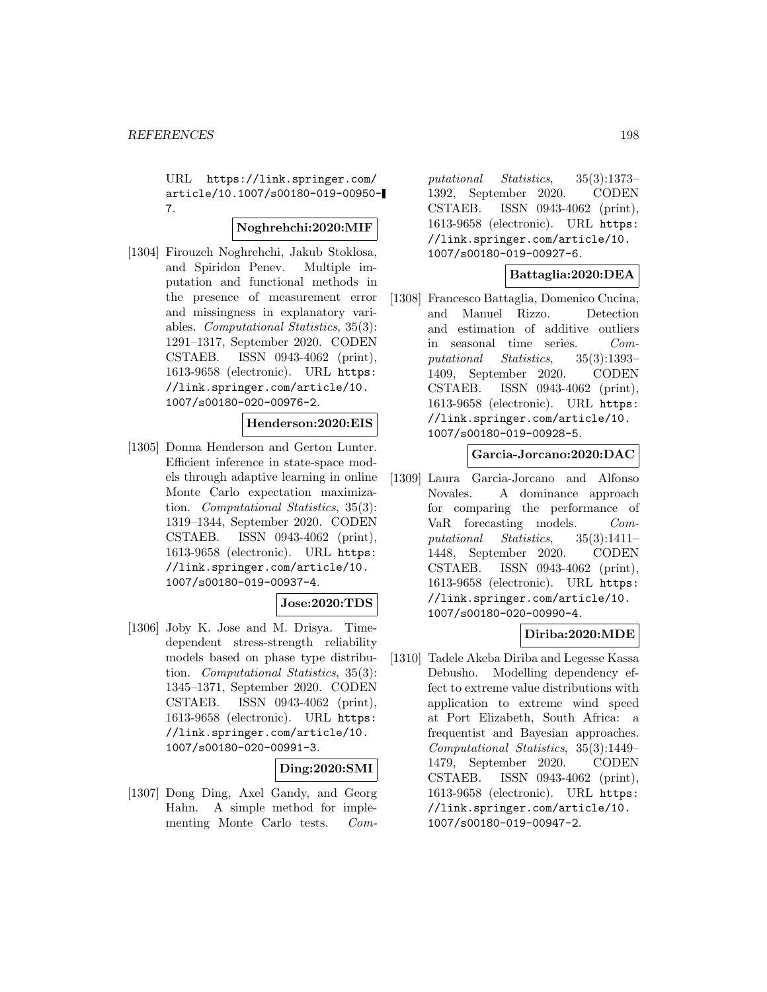URL https://link.springer.com/ article/10.1007/s00180-019-00950- 7.

#### **Noghrehchi:2020:MIF**

[1304] Firouzeh Noghrehchi, Jakub Stoklosa, and Spiridon Penev. Multiple imputation and functional methods in the presence of measurement error and missingness in explanatory variables. Computational Statistics, 35(3): 1291–1317, September 2020. CODEN CSTAEB. ISSN 0943-4062 (print), 1613-9658 (electronic). URL https: //link.springer.com/article/10. 1007/s00180-020-00976-2.

#### **Henderson:2020:EIS**

[1305] Donna Henderson and Gerton Lunter. Efficient inference in state-space models through adaptive learning in online Monte Carlo expectation maximization. Computational Statistics, 35(3): 1319–1344, September 2020. CODEN CSTAEB. ISSN 0943-4062 (print), 1613-9658 (electronic). URL https: //link.springer.com/article/10. 1007/s00180-019-00937-4.

#### **Jose:2020:TDS**

[1306] Joby K. Jose and M. Drisya. Timedependent stress-strength reliability models based on phase type distribution. Computational Statistics, 35(3): 1345–1371, September 2020. CODEN CSTAEB. ISSN 0943-4062 (print), 1613-9658 (electronic). URL https: //link.springer.com/article/10. 1007/s00180-020-00991-3.

#### **Ding:2020:SMI**

[1307] Dong Ding, Axel Gandy, and Georg Hahn. A simple method for implementing Monte Carlo tests. Computational Statistics, 35(3):1373– 1392, September 2020. CODEN CSTAEB. ISSN 0943-4062 (print), 1613-9658 (electronic). URL https: //link.springer.com/article/10. 1007/s00180-019-00927-6.

## **Battaglia:2020:DEA**

[1308] Francesco Battaglia, Domenico Cucina, and Manuel Rizzo. Detection and estimation of additive outliers in seasonal time series. Computational Statistics, 35(3):1393– 1409, September 2020. CODEN CSTAEB. ISSN 0943-4062 (print), 1613-9658 (electronic). URL https: //link.springer.com/article/10. 1007/s00180-019-00928-5.

#### **Garcia-Jorcano:2020:DAC**

[1309] Laura Garcia-Jorcano and Alfonso Novales. A dominance approach for comparing the performance of VaR forecasting models. Computational Statistics, 35(3):1411– 1448, September 2020. CODEN CSTAEB. ISSN 0943-4062 (print), 1613-9658 (electronic). URL https: //link.springer.com/article/10. 1007/s00180-020-00990-4.

## **Diriba:2020:MDE**

[1310] Tadele Akeba Diriba and Legesse Kassa Debusho. Modelling dependency effect to extreme value distributions with application to extreme wind speed at Port Elizabeth, South Africa: a frequentist and Bayesian approaches. Computational Statistics, 35(3):1449– 1479, September 2020. CODEN CSTAEB. ISSN 0943-4062 (print), 1613-9658 (electronic). URL https: //link.springer.com/article/10. 1007/s00180-019-00947-2.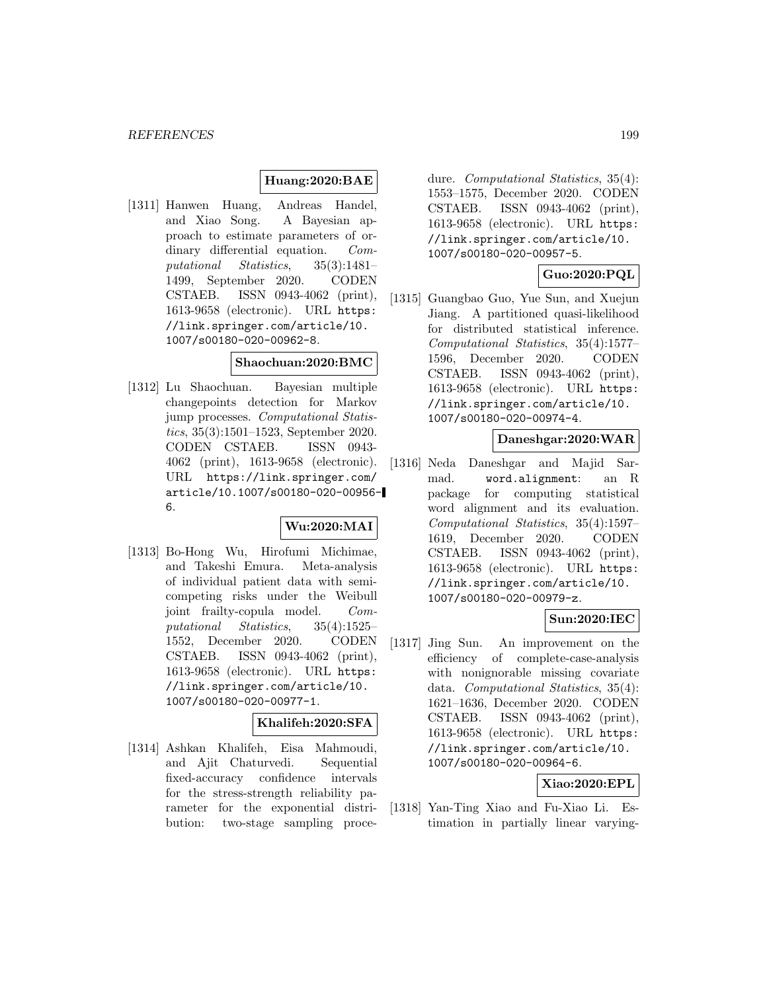#### **Huang:2020:BAE**

[1311] Hanwen Huang, Andreas Handel, and Xiao Song. A Bayesian approach to estimate parameters of ordinary differential equation. Computational Statistics, 35(3):1481– 1499, September 2020. CODEN CSTAEB. ISSN 0943-4062 (print), 1613-9658 (electronic). URL https: //link.springer.com/article/10. 1007/s00180-020-00962-8.

#### **Shaochuan:2020:BMC**

[1312] Lu Shaochuan. Bayesian multiple changepoints detection for Markov jump processes. Computational Statistics, 35(3):1501–1523, September 2020. CODEN CSTAEB. ISSN 0943- 4062 (print), 1613-9658 (electronic). URL https://link.springer.com/ article/10.1007/s00180-020-00956- 6.

#### **Wu:2020:MAI**

[1313] Bo-Hong Wu, Hirofumi Michimae, and Takeshi Emura. Meta-analysis of individual patient data with semicompeting risks under the Weibull joint frailty-copula model. Computational Statistics, 35(4):1525– 1552, December 2020. CODEN CSTAEB. ISSN 0943-4062 (print), 1613-9658 (electronic). URL https: //link.springer.com/article/10. 1007/s00180-020-00977-1.

### **Khalifeh:2020:SFA**

[1314] Ashkan Khalifeh, Eisa Mahmoudi, and Ajit Chaturvedi. Sequential fixed-accuracy confidence intervals for the stress-strength reliability parameter for the exponential distribution: two-stage sampling procedure. Computational Statistics, 35(4): 1553–1575, December 2020. CODEN CSTAEB. ISSN 0943-4062 (print), 1613-9658 (electronic). URL https: //link.springer.com/article/10. 1007/s00180-020-00957-5.

## **Guo:2020:PQL**

[1315] Guangbao Guo, Yue Sun, and Xuejun Jiang. A partitioned quasi-likelihood for distributed statistical inference. Computational Statistics, 35(4):1577– 1596, December 2020. CODEN CSTAEB. ISSN 0943-4062 (print), 1613-9658 (electronic). URL https: //link.springer.com/article/10. 1007/s00180-020-00974-4.

#### **Daneshgar:2020:WAR**

[1316] Neda Daneshgar and Majid Sarmad. word.alignment: an R package for computing statistical word alignment and its evaluation. Computational Statistics, 35(4):1597– 1619, December 2020. CODEN CSTAEB. ISSN 0943-4062 (print), 1613-9658 (electronic). URL https: //link.springer.com/article/10. 1007/s00180-020-00979-z.

## **Sun:2020:IEC**

[1317] Jing Sun. An improvement on the efficiency of complete-case-analysis with nonignorable missing covariate data. Computational Statistics, 35(4): 1621–1636, December 2020. CODEN CSTAEB. ISSN 0943-4062 (print), 1613-9658 (electronic). URL https: //link.springer.com/article/10. 1007/s00180-020-00964-6.

### **Xiao:2020:EPL**

[1318] Yan-Ting Xiao and Fu-Xiao Li. Estimation in partially linear varying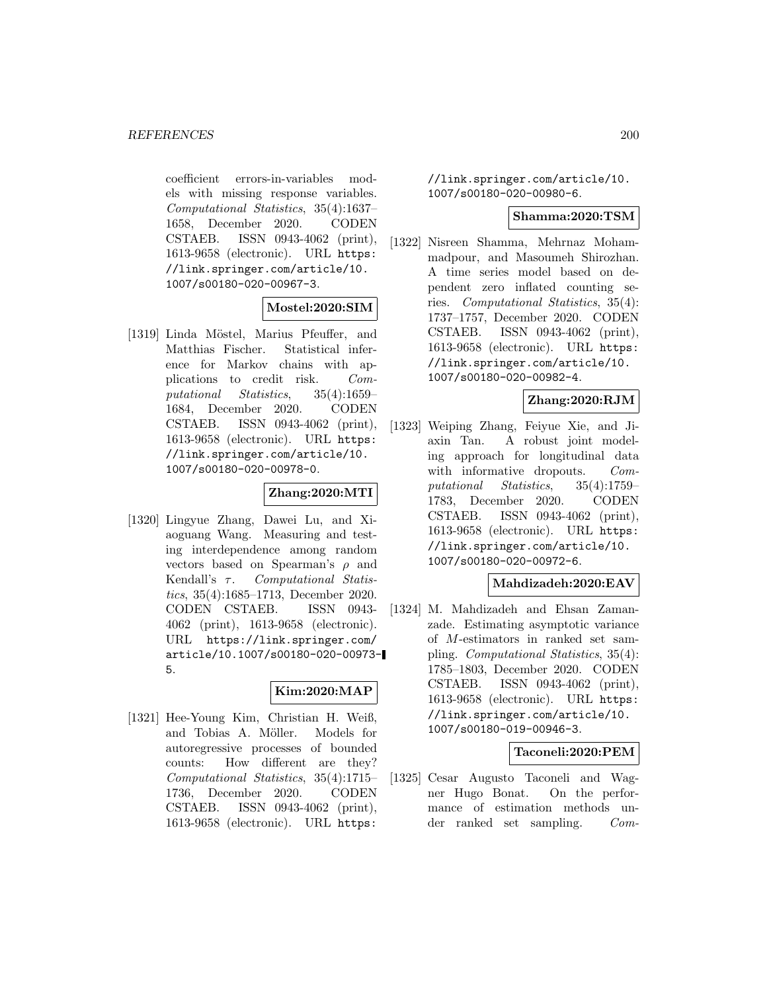coefficient errors-in-variables models with missing response variables. Computational Statistics, 35(4):1637– 1658, December 2020. CODEN CSTAEB. ISSN 0943-4062 (print), 1613-9658 (electronic). URL https: //link.springer.com/article/10. 1007/s00180-020-00967-3.

#### **Mostel:2020:SIM**

[1319] Linda Möstel, Marius Pfeuffer, and Matthias Fischer. Statistical inference for Markov chains with applications to credit risk. Computational Statistics, 35(4):1659– 1684, December 2020. CODEN CSTAEB. ISSN 0943-4062 (print), 1613-9658 (electronic). URL https: //link.springer.com/article/10. 1007/s00180-020-00978-0.

### **Zhang:2020:MTI**

[1320] Lingyue Zhang, Dawei Lu, and Xiaoguang Wang. Measuring and testing interdependence among random vectors based on Spearman's  $\rho$  and Kendall's  $\tau$ . Computational Statistics, 35(4):1685–1713, December 2020. CODEN CSTAEB. ISSN 0943- 4062 (print), 1613-9658 (electronic). URL https://link.springer.com/ article/10.1007/s00180-020-00973- 5.

#### **Kim:2020:MAP**

[1321] Hee-Young Kim, Christian H. Weiß, and Tobias A. Möller. Models for autoregressive processes of bounded counts: How different are they? Computational Statistics, 35(4):1715– 1736, December 2020. CODEN CSTAEB. ISSN 0943-4062 (print), 1613-9658 (electronic). URL https:

//link.springer.com/article/10. 1007/s00180-020-00980-6.

#### **Shamma:2020:TSM**

[1322] Nisreen Shamma, Mehrnaz Mohammadpour, and Masoumeh Shirozhan. A time series model based on dependent zero inflated counting series. Computational Statistics, 35(4): 1737–1757, December 2020. CODEN CSTAEB. ISSN 0943-4062 (print), 1613-9658 (electronic). URL https: //link.springer.com/article/10. 1007/s00180-020-00982-4.

#### **Zhang:2020:RJM**

[1323] Weiping Zhang, Feiyue Xie, and Jiaxin Tan. A robust joint modeling approach for longitudinal data with informative dropouts. Computational Statistics, 35(4):1759– 1783, December 2020. CODEN CSTAEB. ISSN 0943-4062 (print), 1613-9658 (electronic). URL https: //link.springer.com/article/10. 1007/s00180-020-00972-6.

#### **Mahdizadeh:2020:EAV**

[1324] M. Mahdizadeh and Ehsan Zamanzade. Estimating asymptotic variance of M-estimators in ranked set sampling. Computational Statistics, 35(4): 1785–1803, December 2020. CODEN CSTAEB. ISSN 0943-4062 (print), 1613-9658 (electronic). URL https: //link.springer.com/article/10. 1007/s00180-019-00946-3.

### **Taconeli:2020:PEM**

[1325] Cesar Augusto Taconeli and Wagner Hugo Bonat. On the performance of estimation methods under ranked set sampling. Com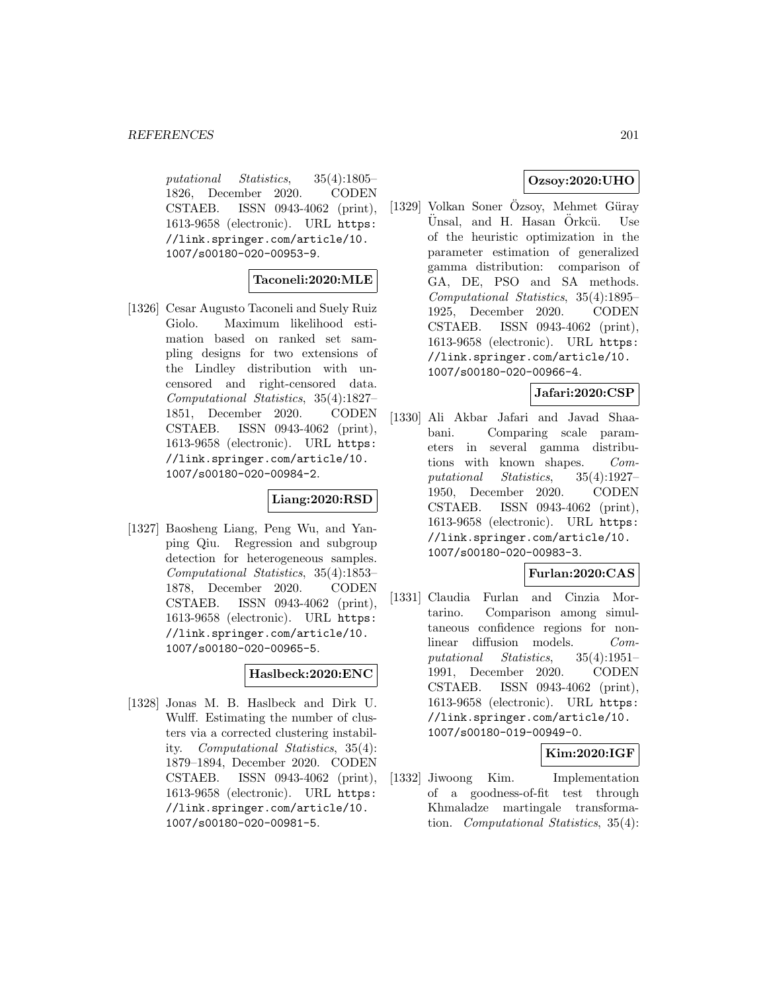putational Statistics, 35(4):1805– 1826, December 2020. CODEN CSTAEB. ISSN 0943-4062 (print), 1613-9658 (electronic). URL https: //link.springer.com/article/10. 1007/s00180-020-00953-9.

#### **Taconeli:2020:MLE**

[1326] Cesar Augusto Taconeli and Suely Ruiz Giolo. Maximum likelihood estimation based on ranked set sampling designs for two extensions of the Lindley distribution with uncensored and right-censored data. Computational Statistics, 35(4):1827– 1851, December 2020. CODEN CSTAEB. ISSN 0943-4062 (print), 1613-9658 (electronic). URL https: //link.springer.com/article/10. 1007/s00180-020-00984-2.

### **Liang:2020:RSD**

[1327] Baosheng Liang, Peng Wu, and Yanping Qiu. Regression and subgroup detection for heterogeneous samples. Computational Statistics, 35(4):1853– 1878, December 2020. CODEN CSTAEB. ISSN 0943-4062 (print), 1613-9658 (electronic). URL https: //link.springer.com/article/10. 1007/s00180-020-00965-5.

### **Haslbeck:2020:ENC**

[1328] Jonas M. B. Haslbeck and Dirk U. Wulff. Estimating the number of clusters via a corrected clustering instability. Computational Statistics, 35(4): 1879–1894, December 2020. CODEN CSTAEB. ISSN 0943-4062 (print), 1613-9658 (electronic). URL https: //link.springer.com/article/10. 1007/s00180-020-00981-5.

## **Ozsoy:2020:UHO**

 $[1329]$  Volkan Soner Özsoy, Mehmet Güray Ünsal, and H. Hasan Örkcü. Use of the heuristic optimization in the parameter estimation of generalized gamma distribution: comparison of GA, DE, PSO and SA methods. Computational Statistics, 35(4):1895– 1925, December 2020. CODEN CSTAEB. ISSN 0943-4062 (print), 1613-9658 (electronic). URL https: //link.springer.com/article/10. 1007/s00180-020-00966-4.

### **Jafari:2020:CSP**

[1330] Ali Akbar Jafari and Javad Shaabani. Comparing scale parameters in several gamma distributions with known shapes. Computational Statistics, 35(4):1927– 1950, December 2020. CODEN CSTAEB. ISSN 0943-4062 (print), 1613-9658 (electronic). URL https: //link.springer.com/article/10. 1007/s00180-020-00983-3.

## **Furlan:2020:CAS**

[1331] Claudia Furlan and Cinzia Mortarino. Comparison among simultaneous confidence regions for nonlinear diffusion models. Computational Statistics, 35(4):1951– 1991, December 2020. CODEN CSTAEB. ISSN 0943-4062 (print), 1613-9658 (electronic). URL https: //link.springer.com/article/10. 1007/s00180-019-00949-0.

#### **Kim:2020:IGF**

[1332] Jiwoong Kim. Implementation of a goodness-of-fit test through Khmaladze martingale transformation. Computational Statistics, 35(4):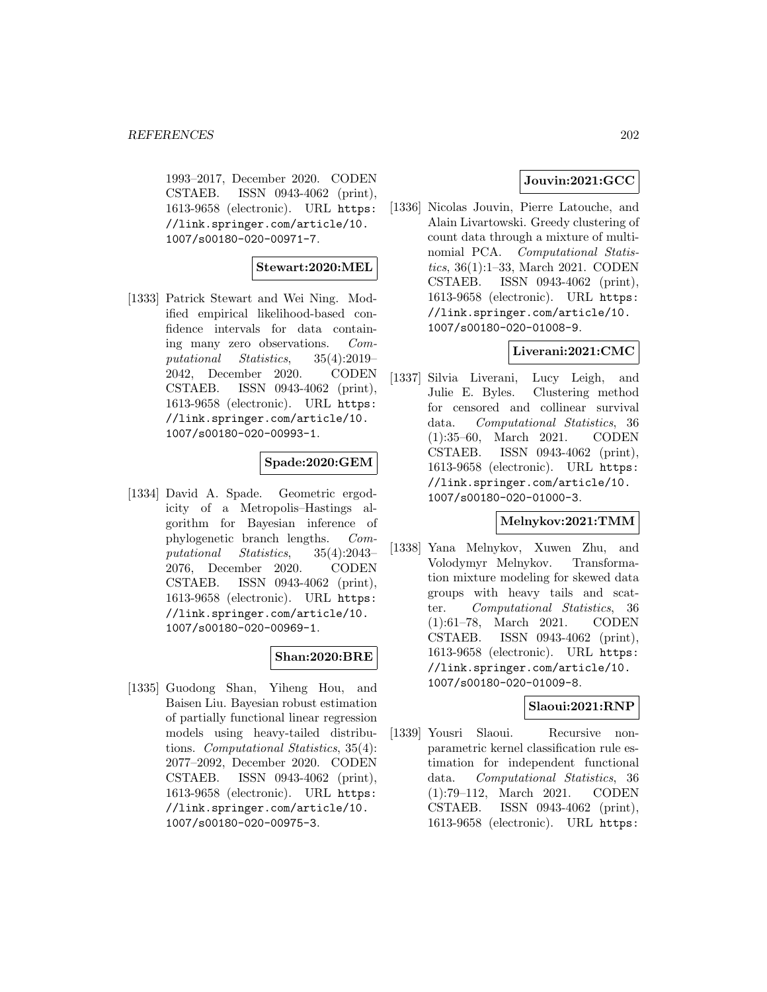1993–2017, December 2020. CODEN CSTAEB. ISSN 0943-4062 (print), 1613-9658 (electronic). URL https: //link.springer.com/article/10. 1007/s00180-020-00971-7.

#### **Stewart:2020:MEL**

[1333] Patrick Stewart and Wei Ning. Modified empirical likelihood-based confidence intervals for data containing many zero observations. Computational Statistics, 35(4):2019– 2042, December 2020. CODEN CSTAEB. ISSN 0943-4062 (print), 1613-9658 (electronic). URL https: //link.springer.com/article/10. 1007/s00180-020-00993-1.

### **Spade:2020:GEM**

[1334] David A. Spade. Geometric ergodicity of a Metropolis–Hastings algorithm for Bayesian inference of phylogenetic branch lengths. Computational Statistics, 35(4):2043– 2076, December 2020. CODEN CSTAEB. ISSN 0943-4062 (print), 1613-9658 (electronic). URL https: //link.springer.com/article/10. 1007/s00180-020-00969-1.

#### **Shan:2020:BRE**

[1335] Guodong Shan, Yiheng Hou, and Baisen Liu. Bayesian robust estimation of partially functional linear regression models using heavy-tailed distributions. Computational Statistics, 35(4): 2077–2092, December 2020. CODEN CSTAEB. ISSN 0943-4062 (print), 1613-9658 (electronic). URL https: //link.springer.com/article/10. 1007/s00180-020-00975-3.

## **Jouvin:2021:GCC**

[1336] Nicolas Jouvin, Pierre Latouche, and Alain Livartowski. Greedy clustering of count data through a mixture of multinomial PCA. Computational Statistics, 36(1):1–33, March 2021. CODEN CSTAEB. ISSN 0943-4062 (print), 1613-9658 (electronic). URL https: //link.springer.com/article/10. 1007/s00180-020-01008-9.

## **Liverani:2021:CMC**

[1337] Silvia Liverani, Lucy Leigh, and Julie E. Byles. Clustering method for censored and collinear survival data. Computational Statistics, 36 (1):35–60, March 2021. CODEN CSTAEB. ISSN 0943-4062 (print), 1613-9658 (electronic). URL https: //link.springer.com/article/10. 1007/s00180-020-01000-3.

#### **Melnykov:2021:TMM**

[1338] Yana Melnykov, Xuwen Zhu, and Volodymyr Melnykov. Transformation mixture modeling for skewed data groups with heavy tails and scatter. Computational Statistics, 36 (1):61–78, March 2021. CODEN CSTAEB. ISSN 0943-4062 (print), 1613-9658 (electronic). URL https: //link.springer.com/article/10. 1007/s00180-020-01009-8.

## **Slaoui:2021:RNP**

[1339] Yousri Slaoui. Recursive nonparametric kernel classification rule estimation for independent functional data. Computational Statistics, 36 (1):79–112, March 2021. CODEN CSTAEB. ISSN 0943-4062 (print), 1613-9658 (electronic). URL https: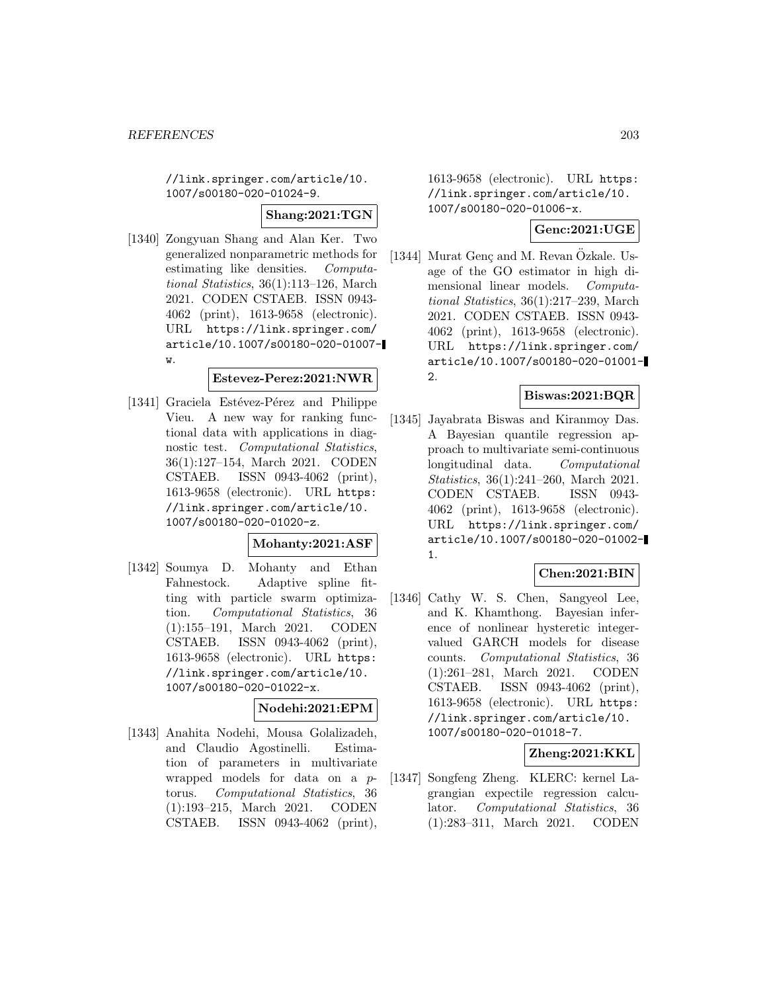//link.springer.com/article/10. 1007/s00180-020-01024-9.

**Shang:2021:TGN**

[1340] Zongyuan Shang and Alan Ker. Two generalized nonparametric methods for estimating like densities. Computational Statistics, 36(1):113–126, March 2021. CODEN CSTAEB. ISSN 0943- 4062 (print), 1613-9658 (electronic). URL https://link.springer.com/ article/10.1007/s00180-020-01007 w.

#### **Estevez-Perez:2021:NWR**

[1341] Graciela Estévez-Pérez and Philippe Vieu. A new way for ranking functional data with applications in diagnostic test. Computational Statistics, 36(1):127–154, March 2021. CODEN CSTAEB. ISSN 0943-4062 (print), 1613-9658 (electronic). URL https: //link.springer.com/article/10. 1007/s00180-020-01020-z.

#### **Mohanty:2021:ASF**

[1342] Soumya D. Mohanty and Ethan Fahnestock. Adaptive spline fitting with particle swarm optimization. Computational Statistics, 36 (1):155–191, March 2021. CODEN CSTAEB. ISSN 0943-4062 (print), 1613-9658 (electronic). URL https: //link.springer.com/article/10. 1007/s00180-020-01022-x.

#### **Nodehi:2021:EPM**

[1343] Anahita Nodehi, Mousa Golalizadeh, and Claudio Agostinelli. Estimation of parameters in multivariate wrapped models for data on a ptorus. Computational Statistics, 36 (1):193–215, March 2021. CODEN CSTAEB. ISSN 0943-4062 (print), 1613-9658 (electronic). URL https: //link.springer.com/article/10. 1007/s00180-020-01006-x.

## **Genc:2021:UGE**

[1344] Murat Genç and M. Revan Ozkale. Usage of the GO estimator in high dimensional linear models. Computational Statistics, 36(1):217–239, March 2021. CODEN CSTAEB. ISSN 0943- 4062 (print), 1613-9658 (electronic). URL https://link.springer.com/ article/10.1007/s00180-020-01001- 2.

## **Biswas:2021:BQR**

[1345] Jayabrata Biswas and Kiranmoy Das. A Bayesian quantile regression approach to multivariate semi-continuous longitudinal data. Computational Statistics, 36(1):241–260, March 2021. CODEN CSTAEB. ISSN 0943- 4062 (print), 1613-9658 (electronic). URL https://link.springer.com/ article/10.1007/s00180-020-01002- 1.

# **Chen:2021:BIN**

[1346] Cathy W. S. Chen, Sangyeol Lee, and K. Khamthong. Bayesian inference of nonlinear hysteretic integervalued GARCH models for disease counts. Computational Statistics, 36 (1):261–281, March 2021. CODEN CSTAEB. ISSN 0943-4062 (print), 1613-9658 (electronic). URL https: //link.springer.com/article/10. 1007/s00180-020-01018-7.

## **Zheng:2021:KKL**

[1347] Songfeng Zheng. KLERC: kernel Lagrangian expectile regression calculator. Computational Statistics, 36 (1):283–311, March 2021. CODEN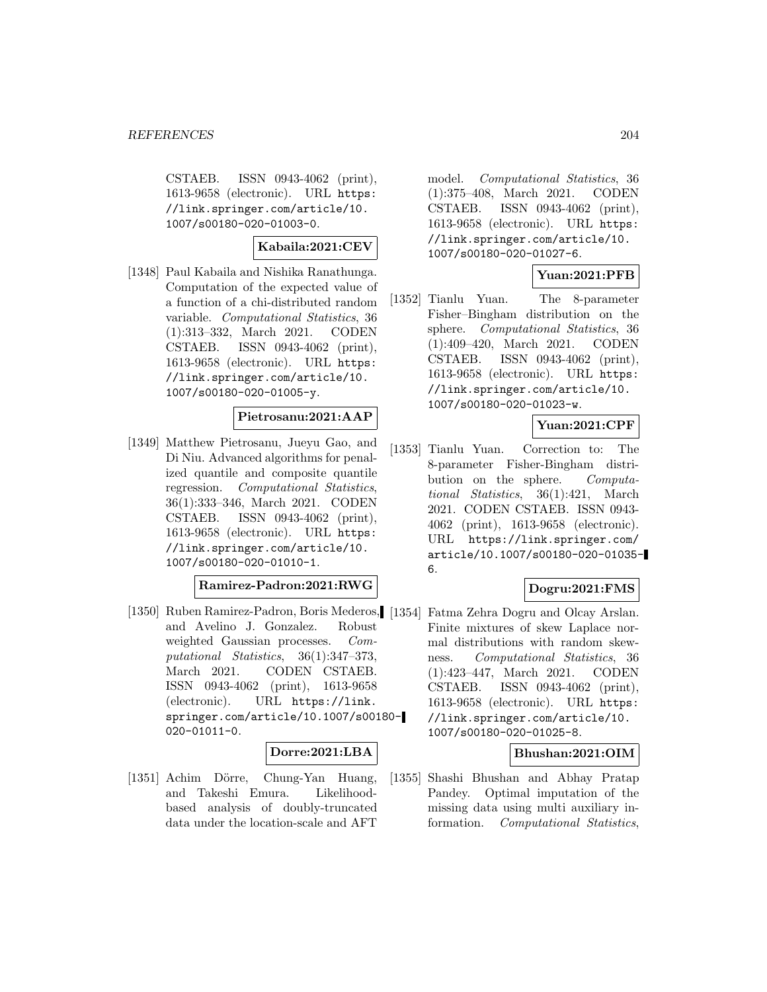CSTAEB. ISSN 0943-4062 (print), 1613-9658 (electronic). URL https: //link.springer.com/article/10. 1007/s00180-020-01003-0.

#### **Kabaila:2021:CEV**

[1348] Paul Kabaila and Nishika Ranathunga. Computation of the expected value of a function of a chi-distributed random variable. Computational Statistics, 36 (1):313–332, March 2021. CODEN CSTAEB. ISSN 0943-4062 (print), 1613-9658 (electronic). URL https: //link.springer.com/article/10. 1007/s00180-020-01005-y.

## **Pietrosanu:2021:AAP**

[1349] Matthew Pietrosanu, Jueyu Gao, and Di Niu. Advanced algorithms for penalized quantile and composite quantile regression. Computational Statistics, 36(1):333–346, March 2021. CODEN CSTAEB. ISSN 0943-4062 (print), 1613-9658 (electronic). URL https: //link.springer.com/article/10. 1007/s00180-020-01010-1.

#### **Ramirez-Padron:2021:RWG**

[1350] Ruben Ramirez-Padron, Boris Mederos, [1354] and Avelino J. Gonzalez. Robust weighted Gaussian processes. Computational Statistics, 36(1):347–373, March 2021. CODEN CSTAEB. ISSN 0943-4062 (print), 1613-9658 (electronic). URL https://link. springer.com/article/10.1007/s00180- 020-01011-0.

#### **Dorre:2021:LBA**

[1351] Achim Dörre, Chung-Yan Huang, and Takeshi Emura. Likelihoodbased analysis of doubly-truncated data under the location-scale and AFT model. Computational Statistics, 36 (1):375–408, March 2021. CODEN CSTAEB. ISSN 0943-4062 (print), 1613-9658 (electronic). URL https: //link.springer.com/article/10. 1007/s00180-020-01027-6.

## **Yuan:2021:PFB**

[1352] Tianlu Yuan. The 8-parameter Fisher–Bingham distribution on the sphere. Computational Statistics, 36 (1):409–420, March 2021. CODEN CSTAEB. ISSN 0943-4062 (print), 1613-9658 (electronic). URL https: //link.springer.com/article/10. 1007/s00180-020-01023-w.

### **Yuan:2021:CPF**

[1353] Tianlu Yuan. Correction to: The 8-parameter Fisher-Bingham distribution on the sphere. Computational Statistics, 36(1):421, March 2021. CODEN CSTAEB. ISSN 0943- 4062 (print), 1613-9658 (electronic). URL https://link.springer.com/ article/10.1007/s00180-020-01035- 6.

#### **Dogru:2021:FMS**

Fatma Zehra Dogru and Olcay Arslan. Finite mixtures of skew Laplace normal distributions with random skewness. Computational Statistics, 36 (1):423–447, March 2021. CODEN CSTAEB. ISSN 0943-4062 (print), 1613-9658 (electronic). URL https: //link.springer.com/article/10. 1007/s00180-020-01025-8.

#### **Bhushan:2021:OIM**

[1355] Shashi Bhushan and Abhay Pratap Pandey. Optimal imputation of the missing data using multi auxiliary information. Computational Statistics,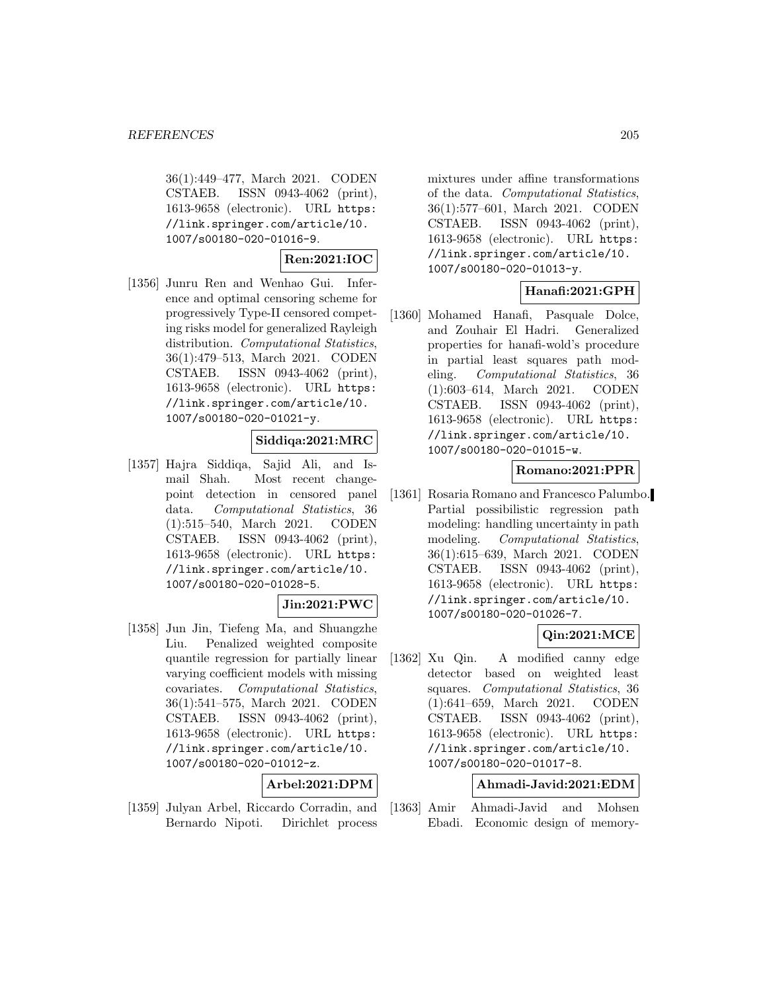36(1):449–477, March 2021. CODEN CSTAEB. ISSN 0943-4062 (print), 1613-9658 (electronic). URL https: //link.springer.com/article/10. 1007/s00180-020-01016-9.

### **Ren:2021:IOC**

[1356] Junru Ren and Wenhao Gui. Inference and optimal censoring scheme for progressively Type-II censored competing risks model for generalized Rayleigh distribution. Computational Statistics, 36(1):479–513, March 2021. CODEN CSTAEB. ISSN 0943-4062 (print), 1613-9658 (electronic). URL https: //link.springer.com/article/10. 1007/s00180-020-01021-y.

### **Siddiqa:2021:MRC**

[1357] Hajra Siddiqa, Sajid Ali, and Ismail Shah. Most recent changepoint detection in censored panel data. Computational Statistics, 36 (1):515–540, March 2021. CODEN CSTAEB. ISSN 0943-4062 (print), 1613-9658 (electronic). URL https: //link.springer.com/article/10. 1007/s00180-020-01028-5.

#### **Jin:2021:PWC**

[1358] Jun Jin, Tiefeng Ma, and Shuangzhe Liu. Penalized weighted composite quantile regression for partially linear varying coefficient models with missing covariates. Computational Statistics, 36(1):541–575, March 2021. CODEN CSTAEB. ISSN 0943-4062 (print), 1613-9658 (electronic). URL https: //link.springer.com/article/10. 1007/s00180-020-01012-z.

#### **Arbel:2021:DPM**

[1359] Julyan Arbel, Riccardo Corradin, and Bernardo Nipoti. Dirichlet process

mixtures under affine transformations of the data. Computational Statistics, 36(1):577–601, March 2021. CODEN CSTAEB. ISSN 0943-4062 (print), 1613-9658 (electronic). URL https: //link.springer.com/article/10. 1007/s00180-020-01013-y.

### **Hanafi:2021:GPH**

[1360] Mohamed Hanafi, Pasquale Dolce, and Zouhair El Hadri. Generalized properties for hanafi-wold's procedure in partial least squares path modeling. Computational Statistics, 36 (1):603–614, March 2021. CODEN CSTAEB. ISSN 0943-4062 (print), 1613-9658 (electronic). URL https: //link.springer.com/article/10. 1007/s00180-020-01015-w.

### **Romano:2021:PPR**

[1361] Rosaria Romano and Francesco Palumbo. Partial possibilistic regression path modeling: handling uncertainty in path modeling. Computational Statistics, 36(1):615–639, March 2021. CODEN CSTAEB. ISSN 0943-4062 (print), 1613-9658 (electronic). URL https: //link.springer.com/article/10. 1007/s00180-020-01026-7.

## **Qin:2021:MCE**

[1362] Xu Qin. A modified canny edge detector based on weighted least squares. Computational Statistics, 36 (1):641–659, March 2021. CODEN CSTAEB. ISSN 0943-4062 (print), 1613-9658 (electronic). URL https: //link.springer.com/article/10. 1007/s00180-020-01017-8.

#### **Ahmadi-Javid:2021:EDM**

[1363] Amir Ahmadi-Javid and Mohsen Ebadi. Economic design of memory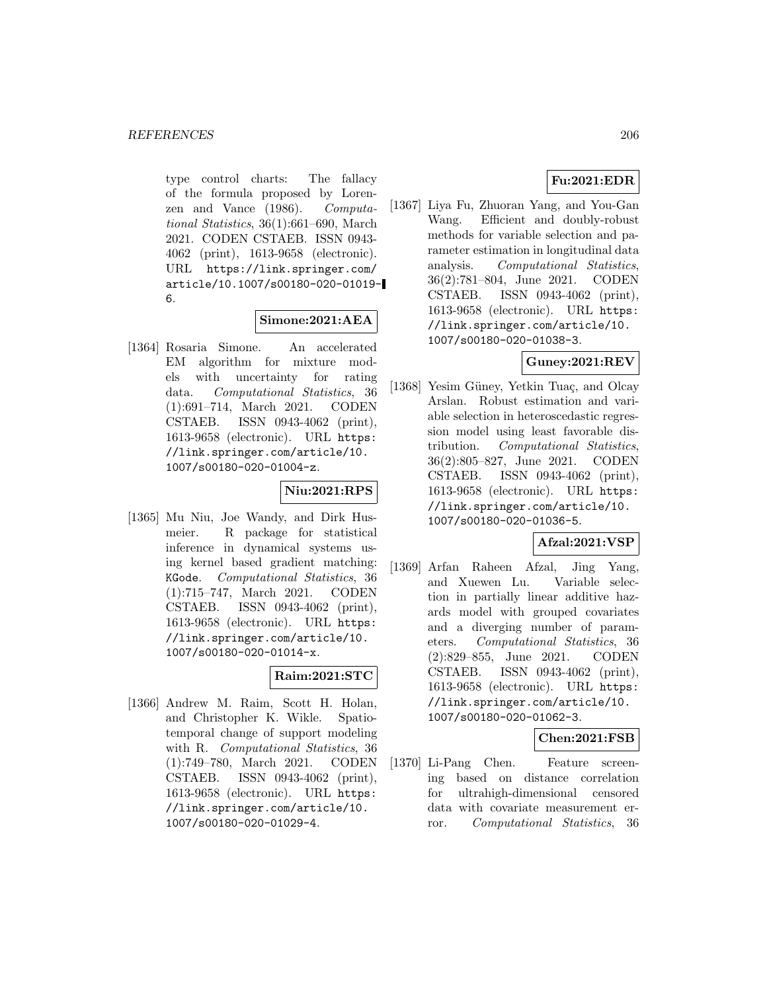type control charts: The fallacy of the formula proposed by Lorenzen and Vance (1986). Computational Statistics, 36(1):661–690, March 2021. CODEN CSTAEB. ISSN 0943- 4062 (print), 1613-9658 (electronic). URL https://link.springer.com/ article/10.1007/s00180-020-01019- 6.

#### **Simone:2021:AEA**

[1364] Rosaria Simone. An accelerated EM algorithm for mixture models with uncertainty for rating data. Computational Statistics, 36 (1):691–714, March 2021. CODEN CSTAEB. ISSN 0943-4062 (print), 1613-9658 (electronic). URL https: //link.springer.com/article/10. 1007/s00180-020-01004-z.

## **Niu:2021:RPS**

[1365] Mu Niu, Joe Wandy, and Dirk Husmeier. R package for statistical inference in dynamical systems using kernel based gradient matching: KGode. Computational Statistics, 36 (1):715–747, March 2021. CODEN CSTAEB. ISSN 0943-4062 (print), 1613-9658 (electronic). URL https: //link.springer.com/article/10. 1007/s00180-020-01014-x.

## **Raim:2021:STC**

[1366] Andrew M. Raim, Scott H. Holan, and Christopher K. Wikle. Spatiotemporal change of support modeling with R. Computational Statistics, 36 (1):749–780, March 2021. CODEN CSTAEB. ISSN 0943-4062 (print), 1613-9658 (electronic). URL https: //link.springer.com/article/10. 1007/s00180-020-01029-4.

## **Fu:2021:EDR**

[1367] Liya Fu, Zhuoran Yang, and You-Gan Wang. Efficient and doubly-robust methods for variable selection and parameter estimation in longitudinal data analysis. Computational Statistics, 36(2):781–804, June 2021. CODEN CSTAEB. ISSN 0943-4062 (print), 1613-9658 (electronic). URL https: //link.springer.com/article/10. 1007/s00180-020-01038-3.

### **Guney:2021:REV**

[1368] Yesim Güney, Yetkin Tuaç, and Olcay Arslan. Robust estimation and variable selection in heteroscedastic regression model using least favorable distribution. Computational Statistics, 36(2):805–827, June 2021. CODEN CSTAEB. ISSN 0943-4062 (print), 1613-9658 (electronic). URL https: //link.springer.com/article/10. 1007/s00180-020-01036-5.

## **Afzal:2021:VSP**

[1369] Arfan Raheen Afzal, Jing Yang, and Xuewen Lu. Variable selection in partially linear additive hazards model with grouped covariates and a diverging number of parameters. Computational Statistics, 36 (2):829–855, June 2021. CODEN CSTAEB. ISSN 0943-4062 (print), 1613-9658 (electronic). URL https: //link.springer.com/article/10. 1007/s00180-020-01062-3.

#### **Chen:2021:FSB**

[1370] Li-Pang Chen. Feature screening based on distance correlation for ultrahigh-dimensional censored data with covariate measurement error. Computational Statistics, 36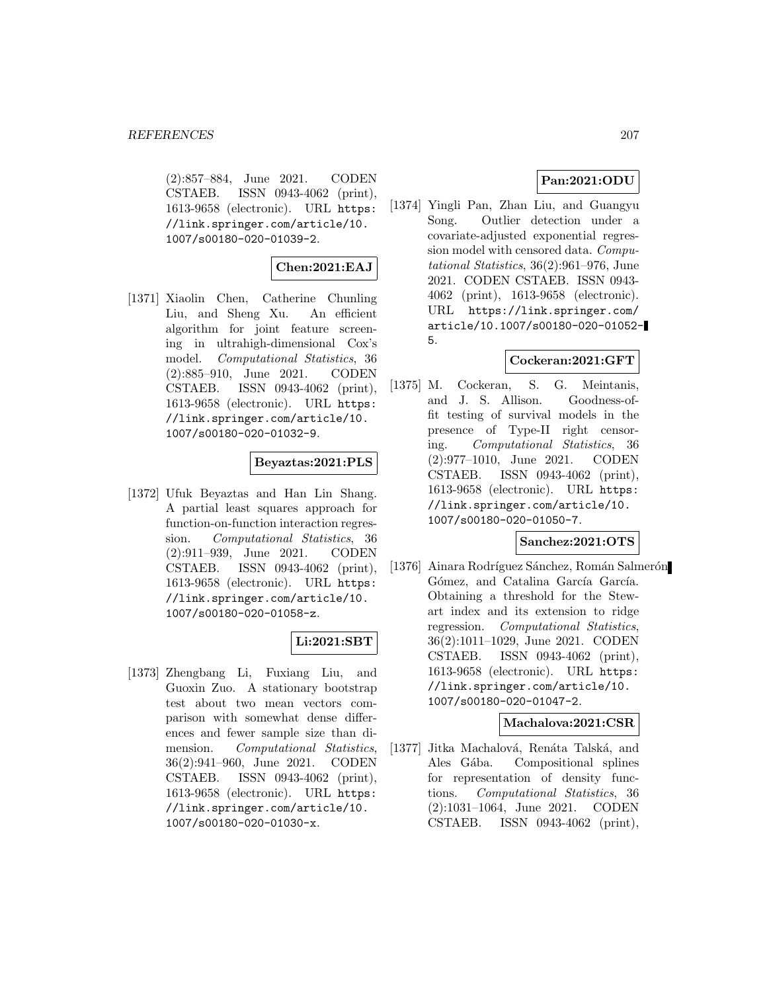(2):857–884, June 2021. CODEN CSTAEB. ISSN 0943-4062 (print), 1613-9658 (electronic). URL https: //link.springer.com/article/10. 1007/s00180-020-01039-2.

## **Chen:2021:EAJ**

[1371] Xiaolin Chen, Catherine Chunling Liu, and Sheng Xu. An efficient algorithm for joint feature screening in ultrahigh-dimensional Cox's model. Computational Statistics, 36 (2):885–910, June 2021. CODEN CSTAEB. ISSN 0943-4062 (print), 1613-9658 (electronic). URL https: //link.springer.com/article/10. 1007/s00180-020-01032-9.

### **Beyaztas:2021:PLS**

[1372] Ufuk Beyaztas and Han Lin Shang. A partial least squares approach for function-on-function interaction regression. Computational Statistics, 36 (2):911–939, June 2021. CODEN CSTAEB. ISSN 0943-4062 (print), 1613-9658 (electronic). URL https: //link.springer.com/article/10. 1007/s00180-020-01058-z.

## **Li:2021:SBT**

[1373] Zhengbang Li, Fuxiang Liu, and Guoxin Zuo. A stationary bootstrap test about two mean vectors comparison with somewhat dense differences and fewer sample size than dimension. Computational Statistics, 36(2):941–960, June 2021. CODEN CSTAEB. ISSN 0943-4062 (print), 1613-9658 (electronic). URL https: //link.springer.com/article/10. 1007/s00180-020-01030-x.

## **Pan:2021:ODU**

[1374] Yingli Pan, Zhan Liu, and Guangyu Song. Outlier detection under a covariate-adjusted exponential regression model with censored data. Computational Statistics, 36(2):961–976, June 2021. CODEN CSTAEB. ISSN 0943- 4062 (print), 1613-9658 (electronic). URL https://link.springer.com/ article/10.1007/s00180-020-01052- 5.

### **Cockeran:2021:GFT**

[1375] M. Cockeran, S. G. Meintanis, and J. S. Allison. Goodness-offit testing of survival models in the presence of Type-II right censoring. Computational Statistics, 36 (2):977–1010, June 2021. CODEN CSTAEB. ISSN 0943-4062 (print), 1613-9658 (electronic). URL https: //link.springer.com/article/10. 1007/s00180-020-01050-7.

#### **Sanchez:2021:OTS**

[1376] Ainara Rodríguez Sánchez, Román Salmerón Gómez, and Catalina García García. Obtaining a threshold for the Stewart index and its extension to ridge regression. Computational Statistics, 36(2):1011–1029, June 2021. CODEN CSTAEB. ISSN 0943-4062 (print), 1613-9658 (electronic). URL https: //link.springer.com/article/10. 1007/s00180-020-01047-2.

#### **Machalova:2021:CSR**

[1377] Jitka Machalová, Renáta Talská, and Ales Gába. Compositional splines for representation of density functions. Computational Statistics, 36 (2):1031–1064, June 2021. CODEN CSTAEB. ISSN 0943-4062 (print),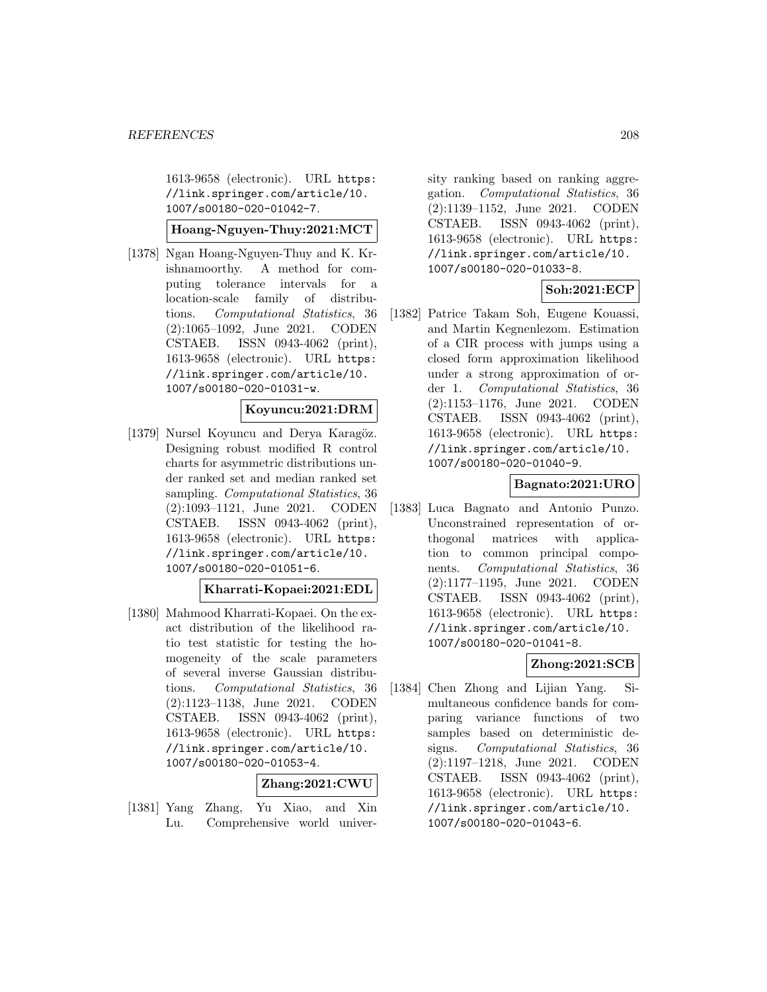1613-9658 (electronic). URL https: //link.springer.com/article/10. 1007/s00180-020-01042-7.

### **Hoang-Nguyen-Thuy:2021:MCT**

[1378] Ngan Hoang-Nguyen-Thuy and K. Krishnamoorthy. A method for computing tolerance intervals for a location-scale family of distributions. Computational Statistics, 36 (2):1065–1092, June 2021. CODEN CSTAEB. ISSN 0943-4062 (print), 1613-9658 (electronic). URL https: //link.springer.com/article/10. 1007/s00180-020-01031-w.

#### **Koyuncu:2021:DRM**

[1379] Nursel Koyuncu and Derya Karagöz. Designing robust modified R control charts for asymmetric distributions under ranked set and median ranked set sampling. *Computational Statistics*, 36 (2):1093–1121, June 2021. CODEN CSTAEB. ISSN 0943-4062 (print), 1613-9658 (electronic). URL https: //link.springer.com/article/10. 1007/s00180-020-01051-6.

#### **Kharrati-Kopaei:2021:EDL**

[1380] Mahmood Kharrati-Kopaei. On the exact distribution of the likelihood ratio test statistic for testing the homogeneity of the scale parameters of several inverse Gaussian distributions. Computational Statistics, 36 (2):1123–1138, June 2021. CODEN CSTAEB. ISSN 0943-4062 (print), 1613-9658 (electronic). URL https: //link.springer.com/article/10. 1007/s00180-020-01053-4.

### **Zhang:2021:CWU**

[1381] Yang Zhang, Yu Xiao, and Xin Lu. Comprehensive world university ranking based on ranking aggregation. Computational Statistics, 36 (2):1139–1152, June 2021. CODEN CSTAEB. ISSN 0943-4062 (print), 1613-9658 (electronic). URL https: //link.springer.com/article/10. 1007/s00180-020-01033-8.

### **Soh:2021:ECP**

[1382] Patrice Takam Soh, Eugene Kouassi, and Martin Kegnenlezom. Estimation of a CIR process with jumps using a closed form approximation likelihood under a strong approximation of order 1. Computational Statistics, 36 (2):1153–1176, June 2021. CODEN CSTAEB. ISSN 0943-4062 (print), 1613-9658 (electronic). URL https: //link.springer.com/article/10. 1007/s00180-020-01040-9.

#### **Bagnato:2021:URO**

[1383] Luca Bagnato and Antonio Punzo. Unconstrained representation of orthogonal matrices with application to common principal components. Computational Statistics, 36 (2):1177–1195, June 2021. CODEN CSTAEB. ISSN 0943-4062 (print), 1613-9658 (electronic). URL https: //link.springer.com/article/10. 1007/s00180-020-01041-8.

## **Zhong:2021:SCB**

[1384] Chen Zhong and Lijian Yang. Simultaneous confidence bands for comparing variance functions of two samples based on deterministic designs. Computational Statistics, 36 (2):1197–1218, June 2021. CODEN CSTAEB. ISSN 0943-4062 (print), 1613-9658 (electronic). URL https: //link.springer.com/article/10. 1007/s00180-020-01043-6.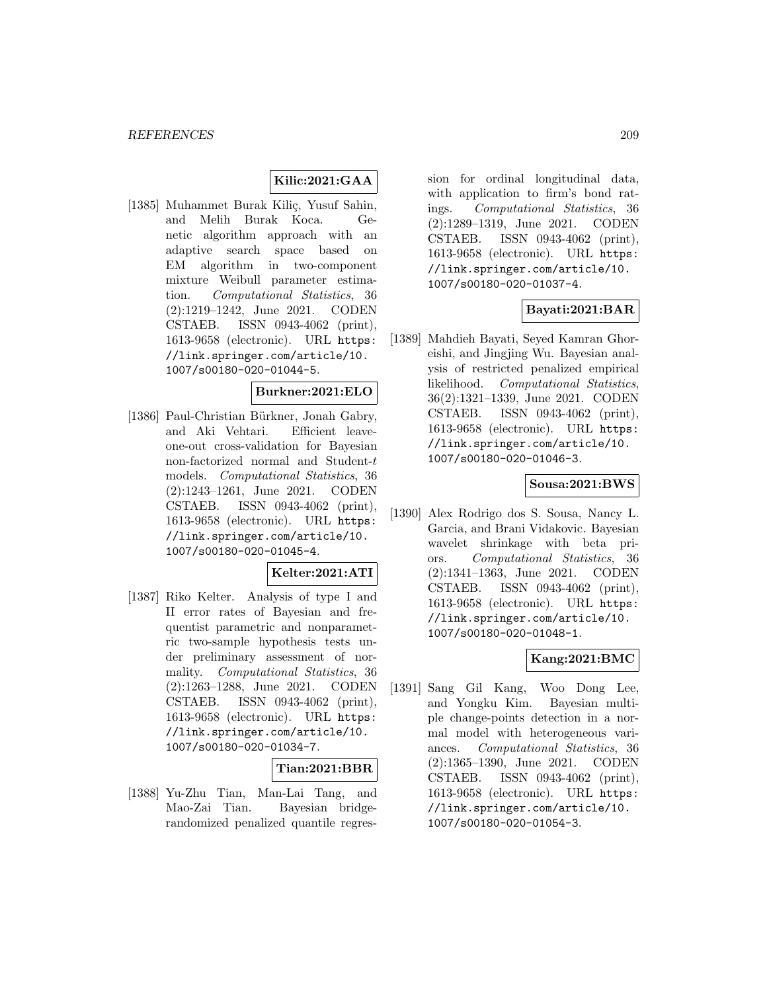## **Kilic:2021:GAA**

[1385] Muhammet Burak Kiliç, Yusuf Sahin, and Melih Burak Koca. Genetic algorithm approach with an adaptive search space based on EM algorithm in two-component mixture Weibull parameter estimation. Computational Statistics, 36 (2):1219–1242, June 2021. CODEN CSTAEB. ISSN 0943-4062 (print), 1613-9658 (electronic). URL https: //link.springer.com/article/10. 1007/s00180-020-01044-5.

## **Burkner:2021:ELO**

[1386] Paul-Christian Bürkner, Jonah Gabry, and Aki Vehtari. Efficient leaveone-out cross-validation for Bayesian non-factorized normal and Student-t models. Computational Statistics, 36 (2):1243–1261, June 2021. CODEN CSTAEB. ISSN 0943-4062 (print), 1613-9658 (electronic). URL https: //link.springer.com/article/10. 1007/s00180-020-01045-4.

### **Kelter:2021:ATI**

[1387] Riko Kelter. Analysis of type I and II error rates of Bayesian and frequentist parametric and nonparametric two-sample hypothesis tests under preliminary assessment of normality. Computational Statistics, 36 (2):1263–1288, June 2021. CODEN CSTAEB. ISSN 0943-4062 (print), 1613-9658 (electronic). URL https: //link.springer.com/article/10. 1007/s00180-020-01034-7.

#### **Tian:2021:BBR**

[1388] Yu-Zhu Tian, Man-Lai Tang, and Mao-Zai Tian. Bayesian bridgerandomized penalized quantile regres-

sion for ordinal longitudinal data, with application to firm's bond ratings. Computational Statistics, 36 (2):1289–1319, June 2021. CODEN CSTAEB. ISSN 0943-4062 (print), 1613-9658 (electronic). URL https: //link.springer.com/article/10. 1007/s00180-020-01037-4.

## **Bayati:2021:BAR**

[1389] Mahdieh Bayati, Seyed Kamran Ghoreishi, and Jingjing Wu. Bayesian analysis of restricted penalized empirical likelihood. Computational Statistics, 36(2):1321–1339, June 2021. CODEN CSTAEB. ISSN 0943-4062 (print), 1613-9658 (electronic). URL https: //link.springer.com/article/10. 1007/s00180-020-01046-3.

### **Sousa:2021:BWS**

[1390] Alex Rodrigo dos S. Sousa, Nancy L. Garcia, and Brani Vidakovic. Bayesian wavelet shrinkage with beta priors. Computational Statistics, 36 (2):1341–1363, June 2021. CODEN CSTAEB. ISSN 0943-4062 (print), 1613-9658 (electronic). URL https: //link.springer.com/article/10. 1007/s00180-020-01048-1.

#### **Kang:2021:BMC**

[1391] Sang Gil Kang, Woo Dong Lee, and Yongku Kim. Bayesian multiple change-points detection in a normal model with heterogeneous variances. Computational Statistics, 36 (2):1365–1390, June 2021. CODEN CSTAEB. ISSN 0943-4062 (print), 1613-9658 (electronic). URL https: //link.springer.com/article/10. 1007/s00180-020-01054-3.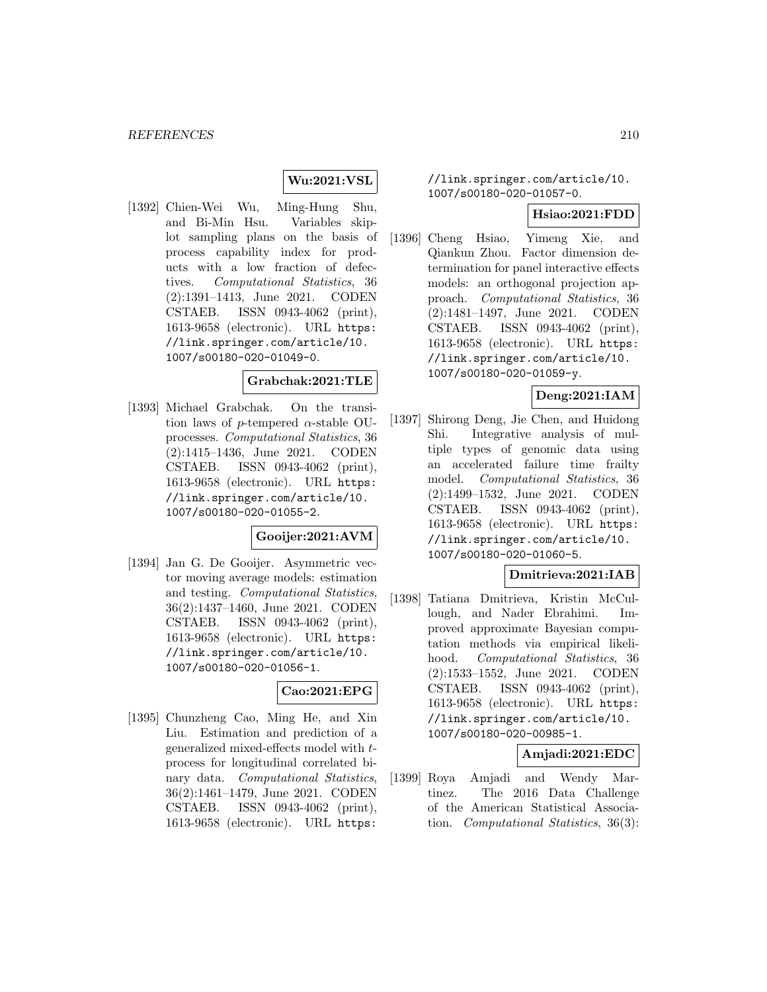### **Wu:2021:VSL**

[1392] Chien-Wei Wu, Ming-Hung Shu, and Bi-Min Hsu. Variables skiplot sampling plans on the basis of process capability index for products with a low fraction of defectives. Computational Statistics, 36 (2):1391–1413, June 2021. CODEN CSTAEB. ISSN 0943-4062 (print), 1613-9658 (electronic). URL https: //link.springer.com/article/10. 1007/s00180-020-01049-0.

#### **Grabchak:2021:TLE**

[1393] Michael Grabchak. On the transition laws of p-tempered  $\alpha$ -stable OUprocesses. Computational Statistics, 36 (2):1415–1436, June 2021. CODEN CSTAEB. ISSN 0943-4062 (print), 1613-9658 (electronic). URL https: //link.springer.com/article/10. 1007/s00180-020-01055-2.

#### **Gooijer:2021:AVM**

[1394] Jan G. De Gooijer. Asymmetric vector moving average models: estimation and testing. Computational Statistics, 36(2):1437–1460, June 2021. CODEN CSTAEB. ISSN 0943-4062 (print), 1613-9658 (electronic). URL https: //link.springer.com/article/10. 1007/s00180-020-01056-1.

## **Cao:2021:EPG**

[1395] Chunzheng Cao, Ming He, and Xin Liu. Estimation and prediction of a generalized mixed-effects model with tprocess for longitudinal correlated binary data. Computational Statistics, 36(2):1461–1479, June 2021. CODEN CSTAEB. ISSN 0943-4062 (print), 1613-9658 (electronic). URL https:

//link.springer.com/article/10. 1007/s00180-020-01057-0.

#### **Hsiao:2021:FDD**

[1396] Cheng Hsiao, Yimeng Xie, and Qiankun Zhou. Factor dimension determination for panel interactive effects models: an orthogonal projection approach. Computational Statistics, 36 (2):1481–1497, June 2021. CODEN CSTAEB. ISSN 0943-4062 (print), 1613-9658 (electronic). URL https: //link.springer.com/article/10. 1007/s00180-020-01059-y.

### **Deng:2021:IAM**

[1397] Shirong Deng, Jie Chen, and Huidong Shi. Integrative analysis of multiple types of genomic data using an accelerated failure time frailty model. Computational Statistics, 36 (2):1499–1532, June 2021. CODEN CSTAEB. ISSN 0943-4062 (print), 1613-9658 (electronic). URL https: //link.springer.com/article/10. 1007/s00180-020-01060-5.

### **Dmitrieva:2021:IAB**

[1398] Tatiana Dmitrieva, Kristin McCullough, and Nader Ebrahimi. Improved approximate Bayesian computation methods via empirical likelihood. Computational Statistics, 36 (2):1533–1552, June 2021. CODEN CSTAEB. ISSN 0943-4062 (print), 1613-9658 (electronic). URL https: //link.springer.com/article/10. 1007/s00180-020-00985-1.

### **Amjadi:2021:EDC**

[1399] Roya Amjadi and Wendy Martinez. The 2016 Data Challenge of the American Statistical Association. Computational Statistics, 36(3):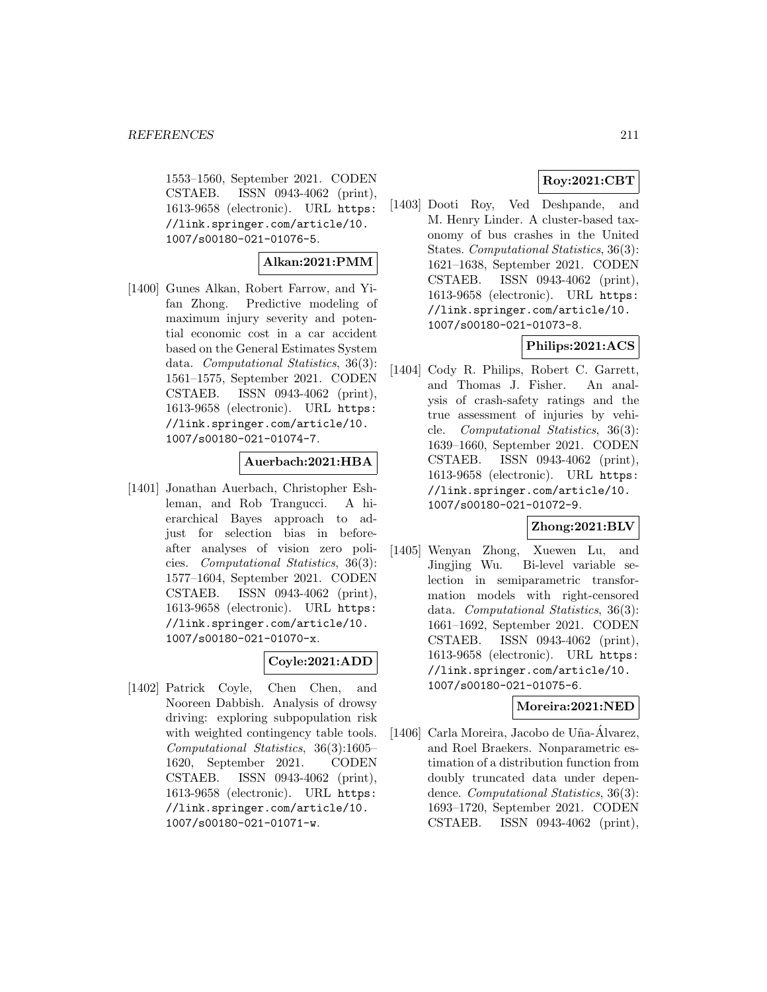1553–1560, September 2021. CODEN CSTAEB. ISSN 0943-4062 (print), 1613-9658 (electronic). URL https: //link.springer.com/article/10. 1007/s00180-021-01076-5.

## **Alkan:2021:PMM**

[1400] Gunes Alkan, Robert Farrow, and Yifan Zhong. Predictive modeling of maximum injury severity and potential economic cost in a car accident based on the General Estimates System data. *Computational Statistics*, 36(3): 1561–1575, September 2021. CODEN CSTAEB. ISSN 0943-4062 (print), 1613-9658 (electronic). URL https: //link.springer.com/article/10. 1007/s00180-021-01074-7.

### **Auerbach:2021:HBA**

[1401] Jonathan Auerbach, Christopher Eshleman, and Rob Trangucci. A hierarchical Bayes approach to adjust for selection bias in beforeafter analyses of vision zero policies. Computational Statistics, 36(3): 1577–1604, September 2021. CODEN CSTAEB. ISSN 0943-4062 (print), 1613-9658 (electronic). URL https: //link.springer.com/article/10. 1007/s00180-021-01070-x.

### **Coyle:2021:ADD**

[1402] Patrick Coyle, Chen Chen, and Nooreen Dabbish. Analysis of drowsy driving: exploring subpopulation risk with weighted contingency table tools. Computational Statistics, 36(3):1605– 1620, September 2021. CODEN CSTAEB. ISSN 0943-4062 (print), 1613-9658 (electronic). URL https: //link.springer.com/article/10. 1007/s00180-021-01071-w.

## **Roy:2021:CBT**

[1403] Dooti Roy, Ved Deshpande, and M. Henry Linder. A cluster-based taxonomy of bus crashes in the United States. Computational Statistics, 36(3): 1621–1638, September 2021. CODEN CSTAEB. ISSN 0943-4062 (print), 1613-9658 (electronic). URL https: //link.springer.com/article/10. 1007/s00180-021-01073-8.

## **Philips:2021:ACS**

[1404] Cody R. Philips, Robert C. Garrett, and Thomas J. Fisher. An analysis of crash-safety ratings and the true assessment of injuries by vehicle. Computational Statistics, 36(3): 1639–1660, September 2021. CODEN CSTAEB. ISSN 0943-4062 (print), 1613-9658 (electronic). URL https: //link.springer.com/article/10. 1007/s00180-021-01072-9.

## **Zhong:2021:BLV**

[1405] Wenyan Zhong, Xuewen Lu, and Jingjing Wu. Bi-level variable selection in semiparametric transformation models with right-censored data. Computational Statistics, 36(3): 1661–1692, September 2021. CODEN CSTAEB. ISSN 0943-4062 (print), 1613-9658 (electronic). URL https: //link.springer.com/article/10. 1007/s00180-021-01075-6.

#### **Moreira:2021:NED**

[1406] Carla Moreira, Jacobo de Uña-Álvarez, and Roel Braekers. Nonparametric estimation of a distribution function from doubly truncated data under dependence. Computational Statistics, 36(3): 1693–1720, September 2021. CODEN CSTAEB. ISSN 0943-4062 (print),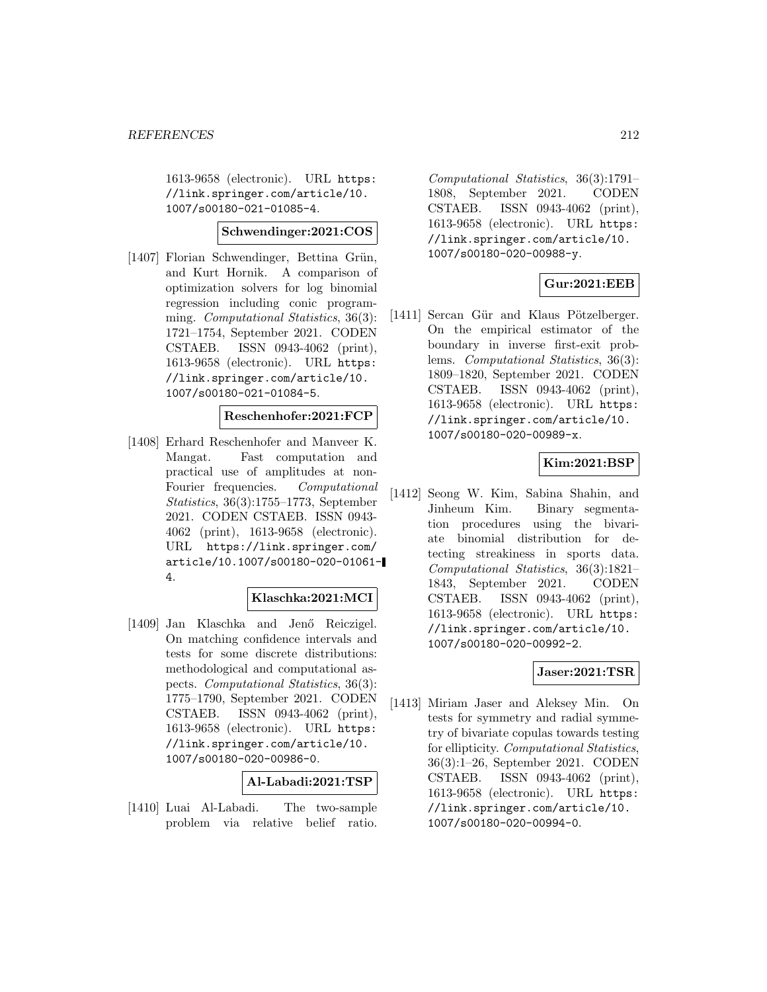1613-9658 (electronic). URL https: //link.springer.com/article/10. 1007/s00180-021-01085-4.

#### **Schwendinger:2021:COS**

[1407] Florian Schwendinger, Bettina Grün, and Kurt Hornik. A comparison of optimization solvers for log binomial regression including conic programming. Computational Statistics, 36(3): 1721–1754, September 2021. CODEN CSTAEB. ISSN 0943-4062 (print), 1613-9658 (electronic). URL https: //link.springer.com/article/10. 1007/s00180-021-01084-5.

### **Reschenhofer:2021:FCP**

[1408] Erhard Reschenhofer and Manveer K. Mangat. Fast computation and practical use of amplitudes at non-Fourier frequencies. Computational Statistics, 36(3):1755–1773, September 2021. CODEN CSTAEB. ISSN 0943- 4062 (print), 1613-9658 (electronic). URL https://link.springer.com/ article/10.1007/s00180-020-01061- 4.

### **Klaschka:2021:MCI**

[1409] Jan Klaschka and Jenő Reiczigel. On matching confidence intervals and tests for some discrete distributions: methodological and computational aspects. Computational Statistics, 36(3): 1775–1790, September 2021. CODEN CSTAEB. ISSN 0943-4062 (print), 1613-9658 (electronic). URL https: //link.springer.com/article/10. 1007/s00180-020-00986-0.

#### **Al-Labadi:2021:TSP**

[1410] Luai Al-Labadi. The two-sample problem via relative belief ratio.

Computational Statistics, 36(3):1791– 1808, September 2021. CODEN CSTAEB. ISSN 0943-4062 (print), 1613-9658 (electronic). URL https: //link.springer.com/article/10. 1007/s00180-020-00988-y.

## **Gur:2021:EEB**

[1411] Sercan Gür and Klaus Pötzelberger. On the empirical estimator of the boundary in inverse first-exit problems. Computational Statistics, 36(3): 1809–1820, September 2021. CODEN CSTAEB. ISSN 0943-4062 (print), 1613-9658 (electronic). URL https: //link.springer.com/article/10. 1007/s00180-020-00989-x.

## **Kim:2021:BSP**

[1412] Seong W. Kim, Sabina Shahin, and Jinheum Kim. Binary segmentation procedures using the bivariate binomial distribution for detecting streakiness in sports data. Computational Statistics, 36(3):1821– 1843, September 2021. CODEN CSTAEB. ISSN 0943-4062 (print), 1613-9658 (electronic). URL https: //link.springer.com/article/10. 1007/s00180-020-00992-2.

#### **Jaser:2021:TSR**

[1413] Miriam Jaser and Aleksey Min. On tests for symmetry and radial symmetry of bivariate copulas towards testing for ellipticity. Computational Statistics, 36(3):1–26, September 2021. CODEN CSTAEB. ISSN 0943-4062 (print), 1613-9658 (electronic). URL https: //link.springer.com/article/10. 1007/s00180-020-00994-0.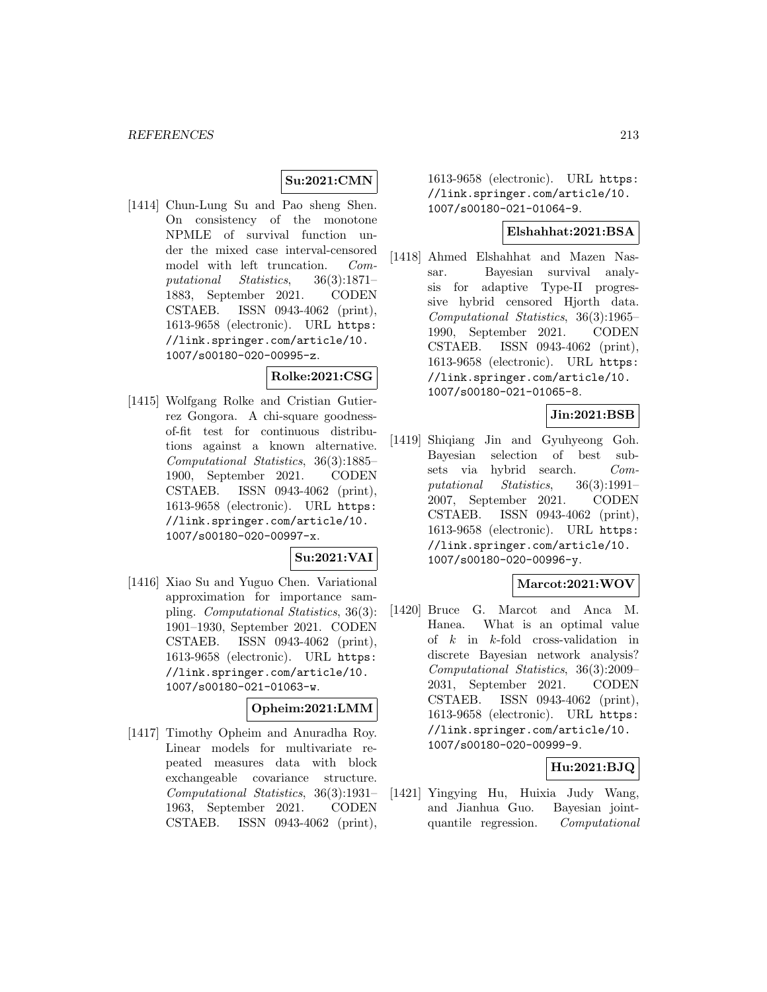## **Su:2021:CMN**

[1414] Chun-Lung Su and Pao sheng Shen. On consistency of the monotone NPMLE of survival function under the mixed case interval-censored model with left truncation. Computational Statistics, 36(3):1871– 1883, September 2021. CODEN CSTAEB. ISSN 0943-4062 (print), 1613-9658 (electronic). URL https: //link.springer.com/article/10. 1007/s00180-020-00995-z.

#### **Rolke:2021:CSG**

[1415] Wolfgang Rolke and Cristian Gutierrez Gongora. A chi-square goodnessof-fit test for continuous distributions against a known alternative. Computational Statistics, 36(3):1885– 1900, September 2021. CODEN CSTAEB. ISSN 0943-4062 (print), 1613-9658 (electronic). URL https: //link.springer.com/article/10. 1007/s00180-020-00997-x.

# **Su:2021:VAI**

[1416] Xiao Su and Yuguo Chen. Variational approximation for importance sampling. Computational Statistics, 36(3): 1901–1930, September 2021. CODEN CSTAEB. ISSN 0943-4062 (print), 1613-9658 (electronic). URL https: //link.springer.com/article/10. 1007/s00180-021-01063-w.

#### **Opheim:2021:LMM**

[1417] Timothy Opheim and Anuradha Roy. Linear models for multivariate repeated measures data with block exchangeable covariance structure. Computational Statistics, 36(3):1931– 1963, September 2021. CODEN CSTAEB. ISSN 0943-4062 (print),

1613-9658 (electronic). URL https: //link.springer.com/article/10. 1007/s00180-021-01064-9.

#### **Elshahhat:2021:BSA**

[1418] Ahmed Elshahhat and Mazen Nassar. Bayesian survival analysis for adaptive Type-II progressive hybrid censored Hjorth data. Computational Statistics, 36(3):1965– 1990, September 2021. CODEN CSTAEB. ISSN 0943-4062 (print), 1613-9658 (electronic). URL https: //link.springer.com/article/10. 1007/s00180-021-01065-8.

## **Jin:2021:BSB**

[1419] Shiqiang Jin and Gyuhyeong Goh. Bayesian selection of best subsets via hybrid search. Computational Statistics, 36(3):1991– 2007, September 2021. CODEN CSTAEB. ISSN 0943-4062 (print), 1613-9658 (electronic). URL https: //link.springer.com/article/10. 1007/s00180-020-00996-y.

## **Marcot:2021:WOV**

[1420] Bruce G. Marcot and Anca M. Hanea. What is an optimal value of  $k$  in  $k$ -fold cross-validation in discrete Bayesian network analysis? Computational Statistics, 36(3):2009– 2031, September 2021. CODEN CSTAEB. ISSN 0943-4062 (print), 1613-9658 (electronic). URL https: //link.springer.com/article/10. 1007/s00180-020-00999-9.

### **Hu:2021:BJQ**

[1421] Yingying Hu, Huixia Judy Wang, and Jianhua Guo. Bayesian jointquantile regression. Computational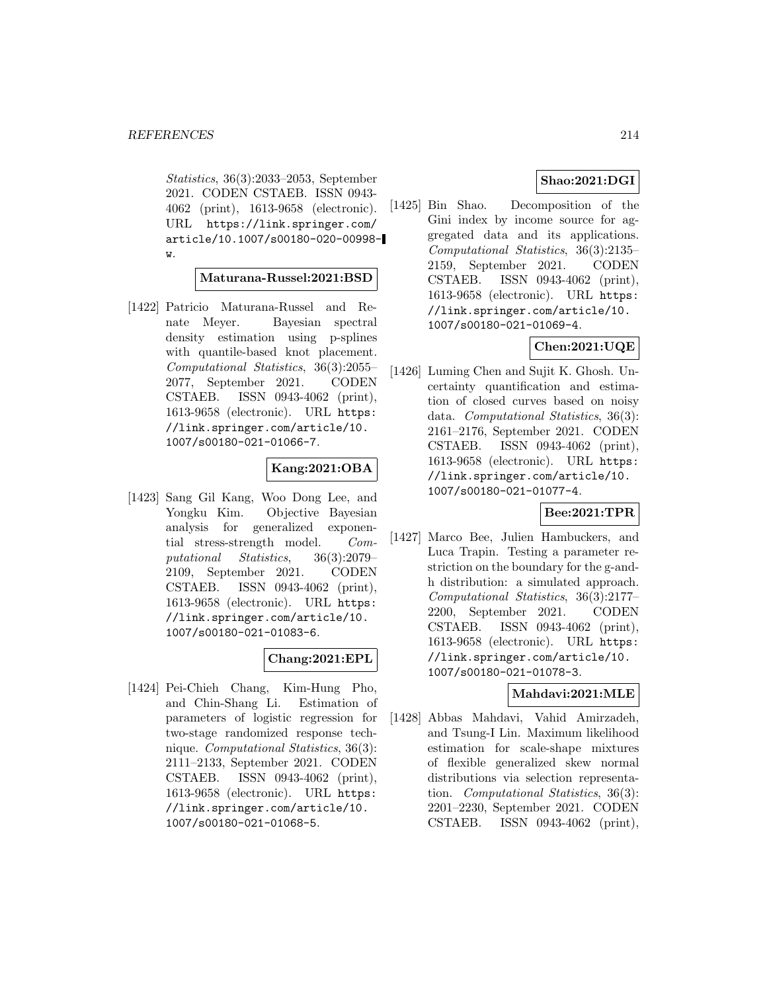Statistics, 36(3):2033–2053, September 2021. CODEN CSTAEB. ISSN 0943- 4062 (print), 1613-9658 (electronic). URL https://link.springer.com/ article/10.1007/s00180-020-00998 w.

#### **Maturana-Russel:2021:BSD**

[1422] Patricio Maturana-Russel and Renate Meyer. Bayesian spectral density estimation using p-splines with quantile-based knot placement. Computational Statistics, 36(3):2055– 2077, September 2021. CODEN CSTAEB. ISSN 0943-4062 (print), 1613-9658 (electronic). URL https: //link.springer.com/article/10. 1007/s00180-021-01066-7.

### **Kang:2021:OBA**

[1423] Sang Gil Kang, Woo Dong Lee, and Yongku Kim. Objective Bayesian analysis for generalized exponential stress-strength model. Computational Statistics, 36(3):2079– 2109, September 2021. CODEN CSTAEB. ISSN 0943-4062 (print), 1613-9658 (electronic). URL https: //link.springer.com/article/10. 1007/s00180-021-01083-6.

# **Chang:2021:EPL**

[1424] Pei-Chieh Chang, Kim-Hung Pho, and Chin-Shang Li. Estimation of parameters of logistic regression for two-stage randomized response technique. Computational Statistics, 36(3): 2111–2133, September 2021. CODEN CSTAEB. ISSN 0943-4062 (print), 1613-9658 (electronic). URL https: //link.springer.com/article/10. 1007/s00180-021-01068-5.

## **Shao:2021:DGI**

[1425] Bin Shao. Decomposition of the Gini index by income source for aggregated data and its applications. Computational Statistics, 36(3):2135– 2159, September 2021. CODEN CSTAEB. ISSN 0943-4062 (print), 1613-9658 (electronic). URL https: //link.springer.com/article/10. 1007/s00180-021-01069-4.

## **Chen:2021:UQE**

[1426] Luming Chen and Sujit K. Ghosh. Uncertainty quantification and estimation of closed curves based on noisy data. Computational Statistics, 36(3): 2161–2176, September 2021. CODEN CSTAEB. ISSN 0943-4062 (print), 1613-9658 (electronic). URL https: //link.springer.com/article/10. 1007/s00180-021-01077-4.

## **Bee:2021:TPR**

[1427] Marco Bee, Julien Hambuckers, and Luca Trapin. Testing a parameter restriction on the boundary for the g-andh distribution: a simulated approach. Computational Statistics, 36(3):2177– 2200, September 2021. CODEN CSTAEB. ISSN 0943-4062 (print), 1613-9658 (electronic). URL https: //link.springer.com/article/10. 1007/s00180-021-01078-3.

### **Mahdavi:2021:MLE**

[1428] Abbas Mahdavi, Vahid Amirzadeh, and Tsung-I Lin. Maximum likelihood estimation for scale-shape mixtures of flexible generalized skew normal distributions via selection representation. Computational Statistics, 36(3): 2201–2230, September 2021. CODEN CSTAEB. ISSN 0943-4062 (print),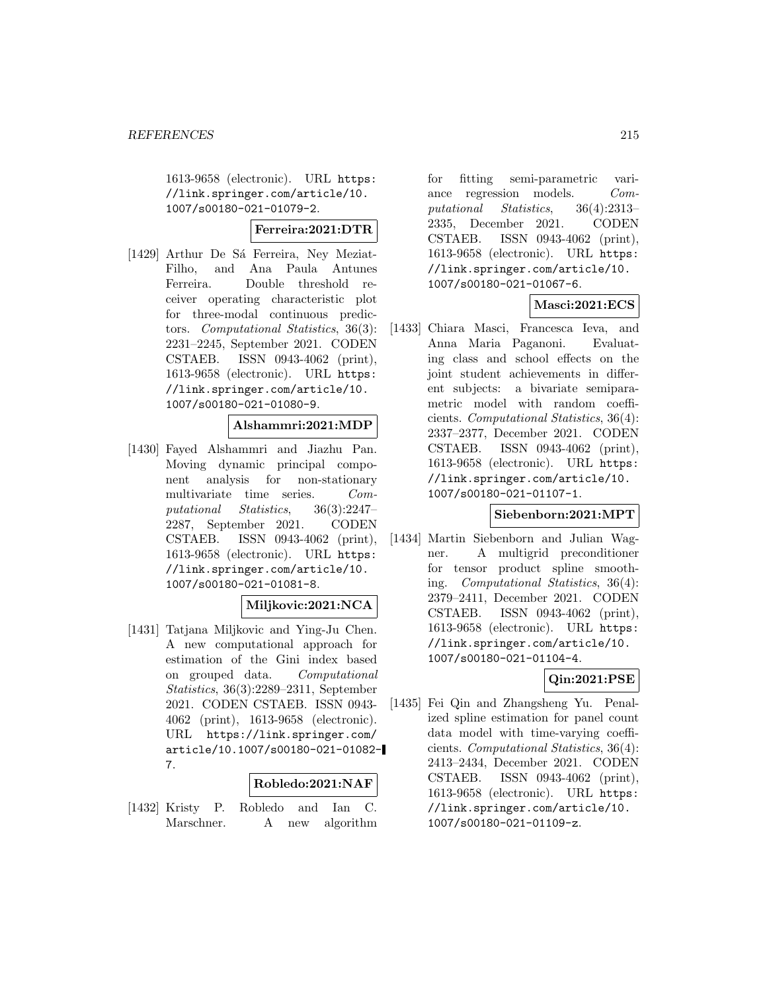1613-9658 (electronic). URL https: //link.springer.com/article/10. 1007/s00180-021-01079-2.

## **Ferreira:2021:DTR**

[1429] Arthur De Sá Ferreira, Ney Meziat-Filho, and Ana Paula Antunes Ferreira. Double threshold receiver operating characteristic plot for three-modal continuous predictors. Computational Statistics, 36(3): 2231–2245, September 2021. CODEN CSTAEB. ISSN 0943-4062 (print), 1613-9658 (electronic). URL https: //link.springer.com/article/10. 1007/s00180-021-01080-9.

#### **Alshammri:2021:MDP**

[1430] Fayed Alshammri and Jiazhu Pan. Moving dynamic principal component analysis for non-stationary multivariate time series. Computational Statistics, 36(3):2247– 2287, September 2021. CODEN CSTAEB. ISSN 0943-4062 (print), 1613-9658 (electronic). URL https: //link.springer.com/article/10. 1007/s00180-021-01081-8.

### **Miljkovic:2021:NCA**

[1431] Tatjana Miljkovic and Ying-Ju Chen. A new computational approach for estimation of the Gini index based on grouped data. Computational Statistics, 36(3):2289–2311, September 2021. CODEN CSTAEB. ISSN 0943- 4062 (print), 1613-9658 (electronic). URL https://link.springer.com/ article/10.1007/s00180-021-01082- 7.

#### **Robledo:2021:NAF**

[1432] Kristy P. Robledo and Ian C. Marschner. A new algorithm

for fitting semi-parametric variance regression models. Computational Statistics, 36(4):2313– 2335, December 2021. CODEN CSTAEB. ISSN 0943-4062 (print), 1613-9658 (electronic). URL https: //link.springer.com/article/10. 1007/s00180-021-01067-6.

### **Masci:2021:ECS**

[1433] Chiara Masci, Francesca Ieva, and Anna Maria Paganoni. Evaluating class and school effects on the joint student achievements in different subjects: a bivariate semiparametric model with random coefficients. Computational Statistics, 36(4): 2337–2377, December 2021. CODEN CSTAEB. ISSN 0943-4062 (print), 1613-9658 (electronic). URL https: //link.springer.com/article/10. 1007/s00180-021-01107-1.

#### **Siebenborn:2021:MPT**

[1434] Martin Siebenborn and Julian Wagner. A multigrid preconditioner for tensor product spline smoothing. Computational Statistics, 36(4): 2379–2411, December 2021. CODEN CSTAEB. ISSN 0943-4062 (print), 1613-9658 (electronic). URL https: //link.springer.com/article/10. 1007/s00180-021-01104-4.

# **Qin:2021:PSE**

[1435] Fei Qin and Zhangsheng Yu. Penalized spline estimation for panel count data model with time-varying coefficients. Computational Statistics, 36(4): 2413–2434, December 2021. CODEN CSTAEB. ISSN 0943-4062 (print), 1613-9658 (electronic). URL https: //link.springer.com/article/10. 1007/s00180-021-01109-z.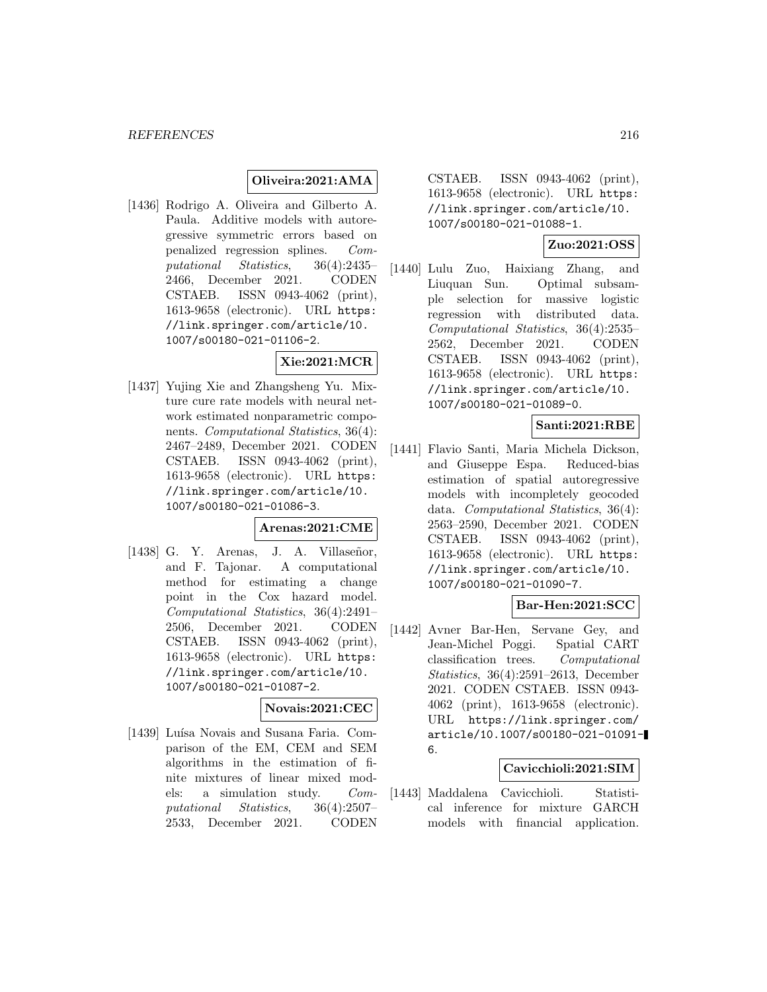### **Oliveira:2021:AMA**

[1436] Rodrigo A. Oliveira and Gilberto A. Paula. Additive models with autoregressive symmetric errors based on penalized regression splines. Computational Statistics, 36(4):2435– 2466, December 2021. CODEN CSTAEB. ISSN 0943-4062 (print), 1613-9658 (electronic). URL https: //link.springer.com/article/10. 1007/s00180-021-01106-2.

## **Xie:2021:MCR**

[1437] Yujing Xie and Zhangsheng Yu. Mixture cure rate models with neural network estimated nonparametric components. Computational Statistics, 36(4): 2467–2489, December 2021. CODEN CSTAEB. ISSN 0943-4062 (print), 1613-9658 (electronic). URL https: //link.springer.com/article/10. 1007/s00180-021-01086-3.

#### **Arenas:2021:CME**

 $[1438]$  G. Y. Arenas, J. A. Villaseñor, and F. Tajonar. A computational method for estimating a change point in the Cox hazard model. Computational Statistics, 36(4):2491– 2506, December 2021. CODEN CSTAEB. ISSN 0943-4062 (print), 1613-9658 (electronic). URL https: //link.springer.com/article/10. 1007/s00180-021-01087-2.

#### **Novais:2021:CEC**

[1439] Luísa Novais and Susana Faria. Comparison of the EM, CEM and SEM algorithms in the estimation of finite mixtures of linear mixed models: a simulation study. Computational Statistics, 36(4):2507– 2533, December 2021. CODEN

CSTAEB. ISSN 0943-4062 (print), 1613-9658 (electronic). URL https: //link.springer.com/article/10. 1007/s00180-021-01088-1.

### **Zuo:2021:OSS**

[1440] Lulu Zuo, Haixiang Zhang, and Liuquan Sun. Optimal subsample selection for massive logistic regression with distributed data. Computational Statistics, 36(4):2535– 2562, December 2021. CODEN CSTAEB. ISSN 0943-4062 (print), 1613-9658 (electronic). URL https: //link.springer.com/article/10. 1007/s00180-021-01089-0.

#### **Santi:2021:RBE**

[1441] Flavio Santi, Maria Michela Dickson, and Giuseppe Espa. Reduced-bias estimation of spatial autoregressive models with incompletely geocoded data. Computational Statistics, 36(4): 2563–2590, December 2021. CODEN CSTAEB. ISSN 0943-4062 (print), 1613-9658 (electronic). URL https: //link.springer.com/article/10. 1007/s00180-021-01090-7.

#### **Bar-Hen:2021:SCC**

[1442] Avner Bar-Hen, Servane Gey, and Jean-Michel Poggi. Spatial CART classification trees. Computational Statistics, 36(4):2591–2613, December 2021. CODEN CSTAEB. ISSN 0943- 4062 (print), 1613-9658 (electronic). URL https://link.springer.com/ article/10.1007/s00180-021-01091- 6.

#### **Cavicchioli:2021:SIM**

[1443] Maddalena Cavicchioli. Statistical inference for mixture GARCH models with financial application.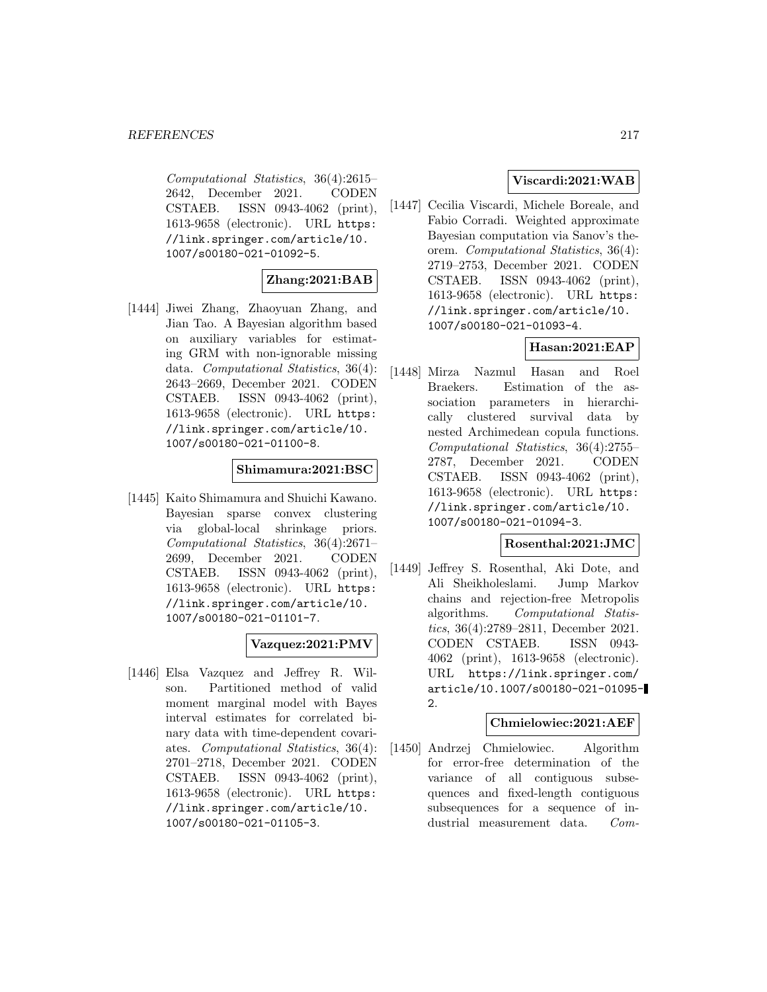Computational Statistics, 36(4):2615– 2642, December 2021. CODEN CSTAEB. ISSN 0943-4062 (print), 1613-9658 (electronic). URL https: //link.springer.com/article/10. 1007/s00180-021-01092-5.

### **Zhang:2021:BAB**

[1444] Jiwei Zhang, Zhaoyuan Zhang, and Jian Tao. A Bayesian algorithm based on auxiliary variables for estimating GRM with non-ignorable missing data. Computational Statistics, 36(4): 2643–2669, December 2021. CODEN CSTAEB. ISSN 0943-4062 (print), 1613-9658 (electronic). URL https: //link.springer.com/article/10. 1007/s00180-021-01100-8.

#### **Shimamura:2021:BSC**

[1445] Kaito Shimamura and Shuichi Kawano. Bayesian sparse convex clustering via global-local shrinkage priors. Computational Statistics, 36(4):2671– 2699, December 2021. CODEN CSTAEB. ISSN 0943-4062 (print), 1613-9658 (electronic). URL https: //link.springer.com/article/10. 1007/s00180-021-01101-7.

### **Vazquez:2021:PMV**

[1446] Elsa Vazquez and Jeffrey R. Wilson. Partitioned method of valid moment marginal model with Bayes interval estimates for correlated binary data with time-dependent covariates. Computational Statistics, 36(4): 2701–2718, December 2021. CODEN CSTAEB. ISSN 0943-4062 (print), 1613-9658 (electronic). URL https: //link.springer.com/article/10. 1007/s00180-021-01105-3.

## **Viscardi:2021:WAB**

[1447] Cecilia Viscardi, Michele Boreale, and Fabio Corradi. Weighted approximate Bayesian computation via Sanov's theorem. Computational Statistics, 36(4): 2719–2753, December 2021. CODEN CSTAEB. ISSN 0943-4062 (print), 1613-9658 (electronic). URL https: //link.springer.com/article/10. 1007/s00180-021-01093-4.

### **Hasan:2021:EAP**

[1448] Mirza Nazmul Hasan and Roel Braekers. Estimation of the association parameters in hierarchically clustered survival data by nested Archimedean copula functions. Computational Statistics, 36(4):2755– 2787, December 2021. CODEN CSTAEB. ISSN 0943-4062 (print), 1613-9658 (electronic). URL https: //link.springer.com/article/10. 1007/s00180-021-01094-3.

### **Rosenthal:2021:JMC**

[1449] Jeffrey S. Rosenthal, Aki Dote, and Ali Sheikholeslami. Jump Markov chains and rejection-free Metropolis algorithms. Computational Statistics, 36(4):2789–2811, December 2021. CODEN CSTAEB. ISSN 0943- 4062 (print), 1613-9658 (electronic). URL https://link.springer.com/ article/10.1007/s00180-021-01095- 2.

#### **Chmielowiec:2021:AEF**

[1450] Andrzej Chmielowiec. Algorithm for error-free determination of the variance of all contiguous subsequences and fixed-length contiguous subsequences for a sequence of industrial measurement data. Com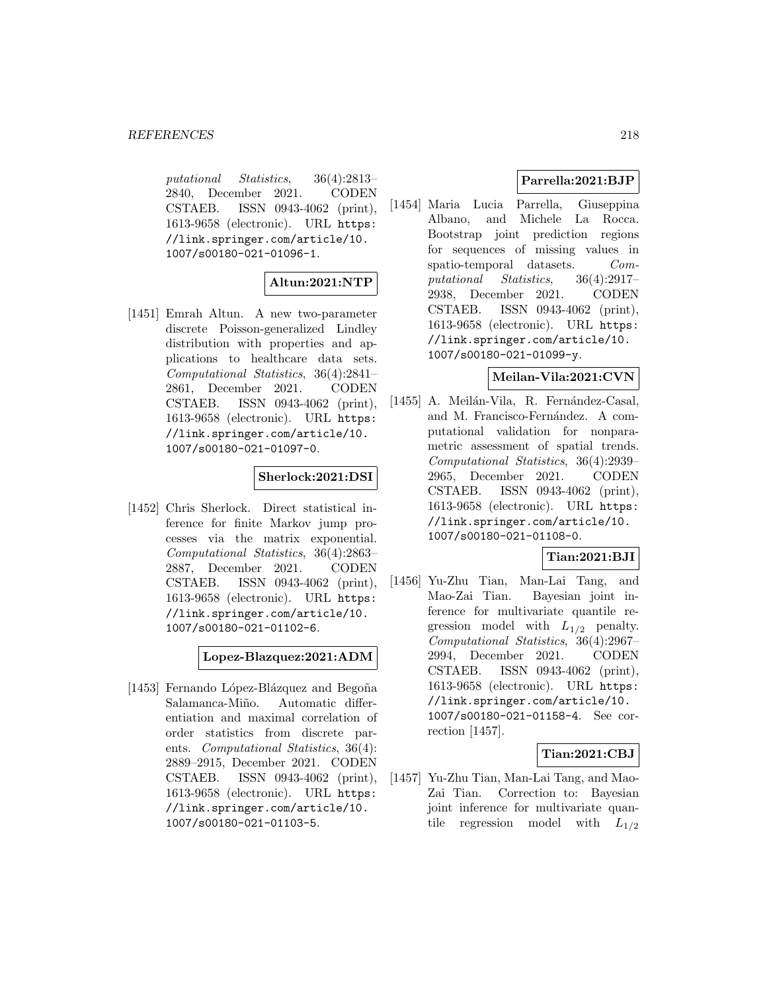putational Statistics, 36(4):2813– 2840, December 2021. CODEN CSTAEB. ISSN 0943-4062 (print), 1613-9658 (electronic). URL https: //link.springer.com/article/10. 1007/s00180-021-01096-1.

# **Altun:2021:NTP**

[1451] Emrah Altun. A new two-parameter discrete Poisson-generalized Lindley distribution with properties and applications to healthcare data sets. Computational Statistics, 36(4):2841– 2861, December 2021. CODEN CSTAEB. ISSN 0943-4062 (print), 1613-9658 (electronic). URL https: //link.springer.com/article/10. 1007/s00180-021-01097-0.

# **Sherlock:2021:DSI**

[1452] Chris Sherlock. Direct statistical inference for finite Markov jump processes via the matrix exponential. Computational Statistics, 36(4):2863– 2887, December 2021. CODEN CSTAEB. ISSN 0943-4062 (print), 1613-9658 (electronic). URL https: //link.springer.com/article/10. 1007/s00180-021-01102-6.

**Lopez-Blazquez:2021:ADM**

[1453] Fernando López-Blázquez and Begoña Salamanca-Miño. Automatic differentiation and maximal correlation of order statistics from discrete parents. *Computational Statistics*, 36(4): 2889–2915, December 2021. CODEN CSTAEB. ISSN 0943-4062 (print), 1613-9658 (electronic). URL https: //link.springer.com/article/10. 1007/s00180-021-01103-5.

# **Parrella:2021:BJP**

[1454] Maria Lucia Parrella, Giuseppina Albano, and Michele La Rocca. Bootstrap joint prediction regions for sequences of missing values in spatio-temporal datasets. Computational Statistics, 36(4):2917– 2938, December 2021. CODEN CSTAEB. ISSN 0943-4062 (print), 1613-9658 (electronic). URL https: //link.springer.com/article/10. 1007/s00180-021-01099-y.

### **Meilan-Vila:2021:CVN**

[1455] A. Meilán-Vila, R. Fernández-Casal, and M. Francisco-Fernández. A computational validation for nonparametric assessment of spatial trends. Computational Statistics, 36(4):2939– 2965, December 2021. CODEN CSTAEB. ISSN 0943-4062 (print), 1613-9658 (electronic). URL https: //link.springer.com/article/10. 1007/s00180-021-01108-0.

# **Tian:2021:BJI**

[1456] Yu-Zhu Tian, Man-Lai Tang, and Mao-Zai Tian. Bayesian joint inference for multivariate quantile regression model with  $L_{1/2}$  penalty. Computational Statistics, 36(4):2967– 2994, December 2021. CODEN CSTAEB. ISSN 0943-4062 (print), 1613-9658 (electronic). URL https: //link.springer.com/article/10. 1007/s00180-021-01158-4. See correction [1457].

**Tian:2021:CBJ**

[1457] Yu-Zhu Tian, Man-Lai Tang, and Mao-Zai Tian. Correction to: Bayesian joint inference for multivariate quantile regression model with  $L_{1/2}$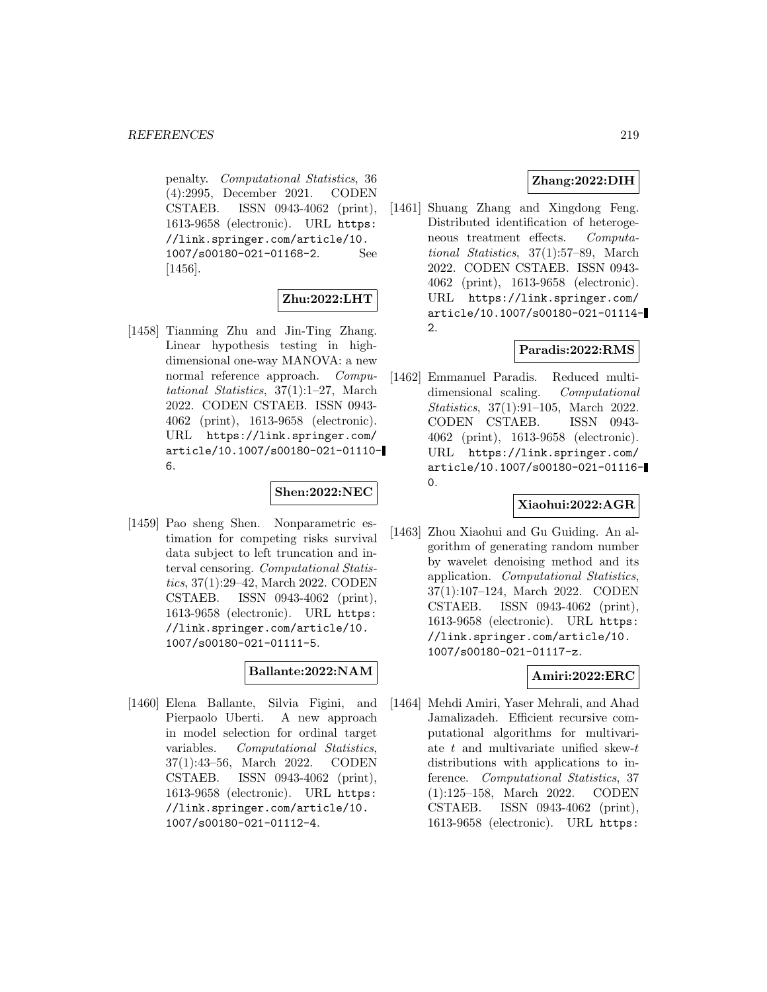penalty. Computational Statistics, 36 (4):2995, December 2021. CODEN CSTAEB. ISSN 0943-4062 (print), 1613-9658 (electronic). URL https: //link.springer.com/article/10. 1007/s00180-021-01168-2. See [1456].

### **Zhu:2022:LHT**

[1458] Tianming Zhu and Jin-Ting Zhang. Linear hypothesis testing in highdimensional one-way MANOVA: a new normal reference approach. Computational Statistics, 37(1):1–27, March 2022. CODEN CSTAEB. ISSN 0943- 4062 (print), 1613-9658 (electronic). URL https://link.springer.com/ article/10.1007/s00180-021-01110- 6.

#### **Shen:2022:NEC**

[1459] Pao sheng Shen. Nonparametric estimation for competing risks survival data subject to left truncation and interval censoring. Computational Statistics, 37(1):29–42, March 2022. CODEN CSTAEB. ISSN 0943-4062 (print), 1613-9658 (electronic). URL https: //link.springer.com/article/10. 1007/s00180-021-01111-5.

### **Ballante:2022:NAM**

[1460] Elena Ballante, Silvia Figini, and Pierpaolo Uberti. A new approach in model selection for ordinal target variables. Computational Statistics, 37(1):43–56, March 2022. CODEN CSTAEB. ISSN 0943-4062 (print), 1613-9658 (electronic). URL https: //link.springer.com/article/10. 1007/s00180-021-01112-4.

### **Zhang:2022:DIH**

[1461] Shuang Zhang and Xingdong Feng. Distributed identification of heterogeneous treatment effects. Computational Statistics, 37(1):57–89, March 2022. CODEN CSTAEB. ISSN 0943- 4062 (print), 1613-9658 (electronic). URL https://link.springer.com/ article/10.1007/s00180-021-01114- 2.

## **Paradis:2022:RMS**

[1462] Emmanuel Paradis. Reduced multidimensional scaling. Computational Statistics, 37(1):91–105, March 2022. CODEN CSTAEB. ISSN 0943- 4062 (print), 1613-9658 (electronic). URL https://link.springer.com/ article/10.1007/s00180-021-01116- 0.

### **Xiaohui:2022:AGR**

[1463] Zhou Xiaohui and Gu Guiding. An algorithm of generating random number by wavelet denoising method and its application. Computational Statistics, 37(1):107–124, March 2022. CODEN CSTAEB. ISSN 0943-4062 (print), 1613-9658 (electronic). URL https: //link.springer.com/article/10. 1007/s00180-021-01117-z.

# **Amiri:2022:ERC**

[1464] Mehdi Amiri, Yaser Mehrali, and Ahad Jamalizadeh. Efficient recursive computational algorithms for multivariate  $t$  and multivariate unified skew- $t$ distributions with applications to inference. Computational Statistics, 37 (1):125–158, March 2022. CODEN CSTAEB. ISSN 0943-4062 (print), 1613-9658 (electronic). URL https: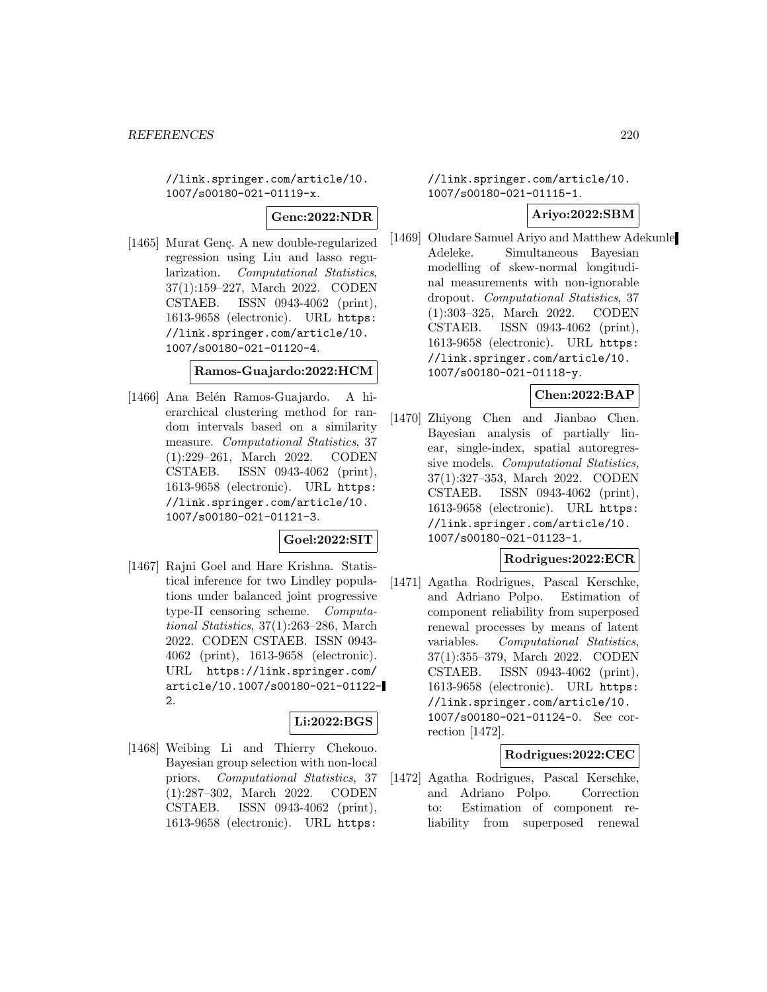//link.springer.com/article/10. 1007/s00180-021-01119-x.

#### **Genc:2022:NDR**

[1465] Murat Genç. A new double-regularized regression using Liu and lasso regularization. Computational Statistics, 37(1):159–227, March 2022. CODEN CSTAEB. ISSN 0943-4062 (print), 1613-9658 (electronic). URL https: //link.springer.com/article/10. 1007/s00180-021-01120-4.

## **Ramos-Guajardo:2022:HCM**

[1466] Ana Belén Ramos-Guajardo. A hierarchical clustering method for random intervals based on a similarity measure. Computational Statistics, 37 (1):229–261, March 2022. CODEN CSTAEB. ISSN 0943-4062 (print), 1613-9658 (electronic). URL https: //link.springer.com/article/10. 1007/s00180-021-01121-3.

### **Goel:2022:SIT**

[1467] Rajni Goel and Hare Krishna. Statistical inference for two Lindley populations under balanced joint progressive type-II censoring scheme. Computational Statistics, 37(1):263–286, March 2022. CODEN CSTAEB. ISSN 0943- 4062 (print), 1613-9658 (electronic). URL https://link.springer.com/ article/10.1007/s00180-021-01122-  $\mathcal{D}$ 

### **Li:2022:BGS**

[1468] Weibing Li and Thierry Chekouo. Bayesian group selection with non-local priors. Computational Statistics, 37 (1):287–302, March 2022. CODEN CSTAEB. ISSN 0943-4062 (print), 1613-9658 (electronic). URL https:

//link.springer.com/article/10. 1007/s00180-021-01115-1.

## **Ariyo:2022:SBM**

[1469] Oludare Samuel Ariyo and Matthew Adekunle Adeleke. Simultaneous Bayesian modelling of skew-normal longitudinal measurements with non-ignorable dropout. Computational Statistics, 37 (1):303–325, March 2022. CODEN CSTAEB. ISSN 0943-4062 (print), 1613-9658 (electronic). URL https: //link.springer.com/article/10. 1007/s00180-021-01118-y.

### **Chen:2022:BAP**

[1470] Zhiyong Chen and Jianbao Chen. Bayesian analysis of partially linear, single-index, spatial autoregressive models. Computational Statistics, 37(1):327–353, March 2022. CODEN CSTAEB. ISSN 0943-4062 (print), 1613-9658 (electronic). URL https: //link.springer.com/article/10. 1007/s00180-021-01123-1.

## **Rodrigues:2022:ECR**

[1471] Agatha Rodrigues, Pascal Kerschke, and Adriano Polpo. Estimation of component reliability from superposed renewal processes by means of latent variables. Computational Statistics, 37(1):355–379, March 2022. CODEN CSTAEB. ISSN 0943-4062 (print), 1613-9658 (electronic). URL https: //link.springer.com/article/10. 1007/s00180-021-01124-0. See correction [1472].

### **Rodrigues:2022:CEC**

[1472] Agatha Rodrigues, Pascal Kerschke, and Adriano Polpo. Correction to: Estimation of component reliability from superposed renewal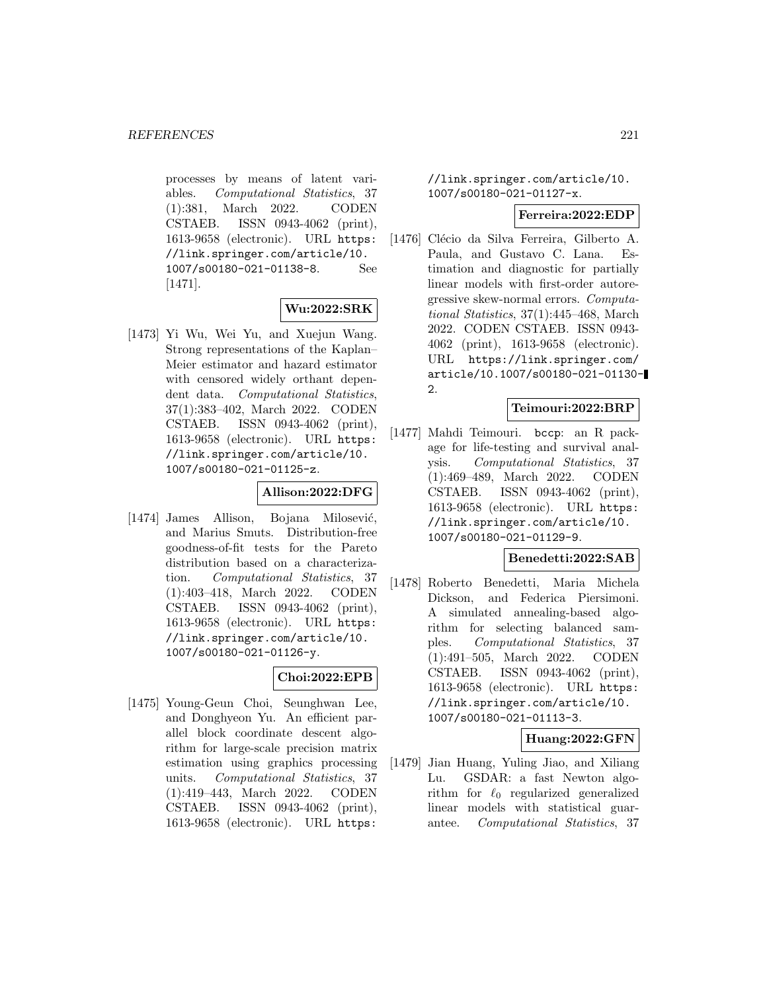processes by means of latent variables. Computational Statistics, 37 (1):381, March 2022. CODEN CSTAEB. ISSN 0943-4062 (print), 1613-9658 (electronic). URL https: //link.springer.com/article/10. 1007/s00180-021-01138-8. See [1471].

# **Wu:2022:SRK**

[1473] Yi Wu, Wei Yu, and Xuejun Wang. Strong representations of the Kaplan– Meier estimator and hazard estimator with censored widely orthant dependent data. Computational Statistics, 37(1):383–402, March 2022. CODEN CSTAEB. ISSN 0943-4062 (print), 1613-9658 (electronic). URL https: //link.springer.com/article/10. 1007/s00180-021-01125-z.

### **Allison:2022:DFG**

[1474] James Allison, Bojana Milosević, and Marius Smuts. Distribution-free goodness-of-fit tests for the Pareto distribution based on a characterization. Computational Statistics, 37 (1):403–418, March 2022. CODEN CSTAEB. ISSN 0943-4062 (print), 1613-9658 (electronic). URL https: //link.springer.com/article/10. 1007/s00180-021-01126-y.

### **Choi:2022:EPB**

[1475] Young-Geun Choi, Seunghwan Lee, and Donghyeon Yu. An efficient parallel block coordinate descent algorithm for large-scale precision matrix estimation using graphics processing units. Computational Statistics, 37 (1):419–443, March 2022. CODEN CSTAEB. ISSN 0943-4062 (print), 1613-9658 (electronic). URL https:

//link.springer.com/article/10. 1007/s00180-021-01127-x.

#### **Ferreira:2022:EDP**

[1476] Clécio da Silva Ferreira, Gilberto A. Paula, and Gustavo C. Lana. Estimation and diagnostic for partially linear models with first-order autoregressive skew-normal errors. Computational Statistics, 37(1):445–468, March 2022. CODEN CSTAEB. ISSN 0943- 4062 (print), 1613-9658 (electronic). URL https://link.springer.com/ article/10.1007/s00180-021-01130- 2.

# **Teimouri:2022:BRP**

[1477] Mahdi Teimouri. bccp: an R package for life-testing and survival analysis. Computational Statistics, 37 (1):469–489, March 2022. CODEN CSTAEB. ISSN 0943-4062 (print), 1613-9658 (electronic). URL https: //link.springer.com/article/10. 1007/s00180-021-01129-9.

### **Benedetti:2022:SAB**

[1478] Roberto Benedetti, Maria Michela Dickson, and Federica Piersimoni. A simulated annealing-based algorithm for selecting balanced samples. Computational Statistics, 37 (1):491–505, March 2022. CODEN CSTAEB. ISSN 0943-4062 (print), 1613-9658 (electronic). URL https: //link.springer.com/article/10. 1007/s00180-021-01113-3.

**Huang:2022:GFN**

[1479] Jian Huang, Yuling Jiao, and Xiliang Lu. GSDAR: a fast Newton algorithm for  $\ell_0$  regularized generalized linear models with statistical guarantee. Computational Statistics, 37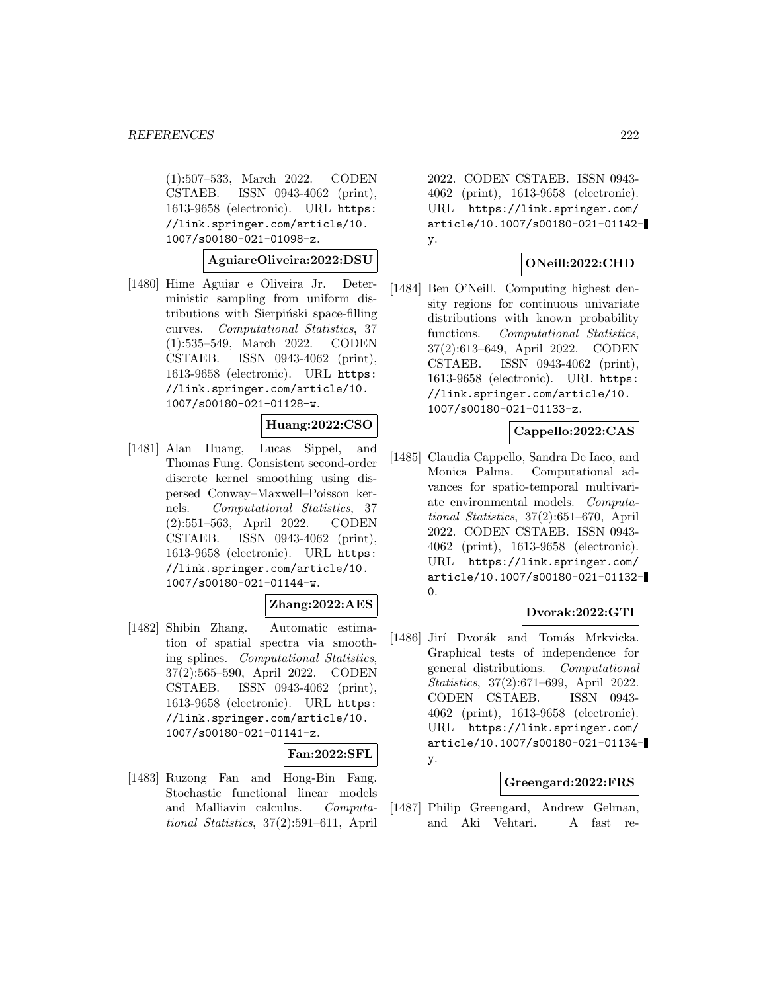(1):507–533, March 2022. CODEN CSTAEB. ISSN 0943-4062 (print), 1613-9658 (electronic). URL https: //link.springer.com/article/10. 1007/s00180-021-01098-z.

**AguiareOliveira:2022:DSU**

[1480] Hime Aguiar e Oliveira Jr. Deterministic sampling from uniform distributions with Sierpinski space-filling curves. Computational Statistics, 37 (1):535–549, March 2022. CODEN CSTAEB. ISSN 0943-4062 (print), 1613-9658 (electronic). URL https: //link.springer.com/article/10. 1007/s00180-021-01128-w.

### **Huang:2022:CSO**

[1481] Alan Huang, Lucas Sippel, and Thomas Fung. Consistent second-order discrete kernel smoothing using dispersed Conway–Maxwell–Poisson kernels. Computational Statistics, 37 (2):551–563, April 2022. CODEN CSTAEB. ISSN 0943-4062 (print), 1613-9658 (electronic). URL https: //link.springer.com/article/10. 1007/s00180-021-01144-w.

### **Zhang:2022:AES**

[1482] Shibin Zhang. Automatic estimation of spatial spectra via smoothing splines. Computational Statistics, 37(2):565–590, April 2022. CODEN CSTAEB. ISSN 0943-4062 (print), 1613-9658 (electronic). URL https: //link.springer.com/article/10. 1007/s00180-021-01141-z.

#### **Fan:2022:SFL**

[1483] Ruzong Fan and Hong-Bin Fang. Stochastic functional linear models and Malliavin calculus. Computational Statistics, 37(2):591–611, April

2022. CODEN CSTAEB. ISSN 0943- 4062 (print), 1613-9658 (electronic). URL https://link.springer.com/ article/10.1007/s00180-021-01142 y.

### **ONeill:2022:CHD**

[1484] Ben O'Neill. Computing highest density regions for continuous univariate distributions with known probability functions. Computational Statistics, 37(2):613–649, April 2022. CODEN CSTAEB. ISSN 0943-4062 (print), 1613-9658 (electronic). URL https: //link.springer.com/article/10. 1007/s00180-021-01133-z.

#### **Cappello:2022:CAS**

[1485] Claudia Cappello, Sandra De Iaco, and Monica Palma. Computational advances for spatio-temporal multivariate environmental models. Computational Statistics, 37(2):651–670, April 2022. CODEN CSTAEB. ISSN 0943- 4062 (print), 1613-9658 (electronic). URL https://link.springer.com/ article/10.1007/s00180-021-01132-  $\Omega$ .

### **Dvorak:2022:GTI**

[1486] Jirí Dvorák and Tomás Mrkvicka. Graphical tests of independence for general distributions. Computational Statistics, 37(2):671–699, April 2022. CODEN CSTAEB. ISSN 0943- 4062 (print), 1613-9658 (electronic). URL https://link.springer.com/ article/10.1007/s00180-021-01134 y.

### **Greengard:2022:FRS**

[1487] Philip Greengard, Andrew Gelman, and Aki Vehtari. A fast re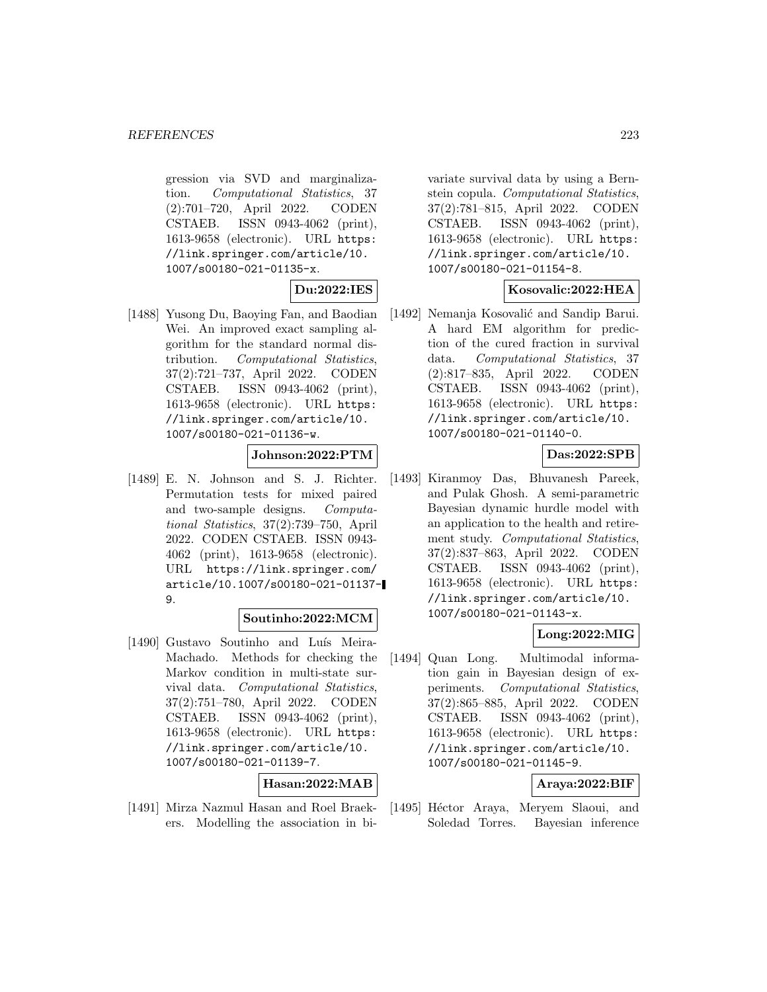gression via SVD and marginalization. Computational Statistics, 37 (2):701–720, April 2022. CODEN CSTAEB. ISSN 0943-4062 (print), 1613-9658 (electronic). URL https: //link.springer.com/article/10. 1007/s00180-021-01135-x.

**Du:2022:IES**

[1488] Yusong Du, Baoying Fan, and Baodian Wei. An improved exact sampling algorithm for the standard normal distribution. Computational Statistics, 37(2):721–737, April 2022. CODEN CSTAEB. ISSN 0943-4062 (print), 1613-9658 (electronic). URL https: //link.springer.com/article/10. 1007/s00180-021-01136-w.

# **Johnson:2022:PTM**

[1489] E. N. Johnson and S. J. Richter. Permutation tests for mixed paired and two-sample designs. Computational Statistics, 37(2):739–750, April 2022. CODEN CSTAEB. ISSN 0943- 4062 (print), 1613-9658 (electronic). URL https://link.springer.com/ article/10.1007/s00180-021-01137- 9.

## **Soutinho:2022:MCM**

[1490] Gustavo Soutinho and Luís Meira-Machado. Methods for checking the Markov condition in multi-state survival data. Computational Statistics, 37(2):751–780, April 2022. CODEN CSTAEB. ISSN 0943-4062 (print), 1613-9658 (electronic). URL https: //link.springer.com/article/10. 1007/s00180-021-01139-7.

# **Hasan:2022:MAB**

[1491] Mirza Nazmul Hasan and Roel Braekers. Modelling the association in bi-

variate survival data by using a Bernstein copula. Computational Statistics, 37(2):781–815, April 2022. CODEN CSTAEB. ISSN 0943-4062 (print), 1613-9658 (electronic). URL https: //link.springer.com/article/10. 1007/s00180-021-01154-8.

# **Kosovalic:2022:HEA**

[1492] Nemanja Kosovalić and Sandip Barui. A hard EM algorithm for prediction of the cured fraction in survival data. Computational Statistics, 37 (2):817–835, April 2022. CODEN CSTAEB. ISSN 0943-4062 (print), 1613-9658 (electronic). URL https: //link.springer.com/article/10. 1007/s00180-021-01140-0.

# **Das:2022:SPB**

[1493] Kiranmoy Das, Bhuvanesh Pareek, and Pulak Ghosh. A semi-parametric Bayesian dynamic hurdle model with an application to the health and retirement study. Computational Statistics, 37(2):837–863, April 2022. CODEN CSTAEB. ISSN 0943-4062 (print), 1613-9658 (electronic). URL https: //link.springer.com/article/10. 1007/s00180-021-01143-x.

# **Long:2022:MIG**

[1494] Quan Long. Multimodal information gain in Bayesian design of experiments. Computational Statistics, 37(2):865–885, April 2022. CODEN CSTAEB. ISSN 0943-4062 (print), 1613-9658 (electronic). URL https: //link.springer.com/article/10. 1007/s00180-021-01145-9.

# **Araya:2022:BIF**

[1495] Héctor Araya, Meryem Slaoui, and Soledad Torres. Bayesian inference